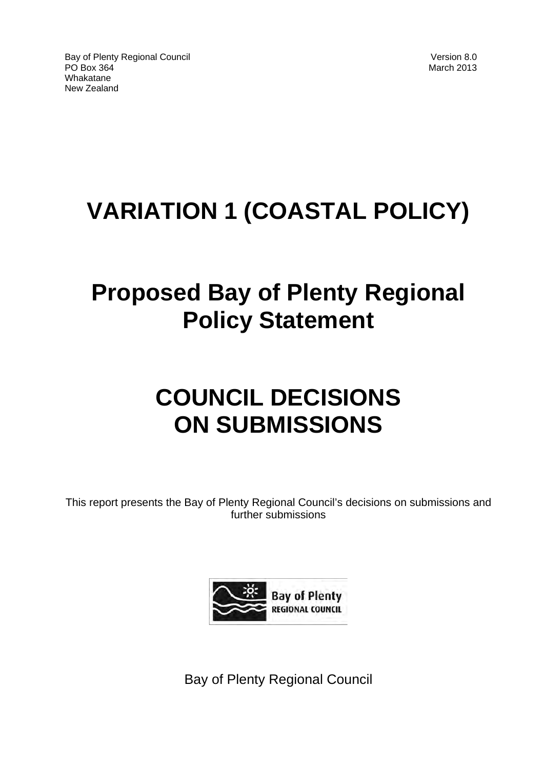# **VARIATION 1 (COASTAL POLICY)**

# **Proposed Bay of Plenty Regional Policy Statement**

# **COUNCIL DECISIONS ON SUBMISSIONS**

This report presents the Bay of Plenty Regional Council's decisions on submissions and further submissions



Bay of Plenty Regional Council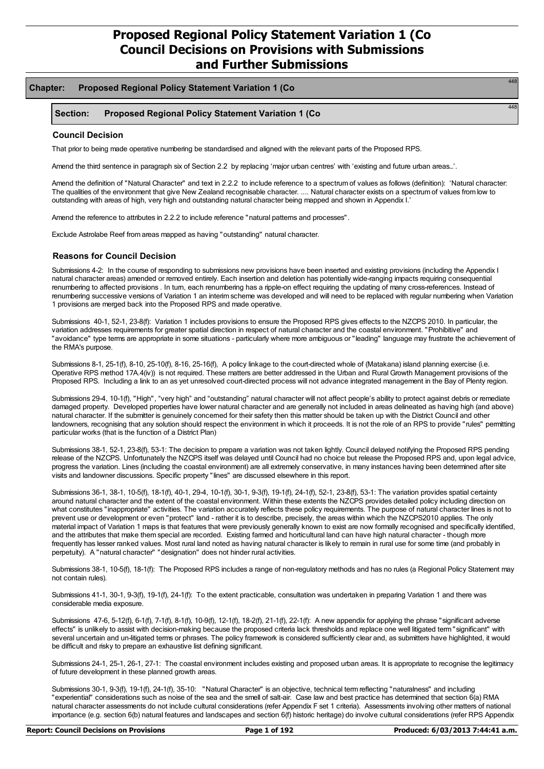#### **Chapter: Proposed Regional Policy Statement Variation 1 (Co**

#### **Section: Proposed Regional Policy Statement Variation 1 (Co**

#### **Council Decision**

That prior to being made operative numbering be standardised and aligned with the relevant parts of the Proposed RPS.

Amend the third sentence in paragraph six of Section 2.2 by replacing 'major urban centres' with 'existing and future urban areas…'.

Amend the definition of "Natural Character" and text in 2.2.2 to include reference to a spectrum of values as follows (definition): 'Natural character: The qualities of the environment that give New Zealand recognisable character. .... Natural character exists on a spectrum of values from low to outstanding with areas of high, very high and outstanding natural character being mapped and shown in Appendix I.'

Amend the reference to attributes in 2.2.2 to include reference "natural patterns and processes".

Exclude Astrolabe Reef from areas mapped as having "outstanding" natural character.

#### **Reasons for Council Decision**

Submissions 4-2: In the course of responding to submissions new provisions have been inserted and existing provisions (including the Appendix I natural character areas) amended or removed entirely. Each insertion and deletion has potentially wide-ranging impacts requiring consequential renumbering to affected provisions . In turn, each renumbering has a ripple-on effect requiring the updating of many cross-references. Instead of renumbering successive versions of Variation 1 an interim scheme was developed and will need to be replaced with regular numbering when Variation 1 provisions are merged back into the Proposed RPS and made operative.

Submissions 40-1, 52-1, 23-8(f): Variation 1 includes provisions to ensure the Proposed RPS gives effects to the NZCPS 2010. In particular, the variation addresses requirements for greater spatial direction in respect of natural character and the coastal environment. "Prohibitive" and "avoidance" type terms are appropriate in some situations - particularly where more ambiguous or "leading" language may frustrate the achievement of the RMA's purpose.

Submissions 8-1, 25-1(f), 8-10, 25-10(f), 8-16, 25-16(f), A policy linkage to the court-directed whole of (Matakana) island planning exercise (i.e. Operative RPS method 17A.4(iv)) is not required. These matters are better addressed in the Urban and Rural Growth Management provisions of the Proposed RPS. Including a link to an as yet unresolved court-directed process will not advance integrated management in the Bay of Plenty region.

Submissions 29-4, 10-1(f), "High", "very high" and "outstanding" natural character will not affect people's ability to protect against debris or remediate damaged property. Developed properties have lower natural character and are generally not included in areas delineated as having high (and above) natural character. If the submitter is genuinely concerned for their safety then this matter should be taken up with the District Council and other landowners, recognising that any solution should respect the environment in which it proceeds. It is not the role of an RPS to provide "rules" permitting particular works (that is the function of a District Plan)

Submissions 38-1, 52-1, 23-8(f), 53-1: The decision to prepare a variation was not taken lightly. Council delayed notifying the Proposed RPS pending release of the NZCPS. Unfortunately the NZCPS itself was delayed until Council had no choice but release the Proposed RPS and, upon legal advice, progress the variation. Lines (including the coastal environment) are all extremely conservative, in many instances having been determined after site visits and landowner discussions. Specific property "lines" are discussed elsewhere in this report.

Submissions 36-1, 38-1, 10-5(f), 18-1(f), 40-1, 29-4, 10-1(f), 30-1, 9-3(f), 19-1(f), 24-1(f), 52-1, 23-8(f), 53-1: The variation provides spatial certainty around natural character and the extent of the coastal environment. Within these extents the NZCPS provides detailed policy including direction on what constitutes "inappropriate" activities. The variation accurately reflects these policy requirements. The purpose of natural character lines is not to prevent use or development or even "protect" land - rather it is to describe, precisely, the areas within which the NZCPS2010 applies. The only material impact of Variation 1 maps is that features that were previously generally known to exist are now formally recognised and specifically identified, and the attributes that make them special are recorded. Existing farmed and horticultural land can have high natural character - though more frequently has lesser ranked values. Most rural land noted as having natural character is likely to remain in rural use for some time (and probably in perpetuity). A "natural character" "designation" does not hinder rural activities.

Submissions 38-1, 10-5(f), 18-1(f): The Proposed RPS includes a range of non-regulatory methods and has no rules (a Regional Policy Statement may not contain rules).

Submissions 41-1, 30-1, 9-3(f), 19-1(f), 24-1(f): To the extent practicable, consultation was undertaken in preparing Variation 1 and there was considerable media exposure.

Submissions 47-6, 5-12(f), 6-1(f), 7-1(f), 8-1(f), 10-9(f), 12-1(f), 18-2(f), 21-1(f), 22-1(f): A new appendix for applying the phrase "significant adverse effects" is unlikely to assist with decision-making because the proposed criteria lack thresholds and replace one well litigated term "significant" with several uncertain and un-litigated terms or phrases. The policy framework is considered sufficiently clear and, as submitters have highlighted, it would be difficult and risky to prepare an exhaustive list defining significant.

Submissions 24-1, 25-1, 26-1, 27-1: The coastal environment includes existing and proposed urban areas. It is appropriate to recognise the legitimacy of future development in these planned growth areas.

Submissions 30-1, 9-3(f), 19-1(f), 24-1(f), 35-10: "Natural Character" is an objective, technical term reflecting "naturalness" and including "experiential" considerations such as noise of the sea and the smell of salt-air. Case law and best practice has determined that section 6(a) RMA natural character assessments do not include cultural considerations (refer Appendix F set 1 criteria). Assessments involving other matters of national importance (e.g. section 6(b) natural features and landscapes and section 6(f) historic heritage) do involve cultural considerations (refer RPS Appendix

448

 $748$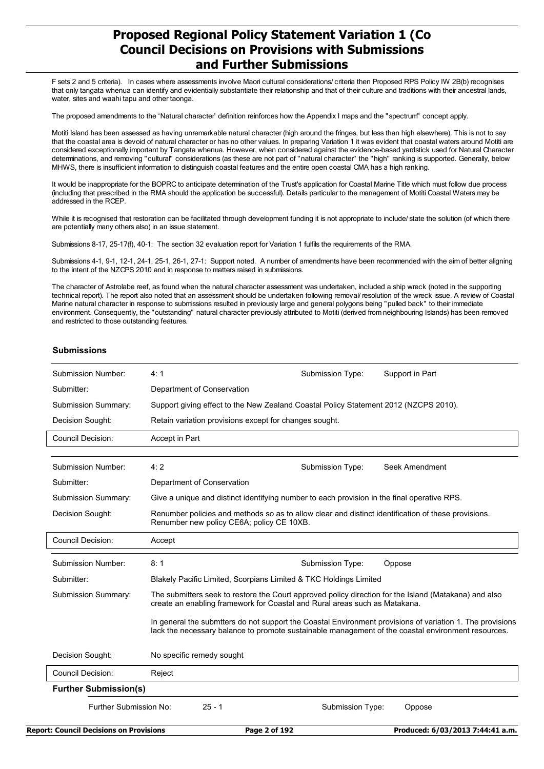F sets 2 and 5 criteria). In cases where assessments involve Maori cultural considerations/ criteria then Proposed RPS Policy IW 2B(b) recognises that only tangata whenua can identify and evidentially substantiate their relationship and that of their culture and traditions with their ancestral lands, water, sites and waahi tapu and other taonga.

The proposed amendments to the 'Natural character' definition reinforces how the Appendix I maps and the "spectrum" concept apply.

Motiti Island has been assessed as having unremarkable natural character (high around the fringes, but less than high elsewhere). This is not to say that the coastal area is devoid of natural character or has no other values. In preparing Variation 1 it was evident that coastal waters around Motiti are considered exceptionally important by Tangata whenua. However, when considered against the evidence-based yardstick used for Natural Character determinations, and removing "cultural" considerations (as these are not part of "natural character" the "high" ranking is supported. Generally, below MHWS, there is insufficient information to distinguish coastal features and the entire open coastal CMA has a high ranking.

It would be inappropriate for the BOPRC to anticipate determination of the Trust's application for Coastal Marine Title which must follow due process (including that prescribed in the RMA should the application be successful). Details particular to the management of Motiti Coastal Waters may be addressed in the RCEP.

While it is recognised that restoration can be facilitated through development funding it is not appropriate to include/ state the solution (of which there are potentially many others also) in an issue statement.

Submissions 8-17, 25-17(f), 40-1: The section 32 evaluation report for Variation 1 fulfils the requirements of the RMA.

Submissions 4-1, 9-1, 12-1, 24-1, 25-1, 26-1, 27-1: Support noted. A number of amendments have been recommended with the aim of better aligning to the intent of the NZCPS 2010 and in response to matters raised in submissions.

The character of Astrolabe reef, as found when the natural character assessment was undertaken, included a ship wreck (noted in the supporting technical report). The report also noted that an assessment should be undertaken following removal/ resolution of the wreck issue. A review of Coastal Marine natural character in response to submissions resulted in previously large and general polygons being "pulled back" to their immediate environment. Consequently, the "outstanding" natural character previously attributed to Motiti (derived from neighbouring Islands) has been removed and restricted to those outstanding features.

#### **Submissions**

| Submission Number:                                               | 4:1                                                                                                                                                                                                              | Submission Type: | Support in Part |  |
|------------------------------------------------------------------|------------------------------------------------------------------------------------------------------------------------------------------------------------------------------------------------------------------|------------------|-----------------|--|
| Submitter:                                                       | Department of Conservation                                                                                                                                                                                       |                  |                 |  |
| <b>Submission Summary:</b>                                       | Support giving effect to the New Zealand Coastal Policy Statement 2012 (NZCPS 2010).                                                                                                                             |                  |                 |  |
| Decision Sought:                                                 | Retain variation provisions except for changes sought.                                                                                                                                                           |                  |                 |  |
| <b>Council Decision:</b>                                         | Accept in Part                                                                                                                                                                                                   |                  |                 |  |
|                                                                  |                                                                                                                                                                                                                  |                  |                 |  |
| <b>Submission Number:</b>                                        | 4:2                                                                                                                                                                                                              | Submission Type: | Seek Amendment  |  |
| Submitter:                                                       | Department of Conservation                                                                                                                                                                                       |                  |                 |  |
| <b>Submission Summary:</b>                                       | Give a unique and distinct identifying number to each provision in the final operative RPS.                                                                                                                      |                  |                 |  |
| Decision Sought:                                                 | Renumber policies and methods so as to allow clear and distinct identification of these provisions.<br>Renumber new policy CE6A; policy CE 10XB.                                                                 |                  |                 |  |
| <b>Council Decision:</b>                                         | Accept                                                                                                                                                                                                           |                  |                 |  |
| Submission Number:                                               | 8:1                                                                                                                                                                                                              | Submission Type: | Oppose          |  |
| Submitter:                                                       | Blakely Pacific Limited, Scorpians Limited & TKC Holdings Limited                                                                                                                                                |                  |                 |  |
| Submission Summary:                                              | The submitters seek to restore the Court approved policy direction for the Island (Matakana) and also<br>create an enabling framework for Coastal and Rural areas such as Matakana.                              |                  |                 |  |
|                                                                  | In general the submitiers do not support the Coastal Environment provisions of variation 1. The provisions<br>lack the necessary balance to promote sustainable management of the coastal environment resources. |                  |                 |  |
| Decision Sought:                                                 | No specific remedy sought                                                                                                                                                                                        |                  |                 |  |
| <b>Council Decision:</b>                                         | Reject                                                                                                                                                                                                           |                  |                 |  |
| <b>Further Submission(s)</b>                                     |                                                                                                                                                                                                                  |                  |                 |  |
| Further Submission No:<br>$25 - 1$<br>Submission Type:<br>Oppose |                                                                                                                                                                                                                  |                  |                 |  |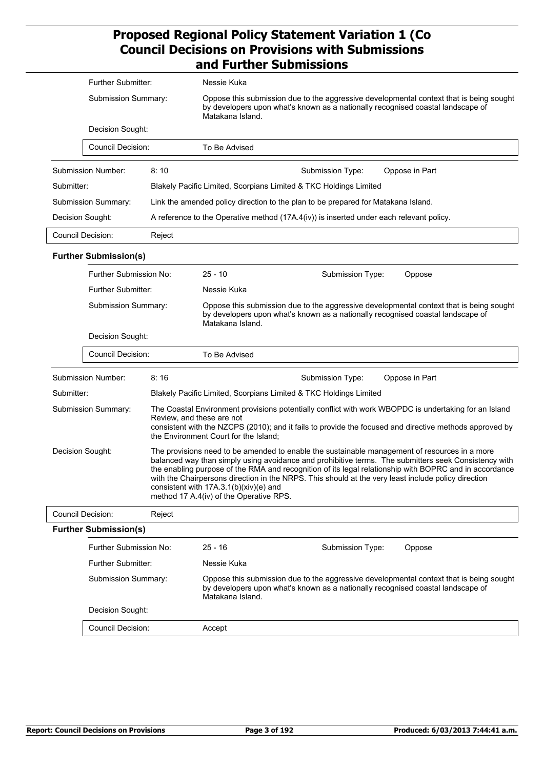|                                                  | Further Submitter:           |        | Nessie Kuka                                                                                                                                                                                                                                                                                                                                                                                                                                                                                                 |  |  |
|--------------------------------------------------|------------------------------|--------|-------------------------------------------------------------------------------------------------------------------------------------------------------------------------------------------------------------------------------------------------------------------------------------------------------------------------------------------------------------------------------------------------------------------------------------------------------------------------------------------------------------|--|--|
|                                                  | Submission Summary:          |        | Oppose this submission due to the aggressive developmental context that is being sought<br>by developers upon what's known as a nationally recognised coastal landscape of<br>Matakana Island.                                                                                                                                                                                                                                                                                                              |  |  |
|                                                  | Decision Sought:             |        |                                                                                                                                                                                                                                                                                                                                                                                                                                                                                                             |  |  |
|                                                  | <b>Council Decision:</b>     |        | To Be Advised                                                                                                                                                                                                                                                                                                                                                                                                                                                                                               |  |  |
|                                                  | Submission Number:           | 8:10   | Submission Type:<br>Oppose in Part                                                                                                                                                                                                                                                                                                                                                                                                                                                                          |  |  |
| Submitter:                                       |                              |        | Blakely Pacific Limited, Scorpians Limited & TKC Holdings Limited                                                                                                                                                                                                                                                                                                                                                                                                                                           |  |  |
|                                                  | Submission Summary:          |        | Link the amended policy direction to the plan to be prepared for Matakana Island.                                                                                                                                                                                                                                                                                                                                                                                                                           |  |  |
| Decision Sought:                                 |                              |        | A reference to the Operative method (17A.4(iv)) is inserted under each relevant policy.                                                                                                                                                                                                                                                                                                                                                                                                                     |  |  |
|                                                  | <b>Council Decision:</b>     | Reject |                                                                                                                                                                                                                                                                                                                                                                                                                                                                                                             |  |  |
|                                                  | <b>Further Submission(s)</b> |        |                                                                                                                                                                                                                                                                                                                                                                                                                                                                                                             |  |  |
|                                                  | Further Submission No:       |        | $25 - 10$<br>Submission Type:<br>Oppose                                                                                                                                                                                                                                                                                                                                                                                                                                                                     |  |  |
|                                                  | Further Submitter:           |        | Nessie Kuka                                                                                                                                                                                                                                                                                                                                                                                                                                                                                                 |  |  |
| Submission Summary:                              |                              |        | Oppose this submission due to the aggressive developmental context that is being sought<br>by developers upon what's known as a nationally recognised coastal landscape of<br>Matakana Island.                                                                                                                                                                                                                                                                                                              |  |  |
| Decision Sought:                                 |                              |        |                                                                                                                                                                                                                                                                                                                                                                                                                                                                                                             |  |  |
|                                                  | <b>Council Decision:</b>     |        | To Be Advised                                                                                                                                                                                                                                                                                                                                                                                                                                                                                               |  |  |
|                                                  | Submission Number:           | 8:16   | Submission Type:<br>Oppose in Part                                                                                                                                                                                                                                                                                                                                                                                                                                                                          |  |  |
| Submitter:                                       |                              |        | Blakely Pacific Limited, Scorpians Limited & TKC Holdings Limited                                                                                                                                                                                                                                                                                                                                                                                                                                           |  |  |
| Submission Summary:<br>Review, and these are not |                              |        | The Coastal Environment provisions potentially conflict with work WBOPDC is undertaking for an Island<br>consistent with the NZCPS (2010); and it fails to provide the focused and directive methods approved by<br>the Environment Court for the Island;                                                                                                                                                                                                                                                   |  |  |
| Decision Sought:                                 |                              |        | The provisions need to be amended to enable the sustainable management of resources in a more<br>balanced way than simply using avoidance and prohibitive terms. The submitters seek Consistency with<br>the enabling purpose of the RMA and recognition of its legal relationship with BOPRC and in accordance<br>with the Chairpersons direction in the NRPS. This should at the very least include policy direction<br>consistent with 17A.3.1(b)(xiv)(e) and<br>method 17 A.4(iv) of the Operative RPS. |  |  |
|                                                  | <b>Council Decision:</b>     | Reject |                                                                                                                                                                                                                                                                                                                                                                                                                                                                                                             |  |  |
|                                                  | <b>Further Submission(s)</b> |        |                                                                                                                                                                                                                                                                                                                                                                                                                                                                                                             |  |  |
| Further Submission No:                           |                              |        | $25 - 16$<br>Submission Type:<br>Oppose                                                                                                                                                                                                                                                                                                                                                                                                                                                                     |  |  |
| Further Submitter:                               |                              |        | Nessie Kuka                                                                                                                                                                                                                                                                                                                                                                                                                                                                                                 |  |  |
| Submission Summary:                              |                              |        | Oppose this submission due to the aggressive developmental context that is being sought<br>by developers upon what's known as a nationally recognised coastal landscape of<br>Matakana Island.                                                                                                                                                                                                                                                                                                              |  |  |
|                                                  | Decision Sought:             |        |                                                                                                                                                                                                                                                                                                                                                                                                                                                                                                             |  |  |
| <b>Council Decision:</b>                         |                              |        | Accept                                                                                                                                                                                                                                                                                                                                                                                                                                                                                                      |  |  |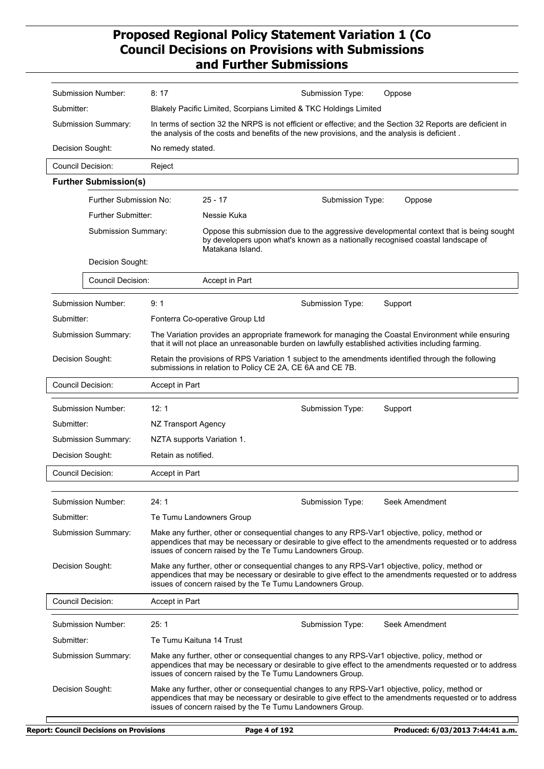| Submission Number:           | 8:17                                                                                                                                                                                                                                                                 | Submission Type:<br>Oppose                                                                                                                                                                                                                                           |  |
|------------------------------|----------------------------------------------------------------------------------------------------------------------------------------------------------------------------------------------------------------------------------------------------------------------|----------------------------------------------------------------------------------------------------------------------------------------------------------------------------------------------------------------------------------------------------------------------|--|
| Submitter:                   |                                                                                                                                                                                                                                                                      | Blakely Pacific Limited, Scorpians Limited & TKC Holdings Limited                                                                                                                                                                                                    |  |
| Submission Summary:          |                                                                                                                                                                                                                                                                      | In terms of section 32 the NRPS is not efficient or effective; and the Section 32 Reports are deficient in<br>the analysis of the costs and benefits of the new provisions, and the analysis is deficient.                                                           |  |
| Decision Sought:             | No remedy stated.                                                                                                                                                                                                                                                    |                                                                                                                                                                                                                                                                      |  |
| Council Decision:            | Reject                                                                                                                                                                                                                                                               |                                                                                                                                                                                                                                                                      |  |
| <b>Further Submission(s)</b> |                                                                                                                                                                                                                                                                      |                                                                                                                                                                                                                                                                      |  |
| Further Submission No:       |                                                                                                                                                                                                                                                                      | $25 - 17$<br>Submission Type:<br>Oppose                                                                                                                                                                                                                              |  |
| <b>Further Submitter:</b>    |                                                                                                                                                                                                                                                                      | Nessie Kuka                                                                                                                                                                                                                                                          |  |
| Submission Summary:          |                                                                                                                                                                                                                                                                      | Oppose this submission due to the aggressive developmental context that is being sought<br>by developers upon what's known as a nationally recognised coastal landscape of<br>Matakana Island.                                                                       |  |
| Decision Sought:             |                                                                                                                                                                                                                                                                      |                                                                                                                                                                                                                                                                      |  |
| <b>Council Decision:</b>     |                                                                                                                                                                                                                                                                      | Accept in Part                                                                                                                                                                                                                                                       |  |
| Submission Number:           | 9:1                                                                                                                                                                                                                                                                  | Submission Type:<br>Support                                                                                                                                                                                                                                          |  |
| Submitter:                   |                                                                                                                                                                                                                                                                      | Fonterra Co-operative Group Ltd                                                                                                                                                                                                                                      |  |
| Submission Summary:          |                                                                                                                                                                                                                                                                      | The Variation provides an appropriate framework for managing the Coastal Environment while ensuring<br>that it will not place an unreasonable burden on lawfully established activities including farming.                                                           |  |
| Decision Sought:             |                                                                                                                                                                                                                                                                      | Retain the provisions of RPS Variation 1 subject to the amendments identified through the following<br>submissions in relation to Policy CE 2A, CE 6A and CE 7B.                                                                                                     |  |
| <b>Council Decision:</b>     | Accept in Part                                                                                                                                                                                                                                                       |                                                                                                                                                                                                                                                                      |  |
| Submission Number:           | 12:1                                                                                                                                                                                                                                                                 | Submission Type:<br>Support                                                                                                                                                                                                                                          |  |
| Submitter:                   | NZ Transport Agency                                                                                                                                                                                                                                                  |                                                                                                                                                                                                                                                                      |  |
| Submission Summary:          |                                                                                                                                                                                                                                                                      | NZTA supports Variation 1.                                                                                                                                                                                                                                           |  |
| Decision Sought:             | Retain as notified.                                                                                                                                                                                                                                                  |                                                                                                                                                                                                                                                                      |  |
| <b>Council Decision:</b>     | Accept in Part                                                                                                                                                                                                                                                       |                                                                                                                                                                                                                                                                      |  |
| Submission Number:           | 24:1                                                                                                                                                                                                                                                                 | Seek Amendment<br>Submission Type:                                                                                                                                                                                                                                   |  |
| Submitter:                   |                                                                                                                                                                                                                                                                      | Te Tumu Landowners Group                                                                                                                                                                                                                                             |  |
| Submission Summary:          | Make any further, other or consequential changes to any RPS-Var1 objective, policy, method or<br>appendices that may be necessary or desirable to give effect to the amendments requested or to address<br>issues of concern raised by the Te Tumu Landowners Group. |                                                                                                                                                                                                                                                                      |  |
| Decision Sought:             |                                                                                                                                                                                                                                                                      | Make any further, other or consequential changes to any RPS-Var1 objective, policy, method or<br>appendices that may be necessary or desirable to give effect to the amendments requested or to address<br>issues of concern raised by the Te Tumu Landowners Group. |  |
| <b>Council Decision:</b>     | Accept in Part                                                                                                                                                                                                                                                       |                                                                                                                                                                                                                                                                      |  |
| Submission Number:           | 25:1                                                                                                                                                                                                                                                                 | Submission Type:<br>Seek Amendment                                                                                                                                                                                                                                   |  |
| Submitter:                   | Te Tumu Kaituna 14 Trust                                                                                                                                                                                                                                             |                                                                                                                                                                                                                                                                      |  |
| Submission Summary:          |                                                                                                                                                                                                                                                                      | Make any further, other or consequential changes to any RPS-Var1 objective, policy, method or<br>appendices that may be necessary or desirable to give effect to the amendments requested or to address<br>issues of concern raised by the Te Tumu Landowners Group. |  |
| Decision Sought:             |                                                                                                                                                                                                                                                                      | Make any further, other or consequential changes to any RPS-Var1 objective, policy, method or<br>appendices that may be necessary or desirable to give effect to the amendments requested or to address<br>issues of concern raised by the Te Tumu Landowners Group. |  |
|                              |                                                                                                                                                                                                                                                                      |                                                                                                                                                                                                                                                                      |  |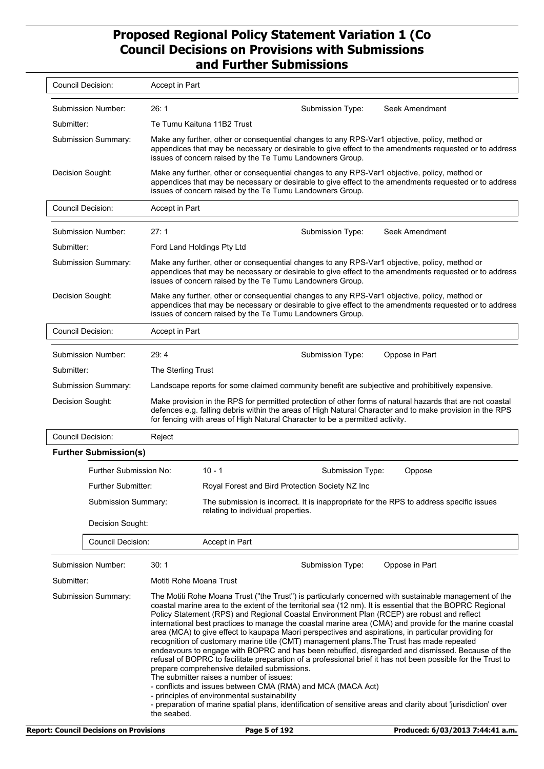| <b>Council Decision:</b>                                                                                                                                                                                                                                                                                                                                                                                                                                                                                                                                                                                                                                                                                                                                                                                                                                                                                                                                                                                                                                                                                                                                                                                                | Accept in Part                                                                                                                                                                                                                                                                                        |  |  |
|-------------------------------------------------------------------------------------------------------------------------------------------------------------------------------------------------------------------------------------------------------------------------------------------------------------------------------------------------------------------------------------------------------------------------------------------------------------------------------------------------------------------------------------------------------------------------------------------------------------------------------------------------------------------------------------------------------------------------------------------------------------------------------------------------------------------------------------------------------------------------------------------------------------------------------------------------------------------------------------------------------------------------------------------------------------------------------------------------------------------------------------------------------------------------------------------------------------------------|-------------------------------------------------------------------------------------------------------------------------------------------------------------------------------------------------------------------------------------------------------------------------------------------------------|--|--|
| Submission Number:                                                                                                                                                                                                                                                                                                                                                                                                                                                                                                                                                                                                                                                                                                                                                                                                                                                                                                                                                                                                                                                                                                                                                                                                      | 26:1<br>Seek Amendment<br>Submission Type:                                                                                                                                                                                                                                                            |  |  |
| Submitter:                                                                                                                                                                                                                                                                                                                                                                                                                                                                                                                                                                                                                                                                                                                                                                                                                                                                                                                                                                                                                                                                                                                                                                                                              | Te Tumu Kaituna 11B2 Trust                                                                                                                                                                                                                                                                            |  |  |
| <b>Submission Summary:</b>                                                                                                                                                                                                                                                                                                                                                                                                                                                                                                                                                                                                                                                                                                                                                                                                                                                                                                                                                                                                                                                                                                                                                                                              | Make any further, other or consequential changes to any RPS-Var1 objective, policy, method or<br>appendices that may be necessary or desirable to give effect to the amendments requested or to address<br>issues of concern raised by the Te Tumu Landowners Group.                                  |  |  |
| Decision Sought:                                                                                                                                                                                                                                                                                                                                                                                                                                                                                                                                                                                                                                                                                                                                                                                                                                                                                                                                                                                                                                                                                                                                                                                                        | Make any further, other or consequential changes to any RPS-Var1 objective, policy, method or<br>appendices that may be necessary or desirable to give effect to the amendments requested or to address<br>issues of concern raised by the Te Tumu Landowners Group.                                  |  |  |
| <b>Council Decision:</b>                                                                                                                                                                                                                                                                                                                                                                                                                                                                                                                                                                                                                                                                                                                                                                                                                                                                                                                                                                                                                                                                                                                                                                                                | Accept in Part                                                                                                                                                                                                                                                                                        |  |  |
| Submission Number:                                                                                                                                                                                                                                                                                                                                                                                                                                                                                                                                                                                                                                                                                                                                                                                                                                                                                                                                                                                                                                                                                                                                                                                                      | 27:1<br>Seek Amendment<br>Submission Type:                                                                                                                                                                                                                                                            |  |  |
| Submitter:                                                                                                                                                                                                                                                                                                                                                                                                                                                                                                                                                                                                                                                                                                                                                                                                                                                                                                                                                                                                                                                                                                                                                                                                              | Ford Land Holdings Pty Ltd                                                                                                                                                                                                                                                                            |  |  |
| Submission Summary:                                                                                                                                                                                                                                                                                                                                                                                                                                                                                                                                                                                                                                                                                                                                                                                                                                                                                                                                                                                                                                                                                                                                                                                                     | Make any further, other or consequential changes to any RPS-Var1 objective, policy, method or<br>appendices that may be necessary or desirable to give effect to the amendments requested or to address<br>issues of concern raised by the Te Tumu Landowners Group.                                  |  |  |
| Decision Sought:                                                                                                                                                                                                                                                                                                                                                                                                                                                                                                                                                                                                                                                                                                                                                                                                                                                                                                                                                                                                                                                                                                                                                                                                        | Make any further, other or consequential changes to any RPS-Var1 objective, policy, method or<br>appendices that may be necessary or desirable to give effect to the amendments requested or to address<br>issues of concern raised by the Te Tumu Landowners Group.                                  |  |  |
| <b>Council Decision:</b>                                                                                                                                                                                                                                                                                                                                                                                                                                                                                                                                                                                                                                                                                                                                                                                                                                                                                                                                                                                                                                                                                                                                                                                                | Accept in Part                                                                                                                                                                                                                                                                                        |  |  |
| Submission Number:                                                                                                                                                                                                                                                                                                                                                                                                                                                                                                                                                                                                                                                                                                                                                                                                                                                                                                                                                                                                                                                                                                                                                                                                      | 29:4<br>Submission Type:<br>Oppose in Part                                                                                                                                                                                                                                                            |  |  |
| Submitter:                                                                                                                                                                                                                                                                                                                                                                                                                                                                                                                                                                                                                                                                                                                                                                                                                                                                                                                                                                                                                                                                                                                                                                                                              | The Sterling Trust                                                                                                                                                                                                                                                                                    |  |  |
| <b>Submission Summary:</b>                                                                                                                                                                                                                                                                                                                                                                                                                                                                                                                                                                                                                                                                                                                                                                                                                                                                                                                                                                                                                                                                                                                                                                                              | Landscape reports for some claimed community benefit are subjective and prohibitively expensive.                                                                                                                                                                                                      |  |  |
| Decision Sought:                                                                                                                                                                                                                                                                                                                                                                                                                                                                                                                                                                                                                                                                                                                                                                                                                                                                                                                                                                                                                                                                                                                                                                                                        | Make provision in the RPS for permitted protection of other forms of natural hazards that are not coastal<br>defences e.g. falling debris within the areas of High Natural Character and to make provision in the RPS<br>for fencing with areas of High Natural Character to be a permitted activity. |  |  |
| Council Decision:                                                                                                                                                                                                                                                                                                                                                                                                                                                                                                                                                                                                                                                                                                                                                                                                                                                                                                                                                                                                                                                                                                                                                                                                       | Reject                                                                                                                                                                                                                                                                                                |  |  |
| <b>Further Submission(s)</b>                                                                                                                                                                                                                                                                                                                                                                                                                                                                                                                                                                                                                                                                                                                                                                                                                                                                                                                                                                                                                                                                                                                                                                                            |                                                                                                                                                                                                                                                                                                       |  |  |
| Further Submission No:                                                                                                                                                                                                                                                                                                                                                                                                                                                                                                                                                                                                                                                                                                                                                                                                                                                                                                                                                                                                                                                                                                                                                                                                  | $10 - 1$<br>Submission Type:<br>Oppose                                                                                                                                                                                                                                                                |  |  |
| Further Submitter:                                                                                                                                                                                                                                                                                                                                                                                                                                                                                                                                                                                                                                                                                                                                                                                                                                                                                                                                                                                                                                                                                                                                                                                                      | Royal Forest and Bird Protection Society NZ Inc                                                                                                                                                                                                                                                       |  |  |
| Submission Summary:                                                                                                                                                                                                                                                                                                                                                                                                                                                                                                                                                                                                                                                                                                                                                                                                                                                                                                                                                                                                                                                                                                                                                                                                     | The submission is incorrect. It is inappropriate for the RPS to address specific issues<br>relating to individual properties.                                                                                                                                                                         |  |  |
| Decision Sought:                                                                                                                                                                                                                                                                                                                                                                                                                                                                                                                                                                                                                                                                                                                                                                                                                                                                                                                                                                                                                                                                                                                                                                                                        |                                                                                                                                                                                                                                                                                                       |  |  |
| <b>Council Decision:</b>                                                                                                                                                                                                                                                                                                                                                                                                                                                                                                                                                                                                                                                                                                                                                                                                                                                                                                                                                                                                                                                                                                                                                                                                | Accept in Part                                                                                                                                                                                                                                                                                        |  |  |
| Submission Number:                                                                                                                                                                                                                                                                                                                                                                                                                                                                                                                                                                                                                                                                                                                                                                                                                                                                                                                                                                                                                                                                                                                                                                                                      | 30:1<br>Submission Type:<br>Oppose in Part                                                                                                                                                                                                                                                            |  |  |
| Submitter:                                                                                                                                                                                                                                                                                                                                                                                                                                                                                                                                                                                                                                                                                                                                                                                                                                                                                                                                                                                                                                                                                                                                                                                                              | Motiti Rohe Moana Trust                                                                                                                                                                                                                                                                               |  |  |
| Submission Summary:<br>The Motiti Rohe Moana Trust ("the Trust") is particularly concerned with sustainable management of the<br>coastal marine area to the extent of the territorial sea (12 nm). It is essential that the BOPRC Regional<br>Policy Statement (RPS) and Regional Coastal Environment Plan (RCEP) are robust and reflect<br>international best practices to manage the coastal marine area (CMA) and provide for the marine coastal<br>area (MCA) to give effect to kaupapa Maori perspectives and aspirations, in particular providing for<br>recognition of customary marine title (CMT) management plans. The Trust has made repeated<br>endeavours to engage with BOPRC and has been rebuffed, disregarded and dismissed. Because of the<br>refusal of BOPRC to facilitate preparation of a professional brief it has not been possible for the Trust to<br>prepare comprehensive detailed submissions.<br>The submitter raises a number of issues:<br>- conflicts and issues between CMA (RMA) and MCA (MACA Act)<br>- principles of environmental sustainability<br>- preparation of marine spatial plans, identification of sensitive areas and clarity about 'jurisdiction' over<br>the seabed. |                                                                                                                                                                                                                                                                                                       |  |  |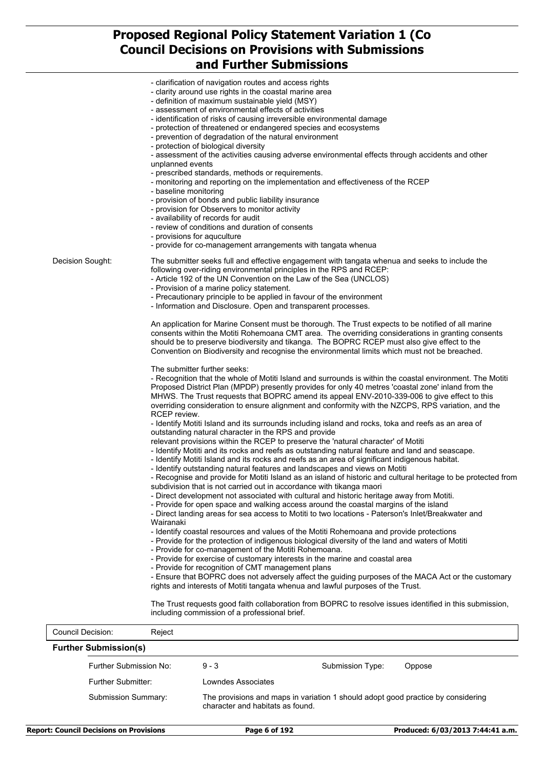| <b>Council Decision:</b> | Reject                                                                                                                                                                                                          |
|--------------------------|-----------------------------------------------------------------------------------------------------------------------------------------------------------------------------------------------------------------|
|                          | The Trust requests good faith collaboration from BOPRC to resolve issues identified in this submission,<br>including commission of a professional brief.                                                        |
|                          | - Ensure that BOPRC does not adversely affect the guiding purposes of the MACA Act or the customary<br>rights and interests of Motiti tangata whenua and lawful purposes of the Trust.                          |
|                          | - Provide for recognition of CMT management plans                                                                                                                                                               |
|                          | - Provide for co-management of the Motiti Rohemoana.<br>- Provide for exercise of customary interests in the marine and coastal area                                                                            |
|                          | - Provide for the protection of indigenous biological diversity of the land and waters of Motiti                                                                                                                |
|                          | Wairanaki<br>- Identify coastal resources and values of the Motiti Rohemoana and provide protections                                                                                                            |
|                          | - Provide for open space and walking access around the coastal margins of the island<br>- Direct landing areas for sea access to Motiti to two locations - Paterson's Inlet/Breakwater and                      |
|                          | - Direct development not associated with cultural and historic heritage away from Motiti.                                                                                                                       |
|                          | - Recognise and provide for Motiti Island as an island of historic and cultural heritage to be protected from<br>subdivision that is not carried out in accordance with tikanga maori                           |
|                          | - Identify outstanding natural features and landscapes and views on Motiti                                                                                                                                      |
|                          | - Identify Motiti and its rocks and reefs as outstanding natural feature and land and seascape.<br>- Identify Motiti Island and its rocks and reefs as an area of significant indigenous habitat.               |
|                          | outstanding natural character in the RPS and provide<br>relevant provisions within the RCEP to preserve the 'natural character' of Motiti                                                                       |
|                          | - Identify Motiti Island and its surrounds including island and rocks, toka and reefs as an area of                                                                                                             |
|                          | overriding consideration to ensure alignment and conformity with the NZCPS, RPS variation, and the<br>RCEP review.                                                                                              |
|                          | MHWS. The Trust requests that BOPRC amend its appeal ENV-2010-339-006 to give effect to this                                                                                                                    |
|                          | - Recognition that the whole of Motiti Island and surrounds is within the coastal environment. The Motiti<br>Proposed District Plan (MPDP) presently provides for only 40 metres 'coastal zone' inland from the |
|                          | The submitter further seeks:                                                                                                                                                                                    |
|                          | Convention on Biodiversity and recognise the environmental limits which must not be breached.                                                                                                                   |
|                          | consents within the Motiti Rohemoana CMT area. The overriding considerations in granting consents<br>should be to preserve biodiversity and tikanga. The BOPRC RCEP must also give effect to the                |
|                          | An application for Marine Consent must be thorough. The Trust expects to be notified of all marine                                                                                                              |
|                          | - Information and Disclosure. Open and transparent processes.                                                                                                                                                   |
|                          | - Provision of a marine policy statement.<br>- Precautionary principle to be applied in favour of the environment                                                                                               |
|                          | - Article 192 of the UN Convention on the Law of the Sea (UNCLOS)                                                                                                                                               |
| Decision Sought:         | The submitter seeks full and effective engagement with tangata whenua and seeks to include the<br>following over-riding environmental principles in the RPS and RCEP:                                           |
|                          | - provide for co-management arrangements with tangata whenua                                                                                                                                                    |
|                          | - provisions for aquculture                                                                                                                                                                                     |
|                          | - availability of records for audit<br>- review of conditions and duration of consents                                                                                                                          |
|                          | - provision of bonds and public liability insurance<br>- provision for Observers to monitor activity                                                                                                            |
|                          | - baseline monitoring                                                                                                                                                                                           |
|                          | - prescribed standards, methods or requirements.<br>- monitoring and reporting on the implementation and effectiveness of the RCEP                                                                              |
|                          | unplanned events                                                                                                                                                                                                |
|                          | - protection of biological diversity<br>- assessment of the activities causing adverse environmental effects through accidents and other                                                                        |
|                          | - protection of threatened or endangered species and ecosystems<br>- prevention of degradation of the natural environment                                                                                       |
|                          | - identification of risks of causing irreversible environmental damage                                                                                                                                          |
|                          | - definition of maximum sustainable yield (MSY)<br>- assessment of environmental effects of activities                                                                                                          |
|                          | - clarity around use rights in the coastal marine area                                                                                                                                                          |
|                          | - clarification of navigation routes and access rights                                                                                                                                                          |

| <b>Submission Summary:</b> |                              |                  |                                                                                                                      |
|----------------------------|------------------------------|------------------|----------------------------------------------------------------------------------------------------------------------|
| Further Submitter:         | Lowndes Associates           |                  |                                                                                                                      |
| Further Submission No:     | $9 - 3$                      | Submission Type: | Oppose                                                                                                               |
|                            | <b>Further Submission(s)</b> |                  | The provisions and maps in variation 1 should adopt good practice by considering<br>character and habitats as found. |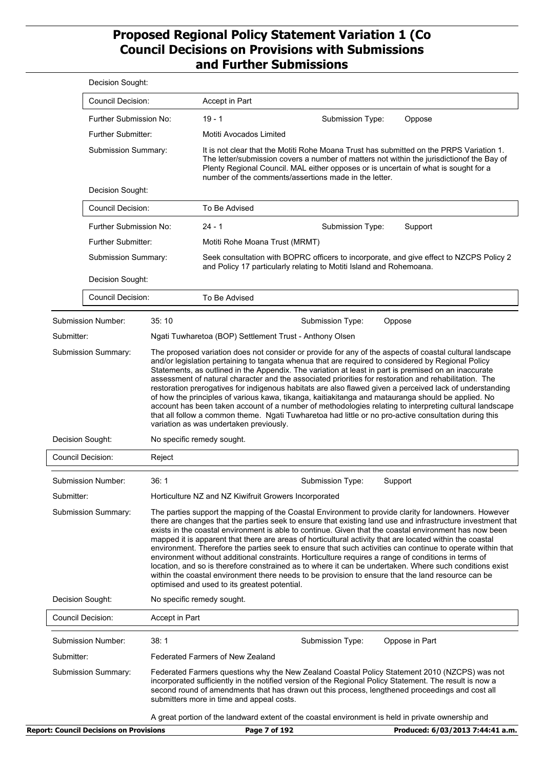|                                                | Decision Sought:                                                                                                                                                                                                                                                                                                                                         |                                                                                                                                                                                                                                                                                                                                                                                                                                                                                                                                                                                                                                                                                                                                                                                                                                                                                                                                   |                                                                                                                                                                                                                                                                                                                                      |                                                                                                                                                                                                                                                                                                                                                                                                                                                                                                                                             |
|------------------------------------------------|----------------------------------------------------------------------------------------------------------------------------------------------------------------------------------------------------------------------------------------------------------------------------------------------------------------------------------------------------------|-----------------------------------------------------------------------------------------------------------------------------------------------------------------------------------------------------------------------------------------------------------------------------------------------------------------------------------------------------------------------------------------------------------------------------------------------------------------------------------------------------------------------------------------------------------------------------------------------------------------------------------------------------------------------------------------------------------------------------------------------------------------------------------------------------------------------------------------------------------------------------------------------------------------------------------|--------------------------------------------------------------------------------------------------------------------------------------------------------------------------------------------------------------------------------------------------------------------------------------------------------------------------------------|---------------------------------------------------------------------------------------------------------------------------------------------------------------------------------------------------------------------------------------------------------------------------------------------------------------------------------------------------------------------------------------------------------------------------------------------------------------------------------------------------------------------------------------------|
|                                                | <b>Council Decision:</b>                                                                                                                                                                                                                                                                                                                                 | Accept in Part                                                                                                                                                                                                                                                                                                                                                                                                                                                                                                                                                                                                                                                                                                                                                                                                                                                                                                                    |                                                                                                                                                                                                                                                                                                                                      |                                                                                                                                                                                                                                                                                                                                                                                                                                                                                                                                             |
|                                                | Further Submission No:                                                                                                                                                                                                                                                                                                                                   | $19 - 1$                                                                                                                                                                                                                                                                                                                                                                                                                                                                                                                                                                                                                                                                                                                                                                                                                                                                                                                          | Submission Type:                                                                                                                                                                                                                                                                                                                     | Oppose                                                                                                                                                                                                                                                                                                                                                                                                                                                                                                                                      |
| <b>Further Submitter:</b>                      |                                                                                                                                                                                                                                                                                                                                                          | Motiti Avocados Limited                                                                                                                                                                                                                                                                                                                                                                                                                                                                                                                                                                                                                                                                                                                                                                                                                                                                                                           |                                                                                                                                                                                                                                                                                                                                      |                                                                                                                                                                                                                                                                                                                                                                                                                                                                                                                                             |
|                                                | Submission Summary:                                                                                                                                                                                                                                                                                                                                      |                                                                                                                                                                                                                                                                                                                                                                                                                                                                                                                                                                                                                                                                                                                                                                                                                                                                                                                                   | It is not clear that the Motiti Rohe Moana Trust has submitted on the PRPS Variation 1.<br>The letter/submission covers a number of matters not within the jurisdictionof the Bay of<br>Plenty Regional Council. MAL either opposes or is uncertain of what is sought for a<br>number of the comments/assertions made in the letter. |                                                                                                                                                                                                                                                                                                                                                                                                                                                                                                                                             |
|                                                | Decision Sought:                                                                                                                                                                                                                                                                                                                                         |                                                                                                                                                                                                                                                                                                                                                                                                                                                                                                                                                                                                                                                                                                                                                                                                                                                                                                                                   |                                                                                                                                                                                                                                                                                                                                      |                                                                                                                                                                                                                                                                                                                                                                                                                                                                                                                                             |
|                                                | <b>Council Decision:</b>                                                                                                                                                                                                                                                                                                                                 | To Be Advised                                                                                                                                                                                                                                                                                                                                                                                                                                                                                                                                                                                                                                                                                                                                                                                                                                                                                                                     |                                                                                                                                                                                                                                                                                                                                      |                                                                                                                                                                                                                                                                                                                                                                                                                                                                                                                                             |
|                                                | Further Submission No:                                                                                                                                                                                                                                                                                                                                   | $24 - 1$                                                                                                                                                                                                                                                                                                                                                                                                                                                                                                                                                                                                                                                                                                                                                                                                                                                                                                                          | Submission Type:                                                                                                                                                                                                                                                                                                                     | Support                                                                                                                                                                                                                                                                                                                                                                                                                                                                                                                                     |
|                                                | Further Submitter:                                                                                                                                                                                                                                                                                                                                       | Motiti Rohe Moana Trust (MRMT)                                                                                                                                                                                                                                                                                                                                                                                                                                                                                                                                                                                                                                                                                                                                                                                                                                                                                                    |                                                                                                                                                                                                                                                                                                                                      |                                                                                                                                                                                                                                                                                                                                                                                                                                                                                                                                             |
|                                                | Submission Summary:                                                                                                                                                                                                                                                                                                                                      |                                                                                                                                                                                                                                                                                                                                                                                                                                                                                                                                                                                                                                                                                                                                                                                                                                                                                                                                   | and Policy 17 particularly relating to Motiti Island and Rohemoana.                                                                                                                                                                                                                                                                  | Seek consultation with BOPRC officers to incorporate, and give effect to NZCPS Policy 2                                                                                                                                                                                                                                                                                                                                                                                                                                                     |
|                                                | Decision Sought:                                                                                                                                                                                                                                                                                                                                         |                                                                                                                                                                                                                                                                                                                                                                                                                                                                                                                                                                                                                                                                                                                                                                                                                                                                                                                                   |                                                                                                                                                                                                                                                                                                                                      |                                                                                                                                                                                                                                                                                                                                                                                                                                                                                                                                             |
|                                                | <b>Council Decision:</b>                                                                                                                                                                                                                                                                                                                                 | To Be Advised                                                                                                                                                                                                                                                                                                                                                                                                                                                                                                                                                                                                                                                                                                                                                                                                                                                                                                                     |                                                                                                                                                                                                                                                                                                                                      |                                                                                                                                                                                                                                                                                                                                                                                                                                                                                                                                             |
| Submission Number:                             | 35:10                                                                                                                                                                                                                                                                                                                                                    |                                                                                                                                                                                                                                                                                                                                                                                                                                                                                                                                                                                                                                                                                                                                                                                                                                                                                                                                   | Submission Type:                                                                                                                                                                                                                                                                                                                     | Oppose                                                                                                                                                                                                                                                                                                                                                                                                                                                                                                                                      |
| Submitter:                                     |                                                                                                                                                                                                                                                                                                                                                          |                                                                                                                                                                                                                                                                                                                                                                                                                                                                                                                                                                                                                                                                                                                                                                                                                                                                                                                                   | Ngati Tuwharetoa (BOP) Settlement Trust - Anthony Olsen                                                                                                                                                                                                                                                                              |                                                                                                                                                                                                                                                                                                                                                                                                                                                                                                                                             |
|                                                | variation as was undertaken previously.                                                                                                                                                                                                                                                                                                                  |                                                                                                                                                                                                                                                                                                                                                                                                                                                                                                                                                                                                                                                                                                                                                                                                                                                                                                                                   |                                                                                                                                                                                                                                                                                                                                      | assessment of natural character and the associated priorities for restoration and rehabilitation. The<br>restoration prerogatives for indigenous habitats are also flawed given a perceived lack of understanding<br>of how the principles of various kawa, tikanga, kaitiakitanga and matauranga should be applied. No<br>account has been taken account of a number of methodologies relating to interpreting cultural landscape<br>that all follow a common theme. Ngati Tuwharetoa had little or no pro-active consultation during this |
| Decision Sought:                               |                                                                                                                                                                                                                                                                                                                                                          | No specific remedy sought.                                                                                                                                                                                                                                                                                                                                                                                                                                                                                                                                                                                                                                                                                                                                                                                                                                                                                                        |                                                                                                                                                                                                                                                                                                                                      |                                                                                                                                                                                                                                                                                                                                                                                                                                                                                                                                             |
| <b>Council Decision:</b>                       | Reject                                                                                                                                                                                                                                                                                                                                                   |                                                                                                                                                                                                                                                                                                                                                                                                                                                                                                                                                                                                                                                                                                                                                                                                                                                                                                                                   |                                                                                                                                                                                                                                                                                                                                      |                                                                                                                                                                                                                                                                                                                                                                                                                                                                                                                                             |
| Submission Number:                             | 36: 1                                                                                                                                                                                                                                                                                                                                                    |                                                                                                                                                                                                                                                                                                                                                                                                                                                                                                                                                                                                                                                                                                                                                                                                                                                                                                                                   | Submission Type:                                                                                                                                                                                                                                                                                                                     | Support                                                                                                                                                                                                                                                                                                                                                                                                                                                                                                                                     |
| Submitter:                                     |                                                                                                                                                                                                                                                                                                                                                          | Horticulture NZ and NZ Kiwifruit Growers Incorporated                                                                                                                                                                                                                                                                                                                                                                                                                                                                                                                                                                                                                                                                                                                                                                                                                                                                             |                                                                                                                                                                                                                                                                                                                                      |                                                                                                                                                                                                                                                                                                                                                                                                                                                                                                                                             |
| Submission Summary:                            |                                                                                                                                                                                                                                                                                                                                                          | The parties support the mapping of the Coastal Environment to provide clarity for landowners. However<br>there are changes that the parties seek to ensure that existing land use and infrastructure investment that<br>exists in the coastal environment is able to continue. Given that the coastal environment has now been<br>mapped it is apparent that there are areas of horticultural activity that are located within the coastal<br>environment. Therefore the parties seek to ensure that such activities can continue to operate within that<br>environment without additional constraints. Horticulture requires a range of conditions in terms of<br>location, and so is therefore constrained as to where it can be undertaken. Where such conditions exist<br>within the coastal environment there needs to be provision to ensure that the land resource can be<br>optimised and used to its greatest potential. |                                                                                                                                                                                                                                                                                                                                      |                                                                                                                                                                                                                                                                                                                                                                                                                                                                                                                                             |
| Decision Sought:                               |                                                                                                                                                                                                                                                                                                                                                          | No specific remedy sought.                                                                                                                                                                                                                                                                                                                                                                                                                                                                                                                                                                                                                                                                                                                                                                                                                                                                                                        |                                                                                                                                                                                                                                                                                                                                      |                                                                                                                                                                                                                                                                                                                                                                                                                                                                                                                                             |
| <b>Council Decision:</b>                       |                                                                                                                                                                                                                                                                                                                                                          | Accept in Part                                                                                                                                                                                                                                                                                                                                                                                                                                                                                                                                                                                                                                                                                                                                                                                                                                                                                                                    |                                                                                                                                                                                                                                                                                                                                      |                                                                                                                                                                                                                                                                                                                                                                                                                                                                                                                                             |
| Submission Number:                             | 38:1                                                                                                                                                                                                                                                                                                                                                     |                                                                                                                                                                                                                                                                                                                                                                                                                                                                                                                                                                                                                                                                                                                                                                                                                                                                                                                                   | Submission Type:                                                                                                                                                                                                                                                                                                                     | Oppose in Part                                                                                                                                                                                                                                                                                                                                                                                                                                                                                                                              |
| Submitter:                                     |                                                                                                                                                                                                                                                                                                                                                          | Federated Farmers of New Zealand                                                                                                                                                                                                                                                                                                                                                                                                                                                                                                                                                                                                                                                                                                                                                                                                                                                                                                  |                                                                                                                                                                                                                                                                                                                                      |                                                                                                                                                                                                                                                                                                                                                                                                                                                                                                                                             |
| Submission Summary:                            | Federated Farmers questions why the New Zealand Coastal Policy Statement 2010 (NZCPS) was not<br>incorporated sufficiently in the notified version of the Regional Policy Statement. The result is now a<br>second round of amendments that has drawn out this process, lengthened proceedings and cost all<br>submitters more in time and appeal costs. |                                                                                                                                                                                                                                                                                                                                                                                                                                                                                                                                                                                                                                                                                                                                                                                                                                                                                                                                   |                                                                                                                                                                                                                                                                                                                                      |                                                                                                                                                                                                                                                                                                                                                                                                                                                                                                                                             |
|                                                |                                                                                                                                                                                                                                                                                                                                                          |                                                                                                                                                                                                                                                                                                                                                                                                                                                                                                                                                                                                                                                                                                                                                                                                                                                                                                                                   | A great portion of the landward extent of the coastal environment is held in private ownership and                                                                                                                                                                                                                                   |                                                                                                                                                                                                                                                                                                                                                                                                                                                                                                                                             |
| <b>Report: Council Decisions on Provisions</b> |                                                                                                                                                                                                                                                                                                                                                          | Page 7 of 192                                                                                                                                                                                                                                                                                                                                                                                                                                                                                                                                                                                                                                                                                                                                                                                                                                                                                                                     |                                                                                                                                                                                                                                                                                                                                      | Produced: 6/03/2013 7:44:41 a.m.                                                                                                                                                                                                                                                                                                                                                                                                                                                                                                            |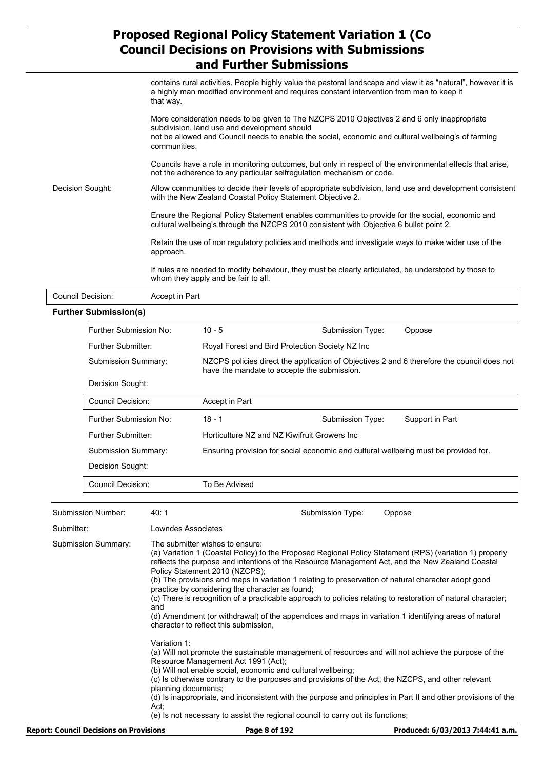|                                            |                           | ang Furtner Supmissions                                                                                                                                                                                                                                             |  |  |  |
|--------------------------------------------|---------------------------|---------------------------------------------------------------------------------------------------------------------------------------------------------------------------------------------------------------------------------------------------------------------|--|--|--|
|                                            | that way.                 | contains rural activities. People highly value the pastoral landscape and view it as "natural", however it is<br>a highly man modified environment and requires constant intervention from man to keep it                                                           |  |  |  |
|                                            |                           | More consideration needs to be given to The NZCPS 2010 Objectives 2 and 6 only inappropriate<br>subdivision, land use and development should<br>not be allowed and Council needs to enable the social, economic and cultural wellbeing's of farming<br>communities. |  |  |  |
|                                            |                           | Councils have a role in monitoring outcomes, but only in respect of the environmental effects that arise,<br>not the adherence to any particular selfregulation mechanism or code.                                                                                  |  |  |  |
| Decision Sought:                           |                           | Allow communities to decide their levels of appropriate subdivision, land use and development consistent<br>with the New Zealand Coastal Policy Statement Objective 2.                                                                                              |  |  |  |
|                                            |                           | Ensure the Regional Policy Statement enables communities to provide for the social, economic and<br>cultural wellbeing's through the NZCPS 2010 consistent with Objective 6 bullet point 2.                                                                         |  |  |  |
| approach.                                  |                           | Retain the use of non regulatory policies and methods and investigate ways to make wider use of the                                                                                                                                                                 |  |  |  |
|                                            |                           | If rules are needed to modify behaviour, they must be clearly articulated, be understood by those to<br>whom they apply and be fair to all.                                                                                                                         |  |  |  |
| <b>Council Decision:</b><br>Accept in Part |                           |                                                                                                                                                                                                                                                                     |  |  |  |
| <b>Further Submission(s)</b>               |                           |                                                                                                                                                                                                                                                                     |  |  |  |
|                                            | Further Submission No:    | $10 - 5$<br>Submission Type:<br>Oppose                                                                                                                                                                                                                              |  |  |  |
|                                            | <b>Further Submitter:</b> | Royal Forest and Bird Protection Society NZ Inc                                                                                                                                                                                                                     |  |  |  |
|                                            | Submission Summary:       | NZCPS policies direct the application of Objectives 2 and 6 therefore the council does not<br>have the mandate to accepte the submission.                                                                                                                           |  |  |  |
|                                            | Decision Sought:          |                                                                                                                                                                                                                                                                     |  |  |  |
|                                            | <b>Council Decision:</b>  | Accept in Part                                                                                                                                                                                                                                                      |  |  |  |
|                                            | Further Submission No:    | $18 - 1$<br>Support in Part<br>Submission Type:                                                                                                                                                                                                                     |  |  |  |
|                                            | Further Submitter:        | Horticulture NZ and NZ Kiwifruit Growers Inc                                                                                                                                                                                                                        |  |  |  |
|                                            | Submission Summary:       | Ensuring provision for social economic and cultural wellbeing must be provided for.                                                                                                                                                                                 |  |  |  |
|                                            | Decision Sought:          |                                                                                                                                                                                                                                                                     |  |  |  |
|                                            | Council Decision:         | To Be Advised                                                                                                                                                                                                                                                       |  |  |  |
|                                            |                           |                                                                                                                                                                                                                                                                     |  |  |  |
| Submission Number:                         | 40: 1                     | Submission Type:<br>Oppose                                                                                                                                                                                                                                          |  |  |  |

| Submitter:                                     | Lowndes Associates                                                                                                                                                                                                                                                                                                                                                                                                                                                                                                                                                                                                                                                                                                |                                  |
|------------------------------------------------|-------------------------------------------------------------------------------------------------------------------------------------------------------------------------------------------------------------------------------------------------------------------------------------------------------------------------------------------------------------------------------------------------------------------------------------------------------------------------------------------------------------------------------------------------------------------------------------------------------------------------------------------------------------------------------------------------------------------|----------------------------------|
| <b>Submission Summary:</b>                     | The submitter wishes to ensure:<br>(a) Variation 1 (Coastal Policy) to the Proposed Regional Policy Statement (RPS) (variation 1) properly<br>reflects the purpose and intentions of the Resource Management Act, and the New Zealand Coastal<br>Policy Statement 2010 (NZCPS);<br>(b) The provisions and maps in variation 1 relating to preservation of natural character adopt good<br>practice by considering the character as found;<br>(c) There is recognition of a practicable approach to policies relating to restoration of natural character;<br>and<br>(d) Amendment (or withdrawal) of the appendices and maps in variation 1 identifying areas of natural<br>character to reflect this submission. |                                  |
|                                                | Variation 1:<br>(a) Will not promote the sustainable management of resources and will not achieve the purpose of the<br>Resource Management Act 1991 (Act);<br>(b) Will not enable social, economic and cultural wellbeing;<br>(c) Is otherwise contrary to the purposes and provisions of the Act, the NZCPS, and other relevant<br>planning documents;<br>(d) Is inappropriate, and inconsistent with the purpose and principles in Part II and other provisions of the<br>Act.<br>(e) Is not necessary to assist the regional council to carry out its functions;                                                                                                                                              |                                  |
| <b>Report: Council Decisions on Provisions</b> | Page 8 of 192                                                                                                                                                                                                                                                                                                                                                                                                                                                                                                                                                                                                                                                                                                     | Produced: 6/03/2013 7:44:41 a.m. |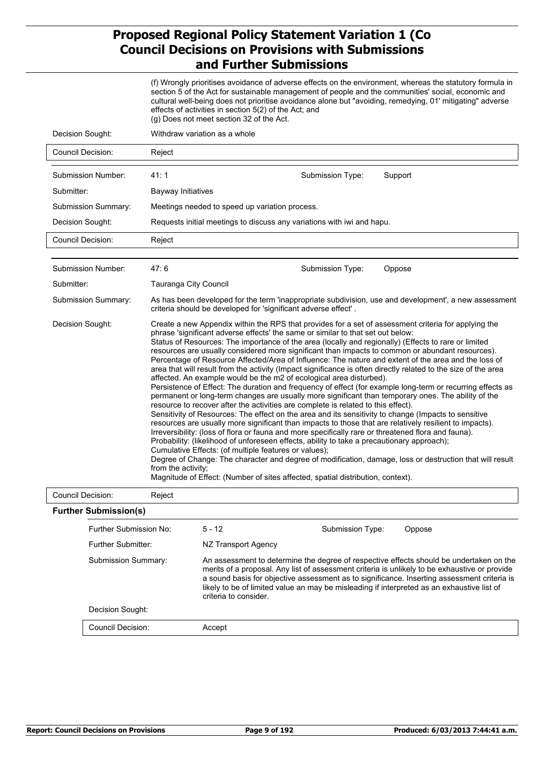(f) Wrongly prioritises avoidance of adverse effects on the environment, whereas the statutory formula in section 5 of the Act for sustainable management of people and the communities' social, economic and cultural well-being does not prioritise avoidance alone but "avoiding, remedying, 01' mitigating" adverse effects of activities in section 5(2) of the Act; and (g) Does not meet section 32 of the Act.

| Decision Sought:             | Withdraw variation as a whole                                                                                                                                                                                                                                                                                                                                                                                                                                                                                                                                                                                                                                                                                                                                                                                                                                                                                                                                                                                                                                                                                                                                                                                                                                                                                                                                                                                                                                                                                                                                                                                                                                                                                        |                  |         |
|------------------------------|----------------------------------------------------------------------------------------------------------------------------------------------------------------------------------------------------------------------------------------------------------------------------------------------------------------------------------------------------------------------------------------------------------------------------------------------------------------------------------------------------------------------------------------------------------------------------------------------------------------------------------------------------------------------------------------------------------------------------------------------------------------------------------------------------------------------------------------------------------------------------------------------------------------------------------------------------------------------------------------------------------------------------------------------------------------------------------------------------------------------------------------------------------------------------------------------------------------------------------------------------------------------------------------------------------------------------------------------------------------------------------------------------------------------------------------------------------------------------------------------------------------------------------------------------------------------------------------------------------------------------------------------------------------------------------------------------------------------|------------------|---------|
| <b>Council Decision:</b>     | Reject                                                                                                                                                                                                                                                                                                                                                                                                                                                                                                                                                                                                                                                                                                                                                                                                                                                                                                                                                                                                                                                                                                                                                                                                                                                                                                                                                                                                                                                                                                                                                                                                                                                                                                               |                  |         |
| Submission Number:           | 41:1                                                                                                                                                                                                                                                                                                                                                                                                                                                                                                                                                                                                                                                                                                                                                                                                                                                                                                                                                                                                                                                                                                                                                                                                                                                                                                                                                                                                                                                                                                                                                                                                                                                                                                                 | Submission Type: | Support |
| Submitter:                   | Bayway Initiatives                                                                                                                                                                                                                                                                                                                                                                                                                                                                                                                                                                                                                                                                                                                                                                                                                                                                                                                                                                                                                                                                                                                                                                                                                                                                                                                                                                                                                                                                                                                                                                                                                                                                                                   |                  |         |
| <b>Submission Summary:</b>   | Meetings needed to speed up variation process.                                                                                                                                                                                                                                                                                                                                                                                                                                                                                                                                                                                                                                                                                                                                                                                                                                                                                                                                                                                                                                                                                                                                                                                                                                                                                                                                                                                                                                                                                                                                                                                                                                                                       |                  |         |
| Decision Sought:             | Requests initial meetings to discuss any variations with iwi and hapu.                                                                                                                                                                                                                                                                                                                                                                                                                                                                                                                                                                                                                                                                                                                                                                                                                                                                                                                                                                                                                                                                                                                                                                                                                                                                                                                                                                                                                                                                                                                                                                                                                                               |                  |         |
| Council Decision:            | Reject                                                                                                                                                                                                                                                                                                                                                                                                                                                                                                                                                                                                                                                                                                                                                                                                                                                                                                                                                                                                                                                                                                                                                                                                                                                                                                                                                                                                                                                                                                                                                                                                                                                                                                               |                  |         |
|                              |                                                                                                                                                                                                                                                                                                                                                                                                                                                                                                                                                                                                                                                                                                                                                                                                                                                                                                                                                                                                                                                                                                                                                                                                                                                                                                                                                                                                                                                                                                                                                                                                                                                                                                                      |                  |         |
| Submission Number:           | 47:6                                                                                                                                                                                                                                                                                                                                                                                                                                                                                                                                                                                                                                                                                                                                                                                                                                                                                                                                                                                                                                                                                                                                                                                                                                                                                                                                                                                                                                                                                                                                                                                                                                                                                                                 | Submission Type: | Oppose  |
| Submitter:                   | Tauranga City Council                                                                                                                                                                                                                                                                                                                                                                                                                                                                                                                                                                                                                                                                                                                                                                                                                                                                                                                                                                                                                                                                                                                                                                                                                                                                                                                                                                                                                                                                                                                                                                                                                                                                                                |                  |         |
| Submission Summary:          | As has been developed for the term 'inappropriate subdivision, use and development', a new assessment<br>criteria should be developed for 'significant adverse effect'.                                                                                                                                                                                                                                                                                                                                                                                                                                                                                                                                                                                                                                                                                                                                                                                                                                                                                                                                                                                                                                                                                                                                                                                                                                                                                                                                                                                                                                                                                                                                              |                  |         |
| Decision Sought:             | Create a new Appendix within the RPS that provides for a set of assessment criteria for applying the<br>phrase 'significant adverse effects' the same or similar to that set out below:<br>Status of Resources: The importance of the area (locally and regionally) (Effects to rare or limited<br>resources are usually considered more significant than impacts to common or abundant resources).<br>Percentage of Resource Affected/Area of Influence: The nature and extent of the area and the loss of<br>area that will result from the activity (Impact significance is often directly related to the size of the area<br>affected. An example would be the m2 of ecological area disturbed).<br>Persistence of Effect: The duration and frequency of effect (for example long-term or recurring effects as<br>permanent or long-term changes are usually more significant than temporary ones. The ability of the<br>resource to recover after the activities are complete is related to this effect).<br>Sensitivity of Resources: The effect on the area and its sensitivity to change (Impacts to sensitive<br>resources are usually more significant than impacts to those that are relatively resilient to impacts).<br>Irreversibility: (loss of flora or fauna and more specifically rare or threatened flora and fauna).<br>Probability: (likelihood of unforeseen effects, ability to take a precautionary approach);<br>Cumulative Effects: (of multiple features or values);<br>Degree of Change: The character and degree of modification, damage, loss or destruction that will result<br>from the activity:<br>Magnitude of Effect: (Number of sites affected, spatial distribution, context). |                  |         |
| <b>Council Decision:</b>     | Reject                                                                                                                                                                                                                                                                                                                                                                                                                                                                                                                                                                                                                                                                                                                                                                                                                                                                                                                                                                                                                                                                                                                                                                                                                                                                                                                                                                                                                                                                                                                                                                                                                                                                                                               |                  |         |
| <b>Further Submission(s)</b> |                                                                                                                                                                                                                                                                                                                                                                                                                                                                                                                                                                                                                                                                                                                                                                                                                                                                                                                                                                                                                                                                                                                                                                                                                                                                                                                                                                                                                                                                                                                                                                                                                                                                                                                      |                  |         |
|                              |                                                                                                                                                                                                                                                                                                                                                                                                                                                                                                                                                                                                                                                                                                                                                                                                                                                                                                                                                                                                                                                                                                                                                                                                                                                                                                                                                                                                                                                                                                                                                                                                                                                                                                                      |                  |         |

| Further Submission No:   | $5 - 12$              | Submission Type:                                                                           | Oppose                                                                                                                                                                                                                                                                                  |
|--------------------------|-----------------------|--------------------------------------------------------------------------------------------|-----------------------------------------------------------------------------------------------------------------------------------------------------------------------------------------------------------------------------------------------------------------------------------------|
| Further Submitter:       | NZ Transport Agency   |                                                                                            |                                                                                                                                                                                                                                                                                         |
| Submission Summary:      | criteria to consider. | likely to be of limited value an may be misleading if interpreted as an exhaustive list of | An assessment to determine the degree of respective effects should be undertaken on the<br>merits of a proposal. Any list of assessment criteria is unlikely to be exhaustive or provide<br>a sound basis for objective assessment as to significance. Inserting assessment criteria is |
| Decision Sought:         |                       |                                                                                            |                                                                                                                                                                                                                                                                                         |
| <b>Council Decision:</b> | Accept                |                                                                                            |                                                                                                                                                                                                                                                                                         |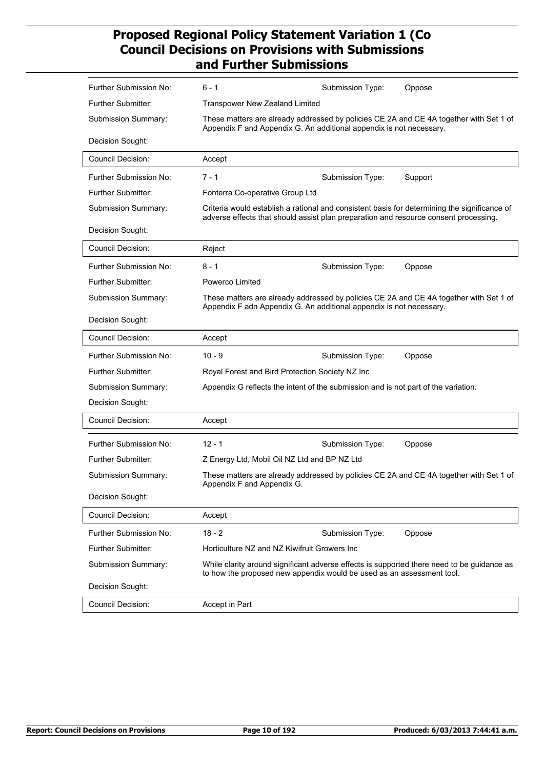| Further Submission No:        | $6 - 1$                                                                              | Submission Type: | Oppose                                                                                       |
|-------------------------------|--------------------------------------------------------------------------------------|------------------|----------------------------------------------------------------------------------------------|
| Further Submitter:            | <b>Transpower New Zealand Limited</b>                                                |                  |                                                                                              |
| <b>Submission Summary:</b>    | Appendix F and Appendix G. An additional appendix is not necessary.                  |                  | These matters are already addressed by policies CE 2A and CE 4A together with Set 1 of       |
| Decision Sought:              |                                                                                      |                  |                                                                                              |
| <b>Council Decision:</b>      | Accept                                                                               |                  |                                                                                              |
| Further Submission No:        | $7 - 1$                                                                              | Submission Type: | Support                                                                                      |
| <b>Further Submitter:</b>     | Fonterra Co-operative Group Ltd                                                      |                  |                                                                                              |
| Submission Summary:           | adverse effects that should assist plan preparation and resource consent processing. |                  | Criteria would establish a rational and consistent basis for determining the significance of |
| Decision Sought:              |                                                                                      |                  |                                                                                              |
| Council Decision:             | Reject                                                                               |                  |                                                                                              |
| <b>Further Submission No:</b> | $8 - 1$                                                                              | Submission Type: | Oppose                                                                                       |
| Further Submitter:            | Powerco Limited                                                                      |                  |                                                                                              |
| Submission Summary:           | Appendix F adn Appendix G. An additional appendix is not necessary.                  |                  | These matters are already addressed by policies CE 2A and CE 4A together with Set 1 of       |
| Decision Sought:              |                                                                                      |                  |                                                                                              |
| <b>Council Decision:</b>      | Accept                                                                               |                  |                                                                                              |
| Further Submission No:        | $10 - 9$                                                                             | Submission Type: | Oppose                                                                                       |
| <b>Further Submitter:</b>     | Royal Forest and Bird Protection Society NZ Inc                                      |                  |                                                                                              |
| Submission Summary:           | Appendix G reflects the intent of the submission and is not part of the variation.   |                  |                                                                                              |
| Decision Sought:              |                                                                                      |                  |                                                                                              |
| <b>Council Decision:</b>      | Accept                                                                               |                  |                                                                                              |
| <b>Further Submission No:</b> | $12 - 1$                                                                             | Submission Type: | Oppose                                                                                       |
| <b>Further Submitter:</b>     | Z Energy Ltd, Mobil Oil NZ Ltd and BP NZ Ltd                                         |                  |                                                                                              |
| Submission Summary:           | Appendix F and Appendix G.                                                           |                  | These matters are already addressed by policies CE 2A and CE 4A together with Set 1 of       |
| Decision Sought:              |                                                                                      |                  |                                                                                              |
| Council Decision:             | Accept                                                                               |                  |                                                                                              |
| <b>Further Submission No:</b> | $18 - 2$                                                                             | Submission Type: | Oppose                                                                                       |
| Further Submitter:            | Horticulture NZ and NZ Kiwifruit Growers Inc                                         |                  |                                                                                              |
| Submission Summary:           | to how the proposed new appendix would be used as an assessment tool.                |                  | While clarity around significant adverse effects is supported there need to be guidance as   |
| Decision Sought:              |                                                                                      |                  |                                                                                              |
| Council Decision:             | Accept in Part                                                                       |                  |                                                                                              |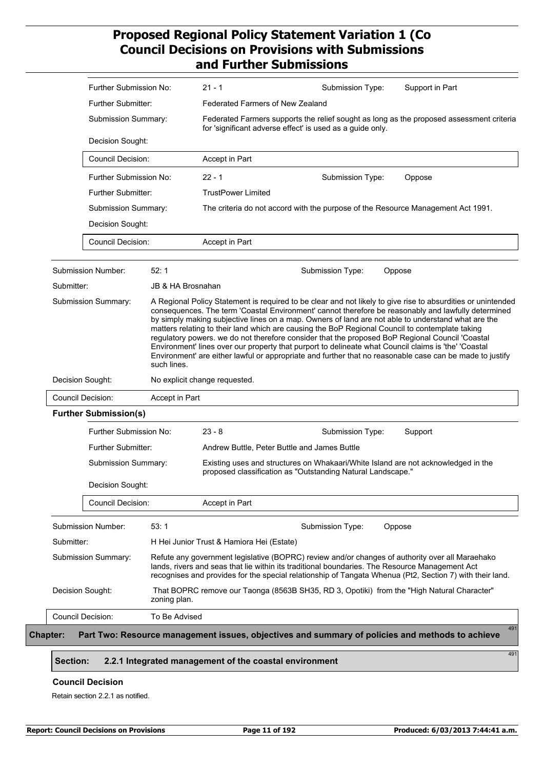|                                         | Further Submission No:<br><b>Further Submitter:</b><br>Submission Summary: |                           | $21 - 1$                                  | Submission Type:                                                                                                                                                                                                                                                                                           | Support in Part                                                                                                                                                                                                |  |
|-----------------------------------------|----------------------------------------------------------------------------|---------------------------|-------------------------------------------|------------------------------------------------------------------------------------------------------------------------------------------------------------------------------------------------------------------------------------------------------------------------------------------------------------|----------------------------------------------------------------------------------------------------------------------------------------------------------------------------------------------------------------|--|
|                                         |                                                                            |                           | Federated Farmers of New Zealand          |                                                                                                                                                                                                                                                                                                            |                                                                                                                                                                                                                |  |
|                                         |                                                                            |                           |                                           | for 'significant adverse effect' is used as a guide only.                                                                                                                                                                                                                                                  | Federated Farmers supports the relief sought as long as the proposed assessment criteria                                                                                                                       |  |
|                                         | Decision Sought:                                                           |                           |                                           |                                                                                                                                                                                                                                                                                                            |                                                                                                                                                                                                                |  |
|                                         | Council Decision:                                                          |                           | Accept in Part                            |                                                                                                                                                                                                                                                                                                            |                                                                                                                                                                                                                |  |
|                                         | Further Submission No:                                                     |                           | $22 - 1$                                  | Submission Type:                                                                                                                                                                                                                                                                                           | Oppose                                                                                                                                                                                                         |  |
|                                         | Further Submitter:                                                         |                           | <b>TrustPower Limited</b>                 |                                                                                                                                                                                                                                                                                                            |                                                                                                                                                                                                                |  |
|                                         | Submission Summary:                                                        |                           |                                           |                                                                                                                                                                                                                                                                                                            | The criteria do not accord with the purpose of the Resource Management Act 1991.                                                                                                                               |  |
|                                         | Decision Sought:                                                           |                           |                                           |                                                                                                                                                                                                                                                                                                            |                                                                                                                                                                                                                |  |
|                                         | <b>Council Decision:</b>                                                   |                           | Accept in Part                            |                                                                                                                                                                                                                                                                                                            |                                                                                                                                                                                                                |  |
|                                         |                                                                            |                           |                                           |                                                                                                                                                                                                                                                                                                            |                                                                                                                                                                                                                |  |
| Submission Number:<br>Submitter:        |                                                                            | 52:1<br>JB & HA Brosnahan |                                           | Submission Type:                                                                                                                                                                                                                                                                                           | Oppose                                                                                                                                                                                                         |  |
|                                         |                                                                            | such lines.               |                                           | matters relating to their land which are causing the BoP Regional Council to contemplate taking<br>regulatory powers. we do not therefore consider that the proposed BoP Regional Council 'Coastal<br>Environment' lines over our property that purport to delineate what Council claims is 'the' 'Coastal | by simply making subjective lines on a map. Owners of land are not able to understand what are the<br>Environment' are either lawful or appropriate and further that no reasonable case can be made to justify |  |
| Decision Sought:                        |                                                                            |                           |                                           |                                                                                                                                                                                                                                                                                                            |                                                                                                                                                                                                                |  |
|                                         |                                                                            |                           | No explicit change requested.             |                                                                                                                                                                                                                                                                                                            |                                                                                                                                                                                                                |  |
|                                         |                                                                            | Accept in Part            |                                           |                                                                                                                                                                                                                                                                                                            |                                                                                                                                                                                                                |  |
|                                         |                                                                            |                           |                                           |                                                                                                                                                                                                                                                                                                            |                                                                                                                                                                                                                |  |
| <b>Further Submission(s)</b>            | Further Submission No:                                                     |                           | $23 - 8$                                  | Submission Type:                                                                                                                                                                                                                                                                                           | Support                                                                                                                                                                                                        |  |
| <b>Council Decision:</b>                | Further Submitter:<br>Submission Summary:                                  |                           |                                           | Andrew Buttle, Peter Buttle and James Buttle                                                                                                                                                                                                                                                               | Existing uses and structures on Whakaari/White Island are not acknowledged in the                                                                                                                              |  |
|                                         | Decision Sought:                                                           |                           |                                           | proposed classification as "Outstanding Natural Landscape."                                                                                                                                                                                                                                                |                                                                                                                                                                                                                |  |
|                                         | <b>Council Decision:</b>                                                   |                           | Accept in Part                            |                                                                                                                                                                                                                                                                                                            |                                                                                                                                                                                                                |  |
|                                         |                                                                            | 53:1                      |                                           | Submission Type:                                                                                                                                                                                                                                                                                           | Oppose                                                                                                                                                                                                         |  |
| Submission Number:<br>Submitter:        |                                                                            |                           | H Hei Junior Trust & Hamiora Hei (Estate) |                                                                                                                                                                                                                                                                                                            |                                                                                                                                                                                                                |  |
|                                         |                                                                            |                           |                                           | lands, rivers and seas that lie within its traditional boundaries. The Resource Management Act                                                                                                                                                                                                             | Refute any government legislative (BOPRC) review and/or changes of authority over all Maraehako<br>recognises and provides for the special relationship of Tangata Whenua (Pt2, Section 7) with their land.    |  |
| Submission Summary:<br>Decision Sought: |                                                                            | zoning plan.              |                                           |                                                                                                                                                                                                                                                                                                            | That BOPRC remove our Taonga (8563B SH35, RD 3, Opotiki) from the "High Natural Character"                                                                                                                     |  |

#### **Section: 2.2.1 Integrated management of the coastal environment**

#### **Council Decision**

Retain section 2.2.1 as notified.

491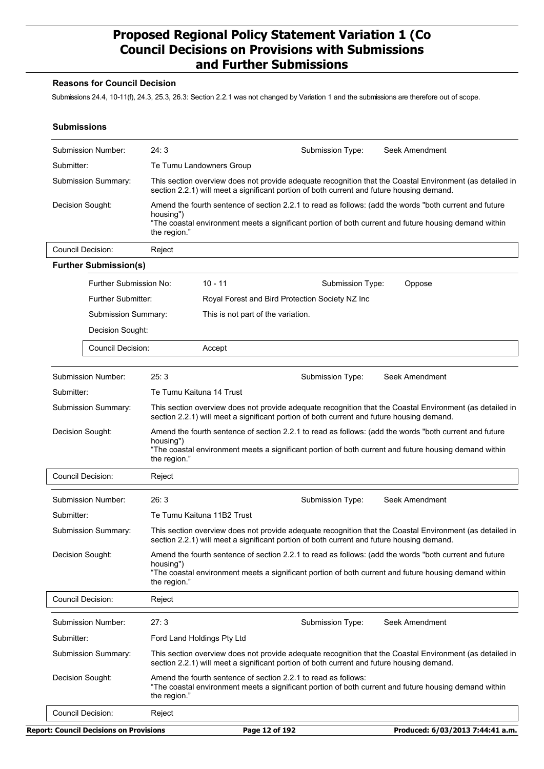#### **Reasons for Council Decision**

Submissions 24.4, 10-11(f), 24.3, 25.3, 26.3: Section 2.2.1 was not changed by Variation 1 and the submissions are therefore out of scope.

#### **Submissions**

| Submission Number:                             | 24:3                       | Submission Type:                                                                                                                                                                                                | Seek Amendment                   |
|------------------------------------------------|----------------------------|-----------------------------------------------------------------------------------------------------------------------------------------------------------------------------------------------------------------|----------------------------------|
| Submitter:                                     | Te Tumu Landowners Group   |                                                                                                                                                                                                                 |                                  |
| Submission Summary:                            |                            | This section overview does not provide adequate recognition that the Coastal Environment (as detailed in<br>section 2.2.1) will meet a significant portion of both current and future housing demand.           |                                  |
| Decision Sought:                               |                            | Amend the fourth sentence of section 2.2.1 to read as follows: (add the words "both current and future                                                                                                          |                                  |
|                                                | housing")<br>the region."  | "The coastal environment meets a significant portion of both current and future housing demand within                                                                                                           |                                  |
| <b>Council Decision:</b>                       | Reject                     |                                                                                                                                                                                                                 |                                  |
| <b>Further Submission(s)</b>                   |                            |                                                                                                                                                                                                                 |                                  |
|                                                | Further Submission No:     | $10 - 11$<br>Submission Type:                                                                                                                                                                                   | Oppose                           |
| Further Submitter:                             |                            | Royal Forest and Bird Protection Society NZ Inc                                                                                                                                                                 |                                  |
| Submission Summary:                            |                            | This is not part of the variation.                                                                                                                                                                              |                                  |
| Decision Sought:                               |                            |                                                                                                                                                                                                                 |                                  |
| Council Decision:                              |                            | Accept                                                                                                                                                                                                          |                                  |
|                                                |                            |                                                                                                                                                                                                                 |                                  |
| <b>Submission Number:</b>                      | 25:3                       | Submission Type:                                                                                                                                                                                                | Seek Amendment                   |
| Submitter:                                     | Te Tumu Kaituna 14 Trust   |                                                                                                                                                                                                                 |                                  |
| Submission Summary:                            |                            | This section overview does not provide adequate recognition that the Coastal Environment (as detailed in<br>section 2.2.1) will meet a significant portion of both current and future housing demand.           |                                  |
| Decision Sought:                               | housing")<br>the region."  | Amend the fourth sentence of section 2.2.1 to read as follows: (add the words "both current and future<br>"The coastal environment meets a significant portion of both current and future housing demand within |                                  |
| <b>Council Decision:</b>                       | Reject                     |                                                                                                                                                                                                                 |                                  |
| Submission Number:                             | 26:3                       | Submission Type:                                                                                                                                                                                                | Seek Amendment                   |
| Submitter:                                     |                            | Te Tumu Kaituna 11B2 Trust                                                                                                                                                                                      |                                  |
| <b>Submission Summary:</b>                     |                            | This section overview does not provide adequate recognition that the Coastal Environment (as detailed in<br>section 2.2.1) will meet a significant portion of both current and future housing demand.           |                                  |
| Decision Sought:                               | housing")<br>the region."  | Amend the fourth sentence of section 2.2.1 to read as follows: (add the words "both current and future<br>"The coastal environment meets a significant portion of both current and future housing demand within |                                  |
| <b>Council Decision:</b>                       | Reject                     |                                                                                                                                                                                                                 |                                  |
| Submission Number:                             | 27:3                       | Submission Type:                                                                                                                                                                                                | Seek Amendment                   |
| Submitter:                                     | Ford Land Holdings Pty Ltd |                                                                                                                                                                                                                 |                                  |
| Submission Summary:                            |                            | This section overview does not provide adequate recognition that the Coastal Environment (as detailed in<br>section 2.2.1) will meet a significant portion of both current and future housing demand.           |                                  |
| Decision Sought:                               | the region."               | Amend the fourth sentence of section 2.2.1 to read as follows:<br>"The coastal environment meets a significant portion of both current and future housing demand within                                         |                                  |
| Council Decision:                              | Reject                     |                                                                                                                                                                                                                 |                                  |
| <b>Report: Council Decisions on Provisions</b> |                            | Page 12 of 192                                                                                                                                                                                                  | Produced: 6/03/2013 7:44:41 a.m. |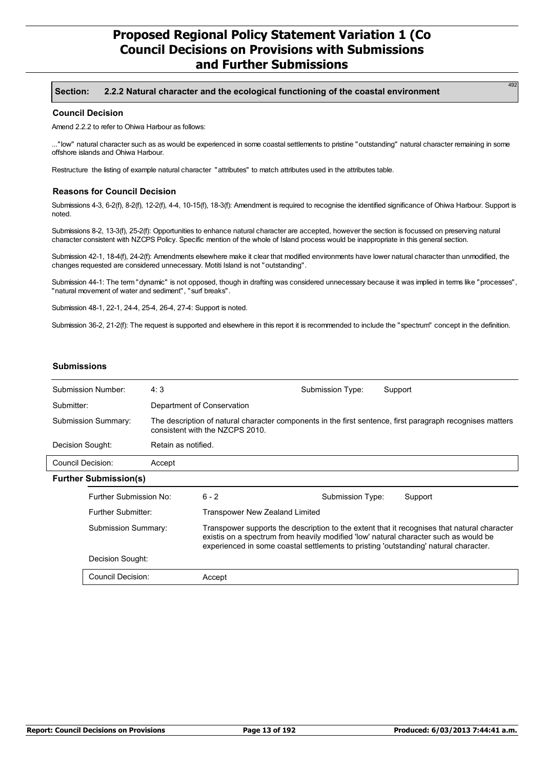#### **Section: 2.2.2 Natural character and the ecological functioning of the coastal environment**

#### **Council Decision**

Amend 2.2.2 to refer to Ohiwa Harbour as follows:

..."low" natural character such as as would be experienced in some coastal settlements to pristine "outstanding" natural character remaining in some offshore islands and Ohiwa Harbour.

Restructure the listing of example natural character "attributes" to match attributes used in the attributes table.

#### **Reasons for Council Decision**

Submissions 4-3, 6-2(f), 8-2(f), 12-2(f), 4-4, 10-15(f), 18-3(f): Amendment is required to recognise the identified significance of Ohiwa Harbour. Support is noted.

Submissions 8-2, 13-3(f), 25-2(f): Opportunities to enhance natural character are accepted, however the section is focussed on preserving natural character consistent with NZCPS Policy. Specific mention of the whole of Island process would be inappropriate in this general section.

Submission 42-1, 18-4(f), 24-2(f): Amendments elsewhere make it clear that modified environments have lower natural character than unmodified, the changes requested are considered unnecessary. Motiti Island is not "outstanding".

Submission 44-1: The term "dynamic" is not opposed, though in drafting was considered unnecessary because it was implied in terms like "processes", "natural movement of water and sediment", "surf breaks".

Submission 48-1, 22-1, 24-4, 25-4, 26-4, 27-4: Support is noted.

Submission 36-2, 21-2(f): The request is supported and elsewhere in this report it is recommended to include the "spectrum" concept in the definition.

#### **Submissions**

|                             | Submission Number:                       | 4:3                                                                                                                                                                                                                                                                         |                                                                                                                                              | Submission Type: | Support |
|-----------------------------|------------------------------------------|-----------------------------------------------------------------------------------------------------------------------------------------------------------------------------------------------------------------------------------------------------------------------------|----------------------------------------------------------------------------------------------------------------------------------------------|------------------|---------|
|                             | Submitter:<br>Department of Conservation |                                                                                                                                                                                                                                                                             |                                                                                                                                              |                  |         |
| <b>Submission Summary:</b>  |                                          |                                                                                                                                                                                                                                                                             | The description of natural character components in the first sentence, first paragraph recognises matters<br>consistent with the NZCPS 2010. |                  |         |
| Decision Sought:            |                                          | Retain as notified.                                                                                                                                                                                                                                                         |                                                                                                                                              |                  |         |
| Council Decision:<br>Accept |                                          |                                                                                                                                                                                                                                                                             |                                                                                                                                              |                  |         |
|                             | <b>Further Submission(s)</b>             |                                                                                                                                                                                                                                                                             |                                                                                                                                              |                  |         |
|                             | Further Submission No:                   |                                                                                                                                                                                                                                                                             | $6 - 2$                                                                                                                                      | Submission Type: | Support |
| Further Submitter:          |                                          |                                                                                                                                                                                                                                                                             | Transpower New Zealand Limited                                                                                                               |                  |         |
| Submission Summary:         |                                          | Transpower supports the description to the extent that it recognises that natural character<br>existis on a spectrum from heavily modified 'low' natural character such as would be<br>experienced in some coastal settlements to pristing 'outstanding' natural character. |                                                                                                                                              |                  |         |
| Decision Sought:            |                                          |                                                                                                                                                                                                                                                                             |                                                                                                                                              |                  |         |
|                             | Council Decision:                        |                                                                                                                                                                                                                                                                             | Accept                                                                                                                                       |                  |         |
|                             |                                          |                                                                                                                                                                                                                                                                             |                                                                                                                                              |                  |         |

49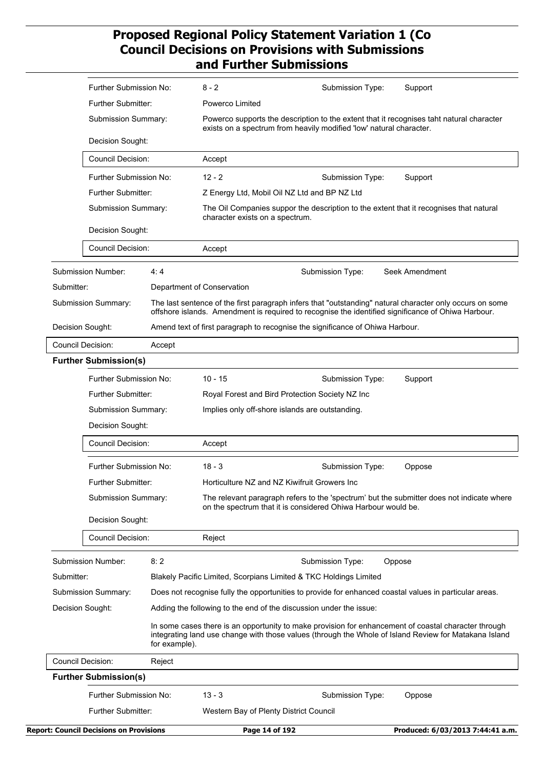|                     | Further Submission No:                                                                          |                                                                                                        | $8 - 2$                                                                                                                                                    | Submission Type:                                                                                                                                                | Support                                                                                                                                                                                                       |  |  |
|---------------------|-------------------------------------------------------------------------------------------------|--------------------------------------------------------------------------------------------------------|------------------------------------------------------------------------------------------------------------------------------------------------------------|-----------------------------------------------------------------------------------------------------------------------------------------------------------------|---------------------------------------------------------------------------------------------------------------------------------------------------------------------------------------------------------------|--|--|
|                     | Further Submitter:                                                                              |                                                                                                        | Powerco Limited                                                                                                                                            |                                                                                                                                                                 |                                                                                                                                                                                                               |  |  |
|                     | Submission Summary:                                                                             |                                                                                                        |                                                                                                                                                            | Powerco supports the description to the extent that it recognises taht natural character<br>exists on a spectrum from heavily modified 'low' natural character. |                                                                                                                                                                                                               |  |  |
|                     | Decision Sought:                                                                                |                                                                                                        |                                                                                                                                                            |                                                                                                                                                                 |                                                                                                                                                                                                               |  |  |
|                     | <b>Council Decision:</b><br>Further Submission No:<br>Further Submitter:<br>Submission Summary: |                                                                                                        | Accept                                                                                                                                                     |                                                                                                                                                                 |                                                                                                                                                                                                               |  |  |
|                     |                                                                                                 |                                                                                                        | $12 - 2$                                                                                                                                                   | Submission Type:                                                                                                                                                | Support                                                                                                                                                                                                       |  |  |
|                     |                                                                                                 |                                                                                                        | Z Energy Ltd, Mobil Oil NZ Ltd and BP NZ Ltd                                                                                                               |                                                                                                                                                                 |                                                                                                                                                                                                               |  |  |
|                     |                                                                                                 |                                                                                                        | character exists on a spectrum.                                                                                                                            | The Oil Companies suppor the description to the extent that it recognises that natural                                                                          |                                                                                                                                                                                                               |  |  |
|                     | Decision Sought:                                                                                |                                                                                                        |                                                                                                                                                            |                                                                                                                                                                 |                                                                                                                                                                                                               |  |  |
|                     | <b>Council Decision:</b>                                                                        |                                                                                                        | Accept                                                                                                                                                     |                                                                                                                                                                 |                                                                                                                                                                                                               |  |  |
|                     | Submission Number:                                                                              | 4:4                                                                                                    |                                                                                                                                                            | Submission Type:                                                                                                                                                | Seek Amendment                                                                                                                                                                                                |  |  |
| Submitter:          |                                                                                                 |                                                                                                        | Department of Conservation                                                                                                                                 |                                                                                                                                                                 |                                                                                                                                                                                                               |  |  |
|                     | Submission Summary:                                                                             |                                                                                                        |                                                                                                                                                            | offshore islands. Amendment is required to recognise the identified significance of Ohiwa Harbour.                                                              | The last sentence of the first paragraph infers that "outstanding" natural character only occurs on some                                                                                                      |  |  |
|                     | Decision Sought:                                                                                |                                                                                                        | Amend text of first paragraph to recognise the significance of Ohiwa Harbour.                                                                              |                                                                                                                                                                 |                                                                                                                                                                                                               |  |  |
|                     | Council Decision:                                                                               | Accept                                                                                                 |                                                                                                                                                            |                                                                                                                                                                 |                                                                                                                                                                                                               |  |  |
|                     | <b>Further Submission(s)</b>                                                                    |                                                                                                        |                                                                                                                                                            |                                                                                                                                                                 |                                                                                                                                                                                                               |  |  |
|                     | <b>Further Submission No:</b>                                                                   |                                                                                                        | $10 - 15$                                                                                                                                                  | Submission Type:                                                                                                                                                | Support                                                                                                                                                                                                       |  |  |
|                     | Further Submitter:<br>Submission Summary:<br>Decision Sought:                                   |                                                                                                        | Royal Forest and Bird Protection Society NZ Inc                                                                                                            |                                                                                                                                                                 |                                                                                                                                                                                                               |  |  |
|                     |                                                                                                 |                                                                                                        | Implies only off-shore islands are outstanding.                                                                                                            |                                                                                                                                                                 |                                                                                                                                                                                                               |  |  |
|                     |                                                                                                 |                                                                                                        |                                                                                                                                                            |                                                                                                                                                                 |                                                                                                                                                                                                               |  |  |
|                     | <b>Council Decision:</b>                                                                        |                                                                                                        | Accept                                                                                                                                                     |                                                                                                                                                                 |                                                                                                                                                                                                               |  |  |
|                     | Further Submission No:                                                                          |                                                                                                        | $18 - 3$                                                                                                                                                   | Submission Type:                                                                                                                                                | Oppose                                                                                                                                                                                                        |  |  |
|                     | <b>Further Submitter:</b>                                                                       |                                                                                                        | Horticulture NZ and NZ Kiwifruit Growers Inc                                                                                                               |                                                                                                                                                                 |                                                                                                                                                                                                               |  |  |
|                     | <b>Submission Summary:</b>                                                                      |                                                                                                        | The relevant paragraph refers to the 'spectrum' but the submitter does not indicate where<br>on the spectrum that it is considered Ohiwa Harbour would be. |                                                                                                                                                                 |                                                                                                                                                                                                               |  |  |
|                     | Decision Sought:                                                                                |                                                                                                        |                                                                                                                                                            |                                                                                                                                                                 |                                                                                                                                                                                                               |  |  |
|                     | <b>Council Decision:</b>                                                                        |                                                                                                        | Reject                                                                                                                                                     |                                                                                                                                                                 |                                                                                                                                                                                                               |  |  |
|                     | Submission Number:                                                                              | 8:2                                                                                                    |                                                                                                                                                            | Submission Type:                                                                                                                                                | Oppose                                                                                                                                                                                                        |  |  |
| Submitter:          |                                                                                                 |                                                                                                        | Blakely Pacific Limited, Scorpians Limited & TKC Holdings Limited                                                                                          |                                                                                                                                                                 |                                                                                                                                                                                                               |  |  |
| Submission Summary: |                                                                                                 | Does not recognise fully the opportunities to provide for enhanced coastal values in particular areas. |                                                                                                                                                            |                                                                                                                                                                 |                                                                                                                                                                                                               |  |  |
|                     |                                                                                                 | Adding the following to the end of the discussion under the issue:                                     |                                                                                                                                                            |                                                                                                                                                                 |                                                                                                                                                                                                               |  |  |
|                     | Decision Sought:                                                                                |                                                                                                        |                                                                                                                                                            |                                                                                                                                                                 |                                                                                                                                                                                                               |  |  |
|                     |                                                                                                 | for example).                                                                                          |                                                                                                                                                            |                                                                                                                                                                 |                                                                                                                                                                                                               |  |  |
|                     | Council Decision:                                                                               | Reject                                                                                                 |                                                                                                                                                            |                                                                                                                                                                 |                                                                                                                                                                                                               |  |  |
|                     | <b>Further Submission(s)</b>                                                                    |                                                                                                        |                                                                                                                                                            |                                                                                                                                                                 | In some cases there is an opportunity to make provision for enhancement of coastal character through<br>integrating land use change with those values (through the Whole of Island Review for Matakana Island |  |  |
|                     | Further Submission No:                                                                          |                                                                                                        | $13 - 3$                                                                                                                                                   | Submission Type:                                                                                                                                                | Oppose                                                                                                                                                                                                        |  |  |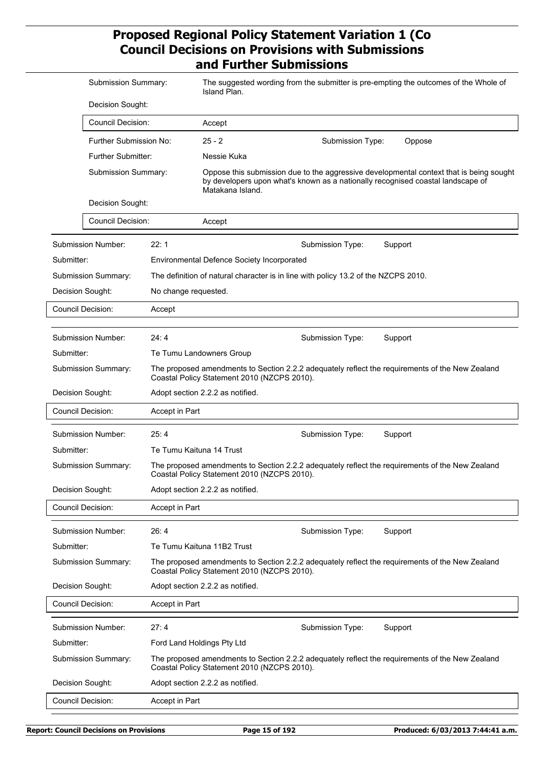|            | Submission Summary:       |                                                                                                                                                | Island Plan.                                                                       |                  | The suggested wording from the submitter is pre-empting the outcomes of the Whole of                                                                                       |  |
|------------|---------------------------|------------------------------------------------------------------------------------------------------------------------------------------------|------------------------------------------------------------------------------------|------------------|----------------------------------------------------------------------------------------------------------------------------------------------------------------------------|--|
|            | Decision Sought:          |                                                                                                                                                |                                                                                    |                  |                                                                                                                                                                            |  |
|            | <b>Council Decision:</b>  |                                                                                                                                                | Accept                                                                             |                  |                                                                                                                                                                            |  |
|            | Further Submission No:    |                                                                                                                                                | $25 - 2$                                                                           | Submission Type: | Oppose                                                                                                                                                                     |  |
|            | <b>Further Submitter:</b> |                                                                                                                                                | Nessie Kuka                                                                        |                  |                                                                                                                                                                            |  |
|            | Submission Summary:       |                                                                                                                                                | Matakana Island.                                                                   |                  | Oppose this submission due to the aggressive developmental context that is being sought<br>by developers upon what's known as a nationally recognised coastal landscape of |  |
|            | Decision Sought:          |                                                                                                                                                |                                                                                    |                  |                                                                                                                                                                            |  |
|            | <b>Council Decision:</b>  |                                                                                                                                                | Accept                                                                             |                  |                                                                                                                                                                            |  |
|            | Submission Number:        | 22:1                                                                                                                                           |                                                                                    | Submission Type: | Support                                                                                                                                                                    |  |
| Submitter: |                           |                                                                                                                                                | <b>Environmental Defence Society Incorporated</b>                                  |                  |                                                                                                                                                                            |  |
|            | Submission Summary:       |                                                                                                                                                | The definition of natural character is in line with policy 13.2 of the NZCPS 2010. |                  |                                                                                                                                                                            |  |
|            | Decision Sought:          | No change requested.                                                                                                                           |                                                                                    |                  |                                                                                                                                                                            |  |
|            | <b>Council Decision:</b>  | Accept                                                                                                                                         |                                                                                    |                  |                                                                                                                                                                            |  |
|            |                           |                                                                                                                                                |                                                                                    |                  |                                                                                                                                                                            |  |
|            | Submission Number:        | 24:4                                                                                                                                           |                                                                                    | Submission Type: | Support                                                                                                                                                                    |  |
| Submitter: |                           |                                                                                                                                                | Te Tumu Landowners Group                                                           |                  |                                                                                                                                                                            |  |
|            | Submission Summary:       | The proposed amendments to Section 2.2.2 adequately reflect the requirements of the New Zealand<br>Coastal Policy Statement 2010 (NZCPS 2010). |                                                                                    |                  |                                                                                                                                                                            |  |
|            | Decision Sought:          | Adopt section 2.2.2 as notified.                                                                                                               |                                                                                    |                  |                                                                                                                                                                            |  |
|            | <b>Council Decision:</b>  | Accept in Part                                                                                                                                 |                                                                                    |                  |                                                                                                                                                                            |  |
|            | <b>Submission Number:</b> | 25:4                                                                                                                                           |                                                                                    | Submission Type: | Support                                                                                                                                                                    |  |
| Submitter: |                           | Te Tumu Kaituna 14 Trust                                                                                                                       |                                                                                    |                  |                                                                                                                                                                            |  |
|            | Submission Summary:       | The proposed amendments to Section 2.2.2 adequately reflect the requirements of the New Zealand<br>Coastal Policy Statement 2010 (NZCPS 2010). |                                                                                    |                  |                                                                                                                                                                            |  |
|            | Decision Sought:          |                                                                                                                                                | Adopt section 2.2.2 as notified.                                                   |                  |                                                                                                                                                                            |  |
|            | <b>Council Decision:</b>  | Accept in Part                                                                                                                                 |                                                                                    |                  |                                                                                                                                                                            |  |
|            | Submission Number:        | 26:4                                                                                                                                           |                                                                                    | Submission Type: | Support                                                                                                                                                                    |  |
| Submitter: |                           |                                                                                                                                                | Te Tumu Kaituna 11B2 Trust                                                         |                  |                                                                                                                                                                            |  |
|            | Submission Summary:       | The proposed amendments to Section 2.2.2 adequately reflect the requirements of the New Zealand<br>Coastal Policy Statement 2010 (NZCPS 2010). |                                                                                    |                  |                                                                                                                                                                            |  |
|            | Decision Sought:          |                                                                                                                                                | Adopt section 2.2.2 as notified.                                                   |                  |                                                                                                                                                                            |  |
|            | <b>Council Decision:</b>  | Accept in Part                                                                                                                                 |                                                                                    |                  |                                                                                                                                                                            |  |
|            | <b>Submission Number:</b> | 27:4                                                                                                                                           |                                                                                    | Submission Type: | Support                                                                                                                                                                    |  |
| Submitter: |                           |                                                                                                                                                | Ford Land Holdings Pty Ltd                                                         |                  |                                                                                                                                                                            |  |
|            | Submission Summary:       |                                                                                                                                                | Coastal Policy Statement 2010 (NZCPS 2010).                                        |                  | The proposed amendments to Section 2.2.2 adequately reflect the requirements of the New Zealand                                                                            |  |
|            | Decision Sought:          |                                                                                                                                                | Adopt section 2.2.2 as notified.                                                   |                  |                                                                                                                                                                            |  |
|            | <b>Council Decision:</b>  | Accept in Part                                                                                                                                 |                                                                                    |                  |                                                                                                                                                                            |  |
|            |                           |                                                                                                                                                |                                                                                    |                  |                                                                                                                                                                            |  |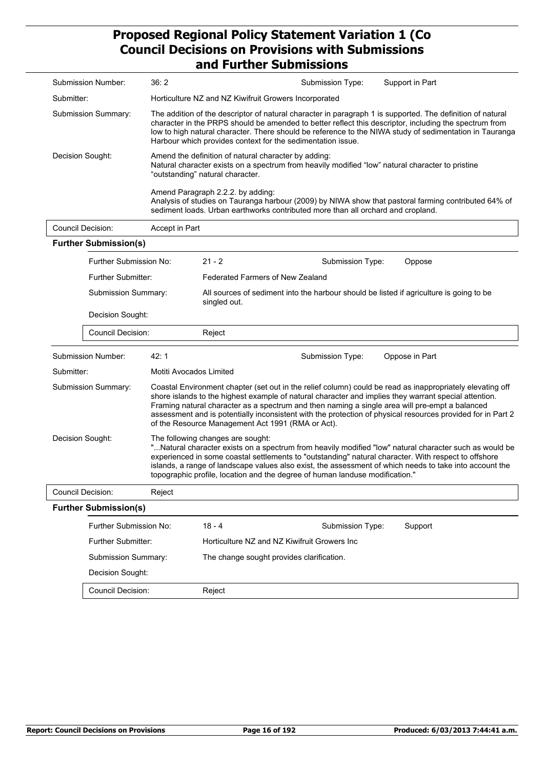|                  |                                         |                         | 9114   41 LHCL JUDIHISSIVIIS                                                                                                                                                                                                                                                                                                                                                                                                                                                             |  |  |  |
|------------------|-----------------------------------------|-------------------------|------------------------------------------------------------------------------------------------------------------------------------------------------------------------------------------------------------------------------------------------------------------------------------------------------------------------------------------------------------------------------------------------------------------------------------------------------------------------------------------|--|--|--|
|                  | <b>Submission Number:</b>               | 36:2                    | Submission Type:<br>Support in Part                                                                                                                                                                                                                                                                                                                                                                                                                                                      |  |  |  |
| Submitter:       |                                         |                         | Horticulture NZ and NZ Kiwifruit Growers Incorporated                                                                                                                                                                                                                                                                                                                                                                                                                                    |  |  |  |
|                  | Submission Summary:                     |                         | The addition of the descriptor of natural character in paragraph 1 is supported. The definition of natural<br>character in the PRPS should be amended to better reflect this descriptor, including the spectrum from<br>low to high natural character. There should be reference to the NIWA study of sedimentation in Tauranga<br>Harbour which provides context for the sedimentation issue.                                                                                           |  |  |  |
|                  | Decision Sought:                        |                         | Amend the definition of natural character by adding:<br>Natural character exists on a spectrum from heavily modified "low" natural character to pristine<br>"outstanding" natural character.                                                                                                                                                                                                                                                                                             |  |  |  |
|                  |                                         |                         | Amend Paragraph 2.2.2. by adding:<br>Analysis of studies on Tauranga harbour (2009) by NIWA show that pastoral farming contributed 64% of<br>sediment loads. Urban earthworks contributed more than all orchard and cropland.                                                                                                                                                                                                                                                            |  |  |  |
|                  | <b>Council Decision:</b>                | Accept in Part          |                                                                                                                                                                                                                                                                                                                                                                                                                                                                                          |  |  |  |
|                  | <b>Further Submission(s)</b>            |                         |                                                                                                                                                                                                                                                                                                                                                                                                                                                                                          |  |  |  |
|                  | Further Submission No:                  |                         | $21 - 2$<br>Submission Type:<br>Oppose                                                                                                                                                                                                                                                                                                                                                                                                                                                   |  |  |  |
|                  | <b>Further Submitter:</b>               |                         | <b>Federated Farmers of New Zealand</b>                                                                                                                                                                                                                                                                                                                                                                                                                                                  |  |  |  |
|                  | Submission Summary:<br>Decision Sought: |                         | All sources of sediment into the harbour should be listed if agriculture is going to be<br>singled out.                                                                                                                                                                                                                                                                                                                                                                                  |  |  |  |
|                  |                                         |                         |                                                                                                                                                                                                                                                                                                                                                                                                                                                                                          |  |  |  |
|                  | Council Decision:                       |                         | Reject                                                                                                                                                                                                                                                                                                                                                                                                                                                                                   |  |  |  |
|                  | Submission Number:                      | 42:1                    | Submission Type:<br>Oppose in Part                                                                                                                                                                                                                                                                                                                                                                                                                                                       |  |  |  |
| Submitter:       |                                         | Motiti Avocados Limited |                                                                                                                                                                                                                                                                                                                                                                                                                                                                                          |  |  |  |
|                  | Submission Summary:                     |                         | Coastal Environment chapter (set out in the relief column) could be read as inappropriately elevating off<br>shore islands to the highest example of natural character and implies they warrant special attention.<br>Framing natural character as a spectrum and then naming a single area will pre-empt a balanced<br>assessment and is potentially inconsistent with the protection of physical resources provided for in Part 2<br>of the Resource Management Act 1991 (RMA or Act). |  |  |  |
| Decision Sought: |                                         |                         | The following changes are sought:<br>"Natural character exists on a spectrum from heavily modified "low" natural character such as would be<br>experienced in some coastal settlements to "outstanding" natural character. With respect to offshore<br>islands, a range of landscape values also exist, the assessment of which needs to take into account the<br>topographic profile, location and the degree of human landuse modification."                                           |  |  |  |
|                  | <b>Council Decision:</b><br>Reject      |                         |                                                                                                                                                                                                                                                                                                                                                                                                                                                                                          |  |  |  |
|                  | <b>Further Submission(s)</b>            |                         |                                                                                                                                                                                                                                                                                                                                                                                                                                                                                          |  |  |  |
|                  | Further Submission No:                  |                         | $18 - 4$<br>Support<br>Submission Type:                                                                                                                                                                                                                                                                                                                                                                                                                                                  |  |  |  |
|                  | Further Submitter:                      |                         | Horticulture NZ and NZ Kiwifruit Growers Inc                                                                                                                                                                                                                                                                                                                                                                                                                                             |  |  |  |
|                  | Submission Summary:                     |                         | The change sought provides clarification.                                                                                                                                                                                                                                                                                                                                                                                                                                                |  |  |  |
|                  | Decision Sought:                        |                         |                                                                                                                                                                                                                                                                                                                                                                                                                                                                                          |  |  |  |
|                  | Council Decision:                       |                         | Reject                                                                                                                                                                                                                                                                                                                                                                                                                                                                                   |  |  |  |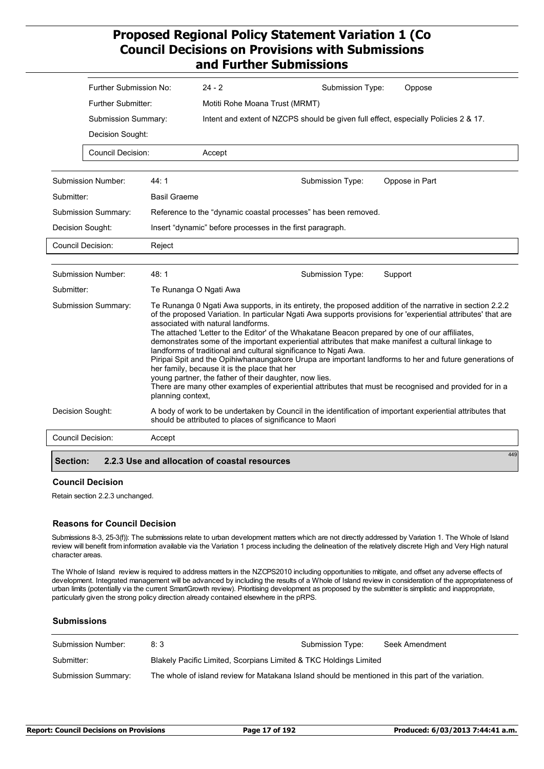|                     | Further Submission No:    |                        | $24 - 2$                                                                                                                                     | Submission Type:                                                                                                                                                                                                                                                                                                                                                                                                                                                                                                                                                                                                                                                                                                            | Oppose         |     |  |
|---------------------|---------------------------|------------------------|----------------------------------------------------------------------------------------------------------------------------------------------|-----------------------------------------------------------------------------------------------------------------------------------------------------------------------------------------------------------------------------------------------------------------------------------------------------------------------------------------------------------------------------------------------------------------------------------------------------------------------------------------------------------------------------------------------------------------------------------------------------------------------------------------------------------------------------------------------------------------------------|----------------|-----|--|
|                     | <b>Further Submitter:</b> |                        | Motiti Rohe Moana Trust (MRMT)                                                                                                               |                                                                                                                                                                                                                                                                                                                                                                                                                                                                                                                                                                                                                                                                                                                             |                |     |  |
|                     | Submission Summary:       |                        | Intent and extent of NZCPS should be given full effect, especially Policies 2 & 17.                                                          |                                                                                                                                                                                                                                                                                                                                                                                                                                                                                                                                                                                                                                                                                                                             |                |     |  |
|                     | Decision Sought:          |                        |                                                                                                                                              |                                                                                                                                                                                                                                                                                                                                                                                                                                                                                                                                                                                                                                                                                                                             |                |     |  |
|                     | <b>Council Decision:</b>  |                        | Accept                                                                                                                                       |                                                                                                                                                                                                                                                                                                                                                                                                                                                                                                                                                                                                                                                                                                                             |                |     |  |
|                     | <b>Submission Number:</b> | 44:1                   |                                                                                                                                              | Submission Type:                                                                                                                                                                                                                                                                                                                                                                                                                                                                                                                                                                                                                                                                                                            | Oppose in Part |     |  |
| Submitter:          |                           | <b>Basil Graeme</b>    |                                                                                                                                              |                                                                                                                                                                                                                                                                                                                                                                                                                                                                                                                                                                                                                                                                                                                             |                |     |  |
|                     | Submission Summary:       |                        |                                                                                                                                              | Reference to the "dynamic coastal processes" has been removed.                                                                                                                                                                                                                                                                                                                                                                                                                                                                                                                                                                                                                                                              |                |     |  |
|                     | Decision Sought:          |                        | Insert "dynamic" before processes in the first paragraph.                                                                                    |                                                                                                                                                                                                                                                                                                                                                                                                                                                                                                                                                                                                                                                                                                                             |                |     |  |
|                     | <b>Council Decision:</b>  | Reject                 |                                                                                                                                              |                                                                                                                                                                                                                                                                                                                                                                                                                                                                                                                                                                                                                                                                                                                             |                |     |  |
|                     |                           |                        |                                                                                                                                              |                                                                                                                                                                                                                                                                                                                                                                                                                                                                                                                                                                                                                                                                                                                             |                |     |  |
|                     | <b>Submission Number:</b> | 48:1                   |                                                                                                                                              | Submission Type:                                                                                                                                                                                                                                                                                                                                                                                                                                                                                                                                                                                                                                                                                                            | Support        |     |  |
| Submitter:          |                           | Te Runanga O Ngati Awa |                                                                                                                                              |                                                                                                                                                                                                                                                                                                                                                                                                                                                                                                                                                                                                                                                                                                                             |                |     |  |
| Submission Summary: |                           | planning context,      | associated with natural landforms.<br>her family, because it is the place that her<br>young partner, the father of their daughter, now lies. | Te Runanga 0 Ngati Awa supports, in its entirety, the proposed addition of the narrative in section 2.2.2<br>of the proposed Variation. In particular Ngati Awa supports provisions for 'experiential attributes' that are<br>The attached 'Letter to the Editor' of the Whakatane Beacon prepared by one of our affiliates,<br>demonstrates some of the important experiential attributes that make manifest a cultural linkage to<br>landforms of traditional and cultural significance to Ngati Awa.<br>Piripai Spit and the Opihiwhanaungakore Urupa are important landforms to her and future generations of<br>There are many other examples of experiential attributes that must be recognised and provided for in a |                |     |  |
|                     | Decision Sought:          |                        |                                                                                                                                              | A body of work to be undertaken by Council in the identification of important experiential attributes that<br>should be attributed to places of significance to Maori                                                                                                                                                                                                                                                                                                                                                                                                                                                                                                                                                       |                |     |  |
|                     | <b>Council Decision:</b>  | Accept                 |                                                                                                                                              |                                                                                                                                                                                                                                                                                                                                                                                                                                                                                                                                                                                                                                                                                                                             |                |     |  |
| Section:            |                           |                        | 2.2.3 Use and allocation of coastal resources                                                                                                |                                                                                                                                                                                                                                                                                                                                                                                                                                                                                                                                                                                                                                                                                                                             |                | 449 |  |

#### **Council Decision**

Retain section 2.2.3 unchanged.

#### **Reasons for Council Decision**

Submissions 8-3, 25-3(f)): The submissions relate to urban development matters which are not directly addressed by Variation 1. The Whole of Island review will benefit from information available via the Variation 1 process including the delineation of the relatively discrete High and Very High natural character areas.

The Whole of Island review is required to address matters in the NZCPS2010 including opportunities to mitigate, and offset any adverse effects of development. Integrated management will be advanced by including the results of a Whole of Island review in consideration of the appropriateness of urban limits (potentially via the current SmartGrowth review). Prioritising development as proposed by the submitter is simplistic and inappropriate, particularly given the strong policy direction already contained elsewhere in the pRPS.

#### **Submissions**

| Submission Number:  | 8:3                                                                                               | Submission Type: | Seek Amendment |  |  |
|---------------------|---------------------------------------------------------------------------------------------------|------------------|----------------|--|--|
| Submitter:          | Blakely Pacific Limited, Scorpians Limited & TKC Holdings Limited                                 |                  |                |  |  |
| Submission Summary: | The whole of island review for Matakana Island should be mentioned in this part of the variation. |                  |                |  |  |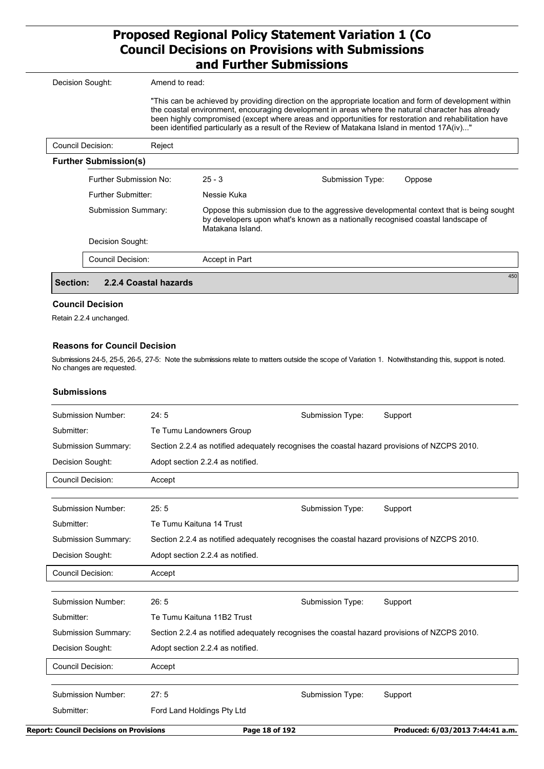| Decision Sought:             | Amend to read:        |                  |                                                                                                                                                                                                                                                                                                                                                                                                                       |        |
|------------------------------|-----------------------|------------------|-----------------------------------------------------------------------------------------------------------------------------------------------------------------------------------------------------------------------------------------------------------------------------------------------------------------------------------------------------------------------------------------------------------------------|--------|
|                              |                       |                  | "This can be achieved by providing direction on the appropriate location and form of development within<br>the coastal environment, encouraging development in areas where the natural character has already<br>been highly compromised (except where areas and opportunities for restoration and rehabilitation have<br>been identified particularly as a result of the Review of Matakana Island in mentod 17A(iv)" |        |
| Council Decision:            | Reject                |                  |                                                                                                                                                                                                                                                                                                                                                                                                                       |        |
| <b>Further Submission(s)</b> |                       |                  |                                                                                                                                                                                                                                                                                                                                                                                                                       |        |
| Further Submission No:       |                       | $25 - 3$         | Submission Type:                                                                                                                                                                                                                                                                                                                                                                                                      | Oppose |
|                              | Further Submitter:    |                  |                                                                                                                                                                                                                                                                                                                                                                                                                       |        |
| Submission Summary:          |                       | Matakana Island. | Oppose this submission due to the aggressive developmental context that is being sought<br>by developers upon what's known as a nationally recognised coastal landscape of                                                                                                                                                                                                                                            |        |
| Decision Sought:             |                       |                  |                                                                                                                                                                                                                                                                                                                                                                                                                       |        |
| <b>Council Decision:</b>     |                       | Accept in Part   |                                                                                                                                                                                                                                                                                                                                                                                                                       |        |
| <b>Section:</b>              | 2.2.4 Coastal hazards |                  |                                                                                                                                                                                                                                                                                                                                                                                                                       | 450    |

#### **Council Decision**

Retain 2.2.4 unchanged.

#### **Reasons for Council Decision**

Submissions 24-5, 25-5, 26-5, 27-5: Note the submissions relate to matters outside the scope of Variation 1. Notwithstanding this, support is noted. No changes are requested.

#### **Submissions**

| <b>Report: Council Decisions on Provisions</b> | Page 18 of 192                                                                               |                  | Produced: 6/03/2013 7:44:41 a.m. |
|------------------------------------------------|----------------------------------------------------------------------------------------------|------------------|----------------------------------|
| Submitter:                                     | Ford Land Holdings Pty Ltd                                                                   |                  |                                  |
| Submission Number:                             | 27:5                                                                                         | Submission Type: | Support                          |
| <b>Council Decision:</b>                       | Accept                                                                                       |                  |                                  |
| Decision Sought:                               | Adopt section 2.2.4 as notified.                                                             |                  |                                  |
| <b>Submission Summary:</b>                     | Section 2.2.4 as notified adequately recognises the coastal hazard provisions of NZCPS 2010. |                  |                                  |
| Submitter:                                     | Te Tumu Kaituna 11B2 Trust                                                                   |                  |                                  |
| Submission Number:                             | 26:5                                                                                         | Submission Type: | Support                          |
| <b>Council Decision:</b>                       | Accept                                                                                       |                  |                                  |
| Decision Sought:                               | Adopt section 2.2.4 as notified.                                                             |                  |                                  |
| Submission Summary:                            | Section 2.2.4 as notified adequately recognises the coastal hazard provisions of NZCPS 2010. |                  |                                  |
| Submitter:                                     | Te Tumu Kaituna 14 Trust                                                                     |                  |                                  |
| Submission Number:                             | 25:5                                                                                         | Submission Type: | Support                          |
| <b>Council Decision:</b>                       | Accept                                                                                       |                  |                                  |
| Decision Sought:                               | Adopt section 2.2.4 as notified.                                                             |                  |                                  |
| Submission Summary:                            | Section 2.2.4 as notified adequately recognises the coastal hazard provisions of NZCPS 2010. |                  |                                  |
| Submitter:                                     | Te Tumu Landowners Group                                                                     |                  |                                  |
| Submission Number:                             | 24:5                                                                                         | Submission Type: | Support                          |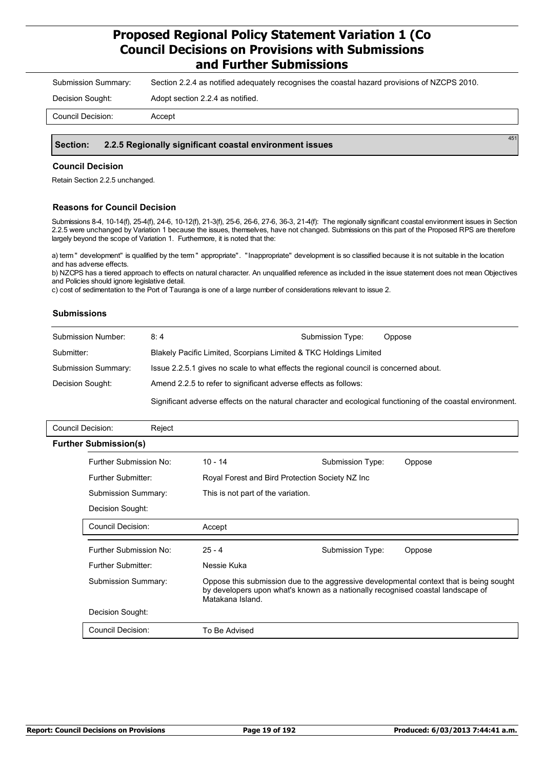Submission Summary: Section 2.2.4 as notified adequately recognises the coastal hazard provisions of NZCPS 2010.

Decision Sought: Adopt section 2.2.4 as notified.

#### **Section: 2.2.5 Regionally significant coastal environment issues**

#### **Council Decision**

Retain Section 2.2.5 unchanged.

#### **Reasons for Council Decision**

Submissions 8-4, 10-14(f), 25-4(f), 24-6, 10-12(f), 21-3(f), 25-6, 26-6, 27-6, 36-3, 21-4(f): The regionally significant coastal environment issues in Section 2.2.5 were unchanged by Variation 1 because the issues, themselves, have not changed. Submissions on this part of the Proposed RPS are therefore largely beyond the scope of Variation 1. Furthermore, it is noted that the:

a) term " development" is qualified by the term " appropriate". "Inappropriate" development is so classified because it is not suitable in the location and has adverse effects.

b) NZCPS has a tiered approach to effects on natural character. An unqualified reference as included in the issue statement does not mean Objectives and Policies should ignore legislative detail.

c) cost of sedimentation to the Port of Tauranga is one of a large number of considerations relevant to issue 2.

#### **Submissions**

| Submission Number:  | 8:4                                                                                                         | Submission Type: | Oppose |  |  |
|---------------------|-------------------------------------------------------------------------------------------------------------|------------------|--------|--|--|
| Submitter:          | Blakely Pacific Limited, Scorpians Limited & TKC Holdings Limited                                           |                  |        |  |  |
| Submission Summary: | Issue 2.2.5.1 gives no scale to what effects the regional council is concerned about.                       |                  |        |  |  |
| Decision Sought:    | Amend 2.2.5 to refer to significant adverse effects as follows:                                             |                  |        |  |  |
|                     | Significant adverse effects on the natural character and ecological functioning of the coastal environment. |                  |        |  |  |

| Reject                                            |                                                                                                                                                                                                                                     |                  |                                                                                                                                                                                                                               |
|---------------------------------------------------|-------------------------------------------------------------------------------------------------------------------------------------------------------------------------------------------------------------------------------------|------------------|-------------------------------------------------------------------------------------------------------------------------------------------------------------------------------------------------------------------------------|
|                                                   |                                                                                                                                                                                                                                     |                  |                                                                                                                                                                                                                               |
|                                                   | $10 - 14$                                                                                                                                                                                                                           | Submission Type: | Oppose                                                                                                                                                                                                                        |
|                                                   |                                                                                                                                                                                                                                     |                  |                                                                                                                                                                                                                               |
|                                                   | This is not part of the variation.                                                                                                                                                                                                  |                  |                                                                                                                                                                                                                               |
|                                                   |                                                                                                                                                                                                                                     |                  |                                                                                                                                                                                                                               |
|                                                   | Accept                                                                                                                                                                                                                              |                  |                                                                                                                                                                                                                               |
|                                                   | $25 - 4$                                                                                                                                                                                                                            | Submission Type: | Oppose                                                                                                                                                                                                                        |
|                                                   | Nessie Kuka                                                                                                                                                                                                                         |                  |                                                                                                                                                                                                                               |
|                                                   | Matakana Island.                                                                                                                                                                                                                    |                  |                                                                                                                                                                                                                               |
|                                                   |                                                                                                                                                                                                                                     |                  |                                                                                                                                                                                                                               |
|                                                   | To Be Advised                                                                                                                                                                                                                       |                  |                                                                                                                                                                                                                               |
| Council Decision:<br><b>Further Submission(s)</b> | Further Submission No:<br>Further Submitter:<br>Submission Summary:<br>Decision Sought:<br>Council Decision:<br>Further Submission No:<br>Further Submitter:<br><b>Submission Summary:</b><br>Decision Sought:<br>Council Decision: |                  | Royal Forest and Bird Protection Society NZ Inc<br>Oppose this submission due to the aggressive developmental context that is being sought<br>by developers upon what's known as a nationally recognised coastal landscape of |

451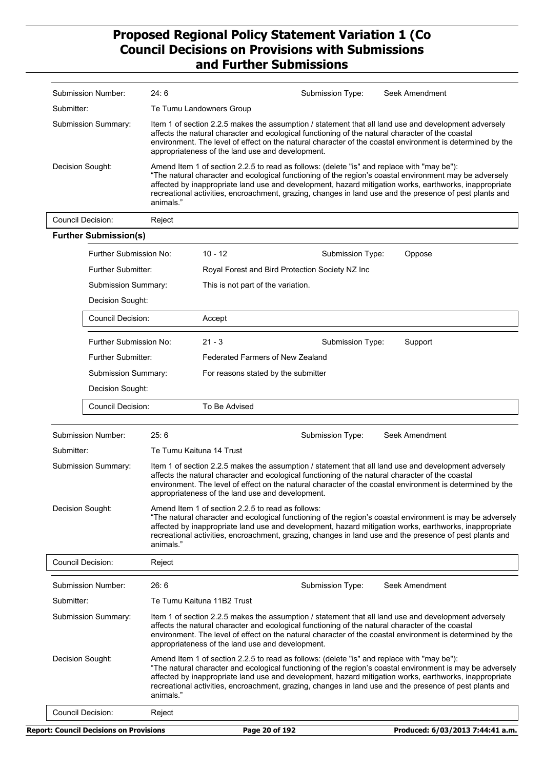|                  | <b>Submission Number:</b>                      | 24:6                                                                                                                                                                                                                                                                                                                                                                      |                                                                                            | Submission Type: | Seek Amendment                                                                                                                                                                                                                                                                                                                 |  |  |
|------------------|------------------------------------------------|---------------------------------------------------------------------------------------------------------------------------------------------------------------------------------------------------------------------------------------------------------------------------------------------------------------------------------------------------------------------------|--------------------------------------------------------------------------------------------|------------------|--------------------------------------------------------------------------------------------------------------------------------------------------------------------------------------------------------------------------------------------------------------------------------------------------------------------------------|--|--|
| Submitter:       |                                                |                                                                                                                                                                                                                                                                                                                                                                           | Te Tumu Landowners Group                                                                   |                  |                                                                                                                                                                                                                                                                                                                                |  |  |
|                  | Submission Summary:                            | Item 1 of section 2.2.5 makes the assumption / statement that all land use and development adversely<br>affects the natural character and ecological functioning of the natural character of the coastal<br>environment. The level of effect on the natural character of the coastal environment is determined by the<br>appropriateness of the land use and development. |                                                                                            |                  |                                                                                                                                                                                                                                                                                                                                |  |  |
| Decision Sought: |                                                | animals."                                                                                                                                                                                                                                                                                                                                                                 | Amend Item 1 of section 2.2.5 to read as follows: (delete "is" and replace with "may be"): |                  | "The natural character and ecological functioning of the region's coastal environment may be adversely<br>affected by inappropriate land use and development, hazard mitigation works, earthworks, inappropriate<br>recreational activities, encroachment, grazing, changes in land use and the presence of pest plants and    |  |  |
|                  | <b>Council Decision:</b>                       | Reject                                                                                                                                                                                                                                                                                                                                                                    |                                                                                            |                  |                                                                                                                                                                                                                                                                                                                                |  |  |
|                  | <b>Further Submission(s)</b>                   |                                                                                                                                                                                                                                                                                                                                                                           |                                                                                            |                  |                                                                                                                                                                                                                                                                                                                                |  |  |
|                  | Further Submission No:                         |                                                                                                                                                                                                                                                                                                                                                                           | $10 - 12$                                                                                  | Submission Type: | Oppose                                                                                                                                                                                                                                                                                                                         |  |  |
|                  | <b>Further Submitter:</b>                      |                                                                                                                                                                                                                                                                                                                                                                           | Royal Forest and Bird Protection Society NZ Inc                                            |                  |                                                                                                                                                                                                                                                                                                                                |  |  |
|                  | <b>Submission Summary:</b>                     |                                                                                                                                                                                                                                                                                                                                                                           | This is not part of the variation.                                                         |                  |                                                                                                                                                                                                                                                                                                                                |  |  |
|                  | Decision Sought:                               |                                                                                                                                                                                                                                                                                                                                                                           |                                                                                            |                  |                                                                                                                                                                                                                                                                                                                                |  |  |
|                  | <b>Council Decision:</b>                       |                                                                                                                                                                                                                                                                                                                                                                           | Accept                                                                                     |                  |                                                                                                                                                                                                                                                                                                                                |  |  |
|                  | Further Submission No:                         |                                                                                                                                                                                                                                                                                                                                                                           | $21 - 3$                                                                                   | Submission Type: | Support                                                                                                                                                                                                                                                                                                                        |  |  |
|                  | Further Submitter:                             |                                                                                                                                                                                                                                                                                                                                                                           | Federated Farmers of New Zealand                                                           |                  |                                                                                                                                                                                                                                                                                                                                |  |  |
|                  | Submission Summary:                            |                                                                                                                                                                                                                                                                                                                                                                           | For reasons stated by the submitter                                                        |                  |                                                                                                                                                                                                                                                                                                                                |  |  |
|                  | Decision Sought:                               |                                                                                                                                                                                                                                                                                                                                                                           |                                                                                            |                  |                                                                                                                                                                                                                                                                                                                                |  |  |
|                  | Council Decision:                              |                                                                                                                                                                                                                                                                                                                                                                           | To Be Advised                                                                              |                  |                                                                                                                                                                                                                                                                                                                                |  |  |
|                  |                                                |                                                                                                                                                                                                                                                                                                                                                                           |                                                                                            |                  |                                                                                                                                                                                                                                                                                                                                |  |  |
|                  | Submission Number:                             | 25:6                                                                                                                                                                                                                                                                                                                                                                      |                                                                                            | Submission Type: | Seek Amendment                                                                                                                                                                                                                                                                                                                 |  |  |
| Submitter:       |                                                |                                                                                                                                                                                                                                                                                                                                                                           | Te Tumu Kaituna 14 Trust                                                                   |                  |                                                                                                                                                                                                                                                                                                                                |  |  |
|                  | Submission Summary:                            |                                                                                                                                                                                                                                                                                                                                                                           | appropriateness of the land use and development.                                           |                  | Item 1 of section 2.2.5 makes the assumption / statement that all land use and development adversely<br>affects the natural character and ecological functioning of the natural character of the coastal<br>environment. The level of effect on the natural character of the coastal environment is determined by the          |  |  |
|                  | Decision Sought:                               | animals."                                                                                                                                                                                                                                                                                                                                                                 | Amend Item 1 of section 2.2.5 to read as follows:                                          |                  | "The natural character and ecological functioning of the region's coastal environment is may be adversely<br>affected by inappropriate land use and development, hazard mitigation works, earthworks, inappropriate<br>recreational activities, encroachment, grazing, changes in land use and the presence of pest plants and |  |  |
|                  | Council Decision:                              | Reject                                                                                                                                                                                                                                                                                                                                                                    |                                                                                            |                  |                                                                                                                                                                                                                                                                                                                                |  |  |
|                  | Submission Number:                             | 26:6                                                                                                                                                                                                                                                                                                                                                                      |                                                                                            | Submission Type: | Seek Amendment                                                                                                                                                                                                                                                                                                                 |  |  |
| Submitter:       |                                                |                                                                                                                                                                                                                                                                                                                                                                           | Te Tumu Kaituna 11B2 Trust                                                                 |                  |                                                                                                                                                                                                                                                                                                                                |  |  |
|                  | Submission Summary:                            |                                                                                                                                                                                                                                                                                                                                                                           | appropriateness of the land use and development.                                           |                  | Item 1 of section 2.2.5 makes the assumption / statement that all land use and development adversely<br>affects the natural character and ecological functioning of the natural character of the coastal<br>environment. The level of effect on the natural character of the coastal environment is determined by the          |  |  |
|                  | Decision Sought:                               | animals."                                                                                                                                                                                                                                                                                                                                                                 | Amend Item 1 of section 2.2.5 to read as follows: (delete "is" and replace with "may be"): |                  | "The natural character and ecological functioning of the region's coastal environment is may be adversely<br>affected by inappropriate land use and development, hazard mitigation works, earthworks, inappropriate<br>recreational activities, encroachment, grazing, changes in land use and the presence of pest plants and |  |  |
|                  | <b>Council Decision:</b>                       | Reject                                                                                                                                                                                                                                                                                                                                                                    |                                                                                            |                  |                                                                                                                                                                                                                                                                                                                                |  |  |
|                  | <b>Report: Council Decisions on Provisions</b> |                                                                                                                                                                                                                                                                                                                                                                           | Page 20 of 192                                                                             |                  | Produced: 6/03/2013 7:44:41 a.m.                                                                                                                                                                                                                                                                                               |  |  |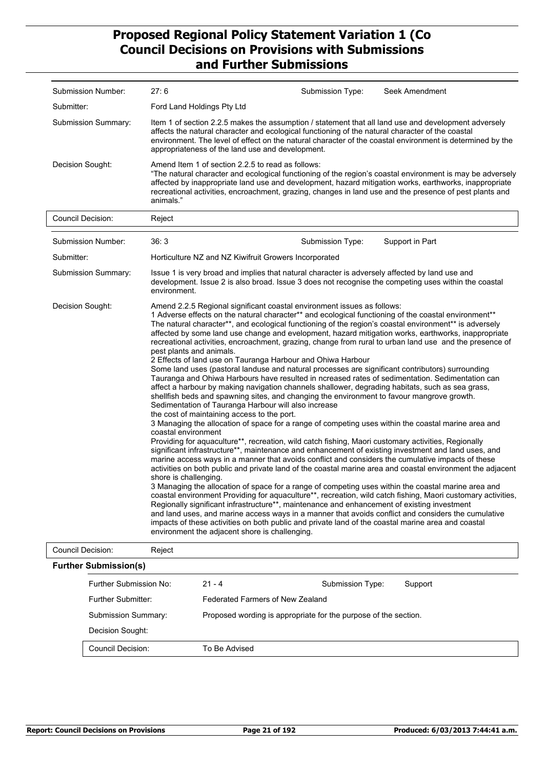| Submission Number:           | 27:6                                                                                                                                                                                                                                                                                                                                                                                                                                                                                                                                                                                                                                                                                                                                                                                                                                                                                                                                                                                                                                                                                                                                                                                                                                                                                                                                                                                                                                                                                                                                                                                                                                                                                                                                                                                                                                                                                                                                                                                                                                                                                                                                                                                                                                                                                                | Submission Type: | Seek Amendment  |
|------------------------------|-----------------------------------------------------------------------------------------------------------------------------------------------------------------------------------------------------------------------------------------------------------------------------------------------------------------------------------------------------------------------------------------------------------------------------------------------------------------------------------------------------------------------------------------------------------------------------------------------------------------------------------------------------------------------------------------------------------------------------------------------------------------------------------------------------------------------------------------------------------------------------------------------------------------------------------------------------------------------------------------------------------------------------------------------------------------------------------------------------------------------------------------------------------------------------------------------------------------------------------------------------------------------------------------------------------------------------------------------------------------------------------------------------------------------------------------------------------------------------------------------------------------------------------------------------------------------------------------------------------------------------------------------------------------------------------------------------------------------------------------------------------------------------------------------------------------------------------------------------------------------------------------------------------------------------------------------------------------------------------------------------------------------------------------------------------------------------------------------------------------------------------------------------------------------------------------------------------------------------------------------------------------------------------------------------|------------------|-----------------|
|                              |                                                                                                                                                                                                                                                                                                                                                                                                                                                                                                                                                                                                                                                                                                                                                                                                                                                                                                                                                                                                                                                                                                                                                                                                                                                                                                                                                                                                                                                                                                                                                                                                                                                                                                                                                                                                                                                                                                                                                                                                                                                                                                                                                                                                                                                                                                     |                  |                 |
| Submitter:                   | Ford Land Holdings Pty Ltd                                                                                                                                                                                                                                                                                                                                                                                                                                                                                                                                                                                                                                                                                                                                                                                                                                                                                                                                                                                                                                                                                                                                                                                                                                                                                                                                                                                                                                                                                                                                                                                                                                                                                                                                                                                                                                                                                                                                                                                                                                                                                                                                                                                                                                                                          |                  |                 |
| Submission Summary:          | Item 1 of section 2.2.5 makes the assumption / statement that all land use and development adversely<br>affects the natural character and ecological functioning of the natural character of the coastal<br>environment. The level of effect on the natural character of the coastal environment is determined by the<br>appropriateness of the land use and development.                                                                                                                                                                                                                                                                                                                                                                                                                                                                                                                                                                                                                                                                                                                                                                                                                                                                                                                                                                                                                                                                                                                                                                                                                                                                                                                                                                                                                                                                                                                                                                                                                                                                                                                                                                                                                                                                                                                           |                  |                 |
| Decision Sought:             | Amend Item 1 of section 2.2.5 to read as follows:<br>"The natural character and ecological functioning of the region's coastal environment is may be adversely<br>affected by inappropriate land use and development, hazard mitigation works, earthworks, inappropriate<br>recreational activities, encroachment, grazing, changes in land use and the presence of pest plants and<br>animals."                                                                                                                                                                                                                                                                                                                                                                                                                                                                                                                                                                                                                                                                                                                                                                                                                                                                                                                                                                                                                                                                                                                                                                                                                                                                                                                                                                                                                                                                                                                                                                                                                                                                                                                                                                                                                                                                                                    |                  |                 |
| <b>Council Decision:</b>     | Reject                                                                                                                                                                                                                                                                                                                                                                                                                                                                                                                                                                                                                                                                                                                                                                                                                                                                                                                                                                                                                                                                                                                                                                                                                                                                                                                                                                                                                                                                                                                                                                                                                                                                                                                                                                                                                                                                                                                                                                                                                                                                                                                                                                                                                                                                                              |                  |                 |
| Submission Number:           | 36:3                                                                                                                                                                                                                                                                                                                                                                                                                                                                                                                                                                                                                                                                                                                                                                                                                                                                                                                                                                                                                                                                                                                                                                                                                                                                                                                                                                                                                                                                                                                                                                                                                                                                                                                                                                                                                                                                                                                                                                                                                                                                                                                                                                                                                                                                                                | Submission Type: | Support in Part |
| Submitter:                   | Horticulture NZ and NZ Kiwifruit Growers Incorporated                                                                                                                                                                                                                                                                                                                                                                                                                                                                                                                                                                                                                                                                                                                                                                                                                                                                                                                                                                                                                                                                                                                                                                                                                                                                                                                                                                                                                                                                                                                                                                                                                                                                                                                                                                                                                                                                                                                                                                                                                                                                                                                                                                                                                                               |                  |                 |
| Submission Summary:          | Issue 1 is very broad and implies that natural character is adversely affected by land use and<br>development. Issue 2 is also broad. Issue 3 does not recognise the competing uses within the coastal<br>environment.                                                                                                                                                                                                                                                                                                                                                                                                                                                                                                                                                                                                                                                                                                                                                                                                                                                                                                                                                                                                                                                                                                                                                                                                                                                                                                                                                                                                                                                                                                                                                                                                                                                                                                                                                                                                                                                                                                                                                                                                                                                                              |                  |                 |
| Decision Sought:             | Amend 2.2.5 Regional significant coastal environment issues as follows:<br>1 Adverse effects on the natural character** and ecological functioning of the coastal environment**<br>The natural character**, and ecological functioning of the region's coastal environment** is adversely<br>affected by some land use change and evelopment, hazard mitigation works, earthworks, inappropriate<br>recreational activities, encroachment, grazing, change from rural to urban land use and the presence of<br>pest plants and animals.<br>2 Effects of land use on Tauranga Harbour and Ohiwa Harbour<br>Some land uses (pastoral landuse and natural processes are significant contributors) surrounding<br>Tauranga and Ohiwa Harbours have resulted in ncreased rates of sedimentation. Sedimentation can<br>affect a harbour by making navigation channels shallower, degrading habitats, such as sea grass,<br>shellfish beds and spawning sites, and changing the environment to favour mangrove growth.<br>Sedimentation of Tauranga Harbour will also increase<br>the cost of maintaining access to the port.<br>3 Managing the allocation of space for a range of competing uses within the coastal marine area and<br>coastal environment<br>Providing for aquaculture**, recreation, wild catch fishing, Maori customary activities, Regionally<br>significant infrastructure**, maintenance and enhancement of existing investment and land uses, and<br>marine access ways in a manner that avoids conflict and considers the cumulative impacts of these<br>activities on both public and private land of the coastal marine area and coastal environment the adjacent<br>shore is challenging.<br>3 Managing the allocation of space for a range of competing uses within the coastal marine area and<br>coastal environment Providing for aquaculture**, recreation, wild catch fishing, Maori customary activities,<br>Regionally significant infrastructure**, maintenance and enhancement of existing investment<br>and land uses, and marine access ways in a manner that avoids conflict and considers the cumulative<br>impacts of these activities on both public and private land of the coastal marine area and coastal<br>environment the adjacent shore is challenging. |                  |                 |
| <b>Council Decision:</b>     | Reject                                                                                                                                                                                                                                                                                                                                                                                                                                                                                                                                                                                                                                                                                                                                                                                                                                                                                                                                                                                                                                                                                                                                                                                                                                                                                                                                                                                                                                                                                                                                                                                                                                                                                                                                                                                                                                                                                                                                                                                                                                                                                                                                                                                                                                                                                              |                  |                 |
| <b>Further Submission(s)</b> |                                                                                                                                                                                                                                                                                                                                                                                                                                                                                                                                                                                                                                                                                                                                                                                                                                                                                                                                                                                                                                                                                                                                                                                                                                                                                                                                                                                                                                                                                                                                                                                                                                                                                                                                                                                                                                                                                                                                                                                                                                                                                                                                                                                                                                                                                                     |                  |                 |

| uivi vuviiliooluitoj       |                                                                 |                  |         |
|----------------------------|-----------------------------------------------------------------|------------------|---------|
| Further Submission No:     | $21 - 4$                                                        | Submission Type: | Support |
| Further Submitter:         | Federated Farmers of New Zealand                                |                  |         |
| <b>Submission Summary:</b> | Proposed wording is appropriate for the purpose of the section. |                  |         |
| Decision Sought:           |                                                                 |                  |         |
| Council Decision:          | To Be Advised                                                   |                  |         |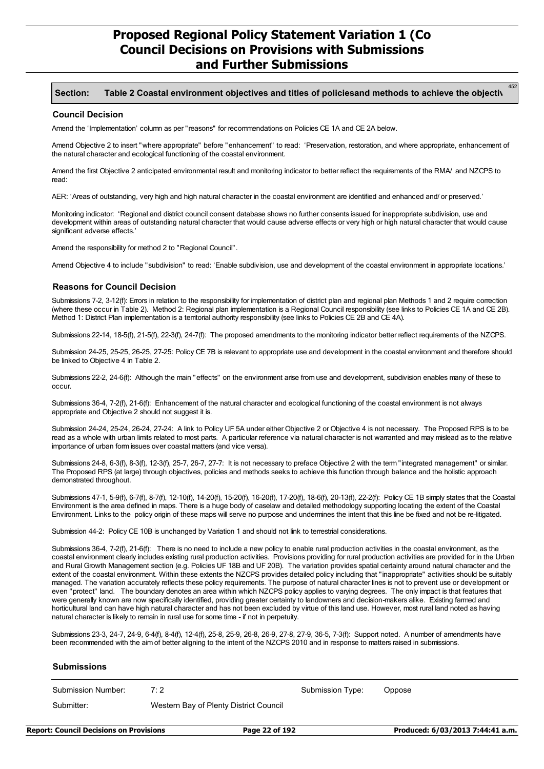#### **Section: Table 2 Coastal environment objectives and titles of policiesand methods to achieve the objectives.**

#### **Council Decision**

Amend the 'Implementation' column as per "reasons" for recommendations on Policies CE 1A and CE 2A below.

Amend Objective 2 to insert "where appropriate" before "enhancement" to read: 'Preservation, restoration, and where appropriate, enhancement of the natural character and ecological functioning of the coastal environment.

Amend the first Objective 2 anticipated environmental result and monitoring indicator to better reflect the requirements of the RMA/ and NZCPS to read:

AER: 'Areas of outstanding, very high and high natural character in the coastal environment are identified and enhanced and/ or preserved.'

Monitoring indicator: 'Regional and district council consent database shows no further consents issued for inappropriate subdivision, use and development within areas of outstanding natural character that would cause adverse effects or very high or high natural character that would cause significant adverse effects.'

Amend the responsibility for method 2 to "Regional Council".

Amend Objective 4 to include "subdivision" to read: 'Enable subdivision, use and development of the coastal environment in appropriate locations.'

#### **Reasons for Council Decision**

Submissions 7-2, 3-12(f): Errors in relation to the responsibility for implementation of district plan and regional plan Methods 1 and 2 require correction (where these occur in Table 2). Method 2: Regional plan implementation is a Regional Council responsibility (see links to Policies CE 1A and CE 2B). Method 1: District Plan implementation is a territorial authority responsibility (see links to Policies CE 2B and CE 4A).

Submissions 22-14, 18-5(f), 21-5(f), 22-3(f), 24-7(f): The proposed amendments to the monitoring indicator better reflect requirements of the NZCPS.

Submission 24-25, 25-25, 26-25, 27-25: Policy CE 7B is relevant to appropriate use and development in the coastal environment and therefore should be linked to Objective 4 in Table 2.

Submissions 22-2, 24-6(f): Although the main "effects" on the environment arise from use and development, subdivision enables many of these to occur.

Submissions 36-4, 7-2(f), 21-6(f): Enhancement of the natural character and ecological functioning of the coastal environment is not always appropriate and Objective 2 should not suggest it is.

Submission 24-24, 25-24, 26-24, 27-24: A link to Policy UF 5A under either Objective 2 or Objective 4 is not necessary. The Proposed RPS is to be read as a whole with urban limits related to most parts. A particular reference via natural character is not warranted and may mislead as to the relative importance of urban form issues over coastal matters (and vice versa).

Submissions 24-8, 6-3(f), 8-3(f), 12-3(f), 25-7, 26-7, 27-7: It is not necessary to preface Objective 2 with the term "integrated management" or similar. The Proposed RPS (at large) through objectives, policies and methods seeks to achieve this function through balance and the holistic approach demonstrated throughout.

Submissions 47-1, 5-9(f), 6-7(f), 8-7(f), 12-10(f), 14-20(f), 15-20(f), 16-20(f), 17-20(f), 18-6(f), 20-13(f), 22-2(f): Policy CE 1B simply states that the Coastal Environment is the area defined in maps. There is a huge body of caselaw and detailed methodology supporting locating the extent of the Coastal Environment. Links to the policy origin of these maps will serve no purpose and undermines the intent that this line be fixed and not be re-litigated.

Submission 44-2: Policy CE 10B is unchanged by Variation 1 and should not link to terrestrial considerations.

Submissions 36-4, 7-2(f), 21-6(f): There is no need to include a new policy to enable rural production activities in the coastal environment, as the coastal environment clearly includes existing rural production activities. Provisions providing for rural production activities are provided for in the Urban and Rural Growth Management section (e.g. Policies UF 18B and UF 20B). The variation provides spatial certainty around natural character and the extent of the coastal environment. Within these extents the NZCPS provides detailed policy including that "inappropriate" activities should be suitably managed. The variation accurately reflects these policy requirements. The purpose of natural character lines is not to prevent use or development or even "protect" land. The boundary denotes an area within which NZCPS policy applies to varying degrees. The only impact is that features that were generally known are now specifically identified, providing greater certainty to landowners and decision-makers alike. Existing farmed and horticultural land can have high natural character and has not been excluded by virtue of this land use. However, most rural land noted as having natural character is likely to remain in rural use for some time - if not in perpetuity.

Submissions 23-3, 24-7, 24-9, 6-4(f), 8-4(f), 12-4(f), 25-8, 25-9, 26-8, 26-9, 27-8, 27-9, 36-5, 7-3(f): Support noted. A number of amendments have been recommended with the aim of better aligning to the intent of the NZCPS 2010 and in response to matters raised in submissions.

#### **Submissions**

| Submission Number: | 7: 2                                   | Submission Type: | Oppose |
|--------------------|----------------------------------------|------------------|--------|
| Submitter:         | Western Bay of Plenty District Council |                  |        |

452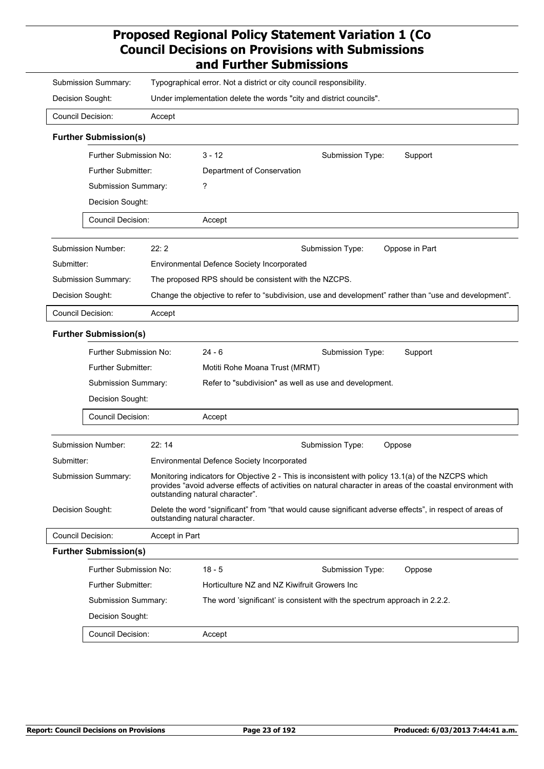| Typographical error. Not a district or city council responsibility.<br>Submission Summary: |                |                                                                                                                                             |                                                                                                                                                                                                                    |  |
|--------------------------------------------------------------------------------------------|----------------|---------------------------------------------------------------------------------------------------------------------------------------------|--------------------------------------------------------------------------------------------------------------------------------------------------------------------------------------------------------------------|--|
| Decision Sought:                                                                           |                | Under implementation delete the words "city and district councils".                                                                         |                                                                                                                                                                                                                    |  |
| <b>Council Decision:</b>                                                                   | Accept         |                                                                                                                                             |                                                                                                                                                                                                                    |  |
| <b>Further Submission(s)</b>                                                               |                |                                                                                                                                             |                                                                                                                                                                                                                    |  |
| Further Submission No:                                                                     |                | $3 - 12$                                                                                                                                    | Support<br>Submission Type:                                                                                                                                                                                        |  |
| Further Submitter:                                                                         |                | Department of Conservation                                                                                                                  |                                                                                                                                                                                                                    |  |
| Submission Summary:                                                                        |                | ?                                                                                                                                           |                                                                                                                                                                                                                    |  |
| Decision Sought:                                                                           |                |                                                                                                                                             |                                                                                                                                                                                                                    |  |
| <b>Council Decision:</b>                                                                   |                | Accept                                                                                                                                      |                                                                                                                                                                                                                    |  |
| Submission Number:                                                                         | 22:2           |                                                                                                                                             | Oppose in Part<br>Submission Type:                                                                                                                                                                                 |  |
| Submitter:                                                                                 |                | <b>Environmental Defence Society Incorporated</b>                                                                                           |                                                                                                                                                                                                                    |  |
| Submission Summary:                                                                        |                |                                                                                                                                             | The proposed RPS should be consistent with the NZCPS.                                                                                                                                                              |  |
| Decision Sought:                                                                           |                |                                                                                                                                             | Change the objective to refer to "subdivision, use and development" rather than "use and development".                                                                                                             |  |
| <b>Council Decision:</b>                                                                   | Accept         |                                                                                                                                             |                                                                                                                                                                                                                    |  |
| <b>Further Submission(s)</b>                                                               |                |                                                                                                                                             |                                                                                                                                                                                                                    |  |
| Further Submission No:                                                                     |                | $24 - 6$                                                                                                                                    | Submission Type:<br>Support                                                                                                                                                                                        |  |
| Further Submitter:                                                                         |                | Motiti Rohe Moana Trust (MRMT)                                                                                                              |                                                                                                                                                                                                                    |  |
| Submission Summary:                                                                        |                |                                                                                                                                             | Refer to "subdivision" as well as use and development.                                                                                                                                                             |  |
| Decision Sought:                                                                           |                |                                                                                                                                             |                                                                                                                                                                                                                    |  |
| <b>Council Decision:</b>                                                                   |                | Accept                                                                                                                                      |                                                                                                                                                                                                                    |  |
| Submission Number:                                                                         | 22:14          |                                                                                                                                             | Submission Type:<br>Oppose                                                                                                                                                                                         |  |
| Submitter:                                                                                 |                | Environmental Defence Society Incorporated                                                                                                  |                                                                                                                                                                                                                    |  |
| Submission Summary:                                                                        |                | outstanding natural character".                                                                                                             | Monitoring indicators for Objective 2 - This is inconsistent with policy 13.1(a) of the NZCPS which<br>provides "avoid adverse effects of activities on natural character in areas of the coastal environment with |  |
| Decision Sought:                                                                           |                | Delete the word "significant" from "that would cause significant adverse effects", in respect of areas of<br>outstanding natural character. |                                                                                                                                                                                                                    |  |
| <b>Council Decision:</b>                                                                   | Accept in Part |                                                                                                                                             |                                                                                                                                                                                                                    |  |
| <b>Further Submission(s)</b>                                                               |                |                                                                                                                                             |                                                                                                                                                                                                                    |  |
| Further Submission No:                                                                     |                | $18 - 5$                                                                                                                                    | Submission Type:<br>Oppose                                                                                                                                                                                         |  |
| Further Submitter:                                                                         |                |                                                                                                                                             | Horticulture NZ and NZ Kiwifruit Growers Inc                                                                                                                                                                       |  |
| Submission Summary:                                                                        |                |                                                                                                                                             | The word 'significant' is consistent with the spectrum approach in 2.2.2.                                                                                                                                          |  |
| Decision Sought:                                                                           |                |                                                                                                                                             |                                                                                                                                                                                                                    |  |
| <b>Council Decision:</b>                                                                   |                | Accept                                                                                                                                      |                                                                                                                                                                                                                    |  |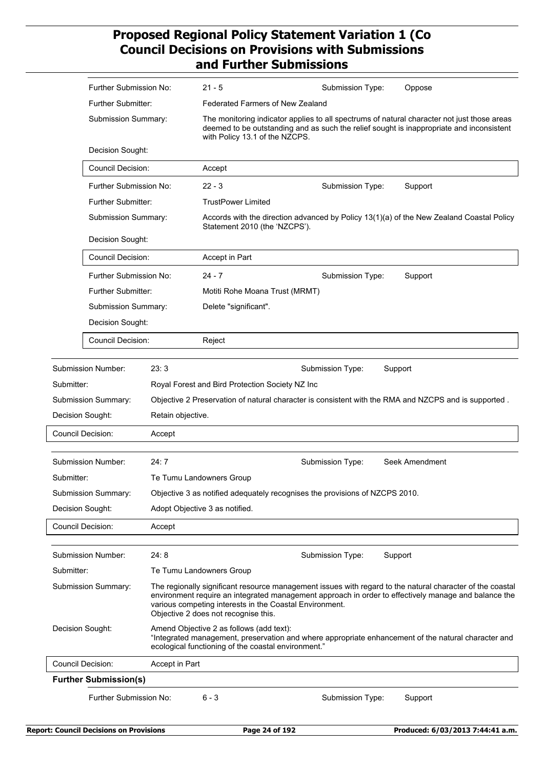|            | Further Submission No:                                                                                                                                                                                                     |                   | 21 - 5                                                                                                                                                                                                                    | Submission Type:                                                            | Oppose                                                                                                                                                                                                            |  |  |
|------------|----------------------------------------------------------------------------------------------------------------------------------------------------------------------------------------------------------------------------|-------------------|---------------------------------------------------------------------------------------------------------------------------------------------------------------------------------------------------------------------------|-----------------------------------------------------------------------------|-------------------------------------------------------------------------------------------------------------------------------------------------------------------------------------------------------------------|--|--|
|            | Further Submitter:                                                                                                                                                                                                         |                   | Federated Farmers of New Zealand                                                                                                                                                                                          |                                                                             |                                                                                                                                                                                                                   |  |  |
|            | Submission Summary:                                                                                                                                                                                                        |                   | The monitoring indicator applies to all spectrums of natural character not just those areas<br>deemed to be outstanding and as such the relief sought is inappropriate and inconsistent<br>with Policy 13.1 of the NZCPS. |                                                                             |                                                                                                                                                                                                                   |  |  |
|            | Decision Sought:                                                                                                                                                                                                           |                   |                                                                                                                                                                                                                           |                                                                             |                                                                                                                                                                                                                   |  |  |
|            | <b>Council Decision:</b>                                                                                                                                                                                                   |                   | Accept                                                                                                                                                                                                                    |                                                                             |                                                                                                                                                                                                                   |  |  |
|            | Further Submission No:                                                                                                                                                                                                     |                   | $22 - 3$                                                                                                                                                                                                                  | Submission Type:<br>Support                                                 |                                                                                                                                                                                                                   |  |  |
|            | Further Submitter:                                                                                                                                                                                                         |                   | <b>TrustPower Limited</b>                                                                                                                                                                                                 |                                                                             |                                                                                                                                                                                                                   |  |  |
|            | Submission Summary:                                                                                                                                                                                                        |                   | Statement 2010 (the 'NZCPS').                                                                                                                                                                                             |                                                                             | Accords with the direction advanced by Policy 13(1)(a) of the New Zealand Coastal Policy                                                                                                                          |  |  |
|            | Decision Sought:                                                                                                                                                                                                           |                   |                                                                                                                                                                                                                           |                                                                             |                                                                                                                                                                                                                   |  |  |
|            | <b>Council Decision:</b>                                                                                                                                                                                                   |                   | Accept in Part                                                                                                                                                                                                            |                                                                             |                                                                                                                                                                                                                   |  |  |
|            | Further Submission No:<br>Further Submitter:<br>Submission Summary:                                                                                                                                                        |                   | $24 - 7$                                                                                                                                                                                                                  | Submission Type:                                                            | Support                                                                                                                                                                                                           |  |  |
|            |                                                                                                                                                                                                                            |                   | Motiti Rohe Moana Trust (MRMT)                                                                                                                                                                                            |                                                                             |                                                                                                                                                                                                                   |  |  |
|            |                                                                                                                                                                                                                            |                   | Delete "significant".                                                                                                                                                                                                     |                                                                             |                                                                                                                                                                                                                   |  |  |
|            | Decision Sought:                                                                                                                                                                                                           |                   |                                                                                                                                                                                                                           |                                                                             |                                                                                                                                                                                                                   |  |  |
|            | Council Decision:                                                                                                                                                                                                          |                   | Reject                                                                                                                                                                                                                    |                                                                             |                                                                                                                                                                                                                   |  |  |
|            | <b>Submission Number:</b>                                                                                                                                                                                                  | 23:3              |                                                                                                                                                                                                                           | Submission Type:                                                            | Support                                                                                                                                                                                                           |  |  |
| Submitter: |                                                                                                                                                                                                                            |                   | Royal Forest and Bird Protection Society NZ Inc                                                                                                                                                                           |                                                                             |                                                                                                                                                                                                                   |  |  |
|            | Submission Summary:                                                                                                                                                                                                        |                   |                                                                                                                                                                                                                           |                                                                             | Objective 2 Preservation of natural character is consistent with the RMA and NZCPS and is supported.                                                                                                              |  |  |
|            | Decision Sought:                                                                                                                                                                                                           | Retain objective. |                                                                                                                                                                                                                           |                                                                             |                                                                                                                                                                                                                   |  |  |
|            | Council Decision:                                                                                                                                                                                                          | Accept            |                                                                                                                                                                                                                           |                                                                             |                                                                                                                                                                                                                   |  |  |
|            | Submission Number:                                                                                                                                                                                                         | 24:7              |                                                                                                                                                                                                                           | Submission Type:                                                            | Seek Amendment                                                                                                                                                                                                    |  |  |
| Submitter: |                                                                                                                                                                                                                            |                   | Te Tumu Landowners Group                                                                                                                                                                                                  |                                                                             |                                                                                                                                                                                                                   |  |  |
|            | Submission Summary:                                                                                                                                                                                                        |                   |                                                                                                                                                                                                                           | Objective 3 as notified adequately recognises the provisions of NZCPS 2010. |                                                                                                                                                                                                                   |  |  |
|            | Decision Sought:                                                                                                                                                                                                           |                   | Adopt Objective 3 as notified.                                                                                                                                                                                            |                                                                             |                                                                                                                                                                                                                   |  |  |
|            | Council Decision:                                                                                                                                                                                                          | Accept            |                                                                                                                                                                                                                           |                                                                             |                                                                                                                                                                                                                   |  |  |
|            | <b>Submission Number:</b>                                                                                                                                                                                                  | 24:8              |                                                                                                                                                                                                                           | Submission Type:                                                            | Support                                                                                                                                                                                                           |  |  |
| Submitter: |                                                                                                                                                                                                                            |                   | Te Tumu Landowners Group                                                                                                                                                                                                  |                                                                             |                                                                                                                                                                                                                   |  |  |
|            | Submission Summary:                                                                                                                                                                                                        |                   | various competing interests in the Coastal Environment.<br>Objective 2 does not recognise this.                                                                                                                           |                                                                             | The regionally significant resource management issues with regard to the natural character of the coastal<br>environment require an integrated management approach in order to effectively manage and balance the |  |  |
|            | Decision Sought:<br>Amend Objective 2 as follows (add text):<br>"Integrated management, preservation and where appropriate enhancement of the natural character and<br>ecological functioning of the coastal environment." |                   |                                                                                                                                                                                                                           |                                                                             |                                                                                                                                                                                                                   |  |  |
|            | <b>Council Decision:</b>                                                                                                                                                                                                   | Accept in Part    |                                                                                                                                                                                                                           |                                                                             |                                                                                                                                                                                                                   |  |  |
|            | <b>Further Submission(s)</b>                                                                                                                                                                                               |                   |                                                                                                                                                                                                                           |                                                                             |                                                                                                                                                                                                                   |  |  |
|            | Further Submission No:                                                                                                                                                                                                     |                   | $6 - 3$                                                                                                                                                                                                                   | Submission Type:                                                            | Support                                                                                                                                                                                                           |  |  |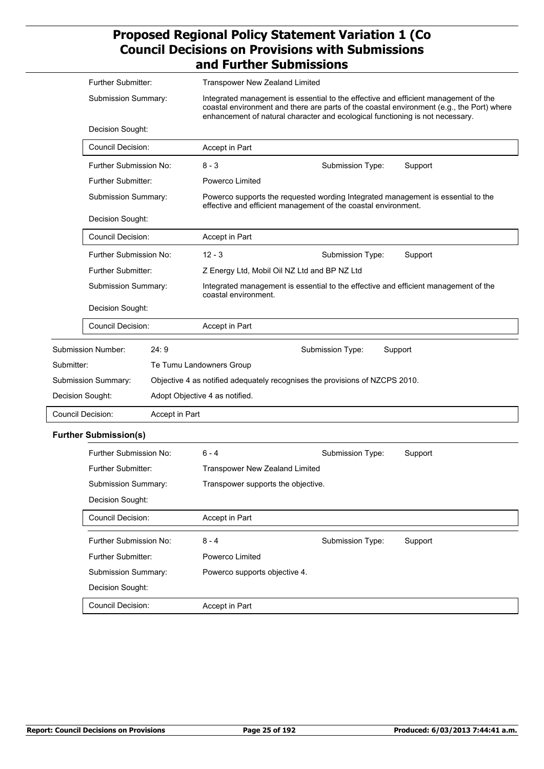|                   | <b>Further Submitter:</b>                                            |                | <b>Transpower New Zealand Limited</b>                                                                                                                                                                                                                             |                                                                                                                                                    |         |
|-------------------|----------------------------------------------------------------------|----------------|-------------------------------------------------------------------------------------------------------------------------------------------------------------------------------------------------------------------------------------------------------------------|----------------------------------------------------------------------------------------------------------------------------------------------------|---------|
|                   | Submission Summary:                                                  |                | Integrated management is essential to the effective and efficient management of the<br>coastal environment and there are parts of the coastal environment (e.g., the Port) where<br>enhancement of natural character and ecological functioning is not necessary. |                                                                                                                                                    |         |
|                   | Decision Sought:                                                     |                |                                                                                                                                                                                                                                                                   |                                                                                                                                                    |         |
|                   | <b>Council Decision:</b>                                             |                | Accept in Part                                                                                                                                                                                                                                                    |                                                                                                                                                    |         |
|                   | Further Submission No:                                               |                | $8 - 3$                                                                                                                                                                                                                                                           | Submission Type:                                                                                                                                   | Support |
|                   | Further Submitter:                                                   |                | Powerco Limited                                                                                                                                                                                                                                                   |                                                                                                                                                    |         |
|                   | Submission Summary:                                                  |                |                                                                                                                                                                                                                                                                   | Powerco supports the requested wording Integrated management is essential to the<br>effective and efficient management of the coastal environment. |         |
|                   | Decision Sought:                                                     |                |                                                                                                                                                                                                                                                                   |                                                                                                                                                    |         |
|                   | <b>Council Decision:</b>                                             |                | Accept in Part                                                                                                                                                                                                                                                    |                                                                                                                                                    |         |
|                   | Further Submission No:                                               |                | $12 - 3$                                                                                                                                                                                                                                                          | Submission Type:                                                                                                                                   | Support |
|                   | Further Submitter:<br>Submission Summary:<br>Decision Sought:        |                | Z Energy Ltd, Mobil Oil NZ Ltd and BP NZ Ltd<br>Integrated management is essential to the effective and efficient management of the<br>coastal environment.                                                                                                       |                                                                                                                                                    |         |
|                   |                                                                      |                |                                                                                                                                                                                                                                                                   |                                                                                                                                                    |         |
|                   |                                                                      |                |                                                                                                                                                                                                                                                                   |                                                                                                                                                    |         |
|                   | Council Decision:                                                    |                | Accept in Part                                                                                                                                                                                                                                                    |                                                                                                                                                    |         |
|                   | Submission Number:                                                   | 24:9           |                                                                                                                                                                                                                                                                   | Submission Type:                                                                                                                                   | Support |
| Submitter:        |                                                                      |                | Te Tumu Landowners Group                                                                                                                                                                                                                                          |                                                                                                                                                    |         |
|                   | Submission Summary:                                                  |                |                                                                                                                                                                                                                                                                   | Objective 4 as notified adequately recognises the provisions of NZCPS 2010.                                                                        |         |
| Decision Sought:  |                                                                      |                | Adopt Objective 4 as notified.                                                                                                                                                                                                                                    |                                                                                                                                                    |         |
| Council Decision: |                                                                      | Accept in Part |                                                                                                                                                                                                                                                                   |                                                                                                                                                    |         |
|                   | <b>Further Submission(s)</b>                                         |                |                                                                                                                                                                                                                                                                   |                                                                                                                                                    |         |
|                   | Further Submission No:                                               |                | 6 - 4                                                                                                                                                                                                                                                             | Submission Type:                                                                                                                                   | Support |
|                   | <b>Further Submitter:</b><br>Submission Summary:<br>Decision Sought: |                | <b>Transpower New Zealand Limited</b><br>Transpower supports the objective.                                                                                                                                                                                       |                                                                                                                                                    |         |
|                   |                                                                      |                |                                                                                                                                                                                                                                                                   |                                                                                                                                                    |         |
|                   |                                                                      |                |                                                                                                                                                                                                                                                                   |                                                                                                                                                    |         |
|                   | Council Decision:                                                    |                | Accept in Part                                                                                                                                                                                                                                                    |                                                                                                                                                    |         |
|                   | Further Submission No:                                               |                | $8 - 4$                                                                                                                                                                                                                                                           | Submission Type:                                                                                                                                   | Support |
|                   | Further Submitter:                                                   |                | Powerco Limited                                                                                                                                                                                                                                                   |                                                                                                                                                    |         |
|                   | Submission Summary:                                                  |                | Powerco supports objective 4.                                                                                                                                                                                                                                     |                                                                                                                                                    |         |

Decision Sought: Council Decision: Accept in Part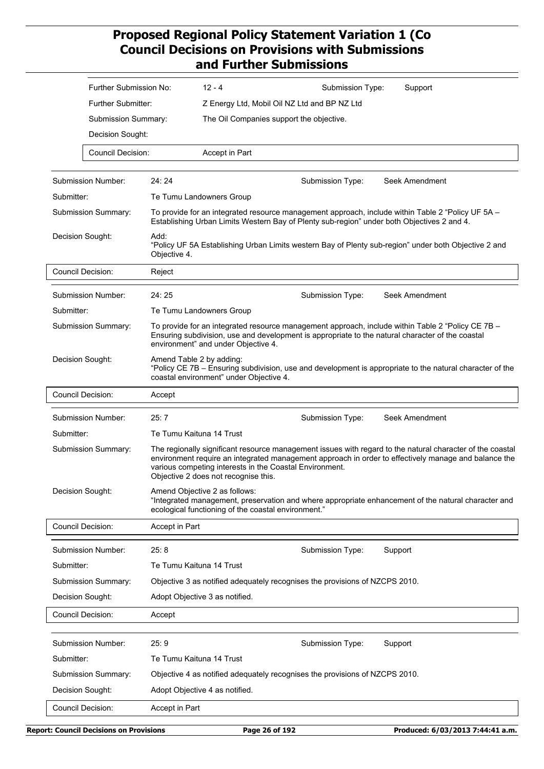|                                                                                                                                                                                                                        | Further Submission No:             |                                                                                                                                                                                                                                              | $12 - 4$                                                                                        | Submission Type: | Support                                                                                                                                                                                                           |  |
|------------------------------------------------------------------------------------------------------------------------------------------------------------------------------------------------------------------------|------------------------------------|----------------------------------------------------------------------------------------------------------------------------------------------------------------------------------------------------------------------------------------------|-------------------------------------------------------------------------------------------------|------------------|-------------------------------------------------------------------------------------------------------------------------------------------------------------------------------------------------------------------|--|
|                                                                                                                                                                                                                        | <b>Further Submitter:</b>          |                                                                                                                                                                                                                                              | Z Energy Ltd, Mobil Oil NZ Ltd and BP NZ Ltd                                                    |                  |                                                                                                                                                                                                                   |  |
|                                                                                                                                                                                                                        | Submission Summary:                |                                                                                                                                                                                                                                              | The Oil Companies support the objective.                                                        |                  |                                                                                                                                                                                                                   |  |
| Decision Sought:                                                                                                                                                                                                       |                                    |                                                                                                                                                                                                                                              |                                                                                                 |                  |                                                                                                                                                                                                                   |  |
|                                                                                                                                                                                                                        | <b>Council Decision:</b>           |                                                                                                                                                                                                                                              | Accept in Part                                                                                  |                  |                                                                                                                                                                                                                   |  |
|                                                                                                                                                                                                                        |                                    |                                                                                                                                                                                                                                              |                                                                                                 |                  |                                                                                                                                                                                                                   |  |
|                                                                                                                                                                                                                        | Submission Number:                 | 24:24                                                                                                                                                                                                                                        |                                                                                                 | Submission Type: | Seek Amendment                                                                                                                                                                                                    |  |
| Submitter:                                                                                                                                                                                                             |                                    |                                                                                                                                                                                                                                              | Te Tumu Landowners Group                                                                        |                  |                                                                                                                                                                                                                   |  |
| Submission Summary:<br>To provide for an integrated resource management approach, include within Table 2 "Policy UF 5A -<br>Establishing Urban Limits Western Bay of Plenty sub-region" under both Objectives 2 and 4. |                                    |                                                                                                                                                                                                                                              |                                                                                                 |                  |                                                                                                                                                                                                                   |  |
|                                                                                                                                                                                                                        | Decision Sought:                   | Add:<br>"Policy UF 5A Establishing Urban Limits western Bay of Plenty sub-region" under both Objective 2 and<br>Objective 4.                                                                                                                 |                                                                                                 |                  |                                                                                                                                                                                                                   |  |
|                                                                                                                                                                                                                        | <b>Council Decision:</b><br>Reject |                                                                                                                                                                                                                                              |                                                                                                 |                  |                                                                                                                                                                                                                   |  |
|                                                                                                                                                                                                                        | Submission Number:                 | 24:25                                                                                                                                                                                                                                        |                                                                                                 | Submission Type: | Seek Amendment                                                                                                                                                                                                    |  |
| Submitter:                                                                                                                                                                                                             |                                    |                                                                                                                                                                                                                                              | Te Tumu Landowners Group                                                                        |                  |                                                                                                                                                                                                                   |  |
|                                                                                                                                                                                                                        | <b>Submission Summary:</b>         | To provide for an integrated resource management approach, include within Table 2 "Policy CE 7B -<br>Ensuring subdivision, use and development is appropriate to the natural character of the coastal<br>environment" and under Objective 4. |                                                                                                 |                  |                                                                                                                                                                                                                   |  |
|                                                                                                                                                                                                                        | Decision Sought:                   | Amend Table 2 by adding:<br>"Policy CE 7B - Ensuring subdivision, use and development is appropriate to the natural character of the<br>coastal environment" under Objective 4.                                                              |                                                                                                 |                  |                                                                                                                                                                                                                   |  |
|                                                                                                                                                                                                                        | <b>Council Decision:</b>           | Accept                                                                                                                                                                                                                                       |                                                                                                 |                  |                                                                                                                                                                                                                   |  |
|                                                                                                                                                                                                                        | Submission Number:                 | 25:7                                                                                                                                                                                                                                         |                                                                                                 | Submission Type: | Seek Amendment                                                                                                                                                                                                    |  |
| Submitter:                                                                                                                                                                                                             |                                    | Te Tumu Kaituna 14 Trust                                                                                                                                                                                                                     |                                                                                                 |                  |                                                                                                                                                                                                                   |  |
|                                                                                                                                                                                                                        | Submission Summary:                |                                                                                                                                                                                                                                              | various competing interests in the Coastal Environment.<br>Objective 2 does not recognise this. |                  | The regionally significant resource management issues with regard to the natural character of the coastal<br>environment require an integrated management approach in order to effectively manage and balance the |  |
|                                                                                                                                                                                                                        | Decision Sought:                   | Amend Objective 2 as follows:<br>"Integrated management, preservation and where appropriate enhancement of the natural character and<br>ecological functioning of the coastal environment."                                                  |                                                                                                 |                  |                                                                                                                                                                                                                   |  |
|                                                                                                                                                                                                                        | Council Decision:                  | Accept in Part                                                                                                                                                                                                                               |                                                                                                 |                  |                                                                                                                                                                                                                   |  |
|                                                                                                                                                                                                                        | <b>Submission Number:</b>          | 25:8                                                                                                                                                                                                                                         |                                                                                                 | Submission Type: | Support                                                                                                                                                                                                           |  |
| Submitter:                                                                                                                                                                                                             |                                    | Te Tumu Kaituna 14 Trust                                                                                                                                                                                                                     |                                                                                                 |                  |                                                                                                                                                                                                                   |  |
|                                                                                                                                                                                                                        | Submission Summary:                |                                                                                                                                                                                                                                              | Objective 3 as notified adequately recognises the provisions of NZCPS 2010.                     |                  |                                                                                                                                                                                                                   |  |
|                                                                                                                                                                                                                        | Decision Sought:                   |                                                                                                                                                                                                                                              | Adopt Objective 3 as notified.                                                                  |                  |                                                                                                                                                                                                                   |  |
|                                                                                                                                                                                                                        | <b>Council Decision:</b>           | Accept                                                                                                                                                                                                                                       |                                                                                                 |                  |                                                                                                                                                                                                                   |  |
|                                                                                                                                                                                                                        |                                    |                                                                                                                                                                                                                                              |                                                                                                 |                  |                                                                                                                                                                                                                   |  |
|                                                                                                                                                                                                                        | <b>Submission Number:</b>          | 25:9                                                                                                                                                                                                                                         |                                                                                                 | Submission Type: | Support                                                                                                                                                                                                           |  |
| Submitter:                                                                                                                                                                                                             |                                    | Te Tumu Kaituna 14 Trust                                                                                                                                                                                                                     |                                                                                                 |                  |                                                                                                                                                                                                                   |  |
|                                                                                                                                                                                                                        | Submission Summary:                |                                                                                                                                                                                                                                              | Objective 4 as notified adequately recognises the provisions of NZCPS 2010.                     |                  |                                                                                                                                                                                                                   |  |
|                                                                                                                                                                                                                        | Decision Sought:                   |                                                                                                                                                                                                                                              | Adopt Objective 4 as notified.                                                                  |                  |                                                                                                                                                                                                                   |  |
|                                                                                                                                                                                                                        | Council Decision:                  | Accept in Part                                                                                                                                                                                                                               |                                                                                                 |                  |                                                                                                                                                                                                                   |  |
|                                                                                                                                                                                                                        |                                    |                                                                                                                                                                                                                                              |                                                                                                 |                  |                                                                                                                                                                                                                   |  |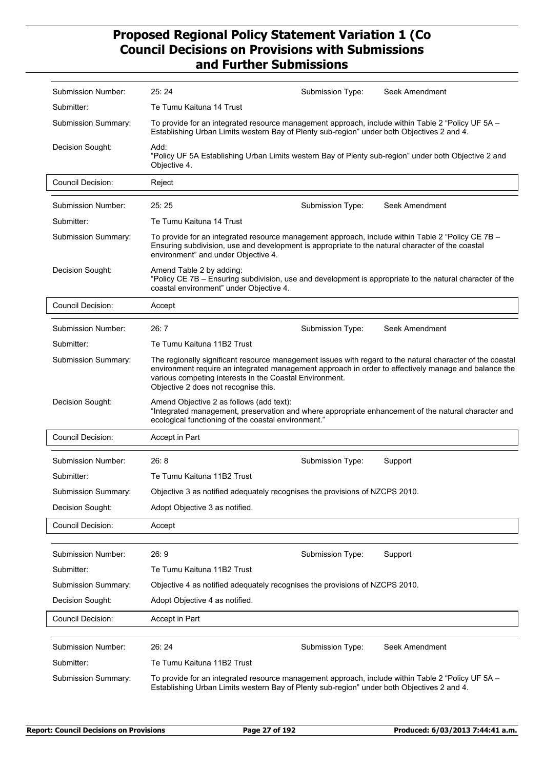| Submission Number:        | 25:24                                                                                                                                                                                                                                        | Submission Type: | Seek Amendment                                                                                                                                                                                                    |
|---------------------------|----------------------------------------------------------------------------------------------------------------------------------------------------------------------------------------------------------------------------------------------|------------------|-------------------------------------------------------------------------------------------------------------------------------------------------------------------------------------------------------------------|
| Submitter:                | Te Tumu Kaituna 14 Trust                                                                                                                                                                                                                     |                  |                                                                                                                                                                                                                   |
| Submission Summary:       | To provide for an integrated resource management approach, include within Table 2 "Policy UF 5A -<br>Establishing Urban Limits western Bay of Plenty sub-region" under both Objectives 2 and 4.                                              |                  |                                                                                                                                                                                                                   |
| Decision Sought:          | Add:<br>"Policy UF 5A Establishing Urban Limits western Bay of Plenty sub-region" under both Objective 2 and<br>Objective 4.                                                                                                                 |                  |                                                                                                                                                                                                                   |
| <b>Council Decision:</b>  | Reject                                                                                                                                                                                                                                       |                  |                                                                                                                                                                                                                   |
| Submission Number:        | 25:25                                                                                                                                                                                                                                        | Submission Type: | Seek Amendment                                                                                                                                                                                                    |
| Submitter:                | Te Tumu Kaituna 14 Trust                                                                                                                                                                                                                     |                  |                                                                                                                                                                                                                   |
| Submission Summary:       | To provide for an integrated resource management approach, include within Table 2 "Policy CE 7B -<br>Ensuring subdivision, use and development is appropriate to the natural character of the coastal<br>environment" and under Objective 4. |                  |                                                                                                                                                                                                                   |
| Decision Sought:          | Amend Table 2 by adding:<br>coastal environment" under Objective 4.                                                                                                                                                                          |                  | "Policy CE 7B - Ensuring subdivision, use and development is appropriate to the natural character of the                                                                                                          |
| Council Decision:         | Accept                                                                                                                                                                                                                                       |                  |                                                                                                                                                                                                                   |
| Submission Number:        | 26:7                                                                                                                                                                                                                                         | Submission Type: | Seek Amendment                                                                                                                                                                                                    |
| Submitter:                | Te Tumu Kaituna 11B2 Trust                                                                                                                                                                                                                   |                  |                                                                                                                                                                                                                   |
| Submission Summary:       | various competing interests in the Coastal Environment.<br>Objective 2 does not recognise this.                                                                                                                                              |                  | The regionally significant resource management issues with regard to the natural character of the coastal<br>environment require an integrated management approach in order to effectively manage and balance the |
| Decision Sought:          | Amend Objective 2 as follows (add text):<br>ecological functioning of the coastal environment."                                                                                                                                              |                  | "Integrated management, preservation and where appropriate enhancement of the natural character and                                                                                                               |
| <b>Council Decision:</b>  | Accept in Part                                                                                                                                                                                                                               |                  |                                                                                                                                                                                                                   |
| <b>Submission Number:</b> | 26:8                                                                                                                                                                                                                                         | Submission Type: | Support                                                                                                                                                                                                           |
| Submitter:                | Te Tumu Kaituna 11B2 Trust                                                                                                                                                                                                                   |                  |                                                                                                                                                                                                                   |
| Submission Summary:       | Objective 3 as notified adequately recognises the provisions of NZCPS 2010.                                                                                                                                                                  |                  |                                                                                                                                                                                                                   |
| Decision Sought:          | Adopt Objective 3 as notified.                                                                                                                                                                                                               |                  |                                                                                                                                                                                                                   |
| <b>Council Decision:</b>  | Accept                                                                                                                                                                                                                                       |                  |                                                                                                                                                                                                                   |
|                           |                                                                                                                                                                                                                                              |                  |                                                                                                                                                                                                                   |
| Submission Number:        | 26:9                                                                                                                                                                                                                                         | Submission Type: | Support                                                                                                                                                                                                           |
| Submitter:                | Te Tumu Kaituna 11B2 Trust                                                                                                                                                                                                                   |                  |                                                                                                                                                                                                                   |
| Submission Summary:       | Objective 4 as notified adequately recognises the provisions of NZCPS 2010.                                                                                                                                                                  |                  |                                                                                                                                                                                                                   |
| Decision Sought:          | Adopt Objective 4 as notified.                                                                                                                                                                                                               |                  |                                                                                                                                                                                                                   |
| Council Decision:         | Accept in Part                                                                                                                                                                                                                               |                  |                                                                                                                                                                                                                   |
| <b>Submission Number:</b> | 26:24                                                                                                                                                                                                                                        | Submission Type: | Seek Amendment                                                                                                                                                                                                    |
| Submitter:                | Te Tumu Kaituna 11B2 Trust                                                                                                                                                                                                                   |                  |                                                                                                                                                                                                                   |
| Submission Summary:       | To provide for an integrated resource management approach, include within Table 2 "Policy UF 5A -<br>Establishing Urban Limits western Bay of Plenty sub-region" under both Objectives 2 and 4.                                              |                  |                                                                                                                                                                                                                   |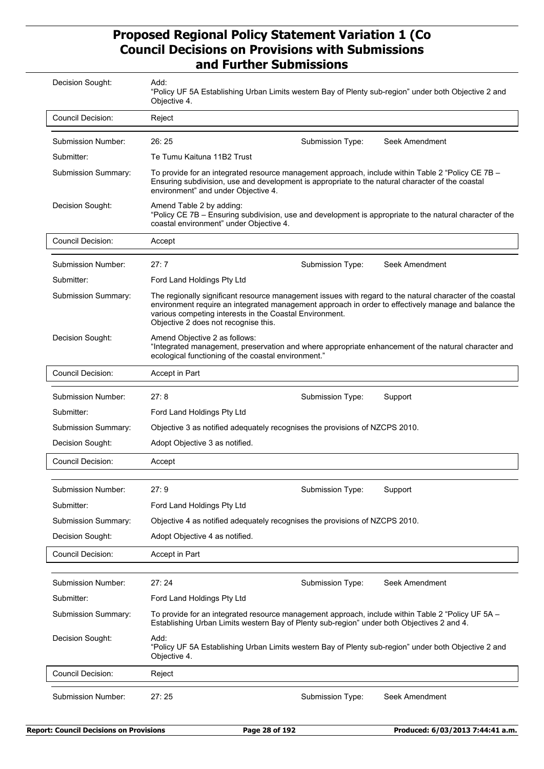| Decision Sought:          | Add:<br>"Policy UF 5A Establishing Urban Limits western Bay of Plenty sub-region" under both Objective 2 and<br>Objective 4.                                                                                                                 |                  |                                                                                                                                                                                                                   |  |
|---------------------------|----------------------------------------------------------------------------------------------------------------------------------------------------------------------------------------------------------------------------------------------|------------------|-------------------------------------------------------------------------------------------------------------------------------------------------------------------------------------------------------------------|--|
| <b>Council Decision:</b>  | Reject                                                                                                                                                                                                                                       |                  |                                                                                                                                                                                                                   |  |
| Submission Number:        | 26:25                                                                                                                                                                                                                                        | Submission Type: | Seek Amendment                                                                                                                                                                                                    |  |
| Submitter:                | Te Tumu Kaituna 11B2 Trust                                                                                                                                                                                                                   |                  |                                                                                                                                                                                                                   |  |
| Submission Summary:       | To provide for an integrated resource management approach, include within Table 2 "Policy CE 7B -<br>Ensuring subdivision, use and development is appropriate to the natural character of the coastal<br>environment" and under Objective 4. |                  |                                                                                                                                                                                                                   |  |
| Decision Sought:          | Amend Table 2 by adding:<br>"Policy CE 7B - Ensuring subdivision, use and development is appropriate to the natural character of the<br>coastal environment" under Objective 4.                                                              |                  |                                                                                                                                                                                                                   |  |
| <b>Council Decision:</b>  | Accept                                                                                                                                                                                                                                       |                  |                                                                                                                                                                                                                   |  |
| Submission Number:        | 27:7                                                                                                                                                                                                                                         | Submission Type: | Seek Amendment                                                                                                                                                                                                    |  |
| Submitter:                | Ford Land Holdings Pty Ltd                                                                                                                                                                                                                   |                  |                                                                                                                                                                                                                   |  |
| Submission Summary:       | various competing interests in the Coastal Environment.<br>Objective 2 does not recognise this.                                                                                                                                              |                  | The regionally significant resource management issues with regard to the natural character of the coastal<br>environment require an integrated management approach in order to effectively manage and balance the |  |
| Decision Sought:          | Amend Objective 2 as follows:<br>"Integrated management, preservation and where appropriate enhancement of the natural character and<br>ecological functioning of the coastal environment."                                                  |                  |                                                                                                                                                                                                                   |  |
| Council Decision:         | Accept in Part                                                                                                                                                                                                                               |                  |                                                                                                                                                                                                                   |  |
| Submission Number:        | 27:8                                                                                                                                                                                                                                         | Submission Type: | Support                                                                                                                                                                                                           |  |
| Submitter:                | Ford Land Holdings Pty Ltd                                                                                                                                                                                                                   |                  |                                                                                                                                                                                                                   |  |
| Submission Summary:       | Objective 3 as notified adequately recognises the provisions of NZCPS 2010.                                                                                                                                                                  |                  |                                                                                                                                                                                                                   |  |
| Decision Sought:          | Adopt Objective 3 as notified.                                                                                                                                                                                                               |                  |                                                                                                                                                                                                                   |  |
| <b>Council Decision:</b>  | Accept                                                                                                                                                                                                                                       |                  |                                                                                                                                                                                                                   |  |
| <b>Submission Number:</b> | 27:9                                                                                                                                                                                                                                         | Submission Type: | Support                                                                                                                                                                                                           |  |
| Submitter:                | Ford Land Holdings Pty Ltd                                                                                                                                                                                                                   |                  |                                                                                                                                                                                                                   |  |
| Submission Summary:       | Objective 4 as notified adequately recognises the provisions of NZCPS 2010.                                                                                                                                                                  |                  |                                                                                                                                                                                                                   |  |
| Decision Sought:          | Adopt Objective 4 as notified.                                                                                                                                                                                                               |                  |                                                                                                                                                                                                                   |  |
| Council Decision:         | Accept in Part                                                                                                                                                                                                                               |                  |                                                                                                                                                                                                                   |  |
|                           |                                                                                                                                                                                                                                              |                  |                                                                                                                                                                                                                   |  |
| <b>Submission Number:</b> | 27:24                                                                                                                                                                                                                                        | Submission Type: | Seek Amendment                                                                                                                                                                                                    |  |
| Submitter:                | Ford Land Holdings Pty Ltd                                                                                                                                                                                                                   |                  |                                                                                                                                                                                                                   |  |
|                           |                                                                                                                                                                                                                                              |                  |                                                                                                                                                                                                                   |  |
| Submission Summary:       | To provide for an integrated resource management approach, include within Table 2 "Policy UF 5A -<br>Establishing Urban Limits western Bay of Plenty sub-region" under both Objectives 2 and 4.                                              |                  |                                                                                                                                                                                                                   |  |
| Decision Sought:          | Add:<br>"Policy UF 5A Establishing Urban Limits western Bay of Plenty sub-region" under both Objective 2 and<br>Objective 4.                                                                                                                 |                  |                                                                                                                                                                                                                   |  |
| <b>Council Decision:</b>  | Reject                                                                                                                                                                                                                                       |                  |                                                                                                                                                                                                                   |  |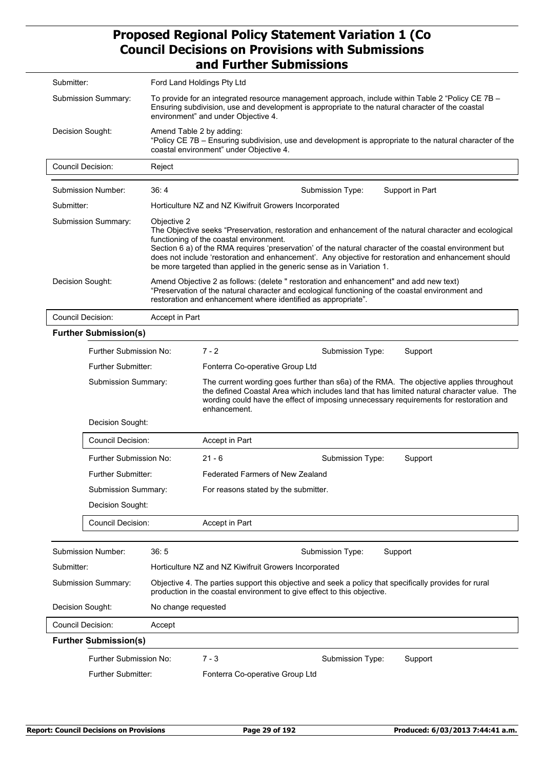| Submitter: |                                                                                                                                                                                                                                                                                 | Ford Land Holdings Pty Ltd                                                                                                                                                                                                                                                                                                                                                                                                                                   |  |  |  |  |
|------------|---------------------------------------------------------------------------------------------------------------------------------------------------------------------------------------------------------------------------------------------------------------------------------|--------------------------------------------------------------------------------------------------------------------------------------------------------------------------------------------------------------------------------------------------------------------------------------------------------------------------------------------------------------------------------------------------------------------------------------------------------------|--|--|--|--|
|            | Submission Summary:                                                                                                                                                                                                                                                             | To provide for an integrated resource management approach, include within Table 2 "Policy CE 7B -<br>Ensuring subdivision, use and development is appropriate to the natural character of the coastal<br>environment" and under Objective 4.                                                                                                                                                                                                                 |  |  |  |  |
|            | Decision Sought:                                                                                                                                                                                                                                                                | Amend Table 2 by adding:<br>"Policy CE 7B - Ensuring subdivision, use and development is appropriate to the natural character of the<br>coastal environment" under Objective 4.                                                                                                                                                                                                                                                                              |  |  |  |  |
|            | Council Decision:                                                                                                                                                                                                                                                               | Reject                                                                                                                                                                                                                                                                                                                                                                                                                                                       |  |  |  |  |
|            | <b>Submission Number:</b>                                                                                                                                                                                                                                                       | 36:4<br>Support in Part<br>Submission Type:                                                                                                                                                                                                                                                                                                                                                                                                                  |  |  |  |  |
| Submitter: |                                                                                                                                                                                                                                                                                 | Horticulture NZ and NZ Kiwifruit Growers Incorporated                                                                                                                                                                                                                                                                                                                                                                                                        |  |  |  |  |
|            | Submission Summary:                                                                                                                                                                                                                                                             | Objective 2<br>The Objective seeks "Preservation, restoration and enhancement of the natural character and ecological<br>functioning of the coastal environment.<br>Section 6 a) of the RMA requires 'preservation' of the natural character of the coastal environment but<br>does not include 'restoration and enhancement'. Any objective for restoration and enhancement should<br>be more targeted than applied in the generic sense as in Variation 1. |  |  |  |  |
|            | Decision Sought:<br>Amend Objective 2 as follows: (delete " restoration and enhancement" and add new text)<br>"Preservation of the natural character and ecological functioning of the coastal environment and<br>restoration and enhancement where identified as appropriate". |                                                                                                                                                                                                                                                                                                                                                                                                                                                              |  |  |  |  |
|            | <b>Council Decision:</b>                                                                                                                                                                                                                                                        | Accept in Part                                                                                                                                                                                                                                                                                                                                                                                                                                               |  |  |  |  |
|            | <b>Further Submission(s)</b>                                                                                                                                                                                                                                                    |                                                                                                                                                                                                                                                                                                                                                                                                                                                              |  |  |  |  |
|            | Further Submission No:                                                                                                                                                                                                                                                          | $7 - 2$<br>Submission Type:<br>Support                                                                                                                                                                                                                                                                                                                                                                                                                       |  |  |  |  |
|            | Further Submitter:                                                                                                                                                                                                                                                              | Fonterra Co-operative Group Ltd                                                                                                                                                                                                                                                                                                                                                                                                                              |  |  |  |  |
|            | Submission Summary:                                                                                                                                                                                                                                                             | The current wording goes further than s6a) of the RMA. The objective applies throughout<br>the defined Coastal Area which includes land that has limited natural character value. The<br>wording could have the effect of imposing unnecessary requirements for restoration and<br>enhancement.                                                                                                                                                              |  |  |  |  |
|            | Decision Sought:                                                                                                                                                                                                                                                                |                                                                                                                                                                                                                                                                                                                                                                                                                                                              |  |  |  |  |
|            | <b>Council Decision:</b>                                                                                                                                                                                                                                                        | Accept in Part                                                                                                                                                                                                                                                                                                                                                                                                                                               |  |  |  |  |
|            | Further Submission No:                                                                                                                                                                                                                                                          | $21 - 6$<br>Submission Type:<br>Support                                                                                                                                                                                                                                                                                                                                                                                                                      |  |  |  |  |
|            | Further Submitter:                                                                                                                                                                                                                                                              | <b>Federated Farmers of New Zealand</b>                                                                                                                                                                                                                                                                                                                                                                                                                      |  |  |  |  |
|            | Submission Summary:                                                                                                                                                                                                                                                             | For reasons stated by the submitter.                                                                                                                                                                                                                                                                                                                                                                                                                         |  |  |  |  |
|            | Decision Sought:                                                                                                                                                                                                                                                                |                                                                                                                                                                                                                                                                                                                                                                                                                                                              |  |  |  |  |
|            | <b>Council Decision:</b>                                                                                                                                                                                                                                                        | Accept in Part                                                                                                                                                                                                                                                                                                                                                                                                                                               |  |  |  |  |
|            | Submission Number:                                                                                                                                                                                                                                                              | 36:5<br>Submission Type:<br>Support                                                                                                                                                                                                                                                                                                                                                                                                                          |  |  |  |  |
| Submitter: |                                                                                                                                                                                                                                                                                 | Horticulture NZ and NZ Kiwifruit Growers Incorporated                                                                                                                                                                                                                                                                                                                                                                                                        |  |  |  |  |
|            | Submission Summary:                                                                                                                                                                                                                                                             | Objective 4. The parties support this objective and seek a policy that specifically provides for rural<br>production in the coastal environment to give effect to this objective.                                                                                                                                                                                                                                                                            |  |  |  |  |
|            | Decision Sought:                                                                                                                                                                                                                                                                | No change requested                                                                                                                                                                                                                                                                                                                                                                                                                                          |  |  |  |  |
|            | <b>Council Decision:</b>                                                                                                                                                                                                                                                        | Accept                                                                                                                                                                                                                                                                                                                                                                                                                                                       |  |  |  |  |
|            | <b>Further Submission(s)</b>                                                                                                                                                                                                                                                    |                                                                                                                                                                                                                                                                                                                                                                                                                                                              |  |  |  |  |
|            |                                                                                                                                                                                                                                                                                 |                                                                                                                                                                                                                                                                                                                                                                                                                                                              |  |  |  |  |
|            | Further Submission No:                                                                                                                                                                                                                                                          | $7 - 3$<br>Support<br>Submission Type:                                                                                                                                                                                                                                                                                                                                                                                                                       |  |  |  |  |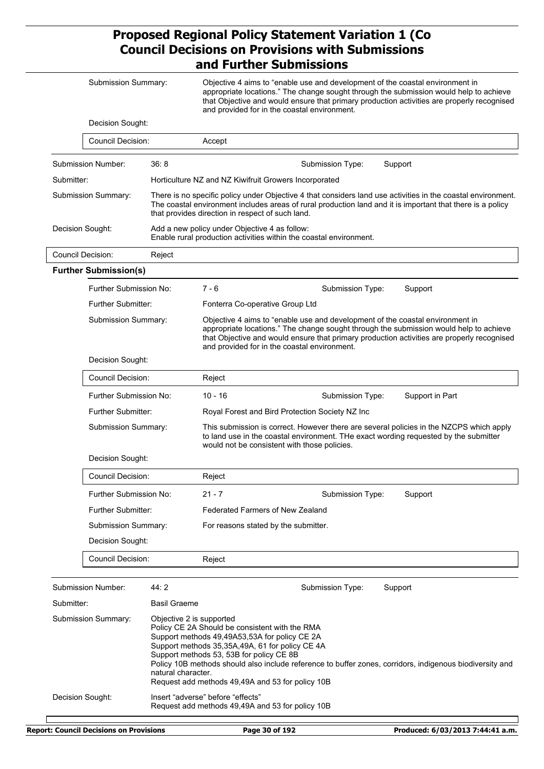|                            | Submission Summary:                       |                                                                                                                                                                                                                                                                                | Objective 4 aims to "enable use and development of the coastal environment in<br>appropriate locations." The change sought through the submission would help to achieve<br>that Objective and would ensure that primary production activities are properly recognised<br>and provided for in the coastal environment.                                                                                            |  |  |  |
|----------------------------|-------------------------------------------|--------------------------------------------------------------------------------------------------------------------------------------------------------------------------------------------------------------------------------------------------------------------------------|------------------------------------------------------------------------------------------------------------------------------------------------------------------------------------------------------------------------------------------------------------------------------------------------------------------------------------------------------------------------------------------------------------------|--|--|--|
|                            | Decision Sought:                          |                                                                                                                                                                                                                                                                                |                                                                                                                                                                                                                                                                                                                                                                                                                  |  |  |  |
|                            | Council Decision:                         |                                                                                                                                                                                                                                                                                | Accept                                                                                                                                                                                                                                                                                                                                                                                                           |  |  |  |
| Submission Number:<br>36:8 |                                           |                                                                                                                                                                                                                                                                                | Submission Type:<br>Support                                                                                                                                                                                                                                                                                                                                                                                      |  |  |  |
|                            | Submitter:                                |                                                                                                                                                                                                                                                                                | Horticulture NZ and NZ Kiwifruit Growers Incorporated                                                                                                                                                                                                                                                                                                                                                            |  |  |  |
| Submission Summary:        |                                           | There is no specific policy under Objective 4 that considers land use activities in the coastal environment.<br>The coastal environment includes areas of rural production land and it is important that there is a policy<br>that provides direction in respect of such land. |                                                                                                                                                                                                                                                                                                                                                                                                                  |  |  |  |
|                            | Decision Sought:                          |                                                                                                                                                                                                                                                                                | Add a new policy under Objective 4 as follow:<br>Enable rural production activities within the coastal environment.                                                                                                                                                                                                                                                                                              |  |  |  |
|                            | Council Decision:                         | Reject                                                                                                                                                                                                                                                                         |                                                                                                                                                                                                                                                                                                                                                                                                                  |  |  |  |
|                            | <b>Further Submission(s)</b>              |                                                                                                                                                                                                                                                                                |                                                                                                                                                                                                                                                                                                                                                                                                                  |  |  |  |
|                            | Further Submission No:                    |                                                                                                                                                                                                                                                                                | $7 - 6$<br>Submission Type:<br>Support                                                                                                                                                                                                                                                                                                                                                                           |  |  |  |
|                            | <b>Further Submitter:</b>                 |                                                                                                                                                                                                                                                                                | Fonterra Co-operative Group Ltd                                                                                                                                                                                                                                                                                                                                                                                  |  |  |  |
|                            | Submission Summary:                       |                                                                                                                                                                                                                                                                                | Objective 4 aims to "enable use and development of the coastal environment in<br>appropriate locations." The change sought through the submission would help to achieve<br>that Objective and would ensure that primary production activities are properly recognised<br>and provided for in the coastal environment.                                                                                            |  |  |  |
|                            | Decision Sought:                          |                                                                                                                                                                                                                                                                                |                                                                                                                                                                                                                                                                                                                                                                                                                  |  |  |  |
|                            | Council Decision:                         |                                                                                                                                                                                                                                                                                | Reject                                                                                                                                                                                                                                                                                                                                                                                                           |  |  |  |
|                            | Further Submission No:                    |                                                                                                                                                                                                                                                                                | $10 - 16$<br>Submission Type:<br>Support in Part                                                                                                                                                                                                                                                                                                                                                                 |  |  |  |
|                            | Further Submitter:<br>Submission Summary: |                                                                                                                                                                                                                                                                                | Royal Forest and Bird Protection Society NZ Inc                                                                                                                                                                                                                                                                                                                                                                  |  |  |  |
|                            |                                           |                                                                                                                                                                                                                                                                                | This submission is correct. However there are several policies in the NZCPS which apply<br>to land use in the coastal environment. The exact wording requested by the submitter<br>would not be consistent with those policies.                                                                                                                                                                                  |  |  |  |
|                            | Decision Sought:                          |                                                                                                                                                                                                                                                                                |                                                                                                                                                                                                                                                                                                                                                                                                                  |  |  |  |
|                            | Council Decision:                         |                                                                                                                                                                                                                                                                                | Reject                                                                                                                                                                                                                                                                                                                                                                                                           |  |  |  |
|                            | Further Submission No:                    |                                                                                                                                                                                                                                                                                | $21 - 7$<br>Submission Type:<br>Support                                                                                                                                                                                                                                                                                                                                                                          |  |  |  |
|                            | Further Submitter:                        |                                                                                                                                                                                                                                                                                | Federated Farmers of New Zealand                                                                                                                                                                                                                                                                                                                                                                                 |  |  |  |
|                            | Submission Summary:                       |                                                                                                                                                                                                                                                                                | For reasons stated by the submitter.                                                                                                                                                                                                                                                                                                                                                                             |  |  |  |
|                            | Decision Sought:                          |                                                                                                                                                                                                                                                                                |                                                                                                                                                                                                                                                                                                                                                                                                                  |  |  |  |
|                            | Council Decision:                         |                                                                                                                                                                                                                                                                                | Reject                                                                                                                                                                                                                                                                                                                                                                                                           |  |  |  |
|                            |                                           |                                                                                                                                                                                                                                                                                |                                                                                                                                                                                                                                                                                                                                                                                                                  |  |  |  |
|                            | Submission Number:                        | 44:2<br><b>Basil Graeme</b>                                                                                                                                                                                                                                                    | Support<br>Submission Type:                                                                                                                                                                                                                                                                                                                                                                                      |  |  |  |
|                            | Submitter:                                |                                                                                                                                                                                                                                                                                |                                                                                                                                                                                                                                                                                                                                                                                                                  |  |  |  |
| Submission Summary:        |                                           |                                                                                                                                                                                                                                                                                | Objective 2 is supported<br>Policy CE 2A Should be consistent with the RMA<br>Support methods 49,49A53,53A for policy CE 2A<br>Support methods 35,35A,49A, 61 for policy CE 4A<br>Support methods 53, 53B for policy CE 8B<br>Policy 10B methods should also include reference to buffer zones, corridors, indigenous biodiversity and<br>natural character.<br>Request add methods 49,49A and 53 for policy 10B |  |  |  |
| Decision Sought:           |                                           |                                                                                                                                                                                                                                                                                | lnsert "adverse" before "effects"<br>Request add methods 49,49A and 53 for policy 10B                                                                                                                                                                                                                                                                                                                            |  |  |  |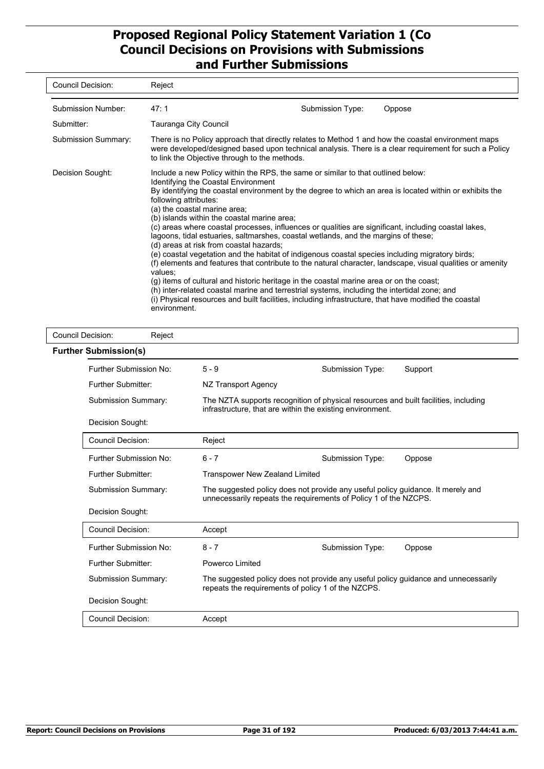| Council Decision:   | Reject                                                                                                                                                                                                                                                                                                                                                                                                                                                                                                                                                                                                                                                                                                                                                                                                                                                                                                                                                                                                                                                                                                                              |                  |        |
|---------------------|-------------------------------------------------------------------------------------------------------------------------------------------------------------------------------------------------------------------------------------------------------------------------------------------------------------------------------------------------------------------------------------------------------------------------------------------------------------------------------------------------------------------------------------------------------------------------------------------------------------------------------------------------------------------------------------------------------------------------------------------------------------------------------------------------------------------------------------------------------------------------------------------------------------------------------------------------------------------------------------------------------------------------------------------------------------------------------------------------------------------------------------|------------------|--------|
| Submission Number:  | 47:1                                                                                                                                                                                                                                                                                                                                                                                                                                                                                                                                                                                                                                                                                                                                                                                                                                                                                                                                                                                                                                                                                                                                | Submission Type: | Oppose |
| Submitter:          | Tauranga City Council                                                                                                                                                                                                                                                                                                                                                                                                                                                                                                                                                                                                                                                                                                                                                                                                                                                                                                                                                                                                                                                                                                               |                  |        |
| Submission Summary: | There is no Policy approach that directly relates to Method 1 and how the coastal environment maps<br>were developed/designed based upon technical analysis. There is a clear requirement for such a Policy<br>to link the Objective through to the methods.                                                                                                                                                                                                                                                                                                                                                                                                                                                                                                                                                                                                                                                                                                                                                                                                                                                                        |                  |        |
| Decision Sought:    | Include a new Policy within the RPS, the same or similar to that outlined below:<br>Identifying the Coastal Environment<br>By identifying the coastal environment by the degree to which an area is located within or exhibits the<br>following attributes:<br>(a) the coastal marine area;<br>(b) islands within the coastal marine area;<br>(c) areas where coastal processes, influences or qualities are significant, including coastal lakes,<br>lagoons, tidal estuaries, saltmarshes, coastal wetlands, and the margins of these;<br>(d) areas at risk from coastal hazards;<br>(e) coastal vegetation and the habitat of indigenous coastal species including migratory birds;<br>(f) elements and features that contribute to the natural character, landscape, visual qualities or amenity<br>values:<br>(g) items of cultural and historic heritage in the coastal marine area or on the coast;<br>(h) inter-related coastal marine and terrestrial systems, including the intertidal zone; and<br>(i) Physical resources and built facilities, including infrastructure, that have modified the coastal<br>environment. |                  |        |

| <b>Council Decision:</b> | Reject                                                                                                                                                          |                                                                                                                                                     |                  |         |  |  |
|--------------------------|-----------------------------------------------------------------------------------------------------------------------------------------------------------------|-----------------------------------------------------------------------------------------------------------------------------------------------------|------------------|---------|--|--|
|                          | <b>Further Submission(s)</b>                                                                                                                                    |                                                                                                                                                     |                  |         |  |  |
|                          | Further Submission No:                                                                                                                                          | $5 - 9$                                                                                                                                             | Submission Type: | Support |  |  |
|                          | Further Submitter:                                                                                                                                              | NZ Transport Agency                                                                                                                                 |                  |         |  |  |
|                          | <b>Submission Summary:</b>                                                                                                                                      | The NZTA supports recognition of physical resources and built facilities, including<br>infrastructure, that are within the existing environment.    |                  |         |  |  |
|                          | Decision Sought:                                                                                                                                                |                                                                                                                                                     |                  |         |  |  |
|                          | Council Decision:                                                                                                                                               | Reject                                                                                                                                              |                  |         |  |  |
|                          | Further Submission No:                                                                                                                                          | $6 - 7$                                                                                                                                             | Submission Type: | Oppose  |  |  |
|                          | <b>Further Submitter:</b>                                                                                                                                       | <b>Transpower New Zealand Limited</b>                                                                                                               |                  |         |  |  |
|                          | <b>Submission Summary:</b>                                                                                                                                      | The suggested policy does not provide any useful policy guidance. It merely and<br>unnecessarily repeats the requirements of Policy 1 of the NZCPS. |                  |         |  |  |
|                          | Decision Sought:                                                                                                                                                |                                                                                                                                                     |                  |         |  |  |
|                          | Council Decision:                                                                                                                                               | Accept                                                                                                                                              |                  |         |  |  |
|                          | Further Submission No:                                                                                                                                          | $8 - 7$                                                                                                                                             | Submission Type: | Oppose  |  |  |
|                          | <b>Further Submitter:</b>                                                                                                                                       | Powerco Limited                                                                                                                                     |                  |         |  |  |
|                          | Submission Summary:<br>The suggested policy does not provide any useful policy guidance and unnecessarily<br>repeats the requirements of policy 1 of the NZCPS. |                                                                                                                                                     |                  |         |  |  |
|                          | Decision Sought:                                                                                                                                                |                                                                                                                                                     |                  |         |  |  |
|                          | Council Decision:                                                                                                                                               | Accept                                                                                                                                              |                  |         |  |  |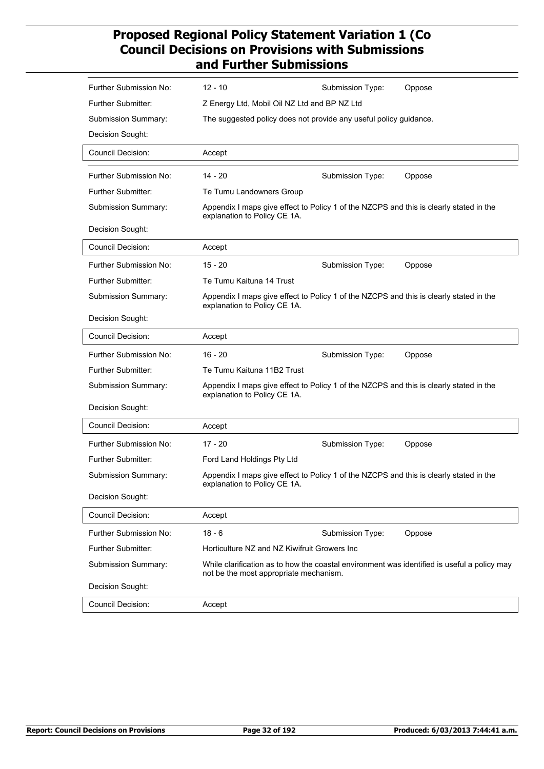| Further Submission No:    | $12 - 10$                                                                                                                             | Submission Type:                                                                       | Oppose |  |  |  |
|---------------------------|---------------------------------------------------------------------------------------------------------------------------------------|----------------------------------------------------------------------------------------|--------|--|--|--|
| <b>Further Submitter:</b> |                                                                                                                                       | Z Energy Ltd, Mobil Oil NZ Ltd and BP NZ Ltd                                           |        |  |  |  |
| Submission Summary:       | The suggested policy does not provide any useful policy guidance.                                                                     |                                                                                        |        |  |  |  |
| Decision Sought:          |                                                                                                                                       |                                                                                        |        |  |  |  |
| <b>Council Decision:</b>  | Accept                                                                                                                                |                                                                                        |        |  |  |  |
| Further Submission No:    | 14 - 20                                                                                                                               | Submission Type:                                                                       | Oppose |  |  |  |
| <b>Further Submitter:</b> | Te Tumu Landowners Group                                                                                                              |                                                                                        |        |  |  |  |
| Submission Summary:       | explanation to Policy CE 1A.                                                                                                          | Appendix I maps give effect to Policy 1 of the NZCPS and this is clearly stated in the |        |  |  |  |
| Decision Sought:          |                                                                                                                                       |                                                                                        |        |  |  |  |
| <b>Council Decision:</b>  | Accept                                                                                                                                |                                                                                        |        |  |  |  |
| Further Submission No:    | $15 - 20$                                                                                                                             | Submission Type:                                                                       | Oppose |  |  |  |
| <b>Further Submitter:</b> | Te Tumu Kaituna 14 Trust                                                                                                              |                                                                                        |        |  |  |  |
| Submission Summary:       | Appendix I maps give effect to Policy 1 of the NZCPS and this is clearly stated in the<br>explanation to Policy CE 1A.                |                                                                                        |        |  |  |  |
| Decision Sought:          |                                                                                                                                       |                                                                                        |        |  |  |  |
| <b>Council Decision:</b>  | Accept                                                                                                                                |                                                                                        |        |  |  |  |
| Further Submission No:    | $16 - 20$                                                                                                                             | Submission Type:                                                                       | Oppose |  |  |  |
| <b>Further Submitter:</b> | Te Tumu Kaituna 11B2 Trust                                                                                                            |                                                                                        |        |  |  |  |
| Submission Summary:       | Appendix I maps give effect to Policy 1 of the NZCPS and this is clearly stated in the<br>explanation to Policy CE 1A.                |                                                                                        |        |  |  |  |
| Decision Sought:          |                                                                                                                                       |                                                                                        |        |  |  |  |
| <b>Council Decision:</b>  | Accept                                                                                                                                |                                                                                        |        |  |  |  |
| Further Submission No:    | $17 - 20$                                                                                                                             | Submission Type:                                                                       | Oppose |  |  |  |
| Further Submitter:        | Ford Land Holdings Pty Ltd                                                                                                            |                                                                                        |        |  |  |  |
| Submission Summary:       | Appendix I maps give effect to Policy 1 of the NZCPS and this is clearly stated in the<br>explanation to Policy CE 1A.                |                                                                                        |        |  |  |  |
| Decision Sought:          |                                                                                                                                       |                                                                                        |        |  |  |  |
| <b>Council Decision:</b>  | Accept                                                                                                                                |                                                                                        |        |  |  |  |
| Further Submission No:    | $18 - 6$                                                                                                                              | Submission Type:                                                                       | Oppose |  |  |  |
| Further Submitter:        | Horticulture NZ and NZ Kiwifruit Growers Inc                                                                                          |                                                                                        |        |  |  |  |
| Submission Summary:       | While clarification as to how the coastal environment was identified is useful a policy may<br>not be the most appropriate mechanism. |                                                                                        |        |  |  |  |
| Decision Sought:          |                                                                                                                                       |                                                                                        |        |  |  |  |
| Council Decision:         | Accept                                                                                                                                |                                                                                        |        |  |  |  |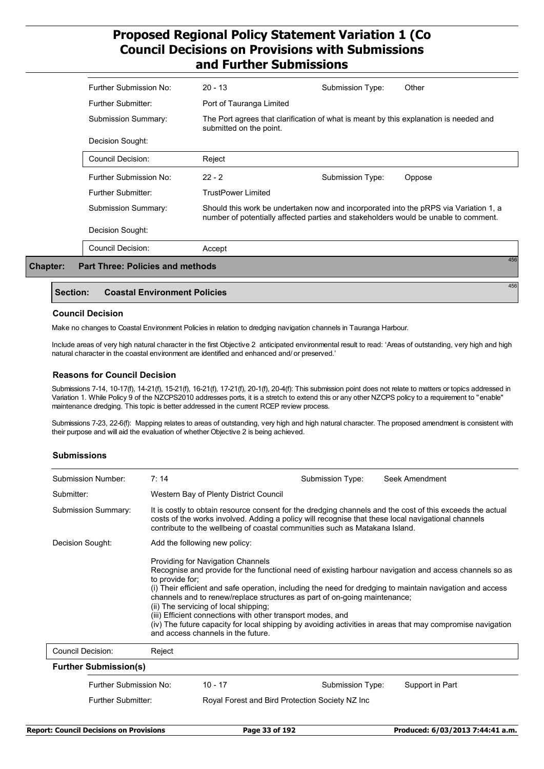| Further Submission No:                         | $20 - 13$                                                                                                                                                                   | Submission Type: | Other  |
|------------------------------------------------|-----------------------------------------------------------------------------------------------------------------------------------------------------------------------------|------------------|--------|
| Further Submitter:                             | Port of Tauranga Limited                                                                                                                                                    |                  |        |
| Submission Summary:                            | The Port agrees that clarification of what is meant by this explanation is needed and<br>submitted on the point.                                                            |                  |        |
| Decision Sought:                               |                                                                                                                                                                             |                  |        |
| Council Decision:                              | Reject                                                                                                                                                                      |                  |        |
| Further Submission No:                         | $22 - 2$                                                                                                                                                                    | Submission Type: | Oppose |
| Further Submitter:                             | <b>TrustPower Limited</b>                                                                                                                                                   |                  |        |
| Submission Summary:                            | Should this work be undertaken now and incorporated into the pRPS via Variation 1, a<br>number of potentially affected parties and stakeholders would be unable to comment. |                  |        |
| Decision Sought:                               |                                                                                                                                                                             |                  |        |
| <b>Council Decision:</b>                       | Accept                                                                                                                                                                      |                  |        |
| 456<br><b>Part Three: Policies and methods</b> |                                                                                                                                                                             |                  |        |

#### **Section: Coastal Environment Policies**

#### **Council Decision**

**Chapter:** 

Make no changes to Coastal Environment Policies in relation to dredging navigation channels in Tauranga Harbour.

Include areas of very high natural character in the first Objective 2 anticipated environmental result to read: 'Areas of outstanding, very high and high natural character in the coastal environment are identified and enhanced and/ or preserved.'

#### **Reasons for Council Decision**

Submissions 7-14, 10-17(f), 14-21(f), 15-21(f), 16-21(f), 17-21(f), 20-1(f), 20-4(f): This submission point does not relate to matters or topics addressed in Variation 1. While Policy 9 of the NZCPS2010 addresses ports, it is a stretch to extend this or any other NZCPS policy to a requirement to "enable" maintenance dredging. This topic is better addressed in the current RCEP review process.

Submissions 7-23, 22-6(f): Mapping relates to areas of outstanding, very high and high natural character. The proposed amendment is consistent with their purpose and will aid the evaluation of whether Objective 2 is being achieved.

#### **Submissions**

| Submission Number:           | 7:14                                                                                                                                                                                                                                                                                                                                                                                                                                                                                                                                                                                                                        |                                                                                                                                                                                                                                                                                                | Submission Type: | Seek Amendment  |  |
|------------------------------|-----------------------------------------------------------------------------------------------------------------------------------------------------------------------------------------------------------------------------------------------------------------------------------------------------------------------------------------------------------------------------------------------------------------------------------------------------------------------------------------------------------------------------------------------------------------------------------------------------------------------------|------------------------------------------------------------------------------------------------------------------------------------------------------------------------------------------------------------------------------------------------------------------------------------------------|------------------|-----------------|--|
| Submitter:                   |                                                                                                                                                                                                                                                                                                                                                                                                                                                                                                                                                                                                                             | Western Bay of Plenty District Council                                                                                                                                                                                                                                                         |                  |                 |  |
| <b>Submission Summary:</b>   |                                                                                                                                                                                                                                                                                                                                                                                                                                                                                                                                                                                                                             | It is costly to obtain resource consent for the dredging channels and the cost of this exceeds the actual<br>costs of the works involved. Adding a policy will recognise that these local navigational channels<br>contribute to the wellbeing of coastal communities such as Matakana Island. |                  |                 |  |
| Decision Sought:             |                                                                                                                                                                                                                                                                                                                                                                                                                                                                                                                                                                                                                             | Add the following new policy:                                                                                                                                                                                                                                                                  |                  |                 |  |
|                              | <b>Providing for Navigation Channels</b><br>Recognise and provide for the functional need of existing harbour navigation and access channels so as<br>to provide for;<br>(i) Their efficient and safe operation, including the need for dredging to maintain navigation and access<br>channels and to renew/replace structures as part of on-going maintenance;<br>(ii) The servicing of local shipping;<br>(iii) Efficient connections with other transport modes, and<br>(iv) The future capacity for local shipping by avoiding activities in areas that may compromise navigation<br>and access channels in the future. |                                                                                                                                                                                                                                                                                                |                  |                 |  |
| Council Decision:            | Reject                                                                                                                                                                                                                                                                                                                                                                                                                                                                                                                                                                                                                      |                                                                                                                                                                                                                                                                                                |                  |                 |  |
| <b>Further Submission(s)</b> |                                                                                                                                                                                                                                                                                                                                                                                                                                                                                                                                                                                                                             |                                                                                                                                                                                                                                                                                                |                  |                 |  |
| Further Submission No:       |                                                                                                                                                                                                                                                                                                                                                                                                                                                                                                                                                                                                                             | $10 - 17$                                                                                                                                                                                                                                                                                      | Submission Type: | Support in Part |  |
| <b>Further Submitter:</b>    |                                                                                                                                                                                                                                                                                                                                                                                                                                                                                                                                                                                                                             | Royal Forest and Bird Protection Society NZ Inc                                                                                                                                                                                                                                                |                  |                 |  |

456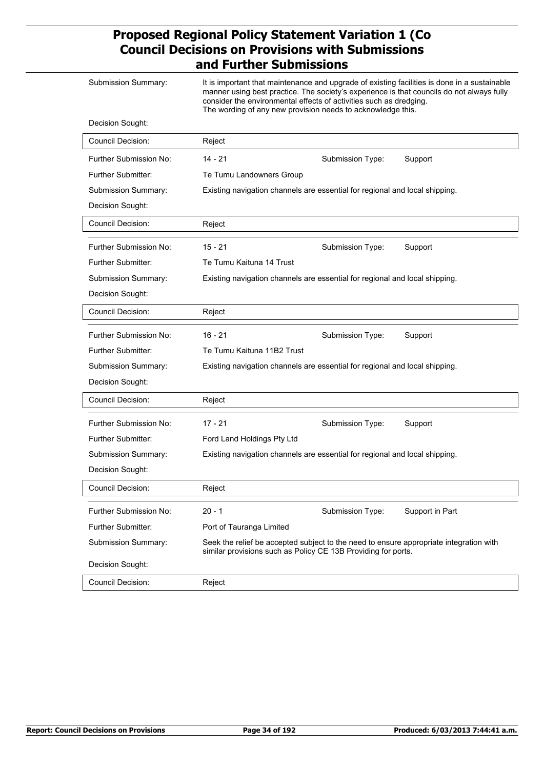| Submission Summary:       | It is important that maintenance and upgrade of existing facilities is done in a sustainable<br>manner using best practice. The society's experience is that councils do not always fully<br>consider the environmental effects of activities such as dredging.<br>The wording of any new provision needs to acknowledge this. |                  |                 |  |
|---------------------------|--------------------------------------------------------------------------------------------------------------------------------------------------------------------------------------------------------------------------------------------------------------------------------------------------------------------------------|------------------|-----------------|--|
| Decision Sought:          |                                                                                                                                                                                                                                                                                                                                |                  |                 |  |
| Council Decision:         | Reject                                                                                                                                                                                                                                                                                                                         |                  |                 |  |
| Further Submission No:    | $14 - 21$                                                                                                                                                                                                                                                                                                                      | Submission Type: | Support         |  |
| <b>Further Submitter:</b> | Te Tumu Landowners Group                                                                                                                                                                                                                                                                                                       |                  |                 |  |
| Submission Summary:       | Existing navigation channels are essential for regional and local shipping.                                                                                                                                                                                                                                                    |                  |                 |  |
| Decision Sought:          |                                                                                                                                                                                                                                                                                                                                |                  |                 |  |
| <b>Council Decision:</b>  | Reject                                                                                                                                                                                                                                                                                                                         |                  |                 |  |
| Further Submission No:    | $15 - 21$                                                                                                                                                                                                                                                                                                                      | Submission Type: | Support         |  |
| <b>Further Submitter:</b> | Te Tumu Kaituna 14 Trust                                                                                                                                                                                                                                                                                                       |                  |                 |  |
| Submission Summary:       | Existing navigation channels are essential for regional and local shipping.                                                                                                                                                                                                                                                    |                  |                 |  |
| Decision Sought:          |                                                                                                                                                                                                                                                                                                                                |                  |                 |  |
| Council Decision:         | Reject                                                                                                                                                                                                                                                                                                                         |                  |                 |  |
| Further Submission No:    | $16 - 21$                                                                                                                                                                                                                                                                                                                      | Submission Type: | Support         |  |
| Further Submitter:        | Te Tumu Kaituna 11B2 Trust                                                                                                                                                                                                                                                                                                     |                  |                 |  |
| Submission Summary:       | Existing navigation channels are essential for regional and local shipping.                                                                                                                                                                                                                                                    |                  |                 |  |
| Decision Sought:          |                                                                                                                                                                                                                                                                                                                                |                  |                 |  |
| Council Decision:         | Reject                                                                                                                                                                                                                                                                                                                         |                  |                 |  |
| Further Submission No:    | $17 - 21$                                                                                                                                                                                                                                                                                                                      | Submission Type: | Support         |  |
| Further Submitter:        | Ford Land Holdings Pty Ltd                                                                                                                                                                                                                                                                                                     |                  |                 |  |
| Submission Summary:       | Existing navigation channels are essential for regional and local shipping.                                                                                                                                                                                                                                                    |                  |                 |  |
| Decision Sought:          |                                                                                                                                                                                                                                                                                                                                |                  |                 |  |
| <b>Council Decision:</b>  | Reject                                                                                                                                                                                                                                                                                                                         |                  |                 |  |
| Further Submission No:    | $20 - 1$                                                                                                                                                                                                                                                                                                                       | Submission Type: | Support in Part |  |
| <b>Further Submitter:</b> | Port of Tauranga Limited                                                                                                                                                                                                                                                                                                       |                  |                 |  |
| Submission Summary:       | Seek the relief be accepted subject to the need to ensure appropriate integration with<br>similar provisions such as Policy CE 13B Providing for ports.                                                                                                                                                                        |                  |                 |  |
| Decision Sought:          |                                                                                                                                                                                                                                                                                                                                |                  |                 |  |
| Council Decision:         | Reject                                                                                                                                                                                                                                                                                                                         |                  |                 |  |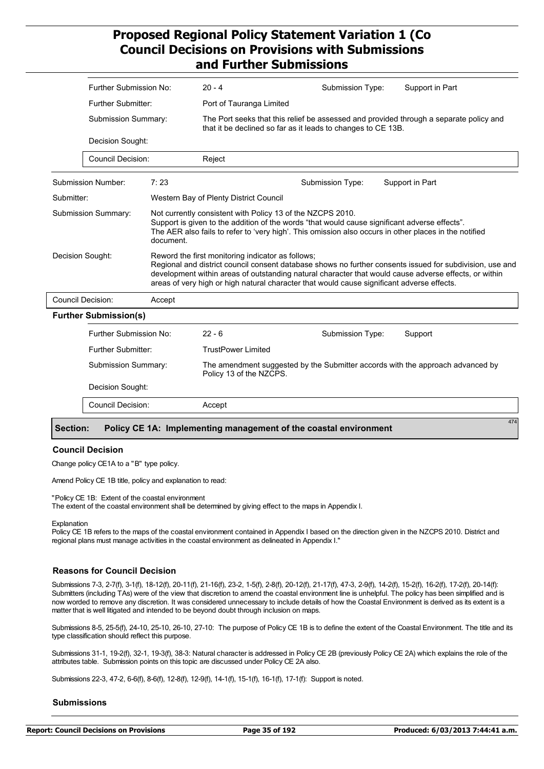|                                  | Further Submission No:                           |                                                                                                                                                                                                                                                                      | $20 - 4$                                                                                                                                               | Submission Type:                                                                                                                                                                                                  | Support in Part                                                                |
|----------------------------------|--------------------------------------------------|----------------------------------------------------------------------------------------------------------------------------------------------------------------------------------------------------------------------------------------------------------------------|--------------------------------------------------------------------------------------------------------------------------------------------------------|-------------------------------------------------------------------------------------------------------------------------------------------------------------------------------------------------------------------|--------------------------------------------------------------------------------|
|                                  |                                                  |                                                                                                                                                                                                                                                                      |                                                                                                                                                        |                                                                                                                                                                                                                   |                                                                                |
|                                  | <b>Further Submitter:</b>                        |                                                                                                                                                                                                                                                                      | Port of Tauranga Limited                                                                                                                               |                                                                                                                                                                                                                   |                                                                                |
|                                  | Submission Summary:<br>Decision Sought:          |                                                                                                                                                                                                                                                                      | The Port seeks that this relief be assessed and provided through a separate policy and<br>that it be declined so far as it leads to changes to CE 13B. |                                                                                                                                                                                                                   |                                                                                |
|                                  |                                                  |                                                                                                                                                                                                                                                                      |                                                                                                                                                        |                                                                                                                                                                                                                   |                                                                                |
|                                  | <b>Council Decision:</b>                         |                                                                                                                                                                                                                                                                      | Reject                                                                                                                                                 |                                                                                                                                                                                                                   |                                                                                |
|                                  | Submission Number:                               | 7:23                                                                                                                                                                                                                                                                 |                                                                                                                                                        | Submission Type:                                                                                                                                                                                                  | Support in Part                                                                |
|                                  | Submitter:                                       |                                                                                                                                                                                                                                                                      | Western Bay of Plenty District Council                                                                                                                 |                                                                                                                                                                                                                   |                                                                                |
| Submission Summary:<br>document. |                                                  | Not currently consistent with Policy 13 of the NZCPS 2010.<br>Support is given to the addition of the words "that would cause significant adverse effects".<br>The AER also fails to refer to 'very high'. This omission also occurs in other places in the notified |                                                                                                                                                        |                                                                                                                                                                                                                   |                                                                                |
| Decision Sought:                 |                                                  | Reword the first monitoring indicator as follows;<br>areas of very high or high natural character that would cause significant adverse effects.                                                                                                                      |                                                                                                                                                        | Regional and district council consent database shows no further consents issued for subdivision, use and<br>development within areas of outstanding natural character that would cause adverse effects, or within |                                                                                |
|                                  | <b>Council Decision:</b>                         | Accept                                                                                                                                                                                                                                                               |                                                                                                                                                        |                                                                                                                                                                                                                   |                                                                                |
|                                  | <b>Further Submission(s)</b>                     |                                                                                                                                                                                                                                                                      |                                                                                                                                                        |                                                                                                                                                                                                                   |                                                                                |
|                                  | <b>Further Submission No:</b>                    |                                                                                                                                                                                                                                                                      | $22 - 6$                                                                                                                                               | Submission Type:                                                                                                                                                                                                  | Support                                                                        |
|                                  | <b>Further Submitter:</b><br>Submission Summary: |                                                                                                                                                                                                                                                                      | <b>TrustPower Limited</b>                                                                                                                              |                                                                                                                                                                                                                   |                                                                                |
|                                  |                                                  |                                                                                                                                                                                                                                                                      | Policy 13 of the NZCPS.                                                                                                                                |                                                                                                                                                                                                                   | The amendment suggested by the Submitter accords with the approach advanced by |
|                                  | Decision Sought:                                 |                                                                                                                                                                                                                                                                      |                                                                                                                                                        |                                                                                                                                                                                                                   |                                                                                |
|                                  | <b>Council Decision:</b>                         |                                                                                                                                                                                                                                                                      | Accept                                                                                                                                                 |                                                                                                                                                                                                                   |                                                                                |
|                                  | <b>Section:</b>                                  |                                                                                                                                                                                                                                                                      | Policy CE 1A: Implementing management of the coastal environment                                                                                       |                                                                                                                                                                                                                   | 474                                                                            |

#### **Council Decision**

Change policy CE1A to a "B" type policy.

Amend Policy CE 1B title, policy and explanation to read:

"Policy CE 1B: Extent of the coastal environment The extent of the coastal environment shall be determined by giving effect to the maps in Appendix I.

Explanation

Policy CE 1B refers to the maps of the coastal environment contained in Appendix I based on the direction given in the NZCPS 2010. District and regional plans must manage activities in the coastal environment as delineated in Appendix I."

#### **Reasons for Council Decision**

Submissions 7-3, 2-7(f), 3-1(f), 18-12(f), 20-11(f), 21-16(f), 23-2, 1-5(f), 2-8(f), 20-12(f), 21-17(f), 47-3, 2-9(f), 14-2(f), 15-2(f), 16-2(f), 17-2(f), 20-14(f): Submitters (including TAs) were of the view that discretion to amend the coastal environment line is unhelpful. The policy has been simplified and is now worded to remove any discretion. It was considered unnecessary to include details of how the Coastal Environment is derived as its extent is a matter that is well litigated and intended to be beyond doubt through inclusion on maps.

Submissions 8-5, 25-5(f), 24-10, 25-10, 26-10, 27-10: The purpose of Policy CE 1B is to define the extent of the Coastal Environment. The title and its type classification should reflect this purpose.

Submissions 31-1, 19-2(f), 32-1, 19-3(f), 38-3: Natural character is addressed in Policy CE 2B (previously Policy CE 2A) which explains the role of the attributes table. Submission points on this topic are discussed under Policy CE 2A also.

Submissions 22-3, 47-2, 6-6(f), 8-6(f), 12-8(f), 12-9(f), 14-1(f), 15-1(f), 16-1(f), 17-1(f): Support is noted.

#### **Submissions**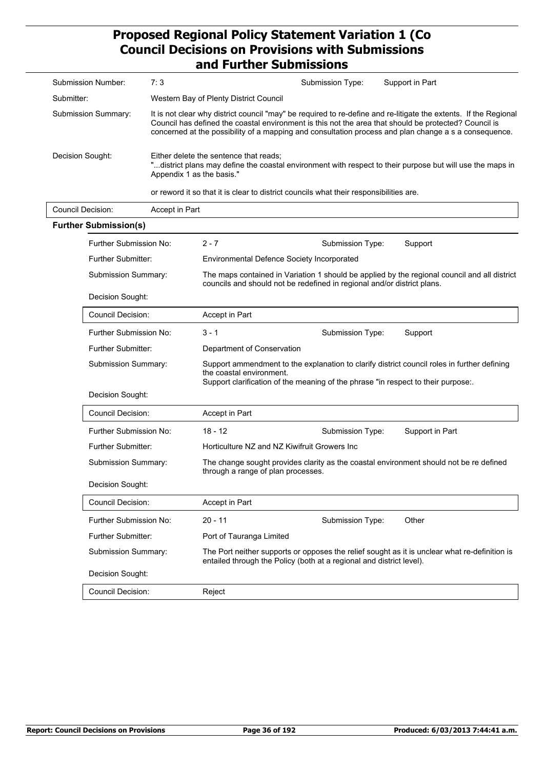| Submission Number:  | 7:3                                                                                                                                                                                                                                                                                                                                | Submission Type: | Support in Part |
|---------------------|------------------------------------------------------------------------------------------------------------------------------------------------------------------------------------------------------------------------------------------------------------------------------------------------------------------------------------|------------------|-----------------|
| Submitter:          | Western Bay of Plenty District Council                                                                                                                                                                                                                                                                                             |                  |                 |
| Submission Summary: | It is not clear why district council "may" be required to re-define and re-litigate the extents. If the Regional<br>Council has defined the coastal environment is this not the area that should be protected? Council is<br>concerned at the possibility of a mapping and consultation process and plan change a s a consequence. |                  |                 |
| Decision Sought:    | Either delete the sentence that reads:<br>"district plans may define the coastal environment with respect to their purpose but will use the maps in<br>Appendix 1 as the basis."                                                                                                                                                   |                  |                 |
|                     | or reword it so that it is clear to district councils what their responsibilities are.                                                                                                                                                                                                                                             |                  |                 |

| <b>Council Decision:</b> | Accept in Part                                                                                                                                                                                                                    |                                                                                                                              |                  |                                                                                              |
|--------------------------|-----------------------------------------------------------------------------------------------------------------------------------------------------------------------------------------------------------------------------------|------------------------------------------------------------------------------------------------------------------------------|------------------|----------------------------------------------------------------------------------------------|
|                          | <b>Further Submission(s)</b>                                                                                                                                                                                                      |                                                                                                                              |                  |                                                                                              |
|                          | Further Submission No:                                                                                                                                                                                                            | $2 - 7$                                                                                                                      | Submission Type: | Support                                                                                      |
|                          | <b>Further Submitter:</b>                                                                                                                                                                                                         | <b>Environmental Defence Society Incorporated</b>                                                                            |                  |                                                                                              |
|                          | Submission Summary:                                                                                                                                                                                                               | councils and should not be redefined in regional and/or district plans.                                                      |                  | The maps contained in Variation 1 should be applied by the regional council and all district |
|                          | Decision Sought:                                                                                                                                                                                                                  |                                                                                                                              |                  |                                                                                              |
|                          | <b>Council Decision:</b>                                                                                                                                                                                                          | Accept in Part                                                                                                               |                  |                                                                                              |
|                          | Further Submission No:                                                                                                                                                                                                            | $3 - 1$                                                                                                                      | Submission Type: | Support                                                                                      |
|                          | Further Submitter:                                                                                                                                                                                                                | Department of Conservation                                                                                                   |                  |                                                                                              |
|                          | Support ammendment to the explanation to clarify district council roles in further defining<br>Submission Summary:<br>the coastal environment.<br>Support clarification of the meaning of the phrase "in respect to their purpose |                                                                                                                              |                  |                                                                                              |
|                          | Decision Sought:                                                                                                                                                                                                                  |                                                                                                                              |                  |                                                                                              |
|                          | <b>Council Decision:</b>                                                                                                                                                                                                          | Accept in Part                                                                                                               |                  |                                                                                              |
|                          | Further Submission No:                                                                                                                                                                                                            | $18 - 12$                                                                                                                    | Submission Type: | Support in Part                                                                              |
|                          | <b>Further Submitter:</b>                                                                                                                                                                                                         | Horticulture NZ and NZ Kiwifruit Growers Inc                                                                                 |                  |                                                                                              |
|                          | <b>Submission Summary:</b>                                                                                                                                                                                                        | The change sought provides clarity as the coastal environment should not be re defined<br>through a range of plan processes. |                  |                                                                                              |
|                          | Decision Sought:                                                                                                                                                                                                                  |                                                                                                                              |                  |                                                                                              |
|                          | <b>Council Decision:</b>                                                                                                                                                                                                          | Accept in Part                                                                                                               |                  |                                                                                              |
|                          | Further Submission No:                                                                                                                                                                                                            | $20 - 11$                                                                                                                    | Submission Type: | Other                                                                                        |
|                          | <b>Further Submitter:</b>                                                                                                                                                                                                         | Port of Tauranga Limited                                                                                                     |                  |                                                                                              |
|                          | The Port neither supports or opposes the relief sought as it is unclear what re-definition is<br>Submission Summary:<br>entailed through the Policy (both at a regional and district level).                                      |                                                                                                                              |                  |                                                                                              |
|                          | Decision Sought:                                                                                                                                                                                                                  |                                                                                                                              |                  |                                                                                              |
|                          | <b>Council Decision:</b>                                                                                                                                                                                                          | Reject                                                                                                                       |                  |                                                                                              |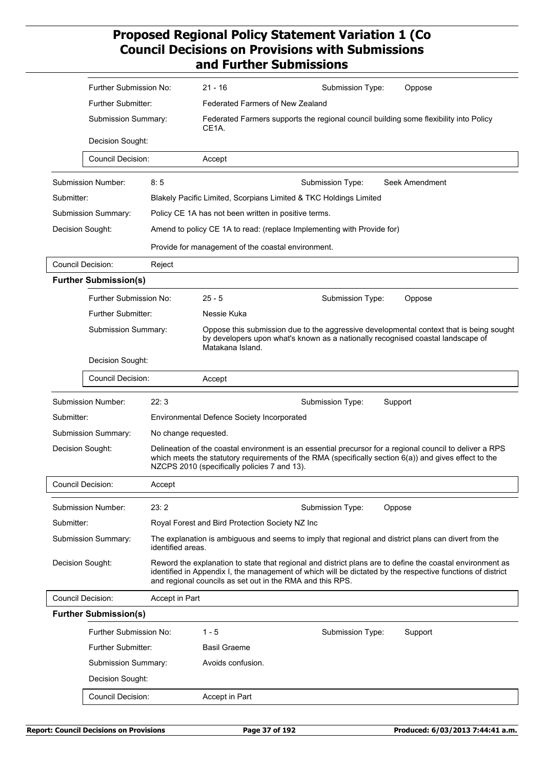| Further Submission No:              |                      | $21 - 16$<br>Submission Type:<br>Oppose                                                                                                                                                                                                                                              |  |  |
|-------------------------------------|----------------------|--------------------------------------------------------------------------------------------------------------------------------------------------------------------------------------------------------------------------------------------------------------------------------------|--|--|
| Further Submitter:                  |                      | <b>Federated Farmers of New Zealand</b>                                                                                                                                                                                                                                              |  |  |
| Submission Summary:                 |                      | Federated Farmers supports the regional council building some flexibility into Policy<br>CE1A.                                                                                                                                                                                       |  |  |
| Decision Sought:                    |                      |                                                                                                                                                                                                                                                                                      |  |  |
| <b>Council Decision:</b>            |                      | Accept                                                                                                                                                                                                                                                                               |  |  |
| Submission Number:                  | 8:5                  | Seek Amendment<br>Submission Type:                                                                                                                                                                                                                                                   |  |  |
| Submitter:                          |                      | Blakely Pacific Limited, Scorpians Limited & TKC Holdings Limited                                                                                                                                                                                                                    |  |  |
| Submission Summary:                 |                      | Policy CE 1A has not been written in positive terms.                                                                                                                                                                                                                                 |  |  |
| Decision Sought:                    |                      | Amend to policy CE 1A to read: (replace Implementing with Provide for)                                                                                                                                                                                                               |  |  |
|                                     |                      | Provide for management of the coastal environment.                                                                                                                                                                                                                                   |  |  |
| <b>Council Decision:</b>            | Reject               |                                                                                                                                                                                                                                                                                      |  |  |
| <b>Further Submission(s)</b>        |                      |                                                                                                                                                                                                                                                                                      |  |  |
| Further Submission No:              |                      | $25 - 5$<br>Submission Type:<br>Oppose                                                                                                                                                                                                                                               |  |  |
| Further Submitter:                  |                      | Nessie Kuka                                                                                                                                                                                                                                                                          |  |  |
| Submission Summary:                 |                      | Oppose this submission due to the aggressive developmental context that is being sought<br>by developers upon what's known as a nationally recognised coastal landscape of<br>Matakana Island.                                                                                       |  |  |
| Decision Sought:                    |                      |                                                                                                                                                                                                                                                                                      |  |  |
| <b>Council Decision:</b>            |                      | Accept                                                                                                                                                                                                                                                                               |  |  |
| Submission Number:                  | 22:3                 | Support<br>Submission Type:                                                                                                                                                                                                                                                          |  |  |
| Submitter:                          |                      | <b>Environmental Defence Society Incorporated</b>                                                                                                                                                                                                                                    |  |  |
| Submission Summary:                 | No change requested. |                                                                                                                                                                                                                                                                                      |  |  |
| Decision Sought:                    |                      | Delineation of the coastal environment is an essential precursor for a regional council to deliver a RPS<br>which meets the statutory requirements of the RMA (specifically section $6(a)$ ) and gives effect to the<br>NZCPS 2010 (specifically policies 7 and 13).                 |  |  |
| Council Decision:                   | Accept               |                                                                                                                                                                                                                                                                                      |  |  |
| Submission Number:                  | 23:2                 | Submission Type:<br>Oppose                                                                                                                                                                                                                                                           |  |  |
| Submitter:                          |                      | Royal Forest and Bird Protection Society NZ Inc                                                                                                                                                                                                                                      |  |  |
| <b>Submission Summary:</b>          | identified areas.    | The explanation is ambiguous and seems to imply that regional and district plans can divert from the                                                                                                                                                                                 |  |  |
| Decision Sought:                    |                      | Reword the explanation to state that regional and district plans are to define the coastal environment as<br>identified in Appendix I, the management of which will be dictated by the respective functions of district<br>and regional councils as set out in the RMA and this RPS. |  |  |
| Council Decision:<br>Accept in Part |                      |                                                                                                                                                                                                                                                                                      |  |  |
| <b>Further Submission(s)</b>        |                      |                                                                                                                                                                                                                                                                                      |  |  |
| Further Submission No:              |                      | $1 - 5$<br>Submission Type:<br>Support                                                                                                                                                                                                                                               |  |  |
| <b>Further Submitter:</b>           |                      | <b>Basil Graeme</b>                                                                                                                                                                                                                                                                  |  |  |
| Submission Summary:                 |                      | Avoids confusion.                                                                                                                                                                                                                                                                    |  |  |
| Decision Sought:                    |                      |                                                                                                                                                                                                                                                                                      |  |  |
| <b>Council Decision:</b>            |                      | Accept in Part                                                                                                                                                                                                                                                                       |  |  |
|                                     |                      |                                                                                                                                                                                                                                                                                      |  |  |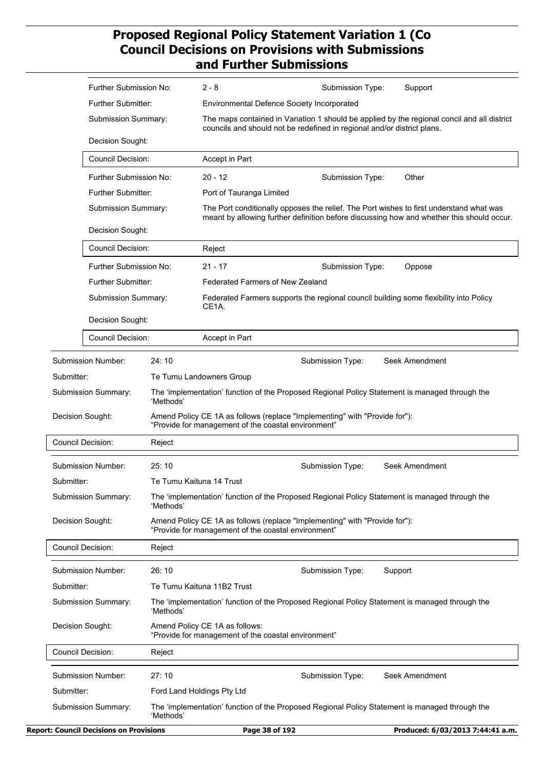|                          | Further Submission No:                              |           | $2 - 8$                                                                                                                           | Submission Type:                                                           | Support                                                                                                                                                                              |
|--------------------------|-----------------------------------------------------|-----------|-----------------------------------------------------------------------------------------------------------------------------------|----------------------------------------------------------------------------|--------------------------------------------------------------------------------------------------------------------------------------------------------------------------------------|
|                          | Further Submitter:                                  |           | Environmental Defence Society Incorporated                                                                                        |                                                                            |                                                                                                                                                                                      |
|                          | Submission Summary:                                 |           |                                                                                                                                   | councils and should not be redefined in regional and/or district plans.    | The maps contained in Variation 1 should be applied by the regional concil and all district                                                                                          |
|                          | Decision Sought:                                    |           |                                                                                                                                   |                                                                            |                                                                                                                                                                                      |
|                          | <b>Council Decision:</b>                            |           | Accept in Part                                                                                                                    |                                                                            |                                                                                                                                                                                      |
|                          | Further Submission No:<br><b>Further Submitter:</b> |           | $20 - 12$                                                                                                                         | Submission Type:                                                           | Other                                                                                                                                                                                |
|                          |                                                     |           | Port of Tauranga Limited                                                                                                          |                                                                            |                                                                                                                                                                                      |
|                          | Submission Summary:                                 |           |                                                                                                                                   |                                                                            | The Port conditionally opposes the relief. The Port wishes to first understand what was<br>meant by allowing further definition before discussing how and whether this should occur. |
|                          | Decision Sought:                                    |           |                                                                                                                                   |                                                                            |                                                                                                                                                                                      |
|                          | Council Decision:                                   |           | Reject                                                                                                                            |                                                                            |                                                                                                                                                                                      |
|                          | Further Submission No:                              |           | $21 - 17$                                                                                                                         | Submission Type:                                                           | Oppose                                                                                                                                                                               |
|                          | Further Submitter:                                  |           | <b>Federated Farmers of New Zealand</b>                                                                                           |                                                                            |                                                                                                                                                                                      |
|                          | Submission Summary:                                 |           | CE1A.                                                                                                                             |                                                                            | Federated Farmers supports the regional council building some flexibility into Policy                                                                                                |
|                          | Decision Sought:                                    |           |                                                                                                                                   |                                                                            |                                                                                                                                                                                      |
|                          | Council Decision:                                   |           | Accept in Part                                                                                                                    |                                                                            |                                                                                                                                                                                      |
|                          | Submission Number:                                  | 24:10     |                                                                                                                                   | Submission Type:                                                           | Seek Amendment                                                                                                                                                                       |
| Submitter:               |                                                     |           | Te Tumu Landowners Group                                                                                                          |                                                                            |                                                                                                                                                                                      |
|                          | Submission Summary:                                 |           | The 'implementation' function of the Proposed Regional Policy Statement is managed through the<br>'Methods'                       |                                                                            |                                                                                                                                                                                      |
|                          | Decision Sought:                                    |           | Amend Policy CE 1A as follows (replace "Implementing" with "Provide for"):<br>"Provide for management of the coastal environment" |                                                                            |                                                                                                                                                                                      |
| <b>Council Decision:</b> |                                                     | Reject    |                                                                                                                                   |                                                                            |                                                                                                                                                                                      |
|                          | Submission Number:                                  | 25:10     |                                                                                                                                   | Submission Type:                                                           | Seek Amendment                                                                                                                                                                       |
| Submitter:               |                                                     |           | Te Tumu Kaituna 14 Trust                                                                                                          |                                                                            |                                                                                                                                                                                      |
|                          | Submission Summary:                                 | 'Methods' |                                                                                                                                   |                                                                            | The 'implementation' function of the Proposed Regional Policy Statement is managed through the                                                                                       |
| Decision Sought:         |                                                     |           | "Provide for management of the coastal environment"                                                                               | Amend Policy CE 1A as follows (replace "Implementing" with "Provide for"): |                                                                                                                                                                                      |
| Council Decision:        |                                                     | Reject    |                                                                                                                                   |                                                                            |                                                                                                                                                                                      |
|                          | Submission Number:                                  | 26:10     |                                                                                                                                   | Submission Type:                                                           | Support                                                                                                                                                                              |
| Submitter:               |                                                     |           | Te Tumu Kaituna 11B2 Trust                                                                                                        |                                                                            |                                                                                                                                                                                      |
|                          | Submission Summary:                                 | 'Methods' |                                                                                                                                   |                                                                            | The 'implementation' function of the Proposed Regional Policy Statement is managed through the                                                                                       |
| Decision Sought:         |                                                     |           | Amend Policy CE 1A as follows:<br>"Provide for management of the coastal environment"                                             |                                                                            |                                                                                                                                                                                      |
| <b>Council Decision:</b> |                                                     | Reject    |                                                                                                                                   |                                                                            |                                                                                                                                                                                      |
|                          | Submission Number:                                  | 27:10     |                                                                                                                                   | Submission Type:                                                           | Seek Amendment                                                                                                                                                                       |
| Submitter:               |                                                     |           | Ford Land Holdings Pty Ltd                                                                                                        |                                                                            |                                                                                                                                                                                      |
|                          | Submission Summary:                                 | 'Methods' |                                                                                                                                   |                                                                            | The 'implementation' function of the Proposed Regional Policy Statement is managed through the                                                                                       |
|                          | <b>Report: Council Decisions on Provisions</b>      |           | Page 38 of 192                                                                                                                    |                                                                            | Produced: 6/03/2013 7:44:41 a.m.                                                                                                                                                     |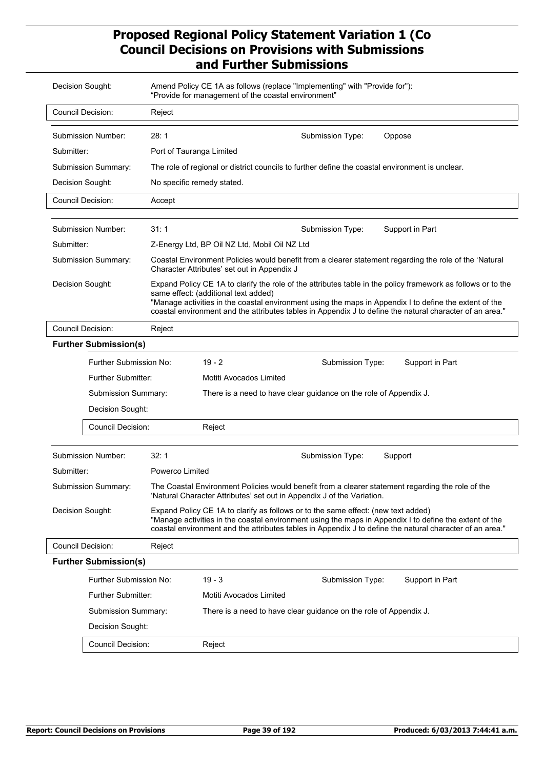| Decision Sought:                   |                                                                                                                                                                                                                                                                                                                                                                                                | Amend Policy CE 1A as follows (replace "Implementing" with "Provide for"):<br>"Provide for management of the coastal environment" |                                                                                                                                                                                                                                                                                                         |  |  |  |  |
|------------------------------------|------------------------------------------------------------------------------------------------------------------------------------------------------------------------------------------------------------------------------------------------------------------------------------------------------------------------------------------------------------------------------------------------|-----------------------------------------------------------------------------------------------------------------------------------|---------------------------------------------------------------------------------------------------------------------------------------------------------------------------------------------------------------------------------------------------------------------------------------------------------|--|--|--|--|
| <b>Council Decision:</b>           |                                                                                                                                                                                                                                                                                                                                                                                                | Reject                                                                                                                            |                                                                                                                                                                                                                                                                                                         |  |  |  |  |
|                                    | Submission Number:                                                                                                                                                                                                                                                                                                                                                                             | 28:1                                                                                                                              | Submission Type:<br>Oppose                                                                                                                                                                                                                                                                              |  |  |  |  |
| Submitter:                         |                                                                                                                                                                                                                                                                                                                                                                                                | Port of Tauranga Limited                                                                                                          |                                                                                                                                                                                                                                                                                                         |  |  |  |  |
|                                    | Submission Summary:                                                                                                                                                                                                                                                                                                                                                                            |                                                                                                                                   | The role of regional or district councils to further define the coastal environment is unclear.                                                                                                                                                                                                         |  |  |  |  |
| Decision Sought:                   |                                                                                                                                                                                                                                                                                                                                                                                                |                                                                                                                                   | No specific remedy stated.                                                                                                                                                                                                                                                                              |  |  |  |  |
| <b>Council Decision:</b>           |                                                                                                                                                                                                                                                                                                                                                                                                | Accept                                                                                                                            |                                                                                                                                                                                                                                                                                                         |  |  |  |  |
|                                    |                                                                                                                                                                                                                                                                                                                                                                                                |                                                                                                                                   |                                                                                                                                                                                                                                                                                                         |  |  |  |  |
|                                    | Submission Number:                                                                                                                                                                                                                                                                                                                                                                             | 31:1                                                                                                                              | Submission Type:<br>Support in Part                                                                                                                                                                                                                                                                     |  |  |  |  |
| Submitter:                         |                                                                                                                                                                                                                                                                                                                                                                                                |                                                                                                                                   | Z-Energy Ltd, BP Oil NZ Ltd, Mobil Oil NZ Ltd                                                                                                                                                                                                                                                           |  |  |  |  |
|                                    | Submission Summary:                                                                                                                                                                                                                                                                                                                                                                            |                                                                                                                                   | Coastal Environment Policies would benefit from a clearer statement regarding the role of the 'Natural<br>Character Attributes' set out in Appendix J                                                                                                                                                   |  |  |  |  |
|                                    | Decision Sought:<br>Expand Policy CE 1A to clarify the role of the attributes table in the policy framework as follows or to the<br>same effect: (additional text added)<br>"Manage activities in the coastal environment using the maps in Appendix I to define the extent of the<br>coastal environment and the attributes tables in Appendix J to define the natural character of an area." |                                                                                                                                   |                                                                                                                                                                                                                                                                                                         |  |  |  |  |
|                                    | <b>Council Decision:</b><br>Reject                                                                                                                                                                                                                                                                                                                                                             |                                                                                                                                   |                                                                                                                                                                                                                                                                                                         |  |  |  |  |
| <b>Further Submission(s)</b>       |                                                                                                                                                                                                                                                                                                                                                                                                |                                                                                                                                   |                                                                                                                                                                                                                                                                                                         |  |  |  |  |
|                                    | Further Submission No:                                                                                                                                                                                                                                                                                                                                                                         |                                                                                                                                   | 19 - 2<br>Submission Type:<br>Support in Part                                                                                                                                                                                                                                                           |  |  |  |  |
|                                    | <b>Further Submitter:</b>                                                                                                                                                                                                                                                                                                                                                                      |                                                                                                                                   | Motiti Avocados Limited                                                                                                                                                                                                                                                                                 |  |  |  |  |
|                                    | Submission Summary:                                                                                                                                                                                                                                                                                                                                                                            |                                                                                                                                   | There is a need to have clear guidance on the role of Appendix J.                                                                                                                                                                                                                                       |  |  |  |  |
|                                    | Decision Sought:                                                                                                                                                                                                                                                                                                                                                                               |                                                                                                                                   |                                                                                                                                                                                                                                                                                                         |  |  |  |  |
|                                    | <b>Council Decision:</b>                                                                                                                                                                                                                                                                                                                                                                       |                                                                                                                                   | Reject                                                                                                                                                                                                                                                                                                  |  |  |  |  |
|                                    | Submission Number:                                                                                                                                                                                                                                                                                                                                                                             | 32:1                                                                                                                              | Submission Type:<br>Support                                                                                                                                                                                                                                                                             |  |  |  |  |
| Submitter:                         |                                                                                                                                                                                                                                                                                                                                                                                                | Powerco Limited                                                                                                                   |                                                                                                                                                                                                                                                                                                         |  |  |  |  |
|                                    | Submission Summary:                                                                                                                                                                                                                                                                                                                                                                            |                                                                                                                                   | The Coastal Environment Policies would benefit from a clearer statement regarding the role of the<br>'Natural Character Attributes' set out in Appendix J of the Variation.                                                                                                                             |  |  |  |  |
| Decision Sought:                   |                                                                                                                                                                                                                                                                                                                                                                                                |                                                                                                                                   | Expand Policy CE 1A to clarify as follows or to the same effect: (new text added)<br>"Manage activities in the coastal environment using the maps in Appendix I to define the extent of the<br>coastal environment and the attributes tables in Appendix J to define the natural character of an area." |  |  |  |  |
| <b>Council Decision:</b><br>Reject |                                                                                                                                                                                                                                                                                                                                                                                                |                                                                                                                                   |                                                                                                                                                                                                                                                                                                         |  |  |  |  |
| <b>Further Submission(s)</b>       |                                                                                                                                                                                                                                                                                                                                                                                                |                                                                                                                                   |                                                                                                                                                                                                                                                                                                         |  |  |  |  |
| Further Submission No:             |                                                                                                                                                                                                                                                                                                                                                                                                |                                                                                                                                   | $19 - 3$<br>Submission Type:<br>Support in Part                                                                                                                                                                                                                                                         |  |  |  |  |
|                                    | <b>Further Submitter:</b>                                                                                                                                                                                                                                                                                                                                                                      |                                                                                                                                   | Motiti Avocados Limited                                                                                                                                                                                                                                                                                 |  |  |  |  |
|                                    | Submission Summary:                                                                                                                                                                                                                                                                                                                                                                            |                                                                                                                                   | There is a need to have clear guidance on the role of Appendix J.                                                                                                                                                                                                                                       |  |  |  |  |
|                                    | Decision Sought:                                                                                                                                                                                                                                                                                                                                                                               |                                                                                                                                   |                                                                                                                                                                                                                                                                                                         |  |  |  |  |
|                                    | <b>Council Decision:</b>                                                                                                                                                                                                                                                                                                                                                                       |                                                                                                                                   | Reject                                                                                                                                                                                                                                                                                                  |  |  |  |  |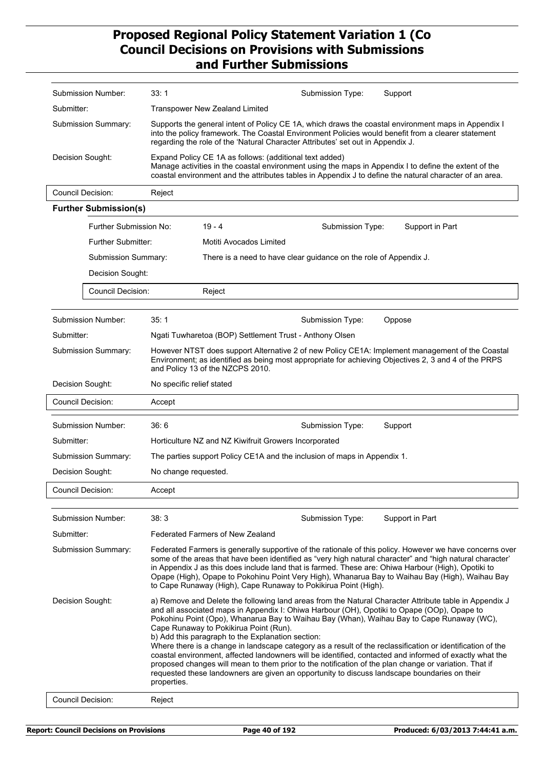|                                                             | Submission Number:                 | 33:1                                                                                                                                                                                                                                                                                         |                                                                                                                                                                                                                                                                                                                                                                                                                                                                                                    | Submission Type: | Support                                                                                                                                                                                                                                                                                                                                                                                                                                                                                                                                                                                                                                                                                                                              |  |  |
|-------------------------------------------------------------|------------------------------------|----------------------------------------------------------------------------------------------------------------------------------------------------------------------------------------------------------------------------------------------------------------------------------------------|----------------------------------------------------------------------------------------------------------------------------------------------------------------------------------------------------------------------------------------------------------------------------------------------------------------------------------------------------------------------------------------------------------------------------------------------------------------------------------------------------|------------------|--------------------------------------------------------------------------------------------------------------------------------------------------------------------------------------------------------------------------------------------------------------------------------------------------------------------------------------------------------------------------------------------------------------------------------------------------------------------------------------------------------------------------------------------------------------------------------------------------------------------------------------------------------------------------------------------------------------------------------------|--|--|
| Submitter:                                                  |                                    | <b>Transpower New Zealand Limited</b>                                                                                                                                                                                                                                                        |                                                                                                                                                                                                                                                                                                                                                                                                                                                                                                    |                  |                                                                                                                                                                                                                                                                                                                                                                                                                                                                                                                                                                                                                                                                                                                                      |  |  |
| Submission Summary:                                         |                                    | Supports the general intent of Policy CE 1A, which draws the coastal environment maps in Appendix I<br>into the policy framework. The Coastal Environment Policies would benefit from a clearer statement<br>regarding the role of the 'Natural Character Attributes' set out in Appendix J. |                                                                                                                                                                                                                                                                                                                                                                                                                                                                                                    |                  |                                                                                                                                                                                                                                                                                                                                                                                                                                                                                                                                                                                                                                                                                                                                      |  |  |
| Decision Sought:                                            |                                    | Expand Policy CE 1A as follows: (additional text added)<br>Manage activities in the coastal environment using the maps in Appendix I to define the extent of the<br>coastal environment and the attributes tables in Appendix J to define the natural character of an area.                  |                                                                                                                                                                                                                                                                                                                                                                                                                                                                                                    |                  |                                                                                                                                                                                                                                                                                                                                                                                                                                                                                                                                                                                                                                                                                                                                      |  |  |
| <b>Council Decision:</b>                                    |                                    | Reject                                                                                                                                                                                                                                                                                       |                                                                                                                                                                                                                                                                                                                                                                                                                                                                                                    |                  |                                                                                                                                                                                                                                                                                                                                                                                                                                                                                                                                                                                                                                                                                                                                      |  |  |
|                                                             | <b>Further Submission(s)</b>       |                                                                                                                                                                                                                                                                                              |                                                                                                                                                                                                                                                                                                                                                                                                                                                                                                    |                  |                                                                                                                                                                                                                                                                                                                                                                                                                                                                                                                                                                                                                                                                                                                                      |  |  |
|                                                             | Further Submission No:             |                                                                                                                                                                                                                                                                                              | $19 - 4$                                                                                                                                                                                                                                                                                                                                                                                                                                                                                           | Submission Type: | Support in Part                                                                                                                                                                                                                                                                                                                                                                                                                                                                                                                                                                                                                                                                                                                      |  |  |
|                                                             | Further Submitter:                 |                                                                                                                                                                                                                                                                                              | Motiti Avocados Limited                                                                                                                                                                                                                                                                                                                                                                                                                                                                            |                  |                                                                                                                                                                                                                                                                                                                                                                                                                                                                                                                                                                                                                                                                                                                                      |  |  |
|                                                             | Submission Summary:                |                                                                                                                                                                                                                                                                                              | There is a need to have clear guidance on the role of Appendix J.                                                                                                                                                                                                                                                                                                                                                                                                                                  |                  |                                                                                                                                                                                                                                                                                                                                                                                                                                                                                                                                                                                                                                                                                                                                      |  |  |
|                                                             | Decision Sought:                   |                                                                                                                                                                                                                                                                                              |                                                                                                                                                                                                                                                                                                                                                                                                                                                                                                    |                  |                                                                                                                                                                                                                                                                                                                                                                                                                                                                                                                                                                                                                                                                                                                                      |  |  |
|                                                             | Council Decision:                  |                                                                                                                                                                                                                                                                                              | Reject                                                                                                                                                                                                                                                                                                                                                                                                                                                                                             |                  |                                                                                                                                                                                                                                                                                                                                                                                                                                                                                                                                                                                                                                                                                                                                      |  |  |
|                                                             | Submission Number:                 | 35:1                                                                                                                                                                                                                                                                                         |                                                                                                                                                                                                                                                                                                                                                                                                                                                                                                    | Submission Type: | Oppose                                                                                                                                                                                                                                                                                                                                                                                                                                                                                                                                                                                                                                                                                                                               |  |  |
| Submitter:                                                  |                                    |                                                                                                                                                                                                                                                                                              | Ngati Tuwharetoa (BOP) Settlement Trust - Anthony Olsen                                                                                                                                                                                                                                                                                                                                                                                                                                            |                  |                                                                                                                                                                                                                                                                                                                                                                                                                                                                                                                                                                                                                                                                                                                                      |  |  |
| Submission Summary:                                         |                                    | However NTST does support Alternative 2 of new Policy CE1A: Implement management of the Coastal<br>Environment; as identified as being most appropriate for achieving Objectives 2, 3 and 4 of the PRPS<br>and Policy 13 of the NZCPS 2010.                                                  |                                                                                                                                                                                                                                                                                                                                                                                                                                                                                                    |                  |                                                                                                                                                                                                                                                                                                                                                                                                                                                                                                                                                                                                                                                                                                                                      |  |  |
| Decision Sought:                                            |                                    |                                                                                                                                                                                                                                                                                              | No specific relief stated                                                                                                                                                                                                                                                                                                                                                                                                                                                                          |                  |                                                                                                                                                                                                                                                                                                                                                                                                                                                                                                                                                                                                                                                                                                                                      |  |  |
|                                                             | <b>Council Decision:</b><br>Accept |                                                                                                                                                                                                                                                                                              |                                                                                                                                                                                                                                                                                                                                                                                                                                                                                                    |                  |                                                                                                                                                                                                                                                                                                                                                                                                                                                                                                                                                                                                                                                                                                                                      |  |  |
|                                                             | Submission Number:                 | 36:6                                                                                                                                                                                                                                                                                         |                                                                                                                                                                                                                                                                                                                                                                                                                                                                                                    | Submission Type: | Support                                                                                                                                                                                                                                                                                                                                                                                                                                                                                                                                                                                                                                                                                                                              |  |  |
| Submitter:                                                  |                                    | Horticulture NZ and NZ Kiwifruit Growers Incorporated                                                                                                                                                                                                                                        |                                                                                                                                                                                                                                                                                                                                                                                                                                                                                                    |                  |                                                                                                                                                                                                                                                                                                                                                                                                                                                                                                                                                                                                                                                                                                                                      |  |  |
|                                                             | Submission Summary:                | The parties support Policy CE1A and the inclusion of maps in Appendix 1.                                                                                                                                                                                                                     |                                                                                                                                                                                                                                                                                                                                                                                                                                                                                                    |                  |                                                                                                                                                                                                                                                                                                                                                                                                                                                                                                                                                                                                                                                                                                                                      |  |  |
| Decision Sought:                                            |                                    | No change requested.                                                                                                                                                                                                                                                                         |                                                                                                                                                                                                                                                                                                                                                                                                                                                                                                    |                  |                                                                                                                                                                                                                                                                                                                                                                                                                                                                                                                                                                                                                                                                                                                                      |  |  |
| Council Decision:                                           |                                    | Accept                                                                                                                                                                                                                                                                                       |                                                                                                                                                                                                                                                                                                                                                                                                                                                                                                    |                  |                                                                                                                                                                                                                                                                                                                                                                                                                                                                                                                                                                                                                                                                                                                                      |  |  |
|                                                             | Submission Number:                 | 38:3                                                                                                                                                                                                                                                                                         |                                                                                                                                                                                                                                                                                                                                                                                                                                                                                                    | Submission Type: | Support in Part                                                                                                                                                                                                                                                                                                                                                                                                                                                                                                                                                                                                                                                                                                                      |  |  |
| Submitter:                                                  |                                    |                                                                                                                                                                                                                                                                                              | <b>Federated Farmers of New Zealand</b>                                                                                                                                                                                                                                                                                                                                                                                                                                                            |                  |                                                                                                                                                                                                                                                                                                                                                                                                                                                                                                                                                                                                                                                                                                                                      |  |  |
| Submission Summary:                                         |                                    |                                                                                                                                                                                                                                                                                              | Federated Farmers is generally supportive of the rationale of this policy. However we have concerns over<br>some of the areas that have been identified as "very high natural character" and "high natural character"<br>in Appendix J as this does include land that is farmed. These are: Ohiwa Harbour (High), Opotiki to<br>Opape (High), Opape to Pokohinu Point Very High), Whanarua Bay to Waihau Bay (High), Waihau Bay<br>to Cape Runaway (High), Cape Runaway to Pokikirua Point (High). |                  |                                                                                                                                                                                                                                                                                                                                                                                                                                                                                                                                                                                                                                                                                                                                      |  |  |
| Decision Sought:<br>properties.<br><b>Council Decision:</b> |                                    |                                                                                                                                                                                                                                                                                              | Cape Runaway to Pokikirua Point (Run).<br>b) Add this paragraph to the Explanation section:                                                                                                                                                                                                                                                                                                                                                                                                        |                  | a) Remove and Delete the following land areas from the Natural Character Attribute table in Appendix J<br>and all associated maps in Appendix I: Ohiwa Harbour (OH), Opotiki to Opape (OOp), Opape to<br>Pokohinu Point (Opo), Whanarua Bay to Waihau Bay (Whan), Waihau Bay to Cape Runaway (WC),<br>Where there is a change in landscape category as a result of the reclassification or identification of the<br>coastal environment, affected landowners will be identified, contacted and informed of exactly what the<br>proposed changes will mean to them prior to the notification of the plan change or variation. That if<br>requested these landowners are given an opportunity to discuss landscape boundaries on their |  |  |
|                                                             |                                    | Reject                                                                                                                                                                                                                                                                                       |                                                                                                                                                                                                                                                                                                                                                                                                                                                                                                    |                  |                                                                                                                                                                                                                                                                                                                                                                                                                                                                                                                                                                                                                                                                                                                                      |  |  |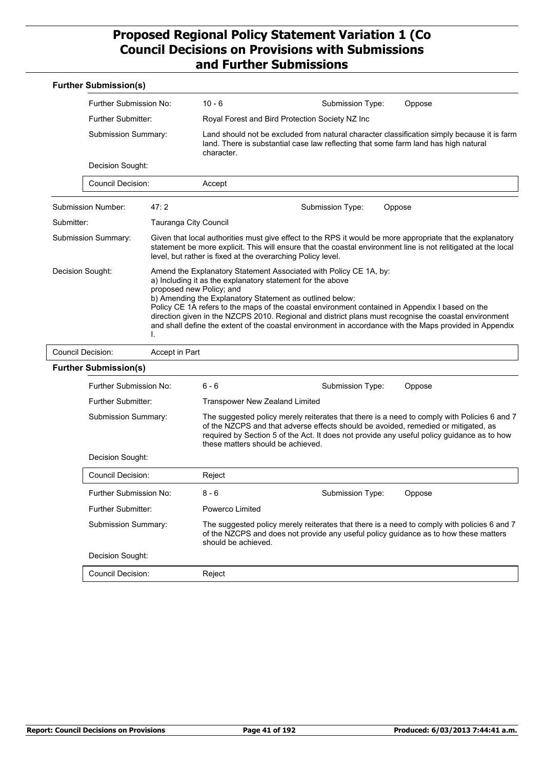|                                              | <b>Further Submission(s)</b>            |                                                                                                                        |                                                                                                                                                                                                            |                                                                                                                                                                                                                  |                                                                                                                                                                                                                              |
|----------------------------------------------|-----------------------------------------|------------------------------------------------------------------------------------------------------------------------|------------------------------------------------------------------------------------------------------------------------------------------------------------------------------------------------------------|------------------------------------------------------------------------------------------------------------------------------------------------------------------------------------------------------------------|------------------------------------------------------------------------------------------------------------------------------------------------------------------------------------------------------------------------------|
|                                              | Further Submission No:                  |                                                                                                                        | $10 - 6$                                                                                                                                                                                                   | Submission Type:                                                                                                                                                                                                 | Oppose                                                                                                                                                                                                                       |
|                                              | Further Submitter:                      |                                                                                                                        | Royal Forest and Bird Protection Society NZ Inc                                                                                                                                                            |                                                                                                                                                                                                                  |                                                                                                                                                                                                                              |
|                                              | Submission Summary:<br>Decision Sought: |                                                                                                                        | character.                                                                                                                                                                                                 | Land should not be excluded from natural character classification simply because it is farm<br>land. There is substantial case law reflecting that some farm land has high natural                               |                                                                                                                                                                                                                              |
|                                              |                                         |                                                                                                                        |                                                                                                                                                                                                            |                                                                                                                                                                                                                  |                                                                                                                                                                                                                              |
|                                              | <b>Council Decision:</b>                |                                                                                                                        | Accept                                                                                                                                                                                                     |                                                                                                                                                                                                                  |                                                                                                                                                                                                                              |
|                                              | Submission Number:                      | 47:2                                                                                                                   |                                                                                                                                                                                                            | Submission Type:                                                                                                                                                                                                 | Oppose                                                                                                                                                                                                                       |
| Submitter:                                   |                                         | Tauranga City Council                                                                                                  |                                                                                                                                                                                                            |                                                                                                                                                                                                                  |                                                                                                                                                                                                                              |
|                                              | <b>Submission Summary:</b>              |                                                                                                                        | level, but rather is fixed at the overarching Policy level.                                                                                                                                                |                                                                                                                                                                                                                  | Given that local authorities must give effect to the RPS it would be more appropriate that the explanatory<br>statement be more explicit. This will ensure that the coastal environment line is not relitigated at the local |
| Decision Sought:<br>proposed new Policy; and |                                         | a) Including it as the explanatory statement for the above<br>b) Amending the Explanatory Statement as outlined below: | Amend the Explanatory Statement Associated with Policy CE 1A, by:<br>Policy CE 1A refers to the maps of the coastal environment contained in Appendix I based on the                                       | direction given in the NZCPS 2010. Regional and district plans must recognise the coastal environment<br>and shall define the extent of the coastal environment in accordance with the Maps provided in Appendix |                                                                                                                                                                                                                              |
|                                              | <b>Council Decision:</b>                | Accept in Part                                                                                                         |                                                                                                                                                                                                            |                                                                                                                                                                                                                  |                                                                                                                                                                                                                              |
|                                              | <b>Further Submission(s)</b>            |                                                                                                                        |                                                                                                                                                                                                            |                                                                                                                                                                                                                  |                                                                                                                                                                                                                              |
|                                              | Further Submission No:                  |                                                                                                                        | $6 - 6$                                                                                                                                                                                                    | Submission Type:                                                                                                                                                                                                 | Oppose                                                                                                                                                                                                                       |
|                                              | <b>Further Submitter:</b>               |                                                                                                                        | Transpower New Zealand Limited                                                                                                                                                                             |                                                                                                                                                                                                                  |                                                                                                                                                                                                                              |
|                                              | Submission Summary:                     |                                                                                                                        | these matters should be achieved.                                                                                                                                                                          | of the NZCPS and that adverse effects should be avoided, remedied or mitigated, as                                                                                                                               | The suggested policy merely reiterates that there is a need to comply with Policies 6 and 7<br>required by Section 5 of the Act. It does not provide any useful policy guidance as to how                                    |
|                                              | Decision Sought:                        |                                                                                                                        |                                                                                                                                                                                                            |                                                                                                                                                                                                                  |                                                                                                                                                                                                                              |
|                                              | Council Decision:                       |                                                                                                                        | Reject                                                                                                                                                                                                     |                                                                                                                                                                                                                  |                                                                                                                                                                                                                              |
|                                              | Further Submission No:                  |                                                                                                                        | 8 - 6                                                                                                                                                                                                      | Submission Type:                                                                                                                                                                                                 | Oppose                                                                                                                                                                                                                       |
|                                              | Further Submitter:                      |                                                                                                                        | Powerco Limited                                                                                                                                                                                            |                                                                                                                                                                                                                  |                                                                                                                                                                                                                              |
|                                              | Submission Summary:                     |                                                                                                                        | The suggested policy merely reiterates that there is a need to comply with policies 6 and 7<br>of the NZCPS and does not provide any useful policy guidance as to how these matters<br>should be achieved. |                                                                                                                                                                                                                  |                                                                                                                                                                                                                              |
|                                              | Decision Sought:                        |                                                                                                                        |                                                                                                                                                                                                            |                                                                                                                                                                                                                  |                                                                                                                                                                                                                              |
|                                              | <b>Council Decision:</b>                |                                                                                                                        | Reject                                                                                                                                                                                                     |                                                                                                                                                                                                                  |                                                                                                                                                                                                                              |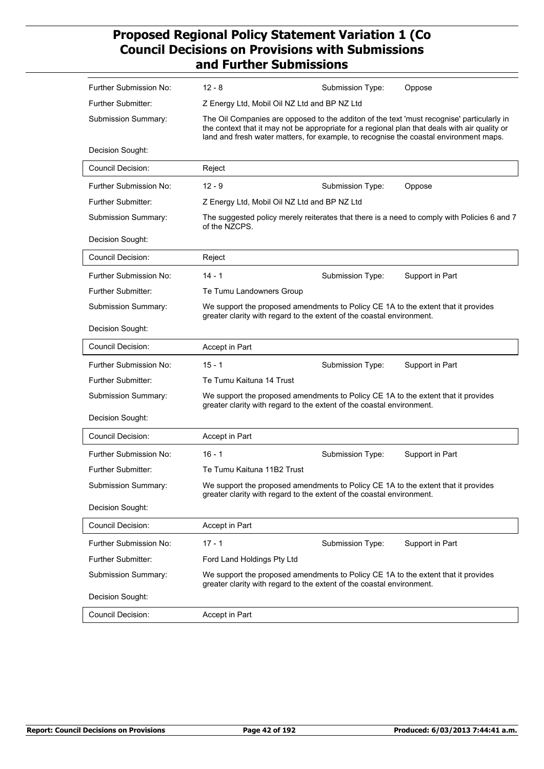| Further Submission No:    | $12 - 8$<br>Submission Type:<br>Oppose                                                                                                                                                                                                                                              |  |  |  |  |
|---------------------------|-------------------------------------------------------------------------------------------------------------------------------------------------------------------------------------------------------------------------------------------------------------------------------------|--|--|--|--|
| Further Submitter:        | Z Energy Ltd, Mobil Oil NZ Ltd and BP NZ Ltd                                                                                                                                                                                                                                        |  |  |  |  |
| Submission Summary:       | The Oil Companies are opposed to the additon of the text 'must recognise' particularly in<br>the context that it may not be appropriate for a regional plan that deals with air quality or<br>land and fresh water matters, for example, to recognise the coastal environment maps. |  |  |  |  |
| Decision Sought:          |                                                                                                                                                                                                                                                                                     |  |  |  |  |
| <b>Council Decision:</b>  | Reject                                                                                                                                                                                                                                                                              |  |  |  |  |
| Further Submission No:    | $12 - 9$<br>Submission Type:<br>Oppose                                                                                                                                                                                                                                              |  |  |  |  |
| Further Submitter:        | Z Energy Ltd, Mobil Oil NZ Ltd and BP NZ Ltd                                                                                                                                                                                                                                        |  |  |  |  |
| Submission Summary:       | The suggested policy merely reiterates that there is a need to comply with Policies 6 and 7<br>of the NZCPS.                                                                                                                                                                        |  |  |  |  |
| Decision Sought:          |                                                                                                                                                                                                                                                                                     |  |  |  |  |
| <b>Council Decision:</b>  | Reject                                                                                                                                                                                                                                                                              |  |  |  |  |
| Further Submission No:    | $14 - 1$<br>Support in Part<br>Submission Type:                                                                                                                                                                                                                                     |  |  |  |  |
| Further Submitter:        | Te Tumu Landowners Group                                                                                                                                                                                                                                                            |  |  |  |  |
| Submission Summary:       | We support the proposed amendments to Policy CE 1A to the extent that it provides<br>greater clarity with regard to the extent of the coastal environment.                                                                                                                          |  |  |  |  |
| Decision Sought:          |                                                                                                                                                                                                                                                                                     |  |  |  |  |
| <b>Council Decision:</b>  | Accept in Part                                                                                                                                                                                                                                                                      |  |  |  |  |
| Further Submission No:    | $15 - 1$<br>Submission Type:<br>Support in Part                                                                                                                                                                                                                                     |  |  |  |  |
| <b>Further Submitter:</b> | Te Tumu Kaituna 14 Trust                                                                                                                                                                                                                                                            |  |  |  |  |
| Submission Summary:       | We support the proposed amendments to Policy CE 1A to the extent that it provides<br>greater clarity with regard to the extent of the coastal environment.                                                                                                                          |  |  |  |  |
| Decision Sought:          |                                                                                                                                                                                                                                                                                     |  |  |  |  |
| <b>Council Decision:</b>  | Accept in Part                                                                                                                                                                                                                                                                      |  |  |  |  |
| Further Submission No:    | $16 - 1$<br>Submission Type:<br>Support in Part                                                                                                                                                                                                                                     |  |  |  |  |
| Further Submitter:        | Te Tumu Kaituna 11B2 Trust                                                                                                                                                                                                                                                          |  |  |  |  |
| Submission Summary:       | We support the proposed amendments to Policy CE 1A to the extent that it provides<br>greater clarity with regard to the extent of the coastal environment.                                                                                                                          |  |  |  |  |
| Decision Sought:          |                                                                                                                                                                                                                                                                                     |  |  |  |  |
| Council Decision:         | Accept in Part                                                                                                                                                                                                                                                                      |  |  |  |  |
| Further Submission No:    | $17 - 1$<br>Submission Type:<br>Support in Part                                                                                                                                                                                                                                     |  |  |  |  |
| <b>Further Submitter:</b> | Ford Land Holdings Pty Ltd                                                                                                                                                                                                                                                          |  |  |  |  |
| Submission Summary:       | We support the proposed amendments to Policy CE 1A to the extent that it provides<br>greater clarity with regard to the extent of the coastal environment.                                                                                                                          |  |  |  |  |
| Decision Sought:          |                                                                                                                                                                                                                                                                                     |  |  |  |  |
| Council Decision:         | Accept in Part                                                                                                                                                                                                                                                                      |  |  |  |  |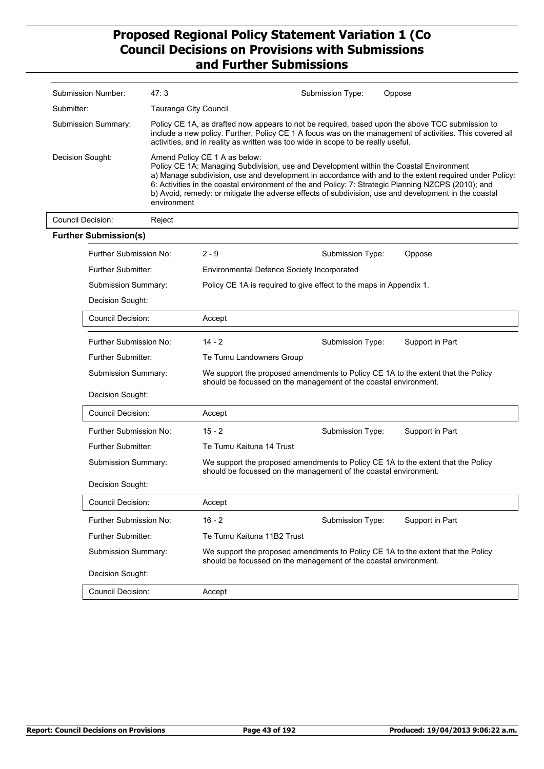| Submission Number:                      |                                       | 47:3                  |                                                                                                                                                                                                                                                                                                 | Submission Type: | Oppose                                                                                                                                                                                                                                                                                                                |  |
|-----------------------------------------|---------------------------------------|-----------------------|-------------------------------------------------------------------------------------------------------------------------------------------------------------------------------------------------------------------------------------------------------------------------------------------------|------------------|-----------------------------------------------------------------------------------------------------------------------------------------------------------------------------------------------------------------------------------------------------------------------------------------------------------------------|--|
| Submitter:                              |                                       | Tauranga City Council |                                                                                                                                                                                                                                                                                                 |                  |                                                                                                                                                                                                                                                                                                                       |  |
| Submission Summary:<br>Decision Sought: |                                       |                       | Policy CE 1A, as drafted now appears to not be required, based upon the above TCC submission to<br>include a new policy. Further, Policy CE 1 A focus was on the management of activities. This covered all<br>activities, and in reality as written was too wide in scope to be really useful. |                  |                                                                                                                                                                                                                                                                                                                       |  |
|                                         |                                       | environment           | Amend Policy CE 1 A as below:<br>Policy CE 1A: Managing Subdivision, use and Development within the Coastal Environment                                                                                                                                                                         |                  | a) Manage subdivision, use and development in accordance with and to the extent required under Policy:<br>6: Activities in the coastal environment of the and Policy: 7: Strategic Planning NZCPS (2010); and<br>b) Avoid, remedy: or mitigate the adverse effects of subdivision, use and development in the coastal |  |
| <b>Council Decision:</b>                |                                       | Reject                |                                                                                                                                                                                                                                                                                                 |                  |                                                                                                                                                                                                                                                                                                                       |  |
| <b>Further Submission(s)</b>            |                                       |                       |                                                                                                                                                                                                                                                                                                 |                  |                                                                                                                                                                                                                                                                                                                       |  |
|                                         | Further Submission No:                |                       | $2 - 9$                                                                                                                                                                                                                                                                                         | Submission Type: | Oppose                                                                                                                                                                                                                                                                                                                |  |
|                                         | <b>Further Submitter:</b>             |                       | <b>Environmental Defence Society Incorporated</b>                                                                                                                                                                                                                                               |                  |                                                                                                                                                                                                                                                                                                                       |  |
|                                         | Submission Summary:                   |                       | Policy CE 1A is required to give effect to the maps in Appendix 1.                                                                                                                                                                                                                              |                  |                                                                                                                                                                                                                                                                                                                       |  |
|                                         | Decision Sought:                      |                       |                                                                                                                                                                                                                                                                                                 |                  |                                                                                                                                                                                                                                                                                                                       |  |
|                                         | <b>Council Decision:</b>              |                       | Accept                                                                                                                                                                                                                                                                                          |                  |                                                                                                                                                                                                                                                                                                                       |  |
|                                         | Further Submission No:                |                       | $14 - 2$                                                                                                                                                                                                                                                                                        | Submission Type: | Support in Part                                                                                                                                                                                                                                                                                                       |  |
|                                         | Further Submitter:                    |                       | Te Tumu Landowners Group                                                                                                                                                                                                                                                                        |                  |                                                                                                                                                                                                                                                                                                                       |  |
|                                         | Submission Summary:                   |                       | We support the proposed amendments to Policy CE 1A to the extent that the Policy<br>should be focussed on the management of the coastal environment.                                                                                                                                            |                  |                                                                                                                                                                                                                                                                                                                       |  |
|                                         | Decision Sought:                      |                       |                                                                                                                                                                                                                                                                                                 |                  |                                                                                                                                                                                                                                                                                                                       |  |
|                                         | <b>Council Decision:</b>              |                       | Accept                                                                                                                                                                                                                                                                                          |                  |                                                                                                                                                                                                                                                                                                                       |  |
|                                         | Further Submission No:                |                       | $15 - 2$                                                                                                                                                                                                                                                                                        | Submission Type: | Support in Part                                                                                                                                                                                                                                                                                                       |  |
|                                         | Further Submitter:                    |                       | Te Tumu Kaituna 14 Trust                                                                                                                                                                                                                                                                        |                  |                                                                                                                                                                                                                                                                                                                       |  |
|                                         | Submission Summary:                   |                       | We support the proposed amendments to Policy CE 1A to the extent that the Policy<br>should be focussed on the management of the coastal environment.                                                                                                                                            |                  |                                                                                                                                                                                                                                                                                                                       |  |
|                                         | Decision Sought:<br>Council Decision: |                       |                                                                                                                                                                                                                                                                                                 |                  |                                                                                                                                                                                                                                                                                                                       |  |
|                                         |                                       |                       | Accept                                                                                                                                                                                                                                                                                          |                  |                                                                                                                                                                                                                                                                                                                       |  |
|                                         | Further Submission No:                |                       | $16 - 2$                                                                                                                                                                                                                                                                                        | Submission Type: | Support in Part                                                                                                                                                                                                                                                                                                       |  |
|                                         | <b>Further Submitter:</b>             |                       | Te Tumu Kaituna 11B2 Trust                                                                                                                                                                                                                                                                      |                  |                                                                                                                                                                                                                                                                                                                       |  |
|                                         | Submission Summary:                   |                       | should be focussed on the management of the coastal environment.                                                                                                                                                                                                                                |                  | We support the proposed amendments to Policy CE 1A to the extent that the Policy                                                                                                                                                                                                                                      |  |
|                                         | Decision Sought:                      |                       |                                                                                                                                                                                                                                                                                                 |                  |                                                                                                                                                                                                                                                                                                                       |  |
|                                         | Council Decision:                     |                       | Accept                                                                                                                                                                                                                                                                                          |                  |                                                                                                                                                                                                                                                                                                                       |  |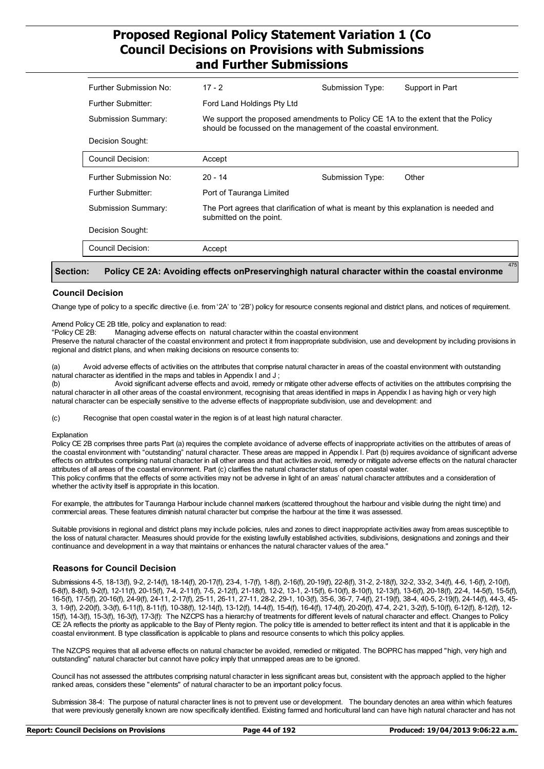| Further Submission No: | $17 - 2$                                                                                                         | Submission Type:                                                                                                                                     | Support in Part |  |
|------------------------|------------------------------------------------------------------------------------------------------------------|------------------------------------------------------------------------------------------------------------------------------------------------------|-----------------|--|
| Further Submitter:     | Ford Land Holdings Pty Ltd                                                                                       |                                                                                                                                                      |                 |  |
| Submission Summary:    |                                                                                                                  | We support the proposed amendments to Policy CE 1A to the extent that the Policy<br>should be focussed on the management of the coastal environment. |                 |  |
| Decision Sought:       |                                                                                                                  |                                                                                                                                                      |                 |  |
| Council Decision:      | Accept                                                                                                           |                                                                                                                                                      |                 |  |
| Further Submission No: | $20 - 14$                                                                                                        | Submission Type:                                                                                                                                     | Other           |  |
| Further Submitter:     | Port of Tauranga Limited                                                                                         |                                                                                                                                                      |                 |  |
| Submission Summary:    | The Port agrees that clarification of what is meant by this explanation is needed and<br>submitted on the point. |                                                                                                                                                      |                 |  |
| Decision Sought:       |                                                                                                                  |                                                                                                                                                      |                 |  |
| Council Decision:      | Accept                                                                                                           |                                                                                                                                                      |                 |  |
|                        |                                                                                                                  |                                                                                                                                                      | 475             |  |

#### **Section:** Policy CE 2A: Avoiding effects onPreservinghigh natural character within the coastal environme

#### **Council Decision**

Change type of policy to a specific directive (i.e. from '2A' to '2B') policy for resource consents regional and district plans, and notices of requirement.

Amend Policy CE 2B title, policy and explanation to read:

"Policy CE 2B: Managing adverse effects on natural character within the coastal environment

Preserve the natural character of the coastal environment and protect it from inappropriate subdivision, use and development by including provisions in regional and district plans, and when making decisions on resource consents to:

(a) Avoid adverse effects of activities on the attributes that comprise natural character in areas of the coastal environment with outstanding natural character as identified in the maps and tables in Appendix I and J ;

(b) Avoid significant adverse effects and avoid, remedy or mitigate other adverse effects of activities on the attributes comprising the natural character in all other areas of the coastal environment, recognising that areas identified in maps in Appendix I as having high or very high natural character can be especially sensitive to the adverse effects of inappropriate subdivision, use and development: and

(c) Recognise that open coastal water in the region is of at least high natural character.

#### Explanation

Policy CE 2B comprises three parts Part (a) requires the complete avoidance of adverse effects of inappropriate activities on the attributes of areas of the coastal environment with "outstanding" natural character. These areas are mapped in Appendix I. Part (b) requires avoidance of significant adverse effects on attributes comprising natural character in all other areas and that activities avoid, remedy or mitigate adverse effects on the natural character attributes of all areas of the coastal environment. Part (c) clarifies the natural character status of open coastal water.

This policy confirms that the effects of some activities may not be adverse in light of an areas' natural character attributes and a consideration of whether the activity itself is appropriate in this location.

For example, the attributes for Tauranga Harbour include channel markers (scattered throughout the harbour and visible during the night time) and commercial areas. These features diminish natural character but comprise the harbour at the time it was assessed.

Suitable provisions in regional and district plans may include policies, rules and zones to direct inappropriate activities away from areas susceptible to the loss of natural character. Measures should provide for the existing lawfully established activities, subdivisions, designations and zonings and their continuance and development in a way that maintains or enhances the natural character values of the area."

#### **Reasons for Council Decision**

Submissions 4-5, 18-13(f), 9-2, 2-14(f), 18-14(f), 20-17(f), 23-4, 1-7(f), 1-8(f), 2-16(f), 20-19(f), 22-8(f), 31-2, 2-18(f), 32-2, 33-2, 3-4(f), 4-6, 1-6(f), 2-10(f), 6-8(f), 8-8(f), 9-2(f), 12-11(f), 20-15(f), 7-4, 2-11(f), 7-5, 2-12(f), 21-18(f), 12-2, 13-1, 2-15(f), 6-10(f), 8-10(f), 12-13(f), 13-6(f), 20-18(f), 22-4, 14-5(f), 15-5(f), 15-5(f), 16-5(f), 17-5(f), 20-16(f), 24-9(f), 24-11, 2-17(f), 25-11, 26-11, 27-11, 28-2, 29-1, 10-3(f), 35-6, 36-7, 7-4(f), 21-19(f), 38-4, 40-5, 2-19(f), 24-14(f), 44-3, 45- 3, 1-9(f), 2-20(f), 3-3(f), 6-11(f), 8-11(f), 10-38(f), 12-14(f), 13-12(f), 14-4(f), 15-4(f), 16-4(f), 17-4(f), 20-20(f), 47-4, 2-21, 3-2(f), 5-10(f), 6-12(f), 8-12(f), 12- 15(f), 14-3(f), 15-3(f), 16-3(f), 17-3(f): The NZCPS has a hierarchy of treatments for different levels of natural character and effect. Changes to Policy CE 2A reflects the priority as applicable to the Bay of Plenty region. The policy title is amended to better reflect its intent and that it is applicable in the coastal environment. B type classification is applicable to plans and resource consents to which this policy applies.

The NZCPS requires that all adverse effects on natural character be avoided, remedied or mitigated. The BOPRC has mapped "high, very high and outstanding" natural character but cannot have policy imply that unmapped areas are to be ignored.

Council has not assessed the attributes comprising natural character in less significant areas but, consistent with the approach applied to the higher ranked areas, considers these "elements" of natural character to be an important policy focus.

Submission 38-4: The purpose of natural character lines is not to prevent use or development. The boundary denotes an area within which features that were previously generally known are now specifically identified. Existing farmed and horticultural land can have high natural character and has not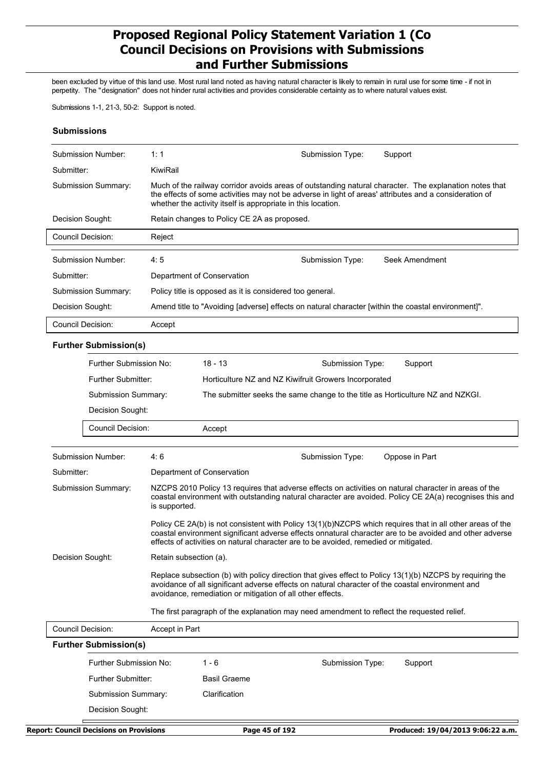been excluded by virtue of this land use. Most rural land noted as having natural character is likely to remain in rural use for some time - if not in perpetity. The "designation" does not hinder rural activities and provides considerable certainty as to where natural values exist.

Submissions 1-1, 21-3, 50-2: Support is noted.

#### **Submissions**

| Submission Number:  | 1:1                                                                                                                                                                                                                                                                              | Submission Type: | Support        |
|---------------------|----------------------------------------------------------------------------------------------------------------------------------------------------------------------------------------------------------------------------------------------------------------------------------|------------------|----------------|
| Submitter:          | KiwiRail                                                                                                                                                                                                                                                                         |                  |                |
| Submission Summary: | Much of the railway corridor avoids areas of outstanding natural character. The explanation notes that<br>the effects of some activities may not be adverse in light of areas' attributes and a consideration of<br>whether the activity itself is appropriate in this location. |                  |                |
| Decision Sought:    | Retain changes to Policy CE 2A as proposed.                                                                                                                                                                                                                                      |                  |                |
| Council Decision:   | Reject                                                                                                                                                                                                                                                                           |                  |                |
|                     |                                                                                                                                                                                                                                                                                  |                  |                |
| Submission Number:  | 4:5                                                                                                                                                                                                                                                                              | Submission Type: | Seek Amendment |
| Submitter:          | Department of Conservation                                                                                                                                                                                                                                                       |                  |                |
| Submission Summary: | Policy title is opposed as it is considered too general.                                                                                                                                                                                                                         |                  |                |
| Decision Sought:    | Amend title to "Avoiding [adverse] effects on natural character [within the coastal environment]".                                                                                                                                                                               |                  |                |
| Council Decision:   | Accept                                                                                                                                                                                                                                                                           |                  |                |

#### **Further Submission(s)**

| Further Submission No: | $18 - 13$                                                                      | Submission Type: | Support |
|------------------------|--------------------------------------------------------------------------------|------------------|---------|
| Further Submitter:     | Horticulture NZ and NZ Kiwifruit Growers Incorporated                          |                  |         |
| Submission Summary:    | The submitter seeks the same change to the title as Horticulture NZ and NZKGI. |                  |         |
| Decision Sought:       |                                                                                |                  |         |
| Council Decision:      | Accept                                                                         |                  |         |

| Submission Number:         | 4:6                                                                                                                                                                                                                                                                                                          | Submission Type: | Oppose in Part |
|----------------------------|--------------------------------------------------------------------------------------------------------------------------------------------------------------------------------------------------------------------------------------------------------------------------------------------------------------|------------------|----------------|
| Submitter:                 | Department of Conservation                                                                                                                                                                                                                                                                                   |                  |                |
| <b>Submission Summary:</b> | NZCPS 2010 Policy 13 requires that adverse effects on activities on natural character in areas of the<br>coastal environment with outstanding natural character are avoided. Policy CE 2A(a) recognises this and<br>is supported.                                                                            |                  |                |
|                            | Policy CE 2A(b) is not consistent with Policy 13(1)(b)NZCPS which requires that in all other areas of the<br>coastal environment significant adverse effects onnatural character are to be avoided and other adverse<br>effects of activities on natural character are to be avoided, remedied or mitigated. |                  |                |
| Decision Sought:           | Retain subsection (a).                                                                                                                                                                                                                                                                                       |                  |                |
|                            | Replace subsection (b) with policy direction that gives effect to Policy 13(1)(b) NZCPS by requiring the<br>avoidance of all significant adverse effects on natural character of the coastal environment and<br>avoidance, remediation or mitigation of all other effects.                                   |                  |                |
|                            | The first paragraph of the explanation may need amendment to reflect the requested relief.                                                                                                                                                                                                                   |                  |                |

| Council Decision: | Accept in Part<br><b>Further Submission(s)</b> |                     |                  |         |
|-------------------|------------------------------------------------|---------------------|------------------|---------|
|                   | Further Submission No:                         | 1 - 6               | Submission Type: | Support |
|                   | Further Submitter:                             | <b>Basil Graeme</b> |                  |         |
|                   | Submission Summary:                            | Clarification       |                  |         |
|                   | Decision Sought:                               |                     |                  |         |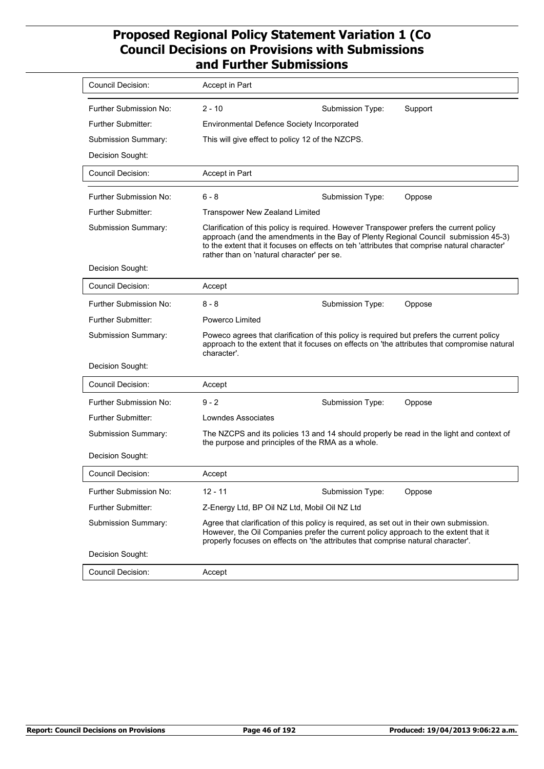| Council Decision:         | Accept in Part                                                                                                                                                                                                                                                                                                               |
|---------------------------|------------------------------------------------------------------------------------------------------------------------------------------------------------------------------------------------------------------------------------------------------------------------------------------------------------------------------|
| Further Submission No:    | $2 - 10$<br>Support<br>Submission Type:                                                                                                                                                                                                                                                                                      |
| Further Submitter:        | Environmental Defence Society Incorporated                                                                                                                                                                                                                                                                                   |
| Submission Summary:       | This will give effect to policy 12 of the NZCPS.                                                                                                                                                                                                                                                                             |
| Decision Sought:          |                                                                                                                                                                                                                                                                                                                              |
| <b>Council Decision:</b>  | Accept in Part                                                                                                                                                                                                                                                                                                               |
| Further Submission No:    | $6 - 8$<br>Submission Type:<br>Oppose                                                                                                                                                                                                                                                                                        |
| <b>Further Submitter:</b> | <b>Transpower New Zealand Limited</b>                                                                                                                                                                                                                                                                                        |
| Submission Summary:       | Clarification of this policy is required. However Transpower prefers the current policy<br>approach (and the amendments in the Bay of Plenty Regional Council submission 45-3)<br>to the extent that it focuses on effects on teh 'attributes that comprise natural character'<br>rather than on 'natural character' per se. |
| Decision Sought:          |                                                                                                                                                                                                                                                                                                                              |
| <b>Council Decision:</b>  | Accept                                                                                                                                                                                                                                                                                                                       |
| Further Submission No:    | $8 - 8$<br>Submission Type:<br>Oppose                                                                                                                                                                                                                                                                                        |
| <b>Further Submitter:</b> | Powerco Limited                                                                                                                                                                                                                                                                                                              |
| Submission Summary:       | Poweco agrees that clarification of this policy is required but prefers the current policy<br>approach to the extent that it focuses on effects on 'the attributes that compromise natural<br>character'.                                                                                                                    |
| Decision Sought:          |                                                                                                                                                                                                                                                                                                                              |
| <b>Council Decision:</b>  | Accept                                                                                                                                                                                                                                                                                                                       |
| Further Submission No:    | $9 - 2$<br>Submission Type:<br>Oppose                                                                                                                                                                                                                                                                                        |
| <b>Further Submitter:</b> | Lowndes Associates                                                                                                                                                                                                                                                                                                           |
| Submission Summary:       | The NZCPS and its policies 13 and 14 should properly be read in the light and context of<br>the purpose and principles of the RMA as a whole.                                                                                                                                                                                |
| Decision Sought:          |                                                                                                                                                                                                                                                                                                                              |
| <b>Council Decision:</b>  | Accept                                                                                                                                                                                                                                                                                                                       |
| Further Submission No:    | $12 - 11$<br>Submission Type:<br>Oppose                                                                                                                                                                                                                                                                                      |
| <b>Further Submitter:</b> | Z-Energy Ltd, BP Oil NZ Ltd, Mobil Oil NZ Ltd                                                                                                                                                                                                                                                                                |
| Submission Summary:       | Agree that clarification of this policy is required, as set out in their own submission.<br>However, the Oil Companies prefer the current policy approach to the extent that it<br>properly focuses on effects on 'the attributes that comprise natural character'.                                                          |
| Decision Sought:          |                                                                                                                                                                                                                                                                                                                              |
| <b>Council Decision:</b>  | Accept                                                                                                                                                                                                                                                                                                                       |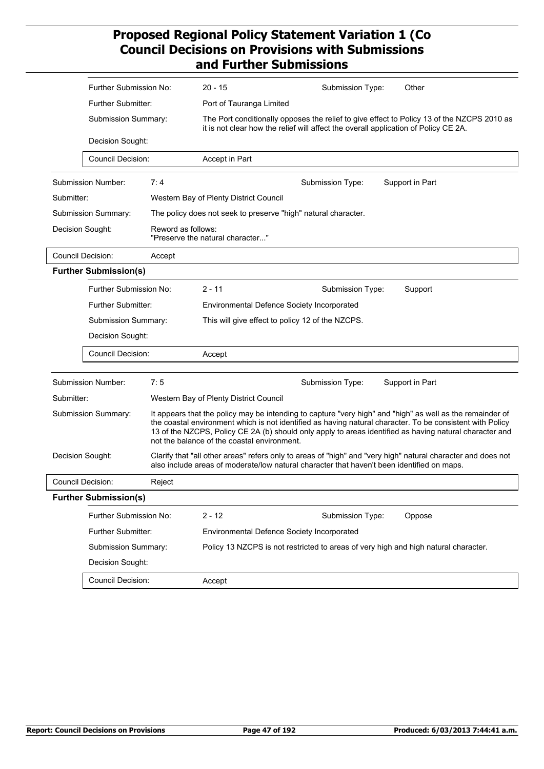|            | Further Submission No:       |                    | $20 - 15$                                   | Submission Type:                                                                                                                                                                                                       | Other                                                                                                        |  |
|------------|------------------------------|--------------------|---------------------------------------------|------------------------------------------------------------------------------------------------------------------------------------------------------------------------------------------------------------------------|--------------------------------------------------------------------------------------------------------------|--|
|            | <b>Further Submitter:</b>    |                    |                                             | Port of Tauranga Limited                                                                                                                                                                                               |                                                                                                              |  |
|            | Submission Summary:          |                    |                                             | The Port conditionally opposes the relief to give effect to Policy 13 of the NZCPS 2010 as<br>it is not clear how the relief will affect the overall application of Policy CE 2A.                                      |                                                                                                              |  |
|            | Decision Sought:             |                    |                                             |                                                                                                                                                                                                                        |                                                                                                              |  |
|            | <b>Council Decision:</b>     |                    | Accept in Part                              |                                                                                                                                                                                                                        |                                                                                                              |  |
|            | Submission Number:           | 7:4                |                                             | Submission Type:                                                                                                                                                                                                       | Support in Part                                                                                              |  |
| Submitter: |                              |                    | Western Bay of Plenty District Council      |                                                                                                                                                                                                                        |                                                                                                              |  |
|            | Submission Summary:          |                    |                                             | The policy does not seek to preserve "high" natural character.                                                                                                                                                         |                                                                                                              |  |
|            | Decision Sought:             | Reword as follows: | "Preserve the natural character"            |                                                                                                                                                                                                                        |                                                                                                              |  |
|            | <b>Council Decision:</b>     | Accept             |                                             |                                                                                                                                                                                                                        |                                                                                                              |  |
|            | <b>Further Submission(s)</b> |                    |                                             |                                                                                                                                                                                                                        |                                                                                                              |  |
|            | Further Submission No:       |                    | $2 - 11$                                    | Submission Type:                                                                                                                                                                                                       | Support                                                                                                      |  |
|            | Further Submitter:           |                    | Environmental Defence Society Incorporated  |                                                                                                                                                                                                                        |                                                                                                              |  |
|            | Submission Summary:          |                    |                                             | This will give effect to policy 12 of the NZCPS.                                                                                                                                                                       |                                                                                                              |  |
|            | Decision Sought:             |                    |                                             |                                                                                                                                                                                                                        |                                                                                                              |  |
|            | Council Decision:            |                    | Accept                                      |                                                                                                                                                                                                                        |                                                                                                              |  |
|            |                              |                    |                                             |                                                                                                                                                                                                                        |                                                                                                              |  |
|            | Submission Number:           | 7:5                |                                             | Submission Type:                                                                                                                                                                                                       | Support in Part                                                                                              |  |
| Submitter: |                              |                    | Western Bay of Plenty District Council      |                                                                                                                                                                                                                        |                                                                                                              |  |
|            | Submission Summary:          |                    | not the balance of the coastal environment. | It appears that the policy may be intending to capture "very high" and "high" as well as the remainder of<br>the coastal environment which is not identified as having natural character. To be consistent with Policy | 13 of the NZCPS, Policy CE 2A (b) should only apply to areas identified as having natural character and      |  |
|            | Decision Sought:             |                    |                                             | also include areas of moderate/low natural character that haven't been identified on maps.                                                                                                                             | Clarify that "all other areas" refers only to areas of "high" and "very high" natural character and does not |  |
|            | Council Decision:            | Reject             |                                             |                                                                                                                                                                                                                        |                                                                                                              |  |
|            | <b>Further Submission(s)</b> |                    |                                             |                                                                                                                                                                                                                        |                                                                                                              |  |
|            | Further Submission No:       |                    | $2 - 12$                                    | Submission Type:                                                                                                                                                                                                       | Oppose                                                                                                       |  |
|            | Further Submitter:           |                    | Environmental Defence Society Incorporated  |                                                                                                                                                                                                                        |                                                                                                              |  |
|            | Submission Summary:          |                    |                                             | Policy 13 NZCPS is not restricted to areas of very high and high natural character.                                                                                                                                    |                                                                                                              |  |
|            | Decision Sought:             |                    |                                             |                                                                                                                                                                                                                        |                                                                                                              |  |
|            | Council Decision:            |                    | Accept                                      |                                                                                                                                                                                                                        |                                                                                                              |  |
|            |                              |                    |                                             |                                                                                                                                                                                                                        |                                                                                                              |  |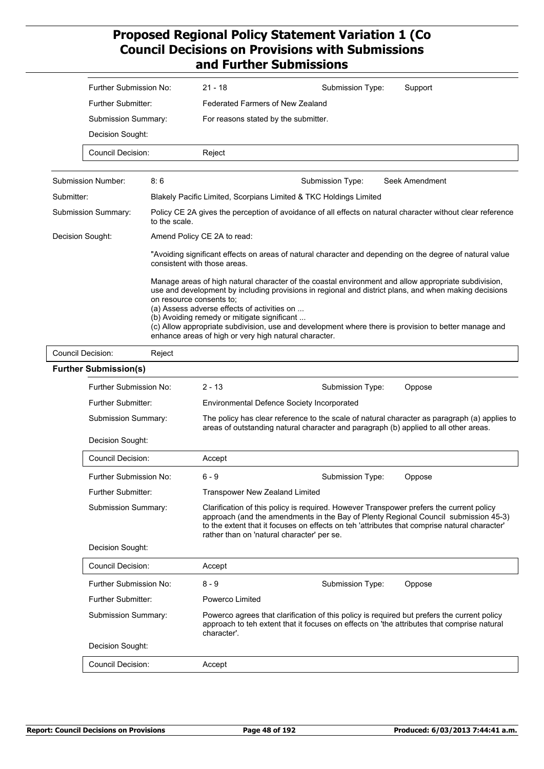| Further Submission No:     | $21 - 18$                            | Submission Type: | Support |
|----------------------------|--------------------------------------|------------------|---------|
| Further Submitter:         | Federated Farmers of New Zealand     |                  |         |
| <b>Submission Summary:</b> | For reasons stated by the submitter. |                  |         |
| Decision Sought:           |                                      |                  |         |
| Council Decision:          | Reject                               |                  |         |

| Submission Number:  | 8:6                                                                                                                                                                                                                                                                                                                                                                                                                                                                                                      | Submission Type: | Seek Amendment |  |
|---------------------|----------------------------------------------------------------------------------------------------------------------------------------------------------------------------------------------------------------------------------------------------------------------------------------------------------------------------------------------------------------------------------------------------------------------------------------------------------------------------------------------------------|------------------|----------------|--|
| Submitter:          | Blakely Pacific Limited, Scorpians Limited & TKC Holdings Limited                                                                                                                                                                                                                                                                                                                                                                                                                                        |                  |                |  |
| Submission Summary: | Policy CE 2A gives the perception of avoidance of all effects on natural character without clear reference<br>to the scale.                                                                                                                                                                                                                                                                                                                                                                              |                  |                |  |
| Decision Sought:    | Amend Policy CE 2A to read:                                                                                                                                                                                                                                                                                                                                                                                                                                                                              |                  |                |  |
|                     | "Avoiding significant effects on areas of natural character and depending on the degree of natural value<br>consistent with those areas.                                                                                                                                                                                                                                                                                                                                                                 |                  |                |  |
|                     | Manage areas of high natural character of the coastal environment and allow appropriate subdivision,<br>use and development by including provisions in regional and district plans, and when making decisions<br>on resource consents to:<br>(a) Assess adverse effects of activities on<br>(b) Avoiding remedy or mitigate significant<br>(c) Allow appropriate subdivision, use and development where there is provision to better manage and<br>enhance areas of high or very high natural character. |                  |                |  |

Council Decision: Reject

| <b>Further Submission(s)</b> |  |  |
|------------------------------|--|--|
|------------------------------|--|--|

| $2 - 13$                                                                                                                                                                                                                                                                                                                     | Submission Type: | Oppose                                                                                                                                                                                                                             |  |
|------------------------------------------------------------------------------------------------------------------------------------------------------------------------------------------------------------------------------------------------------------------------------------------------------------------------------|------------------|------------------------------------------------------------------------------------------------------------------------------------------------------------------------------------------------------------------------------------|--|
|                                                                                                                                                                                                                                                                                                                              |                  |                                                                                                                                                                                                                                    |  |
|                                                                                                                                                                                                                                                                                                                              |                  |                                                                                                                                                                                                                                    |  |
|                                                                                                                                                                                                                                                                                                                              |                  |                                                                                                                                                                                                                                    |  |
| Accept                                                                                                                                                                                                                                                                                                                       |                  |                                                                                                                                                                                                                                    |  |
| $6 - 9$                                                                                                                                                                                                                                                                                                                      | Submission Type: | Oppose                                                                                                                                                                                                                             |  |
| <b>Transpower New Zealand Limited</b>                                                                                                                                                                                                                                                                                        |                  |                                                                                                                                                                                                                                    |  |
| Clarification of this policy is required. However Transpower prefers the current policy<br>approach (and the amendments in the Bay of Plenty Regional Council submission 45-3)<br>to the extent that it focuses on effects on teh 'attributes that comprise natural character'<br>rather than on 'natural character' per se. |                  |                                                                                                                                                                                                                                    |  |
|                                                                                                                                                                                                                                                                                                                              |                  |                                                                                                                                                                                                                                    |  |
| Accept                                                                                                                                                                                                                                                                                                                       |                  |                                                                                                                                                                                                                                    |  |
| $8 - 9$                                                                                                                                                                                                                                                                                                                      | Submission Type: | Oppose                                                                                                                                                                                                                             |  |
| Powerco Limited                                                                                                                                                                                                                                                                                                              |                  |                                                                                                                                                                                                                                    |  |
| Powerco agrees that clarification of this policy is required but prefers the current policy<br>approach to teh extent that it focuses on effects on 'the attributes that comprise natural<br>character'.                                                                                                                     |                  |                                                                                                                                                                                                                                    |  |
|                                                                                                                                                                                                                                                                                                                              |                  |                                                                                                                                                                                                                                    |  |
| Accept                                                                                                                                                                                                                                                                                                                       |                  |                                                                                                                                                                                                                                    |  |
|                                                                                                                                                                                                                                                                                                                              |                  | Environmental Defence Society Incorporated<br>The policy has clear reference to the scale of natural character as paragraph (a) applies to<br>areas of outstanding natural character and paragraph (b) applied to all other areas. |  |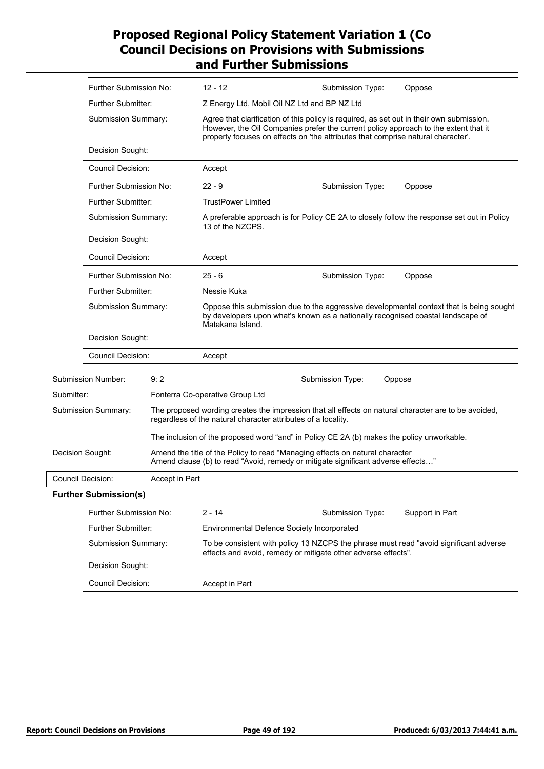| Further Submission No:       |     | $12 - 12$                                                                                                                                                                                                                                                              | Submission Type:                                  | Oppose                                                                                                                                                                                                                                                                                                                                              |  |
|------------------------------|-----|------------------------------------------------------------------------------------------------------------------------------------------------------------------------------------------------------------------------------------------------------------------------|---------------------------------------------------|-----------------------------------------------------------------------------------------------------------------------------------------------------------------------------------------------------------------------------------------------------------------------------------------------------------------------------------------------------|--|
|                              |     |                                                                                                                                                                                                                                                                        |                                                   |                                                                                                                                                                                                                                                                                                                                                     |  |
| Further Submitter:           |     | Z Energy Ltd, Mobil Oil NZ Ltd and BP NZ Ltd                                                                                                                                                                                                                           |                                                   |                                                                                                                                                                                                                                                                                                                                                     |  |
| Submission Summary:          |     | Agree that clarification of this policy is required, as set out in their own submission.<br>However, the Oil Companies prefer the current policy approach to the extent that it<br>properly focuses on effects on 'the attributes that comprise natural character'.    |                                                   |                                                                                                                                                                                                                                                                                                                                                     |  |
| Decision Sought:             |     |                                                                                                                                                                                                                                                                        |                                                   |                                                                                                                                                                                                                                                                                                                                                     |  |
|                              |     | Accept                                                                                                                                                                                                                                                                 |                                                   |                                                                                                                                                                                                                                                                                                                                                     |  |
|                              |     | $22 - 9$                                                                                                                                                                                                                                                               | Submission Type:                                  | Oppose                                                                                                                                                                                                                                                                                                                                              |  |
|                              |     | <b>TrustPower Limited</b>                                                                                                                                                                                                                                              |                                                   |                                                                                                                                                                                                                                                                                                                                                     |  |
|                              |     | 13 of the NZCPS.                                                                                                                                                                                                                                                       |                                                   |                                                                                                                                                                                                                                                                                                                                                     |  |
|                              |     |                                                                                                                                                                                                                                                                        |                                                   |                                                                                                                                                                                                                                                                                                                                                     |  |
|                              |     | Accept                                                                                                                                                                                                                                                                 |                                                   |                                                                                                                                                                                                                                                                                                                                                     |  |
|                              |     | $25 - 6$                                                                                                                                                                                                                                                               | Submission Type:                                  | Oppose                                                                                                                                                                                                                                                                                                                                              |  |
|                              |     | Nessie Kuka                                                                                                                                                                                                                                                            |                                                   |                                                                                                                                                                                                                                                                                                                                                     |  |
|                              |     | Oppose this submission due to the aggressive developmental context that is being sought<br>by developers upon what's known as a nationally recognised coastal landscape of<br>Matakana Island.                                                                         |                                                   |                                                                                                                                                                                                                                                                                                                                                     |  |
|                              |     |                                                                                                                                                                                                                                                                        |                                                   |                                                                                                                                                                                                                                                                                                                                                     |  |
|                              |     | Accept                                                                                                                                                                                                                                                                 |                                                   |                                                                                                                                                                                                                                                                                                                                                     |  |
| Submission Number:           | 9:2 |                                                                                                                                                                                                                                                                        |                                                   | Oppose                                                                                                                                                                                                                                                                                                                                              |  |
| Submitter:                   |     |                                                                                                                                                                                                                                                                        |                                                   |                                                                                                                                                                                                                                                                                                                                                     |  |
| Submission Summary:          |     | The proposed wording creates the impression that all effects on natural character are to be avoided,                                                                                                                                                                   |                                                   |                                                                                                                                                                                                                                                                                                                                                     |  |
|                              |     | The inclusion of the proposed word "and" in Policy CE 2A (b) makes the policy unworkable.                                                                                                                                                                              |                                                   |                                                                                                                                                                                                                                                                                                                                                     |  |
| Decision Sought:             |     |                                                                                                                                                                                                                                                                        |                                                   |                                                                                                                                                                                                                                                                                                                                                     |  |
| Council Decision:            |     |                                                                                                                                                                                                                                                                        |                                                   |                                                                                                                                                                                                                                                                                                                                                     |  |
| <b>Further Submission(s)</b> |     |                                                                                                                                                                                                                                                                        |                                                   |                                                                                                                                                                                                                                                                                                                                                     |  |
| Further Submission No:       |     | $2 - 14$                                                                                                                                                                                                                                                               | Submission Type:                                  | Support in Part                                                                                                                                                                                                                                                                                                                                     |  |
| <b>Further Submitter:</b>    |     | <b>Environmental Defence Society Incorporated</b>                                                                                                                                                                                                                      |                                                   |                                                                                                                                                                                                                                                                                                                                                     |  |
| Submission Summary:          |     | To be consistent with policy 13 NZCPS the phrase must read "avoid significant adverse<br>effects and avoid, remedy or mitigate other adverse effects".                                                                                                                 |                                                   |                                                                                                                                                                                                                                                                                                                                                     |  |
| Decision Sought:             |     |                                                                                                                                                                                                                                                                        |                                                   |                                                                                                                                                                                                                                                                                                                                                     |  |
| <b>Council Decision:</b>     |     | Accept in Part                                                                                                                                                                                                                                                         |                                                   |                                                                                                                                                                                                                                                                                                                                                     |  |
|                              |     | <b>Council Decision:</b><br>Further Submission No:<br>Further Submitter:<br>Submission Summary:<br>Decision Sought:<br>Council Decision:<br>Further Submission No:<br><b>Further Submitter:</b><br>Submission Summary:<br>Decision Sought:<br><b>Council Decision:</b> | Fonterra Co-operative Group Ltd<br>Accept in Part | A preferable approach is for Policy CE 2A to closely follow the response set out in Policy<br>Submission Type:<br>regardless of the natural character attributes of a locality.<br>Amend the title of the Policy to read "Managing effects on natural character<br>Amend clause (b) to read "Avoid, remedy or mitigate significant adverse effects" |  |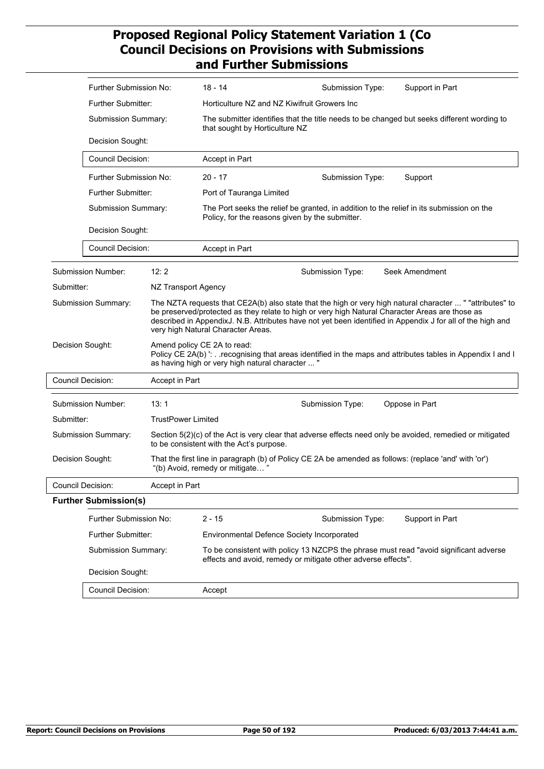|                        | Further Submission No:              |                                                                                                                                                                                                                                                                                                                                                                  | 18 - 14                                                                                                                                                                                       | Submission Type: | Support in Part |  |
|------------------------|-------------------------------------|------------------------------------------------------------------------------------------------------------------------------------------------------------------------------------------------------------------------------------------------------------------------------------------------------------------------------------------------------------------|-----------------------------------------------------------------------------------------------------------------------------------------------------------------------------------------------|------------------|-----------------|--|
|                        | Further Submitter:                  |                                                                                                                                                                                                                                                                                                                                                                  | Horticulture NZ and NZ Kiwifruit Growers Inc                                                                                                                                                  |                  |                 |  |
|                        | Submission Summary:                 |                                                                                                                                                                                                                                                                                                                                                                  | The submitter identifies that the title needs to be changed but seeks different wording to<br>that sought by Horticulture NZ                                                                  |                  |                 |  |
|                        | Decision Sought:                    |                                                                                                                                                                                                                                                                                                                                                                  |                                                                                                                                                                                               |                  |                 |  |
|                        | <b>Council Decision:</b>            |                                                                                                                                                                                                                                                                                                                                                                  | Accept in Part                                                                                                                                                                                |                  |                 |  |
|                        | Further Submission No:              |                                                                                                                                                                                                                                                                                                                                                                  | $20 - 17$                                                                                                                                                                                     | Submission Type: | Support         |  |
|                        | Further Submitter:                  |                                                                                                                                                                                                                                                                                                                                                                  | Port of Tauranga Limited                                                                                                                                                                      |                  |                 |  |
|                        | Submission Summary:                 |                                                                                                                                                                                                                                                                                                                                                                  | The Port seeks the relief be granted, in addition to the relief in its submission on the<br>Policy, for the reasons given by the submitter.                                                   |                  |                 |  |
|                        | Decision Sought:                    |                                                                                                                                                                                                                                                                                                                                                                  |                                                                                                                                                                                               |                  |                 |  |
|                        | Council Decision:                   |                                                                                                                                                                                                                                                                                                                                                                  | Accept in Part                                                                                                                                                                                |                  |                 |  |
|                        | Submission Number:                  | 12:2                                                                                                                                                                                                                                                                                                                                                             |                                                                                                                                                                                               | Submission Type: | Seek Amendment  |  |
| Submitter:             |                                     | NZ Transport Agency                                                                                                                                                                                                                                                                                                                                              |                                                                                                                                                                                               |                  |                 |  |
| Submission Summary:    |                                     | The NZTA requests that CE2A(b) also state that the high or very high natural character  " "attributes" to<br>be preserved/protected as they relate to high or very high Natural Character Areas are those as<br>described in AppendixJ. N.B. Attributes have not yet been identified in Appendix J for all of the high and<br>very high Natural Character Areas. |                                                                                                                                                                                               |                  |                 |  |
| Decision Sought:       |                                     |                                                                                                                                                                                                                                                                                                                                                                  | Amend policy CE 2A to read:<br>Policy CE 2A(b) ': recognising that areas identified in the maps and attributes tables in Appendix I and I<br>as having high or very high natural character  " |                  |                 |  |
|                        | Council Decision:                   | Accept in Part                                                                                                                                                                                                                                                                                                                                                   |                                                                                                                                                                                               |                  |                 |  |
|                        | Submission Number:                  | 13:1                                                                                                                                                                                                                                                                                                                                                             |                                                                                                                                                                                               | Submission Type: | Oppose in Part  |  |
| Submitter:             |                                     | <b>TrustPower Limited</b>                                                                                                                                                                                                                                                                                                                                        |                                                                                                                                                                                               |                  |                 |  |
|                        | Submission Summary:                 |                                                                                                                                                                                                                                                                                                                                                                  | Section 5(2)(c) of the Act is very clear that adverse effects need only be avoided, remedied or mitigated<br>to be consistent with the Act's purpose.                                         |                  |                 |  |
| Decision Sought:       |                                     |                                                                                                                                                                                                                                                                                                                                                                  | That the first line in paragraph (b) of Policy CE 2A be amended as follows: (replace 'and' with 'or')<br>"(b) Avoid, remedy or mitigate                                                       |                  |                 |  |
|                        | Council Decision:<br>Accept in Part |                                                                                                                                                                                                                                                                                                                                                                  |                                                                                                                                                                                               |                  |                 |  |
|                        | <b>Further Submission(s)</b>        |                                                                                                                                                                                                                                                                                                                                                                  |                                                                                                                                                                                               |                  |                 |  |
| Further Submission No: |                                     | $2 - 15$                                                                                                                                                                                                                                                                                                                                                         | Submission Type:                                                                                                                                                                              | Support in Part  |                 |  |
| Further Submitter:     |                                     | <b>Environmental Defence Society Incorporated</b>                                                                                                                                                                                                                                                                                                                |                                                                                                                                                                                               |                  |                 |  |
|                        | Submission Summary:                 |                                                                                                                                                                                                                                                                                                                                                                  | To be consistent with policy 13 NZCPS the phrase must read "avoid significant adverse<br>effects and avoid, remedy or mitigate other adverse effects".                                        |                  |                 |  |
|                        | Decision Sought:                    |                                                                                                                                                                                                                                                                                                                                                                  |                                                                                                                                                                                               |                  |                 |  |
| Council Decision:      |                                     | Accept                                                                                                                                                                                                                                                                                                                                                           |                                                                                                                                                                                               |                  |                 |  |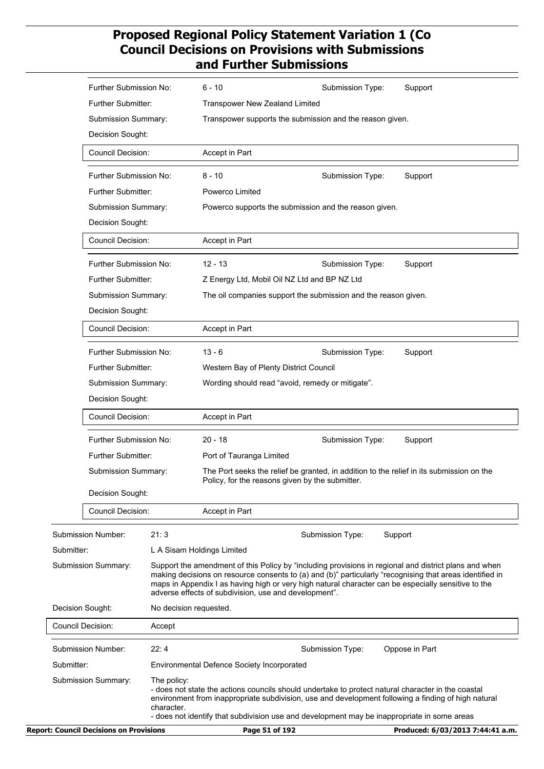| Further Submission No:     |                           | 6 - 10                                                                                                                                                                                                                                                                                                                                                                            | Submission Type: | Support        |
|----------------------------|---------------------------|-----------------------------------------------------------------------------------------------------------------------------------------------------------------------------------------------------------------------------------------------------------------------------------------------------------------------------------------------------------------------------------|------------------|----------------|
| Further Submitter:         |                           | <b>Transpower New Zealand Limited</b>                                                                                                                                                                                                                                                                                                                                             |                  |                |
| Submission Summary:        |                           | Transpower supports the submission and the reason given.                                                                                                                                                                                                                                                                                                                          |                  |                |
| Decision Sought:           |                           |                                                                                                                                                                                                                                                                                                                                                                                   |                  |                |
| <b>Council Decision:</b>   |                           | Accept in Part                                                                                                                                                                                                                                                                                                                                                                    |                  |                |
| Further Submission No:     |                           | $8 - 10$                                                                                                                                                                                                                                                                                                                                                                          | Submission Type: | Support        |
| Further Submitter:         |                           | Powerco Limited                                                                                                                                                                                                                                                                                                                                                                   |                  |                |
| Submission Summary:        |                           | Powerco supports the submission and the reason given.                                                                                                                                                                                                                                                                                                                             |                  |                |
| Decision Sought:           |                           |                                                                                                                                                                                                                                                                                                                                                                                   |                  |                |
| <b>Council Decision:</b>   |                           | Accept in Part                                                                                                                                                                                                                                                                                                                                                                    |                  |                |
| Further Submission No:     |                           | $12 - 13$                                                                                                                                                                                                                                                                                                                                                                         | Submission Type: | Support        |
| Further Submitter:         |                           | Z Energy Ltd, Mobil Oil NZ Ltd and BP NZ Ltd                                                                                                                                                                                                                                                                                                                                      |                  |                |
| Submission Summary:        |                           | The oil companies support the submission and the reason given.                                                                                                                                                                                                                                                                                                                    |                  |                |
| Decision Sought:           |                           |                                                                                                                                                                                                                                                                                                                                                                                   |                  |                |
| <b>Council Decision:</b>   |                           | Accept in Part                                                                                                                                                                                                                                                                                                                                                                    |                  |                |
| Further Submission No:     |                           | $13 - 6$                                                                                                                                                                                                                                                                                                                                                                          | Submission Type: | Support        |
| Further Submitter:         |                           | Western Bay of Plenty District Council                                                                                                                                                                                                                                                                                                                                            |                  |                |
| Submission Summary:        |                           | Wording should read "avoid, remedy or mitigate".                                                                                                                                                                                                                                                                                                                                  |                  |                |
| Decision Sought:           |                           |                                                                                                                                                                                                                                                                                                                                                                                   |                  |                |
| Council Decision:          |                           | Accept in Part                                                                                                                                                                                                                                                                                                                                                                    |                  |                |
| Further Submission No:     |                           | $20 - 18$                                                                                                                                                                                                                                                                                                                                                                         | Submission Type: | Support        |
| Further Submitter:         |                           | Port of Tauranga Limited                                                                                                                                                                                                                                                                                                                                                          |                  |                |
| Submission Summary:        |                           | The Port seeks the relief be granted, in addition to the relief in its submission on the<br>Policy, for the reasons given by the submitter.                                                                                                                                                                                                                                       |                  |                |
| Decision Sought:           |                           |                                                                                                                                                                                                                                                                                                                                                                                   |                  |                |
| Council Decision:          |                           | Accept in Part                                                                                                                                                                                                                                                                                                                                                                    |                  |                |
| Submission Number:         | 21:3                      |                                                                                                                                                                                                                                                                                                                                                                                   | Submission Type: | Support        |
| Submitter:                 |                           | L A Sisam Holdings Limited                                                                                                                                                                                                                                                                                                                                                        |                  |                |
| <b>Submission Summary:</b> |                           | Support the amendment of this Policy by "including provisions in regional and district plans and when<br>making decisions on resource consents to (a) and (b)" particularly "recognising that areas identified in<br>maps in Appendix I as having high or very high natural character can be especially sensitive to the<br>adverse effects of subdivision, use and development". |                  |                |
| Decision Sought:           |                           | No decision requested.                                                                                                                                                                                                                                                                                                                                                            |                  |                |
| <b>Council Decision:</b>   | Accept                    |                                                                                                                                                                                                                                                                                                                                                                                   |                  |                |
| Submission Number:         | 22:4                      |                                                                                                                                                                                                                                                                                                                                                                                   | Submission Type: | Oppose in Part |
| Submitter:                 |                           | <b>Environmental Defence Society Incorporated</b>                                                                                                                                                                                                                                                                                                                                 |                  |                |
| Submission Summary:        | The policy:<br>character. | - does not state the actions councils should undertake to protect natural character in the coastal<br>environment from inappropriate subdivision, use and development following a finding of high natural                                                                                                                                                                         |                  |                |
|                            |                           | - does not identify that subdivision use and development may be inappropriate in some areas                                                                                                                                                                                                                                                                                       |                  |                |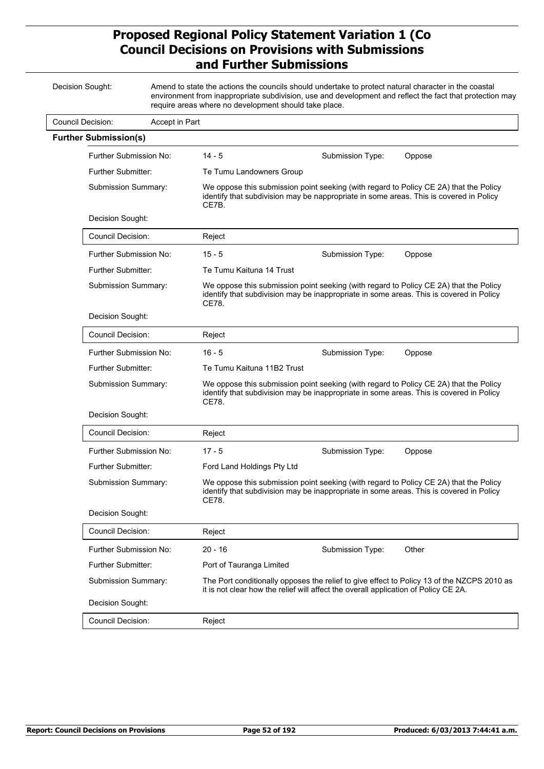| Decision Sought:         |                                                  |                | require areas where no development should take place.                                                                                                                                     | Amend to state the actions the councils should undertake to protect natural character in the coastal                                                                             | environment from inappropriate subdivision, use and development and reflect the fact that protection may |  |
|--------------------------|--------------------------------------------------|----------------|-------------------------------------------------------------------------------------------------------------------------------------------------------------------------------------------|----------------------------------------------------------------------------------------------------------------------------------------------------------------------------------|----------------------------------------------------------------------------------------------------------|--|
| <b>Council Decision:</b> |                                                  | Accept in Part |                                                                                                                                                                                           |                                                                                                                                                                                  |                                                                                                          |  |
|                          | <b>Further Submission(s)</b>                     |                |                                                                                                                                                                                           |                                                                                                                                                                                  |                                                                                                          |  |
|                          | Further Submission No:                           |                | $14 - 5$                                                                                                                                                                                  | Submission Type:                                                                                                                                                                 | Oppose                                                                                                   |  |
|                          | <b>Further Submitter:</b><br>Submission Summary: |                | Te Tumu Landowners Group                                                                                                                                                                  |                                                                                                                                                                                  |                                                                                                          |  |
|                          |                                                  |                | CE7B.                                                                                                                                                                                     | We oppose this submission point seeking (with regard to Policy CE 2A) that the Policy<br>identify that subdivision may be nappropriate in some areas. This is covered in Policy  |                                                                                                          |  |
|                          | Decision Sought:                                 |                |                                                                                                                                                                                           |                                                                                                                                                                                  |                                                                                                          |  |
|                          | <b>Council Decision:</b>                         |                | Reject                                                                                                                                                                                    |                                                                                                                                                                                  |                                                                                                          |  |
|                          | Further Submission No:                           |                | $15 - 5$                                                                                                                                                                                  | Submission Type:                                                                                                                                                                 | Oppose                                                                                                   |  |
|                          | Further Submitter:                               |                | Te Tumu Kaituna 14 Trust                                                                                                                                                                  |                                                                                                                                                                                  |                                                                                                          |  |
|                          | Submission Summary:                              |                | CE78.                                                                                                                                                                                     | We oppose this submission point seeking (with regard to Policy CE 2A) that the Policy<br>identify that subdivision may be inappropriate in some areas. This is covered in Policy |                                                                                                          |  |
|                          | Decision Sought:                                 |                |                                                                                                                                                                                           |                                                                                                                                                                                  |                                                                                                          |  |
|                          | Council Decision:                                |                | Reject                                                                                                                                                                                    |                                                                                                                                                                                  |                                                                                                          |  |
|                          | Further Submission No:                           |                | $16 - 5$                                                                                                                                                                                  | Submission Type:                                                                                                                                                                 | Oppose                                                                                                   |  |
|                          | Further Submitter:                               |                | Te Tumu Kaituna 11B2 Trust                                                                                                                                                                |                                                                                                                                                                                  |                                                                                                          |  |
|                          | Submission Summary:                              |                | We oppose this submission point seeking (with regard to Policy CE 2A) that the Policy<br>identify that subdivision may be inappropriate in some areas. This is covered in Policy<br>CE78. |                                                                                                                                                                                  |                                                                                                          |  |
|                          | Decision Sought:                                 |                |                                                                                                                                                                                           |                                                                                                                                                                                  |                                                                                                          |  |
|                          | Council Decision:                                |                | Reject                                                                                                                                                                                    |                                                                                                                                                                                  |                                                                                                          |  |
|                          | Further Submission No:                           |                | $17 - 5$                                                                                                                                                                                  | Submission Type:                                                                                                                                                                 | Oppose                                                                                                   |  |
|                          | Further Submitter:                               |                | Ford Land Holdings Pty Ltd                                                                                                                                                                |                                                                                                                                                                                  |                                                                                                          |  |
|                          | Submission Summary:                              |                | CE78.                                                                                                                                                                                     | We oppose this submission point seeking (with regard to Policy CE 2A) that the Policy<br>identify that subdivision may be inappropriate in some areas. This is covered in Policy |                                                                                                          |  |
|                          | Decision Sought:                                 |                |                                                                                                                                                                                           |                                                                                                                                                                                  |                                                                                                          |  |
|                          | <b>Council Decision:</b>                         |                | Reject                                                                                                                                                                                    |                                                                                                                                                                                  |                                                                                                          |  |
|                          | Further Submission No:                           |                | $20 - 16$                                                                                                                                                                                 | Submission Type:                                                                                                                                                                 | Other                                                                                                    |  |
|                          | Further Submitter:                               |                | Port of Tauranga Limited                                                                                                                                                                  |                                                                                                                                                                                  |                                                                                                          |  |
|                          | Submission Summary:                              |                |                                                                                                                                                                                           | it is not clear how the relief will affect the overall application of Policy CE 2A.                                                                                              | The Port conditionally opposes the relief to give effect to Policy 13 of the NZCPS 2010 as               |  |
|                          | Decision Sought:                                 |                |                                                                                                                                                                                           |                                                                                                                                                                                  |                                                                                                          |  |
|                          | Council Decision:                                |                | Reject                                                                                                                                                                                    |                                                                                                                                                                                  |                                                                                                          |  |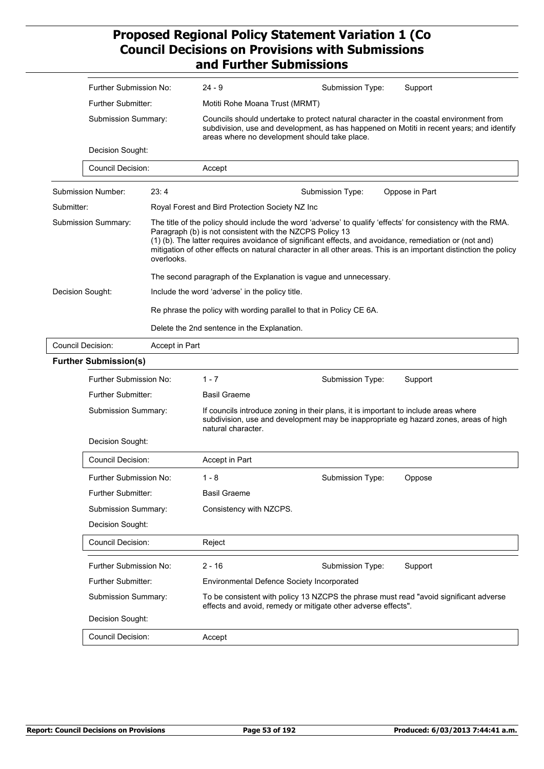| Further Submission No:<br>$24 - 9$                                  | Support<br>Submission Type:                                                                                                                                                                                                                                                                                                                                                                            |  |  |  |
|---------------------------------------------------------------------|--------------------------------------------------------------------------------------------------------------------------------------------------------------------------------------------------------------------------------------------------------------------------------------------------------------------------------------------------------------------------------------------------------|--|--|--|
| <b>Further Submitter:</b>                                           | Motiti Rohe Moana Trust (MRMT)<br>Councils should undertake to protect natural character in the coastal environment from<br>subdivision, use and development, as has happened on Motiti in recent years; and identify<br>areas where no development should take place.                                                                                                                                 |  |  |  |
| Submission Summary:                                                 |                                                                                                                                                                                                                                                                                                                                                                                                        |  |  |  |
| Decision Sought:                                                    |                                                                                                                                                                                                                                                                                                                                                                                                        |  |  |  |
| <b>Council Decision:</b><br>Accept                                  |                                                                                                                                                                                                                                                                                                                                                                                                        |  |  |  |
| Submission Number:<br>23:4                                          | Submission Type:<br>Oppose in Part                                                                                                                                                                                                                                                                                                                                                                     |  |  |  |
| Submitter:<br>Royal Forest and Bird Protection Society NZ Inc       |                                                                                                                                                                                                                                                                                                                                                                                                        |  |  |  |
| Submission Summary:<br>overlooks.                                   | The title of the policy should include the word 'adverse' to qualify 'effects' for consistency with the RMA.<br>Paragraph (b) is not consistent with the NZCPS Policy 13<br>(1) (b). The latter requires avoidance of significant effects, and avoidance, remediation or (not and)<br>mitigation of other effects on natural character in all other areas. This is an important distinction the policy |  |  |  |
|                                                                     | The second paragraph of the Explanation is vague and unnecessary.                                                                                                                                                                                                                                                                                                                                      |  |  |  |
| Decision Sought:<br>Include the word 'adverse' in the policy title. |                                                                                                                                                                                                                                                                                                                                                                                                        |  |  |  |
|                                                                     | Re phrase the policy with wording parallel to that in Policy CE 6A.                                                                                                                                                                                                                                                                                                                                    |  |  |  |
|                                                                     | Delete the 2nd sentence in the Explanation.                                                                                                                                                                                                                                                                                                                                                            |  |  |  |
| <b>Council Decision:</b><br>Accept in Part                          |                                                                                                                                                                                                                                                                                                                                                                                                        |  |  |  |
| <b>Further Submission(s)</b>                                        |                                                                                                                                                                                                                                                                                                                                                                                                        |  |  |  |
| $1 - 7$<br>Further Submission No:                                   | Submission Type:<br>Support                                                                                                                                                                                                                                                                                                                                                                            |  |  |  |
| <b>Further Submitter:</b><br><b>Basil Graeme</b>                    |                                                                                                                                                                                                                                                                                                                                                                                                        |  |  |  |
| Submission Summary:                                                 | If councils introduce zoning in their plans, it is important to include areas where<br>subdivision, use and development may be inappropriate eg hazard zones, areas of high<br>natural character.                                                                                                                                                                                                      |  |  |  |
| Decision Sought:                                                    |                                                                                                                                                                                                                                                                                                                                                                                                        |  |  |  |
| <b>Council Decision:</b><br>Accept in Part                          |                                                                                                                                                                                                                                                                                                                                                                                                        |  |  |  |
| $1 - 8$<br>Further Submission No:                                   | Submission Type:<br>Oppose                                                                                                                                                                                                                                                                                                                                                                             |  |  |  |
| <b>Further Submitter:</b><br><b>Basil Graeme</b>                    |                                                                                                                                                                                                                                                                                                                                                                                                        |  |  |  |
| Submission Summary:<br>Consistency with NZCPS.                      |                                                                                                                                                                                                                                                                                                                                                                                                        |  |  |  |
| Decision Sought:                                                    |                                                                                                                                                                                                                                                                                                                                                                                                        |  |  |  |
| <b>Council Decision:</b><br>Reject                                  |                                                                                                                                                                                                                                                                                                                                                                                                        |  |  |  |
| $2 - 16$<br>Further Submission No:                                  | Submission Type:<br>Support                                                                                                                                                                                                                                                                                                                                                                            |  |  |  |
| <b>Further Submitter:</b>                                           | Environmental Defence Society Incorporated                                                                                                                                                                                                                                                                                                                                                             |  |  |  |
| Submission Summary:                                                 | To be consistent with policy 13 NZCPS the phrase must read "avoid significant adverse<br>effects and avoid, remedy or mitigate other adverse effects".                                                                                                                                                                                                                                                 |  |  |  |
| Decision Sought:                                                    |                                                                                                                                                                                                                                                                                                                                                                                                        |  |  |  |
| <b>Council Decision:</b><br>Accept                                  |                                                                                                                                                                                                                                                                                                                                                                                                        |  |  |  |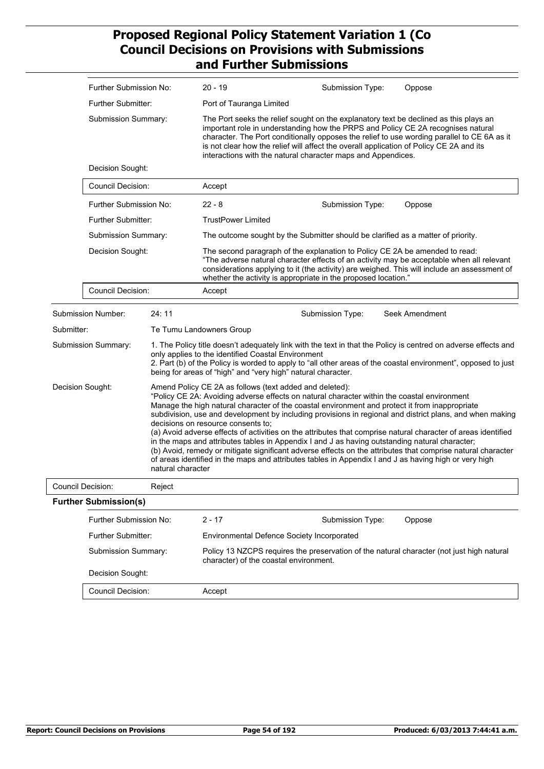|                                       | Further Submission No:                      |                                    | $20 - 19$                                                                                                                                                                                                                                                                                                                                                                                                                                                                                                                                                                                                                                                                                                                                                                                                       | Submission Type:                                                                                                                                                                                                                                                                                                                                                                                                                    | Oppose         |  |
|---------------------------------------|---------------------------------------------|------------------------------------|-----------------------------------------------------------------------------------------------------------------------------------------------------------------------------------------------------------------------------------------------------------------------------------------------------------------------------------------------------------------------------------------------------------------------------------------------------------------------------------------------------------------------------------------------------------------------------------------------------------------------------------------------------------------------------------------------------------------------------------------------------------------------------------------------------------------|-------------------------------------------------------------------------------------------------------------------------------------------------------------------------------------------------------------------------------------------------------------------------------------------------------------------------------------------------------------------------------------------------------------------------------------|----------------|--|
|                                       | Further Submitter:                          |                                    | Port of Tauranga Limited                                                                                                                                                                                                                                                                                                                                                                                                                                                                                                                                                                                                                                                                                                                                                                                        |                                                                                                                                                                                                                                                                                                                                                                                                                                     |                |  |
|                                       | <b>Submission Summary:</b>                  |                                    |                                                                                                                                                                                                                                                                                                                                                                                                                                                                                                                                                                                                                                                                                                                                                                                                                 | The Port seeks the relief sought on the explanatory text be declined as this plays an<br>important role in understanding how the PRPS and Policy CE 2A recognises natural<br>character. The Port conditionally opposes the relief to use wording parallel to CE 6A as it<br>is not clear how the relief will affect the overall application of Policy CE 2A and its<br>interactions with the natural character maps and Appendices. |                |  |
|                                       | Decision Sought:                            |                                    |                                                                                                                                                                                                                                                                                                                                                                                                                                                                                                                                                                                                                                                                                                                                                                                                                 |                                                                                                                                                                                                                                                                                                                                                                                                                                     |                |  |
|                                       | Council Decision:<br>Further Submission No: |                                    | Accept                                                                                                                                                                                                                                                                                                                                                                                                                                                                                                                                                                                                                                                                                                                                                                                                          |                                                                                                                                                                                                                                                                                                                                                                                                                                     |                |  |
|                                       |                                             |                                    | $22 - 8$                                                                                                                                                                                                                                                                                                                                                                                                                                                                                                                                                                                                                                                                                                                                                                                                        | Submission Type:                                                                                                                                                                                                                                                                                                                                                                                                                    | Oppose         |  |
|                                       | Further Submitter:                          |                                    | <b>TrustPower Limited</b>                                                                                                                                                                                                                                                                                                                                                                                                                                                                                                                                                                                                                                                                                                                                                                                       |                                                                                                                                                                                                                                                                                                                                                                                                                                     |                |  |
|                                       | Submission Summary:                         |                                    |                                                                                                                                                                                                                                                                                                                                                                                                                                                                                                                                                                                                                                                                                                                                                                                                                 | The outcome sought by the Submitter should be clarified as a matter of priority.                                                                                                                                                                                                                                                                                                                                                    |                |  |
|                                       | Decision Sought:                            |                                    | The second paragraph of the explanation to Policy CE 2A be amended to read:<br>"The adverse natural character effects of an activity may be acceptable when all relevant<br>considerations applying to it (the activity) are weighed. This will include an assessment of<br>whether the activity is appropriate in the proposed location."                                                                                                                                                                                                                                                                                                                                                                                                                                                                      |                                                                                                                                                                                                                                                                                                                                                                                                                                     |                |  |
|                                       | <b>Council Decision:</b>                    |                                    | Accept                                                                                                                                                                                                                                                                                                                                                                                                                                                                                                                                                                                                                                                                                                                                                                                                          |                                                                                                                                                                                                                                                                                                                                                                                                                                     |                |  |
|                                       | Submission Number:                          | 24:11                              |                                                                                                                                                                                                                                                                                                                                                                                                                                                                                                                                                                                                                                                                                                                                                                                                                 | Submission Type:                                                                                                                                                                                                                                                                                                                                                                                                                    | Seek Amendment |  |
| Submitter:                            |                                             |                                    | Te Tumu Landowners Group                                                                                                                                                                                                                                                                                                                                                                                                                                                                                                                                                                                                                                                                                                                                                                                        |                                                                                                                                                                                                                                                                                                                                                                                                                                     |                |  |
|                                       | Submission Summary:                         |                                    | 1. The Policy title doesn't adequately link with the text in that the Policy is centred on adverse effects and<br>only applies to the identified Coastal Environment<br>2. Part (b) of the Policy is worded to apply to "all other areas of the coastal environment", opposed to just<br>being for areas of "high" and "very high" natural character.                                                                                                                                                                                                                                                                                                                                                                                                                                                           |                                                                                                                                                                                                                                                                                                                                                                                                                                     |                |  |
| Decision Sought:<br>natural character |                                             | decisions on resource consents to: | Amend Policy CE 2A as follows (text added and deleted):<br>"Policy CE 2A: Avoiding adverse effects on natural character within the coastal environment<br>Manage the high natural character of the coastal environment and protect it from inappropriate<br>subdivision, use and development by including provisions in regional and district plans, and when making<br>(a) Avoid adverse effects of activities on the attributes that comprise natural character of areas identified<br>in the maps and attributes tables in Appendix I and J as having outstanding natural character;<br>(b) Avoid, remedy or mitigate significant adverse effects on the attributes that comprise natural character<br>of areas identified in the maps and attributes tables in Appendix I and J as having high or very high |                                                                                                                                                                                                                                                                                                                                                                                                                                     |                |  |
| Council Decision:                     |                                             | Reject                             |                                                                                                                                                                                                                                                                                                                                                                                                                                                                                                                                                                                                                                                                                                                                                                                                                 |                                                                                                                                                                                                                                                                                                                                                                                                                                     |                |  |
|                                       | <b>Further Submission(s)</b>                |                                    |                                                                                                                                                                                                                                                                                                                                                                                                                                                                                                                                                                                                                                                                                                                                                                                                                 |                                                                                                                                                                                                                                                                                                                                                                                                                                     |                |  |
|                                       | Further Submission No:                      |                                    | $2 - 17$                                                                                                                                                                                                                                                                                                                                                                                                                                                                                                                                                                                                                                                                                                                                                                                                        | Submission Type:                                                                                                                                                                                                                                                                                                                                                                                                                    | Oppose         |  |
|                                       | Further Submitter:                          |                                    |                                                                                                                                                                                                                                                                                                                                                                                                                                                                                                                                                                                                                                                                                                                                                                                                                 | <b>Environmental Defence Society Incorporated</b>                                                                                                                                                                                                                                                                                                                                                                                   |                |  |
|                                       | Submission Summary:                         |                                    | character) of the coastal environment.                                                                                                                                                                                                                                                                                                                                                                                                                                                                                                                                                                                                                                                                                                                                                                          | Policy 13 NZCPS requires the preservation of the natural character (not just high natural                                                                                                                                                                                                                                                                                                                                           |                |  |
|                                       | Decision Sought:                            |                                    |                                                                                                                                                                                                                                                                                                                                                                                                                                                                                                                                                                                                                                                                                                                                                                                                                 |                                                                                                                                                                                                                                                                                                                                                                                                                                     |                |  |
|                                       | Council Decision:                           |                                    | Accept                                                                                                                                                                                                                                                                                                                                                                                                                                                                                                                                                                                                                                                                                                                                                                                                          |                                                                                                                                                                                                                                                                                                                                                                                                                                     |                |  |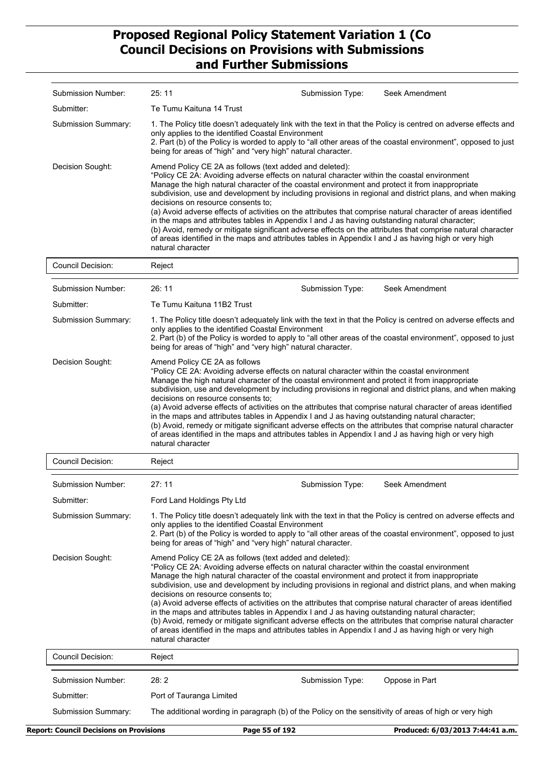| Submission Number:       | 25:11<br>Seek Amendment<br>Submission Type:                                                                                                                                                                                                                                                                                                                                                                                                                                                                                                                                                                                                                                                                                                                                                                                                                                |
|--------------------------|----------------------------------------------------------------------------------------------------------------------------------------------------------------------------------------------------------------------------------------------------------------------------------------------------------------------------------------------------------------------------------------------------------------------------------------------------------------------------------------------------------------------------------------------------------------------------------------------------------------------------------------------------------------------------------------------------------------------------------------------------------------------------------------------------------------------------------------------------------------------------|
| Submitter:               | Te Tumu Kaituna 14 Trust                                                                                                                                                                                                                                                                                                                                                                                                                                                                                                                                                                                                                                                                                                                                                                                                                                                   |
| Submission Summary:      | 1. The Policy title doesn't adequately link with the text in that the Policy is centred on adverse effects and<br>only applies to the identified Coastal Environment<br>2. Part (b) of the Policy is worded to apply to "all other areas of the coastal environment", opposed to just<br>being for areas of "high" and "very high" natural character.                                                                                                                                                                                                                                                                                                                                                                                                                                                                                                                      |
| Decision Sought:         | Amend Policy CE 2A as follows (text added and deleted):<br>"Policy CE 2A: Avoiding adverse effects on natural character within the coastal environment<br>Manage the high natural character of the coastal environment and protect it from inappropriate<br>subdivision, use and development by including provisions in regional and district plans, and when making<br>decisions on resource consents to;<br>(a) Avoid adverse effects of activities on the attributes that comprise natural character of areas identified<br>in the maps and attributes tables in Appendix I and J as having outstanding natural character;<br>(b) Avoid, remedy or mitigate significant adverse effects on the attributes that comprise natural character<br>of areas identified in the maps and attributes tables in Appendix I and J as having high or very high<br>natural character |
| <b>Council Decision:</b> | Reject                                                                                                                                                                                                                                                                                                                                                                                                                                                                                                                                                                                                                                                                                                                                                                                                                                                                     |
| Submission Number:       | 26:11<br>Seek Amendment<br>Submission Type:                                                                                                                                                                                                                                                                                                                                                                                                                                                                                                                                                                                                                                                                                                                                                                                                                                |
| Submitter:               | Te Tumu Kaituna 11B2 Trust                                                                                                                                                                                                                                                                                                                                                                                                                                                                                                                                                                                                                                                                                                                                                                                                                                                 |
| Submission Summary:      | 1. The Policy title doesn't adequately link with the text in that the Policy is centred on adverse effects and<br>only applies to the identified Coastal Environment<br>2. Part (b) of the Policy is worded to apply to "all other areas of the coastal environment", opposed to just<br>being for areas of "high" and "very high" natural character.                                                                                                                                                                                                                                                                                                                                                                                                                                                                                                                      |
| Decision Sought:         | Amend Policy CE 2A as follows<br>"Policy CE 2A: Avoiding adverse effects on natural character within the coastal environment<br>Manage the high natural character of the coastal environment and protect it from inappropriate<br>subdivision, use and development by including provisions in regional and district plans, and when making<br>decisions on resource consents to;<br>(a) Avoid adverse effects of activities on the attributes that comprise natural character of areas identified<br>in the maps and attributes tables in Appendix I and J as having outstanding natural character;<br>(b) Avoid, remedy or mitigate significant adverse effects on the attributes that comprise natural character<br>of areas identified in the maps and attributes tables in Appendix I and J as having high or very high<br>natural character                           |
| Council Decision:        | Reject                                                                                                                                                                                                                                                                                                                                                                                                                                                                                                                                                                                                                                                                                                                                                                                                                                                                     |
| Submission Number:       | 27: 11<br>Submission Type:<br>Seek Amendment                                                                                                                                                                                                                                                                                                                                                                                                                                                                                                                                                                                                                                                                                                                                                                                                                               |
| Submitter:               | Ford Land Holdings Pty Ltd                                                                                                                                                                                                                                                                                                                                                                                                                                                                                                                                                                                                                                                                                                                                                                                                                                                 |
| Submission Summary:      | 1. The Policy title doesn't adequately link with the text in that the Policy is centred on adverse effects and<br>only applies to the identified Coastal Environment<br>2. Part (b) of the Policy is worded to apply to "all other areas of the coastal environment", opposed to just<br>being for areas of "high" and "very high" natural character.                                                                                                                                                                                                                                                                                                                                                                                                                                                                                                                      |
| Decision Sought:         | Amend Policy CE 2A as follows (text added and deleted):<br>"Policy CE 2A: Avoiding adverse effects on natural character within the coastal environment<br>Manage the high natural character of the coastal environment and protect it from inappropriate<br>subdivision, use and development by including provisions in regional and district plans, and when making<br>decisions on resource consents to:<br>(a) Avoid adverse effects of activities on the attributes that comprise natural character of areas identified<br>in the maps and attributes tables in Appendix I and J as having outstanding natural character;<br>(b) Avoid, remedy or mitigate significant adverse effects on the attributes that comprise natural character<br>of areas identified in the maps and attributes tables in Appendix I and J as having high or very high<br>natural character |
| <b>Council Decision:</b> | Reject                                                                                                                                                                                                                                                                                                                                                                                                                                                                                                                                                                                                                                                                                                                                                                                                                                                                     |
| Submission Number:       | 28:2<br>Submission Type:<br>Oppose in Part                                                                                                                                                                                                                                                                                                                                                                                                                                                                                                                                                                                                                                                                                                                                                                                                                                 |
| Submitter:               | Port of Tauranga Limited                                                                                                                                                                                                                                                                                                                                                                                                                                                                                                                                                                                                                                                                                                                                                                                                                                                   |

Submission Summary: The additional wording in paragraph (b) of the Policy on the sensitivity of areas of high or very high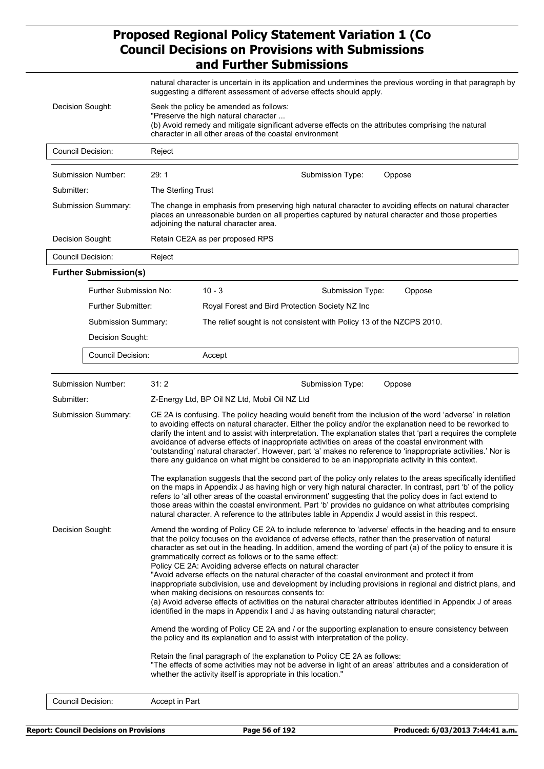|                                                                                                                                                                                                                                                                     |                              | natural character is uncertain in its application and undermines the previous wording in that paragraph by<br>suggesting a different assessment of adverse effects should apply.                                                                                                                                                                                                                                                                                                                                                                                                                                                                                  |                                                                                                                                                                                                                                                                                                                                                                                                                                                                                                                                                                                                                                                                                                                                                                                                                                                                                                                                        |  |  |  |  |
|---------------------------------------------------------------------------------------------------------------------------------------------------------------------------------------------------------------------------------------------------------------------|------------------------------|-------------------------------------------------------------------------------------------------------------------------------------------------------------------------------------------------------------------------------------------------------------------------------------------------------------------------------------------------------------------------------------------------------------------------------------------------------------------------------------------------------------------------------------------------------------------------------------------------------------------------------------------------------------------|----------------------------------------------------------------------------------------------------------------------------------------------------------------------------------------------------------------------------------------------------------------------------------------------------------------------------------------------------------------------------------------------------------------------------------------------------------------------------------------------------------------------------------------------------------------------------------------------------------------------------------------------------------------------------------------------------------------------------------------------------------------------------------------------------------------------------------------------------------------------------------------------------------------------------------------|--|--|--|--|
| Decision Sought:<br>Seek the policy be amended as follows:<br>"Preserve the high natural character<br>(b) Avoid remedy and mitigate significant adverse effects on the attributes comprising the natural<br>character in all other areas of the coastal environment |                              |                                                                                                                                                                                                                                                                                                                                                                                                                                                                                                                                                                                                                                                                   |                                                                                                                                                                                                                                                                                                                                                                                                                                                                                                                                                                                                                                                                                                                                                                                                                                                                                                                                        |  |  |  |  |
|                                                                                                                                                                                                                                                                     | <b>Council Decision:</b>     | Reject                                                                                                                                                                                                                                                                                                                                                                                                                                                                                                                                                                                                                                                            |                                                                                                                                                                                                                                                                                                                                                                                                                                                                                                                                                                                                                                                                                                                                                                                                                                                                                                                                        |  |  |  |  |
|                                                                                                                                                                                                                                                                     | Submission Number:           | 29:1                                                                                                                                                                                                                                                                                                                                                                                                                                                                                                                                                                                                                                                              | Submission Type:<br>Oppose                                                                                                                                                                                                                                                                                                                                                                                                                                                                                                                                                                                                                                                                                                                                                                                                                                                                                                             |  |  |  |  |
| Submitter:                                                                                                                                                                                                                                                          |                              | The Sterling Trust                                                                                                                                                                                                                                                                                                                                                                                                                                                                                                                                                                                                                                                |                                                                                                                                                                                                                                                                                                                                                                                                                                                                                                                                                                                                                                                                                                                                                                                                                                                                                                                                        |  |  |  |  |
|                                                                                                                                                                                                                                                                     | Submission Summary:          |                                                                                                                                                                                                                                                                                                                                                                                                                                                                                                                                                                                                                                                                   | The change in emphasis from preserving high natural character to avoiding effects on natural character<br>places an unreasonable burden on all properties captured by natural character and those properties<br>adjoining the natural character area.                                                                                                                                                                                                                                                                                                                                                                                                                                                                                                                                                                                                                                                                                  |  |  |  |  |
|                                                                                                                                                                                                                                                                     | Decision Sought:             |                                                                                                                                                                                                                                                                                                                                                                                                                                                                                                                                                                                                                                                                   | Retain CE2A as per proposed RPS                                                                                                                                                                                                                                                                                                                                                                                                                                                                                                                                                                                                                                                                                                                                                                                                                                                                                                        |  |  |  |  |
|                                                                                                                                                                                                                                                                     | <b>Council Decision:</b>     | Reject                                                                                                                                                                                                                                                                                                                                                                                                                                                                                                                                                                                                                                                            |                                                                                                                                                                                                                                                                                                                                                                                                                                                                                                                                                                                                                                                                                                                                                                                                                                                                                                                                        |  |  |  |  |
|                                                                                                                                                                                                                                                                     | <b>Further Submission(s)</b> |                                                                                                                                                                                                                                                                                                                                                                                                                                                                                                                                                                                                                                                                   |                                                                                                                                                                                                                                                                                                                                                                                                                                                                                                                                                                                                                                                                                                                                                                                                                                                                                                                                        |  |  |  |  |
|                                                                                                                                                                                                                                                                     | Further Submission No:       |                                                                                                                                                                                                                                                                                                                                                                                                                                                                                                                                                                                                                                                                   | $10 - 3$<br>Submission Type:<br>Oppose                                                                                                                                                                                                                                                                                                                                                                                                                                                                                                                                                                                                                                                                                                                                                                                                                                                                                                 |  |  |  |  |
|                                                                                                                                                                                                                                                                     | Further Submitter:           |                                                                                                                                                                                                                                                                                                                                                                                                                                                                                                                                                                                                                                                                   | Royal Forest and Bird Protection Society NZ Inc                                                                                                                                                                                                                                                                                                                                                                                                                                                                                                                                                                                                                                                                                                                                                                                                                                                                                        |  |  |  |  |
|                                                                                                                                                                                                                                                                     | Submission Summary:          |                                                                                                                                                                                                                                                                                                                                                                                                                                                                                                                                                                                                                                                                   | The relief sought is not consistent with Policy 13 of the NZCPS 2010.                                                                                                                                                                                                                                                                                                                                                                                                                                                                                                                                                                                                                                                                                                                                                                                                                                                                  |  |  |  |  |
|                                                                                                                                                                                                                                                                     | Decision Sought:             |                                                                                                                                                                                                                                                                                                                                                                                                                                                                                                                                                                                                                                                                   |                                                                                                                                                                                                                                                                                                                                                                                                                                                                                                                                                                                                                                                                                                                                                                                                                                                                                                                                        |  |  |  |  |
|                                                                                                                                                                                                                                                                     | <b>Council Decision:</b>     |                                                                                                                                                                                                                                                                                                                                                                                                                                                                                                                                                                                                                                                                   | Accept                                                                                                                                                                                                                                                                                                                                                                                                                                                                                                                                                                                                                                                                                                                                                                                                                                                                                                                                 |  |  |  |  |
|                                                                                                                                                                                                                                                                     | Submission Number:           | 31:2                                                                                                                                                                                                                                                                                                                                                                                                                                                                                                                                                                                                                                                              | Submission Type:<br>Oppose                                                                                                                                                                                                                                                                                                                                                                                                                                                                                                                                                                                                                                                                                                                                                                                                                                                                                                             |  |  |  |  |
| Submitter:                                                                                                                                                                                                                                                          |                              | Z-Energy Ltd, BP Oil NZ Ltd, Mobil Oil NZ Ltd                                                                                                                                                                                                                                                                                                                                                                                                                                                                                                                                                                                                                     |                                                                                                                                                                                                                                                                                                                                                                                                                                                                                                                                                                                                                                                                                                                                                                                                                                                                                                                                        |  |  |  |  |
| Submission Summary:                                                                                                                                                                                                                                                 |                              | CE 2A is confusing. The policy heading would benefit from the inclusion of the word 'adverse' in relation<br>to avoiding effects on natural character. Either the policy and/or the explanation need to be reworked to<br>clarify the intent and to assist with interpretation. The explanation states that 'part a requires the complete<br>avoidance of adverse effects of inappropriate activities on areas of the coastal environment with<br>'outstanding' natural character'. However, part 'a' makes no reference to 'inappropriate activities.' Nor is<br>there any guidance on what might be considered to be an inappropriate activity in this context. |                                                                                                                                                                                                                                                                                                                                                                                                                                                                                                                                                                                                                                                                                                                                                                                                                                                                                                                                        |  |  |  |  |
|                                                                                                                                                                                                                                                                     |                              |                                                                                                                                                                                                                                                                                                                                                                                                                                                                                                                                                                                                                                                                   | The explanation suggests that the second part of the policy only relates to the areas specifically identified<br>on the maps in Appendix J as having high or very high natural character. In contrast, part 'b' of the policy<br>refers to 'all other areas of the coastal environment' suggesting that the policy does in fact extend to<br>those areas within the coastal environment. Part 'b' provides no guidance on what attributes comprising<br>natural character. A reference to the attributes table in Appendix J would assist in this respect.                                                                                                                                                                                                                                                                                                                                                                             |  |  |  |  |
| Decision Sought:                                                                                                                                                                                                                                                    |                              |                                                                                                                                                                                                                                                                                                                                                                                                                                                                                                                                                                                                                                                                   | Amend the wording of Policy CE 2A to include reference to 'adverse' effects in the heading and to ensure<br>that the policy focuses on the avoidance of adverse effects, rather than the preservation of natural<br>character as set out in the heading. In addition, amend the wording of part (a) of the policy to ensure it is<br>grammatically correct as follows or to the same effect:<br>Policy CE 2A: Avoiding adverse effects on natural character<br>"Avoid adverse effects on the natural character of the coastal environment and protect it from<br>inappropriate subdivision, use and development by including provisions in regional and district plans, and<br>when making decisions on resources consents to:<br>(a) Avoid adverse effects of activities on the natural character attributes identified in Appendix J of areas<br>identified in the maps in Appendix I and J as having outstanding natural character; |  |  |  |  |
|                                                                                                                                                                                                                                                                     |                              |                                                                                                                                                                                                                                                                                                                                                                                                                                                                                                                                                                                                                                                                   | Amend the wording of Policy CE 2A and / or the supporting explanation to ensure consistency between<br>the policy and its explanation and to assist with interpretation of the policy.                                                                                                                                                                                                                                                                                                                                                                                                                                                                                                                                                                                                                                                                                                                                                 |  |  |  |  |
|                                                                                                                                                                                                                                                                     |                              |                                                                                                                                                                                                                                                                                                                                                                                                                                                                                                                                                                                                                                                                   | Retain the final paragraph of the explanation to Policy CE 2A as follows:<br>"The effects of some activities may not be adverse in light of an areas' attributes and a consideration of<br>whether the activity itself is appropriate in this location."                                                                                                                                                                                                                                                                                                                                                                                                                                                                                                                                                                                                                                                                               |  |  |  |  |
|                                                                                                                                                                                                                                                                     | <b>Council Decision:</b>     | Accept in Part                                                                                                                                                                                                                                                                                                                                                                                                                                                                                                                                                                                                                                                    |                                                                                                                                                                                                                                                                                                                                                                                                                                                                                                                                                                                                                                                                                                                                                                                                                                                                                                                                        |  |  |  |  |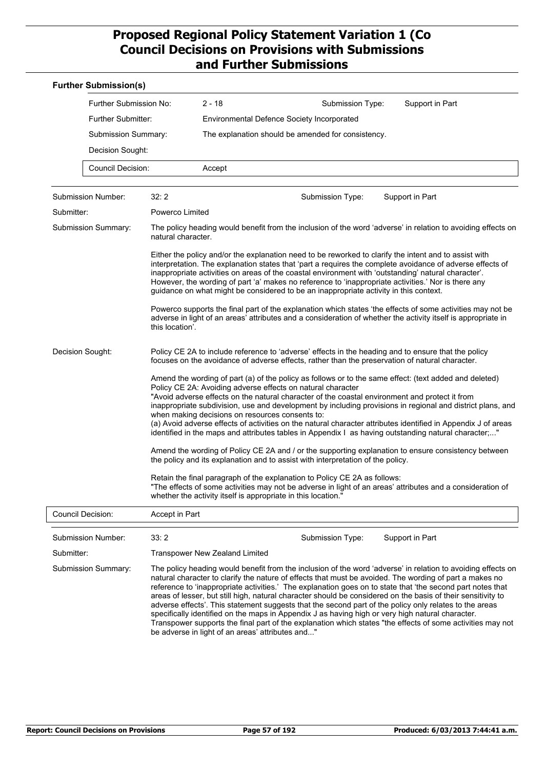| <b>Further Submission(s)</b> |                          |                                                                                                                                                                                                                                                                                                                                                                                                                                                                                                                                                                                                                                                                   |                                                                                                                                                                                                                                                                                                                                                                                                              |                                                                                                                                                                                                                                                                                                                                                                                                                                                                                                                                                                     |  |  |
|------------------------------|--------------------------|-------------------------------------------------------------------------------------------------------------------------------------------------------------------------------------------------------------------------------------------------------------------------------------------------------------------------------------------------------------------------------------------------------------------------------------------------------------------------------------------------------------------------------------------------------------------------------------------------------------------------------------------------------------------|--------------------------------------------------------------------------------------------------------------------------------------------------------------------------------------------------------------------------------------------------------------------------------------------------------------------------------------------------------------------------------------------------------------|---------------------------------------------------------------------------------------------------------------------------------------------------------------------------------------------------------------------------------------------------------------------------------------------------------------------------------------------------------------------------------------------------------------------------------------------------------------------------------------------------------------------------------------------------------------------|--|--|
|                              | Further Submission No:   | $2 - 18$                                                                                                                                                                                                                                                                                                                                                                                                                                                                                                                                                                                                                                                          | Submission Type:                                                                                                                                                                                                                                                                                                                                                                                             | Support in Part                                                                                                                                                                                                                                                                                                                                                                                                                                                                                                                                                     |  |  |
|                              | Further Submitter:       | Environmental Defence Society Incorporated                                                                                                                                                                                                                                                                                                                                                                                                                                                                                                                                                                                                                        |                                                                                                                                                                                                                                                                                                                                                                                                              |                                                                                                                                                                                                                                                                                                                                                                                                                                                                                                                                                                     |  |  |
|                              | Submission Summary:      |                                                                                                                                                                                                                                                                                                                                                                                                                                                                                                                                                                                                                                                                   | The explanation should be amended for consistency.                                                                                                                                                                                                                                                                                                                                                           |                                                                                                                                                                                                                                                                                                                                                                                                                                                                                                                                                                     |  |  |
|                              | Decision Sought:         |                                                                                                                                                                                                                                                                                                                                                                                                                                                                                                                                                                                                                                                                   |                                                                                                                                                                                                                                                                                                                                                                                                              |                                                                                                                                                                                                                                                                                                                                                                                                                                                                                                                                                                     |  |  |
|                              | <b>Council Decision:</b> | Accept                                                                                                                                                                                                                                                                                                                                                                                                                                                                                                                                                                                                                                                            |                                                                                                                                                                                                                                                                                                                                                                                                              |                                                                                                                                                                                                                                                                                                                                                                                                                                                                                                                                                                     |  |  |
| Submission Number:           | 32:2                     |                                                                                                                                                                                                                                                                                                                                                                                                                                                                                                                                                                                                                                                                   | Submission Type:                                                                                                                                                                                                                                                                                                                                                                                             | Support in Part                                                                                                                                                                                                                                                                                                                                                                                                                                                                                                                                                     |  |  |
| Submitter:                   | Powerco Limited          |                                                                                                                                                                                                                                                                                                                                                                                                                                                                                                                                                                                                                                                                   |                                                                                                                                                                                                                                                                                                                                                                                                              |                                                                                                                                                                                                                                                                                                                                                                                                                                                                                                                                                                     |  |  |
| Submission Summary:          | natural character.       |                                                                                                                                                                                                                                                                                                                                                                                                                                                                                                                                                                                                                                                                   |                                                                                                                                                                                                                                                                                                                                                                                                              | The policy heading would benefit from the inclusion of the word 'adverse' in relation to avoiding effects on                                                                                                                                                                                                                                                                                                                                                                                                                                                        |  |  |
|                              |                          |                                                                                                                                                                                                                                                                                                                                                                                                                                                                                                                                                                                                                                                                   | Either the policy and/or the explanation need to be reworked to clarify the intent and to assist with<br>inappropriate activities on areas of the coastal environment with 'outstanding' natural character'.<br>However, the wording of part 'a' makes no reference to 'inappropriate activities.' Nor is there any<br>guidance on what might be considered to be an inappropriate activity in this context. | interpretation. The explanation states that 'part a requires the complete avoidance of adverse effects of                                                                                                                                                                                                                                                                                                                                                                                                                                                           |  |  |
|                              | this location'.          | Powerco supports the final part of the explanation which states 'the effects of some activities may not be<br>adverse in light of an areas' attributes and a consideration of whether the activity itself is appropriate in                                                                                                                                                                                                                                                                                                                                                                                                                                       |                                                                                                                                                                                                                                                                                                                                                                                                              |                                                                                                                                                                                                                                                                                                                                                                                                                                                                                                                                                                     |  |  |
| Decision Sought:             |                          | Policy CE 2A to include reference to 'adverse' effects in the heading and to ensure that the policy<br>focuses on the avoidance of adverse effects, rather than the preservation of natural character.                                                                                                                                                                                                                                                                                                                                                                                                                                                            |                                                                                                                                                                                                                                                                                                                                                                                                              |                                                                                                                                                                                                                                                                                                                                                                                                                                                                                                                                                                     |  |  |
|                              |                          | Amend the wording of part (a) of the policy as follows or to the same effect: (text added and deleted)<br>Policy CE 2A: Avoiding adverse effects on natural character<br>"Avoid adverse effects on the natural character of the coastal environment and protect it from<br>inappropriate subdivision, use and development by including provisions in regional and district plans, and<br>when making decisions on resources consents to:<br>(a) Avoid adverse effects of activities on the natural character attributes identified in Appendix J of areas<br>identified in the maps and attributes tables in Appendix I as having outstanding natural character;" |                                                                                                                                                                                                                                                                                                                                                                                                              |                                                                                                                                                                                                                                                                                                                                                                                                                                                                                                                                                                     |  |  |
|                              |                          | Amend the wording of Policy CE 2A and / or the supporting explanation to ensure consistency between<br>the policy and its explanation and to assist with interpretation of the policy.                                                                                                                                                                                                                                                                                                                                                                                                                                                                            |                                                                                                                                                                                                                                                                                                                                                                                                              |                                                                                                                                                                                                                                                                                                                                                                                                                                                                                                                                                                     |  |  |
|                              |                          | Retain the final paragraph of the explanation to Policy CE 2A as follows:<br>"The effects of some activities may not be adverse in light of an areas' attributes and a consideration of<br>whether the activity itself is appropriate in this location."                                                                                                                                                                                                                                                                                                                                                                                                          |                                                                                                                                                                                                                                                                                                                                                                                                              |                                                                                                                                                                                                                                                                                                                                                                                                                                                                                                                                                                     |  |  |
| <b>Council Decision:</b>     | Accept in Part           |                                                                                                                                                                                                                                                                                                                                                                                                                                                                                                                                                                                                                                                                   |                                                                                                                                                                                                                                                                                                                                                                                                              |                                                                                                                                                                                                                                                                                                                                                                                                                                                                                                                                                                     |  |  |
| Submission Number:           | 33:2                     |                                                                                                                                                                                                                                                                                                                                                                                                                                                                                                                                                                                                                                                                   | Submission Type:                                                                                                                                                                                                                                                                                                                                                                                             | Support in Part                                                                                                                                                                                                                                                                                                                                                                                                                                                                                                                                                     |  |  |
| Submitter:                   |                          | <b>Transpower New Zealand Limited</b>                                                                                                                                                                                                                                                                                                                                                                                                                                                                                                                                                                                                                             |                                                                                                                                                                                                                                                                                                                                                                                                              |                                                                                                                                                                                                                                                                                                                                                                                                                                                                                                                                                                     |  |  |
| Submission Summary:          |                          | be adverse in light of an areas' attributes and"                                                                                                                                                                                                                                                                                                                                                                                                                                                                                                                                                                                                                  | adverse effects'. This statement suggests that the second part of the policy only relates to the areas<br>specifically identified on the maps in Appendix J as having high or very high natural character.                                                                                                                                                                                                   | The policy heading would benefit from the inclusion of the word 'adverse' in relation to avoiding effects on<br>natural character to clarify the nature of effects that must be avoided. The wording of part a makes no<br>reference to 'inappropriate activities.' The explanation goes on to state that 'the second part notes that<br>areas of lesser, but still high, natural character should be considered on the basis of their sensitivity to<br>Transpower supports the final part of the explanation which states "the effects of some activities may not |  |  |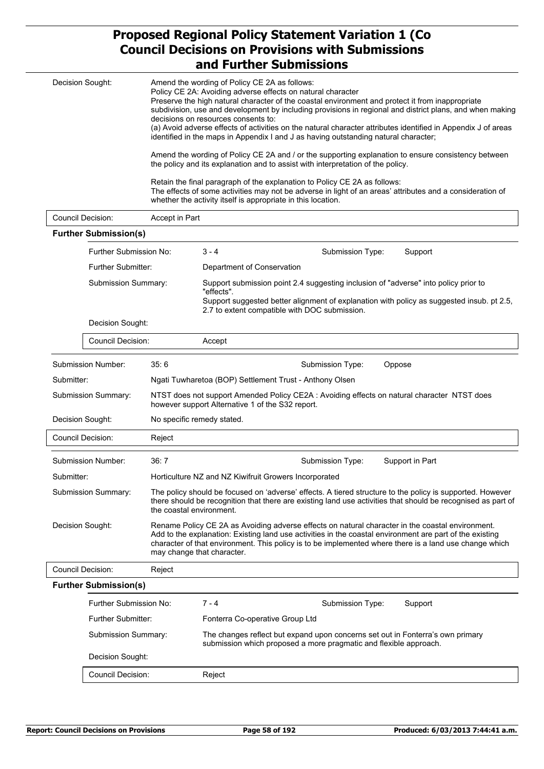# **Proposed Regional Policy Statement Variation 1 (Co Council Decisions on Provisions with Submissions**

|                  |                                                                                                                                                                                                                                                                                                                                                                                                                                                                                                                                                                                                                                                                                                                                                                                                                                                                                                                                                                                                                                                     |                | and Further Submissions                                                                                                                                                                                                                                                                                                                              |  |  |
|------------------|-----------------------------------------------------------------------------------------------------------------------------------------------------------------------------------------------------------------------------------------------------------------------------------------------------------------------------------------------------------------------------------------------------------------------------------------------------------------------------------------------------------------------------------------------------------------------------------------------------------------------------------------------------------------------------------------------------------------------------------------------------------------------------------------------------------------------------------------------------------------------------------------------------------------------------------------------------------------------------------------------------------------------------------------------------|----------------|------------------------------------------------------------------------------------------------------------------------------------------------------------------------------------------------------------------------------------------------------------------------------------------------------------------------------------------------------|--|--|
|                  | Decision Sought:<br>Amend the wording of Policy CE 2A as follows:<br>Policy CE 2A: Avoiding adverse effects on natural character<br>Preserve the high natural character of the coastal environment and protect it from inappropriate<br>subdivision, use and development by including provisions in regional and district plans, and when making<br>decisions on resources consents to:<br>(a) Avoid adverse effects of activities on the natural character attributes identified in Appendix J of areas<br>identified in the maps in Appendix I and J as having outstanding natural character;<br>Amend the wording of Policy CE 2A and / or the supporting explanation to ensure consistency between<br>the policy and its explanation and to assist with interpretation of the policy.<br>Retain the final paragraph of the explanation to Policy CE 2A as follows:<br>The effects of some activities may not be adverse in light of an areas' attributes and a consideration of<br>whether the activity itself is appropriate in this location. |                |                                                                                                                                                                                                                                                                                                                                                      |  |  |
|                  | <b>Council Decision:</b>                                                                                                                                                                                                                                                                                                                                                                                                                                                                                                                                                                                                                                                                                                                                                                                                                                                                                                                                                                                                                            | Accept in Part |                                                                                                                                                                                                                                                                                                                                                      |  |  |
|                  | <b>Further Submission(s)</b>                                                                                                                                                                                                                                                                                                                                                                                                                                                                                                                                                                                                                                                                                                                                                                                                                                                                                                                                                                                                                        |                |                                                                                                                                                                                                                                                                                                                                                      |  |  |
|                  | Further Submission No:                                                                                                                                                                                                                                                                                                                                                                                                                                                                                                                                                                                                                                                                                                                                                                                                                                                                                                                                                                                                                              |                | $3 - 4$<br>Submission Type:<br>Support                                                                                                                                                                                                                                                                                                               |  |  |
|                  | <b>Further Submitter:</b>                                                                                                                                                                                                                                                                                                                                                                                                                                                                                                                                                                                                                                                                                                                                                                                                                                                                                                                                                                                                                           |                | Department of Conservation                                                                                                                                                                                                                                                                                                                           |  |  |
|                  | Submission Summary:                                                                                                                                                                                                                                                                                                                                                                                                                                                                                                                                                                                                                                                                                                                                                                                                                                                                                                                                                                                                                                 |                | Support submission point 2.4 suggesting inclusion of "adverse" into policy prior to<br>"effects".                                                                                                                                                                                                                                                    |  |  |
|                  | Decision Sought:                                                                                                                                                                                                                                                                                                                                                                                                                                                                                                                                                                                                                                                                                                                                                                                                                                                                                                                                                                                                                                    |                | Support suggested better alignment of explanation with policy as suggested insub. pt 2.5,<br>2.7 to extent compatible with DOC submission.                                                                                                                                                                                                           |  |  |
|                  |                                                                                                                                                                                                                                                                                                                                                                                                                                                                                                                                                                                                                                                                                                                                                                                                                                                                                                                                                                                                                                                     |                |                                                                                                                                                                                                                                                                                                                                                      |  |  |
|                  | Council Decision:                                                                                                                                                                                                                                                                                                                                                                                                                                                                                                                                                                                                                                                                                                                                                                                                                                                                                                                                                                                                                                   |                | Accept                                                                                                                                                                                                                                                                                                                                               |  |  |
|                  | Submission Number:                                                                                                                                                                                                                                                                                                                                                                                                                                                                                                                                                                                                                                                                                                                                                                                                                                                                                                                                                                                                                                  | 35:6           | Submission Type:<br>Oppose                                                                                                                                                                                                                                                                                                                           |  |  |
| Submitter:       |                                                                                                                                                                                                                                                                                                                                                                                                                                                                                                                                                                                                                                                                                                                                                                                                                                                                                                                                                                                                                                                     |                | Ngati Tuwharetoa (BOP) Settlement Trust - Anthony Olsen                                                                                                                                                                                                                                                                                              |  |  |
|                  | Submission Summary:                                                                                                                                                                                                                                                                                                                                                                                                                                                                                                                                                                                                                                                                                                                                                                                                                                                                                                                                                                                                                                 |                | NTST does not support Amended Policy CE2A : Avoiding effects on natural character NTST does<br>however support Alternative 1 of the S32 report.                                                                                                                                                                                                      |  |  |
|                  | Decision Sought:                                                                                                                                                                                                                                                                                                                                                                                                                                                                                                                                                                                                                                                                                                                                                                                                                                                                                                                                                                                                                                    |                | No specific remedy stated.                                                                                                                                                                                                                                                                                                                           |  |  |
|                  | Council Decision:                                                                                                                                                                                                                                                                                                                                                                                                                                                                                                                                                                                                                                                                                                                                                                                                                                                                                                                                                                                                                                   | Reject         |                                                                                                                                                                                                                                                                                                                                                      |  |  |
|                  | Submission Number:                                                                                                                                                                                                                                                                                                                                                                                                                                                                                                                                                                                                                                                                                                                                                                                                                                                                                                                                                                                                                                  | 36: 7          | Submission Type:<br>Support in Part                                                                                                                                                                                                                                                                                                                  |  |  |
| Submitter:       |                                                                                                                                                                                                                                                                                                                                                                                                                                                                                                                                                                                                                                                                                                                                                                                                                                                                                                                                                                                                                                                     |                | Horticulture NZ and NZ Kiwifruit Growers Incorporated                                                                                                                                                                                                                                                                                                |  |  |
|                  | Submission Summary:                                                                                                                                                                                                                                                                                                                                                                                                                                                                                                                                                                                                                                                                                                                                                                                                                                                                                                                                                                                                                                 |                | The policy should be focused on 'adverse' effects. A tiered structure to the policy is supported. However<br>there should be recognition that there are existing land use activities that should be recognised as part of<br>the coastal environment.                                                                                                |  |  |
| Decision Sought: |                                                                                                                                                                                                                                                                                                                                                                                                                                                                                                                                                                                                                                                                                                                                                                                                                                                                                                                                                                                                                                                     |                | Rename Policy CE 2A as Avoiding adverse effects on natural character in the coastal environment.<br>Add to the explanation: Existing land use activities in the coastal environment are part of the existing<br>character of that environment. This policy is to be implemented where there is a land use change which<br>may change that character. |  |  |
|                  | Council Decision:                                                                                                                                                                                                                                                                                                                                                                                                                                                                                                                                                                                                                                                                                                                                                                                                                                                                                                                                                                                                                                   | Reject         |                                                                                                                                                                                                                                                                                                                                                      |  |  |
|                  | <b>Further Submission(s)</b>                                                                                                                                                                                                                                                                                                                                                                                                                                                                                                                                                                                                                                                                                                                                                                                                                                                                                                                                                                                                                        |                |                                                                                                                                                                                                                                                                                                                                                      |  |  |
|                  | Further Submission No:                                                                                                                                                                                                                                                                                                                                                                                                                                                                                                                                                                                                                                                                                                                                                                                                                                                                                                                                                                                                                              |                | Submission Type:<br>$7 - 4$<br>Support                                                                                                                                                                                                                                                                                                               |  |  |
|                  | <b>Further Submitter:</b>                                                                                                                                                                                                                                                                                                                                                                                                                                                                                                                                                                                                                                                                                                                                                                                                                                                                                                                                                                                                                           |                | Fonterra Co-operative Group Ltd                                                                                                                                                                                                                                                                                                                      |  |  |
|                  | Submission Summary:                                                                                                                                                                                                                                                                                                                                                                                                                                                                                                                                                                                                                                                                                                                                                                                                                                                                                                                                                                                                                                 |                | The changes reflect but expand upon concerns set out in Fonterra's own primary<br>submission which proposed a more pragmatic and flexible approach.                                                                                                                                                                                                  |  |  |
|                  | Decision Sought:                                                                                                                                                                                                                                                                                                                                                                                                                                                                                                                                                                                                                                                                                                                                                                                                                                                                                                                                                                                                                                    |                |                                                                                                                                                                                                                                                                                                                                                      |  |  |
|                  | Council Decision:                                                                                                                                                                                                                                                                                                                                                                                                                                                                                                                                                                                                                                                                                                                                                                                                                                                                                                                                                                                                                                   |                | Reject                                                                                                                                                                                                                                                                                                                                               |  |  |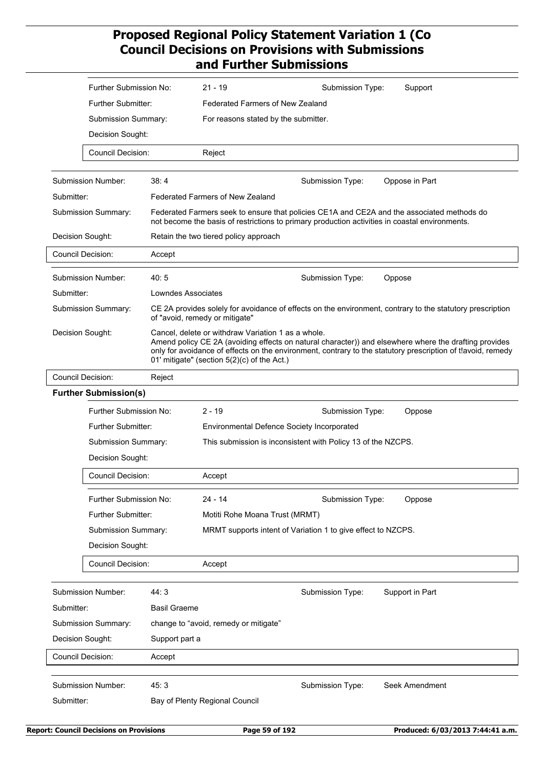|                     | Further Submission No:                                        |                                                              | $21 - 19$                                                                                         | Submission Type:                                                                               | Support                                                                                                                                                                                                              |  |
|---------------------|---------------------------------------------------------------|--------------------------------------------------------------|---------------------------------------------------------------------------------------------------|------------------------------------------------------------------------------------------------|----------------------------------------------------------------------------------------------------------------------------------------------------------------------------------------------------------------------|--|
|                     | Further Submitter:<br>Submission Summary:<br>Decision Sought: |                                                              | <b>Federated Farmers of New Zealand</b>                                                           |                                                                                                |                                                                                                                                                                                                                      |  |
|                     |                                                               |                                                              | For reasons stated by the submitter.                                                              |                                                                                                |                                                                                                                                                                                                                      |  |
|                     |                                                               |                                                              |                                                                                                   |                                                                                                |                                                                                                                                                                                                                      |  |
|                     | <b>Council Decision:</b>                                      |                                                              | Reject                                                                                            |                                                                                                |                                                                                                                                                                                                                      |  |
|                     |                                                               |                                                              |                                                                                                   |                                                                                                |                                                                                                                                                                                                                      |  |
|                     | Submission Number:                                            | 38:4                                                         |                                                                                                   | Submission Type:                                                                               | Oppose in Part                                                                                                                                                                                                       |  |
| Submitter:          |                                                               |                                                              | <b>Federated Farmers of New Zealand</b>                                                           |                                                                                                |                                                                                                                                                                                                                      |  |
|                     | <b>Submission Summary:</b>                                    |                                                              |                                                                                                   | not become the basis of restrictions to primary production activities in coastal environments. | Federated Farmers seek to ensure that policies CE1A and CE2A and the associated methods do                                                                                                                           |  |
|                     | Decision Sought:                                              |                                                              | Retain the two tiered policy approach                                                             |                                                                                                |                                                                                                                                                                                                                      |  |
|                     | <b>Council Decision:</b>                                      | Accept                                                       |                                                                                                   |                                                                                                |                                                                                                                                                                                                                      |  |
|                     | Submission Number:                                            | 40:5                                                         |                                                                                                   | Submission Type:                                                                               | Oppose                                                                                                                                                                                                               |  |
| Submitter:          |                                                               | Lowndes Associates                                           |                                                                                                   |                                                                                                |                                                                                                                                                                                                                      |  |
|                     | Submission Summary:                                           |                                                              | of "avoid, remedy or mitigate"                                                                    |                                                                                                | CE 2A provides solely for avoidance of effects on the environment, contrary to the statutory prescription                                                                                                            |  |
| Decision Sought:    |                                                               |                                                              | Cancel, delete or withdraw Variation 1 as a whole.<br>01' mitigate" (section 5(2)(c) of the Act.) |                                                                                                | Amend policy CE 2A (avoiding effects on natural character)) and elsewhere where the drafting provides<br>only for avoidance of effects on the environment, contrary to the statutory prescription of tlavoid, remedy |  |
|                     | <b>Council Decision:</b>                                      | Reject                                                       |                                                                                                   |                                                                                                |                                                                                                                                                                                                                      |  |
|                     | <b>Further Submission(s)</b>                                  |                                                              |                                                                                                   |                                                                                                |                                                                                                                                                                                                                      |  |
|                     | Further Submission No:                                        |                                                              | $2 - 19$                                                                                          | Submission Type:                                                                               | Oppose                                                                                                                                                                                                               |  |
|                     | Further Submitter:                                            |                                                              | Environmental Defence Society Incorporated                                                        |                                                                                                |                                                                                                                                                                                                                      |  |
|                     | Submission Summary:                                           | This submission is inconsistent with Policy 13 of the NZCPS. |                                                                                                   |                                                                                                |                                                                                                                                                                                                                      |  |
|                     | Decision Sought:                                              |                                                              |                                                                                                   |                                                                                                |                                                                                                                                                                                                                      |  |
|                     | Council Decision:                                             |                                                              | Accept                                                                                            |                                                                                                |                                                                                                                                                                                                                      |  |
|                     | Further Submission No:                                        |                                                              | $24 - 14$                                                                                         | Submission Type:                                                                               | Oppose                                                                                                                                                                                                               |  |
|                     | Further Submitter:                                            |                                                              | Motiti Rohe Moana Trust (MRMT)                                                                    |                                                                                                |                                                                                                                                                                                                                      |  |
|                     | Submission Summary:                                           |                                                              |                                                                                                   | MRMT supports intent of Variation 1 to give effect to NZCPS.                                   |                                                                                                                                                                                                                      |  |
|                     | Decision Sought:                                              |                                                              |                                                                                                   |                                                                                                |                                                                                                                                                                                                                      |  |
|                     | Council Decision:                                             |                                                              | Accept                                                                                            |                                                                                                |                                                                                                                                                                                                                      |  |
|                     | Submission Number:                                            | 44:3                                                         |                                                                                                   | Submission Type:                                                                               | Support in Part                                                                                                                                                                                                      |  |
| Submitter:          |                                                               | <b>Basil Graeme</b>                                          |                                                                                                   |                                                                                                |                                                                                                                                                                                                                      |  |
| Submission Summary: |                                                               |                                                              | change to "avoid, remedy or mitigate"                                                             |                                                                                                |                                                                                                                                                                                                                      |  |
| Decision Sought:    |                                                               | Support part a                                               |                                                                                                   |                                                                                                |                                                                                                                                                                                                                      |  |
|                     | Council Decision:                                             | Accept                                                       |                                                                                                   |                                                                                                |                                                                                                                                                                                                                      |  |
|                     | Submission Number:                                            | 45:3                                                         |                                                                                                   | Submission Type:                                                                               | Seek Amendment                                                                                                                                                                                                       |  |
| Submitter:          |                                                               |                                                              | Bay of Plenty Regional Council                                                                    |                                                                                                |                                                                                                                                                                                                                      |  |
|                     |                                                               |                                                              |                                                                                                   |                                                                                                |                                                                                                                                                                                                                      |  |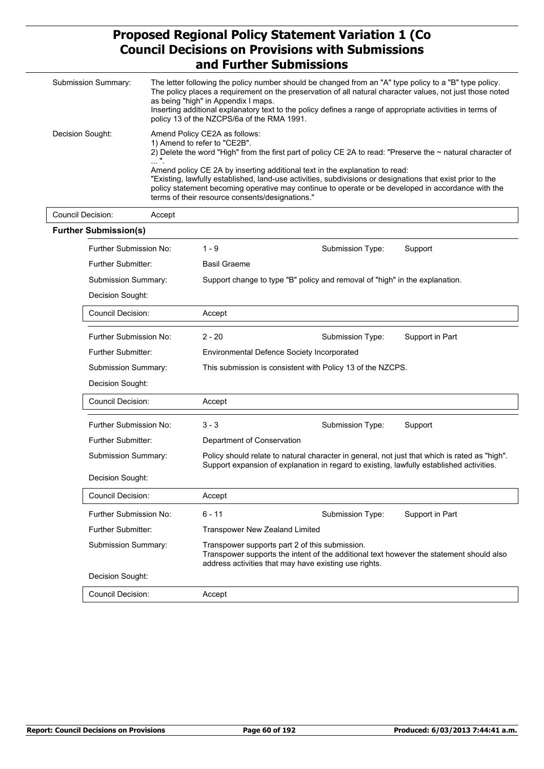| Submission Summary: | The letter following the policy number should be changed from an "A" type policy to a "B" type policy.<br>The policy places a requirement on the preservation of all natural character values, not just those noted<br>as being "high" in Appendix I maps.<br>Inserting additional explanatory text to the policy defines a range of appropriate activities in terms of<br>policy 13 of the NZCPS/6a of the RMA 1991.                                                                                                                   |
|---------------------|-----------------------------------------------------------------------------------------------------------------------------------------------------------------------------------------------------------------------------------------------------------------------------------------------------------------------------------------------------------------------------------------------------------------------------------------------------------------------------------------------------------------------------------------|
| Decision Sought:    | Amend Policy CE2A as follows:<br>1) Amend to refer to "CE2B".<br>2) Delete the word "High" from the first part of policy CE 2A to read: "Preserve the ~ natural character of<br>.<br>Amend policy CE 2A by inserting additional text in the explanation to read:<br>"Existing, lawfully established, land-use activities, subdivisions or designations that exist prior to the<br>policy statement becoming operative may continue to operate or be developed in accordance with the<br>terms of their resource consents/designations." |

| Council Decision: | Accept                        |                                                                                                                                                                                                    |                  |                 |
|-------------------|-------------------------------|----------------------------------------------------------------------------------------------------------------------------------------------------------------------------------------------------|------------------|-----------------|
|                   | <b>Further Submission(s)</b>  |                                                                                                                                                                                                    |                  |                 |
|                   | Further Submission No:        | $1 - 9$                                                                                                                                                                                            | Submission Type: | Support         |
|                   | Further Submitter:            | <b>Basil Graeme</b>                                                                                                                                                                                |                  |                 |
|                   | <b>Submission Summary:</b>    | Support change to type "B" policy and removal of "high" in the explanation.                                                                                                                        |                  |                 |
|                   | Decision Sought:              |                                                                                                                                                                                                    |                  |                 |
|                   | <b>Council Decision:</b>      | Accept                                                                                                                                                                                             |                  |                 |
|                   | Further Submission No:        | $2 - 20$                                                                                                                                                                                           | Submission Type: | Support in Part |
|                   | <b>Further Submitter:</b>     | <b>Environmental Defence Society Incorporated</b>                                                                                                                                                  |                  |                 |
|                   | Submission Summary:           | This submission is consistent with Policy 13 of the NZCPS.                                                                                                                                         |                  |                 |
|                   | Decision Sought:              |                                                                                                                                                                                                    |                  |                 |
|                   | Council Decision:             | Accept                                                                                                                                                                                             |                  |                 |
|                   | <b>Further Submission No:</b> | $3 - 3$                                                                                                                                                                                            | Submission Type: | Support         |
|                   | <b>Further Submitter:</b>     | Department of Conservation                                                                                                                                                                         |                  |                 |
|                   | Submission Summary:           | Policy should relate to natural character in general, not just that which is rated as "high".<br>Support expansion of explanation in regard to existing, lawfully established activities.          |                  |                 |
|                   | Decision Sought:              |                                                                                                                                                                                                    |                  |                 |
|                   | <b>Council Decision:</b>      | Accept                                                                                                                                                                                             |                  |                 |
|                   | Further Submission No:        | $6 - 11$                                                                                                                                                                                           | Submission Type: | Support in Part |
|                   | <b>Further Submitter:</b>     | <b>Transpower New Zealand Limited</b>                                                                                                                                                              |                  |                 |
|                   | Submission Summary:           | Transpower supports part 2 of this submission.<br>Transpower supports the intent of the additional text however the statement should also<br>address activities that may have existing use rights. |                  |                 |
|                   | Decision Sought:              |                                                                                                                                                                                                    |                  |                 |
|                   | <b>Council Decision:</b>      | Accept                                                                                                                                                                                             |                  |                 |

٦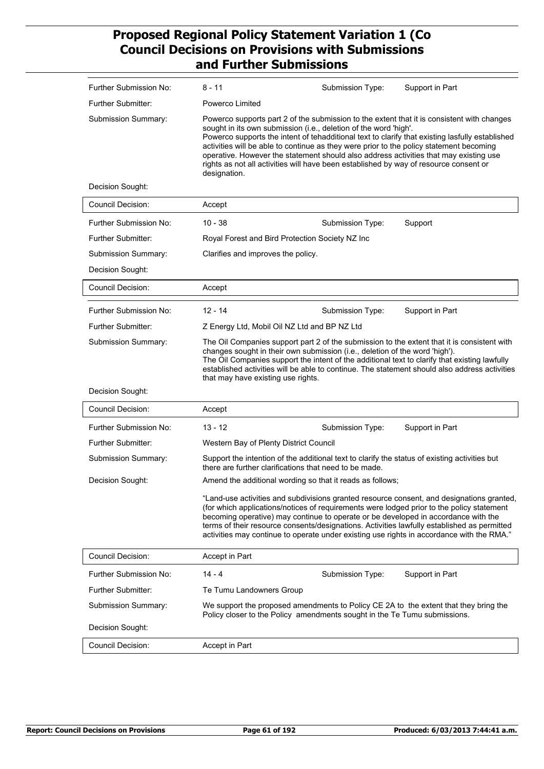| Further Submission No:    | 8 - 11                                                                                                                                                                                                                                                                                                                                                                                                                                                                                                                                                         | Submission Type: | Support in Part                                                                                                                                                                                                                                                                                                                                                                    |  |  |
|---------------------------|----------------------------------------------------------------------------------------------------------------------------------------------------------------------------------------------------------------------------------------------------------------------------------------------------------------------------------------------------------------------------------------------------------------------------------------------------------------------------------------------------------------------------------------------------------------|------------------|------------------------------------------------------------------------------------------------------------------------------------------------------------------------------------------------------------------------------------------------------------------------------------------------------------------------------------------------------------------------------------|--|--|
| <b>Further Submitter:</b> | Powerco Limited                                                                                                                                                                                                                                                                                                                                                                                                                                                                                                                                                |                  |                                                                                                                                                                                                                                                                                                                                                                                    |  |  |
| Submission Summary:       | Powerco supports part 2 of the submission to the extent that it is consistent with changes<br>sought in its own submission (i.e., deletion of the word 'high'.<br>Powerco supports the intent of tehadditional text to clarify that existing lasfully established<br>activities will be able to continue as they were prior to the policy statement becoming<br>operative. However the statement should also address activities that may existing use<br>rights as not all activities will have been established by way of resource consent or<br>designation. |                  |                                                                                                                                                                                                                                                                                                                                                                                    |  |  |
| Decision Sought:          |                                                                                                                                                                                                                                                                                                                                                                                                                                                                                                                                                                |                  |                                                                                                                                                                                                                                                                                                                                                                                    |  |  |
| <b>Council Decision:</b>  | Accept                                                                                                                                                                                                                                                                                                                                                                                                                                                                                                                                                         |                  |                                                                                                                                                                                                                                                                                                                                                                                    |  |  |
| Further Submission No:    | $10 - 38$                                                                                                                                                                                                                                                                                                                                                                                                                                                                                                                                                      | Submission Type: | Support                                                                                                                                                                                                                                                                                                                                                                            |  |  |
| <b>Further Submitter:</b> | Royal Forest and Bird Protection Society NZ Inc                                                                                                                                                                                                                                                                                                                                                                                                                                                                                                                |                  |                                                                                                                                                                                                                                                                                                                                                                                    |  |  |
| Submission Summary:       | Clarifies and improves the policy.                                                                                                                                                                                                                                                                                                                                                                                                                                                                                                                             |                  |                                                                                                                                                                                                                                                                                                                                                                                    |  |  |
| Decision Sought:          |                                                                                                                                                                                                                                                                                                                                                                                                                                                                                                                                                                |                  |                                                                                                                                                                                                                                                                                                                                                                                    |  |  |
| <b>Council Decision:</b>  | Accept                                                                                                                                                                                                                                                                                                                                                                                                                                                                                                                                                         |                  |                                                                                                                                                                                                                                                                                                                                                                                    |  |  |
| Further Submission No:    | $12 - 14$                                                                                                                                                                                                                                                                                                                                                                                                                                                                                                                                                      | Submission Type: | Support in Part                                                                                                                                                                                                                                                                                                                                                                    |  |  |
| <b>Further Submitter:</b> | Z Energy Ltd, Mobil Oil NZ Ltd and BP NZ Ltd                                                                                                                                                                                                                                                                                                                                                                                                                                                                                                                   |                  |                                                                                                                                                                                                                                                                                                                                                                                    |  |  |
| Submission Summary:       | The Oil Companies support part 2 of the submission to the extent that it is consistent with<br>changes sought in their own submission (i.e., deletion of the word 'high').<br>The Oil Companies support the intent of the additional text to clarify that existing lawfully<br>established activities will be able to continue. The statement should also address activities<br>that may have existing use rights.                                                                                                                                             |                  |                                                                                                                                                                                                                                                                                                                                                                                    |  |  |
| Decision Sought:          |                                                                                                                                                                                                                                                                                                                                                                                                                                                                                                                                                                |                  |                                                                                                                                                                                                                                                                                                                                                                                    |  |  |
| <b>Council Decision:</b>  | Accept                                                                                                                                                                                                                                                                                                                                                                                                                                                                                                                                                         |                  |                                                                                                                                                                                                                                                                                                                                                                                    |  |  |
| Further Submission No:    | $13 - 12$                                                                                                                                                                                                                                                                                                                                                                                                                                                                                                                                                      | Submission Type: | Support in Part                                                                                                                                                                                                                                                                                                                                                                    |  |  |
| <b>Further Submitter:</b> | Western Bay of Plenty District Council                                                                                                                                                                                                                                                                                                                                                                                                                                                                                                                         |                  |                                                                                                                                                                                                                                                                                                                                                                                    |  |  |
| Submission Summary:       | Support the intention of the additional text to clarify the status of existing activities but<br>there are further clarifications that need to be made.                                                                                                                                                                                                                                                                                                                                                                                                        |                  |                                                                                                                                                                                                                                                                                                                                                                                    |  |  |
| Decision Sought:          | Amend the additional wording so that it reads as follows;                                                                                                                                                                                                                                                                                                                                                                                                                                                                                                      |                  |                                                                                                                                                                                                                                                                                                                                                                                    |  |  |
|                           | becoming operative) may continue to operate or be developed in accordance with the                                                                                                                                                                                                                                                                                                                                                                                                                                                                             |                  | "Land-use activities and subdivisions granted resource consent, and designations granted,<br>(for which applications/notices of requirements were lodged prior to the policy statement<br>terms of their resource consents/designations. Activities lawfully established as permitted<br>activities may continue to operate under existing use rights in accordance with the RMA." |  |  |
| <b>Council Decision:</b>  | Accept in Part                                                                                                                                                                                                                                                                                                                                                                                                                                                                                                                                                 |                  |                                                                                                                                                                                                                                                                                                                                                                                    |  |  |
| Further Submission No:    | $14 - 4$                                                                                                                                                                                                                                                                                                                                                                                                                                                                                                                                                       | Submission Type: | Support in Part                                                                                                                                                                                                                                                                                                                                                                    |  |  |
| Further Submitter:        | Te Tumu Landowners Group                                                                                                                                                                                                                                                                                                                                                                                                                                                                                                                                       |                  |                                                                                                                                                                                                                                                                                                                                                                                    |  |  |
| Submission Summary:       | Policy closer to the Policy amendments sought in the Te Tumu submissions.                                                                                                                                                                                                                                                                                                                                                                                                                                                                                      |                  | We support the proposed amendments to Policy CE 2A to the extent that they bring the                                                                                                                                                                                                                                                                                               |  |  |
| Decision Sought:          |                                                                                                                                                                                                                                                                                                                                                                                                                                                                                                                                                                |                  |                                                                                                                                                                                                                                                                                                                                                                                    |  |  |
| <b>Council Decision:</b>  | Accept in Part                                                                                                                                                                                                                                                                                                                                                                                                                                                                                                                                                 |                  |                                                                                                                                                                                                                                                                                                                                                                                    |  |  |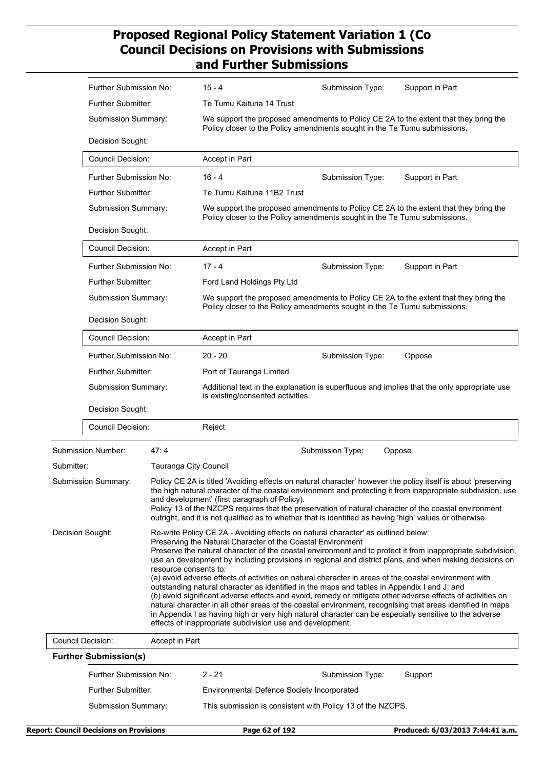|                                           | Further Submission No:                  |                                                                                                                                                                                                                                                                                                                                                                                                                                                                                                                                 | 15 - 4                                                                                                                                                                                                                                                             | Submission Type:                                                                                                                                                                                                                                                                                                                                                                                                                                   | Support in Part                                                                                                                                                                                                              |  |  |
|-------------------------------------------|-----------------------------------------|---------------------------------------------------------------------------------------------------------------------------------------------------------------------------------------------------------------------------------------------------------------------------------------------------------------------------------------------------------------------------------------------------------------------------------------------------------------------------------------------------------------------------------|--------------------------------------------------------------------------------------------------------------------------------------------------------------------------------------------------------------------------------------------------------------------|----------------------------------------------------------------------------------------------------------------------------------------------------------------------------------------------------------------------------------------------------------------------------------------------------------------------------------------------------------------------------------------------------------------------------------------------------|------------------------------------------------------------------------------------------------------------------------------------------------------------------------------------------------------------------------------|--|--|
|                                           | Further Submitter:                      |                                                                                                                                                                                                                                                                                                                                                                                                                                                                                                                                 | Te Tumu Kaituna 14 Trust                                                                                                                                                                                                                                           |                                                                                                                                                                                                                                                                                                                                                                                                                                                    |                                                                                                                                                                                                                              |  |  |
|                                           | Submission Summary:                     |                                                                                                                                                                                                                                                                                                                                                                                                                                                                                                                                 | We support the proposed amendments to Policy CE 2A to the extent that they bring the<br>Policy closer to the Policy amendments sought in the Te Tumu submissions.                                                                                                  |                                                                                                                                                                                                                                                                                                                                                                                                                                                    |                                                                                                                                                                                                                              |  |  |
|                                           | Decision Sought:                        |                                                                                                                                                                                                                                                                                                                                                                                                                                                                                                                                 |                                                                                                                                                                                                                                                                    |                                                                                                                                                                                                                                                                                                                                                                                                                                                    |                                                                                                                                                                                                                              |  |  |
|                                           | <b>Council Decision:</b>                |                                                                                                                                                                                                                                                                                                                                                                                                                                                                                                                                 | Accept in Part                                                                                                                                                                                                                                                     |                                                                                                                                                                                                                                                                                                                                                                                                                                                    |                                                                                                                                                                                                                              |  |  |
|                                           | Further Submission No:                  |                                                                                                                                                                                                                                                                                                                                                                                                                                                                                                                                 | $16 - 4$                                                                                                                                                                                                                                                           | Submission Type:                                                                                                                                                                                                                                                                                                                                                                                                                                   | Support in Part                                                                                                                                                                                                              |  |  |
|                                           | Further Submitter:                      |                                                                                                                                                                                                                                                                                                                                                                                                                                                                                                                                 | Te Tumu Kaituna 11B2 Trust                                                                                                                                                                                                                                         |                                                                                                                                                                                                                                                                                                                                                                                                                                                    |                                                                                                                                                                                                                              |  |  |
|                                           | Submission Summary:<br>Decision Sought: |                                                                                                                                                                                                                                                                                                                                                                                                                                                                                                                                 | We support the proposed amendments to Policy CE 2A to the extent that they bring the<br>Policy closer to the Policy amendments sought in the Te Tumu submissions.                                                                                                  |                                                                                                                                                                                                                                                                                                                                                                                                                                                    |                                                                                                                                                                                                                              |  |  |
|                                           |                                         |                                                                                                                                                                                                                                                                                                                                                                                                                                                                                                                                 |                                                                                                                                                                                                                                                                    |                                                                                                                                                                                                                                                                                                                                                                                                                                                    |                                                                                                                                                                                                                              |  |  |
|                                           | <b>Council Decision:</b>                |                                                                                                                                                                                                                                                                                                                                                                                                                                                                                                                                 | Accept in Part                                                                                                                                                                                                                                                     |                                                                                                                                                                                                                                                                                                                                                                                                                                                    |                                                                                                                                                                                                                              |  |  |
|                                           | Further Submission No:                  |                                                                                                                                                                                                                                                                                                                                                                                                                                                                                                                                 | $17 - 4$                                                                                                                                                                                                                                                           | Submission Type:                                                                                                                                                                                                                                                                                                                                                                                                                                   | Support in Part                                                                                                                                                                                                              |  |  |
|                                           | Further Submitter:                      |                                                                                                                                                                                                                                                                                                                                                                                                                                                                                                                                 | Ford Land Holdings Pty Ltd                                                                                                                                                                                                                                         |                                                                                                                                                                                                                                                                                                                                                                                                                                                    |                                                                                                                                                                                                                              |  |  |
|                                           | Submission Summary:                     |                                                                                                                                                                                                                                                                                                                                                                                                                                                                                                                                 | We support the proposed amendments to Policy CE 2A to the extent that they bring the<br>Policy closer to the Policy amendments sought in the Te Tumu submissions.                                                                                                  |                                                                                                                                                                                                                                                                                                                                                                                                                                                    |                                                                                                                                                                                                                              |  |  |
|                                           | Decision Sought:                        |                                                                                                                                                                                                                                                                                                                                                                                                                                                                                                                                 |                                                                                                                                                                                                                                                                    |                                                                                                                                                                                                                                                                                                                                                                                                                                                    |                                                                                                                                                                                                                              |  |  |
|                                           | <b>Council Decision:</b>                |                                                                                                                                                                                                                                                                                                                                                                                                                                                                                                                                 | Accept in Part                                                                                                                                                                                                                                                     |                                                                                                                                                                                                                                                                                                                                                                                                                                                    |                                                                                                                                                                                                                              |  |  |
|                                           | Further Submission No:                  |                                                                                                                                                                                                                                                                                                                                                                                                                                                                                                                                 | $20 - 20$                                                                                                                                                                                                                                                          | Submission Type:                                                                                                                                                                                                                                                                                                                                                                                                                                   | Oppose                                                                                                                                                                                                                       |  |  |
|                                           | Further Submitter:                      |                                                                                                                                                                                                                                                                                                                                                                                                                                                                                                                                 | Port of Tauranga Limited                                                                                                                                                                                                                                           |                                                                                                                                                                                                                                                                                                                                                                                                                                                    |                                                                                                                                                                                                                              |  |  |
|                                           | Submission Summary:                     |                                                                                                                                                                                                                                                                                                                                                                                                                                                                                                                                 | Additional text in the explanation is superfluous and implies that the only appropriate use<br>is existing/consented activities.                                                                                                                                   |                                                                                                                                                                                                                                                                                                                                                                                                                                                    |                                                                                                                                                                                                                              |  |  |
|                                           | Decision Sought:                        |                                                                                                                                                                                                                                                                                                                                                                                                                                                                                                                                 |                                                                                                                                                                                                                                                                    |                                                                                                                                                                                                                                                                                                                                                                                                                                                    |                                                                                                                                                                                                                              |  |  |
|                                           | <b>Council Decision:</b>                |                                                                                                                                                                                                                                                                                                                                                                                                                                                                                                                                 | Reject                                                                                                                                                                                                                                                             |                                                                                                                                                                                                                                                                                                                                                                                                                                                    |                                                                                                                                                                                                                              |  |  |
|                                           | Submission Number:                      | 47:4                                                                                                                                                                                                                                                                                                                                                                                                                                                                                                                            |                                                                                                                                                                                                                                                                    | Submission Type:                                                                                                                                                                                                                                                                                                                                                                                                                                   | Oppose                                                                                                                                                                                                                       |  |  |
| Submitter:                                |                                         | Tauranga City Council                                                                                                                                                                                                                                                                                                                                                                                                                                                                                                           |                                                                                                                                                                                                                                                                    |                                                                                                                                                                                                                                                                                                                                                                                                                                                    |                                                                                                                                                                                                                              |  |  |
|                                           | Submission Summary:                     |                                                                                                                                                                                                                                                                                                                                                                                                                                                                                                                                 | and development' (first paragraph of Policy).<br>Policy 13 of the NZCPS requires that the preservation of natural character of the coastal environment<br>outright, and it is not qualified as to whether that is identified as having 'high' values or otherwise. |                                                                                                                                                                                                                                                                                                                                                                                                                                                    | Policy CE 2A is titled 'Avoiding effects on natural character' however the policy itself is about 'preserving<br>the high natural character of the coastal environment and protecting it from inappropriate subdivision, use |  |  |
| Decision Sought:<br>resource consents to: |                                         | Re-write Policy CE 2A - Avoiding effects on natural character' as outlined below:<br>Preserving the Natural Character of the Coastal Environment<br>(a) avoid adverse effects of activities on natural character in areas of the coastal environment with<br>outstanding natural character as identified in the maps and tables in Appendix I and J; and<br>in Appendix I as having high or very high natural character can be especially sensitive to the adverse<br>effects of inappropriate subdivision use and development. |                                                                                                                                                                                                                                                                    | Preserve the natural character of the coastal environment and to protect it from inappropriate subdivision,<br>use an development by including provisions in regional and district plans, and when making decisions on<br>(b) avoid significant adverse effects and avoid, remedy or mitigate other adverse effects of activities on<br>natural character in all other areas of the coastal environment, recognising that areas identified in maps |                                                                                                                                                                                                                              |  |  |
| <b>Council Decision:</b>                  |                                         | Accept in Part                                                                                                                                                                                                                                                                                                                                                                                                                                                                                                                  |                                                                                                                                                                                                                                                                    |                                                                                                                                                                                                                                                                                                                                                                                                                                                    |                                                                                                                                                                                                                              |  |  |
|                                           | <b>Further Submission(s)</b>            |                                                                                                                                                                                                                                                                                                                                                                                                                                                                                                                                 |                                                                                                                                                                                                                                                                    |                                                                                                                                                                                                                                                                                                                                                                                                                                                    |                                                                                                                                                                                                                              |  |  |
|                                           | Further Submission No:                  |                                                                                                                                                                                                                                                                                                                                                                                                                                                                                                                                 | $2 - 21$                                                                                                                                                                                                                                                           | Submission Type:                                                                                                                                                                                                                                                                                                                                                                                                                                   | Support                                                                                                                                                                                                                      |  |  |
|                                           | Further Submitter:                      |                                                                                                                                                                                                                                                                                                                                                                                                                                                                                                                                 | <b>Environmental Defence Society Incorporated</b>                                                                                                                                                                                                                  |                                                                                                                                                                                                                                                                                                                                                                                                                                                    |                                                                                                                                                                                                                              |  |  |
| Submission Summary:                       |                                         | This submission is consistent with Policy 13 of the NZCPS.                                                                                                                                                                                                                                                                                                                                                                                                                                                                      |                                                                                                                                                                                                                                                                    |                                                                                                                                                                                                                                                                                                                                                                                                                                                    |                                                                                                                                                                                                                              |  |  |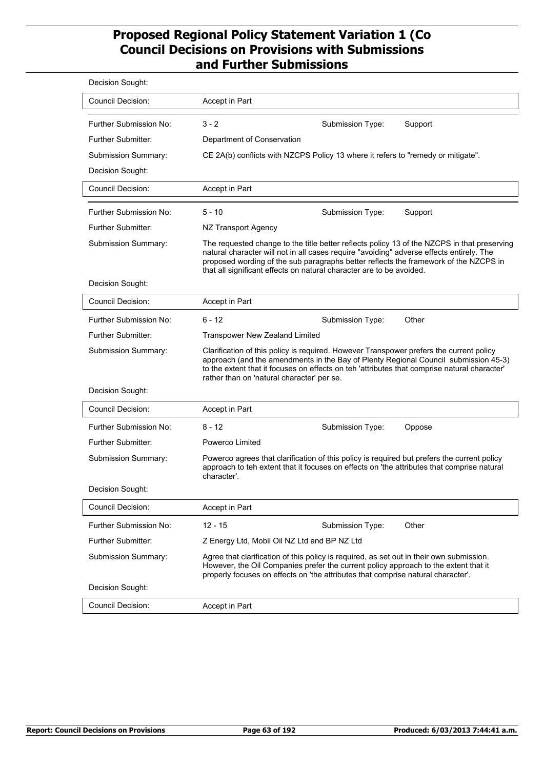| Decision Sought:          |                                                                                                                                                                                                                                                                                                                                                         |  |  |
|---------------------------|---------------------------------------------------------------------------------------------------------------------------------------------------------------------------------------------------------------------------------------------------------------------------------------------------------------------------------------------------------|--|--|
| <b>Council Decision:</b>  | Accept in Part                                                                                                                                                                                                                                                                                                                                          |  |  |
| Further Submission No:    | $3 - 2$<br>Submission Type:<br>Support                                                                                                                                                                                                                                                                                                                  |  |  |
| <b>Further Submitter:</b> | Department of Conservation                                                                                                                                                                                                                                                                                                                              |  |  |
| Submission Summary:       | CE 2A(b) conflicts with NZCPS Policy 13 where it refers to "remedy or mitigate".                                                                                                                                                                                                                                                                        |  |  |
| Decision Sought:          |                                                                                                                                                                                                                                                                                                                                                         |  |  |
| <b>Council Decision:</b>  | Accept in Part                                                                                                                                                                                                                                                                                                                                          |  |  |
| Further Submission No:    | $5 - 10$<br>Submission Type:<br>Support                                                                                                                                                                                                                                                                                                                 |  |  |
| <b>Further Submitter:</b> | NZ Transport Agency                                                                                                                                                                                                                                                                                                                                     |  |  |
| Submission Summary:       | The requested change to the title better reflects policy 13 of the NZCPS in that preserving<br>natural character will not in all cases require "avoiding" adverse effects entirely. The<br>proposed wording of the sub paragraphs better reflects the framework of the NZCPS in<br>that all significant effects on natural character are to be avoided. |  |  |
| Decision Sought:          |                                                                                                                                                                                                                                                                                                                                                         |  |  |
| Council Decision:         | Accept in Part                                                                                                                                                                                                                                                                                                                                          |  |  |
| Further Submission No:    | $6 - 12$<br>Other<br>Submission Type:                                                                                                                                                                                                                                                                                                                   |  |  |
| <b>Further Submitter:</b> | <b>Transpower New Zealand Limited</b>                                                                                                                                                                                                                                                                                                                   |  |  |
| Submission Summary:       | Clarification of this policy is required. However Transpower prefers the current policy<br>approach (and the amendments in the Bay of Plenty Regional Council submission 45-3)<br>to the extent that it focuses on effects on teh 'attributes that comprise natural character'<br>rather than on 'natural character' per se.                            |  |  |
| Decision Sought:          |                                                                                                                                                                                                                                                                                                                                                         |  |  |
| <b>Council Decision:</b>  | Accept in Part                                                                                                                                                                                                                                                                                                                                          |  |  |
| Further Submission No:    | 8 - 12<br>Submission Type:<br>Oppose                                                                                                                                                                                                                                                                                                                    |  |  |
| <b>Further Submitter:</b> | Powerco Limited                                                                                                                                                                                                                                                                                                                                         |  |  |
| Submission Summary:       | Powerco agrees that clarification of this policy is required but prefers the current policy<br>approach to teh extent that it focuses on effects on 'the attributes that comprise natural<br>character'.                                                                                                                                                |  |  |
| Decision Sought:          |                                                                                                                                                                                                                                                                                                                                                         |  |  |
| <b>Council Decision:</b>  | Accept in Part                                                                                                                                                                                                                                                                                                                                          |  |  |
| Further Submission No:    | $12 - 15$<br>Other<br>Submission Type:                                                                                                                                                                                                                                                                                                                  |  |  |
| Further Submitter:        | Z Energy Ltd, Mobil Oil NZ Ltd and BP NZ Ltd                                                                                                                                                                                                                                                                                                            |  |  |
| Submission Summary:       | Agree that clarification of this policy is required, as set out in their own submission.<br>However, the Oil Companies prefer the current policy approach to the extent that it<br>properly focuses on effects on 'the attributes that comprise natural character'.                                                                                     |  |  |
| Decision Sought:          |                                                                                                                                                                                                                                                                                                                                                         |  |  |
| <b>Council Decision:</b>  | Accept in Part                                                                                                                                                                                                                                                                                                                                          |  |  |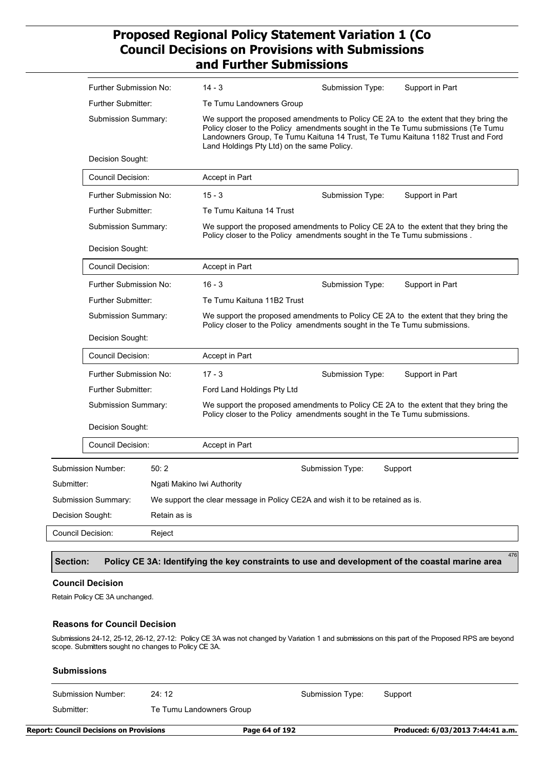|                   | <b>Further Submission No:</b>                    |                            | $14 - 3$                                                                                                                                                                                                                                                                                                   | Submission Type: | Support in Part                                                                      |
|-------------------|--------------------------------------------------|----------------------------|------------------------------------------------------------------------------------------------------------------------------------------------------------------------------------------------------------------------------------------------------------------------------------------------------------|------------------|--------------------------------------------------------------------------------------|
|                   | <b>Further Submitter:</b>                        |                            | Te Tumu Landowners Group                                                                                                                                                                                                                                                                                   |                  |                                                                                      |
|                   | <b>Submission Summary:</b><br>Decision Sought:   |                            | We support the proposed amendments to Policy CE 2A to the extent that they bring the<br>Policy closer to the Policy amendments sought in the Te Tumu submissions (Te Tumu<br>Landowners Group, Te Tumu Kaituna 14 Trust, Te Tumu Kaituna 1182 Trust and Ford<br>Land Holdings Pty Ltd) on the same Policy. |                  |                                                                                      |
|                   |                                                  |                            |                                                                                                                                                                                                                                                                                                            |                  |                                                                                      |
|                   | Council Decision:                                |                            | Accept in Part                                                                                                                                                                                                                                                                                             |                  |                                                                                      |
|                   | <b>Further Submission No:</b>                    |                            | $15 - 3$                                                                                                                                                                                                                                                                                                   | Submission Type: | Support in Part                                                                      |
|                   | <b>Further Submitter:</b>                        |                            | Te Tumu Kaituna 14 Trust                                                                                                                                                                                                                                                                                   |                  |                                                                                      |
|                   | Submission Summary:                              |                            | Policy closer to the Policy amendments sought in the Te Tumu submissions.                                                                                                                                                                                                                                  |                  | We support the proposed amendments to Policy CE 2A to the extent that they bring the |
|                   | Decision Sought:                                 |                            |                                                                                                                                                                                                                                                                                                            |                  |                                                                                      |
|                   | Council Decision:                                |                            | Accept in Part                                                                                                                                                                                                                                                                                             |                  |                                                                                      |
|                   | Further Submission No:                           |                            | $16 - 3$                                                                                                                                                                                                                                                                                                   | Submission Type: | Support in Part                                                                      |
|                   | <b>Further Submitter:</b><br>Submission Summary: |                            | Te Tumu Kaituna 11B2 Trust                                                                                                                                                                                                                                                                                 |                  |                                                                                      |
|                   |                                                  |                            | We support the proposed amendments to Policy CE 2A to the extent that they bring the<br>Policy closer to the Policy amendments sought in the Te Tumu submissions.                                                                                                                                          |                  |                                                                                      |
|                   | Decision Sought:                                 |                            |                                                                                                                                                                                                                                                                                                            |                  |                                                                                      |
|                   | Council Decision:                                |                            | Accept in Part                                                                                                                                                                                                                                                                                             |                  |                                                                                      |
|                   | Further Submission No:                           |                            | $17 - 3$                                                                                                                                                                                                                                                                                                   | Submission Type: | Support in Part                                                                      |
|                   | Further Submitter:                               |                            | Ford Land Holdings Pty Ltd                                                                                                                                                                                                                                                                                 |                  |                                                                                      |
|                   | Submission Summary:                              |                            | Policy closer to the Policy amendments sought in the Te Tumu submissions.                                                                                                                                                                                                                                  |                  | We support the proposed amendments to Policy CE 2A to the extent that they bring the |
|                   | Decision Sought:                                 |                            |                                                                                                                                                                                                                                                                                                            |                  |                                                                                      |
|                   | Council Decision:                                |                            | <b>Accept in Part</b>                                                                                                                                                                                                                                                                                      |                  |                                                                                      |
|                   | Submission Number:                               | 50:2                       |                                                                                                                                                                                                                                                                                                            | Submission Type: | Support                                                                              |
| Submitter:        |                                                  | Ngati Makino Iwi Authority |                                                                                                                                                                                                                                                                                                            |                  |                                                                                      |
|                   | Submission Summary:                              |                            | We support the clear message in Policy CE2A and wish it to be retained as is.                                                                                                                                                                                                                              |                  |                                                                                      |
| Decision Sought:  |                                                  | Retain as is               |                                                                                                                                                                                                                                                                                                            |                  |                                                                                      |
| Council Decision: |                                                  | Reject                     |                                                                                                                                                                                                                                                                                                            |                  |                                                                                      |
|                   |                                                  |                            |                                                                                                                                                                                                                                                                                                            |                  |                                                                                      |

#### **Section: Policy CE 3A: Identifying the key constraints to use and development of the coastal marine area**

476

#### **Council Decision**

Retain Policy CE 3A unchanged.

#### **Reasons for Council Decision**

Submissions 24-12, 25-12, 26-12, 27-12: Policy CE 3A was not changed by Variation 1 and submissions on this part of the Proposed RPS are beyond scope. Submitters sought no changes to Policy CE 3A.

| Submission Number:                             | 24:12                    | Submission Type: | Support                          |
|------------------------------------------------|--------------------------|------------------|----------------------------------|
| Submitter:                                     | Te Tumu Landowners Group |                  |                                  |
| <b>Report: Council Decisions on Provisions</b> |                          | Page 64 of 192   | Produced: 6/03/2013 7:44:41 a.m. |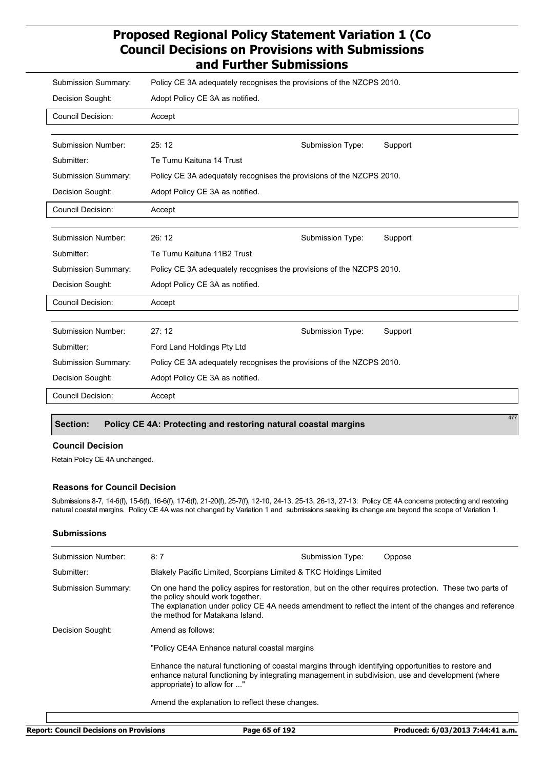| <b>Submission Summary:</b> | Policy CE 3A adequately recognises the provisions of the NZCPS 2010. |                  |         |  |
|----------------------------|----------------------------------------------------------------------|------------------|---------|--|
| Decision Sought:           | Adopt Policy CE 3A as notified.                                      |                  |         |  |
| Council Decision:          | Accept                                                               |                  |         |  |
|                            |                                                                      |                  |         |  |
| <b>Submission Number:</b>  | 25:12                                                                | Submission Type: | Support |  |
| Submitter:                 | Te Tumu Kaituna 14 Trust                                             |                  |         |  |
| <b>Submission Summary:</b> | Policy CE 3A adequately recognises the provisions of the NZCPS 2010. |                  |         |  |
| Decision Sought:           | Adopt Policy CE 3A as notified.                                      |                  |         |  |
| <b>Council Decision:</b>   | Accept                                                               |                  |         |  |
|                            |                                                                      |                  |         |  |
| <b>Submission Number:</b>  | 26:12                                                                | Submission Type: | Support |  |
| Submitter:                 | Te Tumu Kaituna 11B2 Trust                                           |                  |         |  |
| <b>Submission Summary:</b> | Policy CE 3A adequately recognises the provisions of the NZCPS 2010. |                  |         |  |
| Decision Sought:           | Adopt Policy CE 3A as notified.                                      |                  |         |  |
| <b>Council Decision:</b>   | Accept                                                               |                  |         |  |
|                            |                                                                      |                  |         |  |
| <b>Submission Number:</b>  | 27:12                                                                | Submission Type: | Support |  |
| Submitter:                 | Ford Land Holdings Pty Ltd                                           |                  |         |  |
| <b>Submission Summary:</b> | Policy CE 3A adequately recognises the provisions of the NZCPS 2010. |                  |         |  |
| Decision Sought:           | Adopt Policy CE 3A as notified.                                      |                  |         |  |
| <b>Council Decision:</b>   | Accept                                                               |                  |         |  |
|                            |                                                                      |                  | 477     |  |

#### **Section: Policy CE 4A: Protecting and restoring natural coastal margins**

#### **Council Decision**

Retain Policy CE 4A unchanged.

#### **Reasons for Council Decision**

Submissions 8-7, 14-6(f), 15-6(f), 16-6(f), 17-6(f), 21-20(f), 25-7(f), 12-10, 24-13, 25-13, 26-13, 27-13: Policy CE 4A concerns protecting and restoring natural coastal margins. Policy CE 4A was not changed by Variation 1 and submissions seeking its change are beyond the scope of Variation 1.

#### **Submissions**

| Submission Number:  | 8:7                                                                                                                                                                                                                                                                                      | Submission Type: | Oppose |  |  |
|---------------------|------------------------------------------------------------------------------------------------------------------------------------------------------------------------------------------------------------------------------------------------------------------------------------------|------------------|--------|--|--|
| Submitter:          | Blakely Pacific Limited, Scorpians Limited & TKC Holdings Limited                                                                                                                                                                                                                        |                  |        |  |  |
| Submission Summary: | On one hand the policy aspires for restoration, but on the other requires protection. These two parts of<br>the policy should work together.<br>The explanation under policy CE 4A needs amendment to reflect the intent of the changes and reference<br>the method for Matakana Island. |                  |        |  |  |
| Decision Sought:    | Amend as follows:                                                                                                                                                                                                                                                                        |                  |        |  |  |
|                     | "Policy CE4A Enhance natural coastal margins                                                                                                                                                                                                                                             |                  |        |  |  |
|                     | Enhance the natural functioning of coastal margins through identifying opportunities to restore and<br>enhance natural functioning by integrating management in subdivision, use and development (where<br>appropriate) to allow for "                                                   |                  |        |  |  |
|                     | Amend the explanation to reflect these changes.                                                                                                                                                                                                                                          |                  |        |  |  |
|                     |                                                                                                                                                                                                                                                                                          |                  |        |  |  |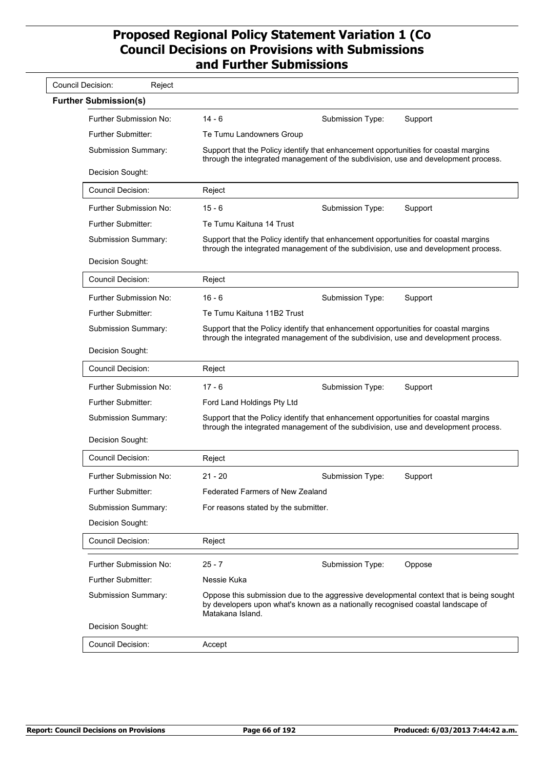| <b>Council Decision:</b><br>Reject |                                                                                                                                                                           |                  |                                                                                         |
|------------------------------------|---------------------------------------------------------------------------------------------------------------------------------------------------------------------------|------------------|-----------------------------------------------------------------------------------------|
| <b>Further Submission(s)</b>       |                                                                                                                                                                           |                  |                                                                                         |
| Further Submission No:             | 14 - 6                                                                                                                                                                    | Submission Type: | Support                                                                                 |
| Further Submitter:                 | Te Tumu Landowners Group                                                                                                                                                  |                  |                                                                                         |
| Submission Summary:                | Support that the Policy identify that enhancement opportunities for coastal margins<br>through the integrated management of the subdivision, use and development process. |                  |                                                                                         |
| Decision Sought:                   |                                                                                                                                                                           |                  |                                                                                         |
| <b>Council Decision:</b>           | Reject                                                                                                                                                                    |                  |                                                                                         |
| Further Submission No:             | $15 - 6$                                                                                                                                                                  | Submission Type: | Support                                                                                 |
| Further Submitter:                 | Te Tumu Kaituna 14 Trust                                                                                                                                                  |                  |                                                                                         |
| Submission Summary:                | Support that the Policy identify that enhancement opportunities for coastal margins<br>through the integrated management of the subdivision, use and development process. |                  |                                                                                         |
| Decision Sought:                   |                                                                                                                                                                           |                  |                                                                                         |
| <b>Council Decision:</b>           | Reject                                                                                                                                                                    |                  |                                                                                         |
| <b>Further Submission No:</b>      | $16 - 6$                                                                                                                                                                  | Submission Type: | Support                                                                                 |
| Further Submitter:                 | Te Tumu Kaituna 11B2 Trust                                                                                                                                                |                  |                                                                                         |
| Submission Summary:                | Support that the Policy identify that enhancement opportunities for coastal margins<br>through the integrated management of the subdivision, use and development process. |                  |                                                                                         |
| Decision Sought:                   |                                                                                                                                                                           |                  |                                                                                         |
| Council Decision:                  | Reject                                                                                                                                                                    |                  |                                                                                         |
| Further Submission No:             | $17 - 6$                                                                                                                                                                  | Submission Type: | Support                                                                                 |
| <b>Further Submitter:</b>          | Ford Land Holdings Pty Ltd                                                                                                                                                |                  |                                                                                         |
| Submission Summary:                | Support that the Policy identify that enhancement opportunities for coastal margins<br>through the integrated management of the subdivision, use and development process. |                  |                                                                                         |
| Decision Sought:                   |                                                                                                                                                                           |                  |                                                                                         |
| Council Decision:                  | Reject                                                                                                                                                                    |                  |                                                                                         |
| Further Submission No:             | $21 - 20$                                                                                                                                                                 | Submission Type: | Support                                                                                 |
| Further Submitter:                 | <b>Federated Farmers of New Zealand</b>                                                                                                                                   |                  |                                                                                         |
| Submission Summary:                | For reasons stated by the submitter.                                                                                                                                      |                  |                                                                                         |
| Decision Sought:                   |                                                                                                                                                                           |                  |                                                                                         |
| <b>Council Decision:</b>           | Reject                                                                                                                                                                    |                  |                                                                                         |
| Further Submission No:             | $25 - 7$                                                                                                                                                                  | Submission Type: | Oppose                                                                                  |
| Further Submitter:                 | Nessie Kuka                                                                                                                                                               |                  |                                                                                         |
| Submission Summary:                | by developers upon what's known as a nationally recognised coastal landscape of<br>Matakana Island.                                                                       |                  | Oppose this submission due to the aggressive developmental context that is being sought |
| Decision Sought:                   |                                                                                                                                                                           |                  |                                                                                         |
| Council Decision:                  | Accept                                                                                                                                                                    |                  |                                                                                         |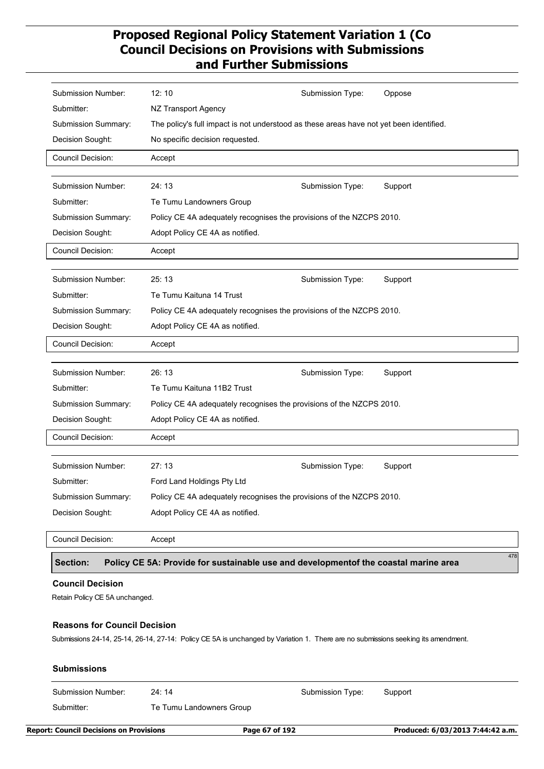| Submission Number:                                                                                     | 12:10                                                                                   | Submission Type: | Oppose  |  |
|--------------------------------------------------------------------------------------------------------|-----------------------------------------------------------------------------------------|------------------|---------|--|
| Submitter:                                                                                             | NZ Transport Agency                                                                     |                  |         |  |
| Submission Summary:                                                                                    | The policy's full impact is not understood as these areas have not yet been identified. |                  |         |  |
| Decision Sought:                                                                                       | No specific decision requested.                                                         |                  |         |  |
| <b>Council Decision:</b>                                                                               | Accept                                                                                  |                  |         |  |
|                                                                                                        |                                                                                         |                  |         |  |
| Submission Number:                                                                                     | 24:13                                                                                   | Submission Type: | Support |  |
| Submitter:                                                                                             | Te Tumu Landowners Group                                                                |                  |         |  |
| <b>Submission Summary:</b>                                                                             | Policy CE 4A adequately recognises the provisions of the NZCPS 2010.                    |                  |         |  |
| Decision Sought:                                                                                       | Adopt Policy CE 4A as notified.                                                         |                  |         |  |
| Council Decision:                                                                                      | Accept                                                                                  |                  |         |  |
|                                                                                                        |                                                                                         |                  |         |  |
| Submission Number:                                                                                     | 25:13                                                                                   | Submission Type: | Support |  |
| Submitter:                                                                                             | Te Tumu Kaituna 14 Trust                                                                |                  |         |  |
| Submission Summary:                                                                                    | Policy CE 4A adequately recognises the provisions of the NZCPS 2010.                    |                  |         |  |
| Decision Sought:                                                                                       | Adopt Policy CE 4A as notified.                                                         |                  |         |  |
| Council Decision:                                                                                      | Accept                                                                                  |                  |         |  |
|                                                                                                        |                                                                                         |                  |         |  |
| Submission Number:                                                                                     | 26:13                                                                                   | Submission Type: | Support |  |
| Submitter:                                                                                             | Te Tumu Kaituna 11B2 Trust                                                              |                  |         |  |
| Submission Summary:                                                                                    | Policy CE 4A adequately recognises the provisions of the NZCPS 2010.                    |                  |         |  |
| Decision Sought:                                                                                       | Adopt Policy CE 4A as notified.                                                         |                  |         |  |
| Council Decision:                                                                                      | Accept                                                                                  |                  |         |  |
| Submission Number:                                                                                     | 27:13                                                                                   | Submission Type: | Support |  |
| Submitter:                                                                                             | Ford Land Holdings Pty Ltd                                                              |                  |         |  |
| Submission Summary:                                                                                    | Policy CE 4A adequately recognises the provisions of the NZCPS 2010.                    |                  |         |  |
| Decision Sought:                                                                                       | Adopt Policy CE 4A as notified.                                                         |                  |         |  |
|                                                                                                        |                                                                                         |                  |         |  |
| <b>Council Decision:</b>                                                                               | Accept                                                                                  |                  |         |  |
| 478<br>Policy CE 5A: Provide for sustainable use and developmentof the coastal marine area<br>Section: |                                                                                         |                  |         |  |
| <b>Council Decision</b>                                                                                |                                                                                         |                  |         |  |
| Retain Policy CE 5A unchanged.                                                                         |                                                                                         |                  |         |  |
|                                                                                                        |                                                                                         |                  |         |  |
| <b>Reasons for Council Decision</b>                                                                    |                                                                                         |                  |         |  |

Submissions 24-14, 25-14, 26-14, 27-14: Policy CE 5A is unchanged by Variation 1. There are no submissions seeking its amendment.

| <b>Submissions</b> |                          |                  |         |  |  |
|--------------------|--------------------------|------------------|---------|--|--|
| Submission Number: | 24:14                    | Submission Type: | Support |  |  |
| Submitter:         | Te Tumu Landowners Group |                  |         |  |  |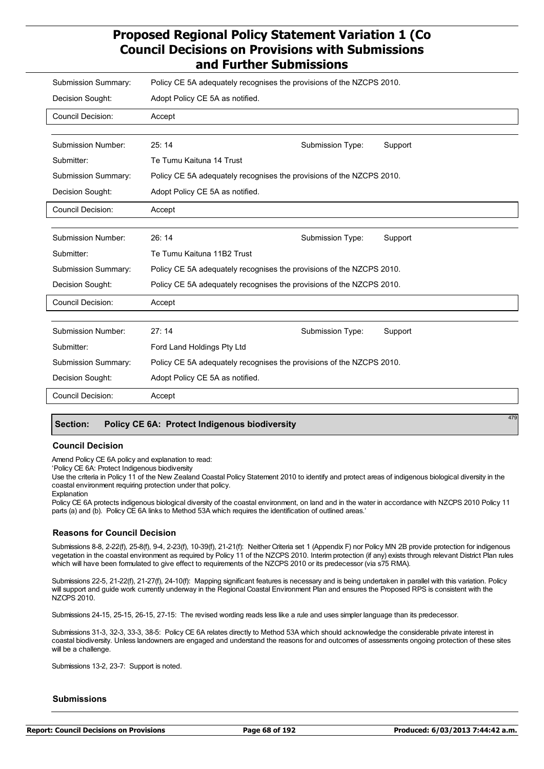| Submission Summary:       | Policy CE 5A adequately recognises the provisions of the NZCPS 2010. |                  |         |
|---------------------------|----------------------------------------------------------------------|------------------|---------|
| Decision Sought:          | Adopt Policy CE 5A as notified.                                      |                  |         |
| <b>Council Decision:</b>  | Accept                                                               |                  |         |
|                           |                                                                      |                  |         |
| <b>Submission Number:</b> | 25:14                                                                | Submission Type: | Support |
| Submitter:                | Te Tumu Kaituna 14 Trust                                             |                  |         |
| Submission Summary:       | Policy CE 5A adequately recognises the provisions of the NZCPS 2010. |                  |         |
| Decision Sought:          | Adopt Policy CE 5A as notified.                                      |                  |         |
| <b>Council Decision:</b>  | Accept                                                               |                  |         |
|                           |                                                                      |                  |         |
| <b>Submission Number:</b> | 26:14                                                                | Submission Type: | Support |
| Submitter:                | Te Tumu Kaituna 11B2 Trust                                           |                  |         |
| Submission Summary:       | Policy CE 5A adequately recognises the provisions of the NZCPS 2010. |                  |         |
| Decision Sought:          | Policy CE 5A adequately recognises the provisions of the NZCPS 2010. |                  |         |
| <b>Council Decision:</b>  | Accept                                                               |                  |         |
|                           |                                                                      |                  |         |
| <b>Submission Number:</b> | 27:14                                                                | Submission Type: | Support |
| Submitter:                | Ford Land Holdings Pty Ltd                                           |                  |         |
| Submission Summary:       | Policy CE 5A adequately recognises the provisions of the NZCPS 2010. |                  |         |
| Decision Sought:          | Adopt Policy CE 5A as notified.                                      |                  |         |
| <b>Council Decision:</b>  | Accept                                                               |                  |         |
|                           |                                                                      |                  | 479     |

#### **Section: Policy CE 6A: Protect Indigenous biodiversity**

#### **Council Decision**

Amend Policy CE 6A policy and explanation to read:

'Policy CE 6A: Protect Indigenous biodiversity

Use the criteria in Policy 11 of the New Zealand Coastal Policy Statement 2010 to identify and protect areas of indigenous biological diversity in the coastal environment requiring protection under that policy.

Explanation

Policy CE 6A protects indigenous biological diversity of the coastal environment, on land and in the water in accordance with NZCPS 2010 Policy 11 parts (a) and (b). Policy CE 6A links to Method 53A which requires the identification of outlined areas.'

#### **Reasons for Council Decision**

Submissions 8-8, 2-22(f), 25-8(f), 9-4, 2-23(f), 10-39(f), 21-21(f): Neither Criteria set 1 (Appendix F) nor Policy MN 2B provide protection for indigenous vegetation in the coastal environment as required by Policy 11 of the NZCPS 2010. Interim protection (if any) exists through relevant District Plan rules which will have been formulated to give effect to requirements of the NZCPS 2010 or its predecessor (via s75 RMA).

Submissions 22-5, 21-22(f), 21-27(f), 24-10(f): Mapping significant features is necessary and is being undertaken in parallel with this variation. Policy will support and guide work currently underway in the Regional Coastal Environment Plan and ensures the Proposed RPS is consistent with the NZCPS 2010.

Submissions 24-15, 25-15, 26-15, 27-15: The revised wording reads less like a rule and uses simpler language than its predecessor.

Submissions 31-3, 32-3, 33-3, 38-5: Policy CE 6A relates directly to Method 53A which should acknowledge the considerable private interest in coastal biodiversity. Unless landowners are engaged and understand the reasons for and outcomes of assessments ongoing protection of these sites will be a challenge.

Submissions 13-2, 23-7: Support is noted.

#### **Submissions**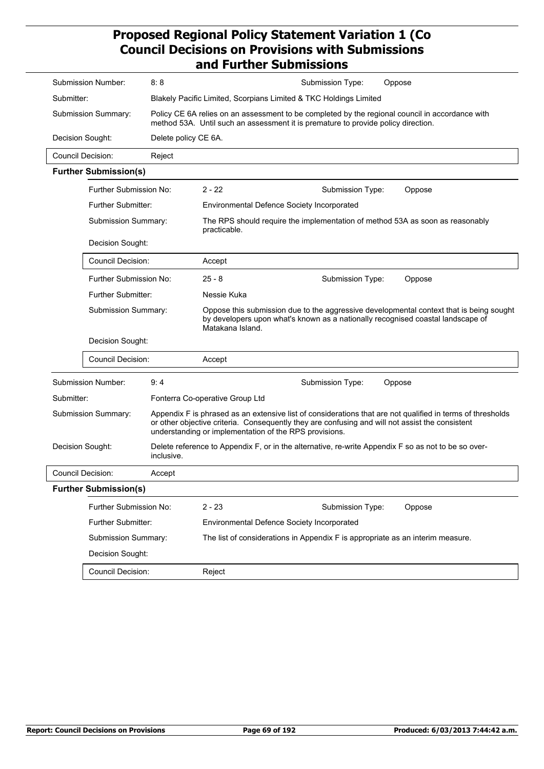| 8:8<br>Submission Number:          |                              |                      | Submission Type:<br>Oppose                                                                                                                                                                                                                                              |  |
|------------------------------------|------------------------------|----------------------|-------------------------------------------------------------------------------------------------------------------------------------------------------------------------------------------------------------------------------------------------------------------------|--|
| Submitter:                         |                              |                      | Blakely Pacific Limited, Scorpians Limited & TKC Holdings Limited                                                                                                                                                                                                       |  |
| Submission Summary:                |                              |                      | Policy CE 6A relies on an assessment to be completed by the regional council in accordance with<br>method 53A. Until such an assessment it is premature to provide policy direction.                                                                                    |  |
|                                    | Decision Sought:             | Delete policy CE 6A. |                                                                                                                                                                                                                                                                         |  |
|                                    | <b>Council Decision:</b>     | Reject               |                                                                                                                                                                                                                                                                         |  |
|                                    | <b>Further Submission(s)</b> |                      |                                                                                                                                                                                                                                                                         |  |
|                                    | Further Submission No:       |                      | $2 - 22$<br>Submission Type:<br>Oppose                                                                                                                                                                                                                                  |  |
|                                    | <b>Further Submitter:</b>    |                      | <b>Environmental Defence Society Incorporated</b>                                                                                                                                                                                                                       |  |
|                                    | Submission Summary:          |                      | The RPS should require the implementation of method 53A as soon as reasonably<br>practicable.                                                                                                                                                                           |  |
|                                    | Decision Sought:             |                      |                                                                                                                                                                                                                                                                         |  |
|                                    | <b>Council Decision:</b>     |                      | Accept                                                                                                                                                                                                                                                                  |  |
|                                    | Further Submission No:       |                      | $25 - 8$<br>Submission Type:<br>Oppose                                                                                                                                                                                                                                  |  |
|                                    | <b>Further Submitter:</b>    |                      | Nessie Kuka                                                                                                                                                                                                                                                             |  |
|                                    | Submission Summary:          |                      | Oppose this submission due to the aggressive developmental context that is being sought<br>by developers upon what's known as a nationally recognised coastal landscape of<br>Matakana Island.                                                                          |  |
|                                    | Decision Sought:             |                      |                                                                                                                                                                                                                                                                         |  |
|                                    | <b>Council Decision:</b>     |                      | Accept                                                                                                                                                                                                                                                                  |  |
|                                    | Submission Number:           | 9:4                  | Submission Type:<br>Oppose                                                                                                                                                                                                                                              |  |
| Submitter:                         |                              |                      | Fonterra Co-operative Group Ltd                                                                                                                                                                                                                                         |  |
| Submission Summary:                |                              |                      | Appendix F is phrased as an extensive list of considerations that are not qualified in terms of thresholds<br>or other objective criteria. Consequently they are confusing and will not assist the consistent<br>understanding or implementation of the RPS provisions. |  |
| Decision Sought:<br>inclusive.     |                              |                      | Delete reference to Appendix F, or in the alternative, re-write Appendix F so as not to be so over-                                                                                                                                                                     |  |
| <b>Council Decision:</b><br>Accept |                              |                      |                                                                                                                                                                                                                                                                         |  |
|                                    | <b>Further Submission(s)</b> |                      |                                                                                                                                                                                                                                                                         |  |
| Further Submission No:             |                              |                      | $2 - 23$<br>Submission Type:<br>Oppose                                                                                                                                                                                                                                  |  |
|                                    | Further Submitter:           |                      | Environmental Defence Society Incorporated                                                                                                                                                                                                                              |  |
|                                    | Submission Summary:          |                      | The list of considerations in Appendix F is appropriate as an interim measure.                                                                                                                                                                                          |  |
|                                    | Decision Sought:             |                      |                                                                                                                                                                                                                                                                         |  |
| Council Decision:                  |                              |                      | Reject                                                                                                                                                                                                                                                                  |  |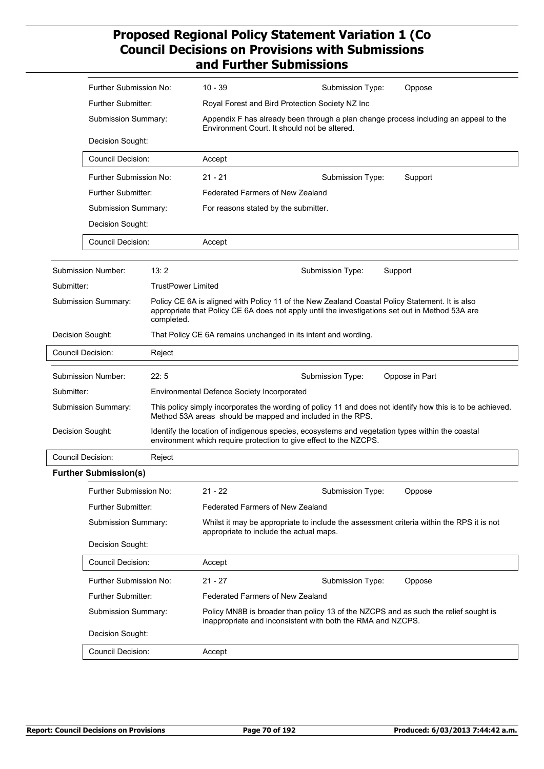|                  | Further Submission No:                                                                                                                                                                                                                 |                           | 10 - 39                                                                                                                              | Submission Type:                                                                                                                                                     | Oppose                                                                                                     |
|------------------|----------------------------------------------------------------------------------------------------------------------------------------------------------------------------------------------------------------------------------------|---------------------------|--------------------------------------------------------------------------------------------------------------------------------------|----------------------------------------------------------------------------------------------------------------------------------------------------------------------|------------------------------------------------------------------------------------------------------------|
|                  | <b>Further Submitter:</b>                                                                                                                                                                                                              |                           | Royal Forest and Bird Protection Society NZ Inc                                                                                      |                                                                                                                                                                      |                                                                                                            |
|                  | Submission Summary:                                                                                                                                                                                                                    |                           | Appendix F has already been through a plan change process including an appeal to the<br>Environment Court. It should not be altered. |                                                                                                                                                                      |                                                                                                            |
|                  | Decision Sought:                                                                                                                                                                                                                       |                           |                                                                                                                                      |                                                                                                                                                                      |                                                                                                            |
|                  | <b>Council Decision:</b>                                                                                                                                                                                                               |                           | Accept                                                                                                                               |                                                                                                                                                                      |                                                                                                            |
|                  | Further Submission No:                                                                                                                                                                                                                 |                           | $21 - 21$                                                                                                                            | Submission Type:                                                                                                                                                     | Support                                                                                                    |
|                  | Further Submitter:<br><b>Submission Summary:</b>                                                                                                                                                                                       |                           | <b>Federated Farmers of New Zealand</b>                                                                                              |                                                                                                                                                                      |                                                                                                            |
|                  |                                                                                                                                                                                                                                        |                           | For reasons stated by the submitter.                                                                                                 |                                                                                                                                                                      |                                                                                                            |
|                  | Decision Sought:                                                                                                                                                                                                                       |                           |                                                                                                                                      |                                                                                                                                                                      |                                                                                                            |
|                  | <b>Council Decision:</b>                                                                                                                                                                                                               |                           | Accept                                                                                                                               |                                                                                                                                                                      |                                                                                                            |
|                  | Submission Number:                                                                                                                                                                                                                     | 13:2                      |                                                                                                                                      | Submission Type:                                                                                                                                                     | Support                                                                                                    |
| Submitter:       |                                                                                                                                                                                                                                        | <b>TrustPower Limited</b> |                                                                                                                                      |                                                                                                                                                                      |                                                                                                            |
|                  | Submission Summary:<br>Policy CE 6A is aligned with Policy 11 of the New Zealand Coastal Policy Statement. It is also<br>appropriate that Policy CE 6A does not apply until the investigations set out in Method 53A are<br>completed. |                           |                                                                                                                                      |                                                                                                                                                                      |                                                                                                            |
| Decision Sought: |                                                                                                                                                                                                                                        |                           |                                                                                                                                      | That Policy CE 6A remains unchanged in its intent and wording.                                                                                                       |                                                                                                            |
|                  | Council Decision:                                                                                                                                                                                                                      | Reject                    |                                                                                                                                      |                                                                                                                                                                      |                                                                                                            |
|                  | Submission Number:                                                                                                                                                                                                                     | 22:5                      |                                                                                                                                      | Submission Type:                                                                                                                                                     | Oppose in Part                                                                                             |
| Submitter:       |                                                                                                                                                                                                                                        |                           | <b>Environmental Defence Society Incorporated</b>                                                                                    |                                                                                                                                                                      |                                                                                                            |
|                  | Submission Summary:                                                                                                                                                                                                                    |                           |                                                                                                                                      | Method 53A areas should be mapped and included in the RPS.                                                                                                           | This policy simply incorporates the wording of policy 11 and does not identify how this is to be achieved. |
| Decision Sought: |                                                                                                                                                                                                                                        |                           |                                                                                                                                      | Identify the location of indigenous species, ecosystems and vegetation types within the coastal<br>environment which require protection to give effect to the NZCPS. |                                                                                                            |
|                  | <b>Council Decision:</b>                                                                                                                                                                                                               | Reject                    |                                                                                                                                      |                                                                                                                                                                      |                                                                                                            |
|                  | <b>Further Submission(s)</b>                                                                                                                                                                                                           |                           |                                                                                                                                      |                                                                                                                                                                      |                                                                                                            |
|                  | Further Submission No:                                                                                                                                                                                                                 |                           | 21 - 22                                                                                                                              | Submission Type:                                                                                                                                                     | Oppose                                                                                                     |
|                  | Further Submitter:                                                                                                                                                                                                                     |                           | <b>Federated Farmers of New Zealand</b>                                                                                              |                                                                                                                                                                      |                                                                                                            |
|                  | Submission Summary:                                                                                                                                                                                                                    |                           | appropriate to include the actual maps.                                                                                              |                                                                                                                                                                      | Whilst it may be appropriate to include the assessment criteria within the RPS it is not                   |
|                  | Decision Sought:                                                                                                                                                                                                                       |                           |                                                                                                                                      |                                                                                                                                                                      |                                                                                                            |
|                  | <b>Council Decision:</b>                                                                                                                                                                                                               |                           | Accept                                                                                                                               |                                                                                                                                                                      |                                                                                                            |
|                  | Further Submission No:                                                                                                                                                                                                                 |                           | $21 - 27$                                                                                                                            | Submission Type:                                                                                                                                                     | Oppose                                                                                                     |
|                  | Further Submitter:                                                                                                                                                                                                                     |                           | <b>Federated Farmers of New Zealand</b>                                                                                              |                                                                                                                                                                      |                                                                                                            |
|                  | Submission Summary:                                                                                                                                                                                                                    |                           |                                                                                                                                      | inappropriate and inconsistent with both the RMA and NZCPS.                                                                                                          | Policy MN8B is broader than policy 13 of the NZCPS and as such the relief sought is                        |
|                  | Decision Sought:                                                                                                                                                                                                                       |                           |                                                                                                                                      |                                                                                                                                                                      |                                                                                                            |
|                  | <b>Council Decision:</b>                                                                                                                                                                                                               |                           | Accept                                                                                                                               |                                                                                                                                                                      |                                                                                                            |
|                  |                                                                                                                                                                                                                                        |                           |                                                                                                                                      |                                                                                                                                                                      |                                                                                                            |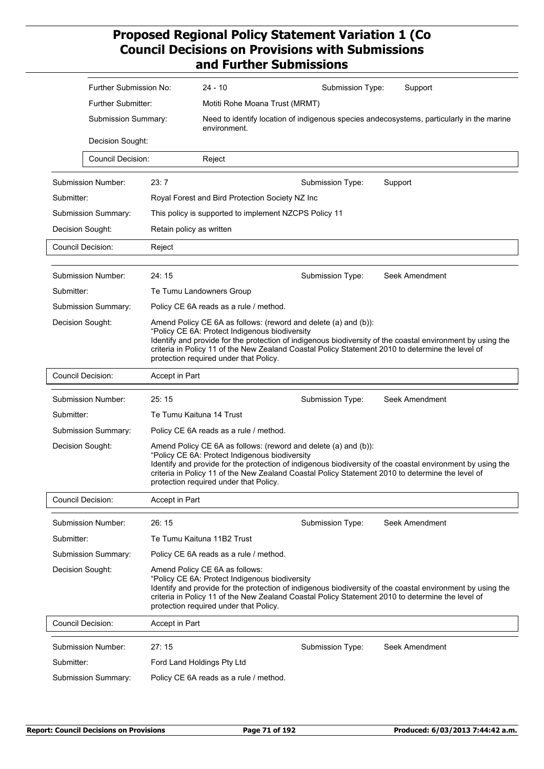|                     | Further Submission No:     |                                        | $24 - 10$                                                                                                                                                   | Submission Type: | Support                                                                                                                                                                                                        |  |  |  |
|---------------------|----------------------------|----------------------------------------|-------------------------------------------------------------------------------------------------------------------------------------------------------------|------------------|----------------------------------------------------------------------------------------------------------------------------------------------------------------------------------------------------------------|--|--|--|
|                     | <b>Further Submitter:</b>  |                                        | Motiti Rohe Moana Trust (MRMT)                                                                                                                              |                  |                                                                                                                                                                                                                |  |  |  |
|                     | Submission Summary:        |                                        | environment.                                                                                                                                                |                  | Need to identify location of indigenous species andecosystems, particularly in the marine                                                                                                                      |  |  |  |
|                     | Decision Sought:           |                                        |                                                                                                                                                             |                  |                                                                                                                                                                                                                |  |  |  |
|                     | <b>Council Decision:</b>   |                                        | Reject                                                                                                                                                      |                  |                                                                                                                                                                                                                |  |  |  |
|                     | <b>Submission Number:</b>  | 23:7                                   |                                                                                                                                                             | Submission Type: | Support                                                                                                                                                                                                        |  |  |  |
| Submitter:          |                            |                                        | Royal Forest and Bird Protection Society NZ Inc                                                                                                             |                  |                                                                                                                                                                                                                |  |  |  |
|                     | Submission Summary:        |                                        | This policy is supported to implement NZCPS Policy 11                                                                                                       |                  |                                                                                                                                                                                                                |  |  |  |
|                     | Decision Sought:           | Retain policy as written               |                                                                                                                                                             |                  |                                                                                                                                                                                                                |  |  |  |
|                     | <b>Council Decision:</b>   |                                        |                                                                                                                                                             |                  |                                                                                                                                                                                                                |  |  |  |
|                     |                            |                                        | Reject                                                                                                                                                      |                  |                                                                                                                                                                                                                |  |  |  |
|                     | <b>Submission Number:</b>  | 24:15                                  |                                                                                                                                                             | Submission Type: | Seek Amendment                                                                                                                                                                                                 |  |  |  |
| Submitter:          |                            |                                        | Te Tumu Landowners Group                                                                                                                                    |                  |                                                                                                                                                                                                                |  |  |  |
|                     | <b>Submission Summary:</b> |                                        | Policy CE 6A reads as a rule / method.                                                                                                                      |                  |                                                                                                                                                                                                                |  |  |  |
| Decision Sought:    |                            |                                        | Amend Policy CE 6A as follows: (reword and delete (a) and (b)):<br>"Policy CE 6A: Protect Indigenous biodiversity<br>protection required under that Policy. |                  | Identify and provide for the protection of indigenous biodiversity of the coastal environment by using the<br>criteria in Policy 11 of the New Zealand Coastal Policy Statement 2010 to determine the level of |  |  |  |
|                     | <b>Council Decision:</b>   | Accept in Part                         |                                                                                                                                                             |                  |                                                                                                                                                                                                                |  |  |  |
|                     | Submission Number:         | 25:15                                  |                                                                                                                                                             | Submission Type: | Seek Amendment                                                                                                                                                                                                 |  |  |  |
| Submitter:          |                            | Te Tumu Kaituna 14 Trust               |                                                                                                                                                             |                  |                                                                                                                                                                                                                |  |  |  |
|                     | <b>Submission Summary:</b> | Policy CE 6A reads as a rule / method. |                                                                                                                                                             |                  |                                                                                                                                                                                                                |  |  |  |
| Decision Sought:    |                            |                                        | Amend Policy CE 6A as follows: (reword and delete (a) and (b)):<br>"Policy CE 6A: Protect Indigenous biodiversity<br>protection required under that Policy. |                  | Identify and provide for the protection of indigenous biodiversity of the coastal environment by using the<br>criteria in Policy 11 of the New Zealand Coastal Policy Statement 2010 to determine the level of |  |  |  |
|                     | <b>Council Decision:</b>   | Accept in Part                         |                                                                                                                                                             |                  |                                                                                                                                                                                                                |  |  |  |
|                     | Submission Number:         | 26:15                                  |                                                                                                                                                             | Submission Type: | Seek Amendment                                                                                                                                                                                                 |  |  |  |
| Submitter:          |                            |                                        | Te Tumu Kaituna 11B2 Trust                                                                                                                                  |                  |                                                                                                                                                                                                                |  |  |  |
|                     | <b>Submission Summary:</b> | Policy CE 6A reads as a rule / method. |                                                                                                                                                             |                  |                                                                                                                                                                                                                |  |  |  |
| Decision Sought:    |                            |                                        | Amend Policy CE 6A as follows:<br>"Policy CE 6A: Protect Indigenous biodiversity<br>protection required under that Policy.                                  |                  | Identify and provide for the protection of indigenous biodiversity of the coastal environment by using the<br>criteria in Policy 11 of the New Zealand Coastal Policy Statement 2010 to determine the level of |  |  |  |
|                     | <b>Council Decision:</b>   | Accept in Part                         |                                                                                                                                                             |                  |                                                                                                                                                                                                                |  |  |  |
|                     | Submission Number:         | 27:15                                  |                                                                                                                                                             | Submission Type: | Seek Amendment                                                                                                                                                                                                 |  |  |  |
| Submitter:          |                            |                                        | Ford Land Holdings Pty Ltd                                                                                                                                  |                  |                                                                                                                                                                                                                |  |  |  |
| Submission Summary: |                            |                                        | Policy CE 6A reads as a rule / method.                                                                                                                      |                  |                                                                                                                                                                                                                |  |  |  |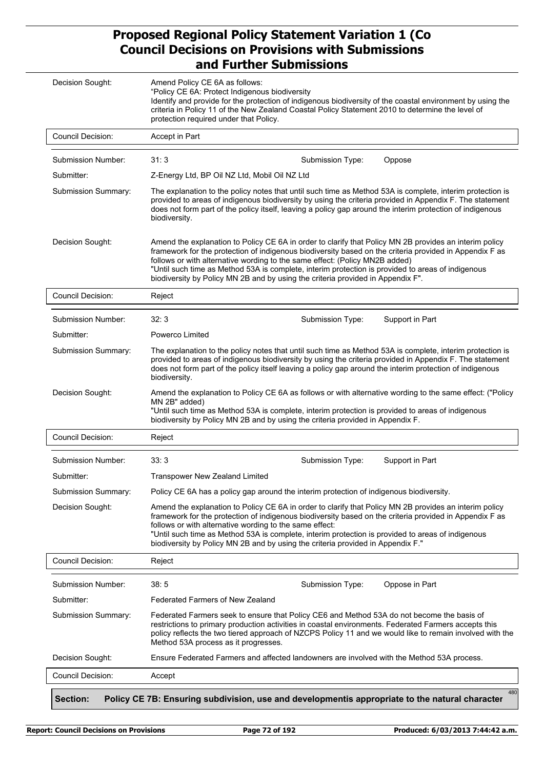| Decision Sought:         | Amend Policy CE 6A as follows:<br>"Policy CE 6A: Protect Indigenous biodiversity<br>Identify and provide for the protection of indigenous biodiversity of the coastal environment by using the<br>criteria in Policy 11 of the New Zealand Coastal Policy Statement 2010 to determine the level of<br>protection required under that Policy.                                                                                                                                             |
|--------------------------|------------------------------------------------------------------------------------------------------------------------------------------------------------------------------------------------------------------------------------------------------------------------------------------------------------------------------------------------------------------------------------------------------------------------------------------------------------------------------------------|
| <b>Council Decision:</b> | Accept in Part                                                                                                                                                                                                                                                                                                                                                                                                                                                                           |
| Submission Number:       | 31:3                                                                                                                                                                                                                                                                                                                                                                                                                                                                                     |
| Submitter:               | Submission Type:<br>Oppose<br>Z-Energy Ltd, BP Oil NZ Ltd, Mobil Oil NZ Ltd                                                                                                                                                                                                                                                                                                                                                                                                              |
| Submission Summary:      | The explanation to the policy notes that until such time as Method 53A is complete, interim protection is                                                                                                                                                                                                                                                                                                                                                                                |
|                          | provided to areas of indigenous biodiversity by using the criteria provided in Appendix F. The statement<br>does not form part of the policy itself, leaving a policy gap around the interim protection of indigenous<br>biodiversity.                                                                                                                                                                                                                                                   |
| Decision Sought:         | Amend the explanation to Policy CE 6A in order to clarify that Policy MN 2B provides an interim policy<br>framework for the protection of indigenous biodiversity based on the criteria provided in Appendix F as<br>follows or with alternative wording to the same effect: (Policy MN2B added)<br>"Until such time as Method 53A is complete, interim protection is provided to areas of indigenous<br>biodiversity by Policy MN 2B and by using the criteria provided in Appendix F". |
| <b>Council Decision:</b> | Reject                                                                                                                                                                                                                                                                                                                                                                                                                                                                                   |
| Submission Number:       | 32:3<br>Support in Part<br>Submission Type:                                                                                                                                                                                                                                                                                                                                                                                                                                              |
| Submitter:               | Powerco Limited                                                                                                                                                                                                                                                                                                                                                                                                                                                                          |
| Submission Summary:      | The explanation to the policy notes that until such time as Method 53A is complete, interim protection is<br>provided to areas of indigenous biodiversity by using the criteria provided in Appendix F. The statement<br>does not form part of the policy itself leaving a policy gap around the interim protection of indigenous<br>biodiversity.                                                                                                                                       |
| Decision Sought:         | Amend the explanation to Policy CE 6A as follows or with alternative wording to the same effect: ("Policy<br>MN 2B" added)<br>"Until such time as Method 53A is complete, interim protection is provided to areas of indigenous<br>biodiversity by Policy MN 2B and by using the criteria provided in Appendix F.                                                                                                                                                                        |
| Council Decision:        | Reject                                                                                                                                                                                                                                                                                                                                                                                                                                                                                   |
|                          |                                                                                                                                                                                                                                                                                                                                                                                                                                                                                          |
| Submission Number:       | 33:3<br>Support in Part<br>Submission Type:                                                                                                                                                                                                                                                                                                                                                                                                                                              |
| Submitter:               | <b>Transpower New Zealand Limited</b>                                                                                                                                                                                                                                                                                                                                                                                                                                                    |
| Submission Summary:      | Policy CE 6A has a policy gap around the interim protection of indigenous biodiversity.                                                                                                                                                                                                                                                                                                                                                                                                  |
| Decision Sought:         | Amend the explanation to Policy CE 6A in order to clarify that Policy MN 2B provides an interim policy<br>framework for the protection of indigenous biodiversity based on the criteria provided in Appendix F as<br>follows or with alternative wording to the same effect:<br>"Until such time as Method 53A is complete, interim protection is provided to areas of indigenous<br>biodiversity by Policy MN 2B and by using the criteria provided in Appendix F."                     |
| <b>Council Decision:</b> | Reject                                                                                                                                                                                                                                                                                                                                                                                                                                                                                   |
| Submission Number:       | 38:5<br>Oppose in Part<br>Submission Type:                                                                                                                                                                                                                                                                                                                                                                                                                                               |
| Submitter:               | Federated Farmers of New Zealand                                                                                                                                                                                                                                                                                                                                                                                                                                                         |
| Submission Summary:      | Federated Farmers seek to ensure that Policy CE6 and Method 53A do not become the basis of<br>restrictions to primary production activities in coastal environments. Federated Farmers accepts this<br>Method 53A process as it progresses.                                                                                                                                                                                                                                              |
| Decision Sought:         | policy reflects the two tiered approach of NZCPS Policy 11 and we would like to remain involved with the<br>Ensure Federated Farmers and affected landowners are involved with the Method 53A process.                                                                                                                                                                                                                                                                                   |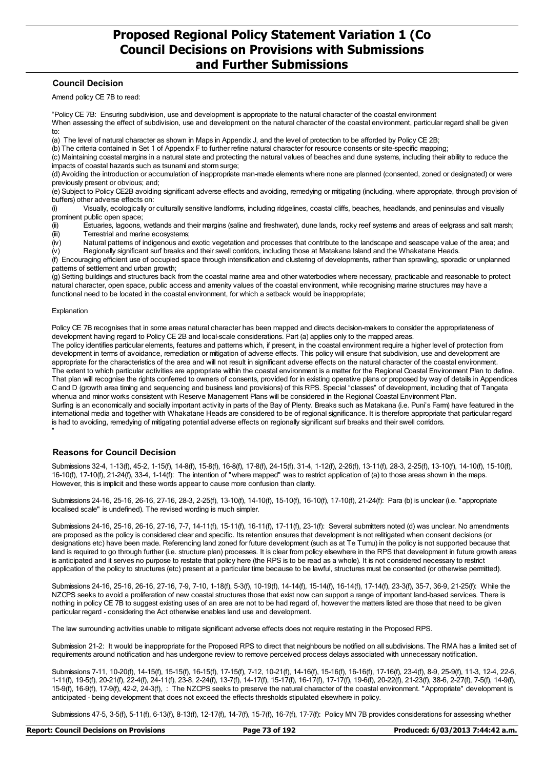#### **Council Decision**

Amend policy CE 7B to read:

"Policy CE 7B: Ensuring subdivision, use and development is appropriate to the natural character of the coastal environment When assessing the effect of subdivision, use and development on the natural character of the coastal environment, particular regard shall be given to:

(a) The level of natural character as shown in Maps in Appendix J, and the level of protection to be afforded by Policy CE 2B;

(b) The criteria contained in Set 1 of Appendix F to further refine natural character for resource consents or site-specific mapping;

(c) Maintaining coastal margins in a natural state and protecting the natural values of beaches and dune systems, including their ability to reduce the impacts of coastal hazards such as tsunami and storm surge;

(d) Avoiding the introduction or accumulation of inappropriate man-made elements where none are planned (consented, zoned or designated) or were previously present or obvious; and;

(e) Subject to Policy CE2B avoiding significant adverse effects and avoiding, remedying or mitigating (including, where appropriate, through provision of buffers) other adverse effects on:

(i) Visually, ecologically or culturally sensitive landforms, including ridgelines, coastal cliffs, beaches, headlands, and peninsulas and visually prominent public open space;

(ii) Estuaries, lagoons, wetlands and their margins (saline and freshwater), dune lands, rocky reef systems and areas of eelgrass and salt marsh;<br>(iii) Terrestrial and marine ecosystems; Terrestrial and marine ecosystems;

(iv) Natural patterns of indigenous and exotic vegetation and processes that contribute to the landscape and seascape value of the area; and

(v) Regionally significant surf breaks and their swell corridors, including those at Matakana Island and the Whakatane Heads. (f) Encouraging efficient use of occupied space through intensification and clustering of developments, rather than sprawling, sporadic or unplanned

patterns of settlement and urban growth;

(g) Setting buildings and structures back from the coastal marine area and other waterbodies where necessary, practicable and reasonable to protect natural character, open space, public access and amenity values of the coastal environment, while recognising marine structures may have a functional need to be located in the coastal environment, for which a setback would be inappropriate;

#### Explanation

"

Policy CE 7B recognises that in some areas natural character has been mapped and directs decision-makers to consider the appropriateness of development having regard to Policy CE 2B and local-scale considerations. Part (a) applies only to the mapped areas.

The policy identifies particular elements, features and patterns which, if present, in the coastal environment require a higher level of protection from development in terms of avoidance, remediation or mitigation of adverse effects. This policy will ensure that subdivision, use and development are appropriate for the characteristics of the area and will not result in significant adverse effects on the natural character of the coastal environment. The extent to which particular activities are appropriate within the coastal environment is a matter for the Regional Coastal Environment Plan to define. That plan will recognise the rights conferred to owners of consents, provided for in existing operative plans or proposed by way of details in Appendices C and D (growth area timing and sequencing and business land provisions) of this RPS. Special "classes" of development, including that of Tangata whenua and minor works consistent with Reserve Management Plans will be considered in the Regional Coastal Environment Plan. Surfing is an economically and socially important activity in parts of the Bay of Plenty. Breaks such as Matakana (i.e. Puni's Farm) have featured in the international media and together with Whakatane Heads are considered to be of regional significance. It is therefore appropriate that particular regard is had to avoiding, remedying of mitigating potential adverse effects on regionally significant surf breaks and their swell corridors.

#### **Reasons for Council Decision**

Submissions 32-4, 1-13(f), 45-2, 1-15(f), 14-8(f), 15-8(f), 16-8(f), 17-8(f), 24-15(f), 31-4, 1-12(f), 2-26(f), 13-11(f), 28-3, 2-25(f), 13-10(f), 14-10(f), 15-10(f), 16-10(f), 17-10(f), 21-24(f), 33-4, 1-14(f): The intention of "where mapped" was to restrict application of (a) to those areas shown in the maps. However, this is implicit and these words appear to cause more confusion than clarity.

Submissions 24-16, 25-16, 26-16, 27-16, 28-3, 2-25(f), 13-10(f), 14-10(f), 15-10(f), 16-10(f), 17-10(f), 21-24(f): Para (b) is unclear (i.e. "appropriate localised scale" is undefined). The revised wording is much simpler.

Submissions 24-16, 25-16, 26-16, 27-16, 7-7, 14-11(f), 15-11(f), 16-11(f), 17-11(f), 23-1(f): Several submitters noted (d) was unclear. No amendments are proposed as the policy is considered clear and specific. Its retention ensures that development is not relitigated when consent decisions (or designations etc) have been made. Referencing land zoned for future development (such as at Te Tumu) in the policy is not supported because that land is required to go through further (i.e. structure plan) processes. It is clear from policy elsewhere in the RPS that development in future growth areas is anticipated and it serves no purpose to restate that policy here (the RPS is to be read as a whole). It is not considered necessary to restrict application of the policy to structures (etc) present at a particular time because to be lawful, structures must be consented (or otherwise permitted).

Submissions 24-16, 25-16, 26-16, 27-16, 7-9, 7-10, 1-18(f), 5-3(f), 10-19(f), 14-14(f), 15-14(f), 16-14(f), 17-14(f), 23-3(f), 35-7, 36-9, 21-25(f): While the NZCPS seeks to avoid a proliferation of new coastal structures those that exist now can support a range of important land-based services. There is nothing in policy CE 7B to suggest existing uses of an area are not to be had regard of, however the matters listed are those that need to be given particular regard - considering the Act otherwise enables land use and development.

The law surrounding activities unable to mitigate significant adverse effects does not require restating in the Proposed RPS.

Submission 21-2: It would be inappropriate for the Proposed RPS to direct that neighbours be notified on all subdivisions. The RMA has a limited set of requirements around notification and has undergone review to remove perceived process delays associated with unnecessary notification.

Submissions 7-11, 10-20(f), 14-15(f), 15-15(f), 16-15(f), 17-15(f), 7-12, 10-21(f), 14-16(f), 15-16(f), 16-16(f), 17-16(f), 23-4(f), 8-9, 25-9(f), 11-3, 12-4, 22-6, 1-11(f), 19-5(f), 20-21(f), 22-4(f), 24-11(f), 23-8, 2-24(f), 13-7(f), 14-17(f), 15-17(f), 16-17(f), 17-17(f), 19-6(f), 20-22(f), 21-23(f), 38-6, 2-27(f), 7-5(f), 14-9(f), 15-9(f), 16-9(f), 17-9(f), 42-2, 24-3(f), : The NZCPS seeks to preserve the natural character of the coastal environment. "Appropriate" development is anticipated - being development that does not exceed the effects thresholds stipulated elsewhere in policy.

Submissions 47-5, 3-5(f), 5-11(f), 6-13(f), 8-13(f), 12-17(f), 14-7(f), 15-7(f), 16-7(f), 17-7(f): Policy MN 7B provides considerations for assessing whether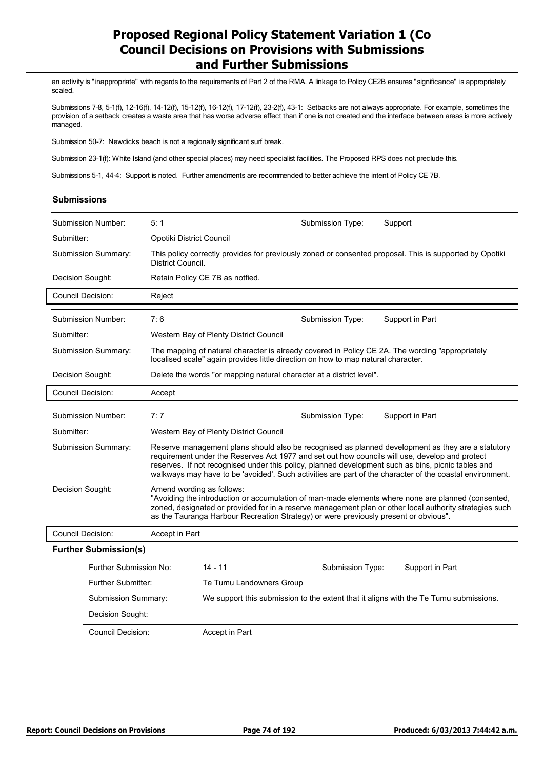an activity is "inappropriate" with regards to the requirements of Part 2 of the RMA. A linkage to Policy CE2B ensures "significance" is appropriately scaled.

Submissions 7-8, 5-1(f), 12-16(f), 14-12(f), 15-12(f), 16-12(f), 17-12(f), 23-2(f), 43-1: Setbacks are not always appropriate. For example, sometimes the provision of a setback creates a waste area that has worse adverse effect than if one is not created and the interface between areas is more actively managed.

Submission 50-7: Newdicks beach is not a regionally significant surf break.

Submission 23-1(f): White Island (and other special places) may need specialist facilities. The Proposed RPS does not preclude this.

Submissions 5-1, 44-4: Support is noted. Further amendments are recommended to better achieve the intent of Policy CE 7B.

#### **Submissions**

|                           | Submission Number:           | 5:1                                                                                                                                                                                                                                                                                                                                                                                                                   |                                                                                                                              | Submission Type: | Support                                                                                          |  |  |
|---------------------------|------------------------------|-----------------------------------------------------------------------------------------------------------------------------------------------------------------------------------------------------------------------------------------------------------------------------------------------------------------------------------------------------------------------------------------------------------------------|------------------------------------------------------------------------------------------------------------------------------|------------------|--------------------------------------------------------------------------------------------------|--|--|
| Submitter:                |                              | Opotiki District Council                                                                                                                                                                                                                                                                                                                                                                                              |                                                                                                                              |                  |                                                                                                  |  |  |
| Submission Summary:       |                              |                                                                                                                                                                                                                                                                                                                                                                                                                       | This policy correctly provides for previously zoned or consented proposal. This is supported by Opotiki<br>District Council. |                  |                                                                                                  |  |  |
|                           | Decision Sought:             |                                                                                                                                                                                                                                                                                                                                                                                                                       | Retain Policy CE 7B as notfied.                                                                                              |                  |                                                                                                  |  |  |
|                           | Council Decision:            | Reject                                                                                                                                                                                                                                                                                                                                                                                                                |                                                                                                                              |                  |                                                                                                  |  |  |
|                           | Submission Number:           | 7:6                                                                                                                                                                                                                                                                                                                                                                                                                   |                                                                                                                              | Submission Type: | Support in Part                                                                                  |  |  |
| Submitter:                |                              |                                                                                                                                                                                                                                                                                                                                                                                                                       | Western Bay of Plenty District Council                                                                                       |                  |                                                                                                  |  |  |
| Submission Summary:       |                              |                                                                                                                                                                                                                                                                                                                                                                                                                       | localised scale" again provides little direction on how to map natural character.                                            |                  | The mapping of natural character is already covered in Policy CE 2A. The wording "appropriately" |  |  |
| Decision Sought:          |                              |                                                                                                                                                                                                                                                                                                                                                                                                                       | Delete the words "or mapping natural character at a district level".                                                         |                  |                                                                                                  |  |  |
|                           | Council Decision:            | Accept                                                                                                                                                                                                                                                                                                                                                                                                                |                                                                                                                              |                  |                                                                                                  |  |  |
| Submission Number:        |                              | 7:7                                                                                                                                                                                                                                                                                                                                                                                                                   |                                                                                                                              | Submission Type: | Support in Part                                                                                  |  |  |
| Submitter:                |                              | Western Bay of Plenty District Council                                                                                                                                                                                                                                                                                                                                                                                |                                                                                                                              |                  |                                                                                                  |  |  |
| Submission Summary:       |                              | Reserve management plans should also be recognised as planned development as they are a statutory<br>requirement under the Reserves Act 1977 and set out how councils will use, develop and protect<br>reserves. If not recognised under this policy, planned development such as bins, picnic tables and<br>walkways may have to be 'avoided'. Such activities are part of the character of the coastal environment. |                                                                                                                              |                  |                                                                                                  |  |  |
|                           | Decision Sought:             | Amend wording as follows:<br>"Avoiding the introduction or accumulation of man-made elements where none are planned (consented,<br>zoned, designated or provided for in a reserve management plan or other local authority strategies such<br>as the Tauranga Harbour Recreation Strategy) or were previously present or obvious".                                                                                    |                                                                                                                              |                  |                                                                                                  |  |  |
|                           | Council Decision:            | Accept in Part                                                                                                                                                                                                                                                                                                                                                                                                        |                                                                                                                              |                  |                                                                                                  |  |  |
|                           | <b>Further Submission(s)</b> |                                                                                                                                                                                                                                                                                                                                                                                                                       |                                                                                                                              |                  |                                                                                                  |  |  |
|                           | Further Submission No:       |                                                                                                                                                                                                                                                                                                                                                                                                                       | $14 - 11$                                                                                                                    | Submission Type: | Support in Part                                                                                  |  |  |
| <b>Further Submitter:</b> |                              | Te Tumu Landowners Group                                                                                                                                                                                                                                                                                                                                                                                              |                                                                                                                              |                  |                                                                                                  |  |  |
|                           | Submission Summary:          |                                                                                                                                                                                                                                                                                                                                                                                                                       | We support this submission to the extent that it aligns with the Te Tumu submissions.                                        |                  |                                                                                                  |  |  |
|                           | Decision Sought:             |                                                                                                                                                                                                                                                                                                                                                                                                                       |                                                                                                                              |                  |                                                                                                  |  |  |
|                           | Council Decision:            | Accept in Part                                                                                                                                                                                                                                                                                                                                                                                                        |                                                                                                                              |                  |                                                                                                  |  |  |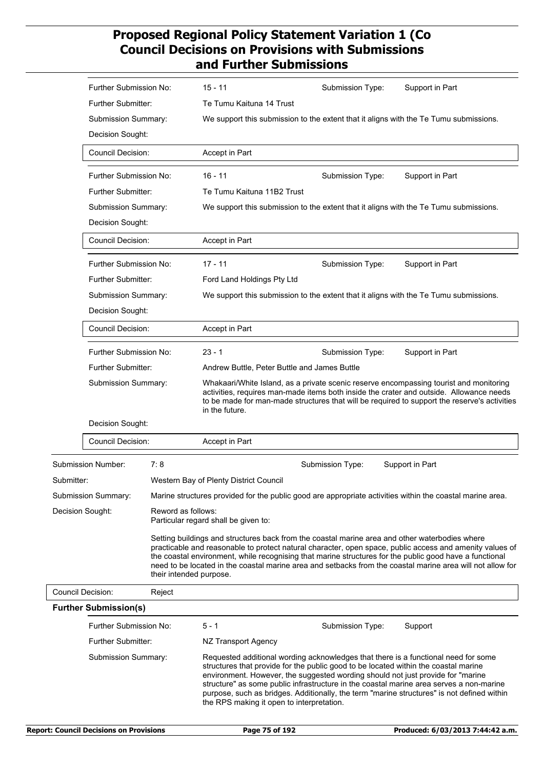|                          | Further Submission No:                                                                                                                                                                                        |                    | $15 - 11$                                                                                                                                                                                                                                                                                           | Submission Type:                                                                                                                                                                                                                                                                                                                                                                                                                                      | Support in Part                                                                                                                                                                                                        |  |  |
|--------------------------|---------------------------------------------------------------------------------------------------------------------------------------------------------------------------------------------------------------|--------------------|-----------------------------------------------------------------------------------------------------------------------------------------------------------------------------------------------------------------------------------------------------------------------------------------------------|-------------------------------------------------------------------------------------------------------------------------------------------------------------------------------------------------------------------------------------------------------------------------------------------------------------------------------------------------------------------------------------------------------------------------------------------------------|------------------------------------------------------------------------------------------------------------------------------------------------------------------------------------------------------------------------|--|--|
|                          | <b>Further Submitter:</b>                                                                                                                                                                                     |                    | Te Tumu Kaituna 14 Trust                                                                                                                                                                                                                                                                            |                                                                                                                                                                                                                                                                                                                                                                                                                                                       |                                                                                                                                                                                                                        |  |  |
|                          | Submission Summary:                                                                                                                                                                                           |                    |                                                                                                                                                                                                                                                                                                     | We support this submission to the extent that it aligns with the Te Tumu submissions.                                                                                                                                                                                                                                                                                                                                                                 |                                                                                                                                                                                                                        |  |  |
|                          | Decision Sought:<br><b>Council Decision:</b>                                                                                                                                                                  |                    |                                                                                                                                                                                                                                                                                                     |                                                                                                                                                                                                                                                                                                                                                                                                                                                       |                                                                                                                                                                                                                        |  |  |
|                          |                                                                                                                                                                                                               |                    | Accept in Part                                                                                                                                                                                                                                                                                      |                                                                                                                                                                                                                                                                                                                                                                                                                                                       |                                                                                                                                                                                                                        |  |  |
|                          | Further Submission No:                                                                                                                                                                                        |                    | $16 - 11$                                                                                                                                                                                                                                                                                           | Submission Type:                                                                                                                                                                                                                                                                                                                                                                                                                                      | Support in Part                                                                                                                                                                                                        |  |  |
|                          | Further Submitter:<br>Submission Summary:                                                                                                                                                                     |                    | Te Tumu Kaituna 11B2 Trust                                                                                                                                                                                                                                                                          |                                                                                                                                                                                                                                                                                                                                                                                                                                                       |                                                                                                                                                                                                                        |  |  |
|                          |                                                                                                                                                                                                               |                    |                                                                                                                                                                                                                                                                                                     | We support this submission to the extent that it aligns with the Te Tumu submissions.                                                                                                                                                                                                                                                                                                                                                                 |                                                                                                                                                                                                                        |  |  |
|                          | Decision Sought:                                                                                                                                                                                              |                    |                                                                                                                                                                                                                                                                                                     |                                                                                                                                                                                                                                                                                                                                                                                                                                                       |                                                                                                                                                                                                                        |  |  |
|                          | <b>Council Decision:</b><br>Further Submission No:<br><b>Further Submitter:</b><br>Submission Summary:<br>Decision Sought:<br><b>Council Decision:</b><br>Further Submission No:<br><b>Further Submitter:</b> |                    | Accept in Part                                                                                                                                                                                                                                                                                      |                                                                                                                                                                                                                                                                                                                                                                                                                                                       |                                                                                                                                                                                                                        |  |  |
|                          |                                                                                                                                                                                                               |                    | $17 - 11$                                                                                                                                                                                                                                                                                           | Submission Type:                                                                                                                                                                                                                                                                                                                                                                                                                                      | Support in Part                                                                                                                                                                                                        |  |  |
|                          |                                                                                                                                                                                                               |                    | Ford Land Holdings Pty Ltd                                                                                                                                                                                                                                                                          |                                                                                                                                                                                                                                                                                                                                                                                                                                                       |                                                                                                                                                                                                                        |  |  |
|                          |                                                                                                                                                                                                               |                    |                                                                                                                                                                                                                                                                                                     | We support this submission to the extent that it aligns with the Te Tumu submissions.                                                                                                                                                                                                                                                                                                                                                                 |                                                                                                                                                                                                                        |  |  |
|                          |                                                                                                                                                                                                               |                    |                                                                                                                                                                                                                                                                                                     |                                                                                                                                                                                                                                                                                                                                                                                                                                                       |                                                                                                                                                                                                                        |  |  |
|                          |                                                                                                                                                                                                               |                    | Accept in Part                                                                                                                                                                                                                                                                                      |                                                                                                                                                                                                                                                                                                                                                                                                                                                       |                                                                                                                                                                                                                        |  |  |
|                          |                                                                                                                                                                                                               |                    | $23 - 1$                                                                                                                                                                                                                                                                                            | Submission Type:                                                                                                                                                                                                                                                                                                                                                                                                                                      | Support in Part                                                                                                                                                                                                        |  |  |
|                          |                                                                                                                                                                                                               |                    | Andrew Buttle, Peter Buttle and James Buttle                                                                                                                                                                                                                                                        |                                                                                                                                                                                                                                                                                                                                                                                                                                                       |                                                                                                                                                                                                                        |  |  |
|                          | Submission Summary:                                                                                                                                                                                           |                    | Whakaari/White Island, as a private scenic reserve encompassing tourist and monitoring<br>activities, requires man-made items both inside the crater and outside. Allowance needs<br>to be made for man-made structures that will be required to support the reserve's activities<br>in the future. |                                                                                                                                                                                                                                                                                                                                                                                                                                                       |                                                                                                                                                                                                                        |  |  |
|                          | Decision Sought:                                                                                                                                                                                              |                    |                                                                                                                                                                                                                                                                                                     |                                                                                                                                                                                                                                                                                                                                                                                                                                                       |                                                                                                                                                                                                                        |  |  |
|                          | <b>Council Decision:</b>                                                                                                                                                                                      |                    | Accept in Part                                                                                                                                                                                                                                                                                      |                                                                                                                                                                                                                                                                                                                                                                                                                                                       |                                                                                                                                                                                                                        |  |  |
|                          | Submission Number:                                                                                                                                                                                            | 7:8                |                                                                                                                                                                                                                                                                                                     | Submission Type:                                                                                                                                                                                                                                                                                                                                                                                                                                      | Support in Part                                                                                                                                                                                                        |  |  |
| Submitter:               |                                                                                                                                                                                                               |                    | Western Bay of Plenty District Council                                                                                                                                                                                                                                                              |                                                                                                                                                                                                                                                                                                                                                                                                                                                       |                                                                                                                                                                                                                        |  |  |
|                          | Submission Summary:                                                                                                                                                                                           |                    |                                                                                                                                                                                                                                                                                                     | Marine structures provided for the public good are appropriate activities within the coastal marine area.                                                                                                                                                                                                                                                                                                                                             |                                                                                                                                                                                                                        |  |  |
| Decision Sought:         |                                                                                                                                                                                                               | Reword as follows: | Particular regard shall be given to:                                                                                                                                                                                                                                                                |                                                                                                                                                                                                                                                                                                                                                                                                                                                       |                                                                                                                                                                                                                        |  |  |
|                          | their intended purpose.                                                                                                                                                                                       |                    |                                                                                                                                                                                                                                                                                                     | Setting buildings and structures back from the coastal marine area and other waterbodies where<br>the coastal environment, while recognising that marine structures for the public good have a functional                                                                                                                                                                                                                                             | practicable and reasonable to protect natural character, open space, public access and amenity values of<br>need to be located in the coastal marine area and setbacks from the coastal marine area will not allow for |  |  |
| <b>Council Decision:</b> |                                                                                                                                                                                                               | Reject             |                                                                                                                                                                                                                                                                                                     |                                                                                                                                                                                                                                                                                                                                                                                                                                                       |                                                                                                                                                                                                                        |  |  |
|                          | <b>Further Submission(s)</b>                                                                                                                                                                                  |                    |                                                                                                                                                                                                                                                                                                     |                                                                                                                                                                                                                                                                                                                                                                                                                                                       |                                                                                                                                                                                                                        |  |  |
|                          | Further Submission No:                                                                                                                                                                                        |                    | $5 - 1$                                                                                                                                                                                                                                                                                             | Submission Type:                                                                                                                                                                                                                                                                                                                                                                                                                                      | Support                                                                                                                                                                                                                |  |  |
|                          | Further Submitter:                                                                                                                                                                                            |                    | NZ Transport Agency                                                                                                                                                                                                                                                                                 |                                                                                                                                                                                                                                                                                                                                                                                                                                                       |                                                                                                                                                                                                                        |  |  |
|                          | Submission Summary:                                                                                                                                                                                           |                    | the RPS making it open to interpretation.                                                                                                                                                                                                                                                           | Requested additional wording acknowledges that there is a functional need for some<br>structures that provide for the public good to be located within the coastal marine<br>environment. However, the suggested wording should not just provide for "marine<br>structure" as some public infrastructure in the coastal marine area serves a non-marine<br>purpose, such as bridges. Additionally, the term "marine structures" is not defined within |                                                                                                                                                                                                                        |  |  |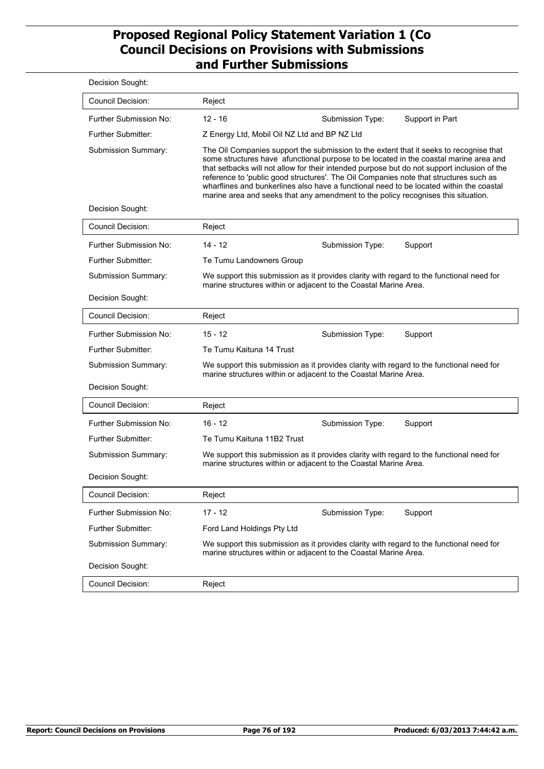| Decision Sought:          |                                                                                                                                                                                                                                                                                                                                                                                                                                                                                                                                                         |
|---------------------------|---------------------------------------------------------------------------------------------------------------------------------------------------------------------------------------------------------------------------------------------------------------------------------------------------------------------------------------------------------------------------------------------------------------------------------------------------------------------------------------------------------------------------------------------------------|
| Council Decision:         | Reject                                                                                                                                                                                                                                                                                                                                                                                                                                                                                                                                                  |
| Further Submission No:    | $12 - 16$<br>Submission Type:<br>Support in Part                                                                                                                                                                                                                                                                                                                                                                                                                                                                                                        |
| <b>Further Submitter:</b> | Z Energy Ltd, Mobil Oil NZ Ltd and BP NZ Ltd                                                                                                                                                                                                                                                                                                                                                                                                                                                                                                            |
| Submission Summary:       | The Oil Companies support the submission to the extent that it seeks to recognise that<br>some structures have afunctional purpose to be located in the coastal marine area and<br>that setbacks will not allow for their intended purpose but do not support inclusion of the<br>reference to 'public good structures'. The Oil Companies note that structures such as<br>wharflines and bunkerlines also have a functional need to be located within the coastal<br>marine area and seeks that any amendment to the policy recognises this situation. |
| Decision Sought:          |                                                                                                                                                                                                                                                                                                                                                                                                                                                                                                                                                         |
| <b>Council Decision:</b>  | Reject                                                                                                                                                                                                                                                                                                                                                                                                                                                                                                                                                  |
| Further Submission No:    | $14 - 12$<br>Submission Type:<br>Support                                                                                                                                                                                                                                                                                                                                                                                                                                                                                                                |
| <b>Further Submitter:</b> | Te Tumu Landowners Group                                                                                                                                                                                                                                                                                                                                                                                                                                                                                                                                |
| Submission Summary:       | We support this submission as it provides clarity with regard to the functional need for<br>marine structures within or adjacent to the Coastal Marine Area.                                                                                                                                                                                                                                                                                                                                                                                            |
| Decision Sought:          |                                                                                                                                                                                                                                                                                                                                                                                                                                                                                                                                                         |
| <b>Council Decision:</b>  | Reject                                                                                                                                                                                                                                                                                                                                                                                                                                                                                                                                                  |
| Further Submission No:    | $15 - 12$<br>Submission Type:<br>Support                                                                                                                                                                                                                                                                                                                                                                                                                                                                                                                |
| <b>Further Submitter:</b> | Te Tumu Kaituna 14 Trust                                                                                                                                                                                                                                                                                                                                                                                                                                                                                                                                |
| Submission Summary:       | We support this submission as it provides clarity with regard to the functional need for<br>marine structures within or adjacent to the Coastal Marine Area.                                                                                                                                                                                                                                                                                                                                                                                            |
| Decision Sought:          |                                                                                                                                                                                                                                                                                                                                                                                                                                                                                                                                                         |
| Council Decision:         | Reject                                                                                                                                                                                                                                                                                                                                                                                                                                                                                                                                                  |
| Further Submission No:    | $16 - 12$<br>Submission Type:<br>Support                                                                                                                                                                                                                                                                                                                                                                                                                                                                                                                |
| <b>Further Submitter:</b> | Te Tumu Kaituna 11B2 Trust                                                                                                                                                                                                                                                                                                                                                                                                                                                                                                                              |
| Submission Summary:       | We support this submission as it provides clarity with regard to the functional need for<br>marine structures within or adjacent to the Coastal Marine Area.                                                                                                                                                                                                                                                                                                                                                                                            |
| Decision Sought:          |                                                                                                                                                                                                                                                                                                                                                                                                                                                                                                                                                         |
| <b>Council Decision:</b>  | Reject                                                                                                                                                                                                                                                                                                                                                                                                                                                                                                                                                  |
| Further Submission No:    | $17 - 12$<br>Submission Type:<br>Support                                                                                                                                                                                                                                                                                                                                                                                                                                                                                                                |
| Further Submitter:        | Ford Land Holdings Pty Ltd                                                                                                                                                                                                                                                                                                                                                                                                                                                                                                                              |
| Submission Summary:       | We support this submission as it provides clarity with regard to the functional need for<br>marine structures within or adjacent to the Coastal Marine Area.                                                                                                                                                                                                                                                                                                                                                                                            |
| Decision Sought:          |                                                                                                                                                                                                                                                                                                                                                                                                                                                                                                                                                         |
| <b>Council Decision:</b>  | Reject                                                                                                                                                                                                                                                                                                                                                                                                                                                                                                                                                  |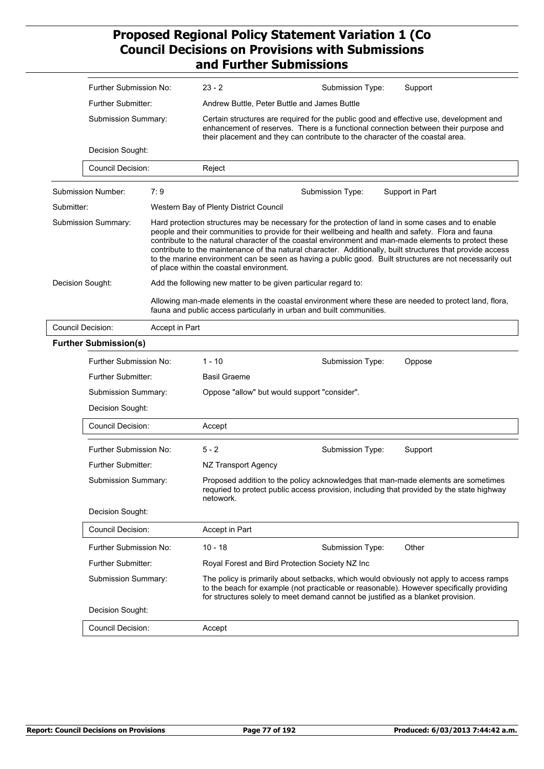|                          | Further Submission No:       |                | $23 - 2$                                                                                                                                                                                                                                                                                                                                                                                                                                                                                                                                                                               | Submission Type:                                | Support                                                                                                                                                                        |  |  |
|--------------------------|------------------------------|----------------|----------------------------------------------------------------------------------------------------------------------------------------------------------------------------------------------------------------------------------------------------------------------------------------------------------------------------------------------------------------------------------------------------------------------------------------------------------------------------------------------------------------------------------------------------------------------------------------|-------------------------------------------------|--------------------------------------------------------------------------------------------------------------------------------------------------------------------------------|--|--|
|                          | <b>Further Submitter:</b>    |                | Andrew Buttle, Peter Buttle and James Buttle                                                                                                                                                                                                                                                                                                                                                                                                                                                                                                                                           |                                                 |                                                                                                                                                                                |  |  |
|                          | Submission Summary:          |                | Certain structures are required for the public good and effective use, development and<br>enhancement of reserves. There is a functional connection between their purpose and<br>their placement and they can contribute to the character of the coastal area.                                                                                                                                                                                                                                                                                                                         |                                                 |                                                                                                                                                                                |  |  |
|                          | Decision Sought:             |                |                                                                                                                                                                                                                                                                                                                                                                                                                                                                                                                                                                                        |                                                 |                                                                                                                                                                                |  |  |
|                          | <b>Council Decision:</b>     |                | Reject                                                                                                                                                                                                                                                                                                                                                                                                                                                                                                                                                                                 |                                                 |                                                                                                                                                                                |  |  |
|                          | Submission Number:           | 7:9            |                                                                                                                                                                                                                                                                                                                                                                                                                                                                                                                                                                                        | Submission Type:                                | Support in Part                                                                                                                                                                |  |  |
| Submitter:               |                              |                | Western Bay of Plenty District Council                                                                                                                                                                                                                                                                                                                                                                                                                                                                                                                                                 |                                                 |                                                                                                                                                                                |  |  |
|                          | Submission Summary:          |                | Hard protection structures may be necessary for the protection of land in some cases and to enable<br>people and their communities to provide for their wellbeing and health and safety. Flora and fauna<br>contribute to the natural character of the coastal environment and man-made elements to protect these<br>contribute to the maintenance of tha natural character. Additionally, built structures that provide access<br>to the marine environment can be seen as having a public good. Built structures are not necessarily out<br>of place within the coastal environment. |                                                 |                                                                                                                                                                                |  |  |
| Decision Sought:         |                              |                | Add the following new matter to be given particular regard to:                                                                                                                                                                                                                                                                                                                                                                                                                                                                                                                         |                                                 |                                                                                                                                                                                |  |  |
|                          |                              |                | Allowing man-made elements in the coastal environment where these are needed to protect land, flora,<br>fauna and public access particularly in urban and built communities.                                                                                                                                                                                                                                                                                                                                                                                                           |                                                 |                                                                                                                                                                                |  |  |
| <b>Council Decision:</b> |                              | Accept in Part |                                                                                                                                                                                                                                                                                                                                                                                                                                                                                                                                                                                        |                                                 |                                                                                                                                                                                |  |  |
|                          | <b>Further Submission(s)</b> |                |                                                                                                                                                                                                                                                                                                                                                                                                                                                                                                                                                                                        |                                                 |                                                                                                                                                                                |  |  |
|                          | Further Submission No:       |                | $1 - 10$                                                                                                                                                                                                                                                                                                                                                                                                                                                                                                                                                                               | Submission Type:                                | Oppose                                                                                                                                                                         |  |  |
|                          | <b>Further Submitter:</b>    |                | <b>Basil Graeme</b>                                                                                                                                                                                                                                                                                                                                                                                                                                                                                                                                                                    |                                                 |                                                                                                                                                                                |  |  |
|                          | Submission Summary:          |                | Oppose "allow" but would support "consider".                                                                                                                                                                                                                                                                                                                                                                                                                                                                                                                                           |                                                 |                                                                                                                                                                                |  |  |
|                          | Decision Sought:             |                |                                                                                                                                                                                                                                                                                                                                                                                                                                                                                                                                                                                        |                                                 |                                                                                                                                                                                |  |  |
|                          | <b>Council Decision:</b>     |                | Accept                                                                                                                                                                                                                                                                                                                                                                                                                                                                                                                                                                                 |                                                 |                                                                                                                                                                                |  |  |
|                          | Further Submission No:       |                | $5 - 2$                                                                                                                                                                                                                                                                                                                                                                                                                                                                                                                                                                                | Submission Type:                                | Support                                                                                                                                                                        |  |  |
|                          | Further Submitter:           |                | NZ Transport Agency                                                                                                                                                                                                                                                                                                                                                                                                                                                                                                                                                                    |                                                 |                                                                                                                                                                                |  |  |
|                          | Submission Summary:          |                | netowork.                                                                                                                                                                                                                                                                                                                                                                                                                                                                                                                                                                              |                                                 | Proposed addition to the policy acknowledges that man-made elements are sometimes<br>requried to protect public access provision, including that provided by the state highway |  |  |
|                          | Decision Sought:             |                |                                                                                                                                                                                                                                                                                                                                                                                                                                                                                                                                                                                        |                                                 |                                                                                                                                                                                |  |  |
|                          | <b>Council Decision:</b>     |                | Accept in Part                                                                                                                                                                                                                                                                                                                                                                                                                                                                                                                                                                         |                                                 |                                                                                                                                                                                |  |  |
|                          | Further Submission No:       |                | $10 - 18$                                                                                                                                                                                                                                                                                                                                                                                                                                                                                                                                                                              | Submission Type:                                | Other                                                                                                                                                                          |  |  |
|                          | Further Submitter:           |                |                                                                                                                                                                                                                                                                                                                                                                                                                                                                                                                                                                                        | Royal Forest and Bird Protection Society NZ Inc |                                                                                                                                                                                |  |  |
|                          | Submission Summary:          |                | The policy is primarily about setbacks, which would obviously not apply to access ramps<br>to the beach for example (not practicable or reasonable). However specifically providing<br>for structures solely to meet demand cannot be justified as a blanket provision.                                                                                                                                                                                                                                                                                                                |                                                 |                                                                                                                                                                                |  |  |
|                          | Decision Sought:             |                |                                                                                                                                                                                                                                                                                                                                                                                                                                                                                                                                                                                        |                                                 |                                                                                                                                                                                |  |  |
|                          | Council Decision:            |                | Accept                                                                                                                                                                                                                                                                                                                                                                                                                                                                                                                                                                                 |                                                 |                                                                                                                                                                                |  |  |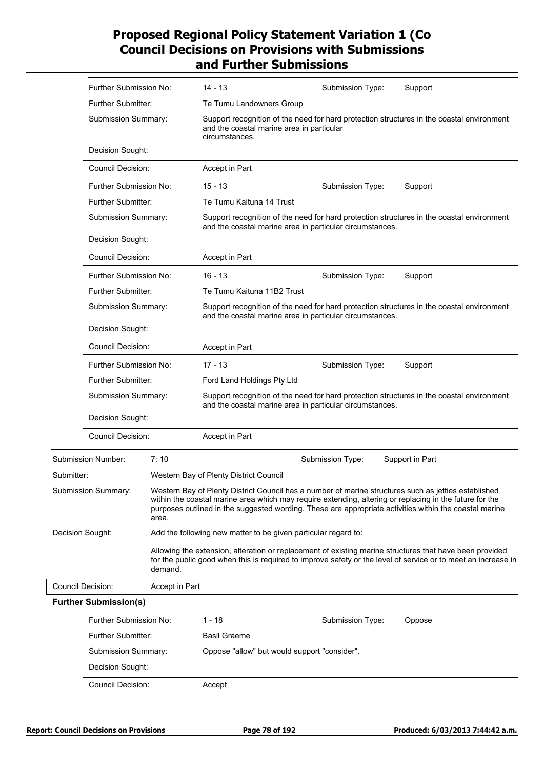|                  | Further Submission No:                             |                | 14 - 13                                                                                                                                                  | Submission Type:                                                                                                                                                                                                                                                                                                          | Support                                                                                                       |  |  |
|------------------|----------------------------------------------------|----------------|----------------------------------------------------------------------------------------------------------------------------------------------------------|---------------------------------------------------------------------------------------------------------------------------------------------------------------------------------------------------------------------------------------------------------------------------------------------------------------------------|---------------------------------------------------------------------------------------------------------------|--|--|
|                  | <b>Further Submitter:</b>                          |                | Te Tumu Landowners Group                                                                                                                                 |                                                                                                                                                                                                                                                                                                                           |                                                                                                               |  |  |
|                  | Submission Summary:                                |                | Support recognition of the need for hard protection structures in the coastal environment<br>and the coastal marine area in particular<br>circumstances. |                                                                                                                                                                                                                                                                                                                           |                                                                                                               |  |  |
|                  | Decision Sought:                                   |                |                                                                                                                                                          |                                                                                                                                                                                                                                                                                                                           |                                                                                                               |  |  |
|                  | <b>Council Decision:</b>                           |                | Accept in Part                                                                                                                                           |                                                                                                                                                                                                                                                                                                                           |                                                                                                               |  |  |
|                  | Further Submission No:                             |                | $15 - 13$                                                                                                                                                | Submission Type:                                                                                                                                                                                                                                                                                                          | Support                                                                                                       |  |  |
|                  | <b>Further Submitter:</b>                          |                | Te Tumu Kaituna 14 Trust                                                                                                                                 |                                                                                                                                                                                                                                                                                                                           |                                                                                                               |  |  |
|                  | Submission Summary:                                |                |                                                                                                                                                          | Support recognition of the need for hard protection structures in the coastal environment<br>and the coastal marine area in particular circumstances.                                                                                                                                                                     |                                                                                                               |  |  |
|                  | Decision Sought:                                   |                |                                                                                                                                                          |                                                                                                                                                                                                                                                                                                                           |                                                                                                               |  |  |
|                  | <b>Council Decision:</b>                           |                | Accept in Part                                                                                                                                           |                                                                                                                                                                                                                                                                                                                           |                                                                                                               |  |  |
|                  | Further Submission No:                             |                | $16 - 13$                                                                                                                                                | Submission Type:                                                                                                                                                                                                                                                                                                          | Support                                                                                                       |  |  |
|                  | <b>Further Submitter:</b>                          |                | Te Tumu Kaituna 11B2 Trust                                                                                                                               |                                                                                                                                                                                                                                                                                                                           |                                                                                                               |  |  |
|                  | Submission Summary:                                |                | Support recognition of the need for hard protection structures in the coastal environment<br>and the coastal marine area in particular circumstances.    |                                                                                                                                                                                                                                                                                                                           |                                                                                                               |  |  |
|                  | Decision Sought:                                   |                |                                                                                                                                                          |                                                                                                                                                                                                                                                                                                                           |                                                                                                               |  |  |
|                  | <b>Council Decision:</b><br>Further Submission No: |                | Accept in Part                                                                                                                                           |                                                                                                                                                                                                                                                                                                                           |                                                                                                               |  |  |
|                  |                                                    |                | $17 - 13$                                                                                                                                                | Submission Type:                                                                                                                                                                                                                                                                                                          | Support                                                                                                       |  |  |
|                  | <b>Further Submitter:</b>                          |                | Ford Land Holdings Pty Ltd                                                                                                                               |                                                                                                                                                                                                                                                                                                                           |                                                                                                               |  |  |
|                  | Submission Summary:                                |                | Support recognition of the need for hard protection structures in the coastal environment<br>and the coastal marine area in particular circumstances.    |                                                                                                                                                                                                                                                                                                                           |                                                                                                               |  |  |
|                  | Decision Sought:                                   |                |                                                                                                                                                          |                                                                                                                                                                                                                                                                                                                           |                                                                                                               |  |  |
|                  | <b>Council Decision:</b>                           |                | Accept in Part                                                                                                                                           |                                                                                                                                                                                                                                                                                                                           |                                                                                                               |  |  |
|                  | Submission Number:                                 | 7:10           |                                                                                                                                                          | Submission Type:                                                                                                                                                                                                                                                                                                          | Support in Part                                                                                               |  |  |
| Submitter:       |                                                    |                | Western Bay of Plenty District Council                                                                                                                   |                                                                                                                                                                                                                                                                                                                           |                                                                                                               |  |  |
|                  | Submission Summary:                                | area.          |                                                                                                                                                          | Western Bay of Plenty District Council has a number of marine structures such as jetties established<br>within the coastal marine area which may require extending, altering or replacing in the future for the<br>purposes outlined in the suggested wording. These are appropriate activities within the coastal marine |                                                                                                               |  |  |
| Decision Sought: |                                                    |                | Add the following new matter to be given particular regard to:                                                                                           |                                                                                                                                                                                                                                                                                                                           |                                                                                                               |  |  |
|                  |                                                    | demand.        |                                                                                                                                                          | Allowing the extension, alteration or replacement of existing marine structures that have been provided                                                                                                                                                                                                                   | for the public good when this is required to improve safety or the level of service or to meet an increase in |  |  |
|                  | Council Decision:                                  | Accept in Part |                                                                                                                                                          |                                                                                                                                                                                                                                                                                                                           |                                                                                                               |  |  |
|                  | <b>Further Submission(s)</b>                       |                |                                                                                                                                                          |                                                                                                                                                                                                                                                                                                                           |                                                                                                               |  |  |
|                  | Further Submission No:                             |                | 1 - 18                                                                                                                                                   | Submission Type:                                                                                                                                                                                                                                                                                                          | Oppose                                                                                                        |  |  |
|                  | Further Submitter:                                 |                | Basil Graeme                                                                                                                                             |                                                                                                                                                                                                                                                                                                                           |                                                                                                               |  |  |
|                  | Submission Summary:                                |                |                                                                                                                                                          | Oppose "allow" but would support "consider".                                                                                                                                                                                                                                                                              |                                                                                                               |  |  |
|                  | Decision Sought:                                   |                |                                                                                                                                                          |                                                                                                                                                                                                                                                                                                                           |                                                                                                               |  |  |
|                  | <b>Council Decision:</b>                           |                | Accept                                                                                                                                                   |                                                                                                                                                                                                                                                                                                                           |                                                                                                               |  |  |
|                  |                                                    |                |                                                                                                                                                          |                                                                                                                                                                                                                                                                                                                           |                                                                                                               |  |  |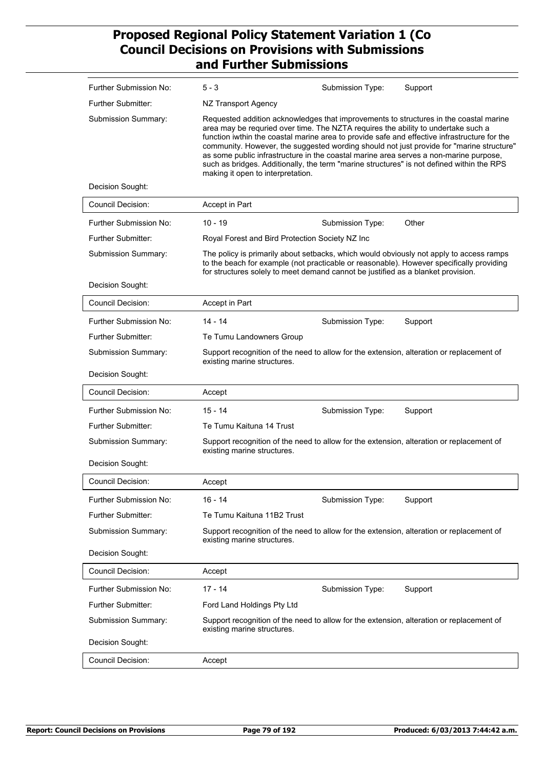| Further Submission No:     | $5 - 3$<br>Submission Type:<br>Support                                                                                                                                                                                                                                                                                                                                                                                                                                                                                                                                                            |
|----------------------------|---------------------------------------------------------------------------------------------------------------------------------------------------------------------------------------------------------------------------------------------------------------------------------------------------------------------------------------------------------------------------------------------------------------------------------------------------------------------------------------------------------------------------------------------------------------------------------------------------|
| <b>Further Submitter:</b>  | NZ Transport Agency                                                                                                                                                                                                                                                                                                                                                                                                                                                                                                                                                                               |
| <b>Submission Summary:</b> | Requested addition acknowledges that improvements to structures in the coastal marine<br>area may be requried over time. The NZTA requires the ability to undertake such a<br>function iwthin the coastal marine area to provide safe and effective infrastructure for the<br>community. However, the suggested wording should not just provide for "marine structure"<br>as some public infrastructure in the coastal marine area serves a non-marine purpose,<br>such as bridges. Additionally, the term "marine structures" is not defined within the RPS<br>making it open to interpretation. |
| Decision Sought:           |                                                                                                                                                                                                                                                                                                                                                                                                                                                                                                                                                                                                   |
| <b>Council Decision:</b>   | Accept in Part                                                                                                                                                                                                                                                                                                                                                                                                                                                                                                                                                                                    |
| Further Submission No:     | $10 - 19$<br>Other<br>Submission Type:                                                                                                                                                                                                                                                                                                                                                                                                                                                                                                                                                            |
| Further Submitter:         | Royal Forest and Bird Protection Society NZ Inc                                                                                                                                                                                                                                                                                                                                                                                                                                                                                                                                                   |
| Submission Summary:        | The policy is primarily about setbacks, which would obviously not apply to access ramps<br>to the beach for example (not practicable or reasonable). However specifically providing<br>for structures solely to meet demand cannot be justified as a blanket provision.                                                                                                                                                                                                                                                                                                                           |
| Decision Sought:           |                                                                                                                                                                                                                                                                                                                                                                                                                                                                                                                                                                                                   |
| Council Decision:          | Accept in Part                                                                                                                                                                                                                                                                                                                                                                                                                                                                                                                                                                                    |
| Further Submission No:     | $14 - 14$<br>Support<br>Submission Type:                                                                                                                                                                                                                                                                                                                                                                                                                                                                                                                                                          |
| <b>Further Submitter:</b>  | Te Tumu Landowners Group                                                                                                                                                                                                                                                                                                                                                                                                                                                                                                                                                                          |
| Submission Summary:        | Support recognition of the need to allow for the extension, alteration or replacement of<br>existing marine structures.                                                                                                                                                                                                                                                                                                                                                                                                                                                                           |
| Decision Sought:           |                                                                                                                                                                                                                                                                                                                                                                                                                                                                                                                                                                                                   |
| <b>Council Decision:</b>   | Accept                                                                                                                                                                                                                                                                                                                                                                                                                                                                                                                                                                                            |
| Further Submission No:     | $15 - 14$<br>Submission Type:<br>Support                                                                                                                                                                                                                                                                                                                                                                                                                                                                                                                                                          |
| <b>Further Submitter:</b>  | Te Tumu Kaituna 14 Trust                                                                                                                                                                                                                                                                                                                                                                                                                                                                                                                                                                          |
| Submission Summary:        | Support recognition of the need to allow for the extension, alteration or replacement of<br>existing marine structures.                                                                                                                                                                                                                                                                                                                                                                                                                                                                           |
| Decision Sought:           |                                                                                                                                                                                                                                                                                                                                                                                                                                                                                                                                                                                                   |
| Council Decision:          | Accept                                                                                                                                                                                                                                                                                                                                                                                                                                                                                                                                                                                            |
| Further Submission No:     | $16 - 14$<br>Submission Type:<br>Support                                                                                                                                                                                                                                                                                                                                                                                                                                                                                                                                                          |
| Further Submitter:         | Te Tumu Kaituna 11B2 Trust                                                                                                                                                                                                                                                                                                                                                                                                                                                                                                                                                                        |
| Submission Summary:        | Support recognition of the need to allow for the extension, alteration or replacement of<br>existing marine structures.                                                                                                                                                                                                                                                                                                                                                                                                                                                                           |
| Decision Sought:           |                                                                                                                                                                                                                                                                                                                                                                                                                                                                                                                                                                                                   |
| <b>Council Decision:</b>   | Accept                                                                                                                                                                                                                                                                                                                                                                                                                                                                                                                                                                                            |
| Further Submission No:     | $17 - 14$<br>Submission Type:<br>Support                                                                                                                                                                                                                                                                                                                                                                                                                                                                                                                                                          |
| Further Submitter:         | Ford Land Holdings Pty Ltd                                                                                                                                                                                                                                                                                                                                                                                                                                                                                                                                                                        |
| Submission Summary:        | Support recognition of the need to allow for the extension, alteration or replacement of<br>existing marine structures.                                                                                                                                                                                                                                                                                                                                                                                                                                                                           |
| Decision Sought:           |                                                                                                                                                                                                                                                                                                                                                                                                                                                                                                                                                                                                   |
| Council Decision:          | Accept                                                                                                                                                                                                                                                                                                                                                                                                                                                                                                                                                                                            |
|                            |                                                                                                                                                                                                                                                                                                                                                                                                                                                                                                                                                                                                   |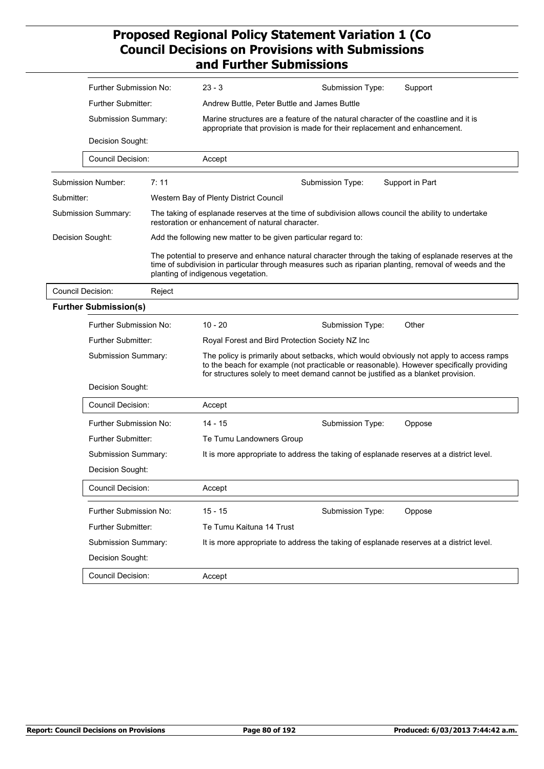|                          | Further Submission No:                  |        | $23 - 3$                                                                                                                                                                                                                                                                | Submission Type:                                                                                    | Support                                                                                                                                                                                                           |
|--------------------------|-----------------------------------------|--------|-------------------------------------------------------------------------------------------------------------------------------------------------------------------------------------------------------------------------------------------------------------------------|-----------------------------------------------------------------------------------------------------|-------------------------------------------------------------------------------------------------------------------------------------------------------------------------------------------------------------------|
|                          | Further Submitter:                      |        | Andrew Buttle, Peter Buttle and James Buttle                                                                                                                                                                                                                            |                                                                                                     |                                                                                                                                                                                                                   |
|                          | Submission Summary:<br>Decision Sought: |        | Marine structures are a feature of the natural character of the coastline and it is<br>appropriate that provision is made for their replacement and enhancement.                                                                                                        |                                                                                                     |                                                                                                                                                                                                                   |
|                          |                                         |        |                                                                                                                                                                                                                                                                         |                                                                                                     |                                                                                                                                                                                                                   |
|                          | <b>Council Decision:</b>                |        | Accept                                                                                                                                                                                                                                                                  |                                                                                                     |                                                                                                                                                                                                                   |
|                          | <b>Submission Number:</b>               | 7:11   |                                                                                                                                                                                                                                                                         | Submission Type:                                                                                    | Support in Part                                                                                                                                                                                                   |
| Submitter:               |                                         |        | Western Bay of Plenty District Council                                                                                                                                                                                                                                  |                                                                                                     |                                                                                                                                                                                                                   |
|                          | Submission Summary:                     |        | restoration or enhancement of natural character.                                                                                                                                                                                                                        | The taking of esplanade reserves at the time of subdivision allows council the ability to undertake |                                                                                                                                                                                                                   |
| Decision Sought:         |                                         |        |                                                                                                                                                                                                                                                                         | Add the following new matter to be given particular regard to:                                      |                                                                                                                                                                                                                   |
|                          |                                         |        | planting of indigenous vegetation.                                                                                                                                                                                                                                      |                                                                                                     | The potential to preserve and enhance natural character through the taking of esplanade reserves at the<br>time of subdivision in particular through measures such as riparian planting, removal of weeds and the |
| <b>Council Decision:</b> |                                         | Reject |                                                                                                                                                                                                                                                                         |                                                                                                     |                                                                                                                                                                                                                   |
|                          | <b>Further Submission(s)</b>            |        |                                                                                                                                                                                                                                                                         |                                                                                                     |                                                                                                                                                                                                                   |
|                          | Further Submission No:                  |        | $10 - 20$                                                                                                                                                                                                                                                               | Submission Type:                                                                                    | Other                                                                                                                                                                                                             |
|                          | <b>Further Submitter:</b>               |        |                                                                                                                                                                                                                                                                         | Royal Forest and Bird Protection Society NZ Inc                                                     |                                                                                                                                                                                                                   |
|                          | Submission Summary:                     |        | The policy is primarily about setbacks, which would obviously not apply to access ramps<br>to the beach for example (not practicable or reasonable). However specifically providing<br>for structures solely to meet demand cannot be justified as a blanket provision. |                                                                                                     |                                                                                                                                                                                                                   |
|                          | Decision Sought:                        |        |                                                                                                                                                                                                                                                                         |                                                                                                     |                                                                                                                                                                                                                   |
|                          | Council Decision:                       |        | Accept                                                                                                                                                                                                                                                                  |                                                                                                     |                                                                                                                                                                                                                   |
|                          | Further Submission No:                  |        | 14 - 15                                                                                                                                                                                                                                                                 | Submission Type:                                                                                    | Oppose                                                                                                                                                                                                            |
|                          | Further Submitter:                      |        | Te Tumu Landowners Group                                                                                                                                                                                                                                                |                                                                                                     |                                                                                                                                                                                                                   |
|                          | Submission Summary:                     |        | It is more appropriate to address the taking of esplanade reserves at a district level.                                                                                                                                                                                 |                                                                                                     |                                                                                                                                                                                                                   |
|                          | Decision Sought:                        |        |                                                                                                                                                                                                                                                                         |                                                                                                     |                                                                                                                                                                                                                   |
|                          | <b>Council Decision:</b>                |        | Accept                                                                                                                                                                                                                                                                  |                                                                                                     |                                                                                                                                                                                                                   |
|                          | Further Submission No:                  |        | $15 - 15$                                                                                                                                                                                                                                                               | Submission Type:                                                                                    | Oppose                                                                                                                                                                                                            |
|                          | Further Submitter:                      |        | Te Tumu Kaituna 14 Trust                                                                                                                                                                                                                                                |                                                                                                     |                                                                                                                                                                                                                   |
|                          | Submission Summary:                     |        |                                                                                                                                                                                                                                                                         | It is more appropriate to address the taking of esplanade reserves at a district level.             |                                                                                                                                                                                                                   |
|                          | Decision Sought:                        |        |                                                                                                                                                                                                                                                                         |                                                                                                     |                                                                                                                                                                                                                   |
|                          | Council Decision:                       |        | Accept                                                                                                                                                                                                                                                                  |                                                                                                     |                                                                                                                                                                                                                   |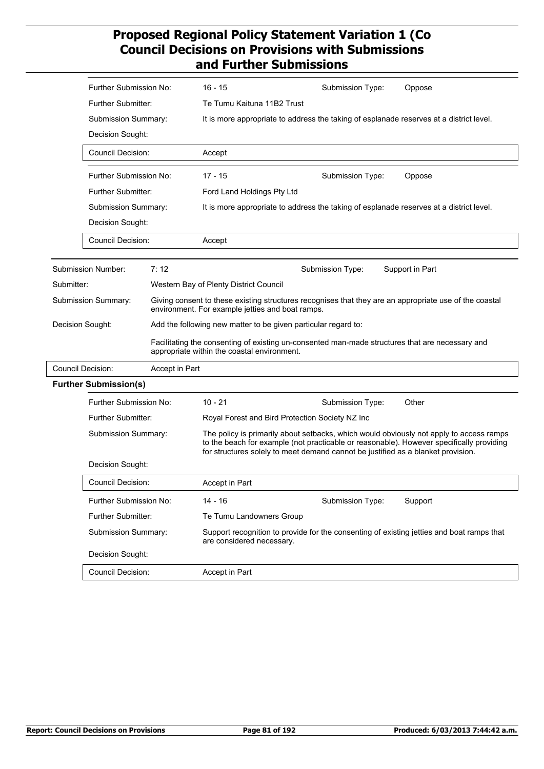|            | Further Submission No:                                                                       |                | 16 - 15                                                                                                                                                    | Submission Type:                                                                          | Oppose                                                                                                                                                                              |  |  |
|------------|----------------------------------------------------------------------------------------------|----------------|------------------------------------------------------------------------------------------------------------------------------------------------------------|-------------------------------------------------------------------------------------------|-------------------------------------------------------------------------------------------------------------------------------------------------------------------------------------|--|--|
|            | <b>Further Submitter:</b>                                                                    |                | Te Tumu Kaituna 11B2 Trust                                                                                                                                 |                                                                                           |                                                                                                                                                                                     |  |  |
|            | Submission Summary:                                                                          |                |                                                                                                                                                            | It is more appropriate to address the taking of esplanade reserves at a district level.   |                                                                                                                                                                                     |  |  |
|            | Decision Sought:<br><b>Council Decision:</b>                                                 |                |                                                                                                                                                            |                                                                                           |                                                                                                                                                                                     |  |  |
|            |                                                                                              |                | Accept                                                                                                                                                     |                                                                                           |                                                                                                                                                                                     |  |  |
|            | Further Submission No:                                                                       |                | $17 - 15$                                                                                                                                                  | Submission Type:                                                                          | Oppose                                                                                                                                                                              |  |  |
|            | Further Submitter:                                                                           |                | Ford Land Holdings Pty Ltd                                                                                                                                 |                                                                                           |                                                                                                                                                                                     |  |  |
|            | Submission Summary:                                                                          |                | It is more appropriate to address the taking of esplanade reserves at a district level.                                                                    |                                                                                           |                                                                                                                                                                                     |  |  |
|            | Decision Sought:                                                                             |                |                                                                                                                                                            |                                                                                           |                                                                                                                                                                                     |  |  |
|            | <b>Council Decision:</b>                                                                     |                | Accept                                                                                                                                                     |                                                                                           |                                                                                                                                                                                     |  |  |
|            | Submission Number:                                                                           | 7:12           |                                                                                                                                                            | Submission Type:                                                                          | Support in Part                                                                                                                                                                     |  |  |
| Submitter: |                                                                                              |                | Western Bay of Plenty District Council                                                                                                                     |                                                                                           |                                                                                                                                                                                     |  |  |
|            | Submission Summary:                                                                          |                | Giving consent to these existing structures recognises that they are an appropriate use of the coastal<br>environment. For example jetties and boat ramps. |                                                                                           |                                                                                                                                                                                     |  |  |
|            | Decision Sought:                                                                             |                | Add the following new matter to be given particular regard to:                                                                                             |                                                                                           |                                                                                                                                                                                     |  |  |
|            |                                                                                              |                | Facilitating the consenting of existing un-consented man-made structures that are necessary and<br>appropriate within the coastal environment.             |                                                                                           |                                                                                                                                                                                     |  |  |
|            | <b>Council Decision:</b>                                                                     | Accept in Part |                                                                                                                                                            |                                                                                           |                                                                                                                                                                                     |  |  |
|            | <b>Further Submission(s)</b>                                                                 |                |                                                                                                                                                            |                                                                                           |                                                                                                                                                                                     |  |  |
|            | Further Submission No:                                                                       |                | $10 - 21$                                                                                                                                                  | Submission Type:                                                                          | Other                                                                                                                                                                               |  |  |
|            | Further Submitter:                                                                           |                | Royal Forest and Bird Protection Society NZ Inc                                                                                                            |                                                                                           |                                                                                                                                                                                     |  |  |
|            | Submission Summary:                                                                          |                | for structures solely to meet demand cannot be justified as a blanket provision.                                                                           |                                                                                           | The policy is primarily about setbacks, which would obviously not apply to access ramps<br>to the beach for example (not practicable or reasonable). However specifically providing |  |  |
|            | Decision Sought:<br>Council Decision:<br>Further Submission No:<br><b>Further Submitter:</b> |                |                                                                                                                                                            |                                                                                           |                                                                                                                                                                                     |  |  |
|            |                                                                                              |                | Accept in Part                                                                                                                                             |                                                                                           |                                                                                                                                                                                     |  |  |
|            |                                                                                              |                | $14 - 16$                                                                                                                                                  | Submission Type:                                                                          | Support                                                                                                                                                                             |  |  |
|            |                                                                                              |                | Te Tumu Landowners Group                                                                                                                                   |                                                                                           |                                                                                                                                                                                     |  |  |
|            | Submission Summary:                                                                          |                | are considered necessary.                                                                                                                                  | Support recognition to provide for the consenting of existing jetties and boat ramps that |                                                                                                                                                                                     |  |  |
|            | Decision Sought:                                                                             |                |                                                                                                                                                            |                                                                                           |                                                                                                                                                                                     |  |  |
|            | Council Decision:                                                                            |                | Accept in Part                                                                                                                                             |                                                                                           |                                                                                                                                                                                     |  |  |
|            |                                                                                              |                |                                                                                                                                                            |                                                                                           |                                                                                                                                                                                     |  |  |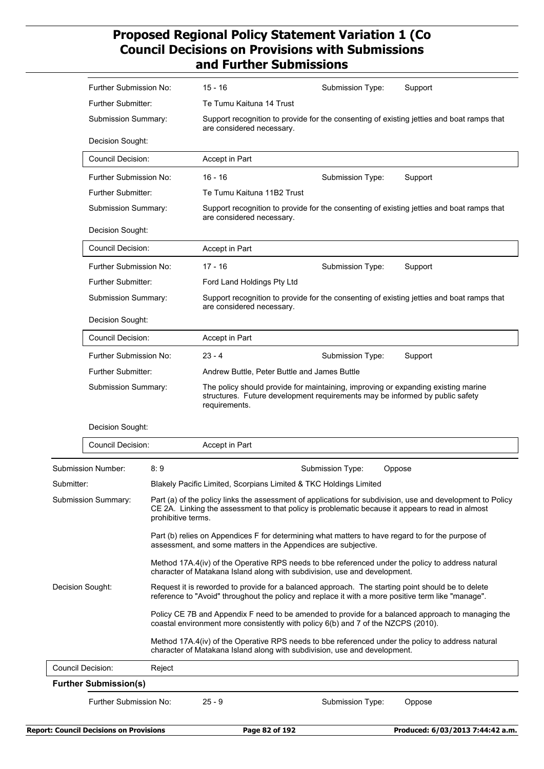|                  | Further Submission No:                                              |                                                                                                                                                                                | 15 - 16                                                                                                                                                                                                                            | Submission Type:                                                                                                       | Support                                                                                                    |  |  |
|------------------|---------------------------------------------------------------------|--------------------------------------------------------------------------------------------------------------------------------------------------------------------------------|------------------------------------------------------------------------------------------------------------------------------------------------------------------------------------------------------------------------------------|------------------------------------------------------------------------------------------------------------------------|------------------------------------------------------------------------------------------------------------|--|--|
|                  | Further Submitter:                                                  |                                                                                                                                                                                | Te Tumu Kaituna 14 Trust                                                                                                                                                                                                           |                                                                                                                        |                                                                                                            |  |  |
|                  | Submission Summary:                                                 |                                                                                                                                                                                |                                                                                                                                                                                                                                    | Support recognition to provide for the consenting of existing jetties and boat ramps that<br>are considered necessary. |                                                                                                            |  |  |
|                  | Decision Sought:                                                    |                                                                                                                                                                                |                                                                                                                                                                                                                                    |                                                                                                                        |                                                                                                            |  |  |
|                  | <b>Council Decision:</b>                                            |                                                                                                                                                                                | Accept in Part                                                                                                                                                                                                                     |                                                                                                                        |                                                                                                            |  |  |
|                  | Further Submission No:                                              |                                                                                                                                                                                | $16 - 16$                                                                                                                                                                                                                          | Submission Type:                                                                                                       | Support                                                                                                    |  |  |
|                  | Further Submitter:                                                  |                                                                                                                                                                                | Te Tumu Kaituna 11B2 Trust                                                                                                                                                                                                         |                                                                                                                        |                                                                                                            |  |  |
|                  | Submission Summary:<br>Decision Sought:                             |                                                                                                                                                                                | are considered necessary.                                                                                                                                                                                                          | Support recognition to provide for the consenting of existing jetties and boat ramps that                              |                                                                                                            |  |  |
|                  |                                                                     |                                                                                                                                                                                |                                                                                                                                                                                                                                    |                                                                                                                        |                                                                                                            |  |  |
|                  | <b>Council Decision:</b>                                            |                                                                                                                                                                                | Accept in Part                                                                                                                                                                                                                     |                                                                                                                        |                                                                                                            |  |  |
|                  | Further Submission No:                                              |                                                                                                                                                                                | $17 - 16$                                                                                                                                                                                                                          | Submission Type:                                                                                                       | Support                                                                                                    |  |  |
|                  | Further Submitter:<br>Submission Summary:<br>Decision Sought:       |                                                                                                                                                                                | Ford Land Holdings Pty Ltd                                                                                                                                                                                                         |                                                                                                                        |                                                                                                            |  |  |
|                  |                                                                     |                                                                                                                                                                                | are considered necessary.                                                                                                                                                                                                          |                                                                                                                        | Support recognition to provide for the consenting of existing jetties and boat ramps that                  |  |  |
|                  |                                                                     |                                                                                                                                                                                |                                                                                                                                                                                                                                    |                                                                                                                        |                                                                                                            |  |  |
|                  | <b>Council Decision:</b>                                            |                                                                                                                                                                                | Accept in Part                                                                                                                                                                                                                     |                                                                                                                        |                                                                                                            |  |  |
|                  | Further Submission No:<br>Further Submitter:<br>Submission Summary: |                                                                                                                                                                                | $23 - 4$                                                                                                                                                                                                                           | Submission Type:                                                                                                       | Support                                                                                                    |  |  |
|                  |                                                                     |                                                                                                                                                                                | Andrew Buttle, Peter Buttle and James Buttle<br>The policy should provide for maintaining, improving or expanding existing marine<br>structures. Future development requirements may be informed by public safety<br>requirements. |                                                                                                                        |                                                                                                            |  |  |
|                  |                                                                     |                                                                                                                                                                                |                                                                                                                                                                                                                                    |                                                                                                                        |                                                                                                            |  |  |
|                  | Decision Sought:                                                    |                                                                                                                                                                                |                                                                                                                                                                                                                                    |                                                                                                                        |                                                                                                            |  |  |
|                  | <b>Council Decision:</b>                                            |                                                                                                                                                                                | Accept in Part                                                                                                                                                                                                                     |                                                                                                                        |                                                                                                            |  |  |
|                  | <b>Submission Number:</b>                                           | 8:9                                                                                                                                                                            |                                                                                                                                                                                                                                    | Submission Type:                                                                                                       | Oppose                                                                                                     |  |  |
| Submitter:       |                                                                     |                                                                                                                                                                                | Blakely Pacific Limited, Scorpians Limited & TKC Holdings Limited                                                                                                                                                                  |                                                                                                                        |                                                                                                            |  |  |
|                  | Submission Summary:                                                 | prohibitive terms.                                                                                                                                                             |                                                                                                                                                                                                                                    | CE 2A. Linking the assessment to that policy is problematic because it appears to read in almost                       | Part (a) of the policy links the assessment of applications for subdivision, use and development to Policy |  |  |
|                  |                                                                     |                                                                                                                                                                                | Part (b) relies on Appendices F for determining what matters to have regard to for the purpose of<br>assessment, and some matters in the Appendices are subjective.                                                                |                                                                                                                        |                                                                                                            |  |  |
|                  |                                                                     |                                                                                                                                                                                | Method 17A.4(iv) of the Operative RPS needs to bbe referenced under the policy to address natural<br>character of Matakana Island along with subdivision, use and development.                                                     |                                                                                                                        |                                                                                                            |  |  |
| Decision Sought: |                                                                     |                                                                                                                                                                                | Request it is reworded to provide for a balanced approach. The starting point should be to delete<br>reference to "Avoid" throughout the policy and replace it with a more positive term like "manage".                            |                                                                                                                        |                                                                                                            |  |  |
|                  |                                                                     |                                                                                                                                                                                | Policy CE 7B and Appendix F need to be amended to provide for a balanced approach to managing the<br>coastal environment more consistently with policy 6(b) and 7 of the NZCPS (2010).                                             |                                                                                                                        |                                                                                                            |  |  |
|                  |                                                                     | Method 17A.4(iv) of the Operative RPS needs to bbe referenced under the policy to address natural<br>character of Matakana Island along with subdivision, use and development. |                                                                                                                                                                                                                                    |                                                                                                                        |                                                                                                            |  |  |
|                  | Council Decision:                                                   | Reject                                                                                                                                                                         |                                                                                                                                                                                                                                    |                                                                                                                        |                                                                                                            |  |  |
|                  | <b>Further Submission(s)</b>                                        |                                                                                                                                                                                |                                                                                                                                                                                                                                    |                                                                                                                        |                                                                                                            |  |  |
|                  | Further Submission No:                                              |                                                                                                                                                                                | $25 - 9$                                                                                                                                                                                                                           | Submission Type:                                                                                                       | Oppose                                                                                                     |  |  |
|                  |                                                                     |                                                                                                                                                                                |                                                                                                                                                                                                                                    |                                                                                                                        |                                                                                                            |  |  |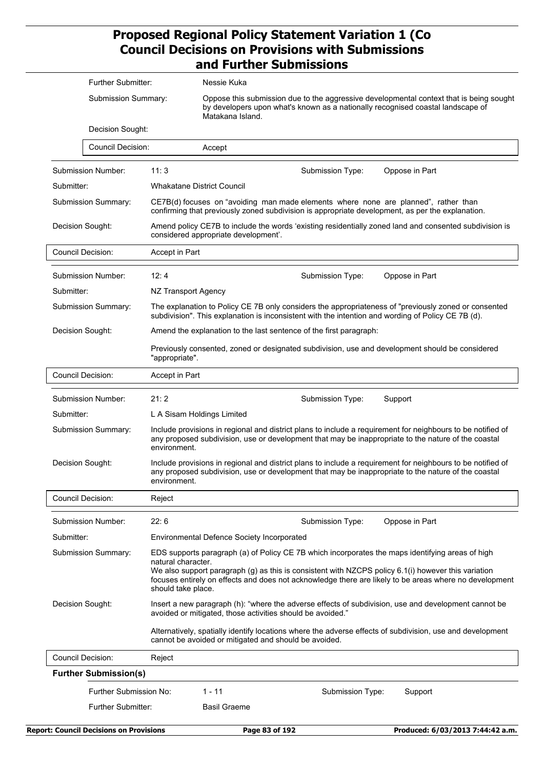|                     | Further Submitter:<br><b>Submission Summary:</b> |                                                                                                                                                                                                                                                                                                                                                               | Nessie Kuka                                                                                                                                                                                                        |  |  |  |  |
|---------------------|--------------------------------------------------|---------------------------------------------------------------------------------------------------------------------------------------------------------------------------------------------------------------------------------------------------------------------------------------------------------------------------------------------------------------|--------------------------------------------------------------------------------------------------------------------------------------------------------------------------------------------------------------------|--|--|--|--|
|                     |                                                  |                                                                                                                                                                                                                                                                                                                                                               | Oppose this submission due to the aggressive developmental context that is being sought<br>by developers upon what's known as a nationally recognised coastal landscape of<br>Matakana Island.                     |  |  |  |  |
|                     | Decision Sought:                                 |                                                                                                                                                                                                                                                                                                                                                               |                                                                                                                                                                                                                    |  |  |  |  |
|                     | <b>Council Decision:</b>                         |                                                                                                                                                                                                                                                                                                                                                               | Accept                                                                                                                                                                                                             |  |  |  |  |
|                     | Submission Number:                               | 11:3                                                                                                                                                                                                                                                                                                                                                          | Submission Type:<br>Oppose in Part                                                                                                                                                                                 |  |  |  |  |
| Submitter:          |                                                  |                                                                                                                                                                                                                                                                                                                                                               | <b>Whakatane District Council</b>                                                                                                                                                                                  |  |  |  |  |
|                     | Submission Summary:                              |                                                                                                                                                                                                                                                                                                                                                               | CE7B(d) focuses on "avoiding man made elements where none are planned", rather than<br>confirming that previously zoned subdivision is appropriate development, as per the explanation.                            |  |  |  |  |
|                     | Decision Sought:                                 |                                                                                                                                                                                                                                                                                                                                                               | Amend policy CE7B to include the words 'existing residentially zoned land and consented subdivision is<br>considered appropriate development'.                                                                     |  |  |  |  |
|                     | <b>Council Decision:</b>                         | Accept in Part                                                                                                                                                                                                                                                                                                                                                |                                                                                                                                                                                                                    |  |  |  |  |
|                     | Submission Number:                               | 12:4                                                                                                                                                                                                                                                                                                                                                          | Submission Type:<br>Oppose in Part                                                                                                                                                                                 |  |  |  |  |
| Submitter:          |                                                  | NZ Transport Agency                                                                                                                                                                                                                                                                                                                                           |                                                                                                                                                                                                                    |  |  |  |  |
|                     | Submission Summary:                              |                                                                                                                                                                                                                                                                                                                                                               | The explanation to Policy CE 7B only considers the appropriateness of "previously zoned or consented<br>subdivision". This explanation is inconsistent with the intention and wording of Policy CE 7B (d).         |  |  |  |  |
|                     | Decision Sought:                                 |                                                                                                                                                                                                                                                                                                                                                               | Amend the explanation to the last sentence of the first paragraph:                                                                                                                                                 |  |  |  |  |
|                     |                                                  | "appropriate".                                                                                                                                                                                                                                                                                                                                                | Previously consented, zoned or designated subdivision, use and development should be considered                                                                                                                    |  |  |  |  |
|                     | <b>Council Decision:</b>                         | Accept in Part                                                                                                                                                                                                                                                                                                                                                |                                                                                                                                                                                                                    |  |  |  |  |
| Submission Number:  |                                                  | 21:2                                                                                                                                                                                                                                                                                                                                                          | Submission Type:<br>Support                                                                                                                                                                                        |  |  |  |  |
| Submitter:          |                                                  | L A Sisam Holdings Limited                                                                                                                                                                                                                                                                                                                                    |                                                                                                                                                                                                                    |  |  |  |  |
| Submission Summary: |                                                  | Include provisions in regional and district plans to include a requirement for neighbours to be notified of<br>any proposed subdivision, use or development that may be inappropriate to the nature of the coastal<br>environment.                                                                                                                            |                                                                                                                                                                                                                    |  |  |  |  |
| Decision Sought:    |                                                  | environment.                                                                                                                                                                                                                                                                                                                                                  | Include provisions in regional and district plans to include a requirement for neighbours to be notified of<br>any proposed subdivision, use or development that may be inappropriate to the nature of the coastal |  |  |  |  |
|                     | <b>Council Decision:</b>                         | Reject                                                                                                                                                                                                                                                                                                                                                        |                                                                                                                                                                                                                    |  |  |  |  |
|                     | Submission Number:                               | 22:6                                                                                                                                                                                                                                                                                                                                                          | Submission Type:<br>Oppose in Part                                                                                                                                                                                 |  |  |  |  |
| Submitter:          |                                                  |                                                                                                                                                                                                                                                                                                                                                               | Environmental Defence Society Incorporated                                                                                                                                                                         |  |  |  |  |
| Submission Summary: |                                                  | EDS supports paragraph (a) of Policy CE 7B which incorporates the maps identifying areas of high<br>natural character.<br>We also support paragraph (g) as this is consistent with NZCPS policy 6.1(i) however this variation<br>focuses entirely on effects and does not acknowledge there are likely to be areas where no development<br>should take place. |                                                                                                                                                                                                                    |  |  |  |  |
| Decision Sought:    |                                                  |                                                                                                                                                                                                                                                                                                                                                               | Insert a new paragraph (h): "where the adverse effects of subdivision, use and development cannot be<br>avoided or mitigated, those activities should be avoided."                                                 |  |  |  |  |
|                     |                                                  |                                                                                                                                                                                                                                                                                                                                                               | Alternatively, spatially identify locations where the adverse effects of subdivision, use and development<br>cannot be avoided or mitigated and should be avoided.                                                 |  |  |  |  |
|                     | <b>Council Decision:</b>                         | Reject                                                                                                                                                                                                                                                                                                                                                        |                                                                                                                                                                                                                    |  |  |  |  |
|                     | <b>Further Submission(s)</b>                     |                                                                                                                                                                                                                                                                                                                                                               |                                                                                                                                                                                                                    |  |  |  |  |
|                     | Further Submission No:                           |                                                                                                                                                                                                                                                                                                                                                               | $1 - 11$<br>Submission Type:<br>Support                                                                                                                                                                            |  |  |  |  |
|                     | Further Submitter:                               |                                                                                                                                                                                                                                                                                                                                                               | <b>Basil Graeme</b>                                                                                                                                                                                                |  |  |  |  |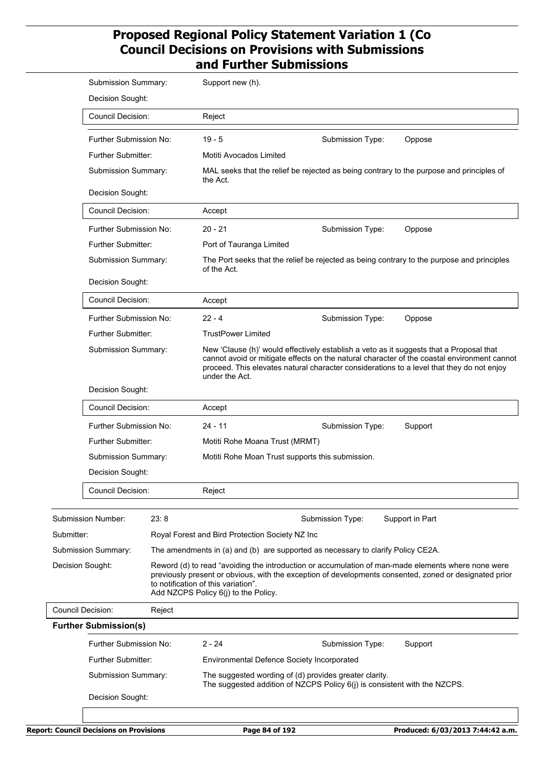|                          | Submission Summary:                                                                                                                                                        |        | Support new (h).                                                                                                                                                                                                                                                                                      |                                                                           |                                                                                                                                                                                                              |  |  |
|--------------------------|----------------------------------------------------------------------------------------------------------------------------------------------------------------------------|--------|-------------------------------------------------------------------------------------------------------------------------------------------------------------------------------------------------------------------------------------------------------------------------------------------------------|---------------------------------------------------------------------------|--------------------------------------------------------------------------------------------------------------------------------------------------------------------------------------------------------------|--|--|
|                          | Decision Sought:                                                                                                                                                           |        |                                                                                                                                                                                                                                                                                                       |                                                                           |                                                                                                                                                                                                              |  |  |
|                          | <b>Council Decision:</b>                                                                                                                                                   |        | Reject                                                                                                                                                                                                                                                                                                |                                                                           |                                                                                                                                                                                                              |  |  |
|                          | Further Submission No:                                                                                                                                                     |        | $19 - 5$                                                                                                                                                                                                                                                                                              | Submission Type:                                                          | Oppose                                                                                                                                                                                                       |  |  |
|                          | <b>Further Submitter:</b>                                                                                                                                                  |        | Motiti Avocados Limited                                                                                                                                                                                                                                                                               |                                                                           |                                                                                                                                                                                                              |  |  |
|                          | Submission Summary:                                                                                                                                                        |        | the Act.                                                                                                                                                                                                                                                                                              |                                                                           | MAL seeks that the relief be rejected as being contrary to the purpose and principles of                                                                                                                     |  |  |
|                          | Decision Sought:                                                                                                                                                           |        |                                                                                                                                                                                                                                                                                                       |                                                                           |                                                                                                                                                                                                              |  |  |
|                          | <b>Council Decision:</b><br>Further Submission No:                                                                                                                         |        | Accept                                                                                                                                                                                                                                                                                                |                                                                           |                                                                                                                                                                                                              |  |  |
|                          |                                                                                                                                                                            |        | $20 - 21$                                                                                                                                                                                                                                                                                             | Submission Type:                                                          | Oppose                                                                                                                                                                                                       |  |  |
|                          | <b>Further Submitter:</b>                                                                                                                                                  |        | Port of Tauranga Limited                                                                                                                                                                                                                                                                              |                                                                           |                                                                                                                                                                                                              |  |  |
|                          | Submission Summary:                                                                                                                                                        |        | The Port seeks that the relief be rejected as being contrary to the purpose and principles<br>of the Act.                                                                                                                                                                                             |                                                                           |                                                                                                                                                                                                              |  |  |
|                          | Decision Sought:<br><b>Council Decision:</b><br>Further Submission No:<br><b>Further Submitter:</b><br>Submission Summary:<br>Decision Sought:<br><b>Council Decision:</b> |        |                                                                                                                                                                                                                                                                                                       |                                                                           |                                                                                                                                                                                                              |  |  |
|                          |                                                                                                                                                                            |        | Accept                                                                                                                                                                                                                                                                                                |                                                                           |                                                                                                                                                                                                              |  |  |
|                          |                                                                                                                                                                            |        | 22 - 4                                                                                                                                                                                                                                                                                                | Submission Type:                                                          | Oppose                                                                                                                                                                                                       |  |  |
|                          |                                                                                                                                                                            |        | <b>TrustPower Limited</b>                                                                                                                                                                                                                                                                             |                                                                           |                                                                                                                                                                                                              |  |  |
|                          |                                                                                                                                                                            |        | New 'Clause (h)' would effectively establish a veto as it suggests that a Proposal that<br>cannot avoid or mitigate effects on the natural character of the coastal environment cannot<br>proceed. This elevates natural character considerations to a level that they do not enjoy<br>under the Act. |                                                                           |                                                                                                                                                                                                              |  |  |
|                          |                                                                                                                                                                            |        |                                                                                                                                                                                                                                                                                                       |                                                                           |                                                                                                                                                                                                              |  |  |
|                          |                                                                                                                                                                            |        | Accept                                                                                                                                                                                                                                                                                                |                                                                           |                                                                                                                                                                                                              |  |  |
|                          | Further Submission No:                                                                                                                                                     |        | $24 - 11$                                                                                                                                                                                                                                                                                             | Submission Type:                                                          | Support                                                                                                                                                                                                      |  |  |
|                          | <b>Further Submitter:</b>                                                                                                                                                  |        | Motiti Rohe Moana Trust (MRMT)                                                                                                                                                                                                                                                                        |                                                                           |                                                                                                                                                                                                              |  |  |
|                          | Submission Summary:                                                                                                                                                        |        | Motiti Rohe Moan Trust supports this submission.                                                                                                                                                                                                                                                      |                                                                           |                                                                                                                                                                                                              |  |  |
|                          | Decision Sought:                                                                                                                                                           |        |                                                                                                                                                                                                                                                                                                       |                                                                           |                                                                                                                                                                                                              |  |  |
|                          | <b>Council Decision:</b>                                                                                                                                                   |        | Reject                                                                                                                                                                                                                                                                                                |                                                                           |                                                                                                                                                                                                              |  |  |
|                          | Submission Number:                                                                                                                                                         | 23:8   |                                                                                                                                                                                                                                                                                                       | Submission Type:                                                          | Support in Part                                                                                                                                                                                              |  |  |
| Submitter:               |                                                                                                                                                                            |        | Royal Forest and Bird Protection Society NZ Inc                                                                                                                                                                                                                                                       |                                                                           |                                                                                                                                                                                                              |  |  |
|                          | Submission Summary:                                                                                                                                                        |        | The amendments in (a) and (b) are supported as necessary to clarify Policy CE2A.                                                                                                                                                                                                                      |                                                                           |                                                                                                                                                                                                              |  |  |
|                          | Decision Sought:                                                                                                                                                           |        | to notification of this variation".<br>Add NZCPS Policy 6(j) to the Policy.                                                                                                                                                                                                                           |                                                                           | Reword (d) to read "avoiding the introduction or accumulation of man-made elements where none were<br>previously present or obvious, with the exception of developments consented, zoned or designated prior |  |  |
| <b>Council Decision:</b> |                                                                                                                                                                            | Reject |                                                                                                                                                                                                                                                                                                       |                                                                           |                                                                                                                                                                                                              |  |  |
|                          | <b>Further Submission(s)</b>                                                                                                                                               |        |                                                                                                                                                                                                                                                                                                       |                                                                           |                                                                                                                                                                                                              |  |  |
|                          | Further Submission No:                                                                                                                                                     |        | $2 - 24$                                                                                                                                                                                                                                                                                              | Submission Type:                                                          | Support                                                                                                                                                                                                      |  |  |
|                          | Further Submitter:                                                                                                                                                         |        | <b>Environmental Defence Society Incorporated</b>                                                                                                                                                                                                                                                     |                                                                           |                                                                                                                                                                                                              |  |  |
|                          | Submission Summary:                                                                                                                                                        |        | The suggested wording of (d) provides greater clarity.                                                                                                                                                                                                                                                | The suggested addition of NZCPS Policy 6(j) is consistent with the NZCPS. |                                                                                                                                                                                                              |  |  |
|                          | Decision Sought:                                                                                                                                                           |        |                                                                                                                                                                                                                                                                                                       |                                                                           |                                                                                                                                                                                                              |  |  |
|                          |                                                                                                                                                                            |        |                                                                                                                                                                                                                                                                                                       |                                                                           |                                                                                                                                                                                                              |  |  |
|                          |                                                                                                                                                                            |        |                                                                                                                                                                                                                                                                                                       |                                                                           |                                                                                                                                                                                                              |  |  |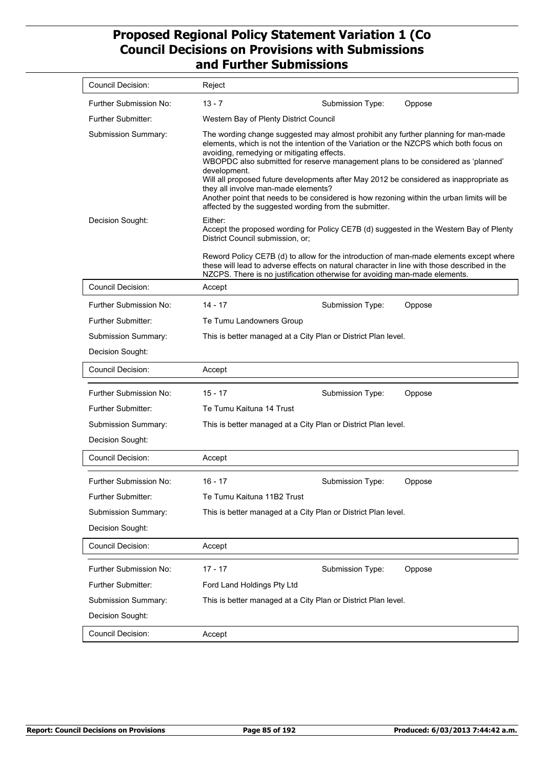| <b>Council Decision:</b>                                                                | Reject                                                                                                                                                                                                                                                                                                                                                                                                                                                                                                                                                                                                                |  |  |  |  |
|-----------------------------------------------------------------------------------------|-----------------------------------------------------------------------------------------------------------------------------------------------------------------------------------------------------------------------------------------------------------------------------------------------------------------------------------------------------------------------------------------------------------------------------------------------------------------------------------------------------------------------------------------------------------------------------------------------------------------------|--|--|--|--|
| Further Submission No:                                                                  | $13 - 7$<br>Submission Type:<br>Oppose                                                                                                                                                                                                                                                                                                                                                                                                                                                                                                                                                                                |  |  |  |  |
| Further Submitter:                                                                      | Western Bay of Plenty District Council                                                                                                                                                                                                                                                                                                                                                                                                                                                                                                                                                                                |  |  |  |  |
| Submission Summary:                                                                     | The wording change suggested may almost prohibit any further planning for man-made<br>elements, which is not the intention of the Variation or the NZCPS which both focus on<br>avoiding, remedying or mitigating effects.<br>WBOPDC also submitted for reserve management plans to be considered as 'planned'<br>development.<br>Will all proposed future developments after May 2012 be considered as inappropriate as<br>they all involve man-made elements?<br>Another point that needs to be considered is how rezoning within the urban limits will be<br>affected by the suggested wording from the submitter. |  |  |  |  |
| Decision Sought:                                                                        | Either:<br>Accept the proposed wording for Policy CE7B (d) suggested in the Western Bay of Plenty<br>District Council submission, or;<br>Reword Policy CE7B (d) to allow for the introduction of man-made elements except where<br>these will lead to adverse effects on natural character in line with those described in the<br>NZCPS. There is no justification otherwise for avoiding man-made elements.                                                                                                                                                                                                          |  |  |  |  |
| <b>Council Decision:</b>                                                                | Accept                                                                                                                                                                                                                                                                                                                                                                                                                                                                                                                                                                                                                |  |  |  |  |
| Further Submission No:                                                                  | $14 - 17$<br>Submission Type:<br>Oppose                                                                                                                                                                                                                                                                                                                                                                                                                                                                                                                                                                               |  |  |  |  |
| Further Submitter:                                                                      | Te Tumu Landowners Group                                                                                                                                                                                                                                                                                                                                                                                                                                                                                                                                                                                              |  |  |  |  |
| Submission Summary:                                                                     | This is better managed at a City Plan or District Plan level.                                                                                                                                                                                                                                                                                                                                                                                                                                                                                                                                                         |  |  |  |  |
| Decision Sought:                                                                        |                                                                                                                                                                                                                                                                                                                                                                                                                                                                                                                                                                                                                       |  |  |  |  |
| <b>Council Decision:</b>                                                                | Accept                                                                                                                                                                                                                                                                                                                                                                                                                                                                                                                                                                                                                |  |  |  |  |
| Further Submission No:                                                                  | 15 - 17<br>Submission Type:<br>Oppose                                                                                                                                                                                                                                                                                                                                                                                                                                                                                                                                                                                 |  |  |  |  |
| <b>Further Submitter:</b>                                                               | Te Tumu Kaituna 14 Trust                                                                                                                                                                                                                                                                                                                                                                                                                                                                                                                                                                                              |  |  |  |  |
| Submission Summary:                                                                     | This is better managed at a City Plan or District Plan level.                                                                                                                                                                                                                                                                                                                                                                                                                                                                                                                                                         |  |  |  |  |
| Decision Sought:                                                                        |                                                                                                                                                                                                                                                                                                                                                                                                                                                                                                                                                                                                                       |  |  |  |  |
| <b>Council Decision:</b>                                                                | Accept                                                                                                                                                                                                                                                                                                                                                                                                                                                                                                                                                                                                                |  |  |  |  |
| Further Submission No:<br>Further Submitter:<br>Submission Summary:<br>Decision Sought: | 16 - 17<br>Submission Type:<br>Oppose<br>Te Tumu Kaituna 11B2 Trust<br>This is better managed at a City Plan or District Plan level.                                                                                                                                                                                                                                                                                                                                                                                                                                                                                  |  |  |  |  |
| <b>Council Decision:</b>                                                                | Accept                                                                                                                                                                                                                                                                                                                                                                                                                                                                                                                                                                                                                |  |  |  |  |
| Further Submission No:<br>Further Submitter:<br>Submission Summary:<br>Decision Sought: | $17 - 17$<br>Submission Type:<br>Oppose<br>Ford Land Holdings Pty Ltd<br>This is better managed at a City Plan or District Plan level.                                                                                                                                                                                                                                                                                                                                                                                                                                                                                |  |  |  |  |
| Council Decision:                                                                       | Accept                                                                                                                                                                                                                                                                                                                                                                                                                                                                                                                                                                                                                |  |  |  |  |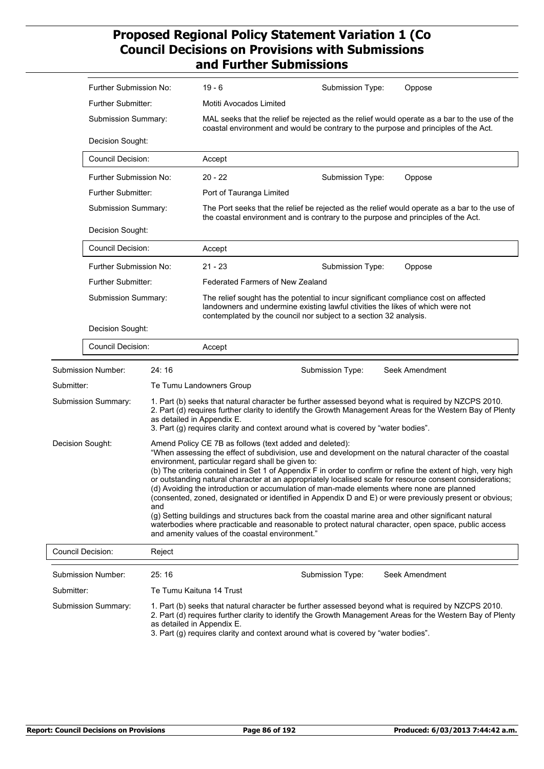|                     | Further Submission No:                                                                                                                     |                          | $19 - 6$                                                                                                                                                                                                                                                                                                                              | Submission Type: | Oppose                                                                                                                                                                                                                                                                                                                                                                                                                                                                                                                                                                                                                                                          |  |  |  |
|---------------------|--------------------------------------------------------------------------------------------------------------------------------------------|--------------------------|---------------------------------------------------------------------------------------------------------------------------------------------------------------------------------------------------------------------------------------------------------------------------------------------------------------------------------------|------------------|-----------------------------------------------------------------------------------------------------------------------------------------------------------------------------------------------------------------------------------------------------------------------------------------------------------------------------------------------------------------------------------------------------------------------------------------------------------------------------------------------------------------------------------------------------------------------------------------------------------------------------------------------------------------|--|--|--|
|                     | Further Submitter:                                                                                                                         |                          | Motiti Avocados Limited                                                                                                                                                                                                                                                                                                               |                  |                                                                                                                                                                                                                                                                                                                                                                                                                                                                                                                                                                                                                                                                 |  |  |  |
|                     | Submission Summary:<br>Decision Sought:<br>Council Decision:<br>Further Submission No:<br><b>Further Submitter:</b><br>Submission Summary: |                          | MAL seeks that the relief be rejected as the relief would operate as a bar to the use of the<br>coastal environment and would be contrary to the purpose and principles of the Act.                                                                                                                                                   |                  |                                                                                                                                                                                                                                                                                                                                                                                                                                                                                                                                                                                                                                                                 |  |  |  |
|                     |                                                                                                                                            |                          |                                                                                                                                                                                                                                                                                                                                       |                  |                                                                                                                                                                                                                                                                                                                                                                                                                                                                                                                                                                                                                                                                 |  |  |  |
|                     |                                                                                                                                            |                          | Accept                                                                                                                                                                                                                                                                                                                                |                  |                                                                                                                                                                                                                                                                                                                                                                                                                                                                                                                                                                                                                                                                 |  |  |  |
|                     |                                                                                                                                            |                          | $20 - 22$                                                                                                                                                                                                                                                                                                                             | Submission Type: | Oppose                                                                                                                                                                                                                                                                                                                                                                                                                                                                                                                                                                                                                                                          |  |  |  |
|                     |                                                                                                                                            |                          | Port of Tauranga Limited                                                                                                                                                                                                                                                                                                              |                  |                                                                                                                                                                                                                                                                                                                                                                                                                                                                                                                                                                                                                                                                 |  |  |  |
|                     |                                                                                                                                            |                          | The Port seeks that the relief be rejected as the relief would operate as a bar to the use of<br>the coastal environment and is contrary to the purpose and principles of the Act.                                                                                                                                                    |                  |                                                                                                                                                                                                                                                                                                                                                                                                                                                                                                                                                                                                                                                                 |  |  |  |
|                     | Decision Sought:                                                                                                                           |                          |                                                                                                                                                                                                                                                                                                                                       |                  |                                                                                                                                                                                                                                                                                                                                                                                                                                                                                                                                                                                                                                                                 |  |  |  |
|                     | Council Decision:                                                                                                                          |                          | Accept                                                                                                                                                                                                                                                                                                                                |                  |                                                                                                                                                                                                                                                                                                                                                                                                                                                                                                                                                                                                                                                                 |  |  |  |
|                     | Further Submission No:                                                                                                                     |                          | $21 - 23$                                                                                                                                                                                                                                                                                                                             | Submission Type: | Oppose                                                                                                                                                                                                                                                                                                                                                                                                                                                                                                                                                                                                                                                          |  |  |  |
|                     | <b>Further Submitter:</b><br>Submission Summary:                                                                                           |                          | <b>Federated Farmers of New Zealand</b>                                                                                                                                                                                                                                                                                               |                  |                                                                                                                                                                                                                                                                                                                                                                                                                                                                                                                                                                                                                                                                 |  |  |  |
|                     |                                                                                                                                            |                          | The relief sought has the potential to incur significant compliance cost on affected<br>landowners and undermine existing lawful ctivities the likes of which were not<br>contemplated by the council nor subject to a section 32 analysis.                                                                                           |                  |                                                                                                                                                                                                                                                                                                                                                                                                                                                                                                                                                                                                                                                                 |  |  |  |
|                     | Decision Sought:                                                                                                                           |                          |                                                                                                                                                                                                                                                                                                                                       |                  |                                                                                                                                                                                                                                                                                                                                                                                                                                                                                                                                                                                                                                                                 |  |  |  |
|                     | Council Decision:                                                                                                                          |                          | Accept                                                                                                                                                                                                                                                                                                                                |                  |                                                                                                                                                                                                                                                                                                                                                                                                                                                                                                                                                                                                                                                                 |  |  |  |
|                     | <b>Submission Number:</b>                                                                                                                  | 24:16                    |                                                                                                                                                                                                                                                                                                                                       | Submission Type: | Seek Amendment                                                                                                                                                                                                                                                                                                                                                                                                                                                                                                                                                                                                                                                  |  |  |  |
| Submitter:          |                                                                                                                                            |                          | Te Tumu Landowners Group                                                                                                                                                                                                                                                                                                              |                  |                                                                                                                                                                                                                                                                                                                                                                                                                                                                                                                                                                                                                                                                 |  |  |  |
|                     | <b>Submission Summary:</b>                                                                                                                 |                          | 1. Part (b) seeks that natural character be further assessed beyond what is required by NZCPS 2010.<br>2. Part (d) requires further clarity to identify the Growth Management Areas for the Western Bay of Plenty<br>as detailed in Appendix E.<br>3. Part (g) requires clarity and context around what is covered by "water bodies". |                  |                                                                                                                                                                                                                                                                                                                                                                                                                                                                                                                                                                                                                                                                 |  |  |  |
| Decision Sought:    |                                                                                                                                            | and                      | Amend Policy CE 7B as follows (text added and deleted):<br>environment, particular regard shall be given to:<br>(d) Avoiding the introduction or accumulation of man-made elements where none are planned<br>and amenity values of the coastal environment."                                                                          |                  | "When assessing the effect of subdivision, use and development on the natural character of the coastal<br>(b) The criteria contained in Set 1 of Appendix F in order to confirm or refine the extent of high, very high<br>or outstanding natural character at an appropriately localised scale for resource consent considerations;<br>(consented, zoned, designated or identified in Appendix D and E) or were previously present or obvious;<br>(g) Setting buildings and structures back from the coastal marine area and other significant natural<br>waterbodies where practicable and reasonable to protect natural character, open space, public access |  |  |  |
|                     | <b>Council Decision:</b>                                                                                                                   | Reject                   |                                                                                                                                                                                                                                                                                                                                       |                  |                                                                                                                                                                                                                                                                                                                                                                                                                                                                                                                                                                                                                                                                 |  |  |  |
|                     |                                                                                                                                            |                          |                                                                                                                                                                                                                                                                                                                                       |                  |                                                                                                                                                                                                                                                                                                                                                                                                                                                                                                                                                                                                                                                                 |  |  |  |
|                     | Submission Number:                                                                                                                         | 25:16                    |                                                                                                                                                                                                                                                                                                                                       | Submission Type: | Seek Amendment                                                                                                                                                                                                                                                                                                                                                                                                                                                                                                                                                                                                                                                  |  |  |  |
| Submitter:          |                                                                                                                                            | Te Tumu Kaituna 14 Trust |                                                                                                                                                                                                                                                                                                                                       |                  | 1. Part (b) seeks that natural character be further assessed beyond what is required by NZCPS 2010.                                                                                                                                                                                                                                                                                                                                                                                                                                                                                                                                                             |  |  |  |
| Submission Summary: |                                                                                                                                            |                          |                                                                                                                                                                                                                                                                                                                                       |                  |                                                                                                                                                                                                                                                                                                                                                                                                                                                                                                                                                                                                                                                                 |  |  |  |

2. Part (d) requires further clarity to identify the Growth Management Areas for the Western Bay of Plenty as detailed in Appendix E.

3. Part (g) requires clarity and context around what is covered by "water bodies".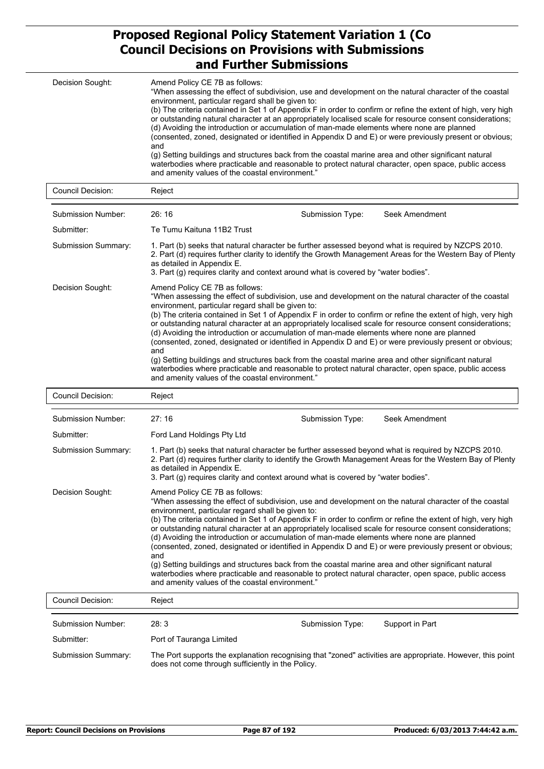| Decision Sought: | Amend Policy CE 7B as follows:<br>"When assessing the effect of subdivision, use and development on the natural character of the coastal<br>environment, particular regard shall be given to:<br>(b) The criteria contained in Set 1 of Appendix F in order to confirm or refine the extent of high, very high<br>or outstanding natural character at an appropriately localised scale for resource consent considerations;<br>(d) Avoiding the introduction or accumulation of man-made elements where none are planned<br>(consented, zoned, designated or identified in Appendix D and E) or were previously present or obvious;<br>and<br>(g) Setting buildings and structures back from the coastal marine area and other significant natural<br>waterbodies where practicable and reasonable to protect natural character, open space, public access<br>and amenity values of the coastal environment." |
|------------------|---------------------------------------------------------------------------------------------------------------------------------------------------------------------------------------------------------------------------------------------------------------------------------------------------------------------------------------------------------------------------------------------------------------------------------------------------------------------------------------------------------------------------------------------------------------------------------------------------------------------------------------------------------------------------------------------------------------------------------------------------------------------------------------------------------------------------------------------------------------------------------------------------------------|
|------------------|---------------------------------------------------------------------------------------------------------------------------------------------------------------------------------------------------------------------------------------------------------------------------------------------------------------------------------------------------------------------------------------------------------------------------------------------------------------------------------------------------------------------------------------------------------------------------------------------------------------------------------------------------------------------------------------------------------------------------------------------------------------------------------------------------------------------------------------------------------------------------------------------------------------|

| Submission Number:  | 26:16                                                                                                                                                                                                                                                                                                                                                                                                                                                                                                                                                                                                                                                                                                                                                                                                                                                                                                         | Submission Type: | Seek Amendment |  |  |
|---------------------|---------------------------------------------------------------------------------------------------------------------------------------------------------------------------------------------------------------------------------------------------------------------------------------------------------------------------------------------------------------------------------------------------------------------------------------------------------------------------------------------------------------------------------------------------------------------------------------------------------------------------------------------------------------------------------------------------------------------------------------------------------------------------------------------------------------------------------------------------------------------------------------------------------------|------------------|----------------|--|--|
| Submitter:          | Te Tumu Kaituna 11B2 Trust                                                                                                                                                                                                                                                                                                                                                                                                                                                                                                                                                                                                                                                                                                                                                                                                                                                                                    |                  |                |  |  |
| Submission Summary: | 1. Part (b) seeks that natural character be further assessed beyond what is required by NZCPS 2010.<br>2. Part (d) requires further clarity to identify the Growth Management Areas for the Western Bay of Plenty<br>as detailed in Appendix E.<br>3. Part (q) requires clarity and context around what is covered by "water bodies".                                                                                                                                                                                                                                                                                                                                                                                                                                                                                                                                                                         |                  |                |  |  |
| Decision Sought:    | Amend Policy CE 7B as follows:<br>"When assessing the effect of subdivision, use and development on the natural character of the coastal<br>environment, particular regard shall be given to:<br>(b) The criteria contained in Set 1 of Appendix F in order to confirm or refine the extent of high, very high<br>or outstanding natural character at an appropriately localised scale for resource consent considerations;<br>(d) Avoiding the introduction or accumulation of man-made elements where none are planned<br>(consented, zoned, designated or identified in Appendix D and E) or were previously present or obvious;<br>and<br>(g) Setting buildings and structures back from the coastal marine area and other significant natural<br>waterbodies where practicable and reasonable to protect natural character, open space, public access<br>and amenity values of the coastal environment." |                  |                |  |  |

| Council Decision:          | Reject                                                                                                                                                                                                                                                                                                                                                                                                                                                                                                                                                                                                                                                                                                                                                                                                                                                                                                        |                                                                                                                                                                                                                                                                                                         |                                                                                                            |  |  |  |  |
|----------------------------|---------------------------------------------------------------------------------------------------------------------------------------------------------------------------------------------------------------------------------------------------------------------------------------------------------------------------------------------------------------------------------------------------------------------------------------------------------------------------------------------------------------------------------------------------------------------------------------------------------------------------------------------------------------------------------------------------------------------------------------------------------------------------------------------------------------------------------------------------------------------------------------------------------------|---------------------------------------------------------------------------------------------------------------------------------------------------------------------------------------------------------------------------------------------------------------------------------------------------------|------------------------------------------------------------------------------------------------------------|--|--|--|--|
| Submission Number:         | 27:16                                                                                                                                                                                                                                                                                                                                                                                                                                                                                                                                                                                                                                                                                                                                                                                                                                                                                                         | Submission Type:                                                                                                                                                                                                                                                                                        | Seek Amendment                                                                                             |  |  |  |  |
| Submitter:                 | Ford Land Holdings Pty Ltd                                                                                                                                                                                                                                                                                                                                                                                                                                                                                                                                                                                                                                                                                                                                                                                                                                                                                    |                                                                                                                                                                                                                                                                                                         |                                                                                                            |  |  |  |  |
| <b>Submission Summary:</b> | as detailed in Appendix E.                                                                                                                                                                                                                                                                                                                                                                                                                                                                                                                                                                                                                                                                                                                                                                                                                                                                                    | 1. Part (b) seeks that natural character be further assessed beyond what is required by NZCPS 2010.<br>2. Part (d) requires further clarity to identify the Growth Management Areas for the Western Bay of Plenty<br>3. Part (g) requires clarity and context around what is covered by "water bodies". |                                                                                                            |  |  |  |  |
| Decision Sought:           | Amend Policy CE 7B as follows:<br>"When assessing the effect of subdivision, use and development on the natural character of the coastal<br>environment, particular regard shall be given to:<br>(b) The criteria contained in Set 1 of Appendix F in order to confirm or refine the extent of high, very high<br>or outstanding natural character at an appropriately localised scale for resource consent considerations;<br>(d) Avoiding the introduction or accumulation of man-made elements where none are planned<br>(consented, zoned, designated or identified in Appendix D and E) or were previously present or obvious;<br>and<br>(g) Setting buildings and structures back from the coastal marine area and other significant natural<br>waterbodies where practicable and reasonable to protect natural character, open space, public access<br>and amenity values of the coastal environment." |                                                                                                                                                                                                                                                                                                         |                                                                                                            |  |  |  |  |
| <b>Council Decision:</b>   | Reject                                                                                                                                                                                                                                                                                                                                                                                                                                                                                                                                                                                                                                                                                                                                                                                                                                                                                                        |                                                                                                                                                                                                                                                                                                         |                                                                                                            |  |  |  |  |
| Submission Number:         | 28:3                                                                                                                                                                                                                                                                                                                                                                                                                                                                                                                                                                                                                                                                                                                                                                                                                                                                                                          | Submission Type:                                                                                                                                                                                                                                                                                        | Support in Part                                                                                            |  |  |  |  |
| Submitter:                 | Port of Tauranga Limited                                                                                                                                                                                                                                                                                                                                                                                                                                                                                                                                                                                                                                                                                                                                                                                                                                                                                      |                                                                                                                                                                                                                                                                                                         |                                                                                                            |  |  |  |  |
| Submission Summary:        |                                                                                                                                                                                                                                                                                                                                                                                                                                                                                                                                                                                                                                                                                                                                                                                                                                                                                                               |                                                                                                                                                                                                                                                                                                         | The Port supports the explanation recognising that "zoned" activities are appropriate. However, this point |  |  |  |  |

Council Decision: Reject

does not come through sufficiently in the Policy.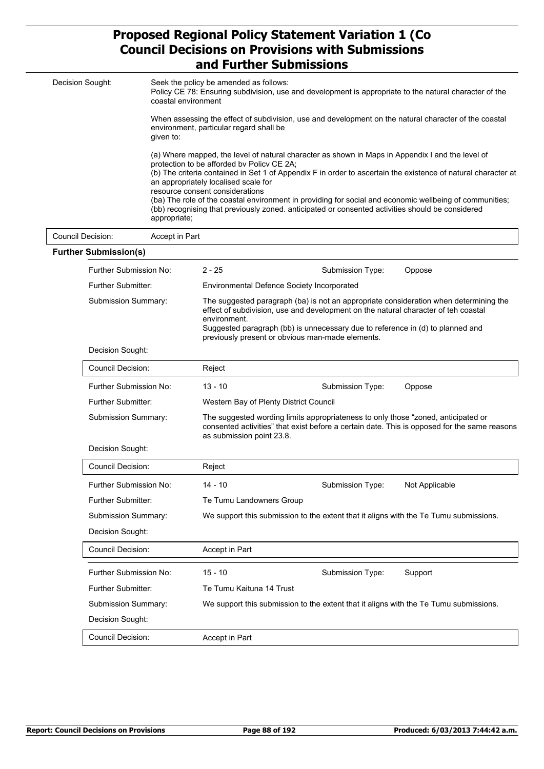| Decision Sought:             |                                                                                                                                                                                                                                                                                                                                                                                                                                                                                                                                                                                                                                                                                                                                            | Seek the policy be amended as follows:<br>Policy CE 78: Ensuring subdivision, use and development is appropriate to the natural character of the<br>coastal environment |                                                                                                                                                                                                                                                                                                                   |        |  |
|------------------------------|--------------------------------------------------------------------------------------------------------------------------------------------------------------------------------------------------------------------------------------------------------------------------------------------------------------------------------------------------------------------------------------------------------------------------------------------------------------------------------------------------------------------------------------------------------------------------------------------------------------------------------------------------------------------------------------------------------------------------------------------|-------------------------------------------------------------------------------------------------------------------------------------------------------------------------|-------------------------------------------------------------------------------------------------------------------------------------------------------------------------------------------------------------------------------------------------------------------------------------------------------------------|--------|--|
|                              | When assessing the effect of subdivision, use and development on the natural character of the coastal<br>environment, particular regard shall be<br>given to:<br>(a) Where mapped, the level of natural character as shown in Maps in Appendix I and the level of<br>protection to be afforded by Policy CE 2A;<br>(b) The criteria contained in Set 1 of Appendix F in order to ascertain the existence of natural character at<br>an appropriately localised scale for<br>resource consent considerations<br>(ba) The role of the coastal environment in providing for social and economic wellbeing of communities;<br>(bb) recognising that previously zoned, anticipated or consented activities should be considered<br>appropriate; |                                                                                                                                                                         |                                                                                                                                                                                                                                                                                                                   |        |  |
|                              |                                                                                                                                                                                                                                                                                                                                                                                                                                                                                                                                                                                                                                                                                                                                            |                                                                                                                                                                         |                                                                                                                                                                                                                                                                                                                   |        |  |
| Council Decision:            | Accept in Part                                                                                                                                                                                                                                                                                                                                                                                                                                                                                                                                                                                                                                                                                                                             |                                                                                                                                                                         |                                                                                                                                                                                                                                                                                                                   |        |  |
| <b>Further Submission(s)</b> |                                                                                                                                                                                                                                                                                                                                                                                                                                                                                                                                                                                                                                                                                                                                            |                                                                                                                                                                         |                                                                                                                                                                                                                                                                                                                   |        |  |
| Further Submission No:       |                                                                                                                                                                                                                                                                                                                                                                                                                                                                                                                                                                                                                                                                                                                                            | $2 - 25$                                                                                                                                                                | Submission Type:                                                                                                                                                                                                                                                                                                  | Oppose |  |
| <b>Further Submitter:</b>    |                                                                                                                                                                                                                                                                                                                                                                                                                                                                                                                                                                                                                                                                                                                                            |                                                                                                                                                                         | <b>Environmental Defence Society Incorporated</b>                                                                                                                                                                                                                                                                 |        |  |
| <b>Submission Summary:</b>   |                                                                                                                                                                                                                                                                                                                                                                                                                                                                                                                                                                                                                                                                                                                                            | environment.                                                                                                                                                            | The suggested paragraph (ba) is not an appropriate consideration when determining the<br>effect of subdivision, use and development on the natural character of teh coastal<br>Suggested paragraph (bb) is unnecessary due to reference in (d) to planned and<br>previously present or obvious man-made elements. |        |  |
| Decision Sought:             |                                                                                                                                                                                                                                                                                                                                                                                                                                                                                                                                                                                                                                                                                                                                            |                                                                                                                                                                         |                                                                                                                                                                                                                                                                                                                   |        |  |

| Council Decision:          | Reject                                                                                                         |                  |                                                                                              |
|----------------------------|----------------------------------------------------------------------------------------------------------------|------------------|----------------------------------------------------------------------------------------------|
| Further Submission No:     | $13 - 10$                                                                                                      | Submission Type: | Oppose                                                                                       |
| Further Submitter:         | Western Bay of Plenty District Council                                                                         |                  |                                                                                              |
| <b>Submission Summary:</b> | The suggested wording limits appropriateness to only those "zoned, anticipated or<br>as submission point 23.8. |                  | consented activities" that exist before a certain date. This is opposed for the same reasons |
| Decision Sought:           |                                                                                                                |                  |                                                                                              |
| Council Decision:          | Reject                                                                                                         |                  |                                                                                              |
| Further Submission No:     | $14 - 10$                                                                                                      | Submission Type: | Not Applicable                                                                               |
| Further Submitter:         | Te Tumu Landowners Group                                                                                       |                  |                                                                                              |
| <b>Submission Summary:</b> |                                                                                                                |                  | We support this submission to the extent that it aligns with the Te Tumu submissions.        |
| Decision Sought:           |                                                                                                                |                  |                                                                                              |
| Council Decision:          | Accept in Part                                                                                                 |                  |                                                                                              |
| Further Submission No:     | $15 - 10$                                                                                                      | Submission Type: | Support                                                                                      |
| <b>Further Submitter:</b>  | Te Tumu Kaituna 14 Trust                                                                                       |                  |                                                                                              |

Submission Summary: We support this submission to the extent that it aligns with the Te Tumu submissions.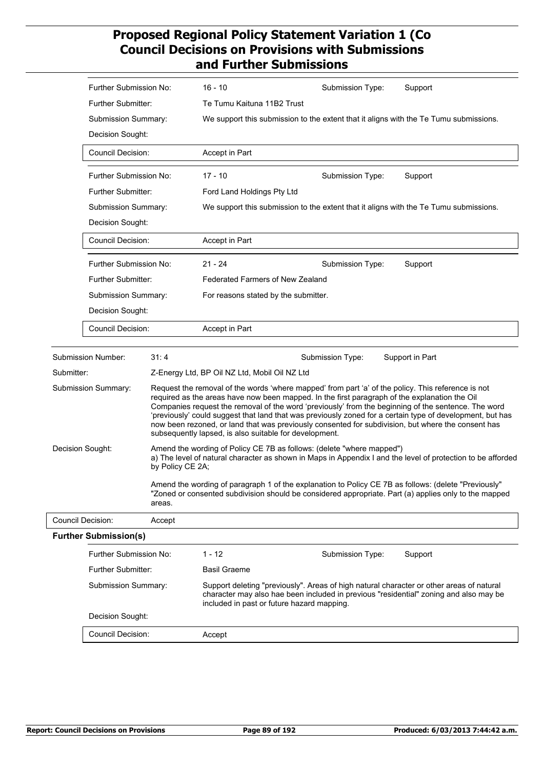|                     | Further Submission No:                    |                                                                                                                                                                                                               | $16 - 10$                                                                                                                                                                                                                                                                                                                                                                                                                                                                                                                                                                               | Submission Type:                           |  | Support                                                                                                                                                                           |  |
|---------------------|-------------------------------------------|---------------------------------------------------------------------------------------------------------------------------------------------------------------------------------------------------------------|-----------------------------------------------------------------------------------------------------------------------------------------------------------------------------------------------------------------------------------------------------------------------------------------------------------------------------------------------------------------------------------------------------------------------------------------------------------------------------------------------------------------------------------------------------------------------------------------|--------------------------------------------|--|-----------------------------------------------------------------------------------------------------------------------------------------------------------------------------------|--|
|                     | Further Submitter:                        |                                                                                                                                                                                                               | Te Tumu Kaituna 11B2 Trust                                                                                                                                                                                                                                                                                                                                                                                                                                                                                                                                                              |                                            |  |                                                                                                                                                                                   |  |
|                     | Submission Summary:                       |                                                                                                                                                                                                               | We support this submission to the extent that it aligns with the Te Tumu submissions.                                                                                                                                                                                                                                                                                                                                                                                                                                                                                                   |                                            |  |                                                                                                                                                                                   |  |
|                     | Decision Sought:                          |                                                                                                                                                                                                               |                                                                                                                                                                                                                                                                                                                                                                                                                                                                                                                                                                                         |                                            |  |                                                                                                                                                                                   |  |
|                     | Council Decision:                         |                                                                                                                                                                                                               | Accept in Part                                                                                                                                                                                                                                                                                                                                                                                                                                                                                                                                                                          |                                            |  |                                                                                                                                                                                   |  |
|                     | Further Submission No:                    |                                                                                                                                                                                                               | $17 - 10$                                                                                                                                                                                                                                                                                                                                                                                                                                                                                                                                                                               | Submission Type:                           |  | Support                                                                                                                                                                           |  |
|                     | Further Submitter:                        |                                                                                                                                                                                                               | Ford Land Holdings Pty Ltd                                                                                                                                                                                                                                                                                                                                                                                                                                                                                                                                                              |                                            |  |                                                                                                                                                                                   |  |
|                     | Submission Summary:<br>Decision Sought:   |                                                                                                                                                                                                               |                                                                                                                                                                                                                                                                                                                                                                                                                                                                                                                                                                                         |                                            |  | We support this submission to the extent that it aligns with the Te Tumu submissions.                                                                                             |  |
|                     |                                           |                                                                                                                                                                                                               |                                                                                                                                                                                                                                                                                                                                                                                                                                                                                                                                                                                         |                                            |  |                                                                                                                                                                                   |  |
|                     | <b>Council Decision:</b>                  |                                                                                                                                                                                                               | Accept in Part                                                                                                                                                                                                                                                                                                                                                                                                                                                                                                                                                                          |                                            |  |                                                                                                                                                                                   |  |
|                     | Further Submission No:                    |                                                                                                                                                                                                               | $21 - 24$                                                                                                                                                                                                                                                                                                                                                                                                                                                                                                                                                                               | Submission Type:                           |  | Support                                                                                                                                                                           |  |
|                     | <b>Further Submitter:</b>                 |                                                                                                                                                                                                               | <b>Federated Farmers of New Zealand</b>                                                                                                                                                                                                                                                                                                                                                                                                                                                                                                                                                 |                                            |  |                                                                                                                                                                                   |  |
|                     | Submission Summary:                       |                                                                                                                                                                                                               | For reasons stated by the submitter.                                                                                                                                                                                                                                                                                                                                                                                                                                                                                                                                                    |                                            |  |                                                                                                                                                                                   |  |
|                     | Decision Sought:                          |                                                                                                                                                                                                               |                                                                                                                                                                                                                                                                                                                                                                                                                                                                                                                                                                                         |                                            |  |                                                                                                                                                                                   |  |
|                     | Council Decision:                         |                                                                                                                                                                                                               | Accept in Part                                                                                                                                                                                                                                                                                                                                                                                                                                                                                                                                                                          |                                            |  |                                                                                                                                                                                   |  |
|                     | Submission Number:                        | 31:4                                                                                                                                                                                                          |                                                                                                                                                                                                                                                                                                                                                                                                                                                                                                                                                                                         | Submission Type:                           |  | Support in Part                                                                                                                                                                   |  |
| Submitter:          |                                           |                                                                                                                                                                                                               | Z-Energy Ltd, BP Oil NZ Ltd, Mobil Oil NZ Ltd                                                                                                                                                                                                                                                                                                                                                                                                                                                                                                                                           |                                            |  |                                                                                                                                                                                   |  |
| Submission Summary: |                                           |                                                                                                                                                                                                               | Request the removal of the words 'where mapped' from part 'a' of the policy. This reference is not<br>required as the areas have now been mapped. In the first paragraph of the explanation the Oil<br>Companies request the removal of the word 'previously' from the beginning of the sentence. The word<br>'previously' could suggest that land that was previously zoned for a certain type of development, but has<br>now been rezoned, or land that was previously consented for subdivision, but where the consent has<br>subsequently lapsed, is also suitable for development. |                                            |  |                                                                                                                                                                                   |  |
|                     | Decision Sought:                          | by Policy CE 2A;                                                                                                                                                                                              | Amend the wording of Policy CE 7B as follows: (delete "where mapped")<br>a) The level of natural character as shown in Maps in Appendix I and the level of protection to be afforded                                                                                                                                                                                                                                                                                                                                                                                                    |                                            |  |                                                                                                                                                                                   |  |
| areas.              |                                           | Amend the wording of paragraph 1 of the explanation to Policy CE 7B as follows: (delete "Previously"<br>"Zoned or consented subdivision should be considered appropriate. Part (a) applies only to the mapped |                                                                                                                                                                                                                                                                                                                                                                                                                                                                                                                                                                                         |                                            |  |                                                                                                                                                                                   |  |
|                     | Council Decision:<br>Accept               |                                                                                                                                                                                                               |                                                                                                                                                                                                                                                                                                                                                                                                                                                                                                                                                                                         |                                            |  |                                                                                                                                                                                   |  |
|                     | <b>Further Submission(s)</b>              |                                                                                                                                                                                                               |                                                                                                                                                                                                                                                                                                                                                                                                                                                                                                                                                                                         |                                            |  |                                                                                                                                                                                   |  |
|                     | Further Submission No:                    |                                                                                                                                                                                                               | 1 - 12                                                                                                                                                                                                                                                                                                                                                                                                                                                                                                                                                                                  | Submission Type:                           |  | Support                                                                                                                                                                           |  |
|                     | Further Submitter:<br>Submission Summary: |                                                                                                                                                                                                               | <b>Basil Graeme</b>                                                                                                                                                                                                                                                                                                                                                                                                                                                                                                                                                                     |                                            |  |                                                                                                                                                                                   |  |
|                     |                                           |                                                                                                                                                                                                               |                                                                                                                                                                                                                                                                                                                                                                                                                                                                                                                                                                                         | included in past or future hazard mapping. |  | Support deleting "previously". Areas of high natural character or other areas of natural<br>character may also hae been included in previous "residential" zoning and also may be |  |
|                     | Decision Sought:                          |                                                                                                                                                                                                               |                                                                                                                                                                                                                                                                                                                                                                                                                                                                                                                                                                                         |                                            |  |                                                                                                                                                                                   |  |
|                     | <b>Council Decision:</b>                  |                                                                                                                                                                                                               | Accept                                                                                                                                                                                                                                                                                                                                                                                                                                                                                                                                                                                  |                                            |  |                                                                                                                                                                                   |  |
|                     |                                           |                                                                                                                                                                                                               |                                                                                                                                                                                                                                                                                                                                                                                                                                                                                                                                                                                         |                                            |  |                                                                                                                                                                                   |  |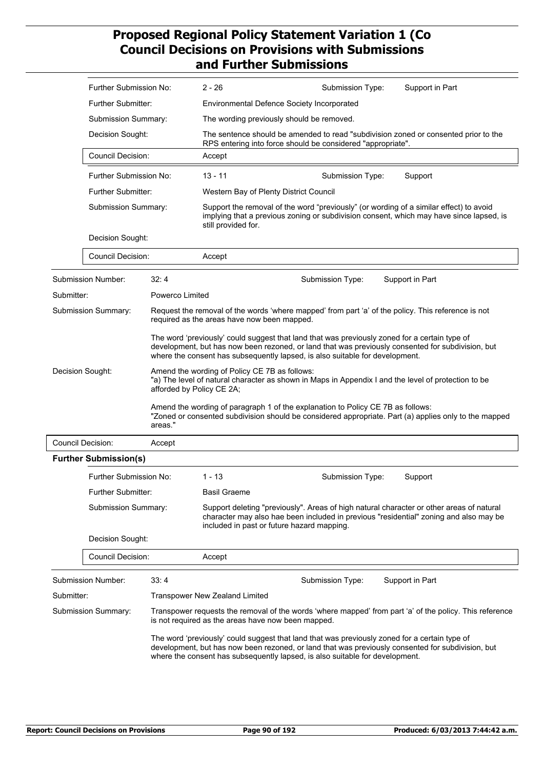|                  | Further Submission No:                       |                                                                                                                                                                                                                                                                                    | $2 - 26$                                                                                                                                                                                                                                                                           | Submission Type:                                                                                    | Support in Part                                                                                         |  |  |
|------------------|----------------------------------------------|------------------------------------------------------------------------------------------------------------------------------------------------------------------------------------------------------------------------------------------------------------------------------------|------------------------------------------------------------------------------------------------------------------------------------------------------------------------------------------------------------------------------------------------------------------------------------|-----------------------------------------------------------------------------------------------------|---------------------------------------------------------------------------------------------------------|--|--|
|                  | <b>Further Submitter:</b>                    |                                                                                                                                                                                                                                                                                    |                                                                                                                                                                                                                                                                                    | <b>Environmental Defence Society Incorporated</b>                                                   |                                                                                                         |  |  |
|                  | Submission Summary:                          |                                                                                                                                                                                                                                                                                    | The wording previously should be removed.                                                                                                                                                                                                                                          |                                                                                                     |                                                                                                         |  |  |
|                  | Decision Sought:                             |                                                                                                                                                                                                                                                                                    | The sentence should be amended to read "subdivision zoned or consented prior to the<br>RPS entering into force should be considered "appropriate".                                                                                                                                 |                                                                                                     |                                                                                                         |  |  |
|                  | <b>Council Decision:</b>                     |                                                                                                                                                                                                                                                                                    | Accept                                                                                                                                                                                                                                                                             |                                                                                                     |                                                                                                         |  |  |
|                  | Further Submission No:<br>Further Submitter: |                                                                                                                                                                                                                                                                                    | $13 - 11$                                                                                                                                                                                                                                                                          | Submission Type:                                                                                    | Support                                                                                                 |  |  |
|                  |                                              |                                                                                                                                                                                                                                                                                    | Western Bay of Plenty District Council                                                                                                                                                                                                                                             |                                                                                                     |                                                                                                         |  |  |
|                  | Submission Summary:                          |                                                                                                                                                                                                                                                                                    | still provided for.                                                                                                                                                                                                                                                                | Support the removal of the word "previously" (or wording of a similar effect) to avoid              | implying that a previous zoning or subdivision consent, which may have since lapsed, is                 |  |  |
|                  | Decision Sought:                             |                                                                                                                                                                                                                                                                                    |                                                                                                                                                                                                                                                                                    |                                                                                                     |                                                                                                         |  |  |
|                  | <b>Council Decision:</b>                     |                                                                                                                                                                                                                                                                                    | Accept                                                                                                                                                                                                                                                                             |                                                                                                     |                                                                                                         |  |  |
|                  | <b>Submission Number:</b>                    | 32:4                                                                                                                                                                                                                                                                               |                                                                                                                                                                                                                                                                                    | Submission Type:                                                                                    | Support in Part                                                                                         |  |  |
| Submitter:       |                                              | Powerco Limited                                                                                                                                                                                                                                                                    |                                                                                                                                                                                                                                                                                    |                                                                                                     |                                                                                                         |  |  |
|                  | <b>Submission Summary:</b>                   |                                                                                                                                                                                                                                                                                    | required as the areas have now been mapped.                                                                                                                                                                                                                                        | Request the removal of the words 'where mapped' from part 'a' of the policy. This reference is not  |                                                                                                         |  |  |
|                  |                                              |                                                                                                                                                                                                                                                                                    | The word 'previously' could suggest that land that was previously zoned for a certain type of<br>development, but has now been rezoned, or land that was previously consented for subdivision, but<br>where the consent has subsequently lapsed, is also suitable for development. |                                                                                                     |                                                                                                         |  |  |
| Decision Sought: |                                              | afforded by Policy CE 2A;                                                                                                                                                                                                                                                          | Amend the wording of Policy CE 7B as follows:                                                                                                                                                                                                                                      | "a) The level of natural character as shown in Maps in Appendix I and the level of protection to be |                                                                                                         |  |  |
|                  |                                              | areas."                                                                                                                                                                                                                                                                            |                                                                                                                                                                                                                                                                                    | Amend the wording of paragraph 1 of the explanation to Policy CE 7B as follows:                     | "Zoned or consented subdivision should be considered appropriate. Part (a) applies only to the mapped   |  |  |
|                  | Council Decision:                            | Accept                                                                                                                                                                                                                                                                             |                                                                                                                                                                                                                                                                                    |                                                                                                     |                                                                                                         |  |  |
|                  | <b>Further Submission(s)</b>                 |                                                                                                                                                                                                                                                                                    |                                                                                                                                                                                                                                                                                    |                                                                                                     |                                                                                                         |  |  |
|                  | Further Submission No:                       |                                                                                                                                                                                                                                                                                    | $1 - 13$                                                                                                                                                                                                                                                                           | Submission Type:                                                                                    | Support                                                                                                 |  |  |
|                  | <b>Further Submitter:</b>                    |                                                                                                                                                                                                                                                                                    | <b>Basil Graeme</b>                                                                                                                                                                                                                                                                |                                                                                                     |                                                                                                         |  |  |
|                  | Submission Summary:<br>Decision Sought:      |                                                                                                                                                                                                                                                                                    | Support deleting "previously". Areas of high natural character or other areas of natural<br>character may also hae been included in previous "residential" zoning and also may be<br>included in past or future hazard mapping.                                                    |                                                                                                     |                                                                                                         |  |  |
|                  |                                              |                                                                                                                                                                                                                                                                                    |                                                                                                                                                                                                                                                                                    |                                                                                                     |                                                                                                         |  |  |
|                  | <b>Council Decision:</b>                     |                                                                                                                                                                                                                                                                                    | Accept                                                                                                                                                                                                                                                                             |                                                                                                     |                                                                                                         |  |  |
|                  | 33:4<br>Submission Number:                   |                                                                                                                                                                                                                                                                                    |                                                                                                                                                                                                                                                                                    | Submission Type:                                                                                    | Support in Part                                                                                         |  |  |
|                  | Submitter:                                   |                                                                                                                                                                                                                                                                                    | Transpower New Zealand Limited                                                                                                                                                                                                                                                     |                                                                                                     |                                                                                                         |  |  |
|                  | <b>Submission Summary:</b>                   |                                                                                                                                                                                                                                                                                    | is not required as the areas have now been mapped.                                                                                                                                                                                                                                 |                                                                                                     | Transpower requests the removal of the words 'where mapped' from part 'a' of the policy. This reference |  |  |
|                  |                                              | The word 'previously' could suggest that land that was previously zoned for a certain type of<br>development, but has now been rezoned, or land that was previously consented for subdivision, but<br>where the consent has subsequently lapsed, is also suitable for development. |                                                                                                                                                                                                                                                                                    |                                                                                                     |                                                                                                         |  |  |
|                  |                                              |                                                                                                                                                                                                                                                                                    |                                                                                                                                                                                                                                                                                    |                                                                                                     |                                                                                                         |  |  |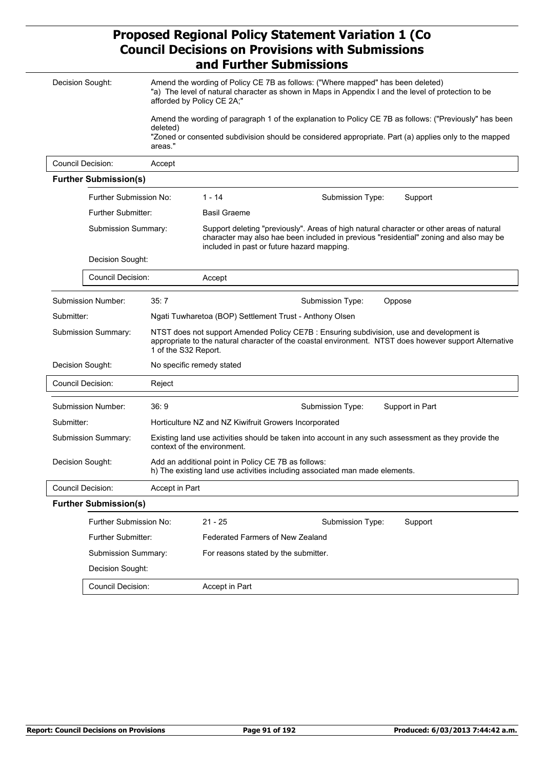| Decision Sought:                    |                              |                      | Amend the wording of Policy CE 7B as follows: ("Where mapped" has been deleted)<br>"a) The level of natural character as shown in Maps in Appendix I and the level of protection to be<br>afforded by Policy CE 2A;"            |  |  |
|-------------------------------------|------------------------------|----------------------|---------------------------------------------------------------------------------------------------------------------------------------------------------------------------------------------------------------------------------|--|--|
|                                     |                              |                      | Amend the wording of paragraph 1 of the explanation to Policy CE 7B as follows: ("Previously" has been                                                                                                                          |  |  |
|                                     |                              | deleted)<br>areas."  | "Zoned or consented subdivision should be considered appropriate. Part (a) applies only to the mapped                                                                                                                           |  |  |
|                                     | <b>Council Decision:</b>     | Accept               |                                                                                                                                                                                                                                 |  |  |
|                                     | <b>Further Submission(s)</b> |                      |                                                                                                                                                                                                                                 |  |  |
|                                     | Further Submission No:       |                      | $1 - 14$<br>Submission Type:<br>Support                                                                                                                                                                                         |  |  |
|                                     | <b>Further Submitter:</b>    |                      | <b>Basil Graeme</b>                                                                                                                                                                                                             |  |  |
|                                     | Submission Summary:          |                      | Support deleting "previously". Areas of high natural character or other areas of natural<br>character may also hae been included in previous "residential" zoning and also may be<br>included in past or future hazard mapping. |  |  |
|                                     | Decision Sought:             |                      |                                                                                                                                                                                                                                 |  |  |
|                                     | Council Decision:            |                      | Accept                                                                                                                                                                                                                          |  |  |
|                                     | Submission Number:<br>35:7   |                      | Submission Type:<br>Oppose                                                                                                                                                                                                      |  |  |
|                                     | Submitter:                   |                      | Ngati Tuwharetoa (BOP) Settlement Trust - Anthony Olsen                                                                                                                                                                         |  |  |
| Submission Summary:                 |                              | 1 of the S32 Report. | NTST does not support Amended Policy CE7B : Ensuring subdivision, use and development is<br>appropriate to the natural character of the coastal environment. NTST does however support Alternative                              |  |  |
|                                     | Decision Sought:             |                      | No specific remedy stated                                                                                                                                                                                                       |  |  |
|                                     | <b>Council Decision:</b>     | Reject               |                                                                                                                                                                                                                                 |  |  |
|                                     | Submission Number:           | 36:9                 | Support in Part<br>Submission Type:                                                                                                                                                                                             |  |  |
| Submitter:                          |                              |                      | Horticulture NZ and NZ Kiwifruit Growers Incorporated                                                                                                                                                                           |  |  |
|                                     | Submission Summary:          |                      | Existing land use activities should be taken into account in any such assessment as they provide the<br>context of the environment.                                                                                             |  |  |
| Decision Sought:                    |                              |                      | Add an additional point in Policy CE 7B as follows:<br>h) The existing land use activities including associated man made elements.                                                                                              |  |  |
| Council Decision:<br>Accept in Part |                              |                      |                                                                                                                                                                                                                                 |  |  |
|                                     | <b>Further Submission(s)</b> |                      |                                                                                                                                                                                                                                 |  |  |
|                                     | Further Submission No:       |                      | $21 - 25$<br>Submission Type:<br>Support                                                                                                                                                                                        |  |  |
|                                     | Further Submitter:           |                      | Federated Farmers of New Zealand                                                                                                                                                                                                |  |  |
|                                     | Submission Summary:          |                      | For reasons stated by the submitter.                                                                                                                                                                                            |  |  |
|                                     | Decision Sought:             |                      |                                                                                                                                                                                                                                 |  |  |
|                                     | Council Decision:            |                      | Accept in Part                                                                                                                                                                                                                  |  |  |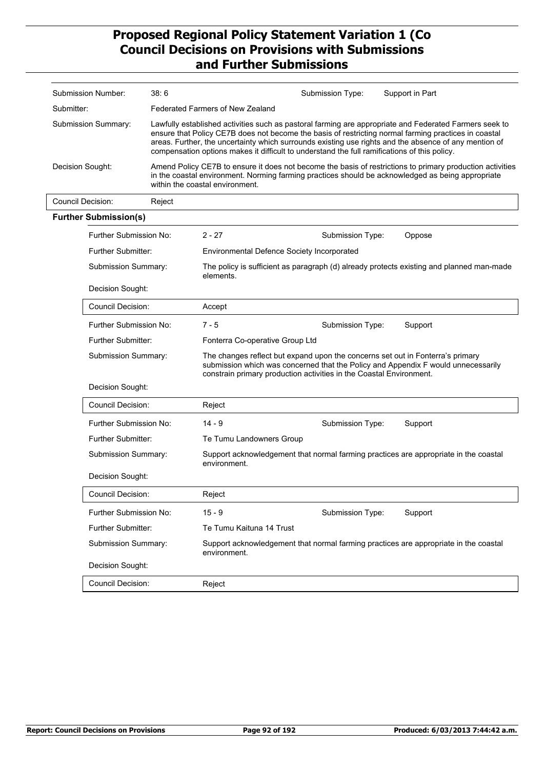| Submission Number:  |                              | 38:6   |                                                                                                                                                                                                                                                                                                                                                                                                                         | Submission Type: | Support in Part                                                                      |  |  |  |
|---------------------|------------------------------|--------|-------------------------------------------------------------------------------------------------------------------------------------------------------------------------------------------------------------------------------------------------------------------------------------------------------------------------------------------------------------------------------------------------------------------------|------------------|--------------------------------------------------------------------------------------|--|--|--|
| Submitter:          |                              |        | <b>Federated Farmers of New Zealand</b>                                                                                                                                                                                                                                                                                                                                                                                 |                  |                                                                                      |  |  |  |
|                     | Submission Summary:          |        | Lawfully established activities such as pastoral farming are appropriate and Federated Farmers seek to<br>ensure that Policy CE7B does not become the basis of restricting normal farming practices in coastal<br>areas. Further, the uncertainty which surrounds existing use rights and the absence of any mention of<br>compensation options makes it difficult to understand the full ramifications of this policy. |                  |                                                                                      |  |  |  |
| Decision Sought:    |                              |        | Amend Policy CE7B to ensure it does not become the basis of restrictions to primary production activities<br>in the coastal environment. Norming farming practices should be acknowledged as being appropriate<br>within the coastal environment.                                                                                                                                                                       |                  |                                                                                      |  |  |  |
|                     | Council Decision:            | Reject |                                                                                                                                                                                                                                                                                                                                                                                                                         |                  |                                                                                      |  |  |  |
|                     | <b>Further Submission(s)</b> |        |                                                                                                                                                                                                                                                                                                                                                                                                                         |                  |                                                                                      |  |  |  |
|                     | Further Submission No:       |        | $2 - 27$                                                                                                                                                                                                                                                                                                                                                                                                                | Submission Type: | Oppose                                                                               |  |  |  |
|                     | <b>Further Submitter:</b>    |        | <b>Environmental Defence Society Incorporated</b>                                                                                                                                                                                                                                                                                                                                                                       |                  |                                                                                      |  |  |  |
|                     | Submission Summary:          |        | The policy is sufficient as paragraph (d) already protects existing and planned man-made<br>elements.                                                                                                                                                                                                                                                                                                                   |                  |                                                                                      |  |  |  |
|                     | Decision Sought:             |        |                                                                                                                                                                                                                                                                                                                                                                                                                         |                  |                                                                                      |  |  |  |
|                     | <b>Council Decision:</b>     |        | Accept                                                                                                                                                                                                                                                                                                                                                                                                                  |                  |                                                                                      |  |  |  |
|                     | Further Submission No:       |        | $7 - 5$                                                                                                                                                                                                                                                                                                                                                                                                                 | Submission Type: | Support                                                                              |  |  |  |
|                     | Further Submitter:           |        | Fonterra Co-operative Group Ltd                                                                                                                                                                                                                                                                                                                                                                                         |                  |                                                                                      |  |  |  |
|                     | Submission Summary:          |        | The changes reflect but expand upon the concerns set out in Fonterra's primary<br>submission which was concerned that the Policy and Appendix F would unnecessarily<br>constrain primary production activities in the Coastal Environment.                                                                                                                                                                              |                  |                                                                                      |  |  |  |
|                     | Decision Sought:             |        |                                                                                                                                                                                                                                                                                                                                                                                                                         |                  |                                                                                      |  |  |  |
|                     | <b>Council Decision:</b>     |        | Reject                                                                                                                                                                                                                                                                                                                                                                                                                  |                  |                                                                                      |  |  |  |
|                     | Further Submission No:       |        | $14 - 9$                                                                                                                                                                                                                                                                                                                                                                                                                | Submission Type: | Support                                                                              |  |  |  |
|                     | Further Submitter:           |        | Te Tumu Landowners Group                                                                                                                                                                                                                                                                                                                                                                                                |                  |                                                                                      |  |  |  |
|                     | Submission Summary:          |        | environment.                                                                                                                                                                                                                                                                                                                                                                                                            |                  | Support acknowledgement that normal farming practices are appropriate in the coastal |  |  |  |
|                     | Decision Sought:             |        |                                                                                                                                                                                                                                                                                                                                                                                                                         |                  |                                                                                      |  |  |  |
|                     | Council Decision:            |        | Reject                                                                                                                                                                                                                                                                                                                                                                                                                  |                  |                                                                                      |  |  |  |
|                     | Further Submission No:       |        | $15 - 9$                                                                                                                                                                                                                                                                                                                                                                                                                | Submission Type: | Support                                                                              |  |  |  |
|                     | Further Submitter:           |        | Te Tumu Kaituna 14 Trust                                                                                                                                                                                                                                                                                                                                                                                                |                  |                                                                                      |  |  |  |
| Submission Summary: |                              |        | environment.                                                                                                                                                                                                                                                                                                                                                                                                            |                  | Support acknowledgement that normal farming practices are appropriate in the coastal |  |  |  |
|                     | Decision Sought:             |        |                                                                                                                                                                                                                                                                                                                                                                                                                         |                  |                                                                                      |  |  |  |
|                     | <b>Council Decision:</b>     |        | Reject                                                                                                                                                                                                                                                                                                                                                                                                                  |                  |                                                                                      |  |  |  |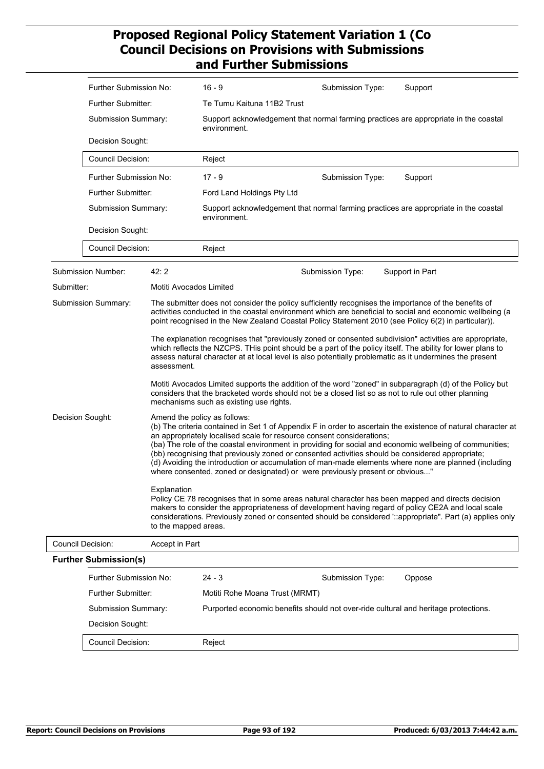|                  | Further Submission No:                                       |                                                                                                                                                                                                                                                                                                                                                                                                                                                                                                                                                                                                                               | $16 - 9$                                                                                                                                                                                                                                                                                                                | Submission Type: | Support                                                                              |  |
|------------------|--------------------------------------------------------------|-------------------------------------------------------------------------------------------------------------------------------------------------------------------------------------------------------------------------------------------------------------------------------------------------------------------------------------------------------------------------------------------------------------------------------------------------------------------------------------------------------------------------------------------------------------------------------------------------------------------------------|-------------------------------------------------------------------------------------------------------------------------------------------------------------------------------------------------------------------------------------------------------------------------------------------------------------------------|------------------|--------------------------------------------------------------------------------------|--|
|                  | Further Submitter:                                           |                                                                                                                                                                                                                                                                                                                                                                                                                                                                                                                                                                                                                               | Te Tumu Kaituna 11B2 Trust                                                                                                                                                                                                                                                                                              |                  |                                                                                      |  |
|                  | Submission Summary:<br>Decision Sought:<br>Council Decision: |                                                                                                                                                                                                                                                                                                                                                                                                                                                                                                                                                                                                                               | Support acknowledgement that normal farming practices are appropriate in the coastal<br>environment.                                                                                                                                                                                                                    |                  |                                                                                      |  |
|                  |                                                              |                                                                                                                                                                                                                                                                                                                                                                                                                                                                                                                                                                                                                               |                                                                                                                                                                                                                                                                                                                         |                  |                                                                                      |  |
|                  |                                                              |                                                                                                                                                                                                                                                                                                                                                                                                                                                                                                                                                                                                                               | Reject                                                                                                                                                                                                                                                                                                                  |                  |                                                                                      |  |
|                  | Further Submission No:                                       |                                                                                                                                                                                                                                                                                                                                                                                                                                                                                                                                                                                                                               | $17 - 9$                                                                                                                                                                                                                                                                                                                | Submission Type: | Support                                                                              |  |
|                  | <b>Further Submitter:</b>                                    |                                                                                                                                                                                                                                                                                                                                                                                                                                                                                                                                                                                                                               | Ford Land Holdings Pty Ltd                                                                                                                                                                                                                                                                                              |                  |                                                                                      |  |
|                  | Submission Summary:                                          |                                                                                                                                                                                                                                                                                                                                                                                                                                                                                                                                                                                                                               | environment.                                                                                                                                                                                                                                                                                                            |                  | Support acknowledgement that normal farming practices are appropriate in the coastal |  |
|                  | Decision Sought:                                             |                                                                                                                                                                                                                                                                                                                                                                                                                                                                                                                                                                                                                               |                                                                                                                                                                                                                                                                                                                         |                  |                                                                                      |  |
|                  | <b>Council Decision:</b>                                     |                                                                                                                                                                                                                                                                                                                                                                                                                                                                                                                                                                                                                               | Reject                                                                                                                                                                                                                                                                                                                  |                  |                                                                                      |  |
|                  | Submission Number:                                           | 42:2                                                                                                                                                                                                                                                                                                                                                                                                                                                                                                                                                                                                                          |                                                                                                                                                                                                                                                                                                                         | Submission Type: | Support in Part                                                                      |  |
| Submitter:       |                                                              | Motiti Avocados Limited                                                                                                                                                                                                                                                                                                                                                                                                                                                                                                                                                                                                       |                                                                                                                                                                                                                                                                                                                         |                  |                                                                                      |  |
|                  | Submission Summary:                                          |                                                                                                                                                                                                                                                                                                                                                                                                                                                                                                                                                                                                                               | The submitter does not consider the policy sufficiently recognises the importance of the benefits of<br>activities conducted in the coastal environment which are beneficial to social and economic wellbeing (a<br>point recognised in the New Zealand Coastal Policy Statement 2010 (see Policy 6(2) in particular)). |                  |                                                                                      |  |
|                  |                                                              | The explanation recognises that "previously zoned or consented subdivision" activities are appropriate,<br>which reflects the NZCPS. THis point should be a part of the policy itself. The ability for lower plans to<br>assess natural character at at local level is also potentially problematic as it undermines the present<br>assessment.                                                                                                                                                                                                                                                                               |                                                                                                                                                                                                                                                                                                                         |                  |                                                                                      |  |
|                  |                                                              | Motiti Avocados Limited supports the addition of the word "zoned" in subparagraph (d) of the Policy but<br>considers that the bracketed words should not be a closed list so as not to rule out other planning<br>mechanisms such as existing use rights.                                                                                                                                                                                                                                                                                                                                                                     |                                                                                                                                                                                                                                                                                                                         |                  |                                                                                      |  |
| Decision Sought: |                                                              | Amend the policy as follows:<br>(b) The criteria contained in Set 1 of Appendix F in order to ascertain the existence of natural character at<br>an appropriately localised scale for resource consent considerations;<br>(ba) The role of the coastal environment in providing for social and economic wellbeing of communities;<br>(bb) recognising that previously zoned or consented activities should be considered appropriate;<br>(d) Avoiding the introduction or accumulation of man-made elements where none are planned (including<br>where consented, zoned or designated) or were previously present or obvious" |                                                                                                                                                                                                                                                                                                                         |                  |                                                                                      |  |
|                  |                                                              | Explanation<br>to the mapped areas.                                                                                                                                                                                                                                                                                                                                                                                                                                                                                                                                                                                           | Policy CE 78 recognises that in some areas natural character has been mapped and directs decision<br>makers to consider the appropriateness of development having regard of policy CE2A and local scale<br>considerations. Previously zoned or consented should be considered "::appropriate". Part (a) applies only    |                  |                                                                                      |  |
|                  | <b>Council Decision:</b>                                     | Accept in Part                                                                                                                                                                                                                                                                                                                                                                                                                                                                                                                                                                                                                |                                                                                                                                                                                                                                                                                                                         |                  |                                                                                      |  |
|                  | <b>Further Submission(s)</b>                                 |                                                                                                                                                                                                                                                                                                                                                                                                                                                                                                                                                                                                                               |                                                                                                                                                                                                                                                                                                                         |                  |                                                                                      |  |
|                  | Further Submission No:                                       |                                                                                                                                                                                                                                                                                                                                                                                                                                                                                                                                                                                                                               | $24 - 3$                                                                                                                                                                                                                                                                                                                | Submission Type: | Oppose                                                                               |  |
|                  | Further Submitter:                                           |                                                                                                                                                                                                                                                                                                                                                                                                                                                                                                                                                                                                                               | Motiti Rohe Moana Trust (MRMT)                                                                                                                                                                                                                                                                                          |                  |                                                                                      |  |
|                  | Submission Summary:                                          |                                                                                                                                                                                                                                                                                                                                                                                                                                                                                                                                                                                                                               | Purported economic benefits should not over-ride cultural and heritage protections.                                                                                                                                                                                                                                     |                  |                                                                                      |  |
|                  | Decision Sought:                                             |                                                                                                                                                                                                                                                                                                                                                                                                                                                                                                                                                                                                                               |                                                                                                                                                                                                                                                                                                                         |                  |                                                                                      |  |
|                  | Council Decision:                                            |                                                                                                                                                                                                                                                                                                                                                                                                                                                                                                                                                                                                                               | Reject                                                                                                                                                                                                                                                                                                                  |                  |                                                                                      |  |

 $\overline{\phantom{a}}$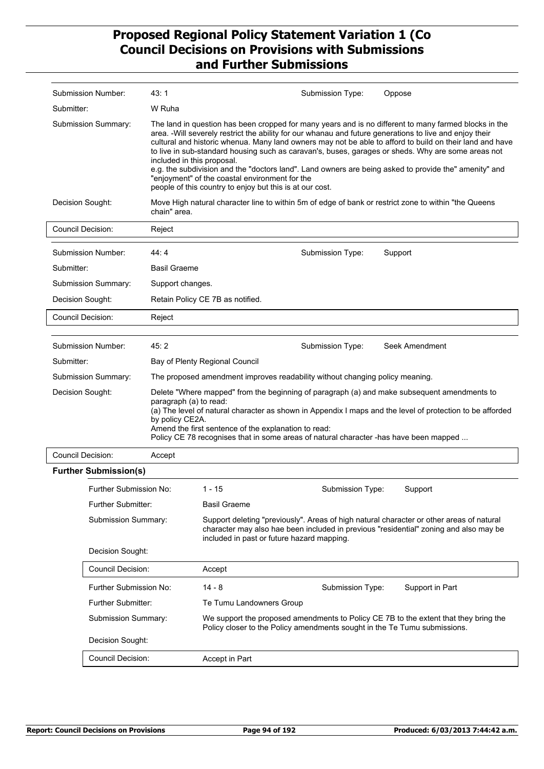|                            | Submission Number:           | 43: 1                                                                                                                                                                                                                                                                                                                                                                                                  |                                                                                                                                                                                                                                                                                                                                                                                                                                                                                                                                                                                                                                                           | Submission Type: | Oppose                                                                                               |  |  |
|----------------------------|------------------------------|--------------------------------------------------------------------------------------------------------------------------------------------------------------------------------------------------------------------------------------------------------------------------------------------------------------------------------------------------------------------------------------------------------|-----------------------------------------------------------------------------------------------------------------------------------------------------------------------------------------------------------------------------------------------------------------------------------------------------------------------------------------------------------------------------------------------------------------------------------------------------------------------------------------------------------------------------------------------------------------------------------------------------------------------------------------------------------|------------------|------------------------------------------------------------------------------------------------------|--|--|
| Submitter:                 |                              | W Ruha                                                                                                                                                                                                                                                                                                                                                                                                 |                                                                                                                                                                                                                                                                                                                                                                                                                                                                                                                                                                                                                                                           |                  |                                                                                                      |  |  |
| <b>Submission Summary:</b> |                              | included in this proposal.                                                                                                                                                                                                                                                                                                                                                                             | The land in question has been cropped for many years and is no different to many farmed blocks in the<br>area. -Will severely restrict the ability for our whanau and future generations to live and enjoy their<br>cultural and historic whenua. Many land owners may not be able to afford to build on their land and have<br>to live in sub-standard housing such as caravan's, buses, garages or sheds. Why are some areas not<br>e.g. the subdivision and the "doctors land". Land owners are being asked to provide the" amenity" and<br>"enjoyment" of the coastal environment for the<br>people of this country to enjoy but this is at our cost. |                  |                                                                                                      |  |  |
| Decision Sought:           |                              | chain" area.                                                                                                                                                                                                                                                                                                                                                                                           |                                                                                                                                                                                                                                                                                                                                                                                                                                                                                                                                                                                                                                                           |                  | Move High natural character line to within 5m of edge of bank or restrict zone to within "the Queens |  |  |
| <b>Council Decision:</b>   |                              | Reject                                                                                                                                                                                                                                                                                                                                                                                                 |                                                                                                                                                                                                                                                                                                                                                                                                                                                                                                                                                                                                                                                           |                  |                                                                                                      |  |  |
|                            | Submission Number:           | 44:4                                                                                                                                                                                                                                                                                                                                                                                                   |                                                                                                                                                                                                                                                                                                                                                                                                                                                                                                                                                                                                                                                           | Submission Type: | Support                                                                                              |  |  |
| Submitter:                 |                              | <b>Basil Graeme</b>                                                                                                                                                                                                                                                                                                                                                                                    |                                                                                                                                                                                                                                                                                                                                                                                                                                                                                                                                                                                                                                                           |                  |                                                                                                      |  |  |
|                            | <b>Submission Summary:</b>   | Support changes.                                                                                                                                                                                                                                                                                                                                                                                       |                                                                                                                                                                                                                                                                                                                                                                                                                                                                                                                                                                                                                                                           |                  |                                                                                                      |  |  |
| Decision Sought:           |                              |                                                                                                                                                                                                                                                                                                                                                                                                        | Retain Policy CE 7B as notified.                                                                                                                                                                                                                                                                                                                                                                                                                                                                                                                                                                                                                          |                  |                                                                                                      |  |  |
| Council Decision:          |                              | Reject                                                                                                                                                                                                                                                                                                                                                                                                 |                                                                                                                                                                                                                                                                                                                                                                                                                                                                                                                                                                                                                                                           |                  |                                                                                                      |  |  |
|                            |                              |                                                                                                                                                                                                                                                                                                                                                                                                        |                                                                                                                                                                                                                                                                                                                                                                                                                                                                                                                                                                                                                                                           |                  |                                                                                                      |  |  |
|                            | Submission Number:           | 45:2                                                                                                                                                                                                                                                                                                                                                                                                   | Seek Amendment<br>Submission Type:                                                                                                                                                                                                                                                                                                                                                                                                                                                                                                                                                                                                                        |                  |                                                                                                      |  |  |
| Submitter:                 |                              |                                                                                                                                                                                                                                                                                                                                                                                                        | Bay of Plenty Regional Council                                                                                                                                                                                                                                                                                                                                                                                                                                                                                                                                                                                                                            |                  |                                                                                                      |  |  |
|                            | Submission Summary:          |                                                                                                                                                                                                                                                                                                                                                                                                        | The proposed amendment improves readability without changing policy meaning.                                                                                                                                                                                                                                                                                                                                                                                                                                                                                                                                                                              |                  |                                                                                                      |  |  |
| Decision Sought:           |                              | Delete "Where mapped" from the beginning of paragraph (a) and make subsequent amendments to<br>paragraph (a) to read:<br>(a) The level of natural character as shown in Appendix I maps and the level of protection to be afforded<br>by policy CE2A.<br>Amend the first sentence of the explanation to read:<br>Policy CE 78 recognises that in some areas of natural character -has have been mapped |                                                                                                                                                                                                                                                                                                                                                                                                                                                                                                                                                                                                                                                           |                  |                                                                                                      |  |  |
| <b>Council Decision:</b>   |                              | Accept                                                                                                                                                                                                                                                                                                                                                                                                 |                                                                                                                                                                                                                                                                                                                                                                                                                                                                                                                                                                                                                                                           |                  |                                                                                                      |  |  |
|                            | <b>Further Submission(s)</b> |                                                                                                                                                                                                                                                                                                                                                                                                        |                                                                                                                                                                                                                                                                                                                                                                                                                                                                                                                                                                                                                                                           |                  |                                                                                                      |  |  |
|                            | Further Submission No:       |                                                                                                                                                                                                                                                                                                                                                                                                        | 1 - 15                                                                                                                                                                                                                                                                                                                                                                                                                                                                                                                                                                                                                                                    | Submission Type: | Support                                                                                              |  |  |
|                            | Further Submitter:           |                                                                                                                                                                                                                                                                                                                                                                                                        | <b>Basil Graeme</b>                                                                                                                                                                                                                                                                                                                                                                                                                                                                                                                                                                                                                                       |                  |                                                                                                      |  |  |
|                            | Submission Summary:          |                                                                                                                                                                                                                                                                                                                                                                                                        | Support deleting "previously". Areas of high natural character or other areas of natural<br>character may also hae been included in previous "residential" zoning and also may be<br>included in past or future hazard mapping.                                                                                                                                                                                                                                                                                                                                                                                                                           |                  |                                                                                                      |  |  |
|                            | Decision Sought:             |                                                                                                                                                                                                                                                                                                                                                                                                        |                                                                                                                                                                                                                                                                                                                                                                                                                                                                                                                                                                                                                                                           |                  |                                                                                                      |  |  |
|                            | <b>Council Decision:</b>     |                                                                                                                                                                                                                                                                                                                                                                                                        | Accept                                                                                                                                                                                                                                                                                                                                                                                                                                                                                                                                                                                                                                                    |                  |                                                                                                      |  |  |
|                            | Further Submission No:       |                                                                                                                                                                                                                                                                                                                                                                                                        | $14 - 8$                                                                                                                                                                                                                                                                                                                                                                                                                                                                                                                                                                                                                                                  | Submission Type: | Support in Part                                                                                      |  |  |
|                            | Further Submitter:           |                                                                                                                                                                                                                                                                                                                                                                                                        | Te Tumu Landowners Group                                                                                                                                                                                                                                                                                                                                                                                                                                                                                                                                                                                                                                  |                  |                                                                                                      |  |  |
|                            | Submission Summary:          |                                                                                                                                                                                                                                                                                                                                                                                                        | We support the proposed amendments to Policy CE 7B to the extent that they bring the<br>Policy closer to the Policy amendments sought in the Te Tumu submissions.                                                                                                                                                                                                                                                                                                                                                                                                                                                                                         |                  |                                                                                                      |  |  |
|                            | Decision Sought:             |                                                                                                                                                                                                                                                                                                                                                                                                        |                                                                                                                                                                                                                                                                                                                                                                                                                                                                                                                                                                                                                                                           |                  |                                                                                                      |  |  |
|                            | Council Decision:            |                                                                                                                                                                                                                                                                                                                                                                                                        | Accept in Part                                                                                                                                                                                                                                                                                                                                                                                                                                                                                                                                                                                                                                            |                  |                                                                                                      |  |  |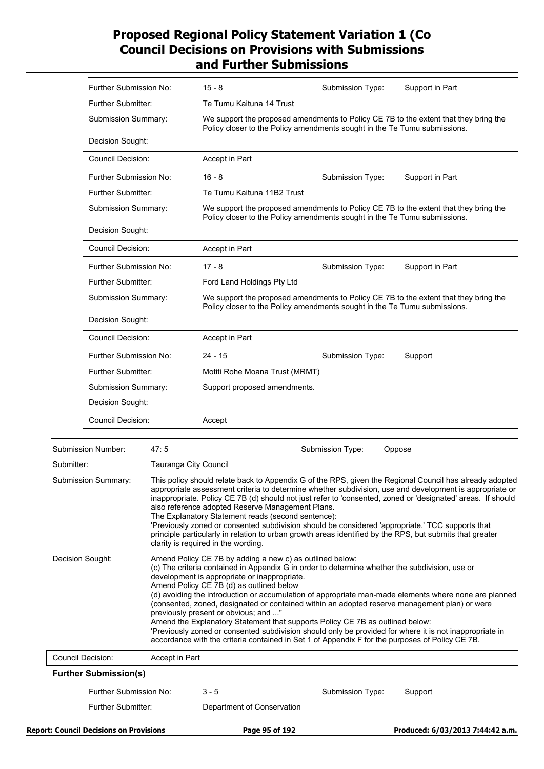|                          | Further Submission No:                  |                                                                                                                                                                                              | $15 - 8$                                                                                                                                                                                                                                                                                                                                                                            | Submission Type:                                                                                                                                                                                                 | Support in Part                                                                                                                                                                                                                                                                                                                   |  |
|--------------------------|-----------------------------------------|----------------------------------------------------------------------------------------------------------------------------------------------------------------------------------------------|-------------------------------------------------------------------------------------------------------------------------------------------------------------------------------------------------------------------------------------------------------------------------------------------------------------------------------------------------------------------------------------|------------------------------------------------------------------------------------------------------------------------------------------------------------------------------------------------------------------|-----------------------------------------------------------------------------------------------------------------------------------------------------------------------------------------------------------------------------------------------------------------------------------------------------------------------------------|--|
|                          | <b>Further Submitter:</b>               |                                                                                                                                                                                              | Te Tumu Kaituna 14 Trust                                                                                                                                                                                                                                                                                                                                                            |                                                                                                                                                                                                                  |                                                                                                                                                                                                                                                                                                                                   |  |
|                          | Submission Summary:<br>Decision Sought: |                                                                                                                                                                                              | We support the proposed amendments to Policy CE 7B to the extent that they bring the<br>Policy closer to the Policy amendments sought in the Te Tumu submissions.                                                                                                                                                                                                                   |                                                                                                                                                                                                                  |                                                                                                                                                                                                                                                                                                                                   |  |
|                          |                                         |                                                                                                                                                                                              |                                                                                                                                                                                                                                                                                                                                                                                     |                                                                                                                                                                                                                  |                                                                                                                                                                                                                                                                                                                                   |  |
|                          | <b>Council Decision:</b>                |                                                                                                                                                                                              | Accept in Part                                                                                                                                                                                                                                                                                                                                                                      |                                                                                                                                                                                                                  |                                                                                                                                                                                                                                                                                                                                   |  |
|                          | Further Submission No:                  |                                                                                                                                                                                              | $16 - 8$                                                                                                                                                                                                                                                                                                                                                                            | Submission Type:                                                                                                                                                                                                 | Support in Part                                                                                                                                                                                                                                                                                                                   |  |
|                          | <b>Further Submitter:</b>               |                                                                                                                                                                                              | Te Tumu Kaituna 11B2 Trust                                                                                                                                                                                                                                                                                                                                                          |                                                                                                                                                                                                                  |                                                                                                                                                                                                                                                                                                                                   |  |
|                          | Submission Summary:                     |                                                                                                                                                                                              |                                                                                                                                                                                                                                                                                                                                                                                     | Policy closer to the Policy amendments sought in the Te Tumu submissions.                                                                                                                                        | We support the proposed amendments to Policy CE 7B to the extent that they bring the                                                                                                                                                                                                                                              |  |
|                          | Decision Sought:                        |                                                                                                                                                                                              |                                                                                                                                                                                                                                                                                                                                                                                     |                                                                                                                                                                                                                  |                                                                                                                                                                                                                                                                                                                                   |  |
|                          | Council Decision:                       |                                                                                                                                                                                              | Accept in Part                                                                                                                                                                                                                                                                                                                                                                      |                                                                                                                                                                                                                  |                                                                                                                                                                                                                                                                                                                                   |  |
|                          | Further Submission No:                  |                                                                                                                                                                                              | $17 - 8$                                                                                                                                                                                                                                                                                                                                                                            | Submission Type:                                                                                                                                                                                                 | Support in Part                                                                                                                                                                                                                                                                                                                   |  |
|                          | Further Submitter:                      |                                                                                                                                                                                              | Ford Land Holdings Pty Ltd                                                                                                                                                                                                                                                                                                                                                          |                                                                                                                                                                                                                  |                                                                                                                                                                                                                                                                                                                                   |  |
|                          | Submission Summary:                     |                                                                                                                                                                                              |                                                                                                                                                                                                                                                                                                                                                                                     | We support the proposed amendments to Policy CE 7B to the extent that they bring the<br>Policy closer to the Policy amendments sought in the Te Tumu submissions.                                                |                                                                                                                                                                                                                                                                                                                                   |  |
|                          | Decision Sought:                        |                                                                                                                                                                                              |                                                                                                                                                                                                                                                                                                                                                                                     |                                                                                                                                                                                                                  |                                                                                                                                                                                                                                                                                                                                   |  |
|                          | <b>Council Decision:</b>                |                                                                                                                                                                                              | Accept in Part                                                                                                                                                                                                                                                                                                                                                                      |                                                                                                                                                                                                                  |                                                                                                                                                                                                                                                                                                                                   |  |
|                          | Further Submission No:                  |                                                                                                                                                                                              | 24 - 15                                                                                                                                                                                                                                                                                                                                                                             | Submission Type:                                                                                                                                                                                                 | Support                                                                                                                                                                                                                                                                                                                           |  |
|                          | Further Submitter:                      |                                                                                                                                                                                              | Motiti Rohe Moana Trust (MRMT)                                                                                                                                                                                                                                                                                                                                                      |                                                                                                                                                                                                                  |                                                                                                                                                                                                                                                                                                                                   |  |
|                          | Submission Summary:                     |                                                                                                                                                                                              | Support proposed amendments.                                                                                                                                                                                                                                                                                                                                                        |                                                                                                                                                                                                                  |                                                                                                                                                                                                                                                                                                                                   |  |
|                          | Decision Sought:                        |                                                                                                                                                                                              |                                                                                                                                                                                                                                                                                                                                                                                     |                                                                                                                                                                                                                  |                                                                                                                                                                                                                                                                                                                                   |  |
|                          | <b>Council Decision:</b>                |                                                                                                                                                                                              | Accept                                                                                                                                                                                                                                                                                                                                                                              |                                                                                                                                                                                                                  |                                                                                                                                                                                                                                                                                                                                   |  |
|                          |                                         |                                                                                                                                                                                              |                                                                                                                                                                                                                                                                                                                                                                                     |                                                                                                                                                                                                                  |                                                                                                                                                                                                                                                                                                                                   |  |
|                          | Submission Number:                      | 47:5                                                                                                                                                                                         |                                                                                                                                                                                                                                                                                                                                                                                     | Submission Type:                                                                                                                                                                                                 | Oppose                                                                                                                                                                                                                                                                                                                            |  |
| Submitter:               |                                         | Tauranga City Council                                                                                                                                                                        |                                                                                                                                                                                                                                                                                                                                                                                     |                                                                                                                                                                                                                  |                                                                                                                                                                                                                                                                                                                                   |  |
| Submission Summary:      |                                         |                                                                                                                                                                                              | also reference adopted Reserve Management Plans.<br>The Explanatory Statement reads (second sentence):<br>clarity is required in the wording.                                                                                                                                                                                                                                       | 'Previously zoned or consented subdivision should be considered 'appropriate.' TCC supports that<br>principle particularly in relation to urban growth areas identified by the RPS, but submits that greater     | This policy should relate back to Appendix G of the RPS, given the Regional Council has already adopted<br>appropriate assessment criteria to determine whether subdivision, use and development is appropriate or<br>inappropriate. Policy CE 7B (d) should not just refer to 'consented, zoned or 'designated' areas. If should |  |
| Decision Sought:         |                                         | Amend Policy CE 7B by adding a new c) as outlined below:<br>development is appropriate or inappropriate.<br>Amend Policy CE 7B (d) as outlined below<br>previously present or obvious; and " | (c) The criteria contained in Appendix G in order to determine whether the subdivision, use or<br>(consented, zoned, designated or contained within an adopted reserve management plan) or were<br>Amend the Explanatory Statement that supports Policy CE 7B as outlined below:<br>accordance with the criteria contained in Set 1 of Appendix F for the purposes of Policy CE 7B. | (d) avoiding the introduction or accumulation of appropriate man-made elements where none are planned<br>'Previously zoned or consented subdivision should only be provided for where it is not inappropriate in |                                                                                                                                                                                                                                                                                                                                   |  |
| <b>Council Decision:</b> |                                         | Accept in Part                                                                                                                                                                               |                                                                                                                                                                                                                                                                                                                                                                                     |                                                                                                                                                                                                                  |                                                                                                                                                                                                                                                                                                                                   |  |
|                          | <b>Further Submission(s)</b>            |                                                                                                                                                                                              |                                                                                                                                                                                                                                                                                                                                                                                     |                                                                                                                                                                                                                  |                                                                                                                                                                                                                                                                                                                                   |  |
|                          | Further Submission No:                  |                                                                                                                                                                                              | $3 - 5$                                                                                                                                                                                                                                                                                                                                                                             | Submission Type:                                                                                                                                                                                                 | Support                                                                                                                                                                                                                                                                                                                           |  |
| Further Submitter:       |                                         |                                                                                                                                                                                              | Department of Conservation                                                                                                                                                                                                                                                                                                                                                          |                                                                                                                                                                                                                  |                                                                                                                                                                                                                                                                                                                                   |  |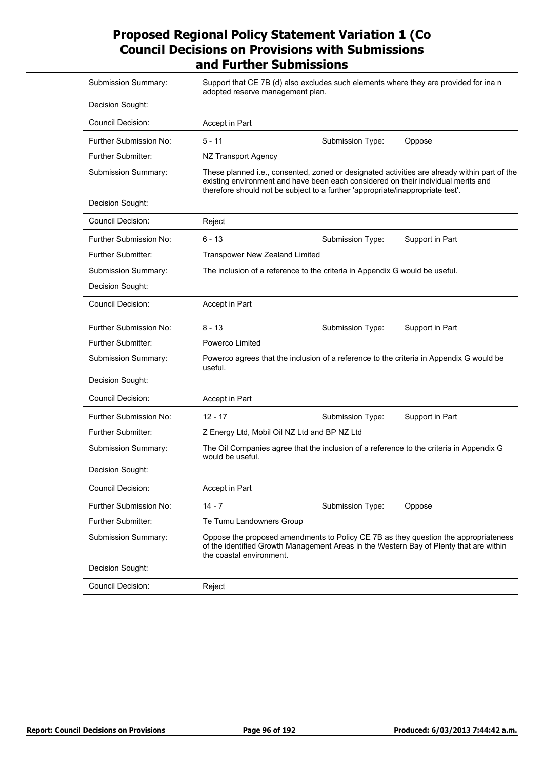| <b>Submission Summary:</b> | Support that CE 7B (d) also excludes such elements where they are provided for ina n<br>adopted reserve management plan.                                                                                                                                            |  |  |  |  |
|----------------------------|---------------------------------------------------------------------------------------------------------------------------------------------------------------------------------------------------------------------------------------------------------------------|--|--|--|--|
| Decision Sought:           |                                                                                                                                                                                                                                                                     |  |  |  |  |
| <b>Council Decision:</b>   | Accept in Part                                                                                                                                                                                                                                                      |  |  |  |  |
| Further Submission No:     | $5 - 11$<br>Submission Type:<br>Oppose                                                                                                                                                                                                                              |  |  |  |  |
| Further Submitter:         | NZ Transport Agency                                                                                                                                                                                                                                                 |  |  |  |  |
| Submission Summary:        | These planned i.e., consented, zoned or designated activities are already within part of the<br>existing environment and have been each considered on their individual merits and<br>therefore should not be subject to a further 'appropriate/inappropriate test'. |  |  |  |  |
| Decision Sought:           |                                                                                                                                                                                                                                                                     |  |  |  |  |
| <b>Council Decision:</b>   | Reject                                                                                                                                                                                                                                                              |  |  |  |  |
| Further Submission No:     | $6 - 13$<br>Submission Type:<br>Support in Part                                                                                                                                                                                                                     |  |  |  |  |
| Further Submitter:         | <b>Transpower New Zealand Limited</b>                                                                                                                                                                                                                               |  |  |  |  |
| Submission Summary:        | The inclusion of a reference to the criteria in Appendix G would be useful.                                                                                                                                                                                         |  |  |  |  |
| Decision Sought:           |                                                                                                                                                                                                                                                                     |  |  |  |  |
| <b>Council Decision:</b>   | Accept in Part                                                                                                                                                                                                                                                      |  |  |  |  |
| Further Submission No:     | $8 - 13$<br>Support in Part<br>Submission Type:                                                                                                                                                                                                                     |  |  |  |  |
| Further Submitter:         | Powerco Limited                                                                                                                                                                                                                                                     |  |  |  |  |
| Submission Summary:        | Powerco agrees that the inclusion of a reference to the criteria in Appendix G would be<br>useful.                                                                                                                                                                  |  |  |  |  |
| Decision Sought:           |                                                                                                                                                                                                                                                                     |  |  |  |  |
| <b>Council Decision:</b>   | Accept in Part                                                                                                                                                                                                                                                      |  |  |  |  |
| Further Submission No:     | $12 - 17$<br>Submission Type:<br>Support in Part                                                                                                                                                                                                                    |  |  |  |  |
| Further Submitter:         | Z Energy Ltd, Mobil Oil NZ Ltd and BP NZ Ltd                                                                                                                                                                                                                        |  |  |  |  |
| Submission Summary:        | The Oil Companies agree that the inclusion of a reference to the criteria in Appendix G<br>would be useful.                                                                                                                                                         |  |  |  |  |
| Decision Sought:           |                                                                                                                                                                                                                                                                     |  |  |  |  |
| Council Decision:          | Accept in Part                                                                                                                                                                                                                                                      |  |  |  |  |
| Further Submission No:     | $14 - 7$<br>Submission Type:<br>Oppose                                                                                                                                                                                                                              |  |  |  |  |
| Further Submitter:         | Te Tumu Landowners Group                                                                                                                                                                                                                                            |  |  |  |  |
| Submission Summary:        | Oppose the proposed amendments to Policy CE 7B as they question the appropriateness<br>of the identified Growth Management Areas in the Western Bay of Plenty that are within<br>the coastal environment.                                                           |  |  |  |  |
| Decision Sought:           |                                                                                                                                                                                                                                                                     |  |  |  |  |
| Council Decision:          | Reject                                                                                                                                                                                                                                                              |  |  |  |  |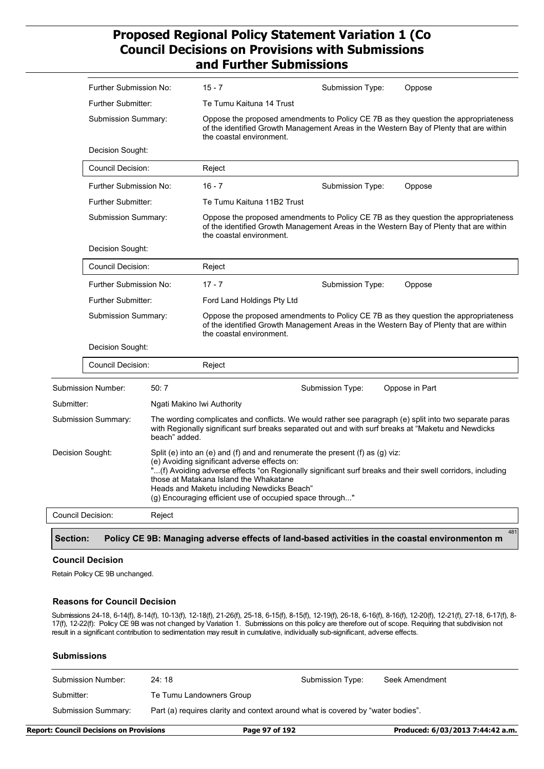|            | Further Submission No:                                                            |        | $15 - 7$                                                                                                                                                                                         | Submission Type:                                                                                                                                                                                          | Oppose                                                                                                                                                                        |  |
|------------|-----------------------------------------------------------------------------------|--------|--------------------------------------------------------------------------------------------------------------------------------------------------------------------------------------------------|-----------------------------------------------------------------------------------------------------------------------------------------------------------------------------------------------------------|-------------------------------------------------------------------------------------------------------------------------------------------------------------------------------|--|
|            | <b>Further Submitter:</b>                                                         |        | Te Tumu Kaituna 14 Trust                                                                                                                                                                         |                                                                                                                                                                                                           |                                                                                                                                                                               |  |
|            | Submission Summary:<br>Decision Sought:                                           |        |                                                                                                                                                                                                  | Oppose the proposed amendments to Policy CE 7B as they question the appropriateness<br>of the identified Growth Management Areas in the Western Bay of Plenty that are within<br>the coastal environment. |                                                                                                                                                                               |  |
|            |                                                                                   |        |                                                                                                                                                                                                  |                                                                                                                                                                                                           |                                                                                                                                                                               |  |
|            | Council Decision:                                                                 |        | Reject                                                                                                                                                                                           |                                                                                                                                                                                                           |                                                                                                                                                                               |  |
|            | <b>Further Submission No:</b>                                                     |        | $16 - 7$                                                                                                                                                                                         | Submission Type:                                                                                                                                                                                          | Oppose                                                                                                                                                                        |  |
|            | <b>Further Submitter:</b>                                                         |        | Te Tumu Kaituna 11B2 Trust                                                                                                                                                                       |                                                                                                                                                                                                           |                                                                                                                                                                               |  |
|            | Submission Summary:                                                               |        |                                                                                                                                                                                                  | Oppose the proposed amendments to Policy CE 7B as they question the appropriateness<br>of the identified Growth Management Areas in the Western Bay of Plenty that are within<br>the coastal environment. |                                                                                                                                                                               |  |
|            | Decision Sought:                                                                  |        |                                                                                                                                                                                                  |                                                                                                                                                                                                           |                                                                                                                                                                               |  |
|            | <b>Council Decision:</b>                                                          |        | Reject                                                                                                                                                                                           |                                                                                                                                                                                                           |                                                                                                                                                                               |  |
|            | <b>Further Submission No:</b><br><b>Further Submitter:</b><br>Submission Summary: |        | $17 - 7$                                                                                                                                                                                         | Submission Type:                                                                                                                                                                                          | Oppose                                                                                                                                                                        |  |
|            |                                                                                   |        | Ford Land Holdings Pty Ltd                                                                                                                                                                       |                                                                                                                                                                                                           |                                                                                                                                                                               |  |
|            |                                                                                   |        | the coastal environment.                                                                                                                                                                         |                                                                                                                                                                                                           | Oppose the proposed amendments to Policy CE 7B as they question the appropriateness<br>of the identified Growth Management Areas in the Western Bay of Plenty that are within |  |
|            | Decision Sought:                                                                  |        |                                                                                                                                                                                                  |                                                                                                                                                                                                           |                                                                                                                                                                               |  |
|            | Council Decision:                                                                 |        | Reject                                                                                                                                                                                           |                                                                                                                                                                                                           |                                                                                                                                                                               |  |
|            | <b>Submission Number:</b>                                                         | 50:7   |                                                                                                                                                                                                  | Submission Type:                                                                                                                                                                                          | Oppose in Part                                                                                                                                                                |  |
| Submitter: |                                                                                   |        | Ngati Makino Iwi Authority                                                                                                                                                                       |                                                                                                                                                                                                           |                                                                                                                                                                               |  |
|            | Submission Summary:<br>beach" added.                                              |        |                                                                                                                                                                                                  | with Regionally significant surf breaks separated out and with surf breaks at "Maketu and Newdicks"                                                                                                       | The wording complicates and conflicts. We would rather see paragraph (e) split into two separate paras                                                                        |  |
|            | Decision Sought:                                                                  |        | (e) Avoiding significant adverse effects on:<br>those at Matakana Island the Whakatane<br>Heads and Maketu including Newdicks Beach"<br>(g) Encouraging efficient use of occupied space through" | Split (e) into an (e) and (f) and and renumerate the present (f) as (g) viz:                                                                                                                              | "(f) Avoiding adverse effects "on Regionally significant surf breaks and their swell corridors, including                                                                     |  |
|            | Council Decision:                                                                 | Reject |                                                                                                                                                                                                  |                                                                                                                                                                                                           |                                                                                                                                                                               |  |
|            |                                                                                   |        |                                                                                                                                                                                                  |                                                                                                                                                                                                           | 481                                                                                                                                                                           |  |
| Section:   |                                                                                   |        |                                                                                                                                                                                                  |                                                                                                                                                                                                           | Policy CE 9B: Managing adverse effects of land-based activities in the coastal environmenton m                                                                                |  |

#### **Council Decision**

Retain Policy CE 9B unchanged.

#### **Reasons for Council Decision**

Submissions 24-18, 6-14(f), 8-14(f), 10-13(f), 12-18(f), 21-26(f), 25-18, 6-15(f), 8-15(f), 12-19(f), 26-18, 6-16(f), 8-16(f), 12-20(f), 12-21(f), 27-18, 6-17(f), 8- 17(f), 12-22(f): Policy CE 9B was not changed by Variation 1. Submissions on this policy are therefore out of scope. Requiring that subdivision not result in a significant contribution to sedimentation may result in cumulative, individually sub-significant, adverse effects.

#### **Submissions**

| Submission Number:  | 24:18                                                                           | Submission Type: | Seek Amendment |  |
|---------------------|---------------------------------------------------------------------------------|------------------|----------------|--|
| Submitter:          | Te Tumu Landowners Group                                                        |                  |                |  |
| Submission Summary: | Part (a) requires clarity and context around what is covered by "water bodies". |                  |                |  |

**Report: Council Decisions on Provisions Page 97 of 192 Produced: 6/03/2013 7:44:42 a.m.**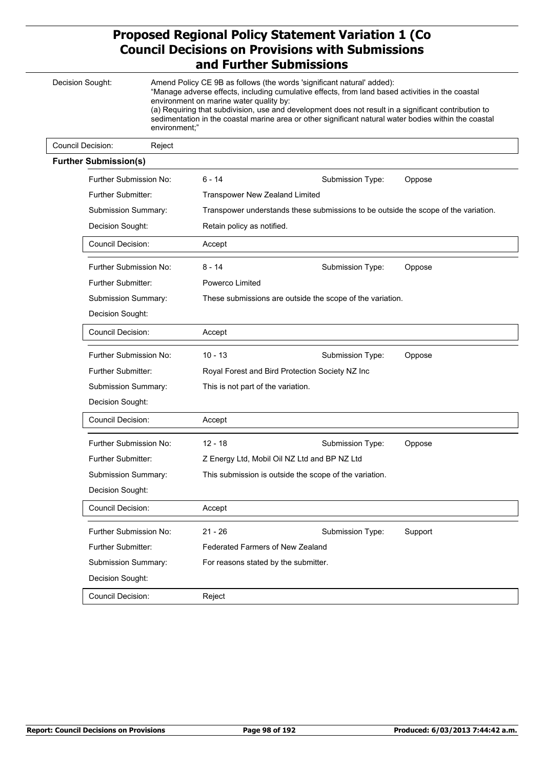|  | Decision Sought:<br>environment;"       |        | environment on marine water quality by:                   | Amend Policy CE 9B as follows (the words 'significant natural' added):<br>"Manage adverse effects, including cumulative effects, from land based activities in the coastal<br>(a) Requiring that subdivision, use and development does not result in a significant contribution to<br>sedimentation in the coastal marine area or other significant natural water bodies within the coastal |         |  |  |
|--|-----------------------------------------|--------|-----------------------------------------------------------|---------------------------------------------------------------------------------------------------------------------------------------------------------------------------------------------------------------------------------------------------------------------------------------------------------------------------------------------------------------------------------------------|---------|--|--|
|  | Council Decision:                       | Reject |                                                           |                                                                                                                                                                                                                                                                                                                                                                                             |         |  |  |
|  | <b>Further Submission(s)</b>            |        |                                                           |                                                                                                                                                                                                                                                                                                                                                                                             |         |  |  |
|  | Further Submission No:                  |        | 6 - 14                                                    | Submission Type:                                                                                                                                                                                                                                                                                                                                                                            | Oppose  |  |  |
|  | <b>Further Submitter:</b>               |        | <b>Transpower New Zealand Limited</b>                     |                                                                                                                                                                                                                                                                                                                                                                                             |         |  |  |
|  | Submission Summary:<br>Decision Sought: |        |                                                           | Transpower understands these submissions to be outside the scope of the variation.                                                                                                                                                                                                                                                                                                          |         |  |  |
|  |                                         |        |                                                           | Retain policy as notified.                                                                                                                                                                                                                                                                                                                                                                  |         |  |  |
|  | Council Decision:                       |        | Accept                                                    |                                                                                                                                                                                                                                                                                                                                                                                             |         |  |  |
|  | Further Submission No:                  |        | 8 - 14                                                    | Submission Type:                                                                                                                                                                                                                                                                                                                                                                            | Oppose  |  |  |
|  | <b>Further Submitter:</b>               |        | Powerco Limited                                           |                                                                                                                                                                                                                                                                                                                                                                                             |         |  |  |
|  | Submission Summary:                     |        | These submissions are outside the scope of the variation. |                                                                                                                                                                                                                                                                                                                                                                                             |         |  |  |
|  | Decision Sought:                        |        |                                                           |                                                                                                                                                                                                                                                                                                                                                                                             |         |  |  |
|  | Council Decision:                       |        | Accept                                                    |                                                                                                                                                                                                                                                                                                                                                                                             |         |  |  |
|  | Further Submission No:                  |        | $10 - 13$                                                 | Submission Type:                                                                                                                                                                                                                                                                                                                                                                            | Oppose  |  |  |
|  | Further Submitter:                      |        | Royal Forest and Bird Protection Society NZ Inc           |                                                                                                                                                                                                                                                                                                                                                                                             |         |  |  |
|  | Submission Summary:                     |        | This is not part of the variation.                        |                                                                                                                                                                                                                                                                                                                                                                                             |         |  |  |
|  | Decision Sought:                        |        |                                                           |                                                                                                                                                                                                                                                                                                                                                                                             |         |  |  |
|  | <b>Council Decision:</b>                |        | Accept                                                    |                                                                                                                                                                                                                                                                                                                                                                                             |         |  |  |
|  | Further Submission No:                  |        | $12 - 18$                                                 | Submission Type:                                                                                                                                                                                                                                                                                                                                                                            | Oppose  |  |  |
|  | Further Submitter:                      |        |                                                           | Z Energy Ltd, Mobil Oil NZ Ltd and BP NZ Ltd                                                                                                                                                                                                                                                                                                                                                |         |  |  |
|  | Submission Summary:                     |        |                                                           | This submission is outside the scope of the variation.                                                                                                                                                                                                                                                                                                                                      |         |  |  |
|  | Decision Sought:                        |        |                                                           |                                                                                                                                                                                                                                                                                                                                                                                             |         |  |  |
|  | Council Decision:                       |        | Accept                                                    |                                                                                                                                                                                                                                                                                                                                                                                             |         |  |  |
|  | Further Submission No:                  |        | $21 - 26$                                                 | Submission Type:                                                                                                                                                                                                                                                                                                                                                                            | Support |  |  |
|  | Further Submitter:                      |        | <b>Federated Farmers of New Zealand</b>                   |                                                                                                                                                                                                                                                                                                                                                                                             |         |  |  |
|  | Submission Summary:                     |        | For reasons stated by the submitter.                      |                                                                                                                                                                                                                                                                                                                                                                                             |         |  |  |
|  | Decision Sought:                        |        |                                                           |                                                                                                                                                                                                                                                                                                                                                                                             |         |  |  |
|  | Council Decision:                       |        | Reject                                                    |                                                                                                                                                                                                                                                                                                                                                                                             |         |  |  |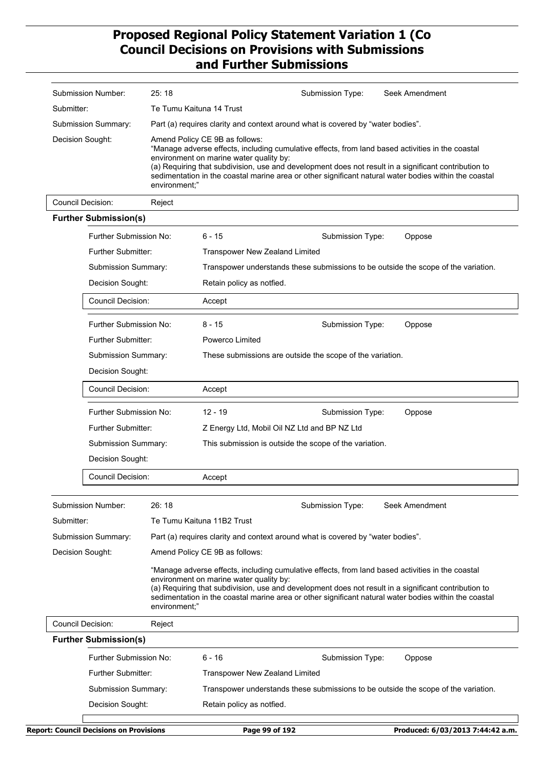| Submission Number:           | 25:18                                                                           |                                                                                                                                                                                                                                                                                                                                                                                                                 | Submission Type:                                       | Seek Amendment                                                                                                                                                                                                                                                                                                    |  |  |
|------------------------------|---------------------------------------------------------------------------------|-----------------------------------------------------------------------------------------------------------------------------------------------------------------------------------------------------------------------------------------------------------------------------------------------------------------------------------------------------------------------------------------------------------------|--------------------------------------------------------|-------------------------------------------------------------------------------------------------------------------------------------------------------------------------------------------------------------------------------------------------------------------------------------------------------------------|--|--|
| Submitter:                   |                                                                                 | Te Tumu Kaituna 14 Trust                                                                                                                                                                                                                                                                                                                                                                                        |                                                        |                                                                                                                                                                                                                                                                                                                   |  |  |
| Submission Summary:          | Part (a) requires clarity and context around what is covered by "water bodies". |                                                                                                                                                                                                                                                                                                                                                                                                                 |                                                        |                                                                                                                                                                                                                                                                                                                   |  |  |
| Decision Sought:             |                                                                                 | Amend Policy CE 9B as follows:<br>"Manage adverse effects, including cumulative effects, from land based activities in the coastal<br>environment on marine water quality by:<br>(a) Requiring that subdivision, use and development does not result in a significant contribution to<br>sedimentation in the coastal marine area or other significant natural water bodies within the coastal<br>environment;" |                                                        |                                                                                                                                                                                                                                                                                                                   |  |  |
| <b>Council Decision:</b>     | Reject                                                                          |                                                                                                                                                                                                                                                                                                                                                                                                                 |                                                        |                                                                                                                                                                                                                                                                                                                   |  |  |
| <b>Further Submission(s)</b> |                                                                                 |                                                                                                                                                                                                                                                                                                                                                                                                                 |                                                        |                                                                                                                                                                                                                                                                                                                   |  |  |
| Further Submission No:       |                                                                                 | 6 - 15                                                                                                                                                                                                                                                                                                                                                                                                          | Submission Type:                                       | Oppose                                                                                                                                                                                                                                                                                                            |  |  |
| Further Submitter:           |                                                                                 | <b>Transpower New Zealand Limited</b>                                                                                                                                                                                                                                                                                                                                                                           |                                                        |                                                                                                                                                                                                                                                                                                                   |  |  |
| Submission Summary:          |                                                                                 |                                                                                                                                                                                                                                                                                                                                                                                                                 |                                                        | Transpower understands these submissions to be outside the scope of the variation.                                                                                                                                                                                                                                |  |  |
| Decision Sought:             |                                                                                 | Retain policy as notfied.                                                                                                                                                                                                                                                                                                                                                                                       |                                                        |                                                                                                                                                                                                                                                                                                                   |  |  |
| <b>Council Decision:</b>     |                                                                                 | Accept                                                                                                                                                                                                                                                                                                                                                                                                          |                                                        |                                                                                                                                                                                                                                                                                                                   |  |  |
| Further Submission No:       |                                                                                 | $8 - 15$                                                                                                                                                                                                                                                                                                                                                                                                        | Submission Type:                                       | Oppose                                                                                                                                                                                                                                                                                                            |  |  |
| Further Submitter:           |                                                                                 | Powerco Limited                                                                                                                                                                                                                                                                                                                                                                                                 |                                                        |                                                                                                                                                                                                                                                                                                                   |  |  |
| Submission Summary:          |                                                                                 | These submissions are outside the scope of the variation.                                                                                                                                                                                                                                                                                                                                                       |                                                        |                                                                                                                                                                                                                                                                                                                   |  |  |
| Decision Sought:             |                                                                                 |                                                                                                                                                                                                                                                                                                                                                                                                                 |                                                        |                                                                                                                                                                                                                                                                                                                   |  |  |
| <b>Council Decision:</b>     |                                                                                 | Accept                                                                                                                                                                                                                                                                                                                                                                                                          |                                                        |                                                                                                                                                                                                                                                                                                                   |  |  |
| Further Submission No:       |                                                                                 | $12 - 19$                                                                                                                                                                                                                                                                                                                                                                                                       | Submission Type:                                       | Oppose                                                                                                                                                                                                                                                                                                            |  |  |
| <b>Further Submitter:</b>    |                                                                                 |                                                                                                                                                                                                                                                                                                                                                                                                                 | Z Energy Ltd, Mobil Oil NZ Ltd and BP NZ Ltd           |                                                                                                                                                                                                                                                                                                                   |  |  |
| Submission Summary:          |                                                                                 |                                                                                                                                                                                                                                                                                                                                                                                                                 | This submission is outside the scope of the variation. |                                                                                                                                                                                                                                                                                                                   |  |  |
| Decision Sought:             |                                                                                 |                                                                                                                                                                                                                                                                                                                                                                                                                 |                                                        |                                                                                                                                                                                                                                                                                                                   |  |  |
| Council Decision:            |                                                                                 | Accept                                                                                                                                                                                                                                                                                                                                                                                                          |                                                        |                                                                                                                                                                                                                                                                                                                   |  |  |
| Submission Number:           | 26:18                                                                           |                                                                                                                                                                                                                                                                                                                                                                                                                 | Submission Type:                                       | Seek Amendment                                                                                                                                                                                                                                                                                                    |  |  |
| Submitter:                   |                                                                                 | Te Tumu Kaituna 11B2 Trust                                                                                                                                                                                                                                                                                                                                                                                      |                                                        |                                                                                                                                                                                                                                                                                                                   |  |  |
| Submission Summary:          | Part (a) requires clarity and context around what is covered by "water bodies". |                                                                                                                                                                                                                                                                                                                                                                                                                 |                                                        |                                                                                                                                                                                                                                                                                                                   |  |  |
| Decision Sought:             |                                                                                 | Amend Policy CE 9B as follows:                                                                                                                                                                                                                                                                                                                                                                                  |                                                        |                                                                                                                                                                                                                                                                                                                   |  |  |
|                              | environment;"                                                                   | environment on marine water quality by:                                                                                                                                                                                                                                                                                                                                                                         |                                                        | "Manage adverse effects, including cumulative effects, from land based activities in the coastal<br>(a) Requiring that subdivision, use and development does not result in a significant contribution to<br>sedimentation in the coastal marine area or other significant natural water bodies within the coastal |  |  |
| <b>Council Decision:</b>     | Reject                                                                          |                                                                                                                                                                                                                                                                                                                                                                                                                 |                                                        |                                                                                                                                                                                                                                                                                                                   |  |  |
| <b>Further Submission(s)</b> |                                                                                 |                                                                                                                                                                                                                                                                                                                                                                                                                 |                                                        |                                                                                                                                                                                                                                                                                                                   |  |  |
| Further Submission No:       |                                                                                 | $6 - 16$                                                                                                                                                                                                                                                                                                                                                                                                        | Submission Type:                                       | Oppose                                                                                                                                                                                                                                                                                                            |  |  |
| Further Submitter:           |                                                                                 | <b>Transpower New Zealand Limited</b>                                                                                                                                                                                                                                                                                                                                                                           |                                                        |                                                                                                                                                                                                                                                                                                                   |  |  |
| Submission Summary:          |                                                                                 |                                                                                                                                                                                                                                                                                                                                                                                                                 |                                                        | Transpower understands these submissions to be outside the scope of the variation.                                                                                                                                                                                                                                |  |  |
| Decision Sought:             |                                                                                 | Retain policy as notfied.                                                                                                                                                                                                                                                                                                                                                                                       |                                                        |                                                                                                                                                                                                                                                                                                                   |  |  |
|                              |                                                                                 |                                                                                                                                                                                                                                                                                                                                                                                                                 |                                                        |                                                                                                                                                                                                                                                                                                                   |  |  |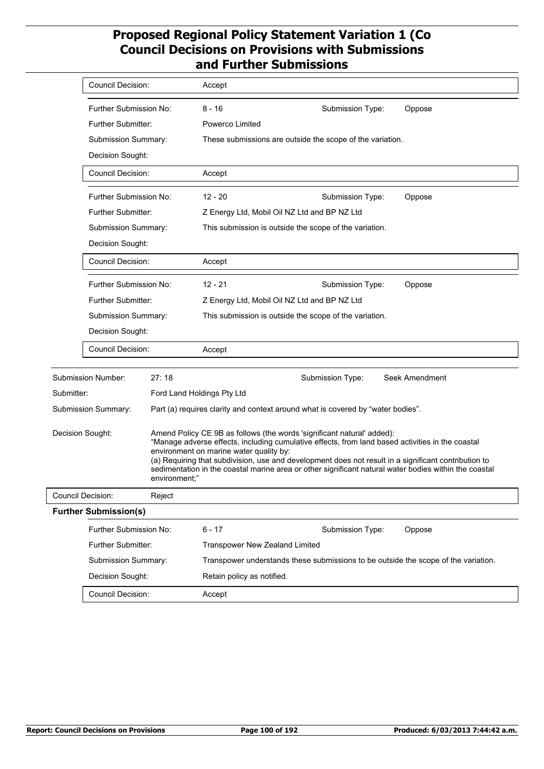|            | <b>Council Decision:</b>                                             |        | Accept                                                 |                                                                                                                                                                            |                                                                                                                                                                                                               |  |
|------------|----------------------------------------------------------------------|--------|--------------------------------------------------------|----------------------------------------------------------------------------------------------------------------------------------------------------------------------------|---------------------------------------------------------------------------------------------------------------------------------------------------------------------------------------------------------------|--|
|            | Further Submission No:                                               |        | $8 - 16$                                               | Submission Type:                                                                                                                                                           | Oppose                                                                                                                                                                                                        |  |
|            | <b>Further Submitter:</b><br>Submission Summary:<br>Decision Sought: |        | Powerco Limited                                        |                                                                                                                                                                            |                                                                                                                                                                                                               |  |
|            |                                                                      |        |                                                        | These submissions are outside the scope of the variation.                                                                                                                  |                                                                                                                                                                                                               |  |
|            |                                                                      |        |                                                        |                                                                                                                                                                            |                                                                                                                                                                                                               |  |
|            | <b>Council Decision:</b>                                             |        | Accept                                                 |                                                                                                                                                                            |                                                                                                                                                                                                               |  |
|            | Further Submission No:                                               |        | $12 - 20$                                              | Submission Type:                                                                                                                                                           | Oppose                                                                                                                                                                                                        |  |
|            | <b>Further Submitter:</b>                                            |        |                                                        | Z Energy Ltd, Mobil Oil NZ Ltd and BP NZ Ltd                                                                                                                               |                                                                                                                                                                                                               |  |
|            | Submission Summary:                                                  |        | This submission is outside the scope of the variation. |                                                                                                                                                                            |                                                                                                                                                                                                               |  |
|            | Decision Sought:                                                     |        |                                                        |                                                                                                                                                                            |                                                                                                                                                                                                               |  |
|            | Council Decision:                                                    |        | Accept                                                 |                                                                                                                                                                            |                                                                                                                                                                                                               |  |
|            | Further Submission No:                                               |        | $12 - 21$                                              | Submission Type:                                                                                                                                                           | Oppose                                                                                                                                                                                                        |  |
|            | Further Submitter:                                                   |        | Z Energy Ltd, Mobil Oil NZ Ltd and BP NZ Ltd           |                                                                                                                                                                            |                                                                                                                                                                                                               |  |
|            | Submission Summary:                                                  |        | This submission is outside the scope of the variation. |                                                                                                                                                                            |                                                                                                                                                                                                               |  |
|            | Decision Sought:                                                     |        |                                                        |                                                                                                                                                                            |                                                                                                                                                                                                               |  |
|            | <b>Council Decision:</b>                                             |        | Accept                                                 |                                                                                                                                                                            |                                                                                                                                                                                                               |  |
|            | <b>Submission Number:</b>                                            | 27:18  |                                                        | Submission Type:                                                                                                                                                           | Seek Amendment                                                                                                                                                                                                |  |
| Submitter: |                                                                      |        | Ford Land Holdings Pty Ltd                             |                                                                                                                                                                            |                                                                                                                                                                                                               |  |
|            | Submission Summary:                                                  |        |                                                        | Part (a) requires clarity and context around what is covered by "water bodies".                                                                                            |                                                                                                                                                                                                               |  |
|            | Decision Sought:<br>environment;"                                    |        | environment on marine water quality by:                | Amend Policy CE 9B as follows (the words 'significant natural' added):<br>"Manage adverse effects, including cumulative effects, from land based activities in the coastal | (a) Requiring that subdivision, use and development does not result in a significant contribution to<br>sedimentation in the coastal marine area or other significant natural water bodies within the coastal |  |
|            | Council Decision:                                                    | Reject |                                                        |                                                                                                                                                                            |                                                                                                                                                                                                               |  |
|            | <b>Further Submission(s)</b>                                         |        |                                                        |                                                                                                                                                                            |                                                                                                                                                                                                               |  |
|            | Further Submission No:                                               |        | $6 - 17$                                               | Submission Type:                                                                                                                                                           | Oppose                                                                                                                                                                                                        |  |
|            | Further Submitter:                                                   |        | <b>Transpower New Zealand Limited</b>                  |                                                                                                                                                                            |                                                                                                                                                                                                               |  |
|            | Submission Summary:                                                  |        |                                                        |                                                                                                                                                                            | Transpower understands these submissions to be outside the scope of the variation.                                                                                                                            |  |
|            | Decision Sought:                                                     |        | Retain policy as notified.                             |                                                                                                                                                                            |                                                                                                                                                                                                               |  |
|            | Council Decision:                                                    |        | Accept                                                 |                                                                                                                                                                            |                                                                                                                                                                                                               |  |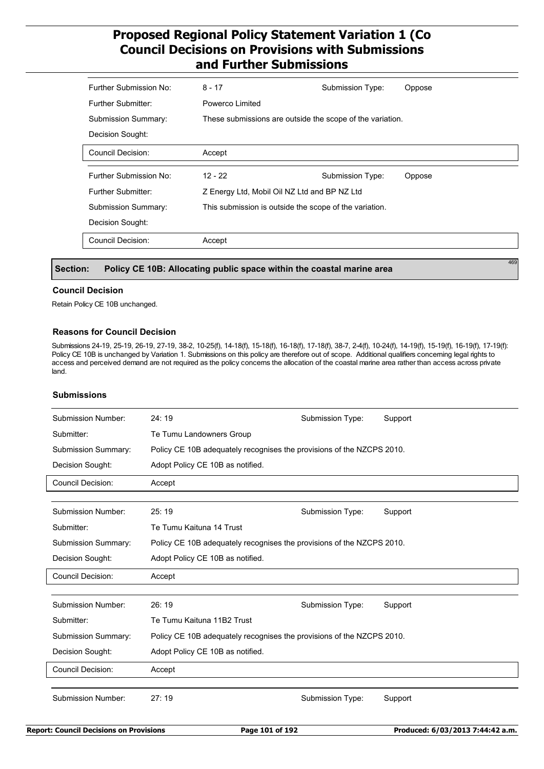| Further Submission No:     | $8 - 17$                                                  | Submission Type: | Oppose |  |  |  |
|----------------------------|-----------------------------------------------------------|------------------|--------|--|--|--|
| Further Submitter:         | Powerco Limited                                           |                  |        |  |  |  |
| <b>Submission Summary:</b> | These submissions are outside the scope of the variation. |                  |        |  |  |  |
| Decision Sought:           |                                                           |                  |        |  |  |  |
| <b>Council Decision:</b>   | Accept                                                    |                  |        |  |  |  |
|                            |                                                           |                  |        |  |  |  |
|                            |                                                           |                  |        |  |  |  |
| Further Submission No:     | $12 - 22$                                                 | Submission Type: | Oppose |  |  |  |
| <b>Further Submitter:</b>  | Z Energy Ltd, Mobil Oil NZ Ltd and BP NZ Ltd              |                  |        |  |  |  |
| <b>Submission Summary:</b> | This submission is outside the scope of the variation.    |                  |        |  |  |  |
| Decision Sought:           |                                                           |                  |        |  |  |  |
|                            |                                                           |                  |        |  |  |  |

#### **Section: Policy CE 10B: Allocating public space within the coastal marine area**

#### **Council Decision**

Retain Policy CE 10B unchanged.

#### **Reasons for Council Decision**

Submissions 24-19, 25-19, 26-19, 27-19, 38-2, 10-25(f), 14-18(f), 15-18(f), 16-18(f), 17-18(f), 38-7, 2-4(f), 10-24(f), 14-19(f), 15-19(f), 16-19(f), 17-19(f): Policy CE 10B is unchanged by Variation 1. Submissions on this policy are therefore out of scope. Additional qualifiers concerning legal rights to access and perceived demand are not required as the policy concerns the allocation of the coastal marine area rather than access across private land.

#### **Submissions**

| Submission Number:                                                                           | 24:19                                                                 | Submission Type: | Support |  |  |  |
|----------------------------------------------------------------------------------------------|-----------------------------------------------------------------------|------------------|---------|--|--|--|
| Submitter:                                                                                   | Te Tumu Landowners Group                                              |                  |         |  |  |  |
| Submission Summary:<br>Policy CE 10B adequately recognises the provisions of the NZCPS 2010. |                                                                       |                  |         |  |  |  |
| Decision Sought:                                                                             | Adopt Policy CE 10B as notified.                                      |                  |         |  |  |  |
| <b>Council Decision:</b>                                                                     | Accept                                                                |                  |         |  |  |  |
|                                                                                              |                                                                       |                  |         |  |  |  |
| Submission Number:                                                                           | 25:19                                                                 | Submission Type: | Support |  |  |  |
| Submitter:                                                                                   | Te Tumu Kaituna 14 Trust                                              |                  |         |  |  |  |
| <b>Submission Summary:</b>                                                                   | Policy CE 10B adequately recognises the provisions of the NZCPS 2010. |                  |         |  |  |  |
| Decision Sought:                                                                             | Adopt Policy CE 10B as notified.                                      |                  |         |  |  |  |
| <b>Council Decision:</b>                                                                     | Accept                                                                |                  |         |  |  |  |
| Submission Number:                                                                           | 26:19                                                                 | Submission Type: | Support |  |  |  |
| Submitter:                                                                                   | Te Tumu Kaituna 11B2 Trust                                            |                  |         |  |  |  |
| <b>Submission Summary:</b>                                                                   | Policy CE 10B adequately recognises the provisions of the NZCPS 2010. |                  |         |  |  |  |
| Decision Sought:                                                                             | Adopt Policy CE 10B as notified.                                      |                  |         |  |  |  |
| <b>Council Decision:</b>                                                                     | Accept                                                                |                  |         |  |  |  |
| Submission Number:                                                                           | 27:19                                                                 | Submission Type: | Support |  |  |  |
|                                                                                              |                                                                       |                  |         |  |  |  |

469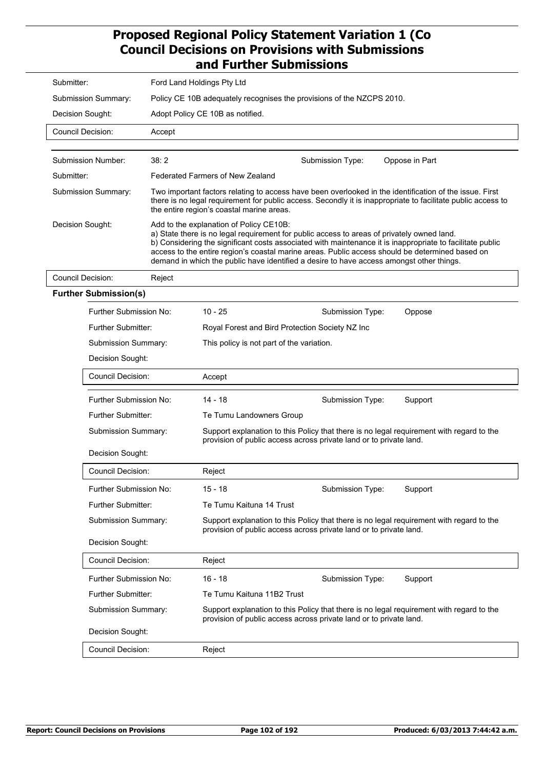| Submitter:                    | Ford Land Holdings Pty Ltd                                            |                                                                                                                                                                                                                                                                                                                                                                                                                                                   |                  |                                                                                          |  |  |  |
|-------------------------------|-----------------------------------------------------------------------|---------------------------------------------------------------------------------------------------------------------------------------------------------------------------------------------------------------------------------------------------------------------------------------------------------------------------------------------------------------------------------------------------------------------------------------------------|------------------|------------------------------------------------------------------------------------------|--|--|--|
| Submission Summary:           | Policy CE 10B adequately recognises the provisions of the NZCPS 2010. |                                                                                                                                                                                                                                                                                                                                                                                                                                                   |                  |                                                                                          |  |  |  |
| Decision Sought:              |                                                                       | Adopt Policy CE 10B as notified.                                                                                                                                                                                                                                                                                                                                                                                                                  |                  |                                                                                          |  |  |  |
| Council Decision:             | Accept                                                                |                                                                                                                                                                                                                                                                                                                                                                                                                                                   |                  |                                                                                          |  |  |  |
|                               |                                                                       |                                                                                                                                                                                                                                                                                                                                                                                                                                                   |                  |                                                                                          |  |  |  |
| Submission Number:            | 38:2                                                                  |                                                                                                                                                                                                                                                                                                                                                                                                                                                   | Submission Type: | Oppose in Part                                                                           |  |  |  |
| Submitter:                    |                                                                       | Federated Farmers of New Zealand                                                                                                                                                                                                                                                                                                                                                                                                                  |                  |                                                                                          |  |  |  |
| Submission Summary:           |                                                                       | Two important factors relating to access have been overlooked in the identification of the issue. First<br>there is no legal requirement for public access. Secondly it is inappropriate to facilitate public access to<br>the entire region's coastal marine areas.                                                                                                                                                                              |                  |                                                                                          |  |  |  |
| Decision Sought:              |                                                                       | Add to the explanation of Policy CE10B:<br>a) State there is no legal requirement for public access to areas of privately owned land.<br>b) Considering the significant costs associated with maintenance it is inappropriate to facilitate public<br>access to the entire region's coastal marine areas. Public access should be determined based on<br>demand in which the public have identified a desire to have access amongst other things. |                  |                                                                                          |  |  |  |
| <b>Council Decision:</b>      | Reject                                                                |                                                                                                                                                                                                                                                                                                                                                                                                                                                   |                  |                                                                                          |  |  |  |
| <b>Further Submission(s)</b>  |                                                                       |                                                                                                                                                                                                                                                                                                                                                                                                                                                   |                  |                                                                                          |  |  |  |
| <b>Further Submission No:</b> |                                                                       | $10 - 25$                                                                                                                                                                                                                                                                                                                                                                                                                                         | Submission Type: | Oppose                                                                                   |  |  |  |
| <b>Further Submitter:</b>     |                                                                       | Royal Forest and Bird Protection Society NZ Inc                                                                                                                                                                                                                                                                                                                                                                                                   |                  |                                                                                          |  |  |  |
| Submission Summary:           |                                                                       | This policy is not part of the variation.                                                                                                                                                                                                                                                                                                                                                                                                         |                  |                                                                                          |  |  |  |
| Decision Sought:              |                                                                       |                                                                                                                                                                                                                                                                                                                                                                                                                                                   |                  |                                                                                          |  |  |  |
| Council Decision:             |                                                                       | Accept                                                                                                                                                                                                                                                                                                                                                                                                                                            |                  |                                                                                          |  |  |  |
| <b>Further Submission No:</b> |                                                                       | $14 - 18$                                                                                                                                                                                                                                                                                                                                                                                                                                         | Submission Type: | Support                                                                                  |  |  |  |
| Further Submitter:            |                                                                       | Te Tumu Landowners Group                                                                                                                                                                                                                                                                                                                                                                                                                          |                  |                                                                                          |  |  |  |
| Submission Summary:           |                                                                       | Support explanation to this Policy that there is no legal requirement with regard to the<br>provision of public access across private land or to private land.                                                                                                                                                                                                                                                                                    |                  |                                                                                          |  |  |  |
| Decision Sought:              |                                                                       |                                                                                                                                                                                                                                                                                                                                                                                                                                                   |                  |                                                                                          |  |  |  |
| <b>Council Decision:</b>      |                                                                       | Reject                                                                                                                                                                                                                                                                                                                                                                                                                                            |                  |                                                                                          |  |  |  |
| Further Submission No:        |                                                                       | 15 - 18                                                                                                                                                                                                                                                                                                                                                                                                                                           | Submission Type: | Support                                                                                  |  |  |  |
| Further Submitter:            |                                                                       | Te Tumu Kaituna 14 Trust                                                                                                                                                                                                                                                                                                                                                                                                                          |                  |                                                                                          |  |  |  |
| Submission Summary:           |                                                                       | Support explanation to this Policy that there is no legal requirement with regard to the<br>provision of public access across private land or to private land.                                                                                                                                                                                                                                                                                    |                  |                                                                                          |  |  |  |
| Decision Sought:              |                                                                       |                                                                                                                                                                                                                                                                                                                                                                                                                                                   |                  |                                                                                          |  |  |  |
| <b>Council Decision:</b>      |                                                                       | Reject                                                                                                                                                                                                                                                                                                                                                                                                                                            |                  |                                                                                          |  |  |  |
| Further Submission No:        |                                                                       | $16 - 18$                                                                                                                                                                                                                                                                                                                                                                                                                                         | Submission Type: | Support                                                                                  |  |  |  |
| Further Submitter:            |                                                                       | Te Tumu Kaituna 11B2 Trust                                                                                                                                                                                                                                                                                                                                                                                                                        |                  |                                                                                          |  |  |  |
| Submission Summary:           |                                                                       | provision of public access across private land or to private land.                                                                                                                                                                                                                                                                                                                                                                                |                  | Support explanation to this Policy that there is no legal requirement with regard to the |  |  |  |
| Decision Sought:              |                                                                       |                                                                                                                                                                                                                                                                                                                                                                                                                                                   |                  |                                                                                          |  |  |  |
| Council Decision:             |                                                                       | Reject                                                                                                                                                                                                                                                                                                                                                                                                                                            |                  |                                                                                          |  |  |  |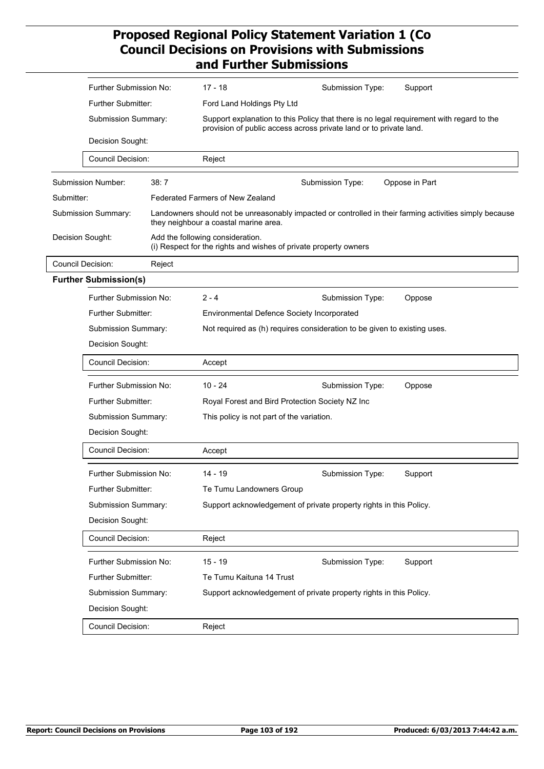|                            | Further Submission No:<br>Further Submitter:<br>Submission Summary:<br>Decision Sought:<br><b>Council Decision:</b>                                                                                                                                                                                                                                                              |        |                                                                                                                                                                |                                    |  |
|----------------------------|----------------------------------------------------------------------------------------------------------------------------------------------------------------------------------------------------------------------------------------------------------------------------------------------------------------------------------------------------------------------------------|--------|----------------------------------------------------------------------------------------------------------------------------------------------------------------|------------------------------------|--|
|                            |                                                                                                                                                                                                                                                                                                                                                                                  |        | 17 - 18                                                                                                                                                        | Submission Type:<br>Support        |  |
|                            |                                                                                                                                                                                                                                                                                                                                                                                  |        | Ford Land Holdings Pty Ltd                                                                                                                                     |                                    |  |
|                            |                                                                                                                                                                                                                                                                                                                                                                                  |        | Support explanation to this Policy that there is no legal requirement with regard to the<br>provision of public access across private land or to private land. |                                    |  |
|                            |                                                                                                                                                                                                                                                                                                                                                                                  |        |                                                                                                                                                                |                                    |  |
|                            |                                                                                                                                                                                                                                                                                                                                                                                  |        | Reject                                                                                                                                                         |                                    |  |
| Submission Number:<br>38:7 |                                                                                                                                                                                                                                                                                                                                                                                  |        |                                                                                                                                                                | Submission Type:<br>Oppose in Part |  |
| Submitter:                 |                                                                                                                                                                                                                                                                                                                                                                                  |        | <b>Federated Farmers of New Zealand</b>                                                                                                                        |                                    |  |
| Submission Summary:        |                                                                                                                                                                                                                                                                                                                                                                                  |        | Landowners should not be unreasonably impacted or controlled in their farming activities simply because<br>they neighbour a coastal marine area.               |                                    |  |
| Decision Sought:           |                                                                                                                                                                                                                                                                                                                                                                                  |        | Add the following consideration.<br>(i) Respect for the rights and wishes of private property owners                                                           |                                    |  |
| <b>Council Decision:</b>   |                                                                                                                                                                                                                                                                                                                                                                                  | Reject |                                                                                                                                                                |                                    |  |
|                            | <b>Further Submission(s)</b>                                                                                                                                                                                                                                                                                                                                                     |        |                                                                                                                                                                |                                    |  |
|                            | Further Submission No:                                                                                                                                                                                                                                                                                                                                                           |        | $2 - 4$                                                                                                                                                        | Submission Type:<br>Oppose         |  |
|                            | Further Submitter:<br>Submission Summary:<br>Decision Sought:<br><b>Council Decision:</b><br>Further Submission No:<br>Further Submitter:<br>Submission Summary:<br>Decision Sought:<br><b>Council Decision:</b><br>Further Submission No:<br>Further Submitter:<br>Submission Summary:<br>Decision Sought:<br>Council Decision:<br>Further Submission No:<br>Further Submitter: |        | Environmental Defence Society Incorporated                                                                                                                     |                                    |  |
|                            |                                                                                                                                                                                                                                                                                                                                                                                  |        | Not required as (h) requires consideration to be given to existing uses.                                                                                       |                                    |  |
|                            |                                                                                                                                                                                                                                                                                                                                                                                  |        |                                                                                                                                                                |                                    |  |
|                            |                                                                                                                                                                                                                                                                                                                                                                                  |        | Accept                                                                                                                                                         |                                    |  |
|                            |                                                                                                                                                                                                                                                                                                                                                                                  |        | $10 - 24$                                                                                                                                                      | Submission Type:<br>Oppose         |  |
|                            |                                                                                                                                                                                                                                                                                                                                                                                  |        | Royal Forest and Bird Protection Society NZ Inc<br>This policy is not part of the variation.                                                                   |                                    |  |
|                            |                                                                                                                                                                                                                                                                                                                                                                                  |        |                                                                                                                                                                |                                    |  |
|                            |                                                                                                                                                                                                                                                                                                                                                                                  |        |                                                                                                                                                                |                                    |  |
|                            |                                                                                                                                                                                                                                                                                                                                                                                  |        | Accept                                                                                                                                                         |                                    |  |
|                            |                                                                                                                                                                                                                                                                                                                                                                                  |        | 14 - 19                                                                                                                                                        | Submission Type:<br>Support        |  |
|                            |                                                                                                                                                                                                                                                                                                                                                                                  |        | Te Tumu Landowners Group                                                                                                                                       |                                    |  |
|                            |                                                                                                                                                                                                                                                                                                                                                                                  |        | Support acknowledgement of private property rights in this Policy.                                                                                             |                                    |  |
|                            |                                                                                                                                                                                                                                                                                                                                                                                  |        |                                                                                                                                                                |                                    |  |
|                            |                                                                                                                                                                                                                                                                                                                                                                                  |        | Reject                                                                                                                                                         |                                    |  |
|                            |                                                                                                                                                                                                                                                                                                                                                                                  |        | $15 - 19$                                                                                                                                                      | Submission Type:<br>Support        |  |
|                            |                                                                                                                                                                                                                                                                                                                                                                                  |        | Te Tumu Kaituna 14 Trust                                                                                                                                       |                                    |  |
|                            | Submission Summary:                                                                                                                                                                                                                                                                                                                                                              |        | Support acknowledgement of private property rights in this Policy.                                                                                             |                                    |  |
|                            | Decision Sought:                                                                                                                                                                                                                                                                                                                                                                 |        |                                                                                                                                                                |                                    |  |
|                            | Council Decision:                                                                                                                                                                                                                                                                                                                                                                |        | Reject                                                                                                                                                         |                                    |  |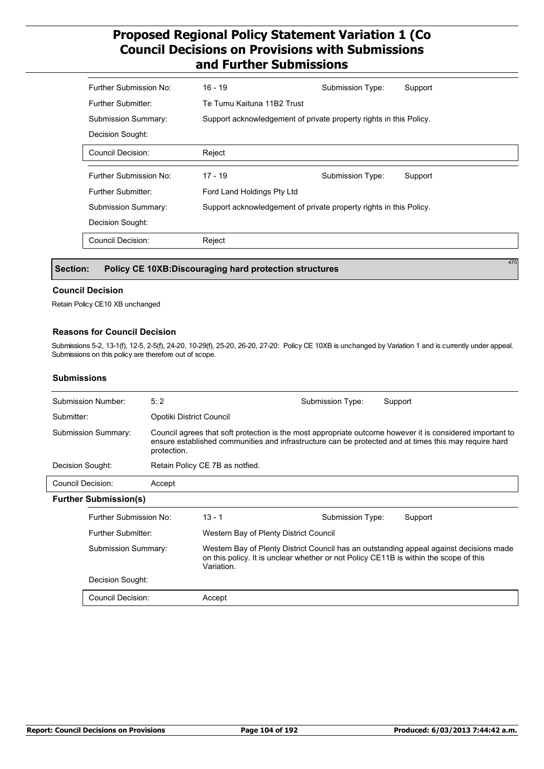| Further Submission No:     | $16 - 19$                                                          | Submission Type: | Support |  |  |
|----------------------------|--------------------------------------------------------------------|------------------|---------|--|--|
| Further Submitter:         | Te Tumu Kaituna 11B2 Trust                                         |                  |         |  |  |
| <b>Submission Summary:</b> | Support acknowledgement of private property rights in this Policy. |                  |         |  |  |
| Decision Sought:           |                                                                    |                  |         |  |  |
| <b>Council Decision:</b>   | Reject                                                             |                  |         |  |  |
|                            |                                                                    |                  |         |  |  |
|                            |                                                                    |                  |         |  |  |
| Further Submission No:     | $17 - 19$                                                          | Submission Type: | Support |  |  |
| Further Submitter:         | Ford Land Holdings Pty Ltd                                         |                  |         |  |  |
| Submission Summary:        | Support acknowledgement of private property rights in this Policy. |                  |         |  |  |
| Decision Sought:           |                                                                    |                  |         |  |  |
| <b>Council Decision:</b>   | Reject                                                             |                  |         |  |  |

 **Section: Policy CE 10XB:Discouraging hard protection structures**

#### **Council Decision**

Retain Policy CE10 XB unchanged

#### **Reasons for Council Decision**

Submissions 5-2, 13-1(f), 12-5, 2-5(f), 24-20, 10-29(f), 25-20, 26-20, 27-20: Policy CE 10XB is unchanged by Variation 1 and is currently under appeal. Submissions on this policy are therefore out of scope.

#### **Submissions**

| <b>Submission Number:</b>    |                     | 5:2                                                                                                                                                                                                                               |                                                                                                                                                                                                | Submission Type: | Support |  |
|------------------------------|---------------------|-----------------------------------------------------------------------------------------------------------------------------------------------------------------------------------------------------------------------------------|------------------------------------------------------------------------------------------------------------------------------------------------------------------------------------------------|------------------|---------|--|
| Submitter:                   |                     | Opotiki District Council                                                                                                                                                                                                          |                                                                                                                                                                                                |                  |         |  |
| Submission Summary:          |                     | Council agrees that soft protection is the most appropriate outcome however it is considered important to<br>ensure established communities and infrastructure can be protected and at times this may require hard<br>protection. |                                                                                                                                                                                                |                  |         |  |
| Decision Sought:             |                     |                                                                                                                                                                                                                                   | Retain Policy CE 7B as not fied.                                                                                                                                                               |                  |         |  |
| Council Decision:            |                     | Accept                                                                                                                                                                                                                            |                                                                                                                                                                                                |                  |         |  |
| <b>Further Submission(s)</b> |                     |                                                                                                                                                                                                                                   |                                                                                                                                                                                                |                  |         |  |
| Further Submission No:       |                     |                                                                                                                                                                                                                                   | $13 - 1$                                                                                                                                                                                       | Submission Type: | Support |  |
|                              | Further Submitter:  |                                                                                                                                                                                                                                   | Western Bay of Plenty District Council                                                                                                                                                         |                  |         |  |
|                              | Submission Summary: |                                                                                                                                                                                                                                   | Western Bay of Plenty District Council has an outstanding appeal against decisions made<br>on this policy. It is unclear whether or not Policy CE11B is within the scope of this<br>Variation. |                  |         |  |
|                              | Decision Sought:    |                                                                                                                                                                                                                                   |                                                                                                                                                                                                |                  |         |  |
|                              | Council Decision:   |                                                                                                                                                                                                                                   | Accept                                                                                                                                                                                         |                  |         |  |

470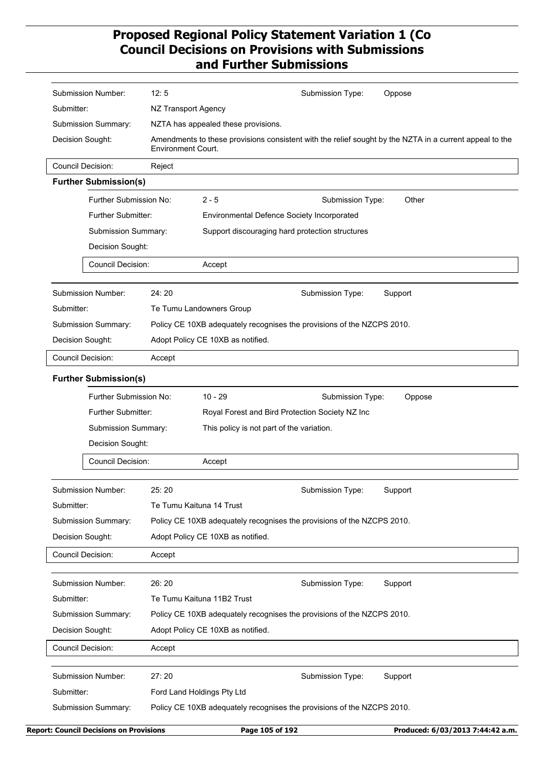| Submission Number:                                                                      | 12:5<br>Submission Type:<br>Oppose                                                                                                      |  |  |  |  |
|-----------------------------------------------------------------------------------------|-----------------------------------------------------------------------------------------------------------------------------------------|--|--|--|--|
| Submitter:                                                                              | NZ Transport Agency                                                                                                                     |  |  |  |  |
| Submission Summary:                                                                     | NZTA has appealed these provisions.                                                                                                     |  |  |  |  |
| Decision Sought:                                                                        | Amendments to these provisions consistent with the relief sought by the NZTA in a current appeal to the<br><b>Environment Court.</b>    |  |  |  |  |
| <b>Council Decision:</b>                                                                | Reject                                                                                                                                  |  |  |  |  |
| <b>Further Submission(s)</b>                                                            |                                                                                                                                         |  |  |  |  |
| Further Submission No:                                                                  | $2 - 5$<br>Other<br>Submission Type:                                                                                                    |  |  |  |  |
| Further Submitter:                                                                      | Environmental Defence Society Incorporated                                                                                              |  |  |  |  |
| Submission Summary:                                                                     | Support discouraging hard protection structures                                                                                         |  |  |  |  |
| Decision Sought:                                                                        |                                                                                                                                         |  |  |  |  |
| <b>Council Decision:</b>                                                                | Accept                                                                                                                                  |  |  |  |  |
| Submission Number:                                                                      | 24:20<br>Submission Type:<br>Support                                                                                                    |  |  |  |  |
| Submitter:                                                                              | Te Tumu Landowners Group                                                                                                                |  |  |  |  |
| Submission Summary:                                                                     | Policy CE 10XB adequately recognises the provisions of the NZCPS 2010.                                                                  |  |  |  |  |
| Decision Sought:                                                                        | Adopt Policy CE 10XB as notified.                                                                                                       |  |  |  |  |
| <b>Council Decision:</b>                                                                | Accept                                                                                                                                  |  |  |  |  |
| Further Submission No:<br>Further Submitter:<br>Submission Summary:<br>Decision Sought: | $10 - 29$<br>Submission Type:<br>Oppose<br>Royal Forest and Bird Protection Society NZ Inc<br>This policy is not part of the variation. |  |  |  |  |
| <b>Council Decision:</b>                                                                | Accept                                                                                                                                  |  |  |  |  |
| Submission Number:                                                                      | 25:20<br>Submission Type:<br>Support                                                                                                    |  |  |  |  |
| Submitter:                                                                              | Te Tumu Kaituna 14 Trust                                                                                                                |  |  |  |  |
| Submission Summary:                                                                     | Policy CE 10XB adequately recognises the provisions of the NZCPS 2010.                                                                  |  |  |  |  |
| Decision Sought:                                                                        | Adopt Policy CE 10XB as notified.                                                                                                       |  |  |  |  |
| <b>Council Decision:</b>                                                                | Accept                                                                                                                                  |  |  |  |  |
| Submission Number:                                                                      | 26:20<br>Support<br>Submission Type:                                                                                                    |  |  |  |  |
| Submitter:                                                                              | Te Tumu Kaituna 11B2 Trust                                                                                                              |  |  |  |  |
| Submission Summary:                                                                     | Policy CE 10XB adequately recognises the provisions of the NZCPS 2010.                                                                  |  |  |  |  |
| Decision Sought:                                                                        | Adopt Policy CE 10XB as notified.                                                                                                       |  |  |  |  |
| <b>Council Decision:</b>                                                                | Accept                                                                                                                                  |  |  |  |  |
| <b>Submission Number:</b>                                                               | 27:20<br>Submission Type:<br>Support                                                                                                    |  |  |  |  |
| Submitter:                                                                              | Ford Land Holdings Pty Ltd                                                                                                              |  |  |  |  |
| Submission Summary:                                                                     | Policy CE 10XB adequately recognises the provisions of the NZCPS 2010.                                                                  |  |  |  |  |
| <b>Report: Council Decisions on Provisions</b>                                          | Page 105 of 192<br>Produced: 6/03/2013 7:44:42 a.m.                                                                                     |  |  |  |  |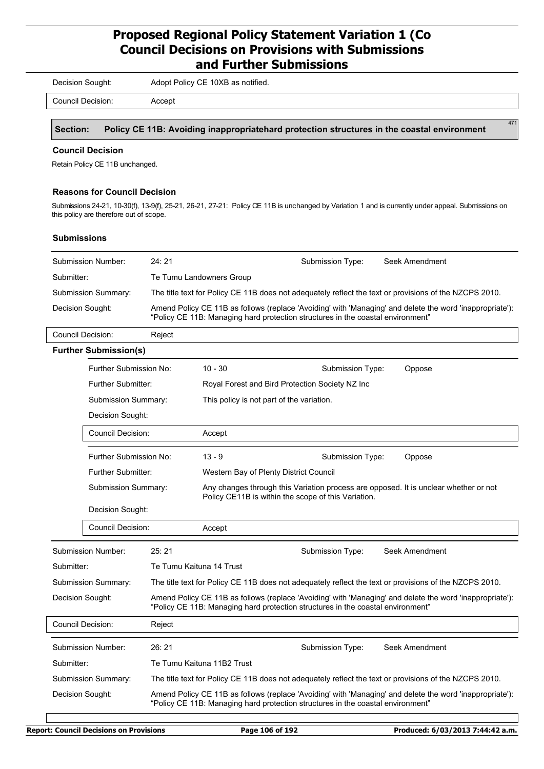Decision Sought: Adopt Policy CE 10XB as notified.

Council Decision: Accept

 **Section: Policy CE 11B: Avoiding inappropriatehard protection structures in the coastal environment**

#### **Council Decision**

Retain Policy CE 11B unchanged.

#### **Reasons for Council Decision**

Submissions 24-21, 10-30(f), 13-9(f), 25-21, 26-21, 27-21: Policy CE 11B is unchanged by Variation 1 and is currently under appeal. Submissions on this policy are therefore out of scope.

#### **Submissions**

| Submission Number:            |                                                                     | 24:21                                                                                                                                                                                       |                                                                                                                                             | Submission Type: | Seek Amendment                                                                                         |  |  |
|-------------------------------|---------------------------------------------------------------------|---------------------------------------------------------------------------------------------------------------------------------------------------------------------------------------------|---------------------------------------------------------------------------------------------------------------------------------------------|------------------|--------------------------------------------------------------------------------------------------------|--|--|
| Submitter:                    |                                                                     |                                                                                                                                                                                             | Te Tumu Landowners Group                                                                                                                    |                  |                                                                                                        |  |  |
| Submission Summary:           |                                                                     |                                                                                                                                                                                             |                                                                                                                                             |                  | The title text for Policy CE 11B does not adequately reflect the text or provisions of the NZCPS 2010. |  |  |
| Decision Sought:              |                                                                     | Amend Policy CE 11B as follows (replace 'Avoiding' with 'Managing' and delete the word 'inappropriate'):<br>"Policy CE 11B: Managing hard protection structures in the coastal environment" |                                                                                                                                             |                  |                                                                                                        |  |  |
| Council Decision:             |                                                                     | Reject                                                                                                                                                                                      |                                                                                                                                             |                  |                                                                                                        |  |  |
| <b>Further Submission(s)</b>  |                                                                     |                                                                                                                                                                                             |                                                                                                                                             |                  |                                                                                                        |  |  |
| <b>Further Submission No:</b> |                                                                     |                                                                                                                                                                                             | $10 - 30$                                                                                                                                   | Submission Type: | Oppose                                                                                                 |  |  |
| <b>Further Submitter:</b>     |                                                                     |                                                                                                                                                                                             | Royal Forest and Bird Protection Society NZ Inc                                                                                             |                  |                                                                                                        |  |  |
| Submission Summary:           |                                                                     | This policy is not part of the variation.                                                                                                                                                   |                                                                                                                                             |                  |                                                                                                        |  |  |
|                               | Decision Sought:                                                    |                                                                                                                                                                                             |                                                                                                                                             |                  |                                                                                                        |  |  |
|                               | Council Decision:                                                   |                                                                                                                                                                                             | Accept                                                                                                                                      |                  |                                                                                                        |  |  |
|                               | Further Submission No:                                              |                                                                                                                                                                                             | $13 - 9$                                                                                                                                    | Submission Type: | Oppose                                                                                                 |  |  |
| <b>Further Submitter:</b>     |                                                                     |                                                                                                                                                                                             | Western Bay of Plenty District Council                                                                                                      |                  |                                                                                                        |  |  |
|                               | <b>Submission Summary:</b><br>Decision Sought:<br>Council Decision: |                                                                                                                                                                                             | Any changes through this Variation process are opposed. It is unclear whether or not<br>Policy CE11B is within the scope of this Variation. |                  |                                                                                                        |  |  |
|                               |                                                                     |                                                                                                                                                                                             |                                                                                                                                             |                  |                                                                                                        |  |  |
|                               |                                                                     |                                                                                                                                                                                             | Accept                                                                                                                                      |                  |                                                                                                        |  |  |
| <b>Submission Number:</b>     |                                                                     | 25:21                                                                                                                                                                                       |                                                                                                                                             | Submission Type: | Seek Amendment                                                                                         |  |  |
| Submitter:                    |                                                                     | Te Tumu Kaituna 14 Trust                                                                                                                                                                    |                                                                                                                                             |                  |                                                                                                        |  |  |
| <b>Submission Summary:</b>    |                                                                     | The title text for Policy CE 11B does not adequately reflect the text or provisions of the NZCPS 2010.                                                                                      |                                                                                                                                             |                  |                                                                                                        |  |  |
| Decision Sought:              |                                                                     | Amend Policy CE 11B as follows (replace 'Avoiding' with 'Managing' and delete the word 'inappropriate'):<br>"Policy CE 11B: Managing hard protection structures in the coastal environment" |                                                                                                                                             |                  |                                                                                                        |  |  |
| <b>Council Decision:</b>      |                                                                     | Reject                                                                                                                                                                                      |                                                                                                                                             |                  |                                                                                                        |  |  |
| <b>Submission Number:</b>     |                                                                     | 26:21                                                                                                                                                                                       |                                                                                                                                             | Submission Type: | Seek Amendment                                                                                         |  |  |
| Submitter:                    |                                                                     | Te Tumu Kaituna 11B2 Trust                                                                                                                                                                  |                                                                                                                                             |                  |                                                                                                        |  |  |
| Submission Summary:           |                                                                     | The title text for Policy CE 11B does not adequately reflect the text or provisions of the NZCPS 2010.                                                                                      |                                                                                                                                             |                  |                                                                                                        |  |  |
| Decision Sought:              |                                                                     | Amend Policy CE 11B as follows (replace 'Avoiding' with 'Managing' and delete the word 'inappropriate'):<br>"Policy CE 11B: Managing hard protection structures in the coastal environment" |                                                                                                                                             |                  |                                                                                                        |  |  |
|                               |                                                                     |                                                                                                                                                                                             |                                                                                                                                             |                  |                                                                                                        |  |  |

471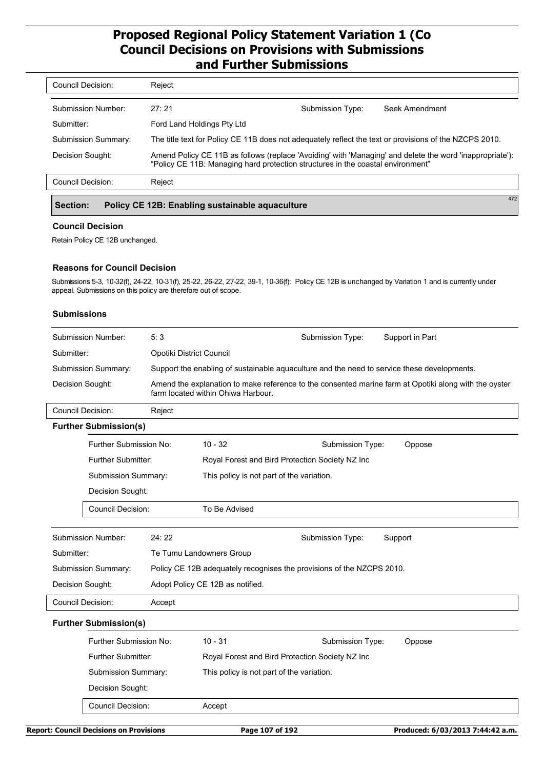| Council Decision:   | Reject                                                                                                                                                                                      |                  |                |
|---------------------|---------------------------------------------------------------------------------------------------------------------------------------------------------------------------------------------|------------------|----------------|
| Submission Number:  | 27:21                                                                                                                                                                                       | Submission Type: | Seek Amendment |
| Submitter:          | Ford Land Holdings Pty Ltd                                                                                                                                                                  |                  |                |
| Submission Summary: | The title text for Policy CE 11B does not adequately reflect the text or provisions of the NZCPS 2010.                                                                                      |                  |                |
| Decision Sought:    | Amend Policy CE 11B as follows (replace 'Avoiding' with 'Managing' and delete the word 'inappropriate'):<br>"Policy CE 11B: Managing hard protection structures in the coastal environment" |                  |                |
| Council Decision:   | Reject                                                                                                                                                                                      |                  |                |
|                     |                                                                                                                                                                                             |                  | 472            |

## **Section: Policy CE 12B: Enabling sustainable aquaculture**

### **Council Decision**

Retain Policy CE 12B unchanged.

### **Reasons for Council Decision**

Submissions 5-3, 10-32(f), 24-22, 10-31(f), 25-22, 26-22, 27-22, 39-1, 10-36(f): Policy CE 12B is unchanged by Variation 1 and is currently under appeal. Submissions on this policy are therefore out of scope.

### **Submissions**

|                                                                                                                                                                 | Submission Number:            | 5:3                      |                                                                                             | Submission Type: | Support in Part |
|-----------------------------------------------------------------------------------------------------------------------------------------------------------------|-------------------------------|--------------------------|---------------------------------------------------------------------------------------------|------------------|-----------------|
| Submitter:                                                                                                                                                      |                               | Opotiki District Council |                                                                                             |                  |                 |
|                                                                                                                                                                 | <b>Submission Summary:</b>    |                          | Support the enabling of sustainable aquaculture and the need to service these developments. |                  |                 |
| Decision Sought:<br>Amend the explanation to make reference to the consented marine farm at Opotiki along with the oyster<br>farm located within Ohiwa Harbour. |                               |                          |                                                                                             |                  |                 |
|                                                                                                                                                                 | <b>Council Decision:</b>      | Reject                   |                                                                                             |                  |                 |
|                                                                                                                                                                 | <b>Further Submission(s)</b>  |                          |                                                                                             |                  |                 |
|                                                                                                                                                                 | <b>Further Submission No:</b> |                          | $10 - 32$                                                                                   | Submission Type: | Oppose          |
|                                                                                                                                                                 | <b>Further Submitter:</b>     |                          | Royal Forest and Bird Protection Society NZ Inc                                             |                  |                 |
|                                                                                                                                                                 | Submission Summary:           |                          | This policy is not part of the variation.                                                   |                  |                 |
|                                                                                                                                                                 | Decision Sought:              |                          |                                                                                             |                  |                 |
|                                                                                                                                                                 | Council Decision:             |                          | To Be Advised                                                                               |                  |                 |
|                                                                                                                                                                 | <b>Submission Number:</b>     | 24:22                    |                                                                                             | Submission Type: | Support         |
| Submitter:                                                                                                                                                      |                               |                          | Te Tumu Landowners Group                                                                    |                  |                 |
|                                                                                                                                                                 | <b>Submission Summary:</b>    |                          | Policy CE 12B adequately recognises the provisions of the NZCPS 2010.                       |                  |                 |
|                                                                                                                                                                 | Decision Sought:              |                          | Adopt Policy CE 12B as notified.                                                            |                  |                 |
|                                                                                                                                                                 | <b>Council Decision:</b>      | Accept                   |                                                                                             |                  |                 |
|                                                                                                                                                                 | <b>Further Submission(s)</b>  |                          |                                                                                             |                  |                 |
|                                                                                                                                                                 | Further Submission No:        |                          | $10 - 31$                                                                                   | Submission Type: | Oppose          |
|                                                                                                                                                                 | Further Submitter:            |                          | Royal Forest and Bird Protection Society NZ Inc                                             |                  |                 |
|                                                                                                                                                                 | Submission Summary:           |                          | This policy is not part of the variation.                                                   |                  |                 |
|                                                                                                                                                                 |                               |                          |                                                                                             |                  |                 |

Council Decision: Accept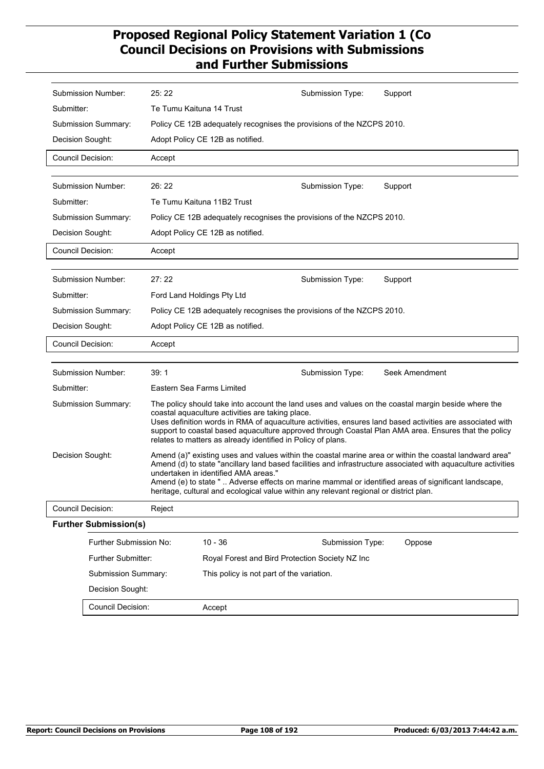| Submission Number:       |                              |                                                                       |                                                                                                                                                                                                                                                                      |                                                                                        |                                                                                                                                                                                                                          |  |
|--------------------------|------------------------------|-----------------------------------------------------------------------|----------------------------------------------------------------------------------------------------------------------------------------------------------------------------------------------------------------------------------------------------------------------|----------------------------------------------------------------------------------------|--------------------------------------------------------------------------------------------------------------------------------------------------------------------------------------------------------------------------|--|
|                          |                              | 25:22                                                                 |                                                                                                                                                                                                                                                                      | Submission Type:                                                                       | Support                                                                                                                                                                                                                  |  |
| Submitter:               |                              | Te Tumu Kaituna 14 Trust                                              |                                                                                                                                                                                                                                                                      |                                                                                        |                                                                                                                                                                                                                          |  |
| Submission Summary:      |                              |                                                                       |                                                                                                                                                                                                                                                                      | Policy CE 12B adequately recognises the provisions of the NZCPS 2010.                  |                                                                                                                                                                                                                          |  |
| Decision Sought:         |                              |                                                                       | Adopt Policy CE 12B as notified.                                                                                                                                                                                                                                     |                                                                                        |                                                                                                                                                                                                                          |  |
| <b>Council Decision:</b> |                              | Accept                                                                |                                                                                                                                                                                                                                                                      |                                                                                        |                                                                                                                                                                                                                          |  |
|                          |                              |                                                                       |                                                                                                                                                                                                                                                                      |                                                                                        |                                                                                                                                                                                                                          |  |
| Submission Number:       |                              | 26:22                                                                 |                                                                                                                                                                                                                                                                      | Submission Type:                                                                       | Support                                                                                                                                                                                                                  |  |
| Submitter:               |                              |                                                                       | Te Tumu Kaituna 11B2 Trust                                                                                                                                                                                                                                           |                                                                                        |                                                                                                                                                                                                                          |  |
| Submission Summary:      |                              | Policy CE 12B adequately recognises the provisions of the NZCPS 2010. |                                                                                                                                                                                                                                                                      |                                                                                        |                                                                                                                                                                                                                          |  |
| Decision Sought:         |                              |                                                                       | Adopt Policy CE 12B as notified.                                                                                                                                                                                                                                     |                                                                                        |                                                                                                                                                                                                                          |  |
| Council Decision:        |                              | Accept                                                                |                                                                                                                                                                                                                                                                      |                                                                                        |                                                                                                                                                                                                                          |  |
|                          |                              |                                                                       |                                                                                                                                                                                                                                                                      |                                                                                        |                                                                                                                                                                                                                          |  |
| Submission Number:       |                              | 27:22                                                                 |                                                                                                                                                                                                                                                                      | Submission Type:                                                                       | Support                                                                                                                                                                                                                  |  |
| Submitter:               |                              |                                                                       | Ford Land Holdings Pty Ltd                                                                                                                                                                                                                                           |                                                                                        |                                                                                                                                                                                                                          |  |
| Submission Summary:      |                              |                                                                       |                                                                                                                                                                                                                                                                      | Policy CE 12B adequately recognises the provisions of the NZCPS 2010.                  |                                                                                                                                                                                                                          |  |
| Decision Sought:         |                              |                                                                       | Adopt Policy CE 12B as notified.                                                                                                                                                                                                                                     |                                                                                        |                                                                                                                                                                                                                          |  |
| Council Decision:        |                              | Accept                                                                |                                                                                                                                                                                                                                                                      |                                                                                        |                                                                                                                                                                                                                          |  |
|                          |                              | 39:1                                                                  |                                                                                                                                                                                                                                                                      |                                                                                        | Seek Amendment                                                                                                                                                                                                           |  |
| Submission Number:       |                              |                                                                       | Eastern Sea Farms Limited                                                                                                                                                                                                                                            | Submission Type:                                                                       |                                                                                                                                                                                                                          |  |
| Submitter:               |                              |                                                                       |                                                                                                                                                                                                                                                                      |                                                                                        |                                                                                                                                                                                                                          |  |
|                          |                              |                                                                       | The policy should take into account the land uses and values on the coastal margin beside where the<br>coastal aquaculture activities are taking place.<br>Uses definition words in RMA of aquaculture activities, ensures land based activities are associated with |                                                                                        |                                                                                                                                                                                                                          |  |
| Submission Summary:      |                              |                                                                       |                                                                                                                                                                                                                                                                      |                                                                                        |                                                                                                                                                                                                                          |  |
|                          |                              |                                                                       |                                                                                                                                                                                                                                                                      |                                                                                        | support to coastal based aquaculture approved through Coastal Plan AMA area. Ensures that the policy                                                                                                                     |  |
|                          |                              |                                                                       | relates to matters as already identified in Policy of plans.                                                                                                                                                                                                         |                                                                                        |                                                                                                                                                                                                                          |  |
| Decision Sought:         |                              |                                                                       |                                                                                                                                                                                                                                                                      |                                                                                        | Amend (a)" existing uses and values within the coastal marine area or within the coastal landward area"<br>Amend (d) to state "ancillary land based facilities and infrastructure associated with aquaculture activities |  |
|                          |                              |                                                                       | undertaken in identified AMA areas."                                                                                                                                                                                                                                 |                                                                                        | Amend (e) to state "  Adverse effects on marine mammal or identified areas of significant landscape,                                                                                                                     |  |
|                          |                              |                                                                       |                                                                                                                                                                                                                                                                      | heritage, cultural and ecological value within any relevant regional or district plan. |                                                                                                                                                                                                                          |  |
| Council Decision:        |                              | Reject                                                                |                                                                                                                                                                                                                                                                      |                                                                                        |                                                                                                                                                                                                                          |  |
|                          | <b>Further Submission(s)</b> |                                                                       |                                                                                                                                                                                                                                                                      |                                                                                        |                                                                                                                                                                                                                          |  |
|                          | Further Submission No:       |                                                                       | $10 - 36$                                                                                                                                                                                                                                                            | Submission Type:                                                                       | Oppose                                                                                                                                                                                                                   |  |
|                          | Further Submitter:           |                                                                       |                                                                                                                                                                                                                                                                      | Royal Forest and Bird Protection Society NZ Inc                                        |                                                                                                                                                                                                                          |  |
|                          | Submission Summary:          |                                                                       | This policy is not part of the variation.                                                                                                                                                                                                                            |                                                                                        |                                                                                                                                                                                                                          |  |
|                          | Decision Sought:             |                                                                       |                                                                                                                                                                                                                                                                      |                                                                                        |                                                                                                                                                                                                                          |  |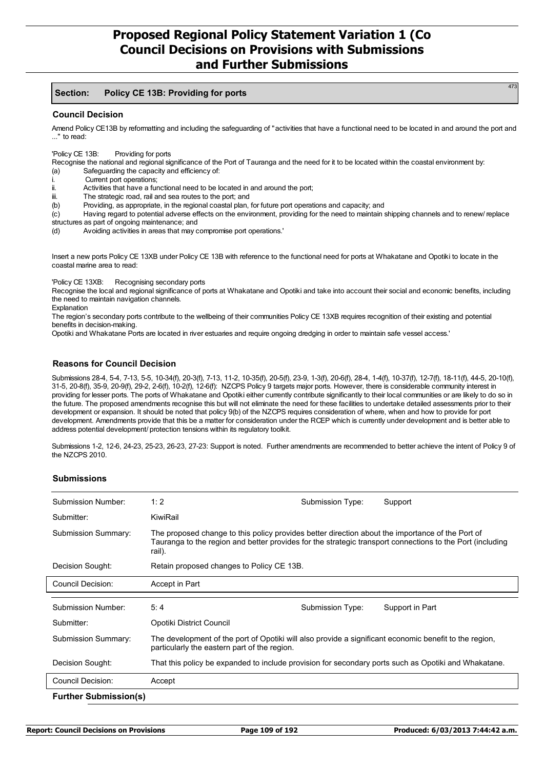#### **Section: Policy CE 13B: Providing for ports**

#### **Council Decision**

Amend Policy CE13B by reformatting and including the safeguarding of "activities that have a functional need to be located in and around the port and ..." to read:

'Policy CE 13B: Providing for ports

Recognise the national and regional significance of the Port of Tauranga and the need for it to be located within the coastal environment by:

- (a) Safeguarding the capacity and efficiency of:
- i. Current port operations;<br>ii derivities that have a full
- Activities that have a functional need to be located in and around the port:
- iii. The strategic road, rail and sea routes to the port; and<br>(b) Providing, as appropriate, in the regional coastal plan,
- Providing, as appropriate, in the regional coastal plan, for future port operations and capacity; and

(c) Having regard to potential adverse effects on the environment, providing for the need to maintain shipping channels and to renew/ replace structures as part of ongoing maintenance; and

(d) Avoiding activities in areas that may compromise port operations.'

Insert a new ports Policy CE 13XB under Policy CE 13B with reference to the functional need for ports at Whakatane and Opotiki to locate in the coastal marine area to read:

'Policy CE 13XB: Recognising secondary ports

Recognise the local and regional significance of ports at Whakatane and Opotiki and take into account their social and economic benefits, including the need to maintain navigation channels.

Explanation

The region's secondary ports contribute to the wellbeing of their communities Policy CE 13XB requires recognition of their existing and potential benefits in decision-making.

Opotiki and Whakatane Ports are located in river estuaries and require ongoing dredging in order to maintain safe vessel access.'

### **Reasons for Council Decision**

Submissions 28-4, 5-4, 7-13, 5-5, 10-34(f), 20-3(f), 7-13, 11-2, 10-35(f), 20-5(f), 23-9, 1-3(f), 20-6(f), 28-4, 1-4(f), 10-37(f), 12-7(f), 18-11(f), 44-5, 20-10(f), 31-5, 20-8(f), 35-9, 20-9(f), 29-2, 2-6(f), 10-2(f), 12-6(f): NZCPS Policy 9 targets major ports. However, there is considerable community interest in providing for lesser ports. The ports of Whakatane and Opotiki either currently contribute significantly to their local communities or are likely to do so in the future. The proposed amendments recognise this but will not eliminate the need for these facilities to undertake detailed assessments prior to their development or expansion. It should be noted that policy 9(b) of the NZCPS requires consideration of where, when and how to provide for port development. Amendments provide that this be a matter for consideration under the RCEP which is currently under development and is better able to address potential development/ protection tensions within its regulatory toolkit.

Submissions 1-2, 12-6, 24-23, 25-23, 26-23, 27-23: Support is noted. Further amendments are recommended to better achieve the intent of Policy 9 of the NZCPS 2010.

### **Submissions**

| Submission Number:           | 1:2                                                                                                                                                                                                                     | Submission Type: | Support         |  |  |
|------------------------------|-------------------------------------------------------------------------------------------------------------------------------------------------------------------------------------------------------------------------|------------------|-----------------|--|--|
| Submitter:                   | KiwiRail                                                                                                                                                                                                                |                  |                 |  |  |
| Submission Summary:          | The proposed change to this policy provides better direction about the importance of the Port of<br>Tauranga to the region and better provides for the strategic transport connections to the Port (including<br>rail). |                  |                 |  |  |
| Decision Sought:             | Retain proposed changes to Policy CE 13B.                                                                                                                                                                               |                  |                 |  |  |
| Council Decision:            | Accept in Part                                                                                                                                                                                                          |                  |                 |  |  |
| Submission Number:           | 5:4                                                                                                                                                                                                                     | Submission Type: | Support in Part |  |  |
| Submitter:                   | Opotiki District Council                                                                                                                                                                                                |                  |                 |  |  |
| <b>Submission Summary:</b>   | The development of the port of Opotiki will also provide a significant economic benefit to the region,<br>particularly the eastern part of the region.                                                                  |                  |                 |  |  |
| Decision Sought:             | That this policy be expanded to include provision for secondary ports such as Opotiki and Whakatane.                                                                                                                    |                  |                 |  |  |
| Council Decision:            | Accept                                                                                                                                                                                                                  |                  |                 |  |  |
| <b>Further Submission(s)</b> |                                                                                                                                                                                                                         |                  |                 |  |  |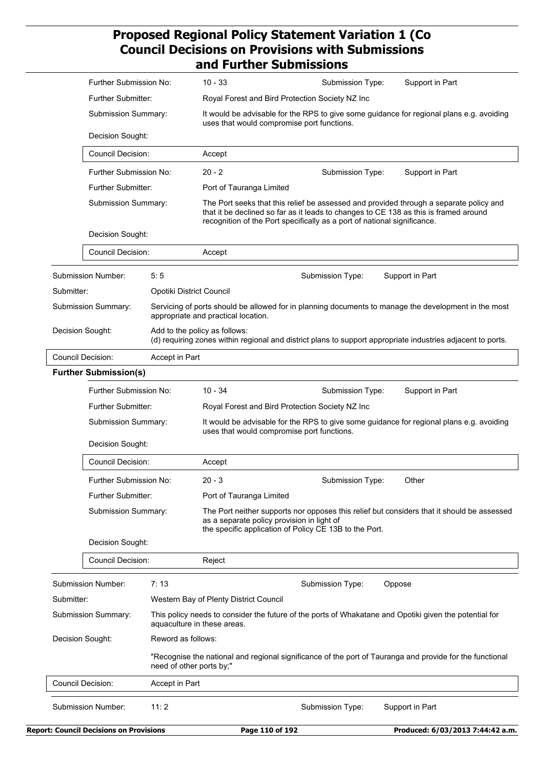|                     | Further Submission No:                         |                                                                                                                                        | $10 - 33$                                                                                                                              | Submission Type:                                                                                                                                                                                                                                           | Support in Part                  |
|---------------------|------------------------------------------------|----------------------------------------------------------------------------------------------------------------------------------------|----------------------------------------------------------------------------------------------------------------------------------------|------------------------------------------------------------------------------------------------------------------------------------------------------------------------------------------------------------------------------------------------------------|----------------------------------|
|                     | Further Submitter:                             |                                                                                                                                        |                                                                                                                                        | Royal Forest and Bird Protection Society NZ Inc                                                                                                                                                                                                            |                                  |
| Submission Summary: |                                                |                                                                                                                                        | It would be advisable for the RPS to give some guidance for regional plans e.g. avoiding<br>uses that would compromise port functions. |                                                                                                                                                                                                                                                            |                                  |
|                     | Decision Sought:                               |                                                                                                                                        |                                                                                                                                        |                                                                                                                                                                                                                                                            |                                  |
|                     | <b>Council Decision:</b>                       |                                                                                                                                        | Accept                                                                                                                                 |                                                                                                                                                                                                                                                            |                                  |
|                     | Further Submission No:                         |                                                                                                                                        | $20 - 2$                                                                                                                               | Submission Type:                                                                                                                                                                                                                                           | Support in Part                  |
|                     | Further Submitter:                             |                                                                                                                                        | Port of Tauranga Limited                                                                                                               |                                                                                                                                                                                                                                                            |                                  |
|                     | Submission Summary:                            |                                                                                                                                        |                                                                                                                                        | The Port seeks that this relief be assessed and provided through a separate policy and<br>that it be declined so far as it leads to changes to CE 138 as this is framed around<br>recognition of the Port specifically as a port of national significance. |                                  |
|                     | Decision Sought:                               |                                                                                                                                        |                                                                                                                                        |                                                                                                                                                                                                                                                            |                                  |
|                     | Council Decision:                              |                                                                                                                                        | Accept                                                                                                                                 |                                                                                                                                                                                                                                                            |                                  |
|                     | <b>Submission Number:</b>                      | 5:5                                                                                                                                    |                                                                                                                                        | Submission Type:                                                                                                                                                                                                                                           | Support in Part                  |
| Submitter:          |                                                |                                                                                                                                        | Opotiki District Council                                                                                                               |                                                                                                                                                                                                                                                            |                                  |
|                     | Submission Summary:                            |                                                                                                                                        | appropriate and practical location.                                                                                                    | Servicing of ports should be allowed for in planning documents to manage the development in the most                                                                                                                                                       |                                  |
|                     | Decision Sought:                               |                                                                                                                                        | Add to the policy as follows:                                                                                                          | (d) requiring zones within regional and district plans to support appropriate industries adjacent to ports.                                                                                                                                                |                                  |
|                     | <b>Council Decision:</b>                       | Accept in Part                                                                                                                         |                                                                                                                                        |                                                                                                                                                                                                                                                            |                                  |
|                     | <b>Further Submission(s)</b>                   |                                                                                                                                        |                                                                                                                                        |                                                                                                                                                                                                                                                            |                                  |
|                     | Further Submission No:                         |                                                                                                                                        | $10 - 34$                                                                                                                              | Submission Type:                                                                                                                                                                                                                                           | Support in Part                  |
| Further Submitter:  |                                                |                                                                                                                                        | Royal Forest and Bird Protection Society NZ Inc                                                                                        |                                                                                                                                                                                                                                                            |                                  |
| Submission Summary: |                                                | It would be advisable for the RPS to give some guidance for regional plans e.g. avoiding<br>uses that would compromise port functions. |                                                                                                                                        |                                                                                                                                                                                                                                                            |                                  |
|                     | Decision Sought:                               |                                                                                                                                        |                                                                                                                                        |                                                                                                                                                                                                                                                            |                                  |
|                     | Council Decision:                              |                                                                                                                                        | Accept                                                                                                                                 |                                                                                                                                                                                                                                                            |                                  |
|                     | Further Submission No:                         |                                                                                                                                        | $20 - 3$                                                                                                                               | Submission Type:                                                                                                                                                                                                                                           | Other                            |
|                     | Further Submitter:                             |                                                                                                                                        | Port of Tauranga Limited                                                                                                               |                                                                                                                                                                                                                                                            |                                  |
|                     | Submission Summary:                            |                                                                                                                                        | as a separate policy provision in light of                                                                                             | The Port neither supports nor opposes this relief but considers that it should be assessed<br>the specific application of Policy CE 13B to the Port.                                                                                                       |                                  |
|                     | Decision Sought:                               |                                                                                                                                        |                                                                                                                                        |                                                                                                                                                                                                                                                            |                                  |
|                     | Council Decision:                              |                                                                                                                                        | Reject                                                                                                                                 |                                                                                                                                                                                                                                                            |                                  |
|                     | <b>Submission Number:</b>                      | 7:13                                                                                                                                   |                                                                                                                                        | Submission Type:                                                                                                                                                                                                                                           | Oppose                           |
| Submitter:          |                                                |                                                                                                                                        | Western Bay of Plenty District Council                                                                                                 |                                                                                                                                                                                                                                                            |                                  |
|                     | Submission Summary:                            |                                                                                                                                        | aquaculture in these areas.                                                                                                            | This policy needs to consider the future of the ports of Whakatane and Opotiki given the potential for                                                                                                                                                     |                                  |
|                     | Decision Sought:                               | Reword as follows:                                                                                                                     |                                                                                                                                        |                                                                                                                                                                                                                                                            |                                  |
|                     |                                                |                                                                                                                                        | need of other ports by;"                                                                                                               | "Recognise the national and regional significance of the port of Tauranga and provide for the functional                                                                                                                                                   |                                  |
|                     | <b>Council Decision:</b>                       | Accept in Part                                                                                                                         |                                                                                                                                        |                                                                                                                                                                                                                                                            |                                  |
|                     | <b>Submission Number:</b>                      | 11:2                                                                                                                                   |                                                                                                                                        | Submission Type:                                                                                                                                                                                                                                           | Support in Part                  |
|                     | <b>Report: Council Decisions on Provisions</b> |                                                                                                                                        | Page 110 of 192                                                                                                                        |                                                                                                                                                                                                                                                            | Produced: 6/03/2013 7:44:42 a.m. |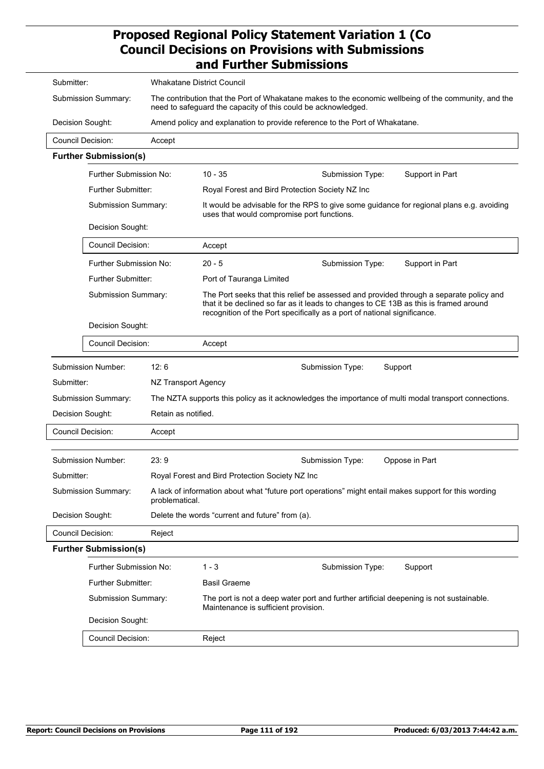| Submitter: |                          |                              | <b>Whakatane District Council</b> |                                                                                                                                                                                                                                                            |  |  |
|------------|--------------------------|------------------------------|-----------------------------------|------------------------------------------------------------------------------------------------------------------------------------------------------------------------------------------------------------------------------------------------------------|--|--|
|            |                          | Submission Summary:          |                                   | The contribution that the Port of Whakatane makes to the economic wellbeing of the community, and the<br>need to safeguard the capacity of this could be acknowledged.                                                                                     |  |  |
|            | Decision Sought:         |                              |                                   | Amend policy and explanation to provide reference to the Port of Whakatane.                                                                                                                                                                                |  |  |
|            | Council Decision:        |                              | Accept                            |                                                                                                                                                                                                                                                            |  |  |
|            |                          | <b>Further Submission(s)</b> |                                   |                                                                                                                                                                                                                                                            |  |  |
|            |                          | Further Submission No:       |                                   | $10 - 35$<br>Support in Part<br>Submission Type:                                                                                                                                                                                                           |  |  |
|            |                          | <b>Further Submitter:</b>    |                                   | Royal Forest and Bird Protection Society NZ Inc                                                                                                                                                                                                            |  |  |
|            |                          | Submission Summary:          |                                   | It would be advisable for the RPS to give some guidance for regional plans e.g. avoiding<br>uses that would compromise port functions.                                                                                                                     |  |  |
|            |                          | Decision Sought:             |                                   |                                                                                                                                                                                                                                                            |  |  |
|            |                          | Council Decision:            |                                   | Accept                                                                                                                                                                                                                                                     |  |  |
|            |                          | Further Submission No:       |                                   | $20 - 5$<br>Submission Type:<br>Support in Part                                                                                                                                                                                                            |  |  |
|            |                          | Further Submitter:           |                                   | Port of Tauranga Limited                                                                                                                                                                                                                                   |  |  |
|            |                          | Submission Summary:          |                                   | The Port seeks that this relief be assessed and provided through a separate policy and<br>that it be declined so far as it leads to changes to CE 13B as this is framed around<br>recognition of the Port specifically as a port of national significance. |  |  |
|            |                          | Decision Sought:             |                                   |                                                                                                                                                                                                                                                            |  |  |
|            |                          | <b>Council Decision:</b>     |                                   | Accept                                                                                                                                                                                                                                                     |  |  |
|            |                          | Submission Number:           | 12:6                              | Submission Type:<br>Support                                                                                                                                                                                                                                |  |  |
|            | Submitter:               |                              | NZ Transport Agency               |                                                                                                                                                                                                                                                            |  |  |
|            |                          | Submission Summary:          |                                   | The NZTA supports this policy as it acknowledges the importance of multi modal transport connections.                                                                                                                                                      |  |  |
|            | Decision Sought:         |                              | Retain as notified.               |                                                                                                                                                                                                                                                            |  |  |
|            | Council Decision:        |                              | Accept                            |                                                                                                                                                                                                                                                            |  |  |
|            |                          |                              |                                   |                                                                                                                                                                                                                                                            |  |  |
|            |                          | Submission Number:           | 23:9                              | Submission Type:<br>Oppose in Part                                                                                                                                                                                                                         |  |  |
|            | Submitter:               |                              |                                   | Royal Forest and Bird Protection Society NZ Inc                                                                                                                                                                                                            |  |  |
|            |                          | Submission Summary:          | problematical.                    | A lack of information about what "future port operations" might entail makes support for this wording                                                                                                                                                      |  |  |
|            | Decision Sought:         |                              |                                   | Delete the words "current and future" from (a).                                                                                                                                                                                                            |  |  |
|            | <b>Council Decision:</b> |                              | Reject                            |                                                                                                                                                                                                                                                            |  |  |
|            |                          | <b>Further Submission(s)</b> |                                   |                                                                                                                                                                                                                                                            |  |  |
|            |                          | Further Submission No:       |                                   | $1 - 3$<br>Support<br>Submission Type:                                                                                                                                                                                                                     |  |  |
|            |                          | <b>Further Submitter:</b>    |                                   | <b>Basil Graeme</b>                                                                                                                                                                                                                                        |  |  |
|            |                          | Submission Summary:          |                                   | The port is not a deep water port and further artificial deepening is not sustainable.<br>Maintenance is sufficient provision.                                                                                                                             |  |  |
|            |                          | Decision Sought:             |                                   |                                                                                                                                                                                                                                                            |  |  |
|            |                          | Council Decision:            |                                   | Reject                                                                                                                                                                                                                                                     |  |  |
|            |                          |                              |                                   |                                                                                                                                                                                                                                                            |  |  |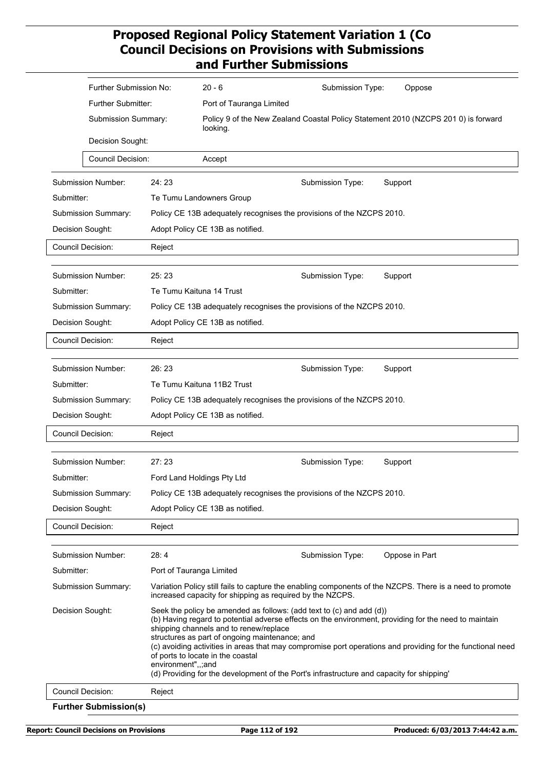|                  | Further Submission No:       |                          | $20 - 6$                                                                                                                                                                                                                                                                                                                                                                                                                                                                                                                       | Submission Type:                                                                   | Oppose                                                                                                   |  |
|------------------|------------------------------|--------------------------|--------------------------------------------------------------------------------------------------------------------------------------------------------------------------------------------------------------------------------------------------------------------------------------------------------------------------------------------------------------------------------------------------------------------------------------------------------------------------------------------------------------------------------|------------------------------------------------------------------------------------|----------------------------------------------------------------------------------------------------------|--|
|                  | Further Submitter:           |                          | Port of Tauranga Limited                                                                                                                                                                                                                                                                                                                                                                                                                                                                                                       |                                                                                    |                                                                                                          |  |
|                  | Submission Summary:          |                          | looking.                                                                                                                                                                                                                                                                                                                                                                                                                                                                                                                       | Policy 9 of the New Zealand Coastal Policy Statement 2010 (NZCPS 201 0) is forward |                                                                                                          |  |
|                  | Decision Sought:             |                          |                                                                                                                                                                                                                                                                                                                                                                                                                                                                                                                                |                                                                                    |                                                                                                          |  |
|                  | <b>Council Decision:</b>     |                          | Accept                                                                                                                                                                                                                                                                                                                                                                                                                                                                                                                         |                                                                                    |                                                                                                          |  |
|                  |                              |                          |                                                                                                                                                                                                                                                                                                                                                                                                                                                                                                                                |                                                                                    |                                                                                                          |  |
|                  | Submission Number:           | 24:23                    |                                                                                                                                                                                                                                                                                                                                                                                                                                                                                                                                | Submission Type:                                                                   | Support                                                                                                  |  |
| Submitter:       |                              |                          | Te Tumu Landowners Group                                                                                                                                                                                                                                                                                                                                                                                                                                                                                                       |                                                                                    |                                                                                                          |  |
|                  | Submission Summary:          |                          | Policy CE 13B adequately recognises the provisions of the NZCPS 2010.                                                                                                                                                                                                                                                                                                                                                                                                                                                          |                                                                                    |                                                                                                          |  |
| Decision Sought: |                              |                          | Adopt Policy CE 13B as notified.                                                                                                                                                                                                                                                                                                                                                                                                                                                                                               |                                                                                    |                                                                                                          |  |
|                  | Council Decision:            | Reject                   |                                                                                                                                                                                                                                                                                                                                                                                                                                                                                                                                |                                                                                    |                                                                                                          |  |
|                  |                              |                          |                                                                                                                                                                                                                                                                                                                                                                                                                                                                                                                                |                                                                                    |                                                                                                          |  |
|                  | Submission Number:           | 25:23                    |                                                                                                                                                                                                                                                                                                                                                                                                                                                                                                                                | Submission Type:                                                                   | Support                                                                                                  |  |
| Submitter:       |                              |                          | Te Tumu Kaituna 14 Trust                                                                                                                                                                                                                                                                                                                                                                                                                                                                                                       |                                                                                    |                                                                                                          |  |
|                  | Submission Summary:          |                          | Policy CE 13B adequately recognises the provisions of the NZCPS 2010.                                                                                                                                                                                                                                                                                                                                                                                                                                                          |                                                                                    |                                                                                                          |  |
| Decision Sought: |                              |                          | Adopt Policy CE 13B as notified.                                                                                                                                                                                                                                                                                                                                                                                                                                                                                               |                                                                                    |                                                                                                          |  |
|                  | Council Decision:            | Reject                   |                                                                                                                                                                                                                                                                                                                                                                                                                                                                                                                                |                                                                                    |                                                                                                          |  |
|                  |                              |                          |                                                                                                                                                                                                                                                                                                                                                                                                                                                                                                                                |                                                                                    |                                                                                                          |  |
|                  | <b>Submission Number:</b>    | 26:23                    |                                                                                                                                                                                                                                                                                                                                                                                                                                                                                                                                | Submission Type:                                                                   | Support                                                                                                  |  |
| Submitter:       |                              |                          | Te Tumu Kaituna 11B2 Trust                                                                                                                                                                                                                                                                                                                                                                                                                                                                                                     |                                                                                    |                                                                                                          |  |
|                  | Submission Summary:          |                          | Policy CE 13B adequately recognises the provisions of the NZCPS 2010.                                                                                                                                                                                                                                                                                                                                                                                                                                                          |                                                                                    |                                                                                                          |  |
| Decision Sought: |                              |                          | Adopt Policy CE 13B as notified.                                                                                                                                                                                                                                                                                                                                                                                                                                                                                               |                                                                                    |                                                                                                          |  |
|                  | <b>Council Decision:</b>     | Reject                   |                                                                                                                                                                                                                                                                                                                                                                                                                                                                                                                                |                                                                                    |                                                                                                          |  |
|                  |                              |                          |                                                                                                                                                                                                                                                                                                                                                                                                                                                                                                                                |                                                                                    |                                                                                                          |  |
|                  | <b>Submission Number:</b>    | 27:23                    |                                                                                                                                                                                                                                                                                                                                                                                                                                                                                                                                | Submission Type:                                                                   | Support                                                                                                  |  |
| Submitter:       |                              |                          | Ford Land Holdings Pty Ltd                                                                                                                                                                                                                                                                                                                                                                                                                                                                                                     |                                                                                    |                                                                                                          |  |
|                  | Submission Summary:          |                          | Policy CE 13B adequately recognises the provisions of the NZCPS 2010.                                                                                                                                                                                                                                                                                                                                                                                                                                                          |                                                                                    |                                                                                                          |  |
| Decision Sought: |                              |                          | Adopt Policy CE 13B as notified.                                                                                                                                                                                                                                                                                                                                                                                                                                                                                               |                                                                                    |                                                                                                          |  |
|                  | Council Decision:            | Reject                   |                                                                                                                                                                                                                                                                                                                                                                                                                                                                                                                                |                                                                                    |                                                                                                          |  |
|                  |                              |                          |                                                                                                                                                                                                                                                                                                                                                                                                                                                                                                                                |                                                                                    |                                                                                                          |  |
|                  | Submission Number:           | 28:4                     |                                                                                                                                                                                                                                                                                                                                                                                                                                                                                                                                | Submission Type:                                                                   | Oppose in Part                                                                                           |  |
| Submitter:       |                              | Port of Tauranga Limited |                                                                                                                                                                                                                                                                                                                                                                                                                                                                                                                                |                                                                                    |                                                                                                          |  |
|                  | Submission Summary:          |                          | increased capacity for shipping as required by the NZCPS.                                                                                                                                                                                                                                                                                                                                                                                                                                                                      |                                                                                    | Variation Policy still fails to capture the enabling components of the NZCPS. There is a need to promote |  |
| Decision Sought: |                              | environment",,;and       | Seek the policy be amended as follows: (add text to $(c)$ and add $(d)$ )<br>(b) Having regard to potential adverse effects on the environment, providing for the need to maintain<br>shipping channels and to renew/replace<br>structures as part of ongoing maintenance; and<br>(c) avoiding activities in areas that may compromise port operations and providing for the functional need<br>of ports to locate in the coastal<br>(d) Providing for the development of the Port's infrastructure and capacity for shipping' |                                                                                    |                                                                                                          |  |
|                  | Council Decision:            | Reject                   |                                                                                                                                                                                                                                                                                                                                                                                                                                                                                                                                |                                                                                    |                                                                                                          |  |
|                  | <b>Further Submission(s)</b> |                          |                                                                                                                                                                                                                                                                                                                                                                                                                                                                                                                                |                                                                                    |                                                                                                          |  |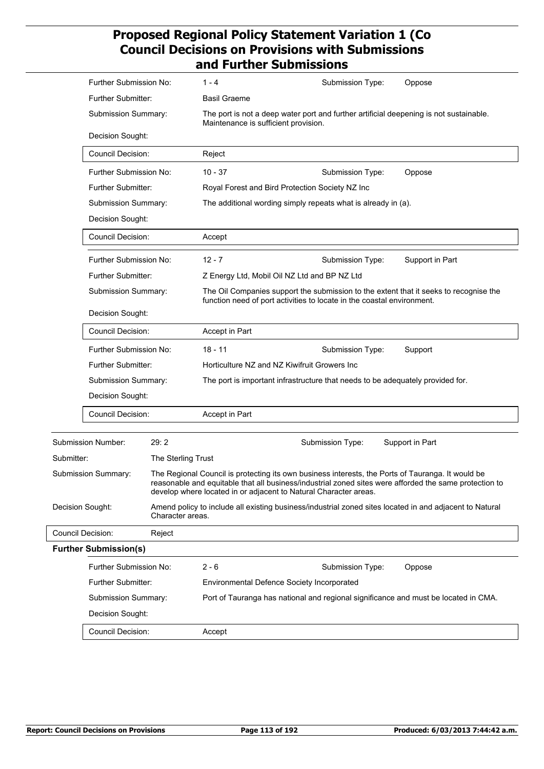|                          | Further Submission No:                             |                    | $1 - 4$                                                                                                                                                               | Submission Type: | Oppose                                                                                                  |
|--------------------------|----------------------------------------------------|--------------------|-----------------------------------------------------------------------------------------------------------------------------------------------------------------------|------------------|---------------------------------------------------------------------------------------------------------|
|                          | Further Submitter:                                 |                    | <b>Basil Graeme</b>                                                                                                                                                   |                  |                                                                                                         |
|                          | Submission Summary:                                |                    | The port is not a deep water port and further artificial deepening is not sustainable.<br>Maintenance is sufficient provision.                                        |                  |                                                                                                         |
|                          | Decision Sought:                                   |                    |                                                                                                                                                                       |                  |                                                                                                         |
|                          | <b>Council Decision:</b>                           |                    | Reject                                                                                                                                                                |                  |                                                                                                         |
|                          | Further Submission No:                             |                    | $10 - 37$                                                                                                                                                             | Submission Type: | Oppose                                                                                                  |
|                          | Further Submitter:                                 |                    | Royal Forest and Bird Protection Society NZ Inc                                                                                                                       |                  |                                                                                                         |
|                          | Submission Summary:                                |                    | The additional wording simply repeats what is already in (a).                                                                                                         |                  |                                                                                                         |
|                          | Decision Sought:                                   |                    |                                                                                                                                                                       |                  |                                                                                                         |
|                          | <b>Council Decision:</b>                           |                    | Accept                                                                                                                                                                |                  |                                                                                                         |
|                          | Further Submission No:                             |                    | $12 - 7$                                                                                                                                                              | Submission Type: | Support in Part                                                                                         |
|                          | Further Submitter:                                 |                    | Z Energy Ltd, Mobil Oil NZ Ltd and BP NZ Ltd                                                                                                                          |                  |                                                                                                         |
|                          | Submission Summary:                                |                    | The Oil Companies support the submission to the extent that it seeks to recognise the<br>function need of port activities to locate in the coastal environment.       |                  |                                                                                                         |
|                          | Decision Sought:                                   |                    |                                                                                                                                                                       |                  |                                                                                                         |
|                          | <b>Council Decision:</b><br>Further Submission No: |                    | Accept in Part                                                                                                                                                        |                  |                                                                                                         |
|                          |                                                    |                    | $18 - 11$                                                                                                                                                             | Submission Type: | Support                                                                                                 |
|                          | <b>Further Submitter:</b>                          |                    | Horticulture NZ and NZ Kiwifruit Growers Inc                                                                                                                          |                  |                                                                                                         |
|                          | Submission Summary:                                |                    | The port is important infrastructure that needs to be adequately provided for.                                                                                        |                  |                                                                                                         |
|                          | Decision Sought:                                   |                    |                                                                                                                                                                       |                  |                                                                                                         |
|                          | Council Decision:                                  |                    | <b>Accept in Part</b>                                                                                                                                                 |                  |                                                                                                         |
|                          | Submission Number:                                 | 29:2               |                                                                                                                                                                       | Submission Type: | Support in Part                                                                                         |
| Submitter:               |                                                    | The Sterling Trust |                                                                                                                                                                       |                  |                                                                                                         |
|                          | Submission Summary:                                |                    | The Regional Council is protecting its own business interests, the Ports of Tauranga. It would be<br>develop where located in or adjacent to Natural Character areas. |                  | reasonable and equitable that all business/industrial zoned sites were afforded the same protection to  |
| Decision Sought:         |                                                    | Character areas.   |                                                                                                                                                                       |                  | Amend policy to include all existing business/industrial zoned sites located in and adjacent to Natural |
| <b>Council Decision:</b> |                                                    | Reject             |                                                                                                                                                                       |                  |                                                                                                         |
|                          | <b>Further Submission(s)</b>                       |                    |                                                                                                                                                                       |                  |                                                                                                         |
|                          | Further Submission No:                             |                    | $2 - 6$                                                                                                                                                               | Submission Type: | Oppose                                                                                                  |
|                          | Further Submitter:                                 |                    | Environmental Defence Society Incorporated                                                                                                                            |                  |                                                                                                         |
|                          | Submission Summary:                                |                    |                                                                                                                                                                       |                  | Port of Tauranga has national and regional significance and must be located in CMA.                     |
|                          | Decision Sought:                                   |                    |                                                                                                                                                                       |                  |                                                                                                         |
|                          | <b>Council Decision:</b>                           |                    | Accept                                                                                                                                                                |                  |                                                                                                         |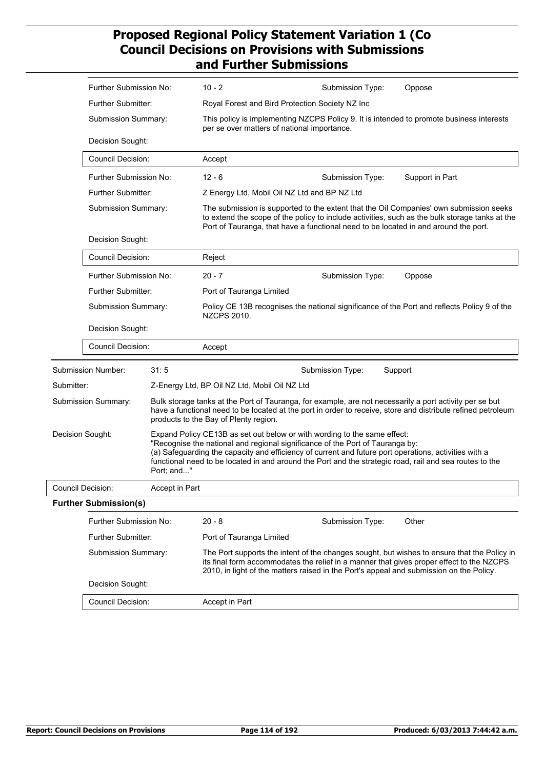|            | Further Submission No:                  |                | $10 - 2$                                                                                                                                                                                                                                                                                                                                                                      | Submission Type: | Oppose                                                                                                                                                                                   |
|------------|-----------------------------------------|----------------|-------------------------------------------------------------------------------------------------------------------------------------------------------------------------------------------------------------------------------------------------------------------------------------------------------------------------------------------------------------------------------|------------------|------------------------------------------------------------------------------------------------------------------------------------------------------------------------------------------|
|            | Further Submitter:                      |                | Royal Forest and Bird Protection Society NZ Inc                                                                                                                                                                                                                                                                                                                               |                  |                                                                                                                                                                                          |
|            | Submission Summary:<br>Decision Sought: |                | This policy is implementing NZCPS Policy 9. It is intended to promote business interests<br>per se over matters of national importance.                                                                                                                                                                                                                                       |                  |                                                                                                                                                                                          |
|            |                                         |                |                                                                                                                                                                                                                                                                                                                                                                               |                  |                                                                                                                                                                                          |
|            | <b>Council Decision:</b>                |                | Accept                                                                                                                                                                                                                                                                                                                                                                        |                  |                                                                                                                                                                                          |
|            | Further Submission No:                  |                | $12 - 6$                                                                                                                                                                                                                                                                                                                                                                      | Submission Type: | Support in Part                                                                                                                                                                          |
|            | <b>Further Submitter:</b>               |                | Z Energy Ltd, Mobil Oil NZ Ltd and BP NZ Ltd                                                                                                                                                                                                                                                                                                                                  |                  |                                                                                                                                                                                          |
|            | Submission Summary:                     |                | Port of Tauranga, that have a functional need to be located in and around the port.                                                                                                                                                                                                                                                                                           |                  | The submission is supported to the extent that the Oil Companies' own submission seeks<br>to extend the scope of the policy to include activities, such as the bulk storage tanks at the |
|            | Decision Sought:                        |                |                                                                                                                                                                                                                                                                                                                                                                               |                  |                                                                                                                                                                                          |
|            | <b>Council Decision:</b>                |                | Reject                                                                                                                                                                                                                                                                                                                                                                        |                  |                                                                                                                                                                                          |
|            | Further Submission No:                  |                | $20 - 7$                                                                                                                                                                                                                                                                                                                                                                      | Submission Type: | Oppose                                                                                                                                                                                   |
|            | <b>Further Submitter:</b>               |                | Port of Tauranga Limited                                                                                                                                                                                                                                                                                                                                                      |                  |                                                                                                                                                                                          |
|            | Submission Summary:                     |                | Policy CE 13B recognises the national significance of the Port and reflects Policy 9 of the<br><b>NZCPS 2010.</b>                                                                                                                                                                                                                                                             |                  |                                                                                                                                                                                          |
|            | Decision Sought:                        |                |                                                                                                                                                                                                                                                                                                                                                                               |                  |                                                                                                                                                                                          |
|            | <b>Council Decision:</b>                |                | Accept                                                                                                                                                                                                                                                                                                                                                                        |                  |                                                                                                                                                                                          |
|            | Submission Number:                      | 31:5           |                                                                                                                                                                                                                                                                                                                                                                               | Submission Type: | Support                                                                                                                                                                                  |
| Submitter: |                                         |                | Z-Energy Ltd, BP Oil NZ Ltd, Mobil Oil NZ Ltd                                                                                                                                                                                                                                                                                                                                 |                  |                                                                                                                                                                                          |
|            | Submission Summary:                     |                | Bulk storage tanks at the Port of Tauranga, for example, are not necessarily a port activity per se but<br>products to the Bay of Plenty region.                                                                                                                                                                                                                              |                  | have a functional need to be located at the port in order to receive, store and distribute refined petroleum                                                                             |
|            | Decision Sought:<br>Port; and"          |                | Expand Policy CE13B as set out below or with wording to the same effect:<br>"Recognise the national and regional significance of the Port of Tauranga by:<br>(a) Safeguarding the capacity and efficiency of current and future port operations, activities with a<br>functional need to be located in and around the Port and the strategic road, rail and sea routes to the |                  |                                                                                                                                                                                          |
|            | Council Decision:                       | Accept in Part |                                                                                                                                                                                                                                                                                                                                                                               |                  |                                                                                                                                                                                          |
|            | <b>Further Submission(s)</b>            |                |                                                                                                                                                                                                                                                                                                                                                                               |                  |                                                                                                                                                                                          |
|            | Further Submission No:                  |                | $20 - 8$                                                                                                                                                                                                                                                                                                                                                                      | Submission Type: | Other                                                                                                                                                                                    |
|            | Further Submitter:                      |                | Port of Tauranga Limited                                                                                                                                                                                                                                                                                                                                                      |                  |                                                                                                                                                                                          |
|            | Submission Summary:                     |                | 2010, in light of the matters raised in the Port's appeal and submission on the Policy.                                                                                                                                                                                                                                                                                       |                  | The Port supports the intent of the changes sought, but wishes to ensure that the Policy in<br>its final form accommodates the relief in a manner that gives proper effect to the NZCPS  |
|            | Decision Sought:                        |                |                                                                                                                                                                                                                                                                                                                                                                               |                  |                                                                                                                                                                                          |
|            | <b>Council Decision:</b>                |                | Accept in Part                                                                                                                                                                                                                                                                                                                                                                |                  |                                                                                                                                                                                          |
|            |                                         |                |                                                                                                                                                                                                                                                                                                                                                                               |                  |                                                                                                                                                                                          |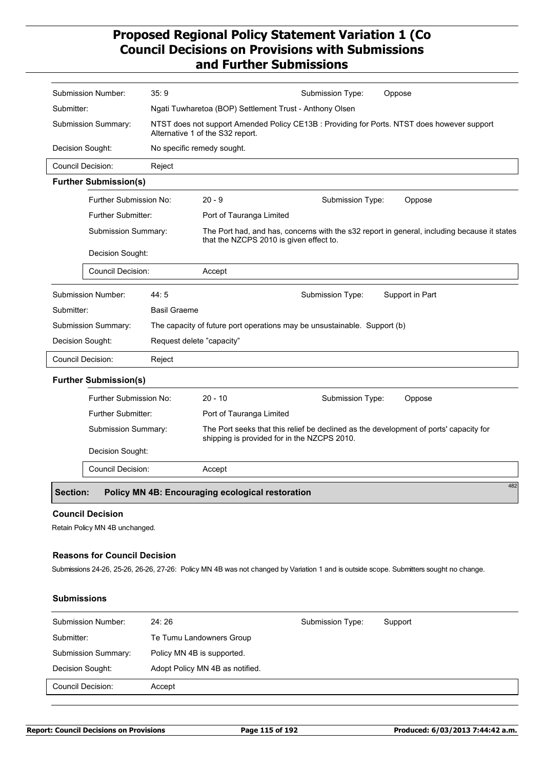| Submission Number:           | 35:9                      |                                                                          | Submission Type: | Oppose                                                                                      |
|------------------------------|---------------------------|--------------------------------------------------------------------------|------------------|---------------------------------------------------------------------------------------------|
| Submitter:                   |                           | Ngati Tuwharetoa (BOP) Settlement Trust - Anthony Olsen                  |                  |                                                                                             |
| Submission Summary:          |                           | Alternative 1 of the S32 report.                                         |                  | NTST does not support Amended Policy CE13B : Providing for Ports. NTST does however support |
| Decision Sought:             |                           | No specific remedy sought.                                               |                  |                                                                                             |
| <b>Council Decision:</b>     | Reject                    |                                                                          |                  |                                                                                             |
| <b>Further Submission(s)</b> |                           |                                                                          |                  |                                                                                             |
| Further Submission No:       |                           | $20 - 9$                                                                 | Submission Type: | Oppose                                                                                      |
| <b>Further Submitter:</b>    |                           | Port of Tauranga Limited                                                 |                  |                                                                                             |
| <b>Submission Summary:</b>   |                           | that the NZCPS 2010 is given effect to.                                  |                  | The Port had, and has, concerns with the s32 report in general, including because it states |
| Decision Sought:             |                           |                                                                          |                  |                                                                                             |
| <b>Council Decision:</b>     |                           | Accept                                                                   |                  |                                                                                             |
| Submission Number:           | 44:5                      |                                                                          | Submission Type: | Support in Part                                                                             |
| Submitter:                   | <b>Basil Graeme</b>       |                                                                          |                  |                                                                                             |
| Submission Summary:          |                           | The capacity of future port operations may be unsustainable. Support (b) |                  |                                                                                             |
| Decision Sought:             | Request delete "capacity" |                                                                          |                  |                                                                                             |
| <b>Council Decision:</b>     | Reject                    |                                                                          |                  |                                                                                             |
| <b>Further Submission(s)</b> |                           |                                                                          |                  |                                                                                             |
| Further Submission No:       |                           | $20 - 10$                                                                | Submission Type: | Oppose                                                                                      |
| <b>Further Submitter:</b>    |                           | Port of Tauranga Limited                                                 |                  |                                                                                             |
| Submission Summary:          |                           | shipping is provided for in the NZCPS 2010.                              |                  | The Port seeks that this relief be declined as the development of ports' capacity for       |
| Decision Sought:             |                           |                                                                          |                  |                                                                                             |
| Council Decision:            |                           | Accept                                                                   |                  |                                                                                             |
|                              |                           |                                                                          |                  | 482                                                                                         |

### **Section: Policy MN 4B: Encouraging ecological restoration**

### **Council Decision**

Retain Policy MN 4B unchanged.

## **Reasons for Council Decision**

Submissions 24-26, 25-26, 26-26, 27-26: Policy MN 4B was not changed by Variation 1 and is outside scope. Submitters sought no change.

### **Submissions**

| <b>Submission Number:</b> | 24:26                           | Submission Type: | Support |
|---------------------------|---------------------------------|------------------|---------|
| Submitter:                | Te Tumu Landowners Group        |                  |         |
| Submission Summary:       | Policy MN 4B is supported.      |                  |         |
| Decision Sought:          | Adopt Policy MN 4B as notified. |                  |         |
| Council Decision:         | Accept                          |                  |         |
|                           |                                 |                  |         |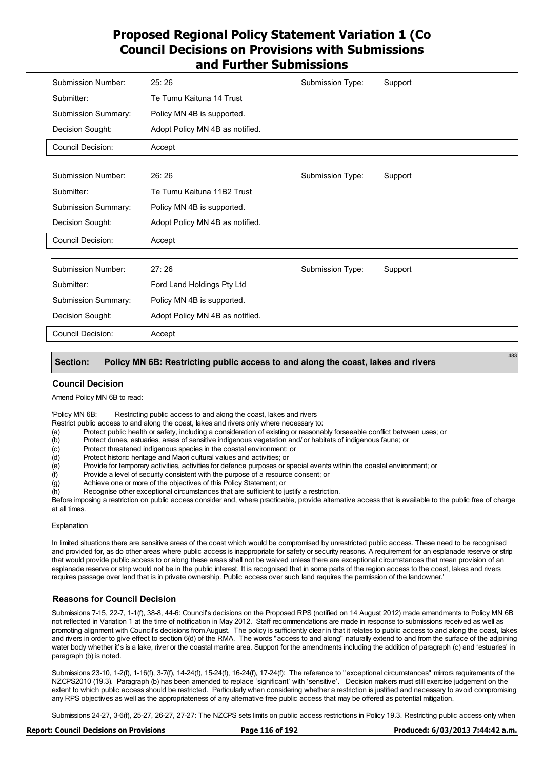| Submission Number:       | 25:26                           | Submission Type: | Support |
|--------------------------|---------------------------------|------------------|---------|
| Submitter:               | Te Tumu Kaituna 14 Trust        |                  |         |
| Submission Summary:      | Policy MN 4B is supported.      |                  |         |
| Decision Sought:         | Adopt Policy MN 4B as notified. |                  |         |
| <b>Council Decision:</b> | Accept                          |                  |         |
|                          |                                 |                  |         |
| Submission Number:       | 26:26                           | Submission Type: | Support |
| Submitter:               | Te Tumu Kaituna 11B2 Trust      |                  |         |
| Submission Summary:      | Policy MN 4B is supported.      |                  |         |
| Decision Sought:         | Adopt Policy MN 4B as notified. |                  |         |
| Council Decision:        | Accept                          |                  |         |
|                          |                                 |                  |         |
| Submission Number:       | 27:26                           | Submission Type: | Support |
| Submitter:               | Ford Land Holdings Pty Ltd      |                  |         |
| Submission Summary:      | Policy MN 4B is supported.      |                  |         |
| Decision Sought:         | Adopt Policy MN 4B as notified. |                  |         |
| <b>Council Decision:</b> | Accept                          |                  |         |

#### **Section: Policy MN 6B: Restricting public access to and along the coast, lakes and rivers**

#### **Council Decision**

Amend Policy MN 6B to read:

'Policy MN 6B: Restricting public access to and along the coast, lakes and rivers

Restrict public access to and along the coast, lakes and rivers only where necessary to:

- (a) Protect public health or safety, including a consideration of existing or reasonably forseeable conflict between uses; or
- (b) Protect dunes, estuaries, areas of sensitive indigenous vegetation and/ or habitats of indigenous fauna; or
- (c) Protect threatened indigenous species in the coastal environment; or
- (d) Protect historic heritage and Maori cultural values and activities; or
- (e) Provide for temporary activities, activities for defence purposes or special events within the coastal environment; or (f) Provide a level of security consistent with the purpose of a resource consent; or
- Provide a level of security consistent with the purpose of a resource consent; or
- (g) Achieve one or more of the objectives of this Policy Statement; or
- (h) Recognise other exceptional circumstances that are sufficient to justify a restriction.

Before imposing a restriction on public access consider and, where practicable, provide alternative access that is available to the public free of charge at all times.

#### Explanation

In limited situations there are sensitive areas of the coast which would be compromised by unrestricted public access. These need to be recognised and provided for, as do other areas where public access is inappropriate for safety or security reasons. A requirement for an esplanade reserve or strip that would provide public access to or along these areas shall not be waived unless there are exceptional circumstances that mean provision of an esplanade reserve or strip would not be in the public interest. It is recognised that in some parts of the region access to the coast, lakes and rivers requires passage over land that is in private ownership. Public access over such land requires the permission of the landowner.'

#### **Reasons for Council Decision**

Submissions 7-15, 22-7, 1-1(f), 38-8, 44-6: Council's decisions on the Proposed RPS (notified on 14 August 2012) made amendments to Policy MN 6B not reflected in Variation 1 at the time of notification in May 2012. Staff recommendations are made in response to submissions received as well as promoting alignment with Council's decisions from August. The policy is sufficiently clear in that it relates to public access to and along the coast, lakes and rivers in order to give effect to section 6(d) of the RMA. The words "access to and along" naturally extend to and from the surface of the adjoining water body whether it's is a lake, river or the coastal marine area. Support for the amendments including the addition of paragraph (c) and 'estuaries' in paragraph (b) is noted.

Submissions 23-10, 1-2(f), 1-16(f), 3-7(f), 14-24(f), 15-24(f), 16-24(f), 17-24(f): The reference to "exceptional circumstances" mirrors requirements of the NZCPS2010 (19.3). Paragraph (b) has been amended to replace 'significant' with 'sensitive'. Decision makers must still exercise judgement on the extent to which public access should be restricted. Particularly when considering whether a restriction is justified and necessary to avoid compromising any RPS objectives as well as the appropriateness of any alternative free public access that may be offered as potential mitigation.

Submissions 24-27, 3-6(f), 25-27, 26-27, 27-27: The NZCPS sets limits on public access restrictions in Policy 19.3. Restricting public access only when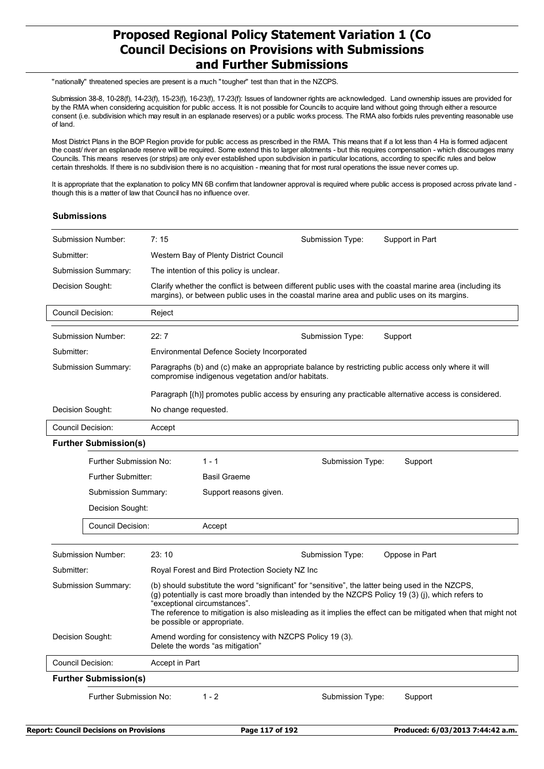"nationally" threatened species are present is a much "tougher" test than that in the NZCPS.

Submission 38-8, 10-28(f), 14-23(f), 15-23(f), 16-23(f), 17-23(f): Issues of landowner rights are acknowledged. Land ownership issues are provided for by the RMA when considering acquisition for public access. It is not possible for Councils to acquire land without going through either a resource consent (i.e. subdivision which may result in an esplanade reserves) or a public works process. The RMA also forbids rules preventing reasonable use of land.

Most District Plans in the BOP Region provide for public access as prescribed in the RMA. This means that if a lot less than 4 Ha is formed adjacent the coast/ river an esplanade reserve will be required. Some extend this to larger allotments - but this requires compensation - which discourages many Councils. This means reserves (or strips) are only ever established upon subdivision in particular locations, according to specific rules and below certain thresholds. If there is no subdivision there is no acquisition - meaning that for most rural operations the issue never comes up.

It is appropriate that the explanation to policy MN 6B confirm that landowner approval is required where public access is proposed across private land though this is a matter of law that Council has no influence over.

### **Submissions**

| Submission Number:                                                                                                                                                                                                                                                                                                                                                                                            | 7:15                                              |                                                                                             | Submission Type: | Support in Part                                                                                           |  |  |
|---------------------------------------------------------------------------------------------------------------------------------------------------------------------------------------------------------------------------------------------------------------------------------------------------------------------------------------------------------------------------------------------------------------|---------------------------------------------------|---------------------------------------------------------------------------------------------|------------------|-----------------------------------------------------------------------------------------------------------|--|--|
| Submitter:                                                                                                                                                                                                                                                                                                                                                                                                    |                                                   | Western Bay of Plenty District Council                                                      |                  |                                                                                                           |  |  |
| <b>Submission Summary:</b>                                                                                                                                                                                                                                                                                                                                                                                    |                                                   | The intention of this policy is unclear.                                                    |                  |                                                                                                           |  |  |
| Decision Sought:                                                                                                                                                                                                                                                                                                                                                                                              |                                                   | margins), or between public uses in the coastal marine area and public uses on its margins. |                  | Clarify whether the conflict is between different public uses with the coastal marine area (including its |  |  |
| <b>Council Decision:</b>                                                                                                                                                                                                                                                                                                                                                                                      | Reject                                            |                                                                                             |                  |                                                                                                           |  |  |
| Submission Number:                                                                                                                                                                                                                                                                                                                                                                                            | 22:7                                              | Submission Type:<br>Support                                                                 |                  |                                                                                                           |  |  |
| Submitter:                                                                                                                                                                                                                                                                                                                                                                                                    | <b>Environmental Defence Society Incorporated</b> |                                                                                             |                  |                                                                                                           |  |  |
| Submission Summary:                                                                                                                                                                                                                                                                                                                                                                                           |                                                   | compromise indigenous vegetation and/or habitats.                                           |                  | Paragraphs (b) and (c) make an appropriate balance by restricting public access only where it will        |  |  |
|                                                                                                                                                                                                                                                                                                                                                                                                               |                                                   |                                                                                             |                  | Paragraph [(h)] promotes public access by ensuring any practicable alternative access is considered.      |  |  |
| Decision Sought:                                                                                                                                                                                                                                                                                                                                                                                              | No change requested.                              |                                                                                             |                  |                                                                                                           |  |  |
| <b>Council Decision:</b>                                                                                                                                                                                                                                                                                                                                                                                      | Accept                                            |                                                                                             |                  |                                                                                                           |  |  |
| <b>Further Submission(s)</b>                                                                                                                                                                                                                                                                                                                                                                                  |                                                   |                                                                                             |                  |                                                                                                           |  |  |
| Further Submission No:                                                                                                                                                                                                                                                                                                                                                                                        |                                                   | $1 - 1$                                                                                     | Submission Type: | Support                                                                                                   |  |  |
| Further Submitter:                                                                                                                                                                                                                                                                                                                                                                                            |                                                   | <b>Basil Graeme</b>                                                                         |                  |                                                                                                           |  |  |
| Submission Summary:                                                                                                                                                                                                                                                                                                                                                                                           |                                                   | Support reasons given.                                                                      |                  |                                                                                                           |  |  |
| Decision Sought:                                                                                                                                                                                                                                                                                                                                                                                              |                                                   |                                                                                             |                  |                                                                                                           |  |  |
| <b>Council Decision:</b>                                                                                                                                                                                                                                                                                                                                                                                      |                                                   | Accept                                                                                      |                  |                                                                                                           |  |  |
| Submission Number:                                                                                                                                                                                                                                                                                                                                                                                            | 23:10                                             |                                                                                             | Submission Type: | Oppose in Part                                                                                            |  |  |
| Submitter:                                                                                                                                                                                                                                                                                                                                                                                                    |                                                   | Royal Forest and Bird Protection Society NZ Inc                                             |                  |                                                                                                           |  |  |
| (b) should substitute the word "significant" for "sensitive", the latter being used in the NZCPS,<br>Submission Summary:<br>(g) potentially is cast more broadly than intended by the NZCPS Policy 19 (3) (j), which refers to<br>"exceptional circumstances".<br>The reference to mitigation is also misleading as it implies the effect can be mitigated when that might not<br>be possible or appropriate. |                                                   |                                                                                             |                  |                                                                                                           |  |  |
| Decision Sought:<br>Amend wording for consistency with NZCPS Policy 19 (3).<br>Delete the words "as mitigation"                                                                                                                                                                                                                                                                                               |                                                   |                                                                                             |                  |                                                                                                           |  |  |
| <b>Council Decision:</b><br>Accept in Part                                                                                                                                                                                                                                                                                                                                                                    |                                                   |                                                                                             |                  |                                                                                                           |  |  |
| <b>Further Submission(s)</b>                                                                                                                                                                                                                                                                                                                                                                                  |                                                   |                                                                                             |                  |                                                                                                           |  |  |
| Further Submission No:<br>$1 - 2$<br>Submission Type:<br>Support                                                                                                                                                                                                                                                                                                                                              |                                                   |                                                                                             |                  |                                                                                                           |  |  |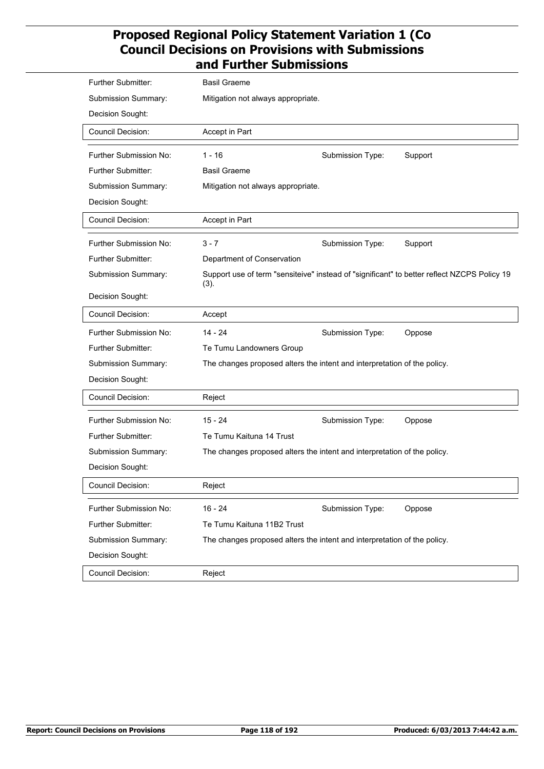| Further Submitter:        | <b>Basil Graeme</b>                                                      |                  |                                                                                             |
|---------------------------|--------------------------------------------------------------------------|------------------|---------------------------------------------------------------------------------------------|
| Submission Summary:       | Mitigation not always appropriate.                                       |                  |                                                                                             |
| Decision Sought:          |                                                                          |                  |                                                                                             |
|                           |                                                                          |                  |                                                                                             |
| Council Decision:         | Accept in Part                                                           |                  |                                                                                             |
| Further Submission No:    | $1 - 16$                                                                 | Submission Type: | Support                                                                                     |
| <b>Further Submitter:</b> | <b>Basil Graeme</b>                                                      |                  |                                                                                             |
| Submission Summary:       | Mitigation not always appropriate.                                       |                  |                                                                                             |
| Decision Sought:          |                                                                          |                  |                                                                                             |
| <b>Council Decision:</b>  | Accept in Part                                                           |                  |                                                                                             |
| Further Submission No:    | $3 - 7$                                                                  | Submission Type: | Support                                                                                     |
| Further Submitter:        | Department of Conservation                                               |                  |                                                                                             |
| Submission Summary:       | (3).                                                                     |                  | Support use of term "sensiteive" instead of "significant" to better reflect NZCPS Policy 19 |
| Decision Sought:          |                                                                          |                  |                                                                                             |
| Council Decision:         | Accept                                                                   |                  |                                                                                             |
| Further Submission No:    | $14 - 24$                                                                | Submission Type: | Oppose                                                                                      |
| Further Submitter:        | Te Tumu Landowners Group                                                 |                  |                                                                                             |
| Submission Summary:       | The changes proposed alters the intent and interpretation of the policy. |                  |                                                                                             |
| Decision Sought:          |                                                                          |                  |                                                                                             |
| Council Decision:         | Reject                                                                   |                  |                                                                                             |
| Further Submission No:    | $15 - 24$                                                                | Submission Type: | Oppose                                                                                      |
| <b>Further Submitter:</b> | Te Tumu Kaituna 14 Trust                                                 |                  |                                                                                             |
| Submission Summary:       | The changes proposed alters the intent and interpretation of the policy. |                  |                                                                                             |
| Decision Sought:          |                                                                          |                  |                                                                                             |
| Council Decision:         | Reject                                                                   |                  |                                                                                             |
|                           |                                                                          |                  |                                                                                             |
| Further Submission No:    | $16 - 24$                                                                | Submission Type: | Oppose                                                                                      |
| Further Submitter:        | Te Tumu Kaituna 11B2 Trust                                               |                  |                                                                                             |
| Submission Summary:       | The changes proposed alters the intent and interpretation of the policy. |                  |                                                                                             |
| Decision Sought:          |                                                                          |                  |                                                                                             |
| Council Decision:         | Reject                                                                   |                  |                                                                                             |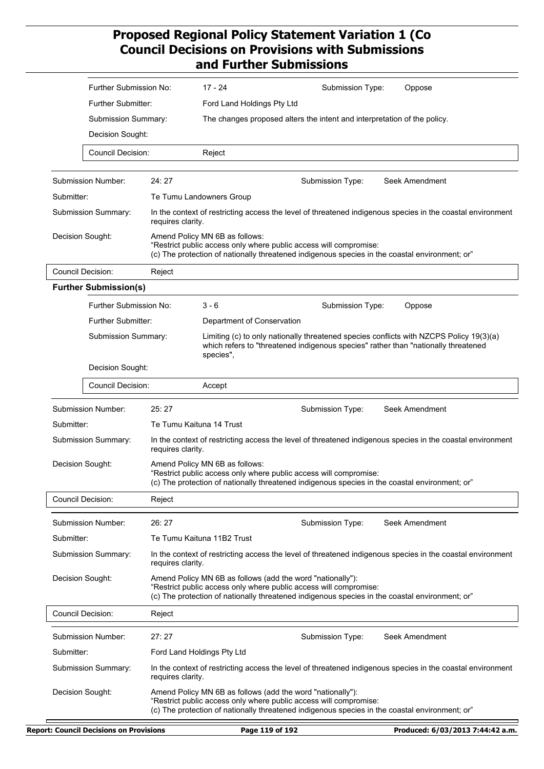| Further Submission No:       |                                                                                                                                                                                                       | $17 - 24$                                                                | Submission Type:<br>Oppose                                                                                                                                                                                                        |  |
|------------------------------|-------------------------------------------------------------------------------------------------------------------------------------------------------------------------------------------------------|--------------------------------------------------------------------------|-----------------------------------------------------------------------------------------------------------------------------------------------------------------------------------------------------------------------------------|--|
| Further Submitter:           |                                                                                                                                                                                                       | Ford Land Holdings Pty Ltd                                               |                                                                                                                                                                                                                                   |  |
| Submission Summary:          |                                                                                                                                                                                                       | The changes proposed alters the intent and interpretation of the policy. |                                                                                                                                                                                                                                   |  |
| Decision Sought:             |                                                                                                                                                                                                       |                                                                          |                                                                                                                                                                                                                                   |  |
| Council Decision:            |                                                                                                                                                                                                       | Reject                                                                   |                                                                                                                                                                                                                                   |  |
| Submission Number:           | 24:27                                                                                                                                                                                                 |                                                                          | Seek Amendment<br>Submission Type:                                                                                                                                                                                                |  |
| Submitter:                   |                                                                                                                                                                                                       | Te Tumu Landowners Group                                                 |                                                                                                                                                                                                                                   |  |
| Submission Summary:          | requires clarity.                                                                                                                                                                                     |                                                                          | In the context of restricting access the level of threatened indigenous species in the coastal environment                                                                                                                        |  |
| Decision Sought:             | Amend Policy MN 6B as follows:<br>"Restrict public access only where public access will compromise:<br>(c) The protection of nationally threatened indigenous species in the coastal environment; or" |                                                                          |                                                                                                                                                                                                                                   |  |
| <b>Council Decision:</b>     | Reject                                                                                                                                                                                                |                                                                          |                                                                                                                                                                                                                                   |  |
| <b>Further Submission(s)</b> |                                                                                                                                                                                                       |                                                                          |                                                                                                                                                                                                                                   |  |
| Further Submission No:       |                                                                                                                                                                                                       | $3 - 6$                                                                  | Submission Type:<br>Oppose                                                                                                                                                                                                        |  |
| Further Submitter:           |                                                                                                                                                                                                       | Department of Conservation                                               |                                                                                                                                                                                                                                   |  |
| Submission Summary:          |                                                                                                                                                                                                       | species",                                                                | Limiting (c) to only nationally threatened species conflicts with NZCPS Policy 19(3)(a)<br>which refers to "threatened indigenous species" rather than "nationally threatened                                                     |  |
| Decision Sought:             |                                                                                                                                                                                                       |                                                                          |                                                                                                                                                                                                                                   |  |
| Council Decision:            |                                                                                                                                                                                                       | Accept                                                                   |                                                                                                                                                                                                                                   |  |
| Submission Number:           | 25:27                                                                                                                                                                                                 |                                                                          | Seek Amendment<br>Submission Type:                                                                                                                                                                                                |  |
| Submitter:                   |                                                                                                                                                                                                       | Te Tumu Kaituna 14 Trust                                                 |                                                                                                                                                                                                                                   |  |
| Submission Summary:          | requires clarity.                                                                                                                                                                                     |                                                                          | In the context of restricting access the level of threatened indigenous species in the coastal environment                                                                                                                        |  |
| Decision Sought:             |                                                                                                                                                                                                       | Amend Policy MN 6B as follows:                                           | "Restrict public access only where public access will compromise:<br>(c) The protection of nationally threatened indigenous species in the coastal environment; or                                                                |  |
| <b>Council Decision:</b>     | Reject                                                                                                                                                                                                |                                                                          |                                                                                                                                                                                                                                   |  |
| Submission Number:           | 26:27                                                                                                                                                                                                 |                                                                          | Seek Amendment<br>Submission Type:                                                                                                                                                                                                |  |
| Submitter:                   |                                                                                                                                                                                                       | Te Tumu Kaituna 11B2 Trust                                               |                                                                                                                                                                                                                                   |  |
| Submission Summary:          | requires clarity.                                                                                                                                                                                     |                                                                          | In the context of restricting access the level of threatened indigenous species in the coastal environment                                                                                                                        |  |
| Decision Sought:             |                                                                                                                                                                                                       |                                                                          | Amend Policy MN 6B as follows (add the word "nationally"):<br>"Restrict public access only where public access will compromise:<br>(c) The protection of nationally threatened indigenous species in the coastal environment; or" |  |
| Council Decision:            | Reject                                                                                                                                                                                                |                                                                          |                                                                                                                                                                                                                                   |  |
| Submission Number:           | 27:27                                                                                                                                                                                                 |                                                                          | Seek Amendment<br>Submission Type:                                                                                                                                                                                                |  |
| Submitter:                   |                                                                                                                                                                                                       | Ford Land Holdings Pty Ltd                                               |                                                                                                                                                                                                                                   |  |
| Submission Summary:          | requires clarity.                                                                                                                                                                                     |                                                                          | In the context of restricting access the level of threatened indigenous species in the coastal environment                                                                                                                        |  |
| Decision Sought:             |                                                                                                                                                                                                       |                                                                          | Amend Policy MN 6B as follows (add the word "nationally"):<br>"Restrict public access only where public access will compromise:<br>(c) The protection of nationally threatened indigenous species in the coastal environment; or" |  |
|                              |                                                                                                                                                                                                       |                                                                          |                                                                                                                                                                                                                                   |  |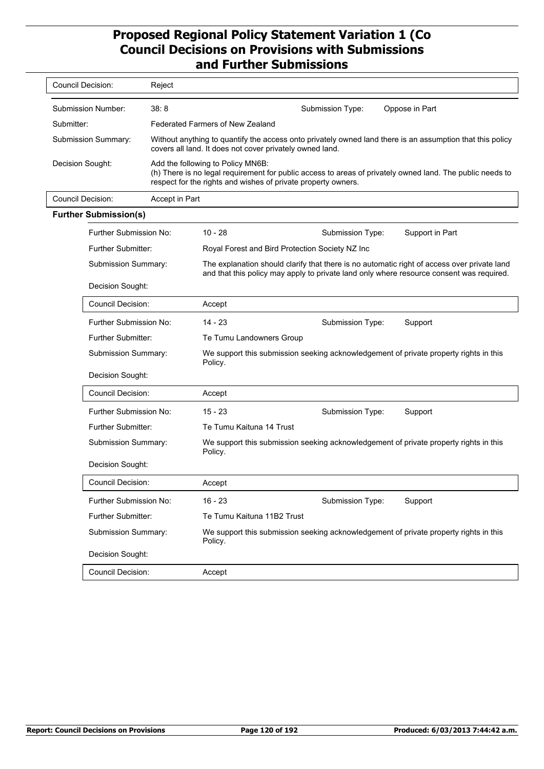| Council Decision:   | Reject                                                                                                                                                                                                          |                  |                |  |
|---------------------|-----------------------------------------------------------------------------------------------------------------------------------------------------------------------------------------------------------------|------------------|----------------|--|
| Submission Number:  | 38:8                                                                                                                                                                                                            | Submission Type: | Oppose in Part |  |
| Submitter:          | Federated Farmers of New Zealand                                                                                                                                                                                |                  |                |  |
| Submission Summary: | Without anything to quantify the access onto privately owned land there is an assumption that this policy<br>covers all land. It does not cover privately owned land.                                           |                  |                |  |
| Decision Sought:    | Add the following to Policy MN6B:<br>(h) There is no legal requirement for public access to areas of privately owned land. The public needs to<br>respect for the rights and wishes of private property owners. |                  |                |  |

| Council Decision: | Accept in Part               |                                                                                                                                                                                         |                  |                 |  |
|-------------------|------------------------------|-----------------------------------------------------------------------------------------------------------------------------------------------------------------------------------------|------------------|-----------------|--|
|                   | <b>Further Submission(s)</b> |                                                                                                                                                                                         |                  |                 |  |
|                   | Further Submission No:       | $10 - 28$                                                                                                                                                                               | Submission Type: | Support in Part |  |
|                   | <b>Further Submitter:</b>    | Royal Forest and Bird Protection Society NZ Inc                                                                                                                                         |                  |                 |  |
|                   | Submission Summary:          | The explanation should clarify that there is no automatic right of access over private land<br>and that this policy may apply to private land only where resource consent was required. |                  |                 |  |
|                   | Decision Sought:             |                                                                                                                                                                                         |                  |                 |  |
|                   | Council Decision:            | Accept                                                                                                                                                                                  |                  |                 |  |
|                   | Further Submission No:       | $14 - 23$                                                                                                                                                                               | Submission Type: | Support         |  |
|                   | <b>Further Submitter:</b>    | Te Tumu Landowners Group                                                                                                                                                                |                  |                 |  |
|                   | Submission Summary:          | We support this submission seeking acknowledgement of private property rights in this<br>Policy.                                                                                        |                  |                 |  |
|                   | Decision Sought:             |                                                                                                                                                                                         |                  |                 |  |
|                   | Council Decision:            | Accept                                                                                                                                                                                  |                  |                 |  |
|                   | Further Submission No:       | $15 - 23$                                                                                                                                                                               | Submission Type: | Support         |  |
|                   | <b>Further Submitter:</b>    | Te Tumu Kaituna 14 Trust                                                                                                                                                                |                  |                 |  |
|                   | Submission Summary:          | We support this submission seeking acknowledgement of private property rights in this<br>Policy.                                                                                        |                  |                 |  |
|                   | Decision Sought:             |                                                                                                                                                                                         |                  |                 |  |
|                   | <b>Council Decision:</b>     | Accept                                                                                                                                                                                  |                  |                 |  |
|                   | Further Submission No:       | $16 - 23$                                                                                                                                                                               | Submission Type: | Support         |  |
|                   | <b>Further Submitter:</b>    | Te Tumu Kaituna 11B2 Trust                                                                                                                                                              |                  |                 |  |
|                   | Submission Summary:          | We support this submission seeking acknowledgement of private property rights in this<br>Policy.                                                                                        |                  |                 |  |
|                   | Decision Sought:             |                                                                                                                                                                                         |                  |                 |  |
|                   | <b>Council Decision:</b>     | Accept                                                                                                                                                                                  |                  |                 |  |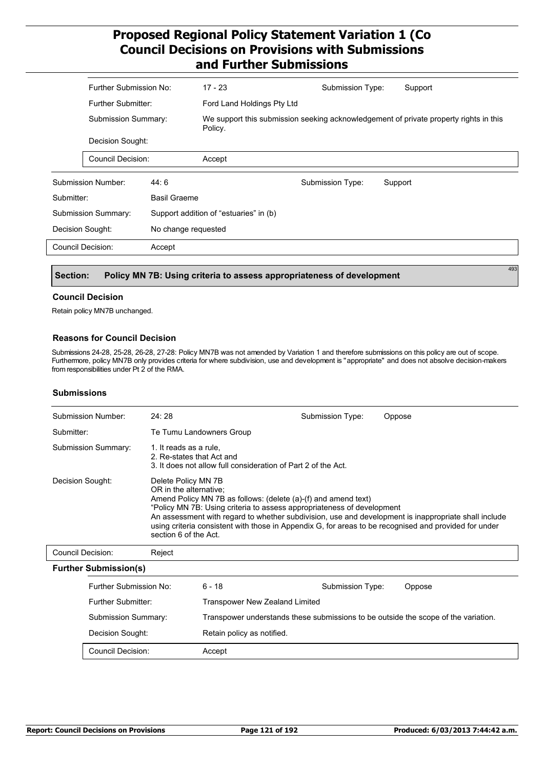|                          | Further Submission No:<br>Further Submitter:<br><b>Submission Summary:</b><br>Decision Sought: |                     | $17 - 23$                                                                                                                      | Submission Type: | Support |
|--------------------------|------------------------------------------------------------------------------------------------|---------------------|--------------------------------------------------------------------------------------------------------------------------------|------------------|---------|
|                          |                                                                                                |                     | Ford Land Holdings Pty Ltd<br>We support this submission seeking acknowledgement of private property rights in this<br>Policy. |                  |         |
|                          |                                                                                                |                     |                                                                                                                                |                  |         |
|                          |                                                                                                |                     |                                                                                                                                |                  |         |
|                          | Council Decision:                                                                              |                     | Accept                                                                                                                         |                  |         |
|                          | Submission Number:                                                                             | 44:6                |                                                                                                                                | Submission Type: | Support |
| Submitter:               |                                                                                                | <b>Basil Graeme</b> |                                                                                                                                |                  |         |
|                          | Submission Summary:                                                                            |                     | Support addition of "estuaries" in (b)                                                                                         |                  |         |
|                          | Decision Sought:<br>No change requested                                                        |                     |                                                                                                                                |                  |         |
| <b>Council Decision:</b> |                                                                                                | Accept              |                                                                                                                                |                  |         |
|                          |                                                                                                |                     |                                                                                                                                |                  |         |

#### **Section: Policy MN 7B: Using criteria to assess appropriateness of development**

#### **Council Decision**

Retain policy MN7B unchanged.

#### **Reasons for Council Decision**

Submissions 24-28, 25-28, 26-28, 27-28: Policy MN7B was not amended by Variation 1 and therefore submissions on this policy are out of scope. Furthermore, policy MN7B only provides criteria for where subdivision, use and development is "appropriate" and does not absolve decision-makers from responsibilities under Pt 2 of the RMA.

### **Submissions**

| Submission Number:       | 24:28                                                                                                                                                                                                                                                                                                                                                                                                                               | Submission Type: | Oppose |  |
|--------------------------|-------------------------------------------------------------------------------------------------------------------------------------------------------------------------------------------------------------------------------------------------------------------------------------------------------------------------------------------------------------------------------------------------------------------------------------|------------------|--------|--|
| Submitter:               | Te Tumu Landowners Group                                                                                                                                                                                                                                                                                                                                                                                                            |                  |        |  |
| Submission Summary:      | 1. It reads as a rule.<br>2. Re-states that Act and<br>3. It does not allow full consideration of Part 2 of the Act.                                                                                                                                                                                                                                                                                                                |                  |        |  |
| Decision Sought:         | Delete Policy MN 7B<br>OR in the alternative:<br>Amend Policy MN 7B as follows: (delete (a)-(f) and amend text)<br>"Policy MN 7B: Using criteria to assess appropriateness of development<br>An assessment with regard to whether subdivision, use and development is inappropriate shall include<br>using criteria consistent with those in Appendix G, for areas to be recognised and provided for under<br>section 6 of the Act. |                  |        |  |
| <b>Council Decision:</b> | Reject                                                                                                                                                                                                                                                                                                                                                                                                                              |                  |        |  |
|                          |                                                                                                                                                                                                                                                                                                                                                                                                                                     |                  |        |  |

### **Further Submission(s)**

| Further Submission No:     | $6 - 18$                                                                           | Submission Type: | Oppose |
|----------------------------|------------------------------------------------------------------------------------|------------------|--------|
| Further Submitter:         | Transpower New Zealand Limited                                                     |                  |        |
| <b>Submission Summary:</b> | Transpower understands these submissions to be outside the scope of the variation. |                  |        |
| Decision Sought:           | Retain policy as notified.                                                         |                  |        |
| Council Decision:          | Accept                                                                             |                  |        |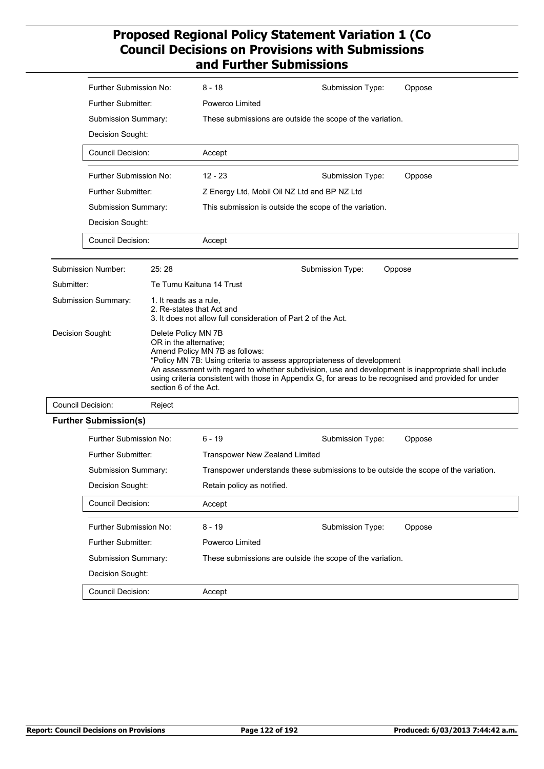|            | Further Submission No:                                                                     |                                                     | $8 - 18$                                                      | Submission Type:                                                                                                                                                                | Oppose                                                                                               |  |
|------------|--------------------------------------------------------------------------------------------|-----------------------------------------------------|---------------------------------------------------------------|---------------------------------------------------------------------------------------------------------------------------------------------------------------------------------|------------------------------------------------------------------------------------------------------|--|
|            | <b>Further Submitter:</b>                                                                  |                                                     | Powerco Limited                                               |                                                                                                                                                                                 |                                                                                                      |  |
|            | Submission Summary:                                                                        |                                                     | These submissions are outside the scope of the variation.     |                                                                                                                                                                                 |                                                                                                      |  |
|            | Decision Sought:<br><b>Council Decision:</b>                                               |                                                     |                                                               |                                                                                                                                                                                 |                                                                                                      |  |
|            |                                                                                            |                                                     | Accept                                                        |                                                                                                                                                                                 |                                                                                                      |  |
|            | Further Submission No:                                                                     |                                                     | $12 - 23$                                                     | Submission Type:                                                                                                                                                                | Oppose                                                                                               |  |
|            | Further Submitter:                                                                         |                                                     | Z Energy Ltd, Mobil Oil NZ Ltd and BP NZ Ltd                  |                                                                                                                                                                                 |                                                                                                      |  |
|            | Submission Summary:                                                                        |                                                     |                                                               | This submission is outside the scope of the variation.                                                                                                                          |                                                                                                      |  |
|            | Decision Sought:                                                                           |                                                     |                                                               |                                                                                                                                                                                 |                                                                                                      |  |
|            | <b>Council Decision:</b>                                                                   |                                                     | Accept                                                        |                                                                                                                                                                                 |                                                                                                      |  |
|            | Submission Number:                                                                         | 25:28                                               |                                                               | Submission Type:<br>Oppose                                                                                                                                                      |                                                                                                      |  |
| Submitter: |                                                                                            |                                                     | Te Tumu Kaituna 14 Trust                                      |                                                                                                                                                                                 |                                                                                                      |  |
|            | Submission Summary:                                                                        | 1. It reads as a rule,<br>2. Re-states that Act and | 3. It does not allow full consideration of Part 2 of the Act. |                                                                                                                                                                                 |                                                                                                      |  |
|            | Decision Sought:<br>Delete Policy MN 7B<br>OR in the alternative;<br>section 6 of the Act. |                                                     | Amend Policy MN 7B as follows:                                | "Policy MN 7B: Using criteria to assess appropriateness of development<br>using criteria consistent with those in Appendix G, for areas to be recognised and provided for under | An assessment with regard to whether subdivision, use and development is inappropriate shall include |  |
|            | <b>Council Decision:</b>                                                                   | Reject                                              |                                                               |                                                                                                                                                                                 |                                                                                                      |  |
|            | <b>Further Submission(s)</b>                                                               |                                                     |                                                               |                                                                                                                                                                                 |                                                                                                      |  |
|            | Further Submission No:                                                                     |                                                     | $6 - 19$                                                      | Submission Type:                                                                                                                                                                | Oppose                                                                                               |  |
|            | Further Submitter:                                                                         |                                                     | Transpower New Zealand Limited                                |                                                                                                                                                                                 |                                                                                                      |  |
|            | Submission Summary:                                                                        |                                                     |                                                               | Transpower understands these submissions to be outside the scope of the variation.                                                                                              |                                                                                                      |  |
|            | Decision Sought:                                                                           |                                                     | Retain policy as notified.                                    |                                                                                                                                                                                 |                                                                                                      |  |
|            | Council Decision:                                                                          |                                                     | Accept                                                        |                                                                                                                                                                                 |                                                                                                      |  |
|            | Further Submission No:                                                                     |                                                     | $8 - 19$                                                      | Submission Type:                                                                                                                                                                | Oppose                                                                                               |  |
|            | Further Submitter:                                                                         |                                                     | Powerco Limited                                               |                                                                                                                                                                                 |                                                                                                      |  |
|            | Submission Summary:                                                                        |                                                     |                                                               | These submissions are outside the scope of the variation.                                                                                                                       |                                                                                                      |  |
|            | Decision Sought:                                                                           |                                                     |                                                               |                                                                                                                                                                                 |                                                                                                      |  |
|            | Council Decision:                                                                          |                                                     | Accept                                                        |                                                                                                                                                                                 |                                                                                                      |  |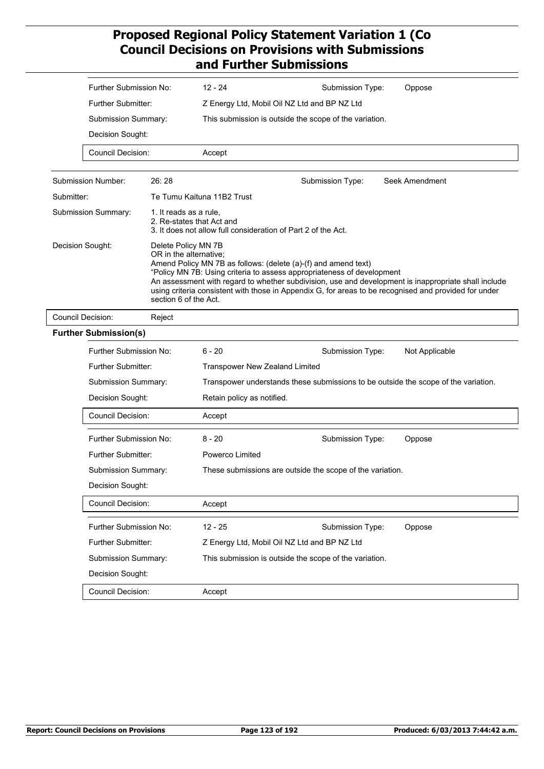|            | Further Submission No:                                                                     |                        | $12 - 24$                                                                                                                   | Submission Type:                                                                                                                         | Oppose                                                                                                                                                                                                        |  |
|------------|--------------------------------------------------------------------------------------------|------------------------|-----------------------------------------------------------------------------------------------------------------------------|------------------------------------------------------------------------------------------------------------------------------------------|---------------------------------------------------------------------------------------------------------------------------------------------------------------------------------------------------------------|--|
|            | Further Submitter:                                                                         |                        |                                                                                                                             | Z Energy Ltd, Mobil Oil NZ Ltd and BP NZ Ltd                                                                                             |                                                                                                                                                                                                               |  |
|            | Submission Summary:                                                                        |                        |                                                                                                                             | This submission is outside the scope of the variation.                                                                                   |                                                                                                                                                                                                               |  |
|            | Decision Sought:                                                                           |                        |                                                                                                                             |                                                                                                                                          |                                                                                                                                                                                                               |  |
|            | <b>Council Decision:</b>                                                                   |                        | Accept                                                                                                                      |                                                                                                                                          |                                                                                                                                                                                                               |  |
|            | Submission Number:                                                                         | 26:28                  |                                                                                                                             | Submission Type:                                                                                                                         | Seek Amendment                                                                                                                                                                                                |  |
| Submitter: |                                                                                            |                        | Te Tumu Kaituna 11B2 Trust                                                                                                  |                                                                                                                                          |                                                                                                                                                                                                               |  |
|            | Submission Summary:                                                                        | 1. It reads as a rule, | 2. Re-states that Act and                                                                                                   | 3. It does not allow full consideration of Part 2 of the Act.                                                                            |                                                                                                                                                                                                               |  |
|            | Decision Sought:<br>Delete Policy MN 7B<br>OR in the alternative;<br>section 6 of the Act. |                        |                                                                                                                             | Amend Policy MN 7B as follows: (delete (a)-(f) and amend text)<br>"Policy MN 7B: Using criteria to assess appropriateness of development | An assessment with regard to whether subdivision, use and development is inappropriate shall include<br>using criteria consistent with those in Appendix G, for areas to be recognised and provided for under |  |
|            | <b>Council Decision:</b><br>Reject                                                         |                        |                                                                                                                             |                                                                                                                                          |                                                                                                                                                                                                               |  |
|            | <b>Further Submission(s)</b>                                                               |                        |                                                                                                                             |                                                                                                                                          |                                                                                                                                                                                                               |  |
|            | Further Submission No:                                                                     |                        | $6 - 20$                                                                                                                    | Submission Type:                                                                                                                         | Not Applicable                                                                                                                                                                                                |  |
|            | Further Submitter:                                                                         |                        | <b>Transpower New Zealand Limited</b><br>Transpower understands these submissions to be outside the scope of the variation. |                                                                                                                                          |                                                                                                                                                                                                               |  |
|            | Submission Summary:                                                                        |                        |                                                                                                                             |                                                                                                                                          |                                                                                                                                                                                                               |  |
|            | Decision Sought:                                                                           |                        |                                                                                                                             | Retain policy as notified.                                                                                                               |                                                                                                                                                                                                               |  |
|            | <b>Council Decision:</b>                                                                   |                        | Accept                                                                                                                      |                                                                                                                                          |                                                                                                                                                                                                               |  |
|            | Further Submission No:                                                                     |                        | $8 - 20$                                                                                                                    | Submission Type:                                                                                                                         | Oppose                                                                                                                                                                                                        |  |
|            | <b>Further Submitter:</b>                                                                  |                        | Powerco Limited                                                                                                             |                                                                                                                                          |                                                                                                                                                                                                               |  |
|            | Submission Summary:                                                                        |                        |                                                                                                                             | These submissions are outside the scope of the variation.                                                                                |                                                                                                                                                                                                               |  |
|            | Decision Sought:                                                                           |                        |                                                                                                                             |                                                                                                                                          |                                                                                                                                                                                                               |  |
|            | Council Decision:                                                                          |                        | Accept                                                                                                                      |                                                                                                                                          |                                                                                                                                                                                                               |  |
|            | Further Submission No:                                                                     |                        | $12 - 25$                                                                                                                   | Submission Type:                                                                                                                         | Oppose                                                                                                                                                                                                        |  |
|            | Further Submitter:                                                                         |                        |                                                                                                                             | Z Energy Ltd, Mobil Oil NZ Ltd and BP NZ Ltd                                                                                             |                                                                                                                                                                                                               |  |
|            | Submission Summary:                                                                        |                        |                                                                                                                             | This submission is outside the scope of the variation.                                                                                   |                                                                                                                                                                                                               |  |
|            | Decision Sought:                                                                           |                        |                                                                                                                             |                                                                                                                                          |                                                                                                                                                                                                               |  |
|            | Council Decision:                                                                          |                        | Accept                                                                                                                      |                                                                                                                                          |                                                                                                                                                                                                               |  |
|            |                                                                                            |                        |                                                                                                                             |                                                                                                                                          |                                                                                                                                                                                                               |  |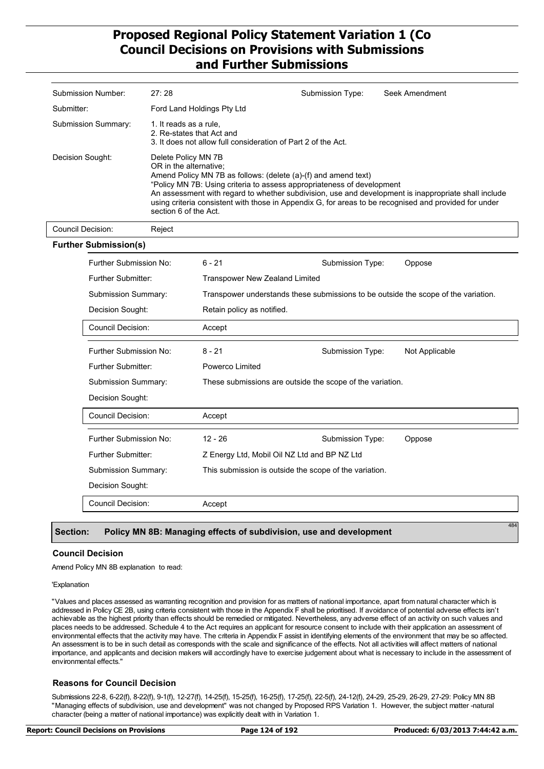| Submission Number:  | 27:28                                                                                                                                                                                                                                                                                                                                                                                                                               | Submission Type: | Seek Amendment |  |
|---------------------|-------------------------------------------------------------------------------------------------------------------------------------------------------------------------------------------------------------------------------------------------------------------------------------------------------------------------------------------------------------------------------------------------------------------------------------|------------------|----------------|--|
| Submitter:          | Ford Land Holdings Pty Ltd                                                                                                                                                                                                                                                                                                                                                                                                          |                  |                |  |
| Submission Summary: | 1. It reads as a rule.<br>2. Re-states that Act and<br>3. It does not allow full consideration of Part 2 of the Act.                                                                                                                                                                                                                                                                                                                |                  |                |  |
| Decision Sought:    | Delete Policy MN 7B<br>OR in the alternative:<br>Amend Policy MN 7B as follows: (delete (a)-(f) and amend text)<br>"Policy MN 7B: Using criteria to assess appropriateness of development<br>An assessment with regard to whether subdivision, use and development is inappropriate shall include<br>using criteria consistent with those in Appendix G, for areas to be recognised and provided for under<br>section 6 of the Act. |                  |                |  |

**Further Submission(s)** 6 - 21 Transpower New Zealand Limited Further Submission No: Further Submitter: Submission Summary: Transpower understands these submissions to be outside the scope of the variation. Decision Sought: Retain policy as notified. Council Decision: Accept Submission Type: Oppose 8 - 21 Powerco Limited Further Submission No: Further Submitter: Submission Summary: These submissions are outside the scope of the variation. Decision Sought: Council Decision: Accept Submission Type: Not Applicable 12 - 26 Z Energy Ltd, Mobil Oil NZ Ltd and BP NZ Ltd Further Submission No: Further Submitter: Submission Summary: This submission is outside the scope of the variation. Decision Sought: Council Decision: Accept Submission Type: Oppose

### **Section: Policy MN 8B: Managing effects of subdivision, use and development**

#### **Council Decision**

Amend Policy MN 8B explanation to read:

Council Decision: Reject

#### 'Explanation

"Values and places assessed as warranting recognition and provision for as matters of national importance, apart from natural character which is addressed in Policy CE 2B, using criteria consistent with those in the Appendix F shall be prioritised. If avoidance of potential adverse effects isn't achievable as the highest priority than effects should be remedied or mitigated. Nevertheless, any adverse effect of an activity on such values and places needs to be addressed. Schedule 4 to the Act requires an applicant for resource consent to include with their application an assessment of environmental effects that the activity may have. The criteria in Appendix F assist in identifying elements of the environment that may be so affected. An assessment is to be in such detail as corresponds with the scale and significance of the effects. Not all activities will affect matters of national importance, and applicants and decision makers will accordingly have to exercise judgement about what is necessary to include in the assessment of environmental effects."

### **Reasons for Council Decision**

Submissions 22-8, 6-22(f), 8-22(f), 9-1(f), 12-27(f), 14-25(f), 15-25(f), 16-25(f), 17-25(f), 22-5(f), 24-12(f), 24-29, 25-29, 26-29, 27-29: Policy MN 8B "Managing effects of subdivision, use and development" was not changed by Proposed RPS Variation 1. However, the subject matter -natural character (being a matter of national importance) was explicitly dealt with in Variation 1.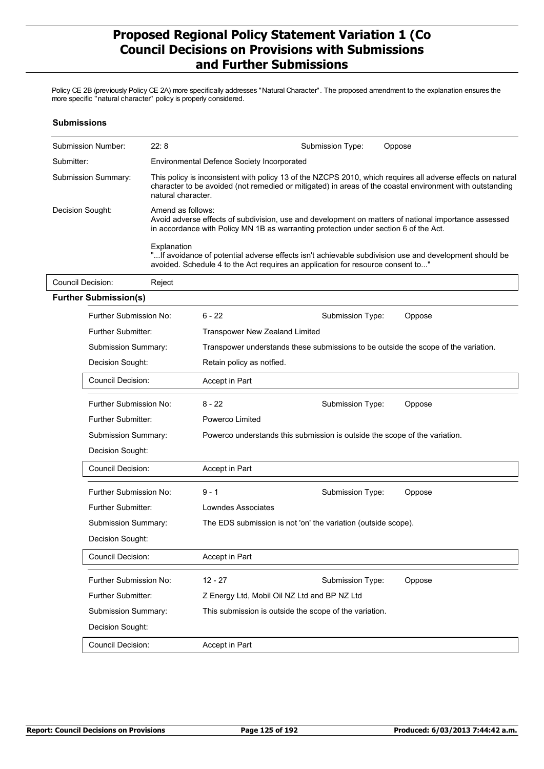Policy CE 2B (previously Policy CE 2A) more specifically addresses "Natural Character". The proposed amendment to the explanation ensures the more specific "natural character" policy is properly considered.

| <b>Submissions</b>  |                                              |                    |                                                                                                                                                                                                                   |                                       |                                                                                                                                                                                                                         |  |  |
|---------------------|----------------------------------------------|--------------------|-------------------------------------------------------------------------------------------------------------------------------------------------------------------------------------------------------------------|---------------------------------------|-------------------------------------------------------------------------------------------------------------------------------------------------------------------------------------------------------------------------|--|--|
|                     | <b>Submission Number:</b>                    | 22:8               |                                                                                                                                                                                                                   | Submission Type:                      | Oppose                                                                                                                                                                                                                  |  |  |
| Submitter:          |                                              |                    | <b>Environmental Defence Society Incorporated</b>                                                                                                                                                                 |                                       |                                                                                                                                                                                                                         |  |  |
| Submission Summary: |                                              | natural character. |                                                                                                                                                                                                                   |                                       | This policy is inconsistent with policy 13 of the NZCPS 2010, which requires all adverse effects on natural<br>character to be avoided (not remedied or mitigated) in areas of the coastal environment with outstanding |  |  |
|                     | Decision Sought:                             |                    | Amend as follows:<br>Avoid adverse effects of subdivision, use and development on matters of national importance assessed<br>in accordance with Policy MN 1B as warranting protection under section 6 of the Act. |                                       |                                                                                                                                                                                                                         |  |  |
|                     |                                              | Explanation        | "If avoidance of potential adverse effects isn't achievable subdivision use and development should be<br>avoided. Schedule 4 to the Act requires an application for resource consent to"                          |                                       |                                                                                                                                                                                                                         |  |  |
|                     | <b>Council Decision:</b>                     | Reject             |                                                                                                                                                                                                                   |                                       |                                                                                                                                                                                                                         |  |  |
|                     | <b>Further Submission(s)</b>                 |                    |                                                                                                                                                                                                                   |                                       |                                                                                                                                                                                                                         |  |  |
|                     | Further Submission No:                       |                    | $6 - 22$                                                                                                                                                                                                          | Submission Type:                      | Oppose                                                                                                                                                                                                                  |  |  |
|                     | Further Submitter:                           |                    |                                                                                                                                                                                                                   | <b>Transpower New Zealand Limited</b> |                                                                                                                                                                                                                         |  |  |
|                     | Submission Summary:                          |                    | Transpower understands these submissions to be outside the scope of the variation.                                                                                                                                |                                       |                                                                                                                                                                                                                         |  |  |
|                     | Decision Sought:<br><b>Council Decision:</b> |                    | Retain policy as notfied.                                                                                                                                                                                         |                                       |                                                                                                                                                                                                                         |  |  |
|                     |                                              |                    | Accept in Part                                                                                                                                                                                                    |                                       |                                                                                                                                                                                                                         |  |  |
|                     | Further Submission No:                       |                    | $8 - 22$                                                                                                                                                                                                          | Submission Type:                      | Oppose                                                                                                                                                                                                                  |  |  |
|                     | Further Submitter:                           |                    | Powerco Limited                                                                                                                                                                                                   |                                       |                                                                                                                                                                                                                         |  |  |
|                     | Submission Summary:                          |                    | Powerco understands this submission is outside the scope of the variation.                                                                                                                                        |                                       |                                                                                                                                                                                                                         |  |  |
|                     | Decision Sought:                             |                    |                                                                                                                                                                                                                   |                                       |                                                                                                                                                                                                                         |  |  |
|                     | Council Decision:                            |                    | Accept in Part                                                                                                                                                                                                    |                                       |                                                                                                                                                                                                                         |  |  |
|                     | Further Submission No:                       |                    | $9 - 1$                                                                                                                                                                                                           | Submission Type:                      | Oppose                                                                                                                                                                                                                  |  |  |
|                     | <b>Further Submitter:</b>                    |                    | Lowndes Associates                                                                                                                                                                                                |                                       |                                                                                                                                                                                                                         |  |  |
|                     | Submission Summary:                          |                    | The EDS submission is not 'on' the variation (outside scope).                                                                                                                                                     |                                       |                                                                                                                                                                                                                         |  |  |
|                     | Decision Sought:                             |                    |                                                                                                                                                                                                                   |                                       |                                                                                                                                                                                                                         |  |  |
|                     | Council Decision:                            |                    | Accept in Part                                                                                                                                                                                                    |                                       |                                                                                                                                                                                                                         |  |  |
|                     | Further Submission No:                       |                    | $12 - 27$                                                                                                                                                                                                         | Submission Type:                      | Oppose                                                                                                                                                                                                                  |  |  |
|                     | Further Submitter:                           |                    | Z Energy Ltd, Mobil Oil NZ Ltd and BP NZ Ltd                                                                                                                                                                      |                                       |                                                                                                                                                                                                                         |  |  |
|                     | Submission Summary:                          |                    | This submission is outside the scope of the variation.                                                                                                                                                            |                                       |                                                                                                                                                                                                                         |  |  |
|                     | Decision Sought:                             |                    |                                                                                                                                                                                                                   |                                       |                                                                                                                                                                                                                         |  |  |
|                     | Council Decision:                            |                    | Accept in Part                                                                                                                                                                                                    |                                       |                                                                                                                                                                                                                         |  |  |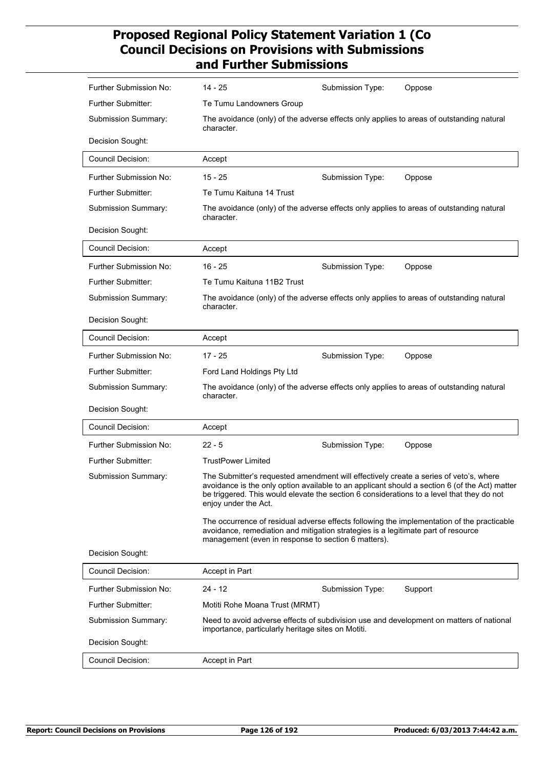| Further Submission No:    | 14 - 25                                                                                                                                                                                                    | Submission Type: | Oppose                                                                                        |
|---------------------------|------------------------------------------------------------------------------------------------------------------------------------------------------------------------------------------------------------|------------------|-----------------------------------------------------------------------------------------------|
| <b>Further Submitter:</b> | Te Tumu Landowners Group                                                                                                                                                                                   |                  |                                                                                               |
| Submission Summary:       | The avoidance (only) of the adverse effects only applies to areas of outstanding natural<br>character.                                                                                                     |                  |                                                                                               |
| Decision Sought:          |                                                                                                                                                                                                            |                  |                                                                                               |
| <b>Council Decision:</b>  | Accept                                                                                                                                                                                                     |                  |                                                                                               |
| Further Submission No:    | $15 - 25$                                                                                                                                                                                                  | Submission Type: | Oppose                                                                                        |
| Further Submitter:        | Te Tumu Kaituna 14 Trust                                                                                                                                                                                   |                  |                                                                                               |
| Submission Summary:       | The avoidance (only) of the adverse effects only applies to areas of outstanding natural<br>character.                                                                                                     |                  |                                                                                               |
| Decision Sought:          |                                                                                                                                                                                                            |                  |                                                                                               |
| <b>Council Decision:</b>  | Accept                                                                                                                                                                                                     |                  |                                                                                               |
| Further Submission No:    | $16 - 25$                                                                                                                                                                                                  | Submission Type: | Oppose                                                                                        |
| Further Submitter:        | Te Tumu Kaituna 11B2 Trust                                                                                                                                                                                 |                  |                                                                                               |
| Submission Summary:       | The avoidance (only) of the adverse effects only applies to areas of outstanding natural<br>character.                                                                                                     |                  |                                                                                               |
| Decision Sought:          |                                                                                                                                                                                                            |                  |                                                                                               |
| <b>Council Decision:</b>  | Accept                                                                                                                                                                                                     |                  |                                                                                               |
| Further Submission No:    | $17 - 25$                                                                                                                                                                                                  | Submission Type: | Oppose                                                                                        |
| Further Submitter:        | Ford Land Holdings Pty Ltd                                                                                                                                                                                 |                  |                                                                                               |
| Submission Summary:       | The avoidance (only) of the adverse effects only applies to areas of outstanding natural<br>character.                                                                                                     |                  |                                                                                               |
| Decision Sought:          |                                                                                                                                                                                                            |                  |                                                                                               |
| <b>Council Decision:</b>  | Accept                                                                                                                                                                                                     |                  |                                                                                               |
| Further Submission No:    | $22 - 5$                                                                                                                                                                                                   | Submission Type: | Oppose                                                                                        |
| <b>Further Submitter:</b> | <b>TrustPower Limited</b>                                                                                                                                                                                  |                  |                                                                                               |
| Submission Summary:       | The Submitter's requested amendment will effectively create a series of veto's, where<br>be triggered. This would elevate the section 6 considerations to a level that they do not<br>enjoy under the Act. |                  | avoidance is the only option available to an applicant should a section 6 (of the Act) matter |
|                           | avoidance, remediation and mitigation strategies is a legitimate part of resource<br>management (even in response to section 6 matters).                                                                   |                  | The occurrence of residual adverse effects following the implementation of the practicable    |
| Decision Sought:          |                                                                                                                                                                                                            |                  |                                                                                               |
| <b>Council Decision:</b>  | Accept in Part                                                                                                                                                                                             |                  |                                                                                               |
| Further Submission No:    | $24 - 12$                                                                                                                                                                                                  | Submission Type: | Support                                                                                       |
| <b>Further Submitter:</b> | Motiti Rohe Moana Trust (MRMT)                                                                                                                                                                             |                  |                                                                                               |
| Submission Summary:       | importance, particularly heritage sites on Motiti.                                                                                                                                                         |                  | Need to avoid adverse effects of subdivision use and development on matters of national       |
| Decision Sought:          |                                                                                                                                                                                                            |                  |                                                                                               |
| <b>Council Decision:</b>  | Accept in Part                                                                                                                                                                                             |                  |                                                                                               |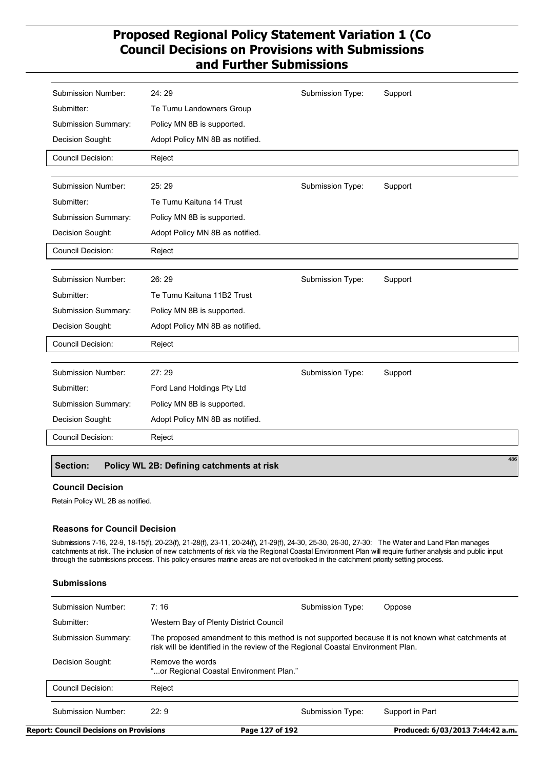| <b>Submission Number:</b> | 24:29                           | Submission Type: | Support |
|---------------------------|---------------------------------|------------------|---------|
| Submitter:                | Te Tumu Landowners Group        |                  |         |
| Submission Summary:       | Policy MN 8B is supported.      |                  |         |
| Decision Sought:          | Adopt Policy MN 8B as notified. |                  |         |
| Council Decision:         | Reject                          |                  |         |
|                           |                                 |                  |         |
| <b>Submission Number:</b> | 25:29                           | Submission Type: | Support |
| Submitter:                | Te Tumu Kaituna 14 Trust        |                  |         |
| Submission Summary:       | Policy MN 8B is supported.      |                  |         |
| Decision Sought:          | Adopt Policy MN 8B as notified. |                  |         |
| <b>Council Decision:</b>  | Reject                          |                  |         |
|                           |                                 |                  |         |
| <b>Submission Number:</b> | 26:29                           | Submission Type: | Support |
| Submitter:                | Te Tumu Kaituna 11B2 Trust      |                  |         |
| Submission Summary:       | Policy MN 8B is supported.      |                  |         |
| Decision Sought:          | Adopt Policy MN 8B as notified. |                  |         |
| Council Decision:         | Reject                          |                  |         |
|                           |                                 |                  |         |
| Submission Number:        | 27:29                           | Submission Type: | Support |
| Submitter:                | Ford Land Holdings Pty Ltd      |                  |         |
| Submission Summary:       | Policy MN 8B is supported.      |                  |         |
| Decision Sought:          | Adopt Policy MN 8B as notified. |                  |         |
| <b>Council Decision:</b>  | Reject                          |                  |         |
|                           |                                 |                  | 486     |
|                           |                                 |                  |         |

## **Section: Policy WL 2B: Defining catchments at risk**

### **Council Decision**

Retain Policy WL 2B as notified.

### **Reasons for Council Decision**

Submissions 7-16, 22-9, 18-15(f), 20-23(f), 21-28(f), 23-11, 20-24(f), 21-29(f), 24-30, 25-30, 26-30, 27-30: The Water and Land Plan manages catchments at risk. The inclusion of new catchments of risk via the Regional Coastal Environment Plan will require further analysis and public input through the submissions process. This policy ensures marine areas are not overlooked in the catchment priority setting process.

### **Submissions**

| <b>Report: Council Decisions on Provisions</b> |                                                             | Page 127 of 192                                                                 | Produced: 6/03/2013 7:44:42 a.m.                                                                  |
|------------------------------------------------|-------------------------------------------------------------|---------------------------------------------------------------------------------|---------------------------------------------------------------------------------------------------|
| Submission Number:                             | 22.9                                                        | Submission Type:                                                                | Support in Part                                                                                   |
| Council Decision:                              | Reject                                                      |                                                                                 |                                                                                                   |
| Decision Sought:                               | Remove the words<br>"or Regional Coastal Environment Plan." |                                                                                 |                                                                                                   |
| Submission Summary:                            |                                                             | risk will be identified in the review of the Regional Coastal Environment Plan. | The proposed amendment to this method is not supported because it is not known what catchments at |
| Submitter:                                     | Western Bay of Plenty District Council                      |                                                                                 |                                                                                                   |
| Submission Number:                             | 7:16                                                        | Submission Type:                                                                | Oppose                                                                                            |
|                                                |                                                             |                                                                                 |                                                                                                   |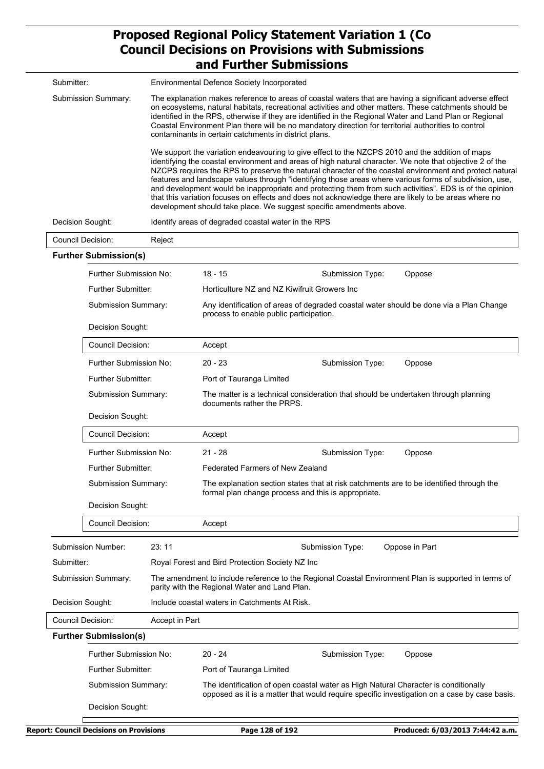|                          |                                                                   |                | ang Furtner Supmissions                                                                                                                                                                                                                                                                                                                                                                                                                                                                                                                                                                                                                                                                                                       |  |  |  |  |
|--------------------------|-------------------------------------------------------------------|----------------|-------------------------------------------------------------------------------------------------------------------------------------------------------------------------------------------------------------------------------------------------------------------------------------------------------------------------------------------------------------------------------------------------------------------------------------------------------------------------------------------------------------------------------------------------------------------------------------------------------------------------------------------------------------------------------------------------------------------------------|--|--|--|--|
| Submitter:               |                                                                   |                | Environmental Defence Society Incorporated                                                                                                                                                                                                                                                                                                                                                                                                                                                                                                                                                                                                                                                                                    |  |  |  |  |
|                          | Submission Summary:                                               |                | The explanation makes reference to areas of coastal waters that are having a significant adverse effect<br>on ecosystems, natural habitats, recreational activities and other matters. These catchments should be<br>identified in the RPS, otherwise if they are identified in the Regional Water and Land Plan or Regional<br>Coastal Environment Plan there will be no mandatory direction for territorial authorities to control<br>contaminants in certain catchments in district plans.                                                                                                                                                                                                                                 |  |  |  |  |
|                          |                                                                   |                | We support the variation endeavouring to give effect to the NZCPS 2010 and the addition of maps<br>identifying the coastal environment and areas of high natural character. We note that objective 2 of the<br>NZCPS requires the RPS to preserve the natural character of the coastal environment and protect natural<br>features and landscape values through "identifying those areas where various forms of subdivision, use,<br>and development would be inappropriate and protecting them from such activities". EDS is of the opinion<br>that this variation focuses on effects and does not acknowledge there are likely to be areas where no<br>development should take place. We suggest specific amendments above. |  |  |  |  |
| Decision Sought:         |                                                                   |                | Identify areas of degraded coastal water in the RPS                                                                                                                                                                                                                                                                                                                                                                                                                                                                                                                                                                                                                                                                           |  |  |  |  |
| <b>Council Decision:</b> |                                                                   | Reject         |                                                                                                                                                                                                                                                                                                                                                                                                                                                                                                                                                                                                                                                                                                                               |  |  |  |  |
|                          | <b>Further Submission(s)</b>                                      |                |                                                                                                                                                                                                                                                                                                                                                                                                                                                                                                                                                                                                                                                                                                                               |  |  |  |  |
|                          | Further Submission No:                                            |                | $18 - 15$<br>Submission Type:<br>Oppose                                                                                                                                                                                                                                                                                                                                                                                                                                                                                                                                                                                                                                                                                       |  |  |  |  |
|                          | Further Submitter:                                                |                | Horticulture NZ and NZ Kiwifruit Growers Inc                                                                                                                                                                                                                                                                                                                                                                                                                                                                                                                                                                                                                                                                                  |  |  |  |  |
|                          | Submission Summary:                                               |                | Any identification of areas of degraded coastal water should be done via a Plan Change<br>process to enable public participation.                                                                                                                                                                                                                                                                                                                                                                                                                                                                                                                                                                                             |  |  |  |  |
|                          | Decision Sought:                                                  |                |                                                                                                                                                                                                                                                                                                                                                                                                                                                                                                                                                                                                                                                                                                                               |  |  |  |  |
|                          | <b>Council Decision:</b>                                          |                | Accept                                                                                                                                                                                                                                                                                                                                                                                                                                                                                                                                                                                                                                                                                                                        |  |  |  |  |
|                          | Further Submission No:                                            |                | $20 - 23$<br>Submission Type:<br>Oppose                                                                                                                                                                                                                                                                                                                                                                                                                                                                                                                                                                                                                                                                                       |  |  |  |  |
|                          | <b>Further Submitter:</b>                                         |                | Port of Tauranga Limited                                                                                                                                                                                                                                                                                                                                                                                                                                                                                                                                                                                                                                                                                                      |  |  |  |  |
|                          | Submission Summary:                                               |                | The matter is a technical consideration that should be undertaken through planning<br>documents rather the PRPS.                                                                                                                                                                                                                                                                                                                                                                                                                                                                                                                                                                                                              |  |  |  |  |
|                          | Decision Sought:                                                  |                |                                                                                                                                                                                                                                                                                                                                                                                                                                                                                                                                                                                                                                                                                                                               |  |  |  |  |
|                          | Council Decision:                                                 |                | Accept                                                                                                                                                                                                                                                                                                                                                                                                                                                                                                                                                                                                                                                                                                                        |  |  |  |  |
|                          | Further Submission No:                                            |                | $21 - 28$<br>Submission Type:<br>Oppose                                                                                                                                                                                                                                                                                                                                                                                                                                                                                                                                                                                                                                                                                       |  |  |  |  |
|                          | Further Submitter:                                                |                | <b>Federated Farmers of New Zealand</b>                                                                                                                                                                                                                                                                                                                                                                                                                                                                                                                                                                                                                                                                                       |  |  |  |  |
|                          | Submission Summary:                                               |                | The explanation section states that at risk catchments are to be identified through the<br>formal plan change process and this is appropriate.                                                                                                                                                                                                                                                                                                                                                                                                                                                                                                                                                                                |  |  |  |  |
|                          | Decision Sought:                                                  |                |                                                                                                                                                                                                                                                                                                                                                                                                                                                                                                                                                                                                                                                                                                                               |  |  |  |  |
|                          | <b>Council Decision:</b>                                          |                | Accept                                                                                                                                                                                                                                                                                                                                                                                                                                                                                                                                                                                                                                                                                                                        |  |  |  |  |
|                          | Submission Number:                                                | 23:11          | Submission Type:<br>Oppose in Part                                                                                                                                                                                                                                                                                                                                                                                                                                                                                                                                                                                                                                                                                            |  |  |  |  |
| Submitter:               |                                                                   |                | Royal Forest and Bird Protection Society NZ Inc                                                                                                                                                                                                                                                                                                                                                                                                                                                                                                                                                                                                                                                                               |  |  |  |  |
|                          | Submission Summary:                                               |                | The amendment to include reference to the Regional Coastal Environment Plan is supported in terms of<br>parity with the Regional Water and Land Plan.                                                                                                                                                                                                                                                                                                                                                                                                                                                                                                                                                                         |  |  |  |  |
|                          | Include coastal waters in Catchments At Risk.<br>Decision Sought: |                |                                                                                                                                                                                                                                                                                                                                                                                                                                                                                                                                                                                                                                                                                                                               |  |  |  |  |
| <b>Council Decision:</b> |                                                                   | Accept in Part |                                                                                                                                                                                                                                                                                                                                                                                                                                                                                                                                                                                                                                                                                                                               |  |  |  |  |
|                          | <b>Further Submission(s)</b>                                      |                |                                                                                                                                                                                                                                                                                                                                                                                                                                                                                                                                                                                                                                                                                                                               |  |  |  |  |
|                          | Further Submission No:                                            |                | $20 - 24$<br>Submission Type:<br>Oppose                                                                                                                                                                                                                                                                                                                                                                                                                                                                                                                                                                                                                                                                                       |  |  |  |  |
|                          | Further Submitter:                                                |                | Port of Tauranga Limited                                                                                                                                                                                                                                                                                                                                                                                                                                                                                                                                                                                                                                                                                                      |  |  |  |  |
|                          | Submission Summary:                                               |                | The identification of open coastal water as High Natural Character is conditionally<br>opposed as it is a matter that would require specific investigation on a case by case basis.                                                                                                                                                                                                                                                                                                                                                                                                                                                                                                                                           |  |  |  |  |
|                          | Decision Sought:                                                  |                |                                                                                                                                                                                                                                                                                                                                                                                                                                                                                                                                                                                                                                                                                                                               |  |  |  |  |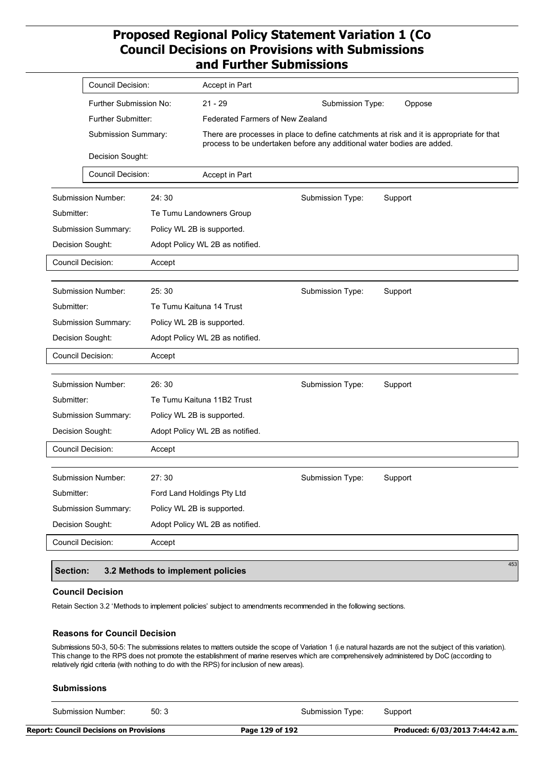|                            | <b>Council Decision:</b>  | Accept in Part                  |                                                                                                                                                                    |
|----------------------------|---------------------------|---------------------------------|--------------------------------------------------------------------------------------------------------------------------------------------------------------------|
|                            | Further Submission No:    | $21 - 29$                       | Submission Type:<br>Oppose                                                                                                                                         |
|                            | <b>Further Submitter:</b> |                                 | <b>Federated Farmers of New Zealand</b>                                                                                                                            |
|                            | Submission Summary:       |                                 | There are processes in place to define catchments at risk and it is appropriate for that<br>process to be undertaken before any additional water bodies are added. |
|                            | Decision Sought:          |                                 |                                                                                                                                                                    |
|                            | <b>Council Decision:</b>  | Accept in Part                  |                                                                                                                                                                    |
| <b>Submission Number:</b>  | 24:30                     |                                 | Submission Type:<br>Support                                                                                                                                        |
| Submitter:                 |                           | Te Tumu Landowners Group        |                                                                                                                                                                    |
| Submission Summary:        |                           | Policy WL 2B is supported.      |                                                                                                                                                                    |
| Decision Sought:           |                           | Adopt Policy WL 2B as notified. |                                                                                                                                                                    |
| <b>Council Decision:</b>   | Accept                    |                                 |                                                                                                                                                                    |
| Submission Number:         | 25:30                     |                                 | Submission Type:<br>Support                                                                                                                                        |
| Submitter:                 |                           | Te Tumu Kaituna 14 Trust        |                                                                                                                                                                    |
| Submission Summary:        |                           | Policy WL 2B is supported.      |                                                                                                                                                                    |
|                            |                           |                                 |                                                                                                                                                                    |
| Decision Sought:           |                           | Adopt Policy WL 2B as notified. |                                                                                                                                                                    |
| <b>Council Decision:</b>   | Accept                    |                                 |                                                                                                                                                                    |
| <b>Submission Number:</b>  | 26:30                     |                                 | Submission Type:<br>Support                                                                                                                                        |
| Submitter:                 |                           | Te Tumu Kaituna 11B2 Trust      |                                                                                                                                                                    |
| <b>Submission Summary:</b> |                           | Policy WL 2B is supported.      |                                                                                                                                                                    |
| Decision Sought:           |                           | Adopt Policy WL 2B as notified. |                                                                                                                                                                    |
| Council Decision:          | Accept                    |                                 |                                                                                                                                                                    |
| Submission Number:         | 27:30                     |                                 | Submission Type:<br>Support                                                                                                                                        |
| Submitter:                 |                           | Ford Land Holdings Pty Ltd      |                                                                                                                                                                    |
| Submission Summary:        |                           | Policy WL 2B is supported.      |                                                                                                                                                                    |
| Decision Sought:           |                           | Adopt Policy WL 2B as notified. |                                                                                                                                                                    |
| Council Decision:          | Accept                    |                                 |                                                                                                                                                                    |
|                            |                           |                                 | 453                                                                                                                                                                |

### **Section: 3.2 Methods to implement policies**

#### **Council Decision**

Retain Section 3.2 'Methods to implement policies' subject to amendments recommended in the following sections.

### **Reasons for Council Decision**

Submissions 50-3, 50-5: The submissions relates to matters outside the scope of Variation 1 (i.e natural hazards are not the subject of this variation). This change to the RPS does not promote the establishment of marine reserves which are comprehensively administered by DoC (according to relatively rigid criteria (with nothing to do with the RPS) for inclusion of new areas).

#### **Submissions**

Submission Number: 50: 3 Submission Type: Support

**Report: Council Decisions on Provisions Page 129 of 192 Produced: 6/03/2013 7:44:42 a.m.**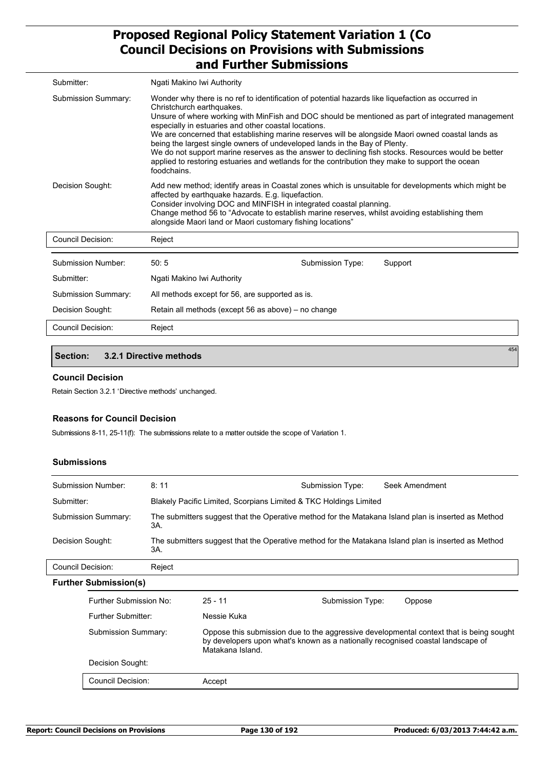| Submitter:                 | Ngati Makino Iwi Authority                                                                                                                                                                                                                                                                                                                                                                                                                                                                                                                                                                                                                                                                               |                                                     |         |  |
|----------------------------|----------------------------------------------------------------------------------------------------------------------------------------------------------------------------------------------------------------------------------------------------------------------------------------------------------------------------------------------------------------------------------------------------------------------------------------------------------------------------------------------------------------------------------------------------------------------------------------------------------------------------------------------------------------------------------------------------------|-----------------------------------------------------|---------|--|
| <b>Submission Summary:</b> | Wonder why there is no ref to identification of potential hazards like liquefaction as occurred in<br>Christchurch earthquakes.<br>Unsure of where working with MinFish and DOC should be mentioned as part of integrated management<br>especially in estuaries and other coastal locations.<br>We are concerned that establishing marine reserves will be alongside Maori owned coastal lands as<br>being the largest single owners of undeveloped lands in the Bay of Plenty.<br>We do not support marine reserves as the answer to declining fish stocks. Resources would be better<br>applied to restoring estuaries and wetlands for the contribution they make to support the ocean<br>foodchains. |                                                     |         |  |
| Decision Sought:           | Add new method; identify areas in Coastal zones which is unsuitable for developments which might be<br>affected by earthquake hazards. E.g. liquefaction.<br>Consider involving DOC and MINFISH in integrated coastal planning.<br>Change method 56 to "Advocate to establish marine reserves, whilst avoiding establishing them<br>alongside Maori land or Maori customary fishing locations"                                                                                                                                                                                                                                                                                                           |                                                     |         |  |
| Council Decision:          | Reject                                                                                                                                                                                                                                                                                                                                                                                                                                                                                                                                                                                                                                                                                                   |                                                     |         |  |
| Submission Number:         | 50:5                                                                                                                                                                                                                                                                                                                                                                                                                                                                                                                                                                                                                                                                                                     | Submission Type:                                    | Support |  |
| Submitter:                 | Ngati Makino Iwi Authority                                                                                                                                                                                                                                                                                                                                                                                                                                                                                                                                                                                                                                                                               |                                                     |         |  |
| <b>Submission Summary:</b> |                                                                                                                                                                                                                                                                                                                                                                                                                                                                                                                                                                                                                                                                                                          | All methods except for 56, are supported as is.     |         |  |
| Decision Sought:           |                                                                                                                                                                                                                                                                                                                                                                                                                                                                                                                                                                                                                                                                                                          | Retain all methods (except 56 as above) – no change |         |  |
| Council Decision:          | Reject                                                                                                                                                                                                                                                                                                                                                                                                                                                                                                                                                                                                                                                                                                   |                                                     |         |  |

## **Section: 3.2.1 Directive methods**

### **Council Decision**

Retain Section 3.2.1 'Directive methods' unchanged.

### **Reasons for Council Decision**

Submissions 8-11, 25-11(f): The submissions relate to a matter outside the scope of Variation 1.

### **Submissions**

| Submission Number:  | 8:11                                                                                                       | Submission Type: | Seek Amendment |  |  |
|---------------------|------------------------------------------------------------------------------------------------------------|------------------|----------------|--|--|
| Submitter:          | Blakely Pacific Limited, Scorpians Limited & TKC Holdings Limited                                          |                  |                |  |  |
| Submission Summary: | The submitters suggest that the Operative method for the Matakana Island plan is inserted as Method<br>3A. |                  |                |  |  |
| Decision Sought:    | The submitters suggest that the Operative method for the Matakana Island plan is inserted as Method<br>ЗΑ. |                  |                |  |  |
| Council Decision:   | Reject                                                                                                     |                  |                |  |  |

| <b>Further Submission(s)</b> |  |
|------------------------------|--|
|                              |  |

| r Submission(s)        |                  |                                                                                 |                                                                                         |
|------------------------|------------------|---------------------------------------------------------------------------------|-----------------------------------------------------------------------------------------|
| Further Submission No: | $25 - 11$        | Submission Type:                                                                | Oppose                                                                                  |
| Further Submitter:     | Nessie Kuka      |                                                                                 |                                                                                         |
| Submission Summary:    | Matakana Island. | by developers upon what's known as a nationally recognised coastal landscape of | Oppose this submission due to the aggressive developmental context that is being sought |
| Decision Sought:       |                  |                                                                                 |                                                                                         |
| Council Decision:      | Accept           |                                                                                 |                                                                                         |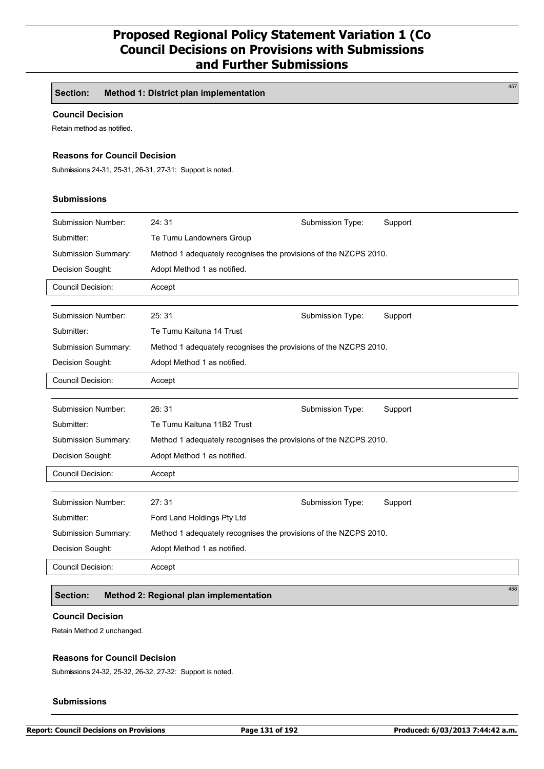**Section: Method 1: District plan implementation**

### **Council Decision**

Retain method as notified.

### **Reasons for Council Decision**

Submissions 24-31, 25-31, 26-31, 27-31: Support is noted.

## **Submissions**

| <b>Submission Number:</b>  | 24:31                                                            | Submission Type: | Support |  |  |
|----------------------------|------------------------------------------------------------------|------------------|---------|--|--|
| Submitter:                 | Te Tumu Landowners Group                                         |                  |         |  |  |
| <b>Submission Summary:</b> | Method 1 adequately recognises the provisions of the NZCPS 2010. |                  |         |  |  |
| Decision Sought:           | Adopt Method 1 as notified.                                      |                  |         |  |  |
| <b>Council Decision:</b>   | Accept                                                           |                  |         |  |  |
|                            |                                                                  |                  |         |  |  |
| <b>Submission Number:</b>  | 25:31                                                            | Submission Type: | Support |  |  |
| Submitter:                 | Te Tumu Kaituna 14 Trust                                         |                  |         |  |  |
| Submission Summary:        | Method 1 adequately recognises the provisions of the NZCPS 2010. |                  |         |  |  |
| Decision Sought:           | Adopt Method 1 as notified.                                      |                  |         |  |  |
| <b>Council Decision:</b>   | Accept                                                           |                  |         |  |  |
|                            |                                                                  |                  |         |  |  |
| <b>Submission Number:</b>  | 26:31                                                            | Submission Type: | Support |  |  |
| Submitter:                 | Te Tumu Kaituna 11B2 Trust                                       |                  |         |  |  |
| Submission Summary:        | Method 1 adequately recognises the provisions of the NZCPS 2010. |                  |         |  |  |
| Decision Sought:           | Adopt Method 1 as notified.                                      |                  |         |  |  |
| <b>Council Decision:</b>   | Accept                                                           |                  |         |  |  |
|                            |                                                                  |                  |         |  |  |
| <b>Submission Number:</b>  | 27:31                                                            | Submission Type: | Support |  |  |
| Submitter:                 | Ford Land Holdings Pty Ltd                                       |                  |         |  |  |
| Submission Summary:        | Method 1 adequately recognises the provisions of the NZCPS 2010. |                  |         |  |  |
| Decision Sought:           | Adopt Method 1 as notified.                                      |                  |         |  |  |
| <b>Council Decision:</b>   |                                                                  |                  |         |  |  |

## **Section: Method 2: Regional plan implementation**

#### **Council Decision**

Retain Method 2 unchanged.

### **Reasons for Council Decision**

Submissions 24-32, 25-32, 26-32, 27-32: Support is noted.

#### **Submissions**

458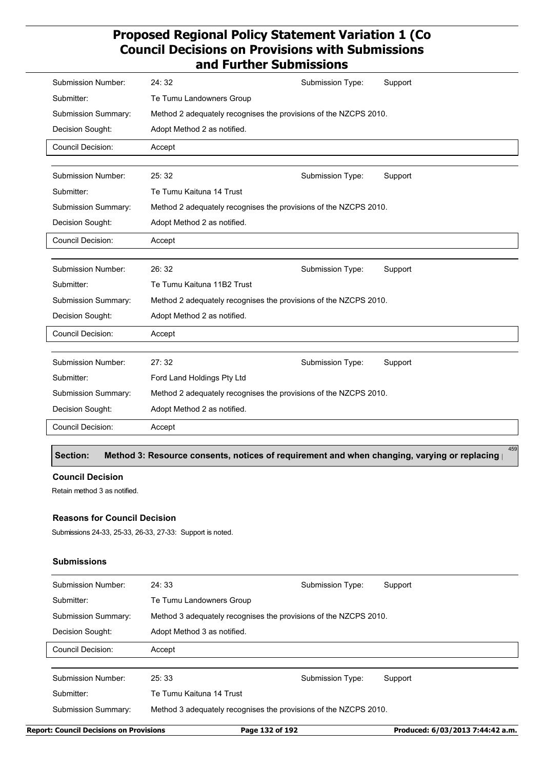| Submission Number:        | 24:32                                                            | Submission Type: | Support |  |  |
|---------------------------|------------------------------------------------------------------|------------------|---------|--|--|
| Submitter:                | Te Tumu Landowners Group                                         |                  |         |  |  |
| Submission Summary:       | Method 2 adequately recognises the provisions of the NZCPS 2010. |                  |         |  |  |
| Decision Sought:          | Adopt Method 2 as notified.                                      |                  |         |  |  |
| <b>Council Decision:</b>  | Accept                                                           |                  |         |  |  |
|                           |                                                                  |                  |         |  |  |
| <b>Submission Number:</b> | 25:32                                                            | Submission Type: | Support |  |  |
| Submitter:                | Te Tumu Kaituna 14 Trust                                         |                  |         |  |  |
| Submission Summary:       | Method 2 adequately recognises the provisions of the NZCPS 2010. |                  |         |  |  |
| Decision Sought:          | Adopt Method 2 as notified.                                      |                  |         |  |  |
| <b>Council Decision:</b>  | Accept                                                           |                  |         |  |  |
|                           |                                                                  |                  |         |  |  |
| Submission Number:        | 26:32                                                            | Submission Type: | Support |  |  |
| Submitter:                | Te Tumu Kaituna 11B2 Trust                                       |                  |         |  |  |
| Submission Summary:       | Method 2 adequately recognises the provisions of the NZCPS 2010. |                  |         |  |  |
| Decision Sought:          | Adopt Method 2 as notified.                                      |                  |         |  |  |
| <b>Council Decision:</b>  | Accept                                                           |                  |         |  |  |
|                           |                                                                  |                  |         |  |  |
| <b>Submission Number:</b> | 27:32                                                            | Submission Type: | Support |  |  |
| Submitter:                | Ford Land Holdings Pty Ltd                                       |                  |         |  |  |
| Submission Summary:       | Method 2 adequately recognises the provisions of the NZCPS 2010. |                  |         |  |  |
| Decision Sought:          | Adopt Method 2 as notified.                                      |                  |         |  |  |
| <b>Council Decision:</b>  | Accept                                                           |                  |         |  |  |

Section: Method 3: Resource consents, notices of requirement and when changing, varying or replacing

#### **Council Decision**

Retain method 3 as notified.

### **Reasons for Council Decision**

Submissions 24-33, 25-33, 26-33, 27-33: Support is noted.

### **Submissions**

| Submission Number:  | 24:33                                                            | Submission Type: | Support |
|---------------------|------------------------------------------------------------------|------------------|---------|
| Submitter:          | Te Tumu Landowners Group                                         |                  |         |
| Submission Summary: | Method 3 adequately recognises the provisions of the NZCPS 2010. |                  |         |
| Decision Sought:    | Adopt Method 3 as notified.                                      |                  |         |
| Council Decision:   | Accept                                                           |                  |         |
|                     |                                                                  |                  |         |
| Submission Number:  | 25:33                                                            | Submission Type: | Support |
| Submitter:          | Te Tumu Kaituna 14 Trust                                         |                  |         |
| Submission Summary: | Method 3 adequately recognises the provisions of the NZCPS 2010. |                  |         |
|                     |                                                                  |                  |         |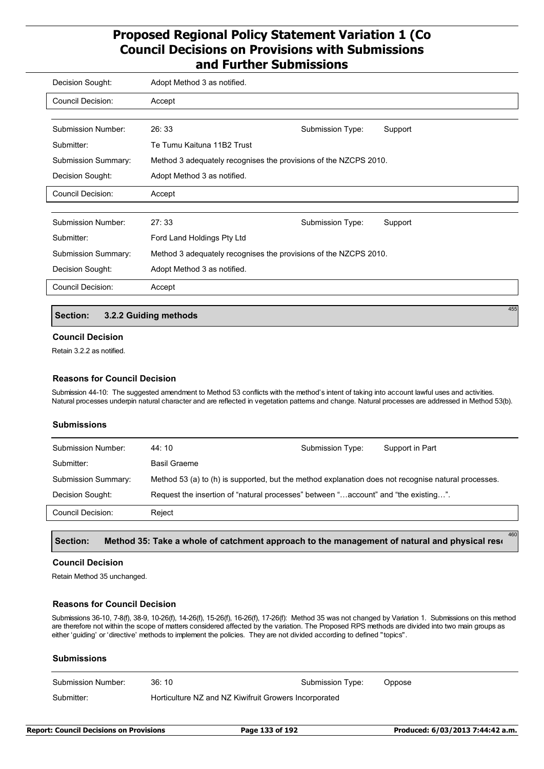| Decision Sought:           | Adopt Method 3 as notified.                                      |                  |         |
|----------------------------|------------------------------------------------------------------|------------------|---------|
| Council Decision:          | Accept                                                           |                  |         |
|                            |                                                                  |                  |         |
| Submission Number:         | 26:33                                                            | Submission Type: | Support |
| Submitter:                 | Te Tumu Kaituna 11B2 Trust                                       |                  |         |
| <b>Submission Summary:</b> | Method 3 adequately recognises the provisions of the NZCPS 2010. |                  |         |
| Decision Sought:           | Adopt Method 3 as notified.                                      |                  |         |
| <b>Council Decision:</b>   | Accept                                                           |                  |         |
|                            |                                                                  |                  |         |
| <b>Submission Number:</b>  | 27:33                                                            | Submission Type: | Support |
| Submitter:                 | Ford Land Holdings Pty Ltd                                       |                  |         |
| <b>Submission Summary:</b> | Method 3 adequately recognises the provisions of the NZCPS 2010. |                  |         |
| Decision Sought:           | Adopt Method 3 as notified.                                      |                  |         |
| <b>Council Decision:</b>   | Accept                                                           |                  |         |

### **Section: 3.2.2 Guiding methods**

### **Council Decision**

Retain 3.2.2 as notified.

### **Reasons for Council Decision**

Submission 44-10: The suggested amendment to Method 53 conflicts with the method's intent of taking into account lawful uses and activities. Natural processes underpin natural character and are reflected in vegetation patterns and change. Natural processes are addressed in Method 53(b).

### **Submissions**

| Submission Number:  | 44: 10                                                                                              | Submission Type: | Support in Part |
|---------------------|-----------------------------------------------------------------------------------------------------|------------------|-----------------|
| Submitter:          | Basil Graeme                                                                                        |                  |                 |
| Submission Summary: | Method 53 (a) to (h) is supported, but the method explanation does not recognise natural processes. |                  |                 |
| Decision Sought:    | Request the insertion of "natural processes" between "account" and "the existing".                  |                  |                 |
| Council Decision:   | Reject                                                                                              |                  |                 |
|                     |                                                                                                     |                  |                 |

#### Section: Method 35: Take a whole of catchment approach to the management of natural and physical reso

### **Council Decision**

Retain Method 35 unchanged.

### **Reasons for Council Decision**

Submissions 36-10, 7-8(f), 38-9, 10-26(f), 14-26(f), 15-26(f), 16-26(f), 17-26(f): Method 35 was not changed by Variation 1. Submissions on this method are therefore not within the scope of matters considered affected by the variation. The Proposed RPS methods are divided into two main groups as either 'guiding' or 'directive' methods to implement the policies. They are not divided according to defined "topics".

| <b>Submissions</b> |                                                       |                  |        |
|--------------------|-------------------------------------------------------|------------------|--------|
| Submission Number: | 36:10                                                 | Submission Type: | Oppose |
| Submitter:         | Horticulture NZ and NZ Kiwifruit Growers Incorporated |                  |        |
|                    |                                                       |                  |        |

455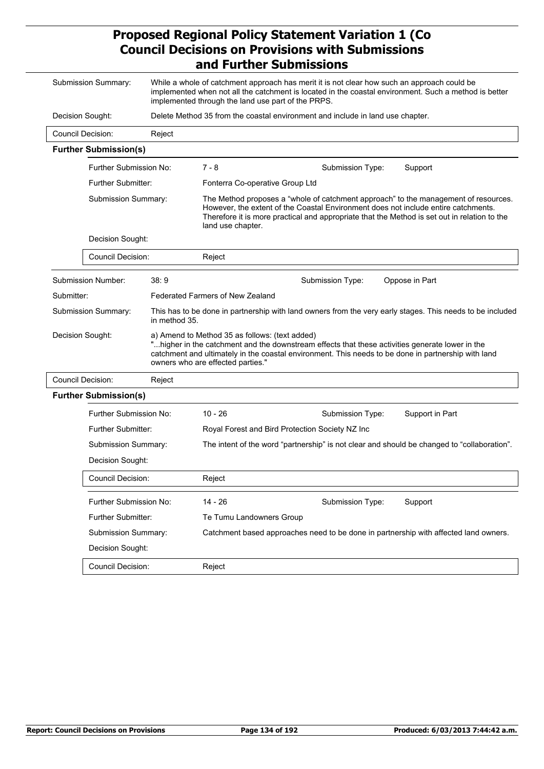| Submission Summary:                                                                                     |                                      |                                                    | While a whole of catchment approach has merit it is not clear how such an approach could be                                                                                                                                                                               |  |  |
|---------------------------------------------------------------------------------------------------------|--------------------------------------|----------------------------------------------------|---------------------------------------------------------------------------------------------------------------------------------------------------------------------------------------------------------------------------------------------------------------------------|--|--|
|                                                                                                         |                                      | implemented through the land use part of the PRPS. | implemented when not all the catchment is located in the coastal environment. Such a method is better                                                                                                                                                                     |  |  |
| Decision Sought:                                                                                        |                                      |                                                    | Delete Method 35 from the coastal environment and include in land use chapter.                                                                                                                                                                                            |  |  |
| <b>Council Decision:</b>                                                                                | Reject                               |                                                    |                                                                                                                                                                                                                                                                           |  |  |
| <b>Further Submission(s)</b>                                                                            |                                      |                                                    |                                                                                                                                                                                                                                                                           |  |  |
| Further Submission No:                                                                                  |                                      | $7 - 8$                                            | Submission Type:<br>Support                                                                                                                                                                                                                                               |  |  |
| <b>Further Submitter:</b>                                                                               |                                      | Fonterra Co-operative Group Ltd                    |                                                                                                                                                                                                                                                                           |  |  |
| Submission Summary:                                                                                     |                                      | land use chapter.                                  | The Method proposes a "whole of catchment approach" to the management of resources.<br>However, the extent of the Coastal Environment does not include entire catchments.<br>Therefore it is more practical and appropriate that the Method is set out in relation to the |  |  |
| Decision Sought:                                                                                        |                                      |                                                    |                                                                                                                                                                                                                                                                           |  |  |
| Council Decision:                                                                                       |                                      | Reject                                             |                                                                                                                                                                                                                                                                           |  |  |
| Submission Number:                                                                                      | 38:9                                 |                                                    | Submission Type:<br>Oppose in Part                                                                                                                                                                                                                                        |  |  |
| Submitter:                                                                                              |                                      | <b>Federated Farmers of New Zealand</b>            |                                                                                                                                                                                                                                                                           |  |  |
|                                                                                                         | Submission Summary:<br>in method 35. |                                                    | This has to be done in partnership with land owners from the very early stages. This needs to be included                                                                                                                                                                 |  |  |
| Decision Sought:<br>a) Amend to Method 35 as follows: (text added)<br>owners who are effected parties." |                                      |                                                    | "higher in the catchment and the downstream effects that these activities generate lower in the<br>catchment and ultimately in the coastal environment. This needs to be done in partnership with land                                                                    |  |  |
| <b>Council Decision:</b>                                                                                | Reject                               |                                                    |                                                                                                                                                                                                                                                                           |  |  |
| <b>Further Submission(s)</b>                                                                            |                                      |                                                    |                                                                                                                                                                                                                                                                           |  |  |
| Further Submission No:                                                                                  |                                      | $10 - 26$                                          | Support in Part<br>Submission Type:                                                                                                                                                                                                                                       |  |  |
| <b>Further Submitter:</b>                                                                               |                                      |                                                    | Royal Forest and Bird Protection Society NZ Inc                                                                                                                                                                                                                           |  |  |
| Submission Summary:                                                                                     |                                      |                                                    | The intent of the word "partnership" is not clear and should be changed to "collaboration".                                                                                                                                                                               |  |  |
| Decision Sought:                                                                                        |                                      |                                                    |                                                                                                                                                                                                                                                                           |  |  |
| Council Decision:                                                                                       |                                      | Reject                                             |                                                                                                                                                                                                                                                                           |  |  |
| Further Submission No:                                                                                  |                                      | $14 - 26$                                          | Support<br>Submission Type:                                                                                                                                                                                                                                               |  |  |
| Further Submitter:                                                                                      |                                      | Te Tumu Landowners Group                           |                                                                                                                                                                                                                                                                           |  |  |
| Submission Summary:                                                                                     |                                      |                                                    | Catchment based approaches need to be done in partnership with affected land owners.                                                                                                                                                                                      |  |  |
| Decision Sought:                                                                                        |                                      |                                                    |                                                                                                                                                                                                                                                                           |  |  |
| Council Decision:                                                                                       |                                      | Reject                                             |                                                                                                                                                                                                                                                                           |  |  |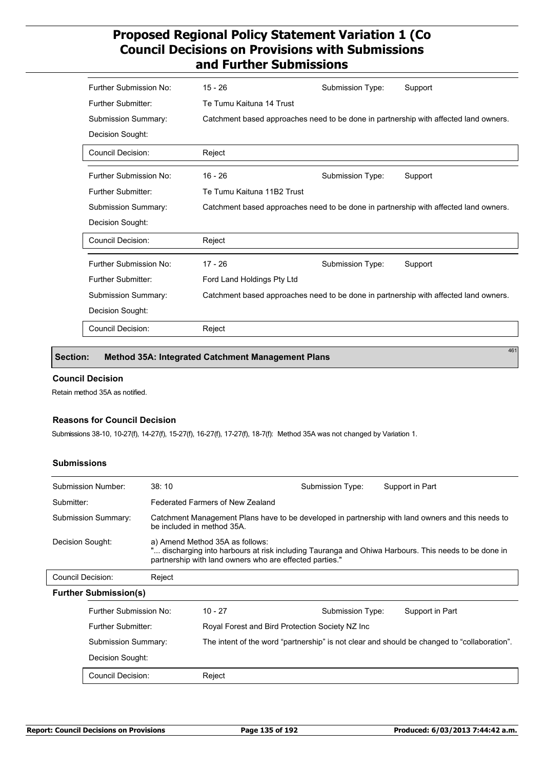| Further Submission No:     | $15 - 26$                                                                            | Submission Type: | Support                                                                              |
|----------------------------|--------------------------------------------------------------------------------------|------------------|--------------------------------------------------------------------------------------|
| Further Submitter:         | Te Tumu Kaituna 14 Trust                                                             |                  |                                                                                      |
| <b>Submission Summary:</b> |                                                                                      |                  | Catchment based approaches need to be done in partnership with affected land owners. |
| Decision Sought:           |                                                                                      |                  |                                                                                      |
| Council Decision:          | Reject                                                                               |                  |                                                                                      |
| Further Submission No:     | $16 - 26$                                                                            | Submission Type: | Support                                                                              |
| Further Submitter:         | Te Tumu Kaituna 11B2 Trust                                                           |                  |                                                                                      |
| <b>Submission Summary:</b> |                                                                                      |                  | Catchment based approaches need to be done in partnership with affected land owners. |
| Decision Sought:           |                                                                                      |                  |                                                                                      |
| <b>Council Decision:</b>   | Reject                                                                               |                  |                                                                                      |
| Further Submission No:     | $17 - 26$                                                                            | Submission Type: | Support                                                                              |
| Further Submitter:         | Ford Land Holdings Pty Ltd                                                           |                  |                                                                                      |
| <b>Submission Summary:</b> | Catchment based approaches need to be done in partnership with affected land owners. |                  |                                                                                      |
| Decision Sought:           |                                                                                      |                  |                                                                                      |
| <b>Council Decision:</b>   | Reject                                                                               |                  |                                                                                      |

### **Section: Method 35A: Integrated Catchment Management Plans**

### **Council Decision**

Retain method 35A as notified.

#### **Reasons for Council Decision**

Submissions 38-10, 10-27(f), 14-27(f), 15-27(f), 16-27(f), 17-27(f), 18-7(f): Method 35A was not changed by Variation 1.

### **Submissions**

|                     | Submission Number:           | 38:10                                                                                                                                                                                           |                                                                                                                                 | Submission Type: | Support in Part |  |  |
|---------------------|------------------------------|-------------------------------------------------------------------------------------------------------------------------------------------------------------------------------------------------|---------------------------------------------------------------------------------------------------------------------------------|------------------|-----------------|--|--|
| Submitter:          |                              | Federated Farmers of New Zealand                                                                                                                                                                |                                                                                                                                 |                  |                 |  |  |
|                     | Submission Summary:          |                                                                                                                                                                                                 | Catchment Management Plans have to be developed in partnership with land owners and this needs to<br>be included in method 35A. |                  |                 |  |  |
| Decision Sought:    |                              | a) Amend Method 35A as follows:<br>discharging into harbours at risk including Tauranga and Ohiwa Harbours. This needs to be done in<br>partnership with land owners who are effected parties." |                                                                                                                                 |                  |                 |  |  |
| Council Decision:   |                              | Reject                                                                                                                                                                                          |                                                                                                                                 |                  |                 |  |  |
|                     | <b>Further Submission(s)</b> |                                                                                                                                                                                                 |                                                                                                                                 |                  |                 |  |  |
|                     | Further Submission No:       |                                                                                                                                                                                                 | $10 - 27$                                                                                                                       | Submission Type: | Support in Part |  |  |
|                     | <b>Further Submitter:</b>    |                                                                                                                                                                                                 | Royal Forest and Bird Protection Society NZ Inc                                                                                 |                  |                 |  |  |
| Submission Summary: |                              |                                                                                                                                                                                                 | The intent of the word "partnership" is not clear and should be changed to "collaboration".                                     |                  |                 |  |  |
|                     | Decision Sought:             |                                                                                                                                                                                                 |                                                                                                                                 |                  |                 |  |  |
|                     | Council Decision:            |                                                                                                                                                                                                 | Reject                                                                                                                          |                  |                 |  |  |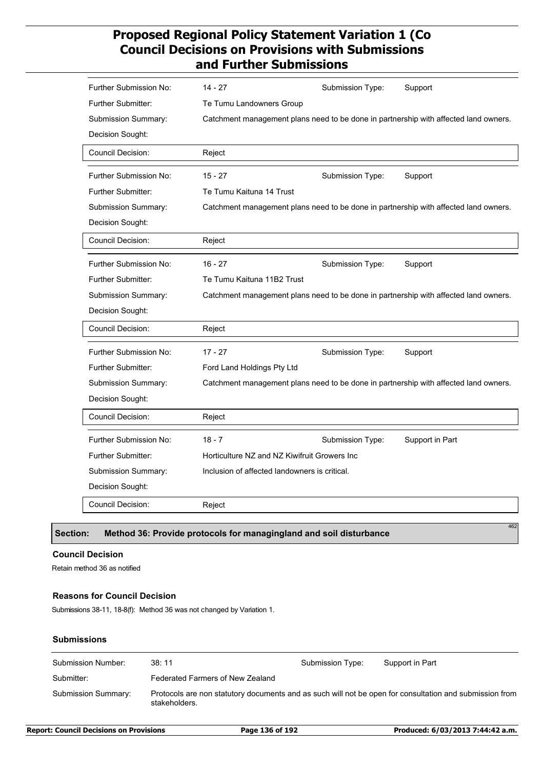| Further Submission No:        | $14 - 27$                                     | Submission Type: | Support                                                                              |
|-------------------------------|-----------------------------------------------|------------------|--------------------------------------------------------------------------------------|
| <b>Further Submitter:</b>     | Te Tumu Landowners Group                      |                  |                                                                                      |
| Submission Summary:           |                                               |                  | Catchment management plans need to be done in partnership with affected land owners. |
| Decision Sought:              |                                               |                  |                                                                                      |
| Council Decision:             | Reject                                        |                  |                                                                                      |
| Further Submission No:        | $15 - 27$                                     | Submission Type: | Support                                                                              |
| <b>Further Submitter:</b>     | Te Tumu Kaituna 14 Trust                      |                  |                                                                                      |
| Submission Summary:           |                                               |                  | Catchment management plans need to be done in partnership with affected land owners. |
| Decision Sought:              |                                               |                  |                                                                                      |
| Council Decision:             | Reject                                        |                  |                                                                                      |
| Further Submission No:        | $16 - 27$                                     | Submission Type: | Support                                                                              |
| <b>Further Submitter:</b>     | Te Tumu Kaituna 11B2 Trust                    |                  |                                                                                      |
| Submission Summary:           |                                               |                  | Catchment management plans need to be done in partnership with affected land owners. |
| Decision Sought:              |                                               |                  |                                                                                      |
| Council Decision:             | Reject                                        |                  |                                                                                      |
| Further Submission No:        | $17 - 27$                                     | Submission Type: | Support                                                                              |
| <b>Further Submitter:</b>     | Ford Land Holdings Pty Ltd                    |                  |                                                                                      |
| Submission Summary:           |                                               |                  | Catchment management plans need to be done in partnership with affected land owners. |
| Decision Sought:              |                                               |                  |                                                                                      |
| Council Decision:             | Reject                                        |                  |                                                                                      |
| <b>Further Submission No:</b> | $18 - 7$                                      | Submission Type: | Support in Part                                                                      |
| Further Submitter:            | Horticulture NZ and NZ Kiwifruit Growers Inc  |                  |                                                                                      |
| Submission Summary:           | Inclusion of affected landowners is critical. |                  |                                                                                      |
| Decision Sought:              |                                               |                  |                                                                                      |
| <b>Council Decision:</b>      | Reject                                        |                  |                                                                                      |

### **Section: Method 36: Provide protocols for managingland and soil disturbance**

## **Council Decision**

Retain method 36 as notified

## **Reasons for Council Decision**

Submissions 38-11, 18-8(f): Method 36 was not changed by Variation 1.

## **Submissions**

| Submission Number:  | 38:11                                                                                                                    | Submission Type: | Support in Part |
|---------------------|--------------------------------------------------------------------------------------------------------------------------|------------------|-----------------|
| Submitter:          | Federated Farmers of New Zealand                                                                                         |                  |                 |
| Submission Summary: | Protocols are non statutory documents and as such will not be open for consultation and submission from<br>stakeholders. |                  |                 |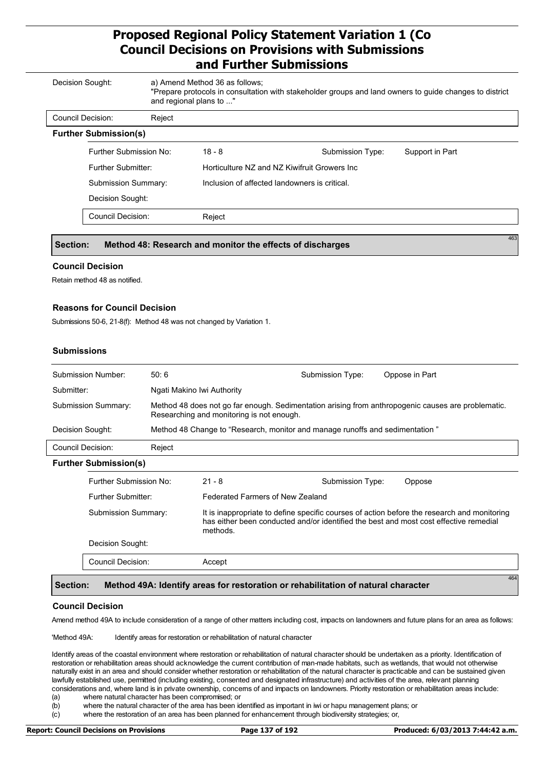| Decision Sought:  |                              |        | a) Amend Method 36 as follows:<br>and regional plans to " | "Prepare protocols in consultation with stakeholder groups and land owners to guide changes to district |                 |
|-------------------|------------------------------|--------|-----------------------------------------------------------|---------------------------------------------------------------------------------------------------------|-----------------|
| Council Decision: |                              | Reject |                                                           |                                                                                                         |                 |
|                   | <b>Further Submission(s)</b> |        |                                                           |                                                                                                         |                 |
|                   | Further Submission No:       |        | $18 - 8$                                                  | Submission Type:                                                                                        | Support in Part |
|                   | Further Submitter:           |        | Horticulture NZ and NZ Kiwifruit Growers Inc.             |                                                                                                         |                 |
|                   | <b>Submission Summary:</b>   |        | Inclusion of affected landowners is critical.             |                                                                                                         |                 |
|                   | Decision Sought:             |        |                                                           |                                                                                                         |                 |
|                   | <b>Council Decision:</b>     |        | Reject                                                    |                                                                                                         |                 |
| Section:          |                              |        | Method 48: Research and monitor the effects of discharges |                                                                                                         |                 |

### **Council Decision**

Retain method 48 as notified.

### **Reasons for Council Decision**

Submissions 50-6, 21-8(f): Method 48 was not changed by Variation 1.

### **Submissions**

|                                                        | Submission Number:                                                                                                                                                                                                             | 50:6                       |                                                                                   | Submission Type: | Oppose in Part                                                                                     |
|--------------------------------------------------------|--------------------------------------------------------------------------------------------------------------------------------------------------------------------------------------------------------------------------------|----------------------------|-----------------------------------------------------------------------------------|------------------|----------------------------------------------------------------------------------------------------|
| Submitter:                                             |                                                                                                                                                                                                                                | Ngati Makino Iwi Authority |                                                                                   |                  |                                                                                                    |
|                                                        | <b>Submission Summary:</b>                                                                                                                                                                                                     |                            | Researching and monitoring is not enough.                                         |                  | Method 48 does not go far enough. Sedimentation arising from anthropogenic causes are problematic. |
| Decision Sought:                                       |                                                                                                                                                                                                                                |                            | Method 48 Change to "Research, monitor and manage runoffs and sedimentation"      |                  |                                                                                                    |
| Council Decision:                                      |                                                                                                                                                                                                                                | Reject                     |                                                                                   |                  |                                                                                                    |
|                                                        | <b>Further Submission(s)</b>                                                                                                                                                                                                   |                            |                                                                                   |                  |                                                                                                    |
|                                                        | Further Submission No:                                                                                                                                                                                                         |                            | $21 - 8$                                                                          | Submission Type: | Oppose                                                                                             |
| Further Submitter:<br>Federated Farmers of New Zealand |                                                                                                                                                                                                                                |                            |                                                                                   |                  |                                                                                                    |
|                                                        | It is inappropriate to define specific courses of action before the research and monitoring<br><b>Submission Summary:</b><br>has either been conducted and/or identified the best and most cost effective remedial<br>methods. |                            |                                                                                   |                  |                                                                                                    |
|                                                        | Decision Sought:                                                                                                                                                                                                               |                            |                                                                                   |                  |                                                                                                    |
|                                                        | <b>Council Decision:</b>                                                                                                                                                                                                       |                            | Accept                                                                            |                  |                                                                                                    |
| Section:                                               |                                                                                                                                                                                                                                |                            | Method 49A: Identify areas for restoration or rehabilitation of natural character |                  | 464                                                                                                |

#### **Council Decision**

Amend method 49A to include consideration of a range of other matters including cost, impacts on landowners and future plans for an area as follows:

'Method 49A: Identify areas for restoration or rehabilitation of natural character

Identify areas of the coastal environment where restoration or rehabilitation of natural character should be undertaken as a priority. Identification of restoration or rehabilitation areas should acknowledge the current contribution of man-made habitats, such as wetlands, that would not otherwise naturally exist in an area and should consider whether restoration or rehabilitation of the natural character is practicable and can be sustained given lawfully established use, permitted (including existing, consented and designated infrastructure) and activities of the area, relevant planning considerations and, where land is in private ownership, concerns of and impacts on landowners. Priority restoration or rehabilitation areas include:

(a) where natural character has been compromised; or<br>(b) where the natural character of the area has been id

where the natural character of the area has been identified as important in iwi or hapu management plans; or

(c) where the restoration of an area has been planned for enhancement through biodiversity strategies; or,

**Report: Council Decisions on Provisions Page 137 of 192 Produced: 6/03/2013 7:44:42 a.m.**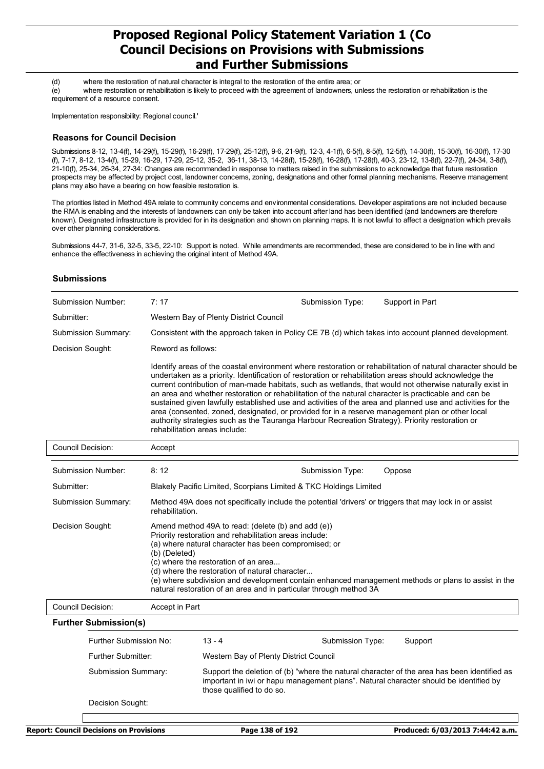(d) where the restoration of natural character is integral to the restoration of the entire area; or

(e) where restoration or rehabilitation is likely to proceed with the agreement of landowners, unless the restoration or rehabilitation is the requirement of a resource consent.

Implementation responsibility: Regional council.'

### **Reasons for Council Decision**

Submissions 8-12, 13-4(f), 14-29(f), 15-29(f), 16-29(f), 17-29(f), 25-12(f), 9-6, 21-9(f), 12-3, 4-1(f), 6-5(f), 8-5(f), 12-5(f), 14-30(f), 15-30(f), 16-30(f), 17-30 (f), 7-17, 8-12, 13-4(f), 15-29, 16-29, 17-29, 25-12, 35-2, 36-11, 38-13, 14-28(f), 15-28(f), 16-28(f), 17-28(f), 40-3, 23-12, 13-8(f), 22-7(f), 24-34, 3-8(f), 21-10(f), 25-34, 26-34, 27-34: Changes are recommended in response to matters raised in the submissions to acknowledge that future restoration prospects may be affected by project cost, landowner concerns, zoning, designations and other formal planning mechanisms. Reserve management plans may also have a bearing on how feasible restoration is.

The priorities listed in Method 49A relate to community concerns and environmental considerations. Developer aspirations are not included because the RMA is enabling and the interests of landowners can only be taken into account after land has been identified (and landowners are therefore known). Designated infrastructure is provided for in its designation and shown on planning maps. It is not lawful to affect a designation which prevails over other planning considerations.

Submissions 44-7, 31-6, 32-5, 33-5, 22-10: Support is noted. While amendments are recommended, these are considered to be in line with and enhance the effectiveness in achieving the original intent of Method 49A.

### **Submissions**

| Submission Number:  | 7:17                                                                                                                                                                                                                                                                                                                                                                                                                                                                                                                                                                                                                                                                                                                                                                                            | Submission Type: | Support in Part |  |  |
|---------------------|-------------------------------------------------------------------------------------------------------------------------------------------------------------------------------------------------------------------------------------------------------------------------------------------------------------------------------------------------------------------------------------------------------------------------------------------------------------------------------------------------------------------------------------------------------------------------------------------------------------------------------------------------------------------------------------------------------------------------------------------------------------------------------------------------|------------------|-----------------|--|--|
| Submitter:          | Western Bay of Plenty District Council                                                                                                                                                                                                                                                                                                                                                                                                                                                                                                                                                                                                                                                                                                                                                          |                  |                 |  |  |
| Submission Summary: | Consistent with the approach taken in Policy CE 7B (d) which takes into account planned development.                                                                                                                                                                                                                                                                                                                                                                                                                                                                                                                                                                                                                                                                                            |                  |                 |  |  |
| Decision Sought:    | Reword as follows:                                                                                                                                                                                                                                                                                                                                                                                                                                                                                                                                                                                                                                                                                                                                                                              |                  |                 |  |  |
|                     | Identify areas of the coastal environment where restoration or rehabilitation of natural character should be<br>undertaken as a priority. Identification of restoration or rehabilitation areas should acknowledge the<br>current contribution of man-made habitats, such as wetlands, that would not otherwise naturally exist in<br>an area and whether restoration or rehabilitation of the natural character is practicable and can be<br>sustained given lawfully established use and activities of the area and planned use and activities for the<br>area (consented, zoned, designated, or provided for in a reserve management plan or other local<br>authority strategies such as the Tauranga Harbour Recreation Strategy). Priority restoration or<br>rehabilitation areas include: |                  |                 |  |  |

| Council Decision:   | Accept                                                                                                                                                                                                                                                                                                                                                                                                                                                       |                  |        |  |
|---------------------|--------------------------------------------------------------------------------------------------------------------------------------------------------------------------------------------------------------------------------------------------------------------------------------------------------------------------------------------------------------------------------------------------------------------------------------------------------------|------------------|--------|--|
| Submission Number:  | 8:12                                                                                                                                                                                                                                                                                                                                                                                                                                                         | Submission Type: | Oppose |  |
| Submitter:          | Blakely Pacific Limited, Scorpians Limited & TKC Holdings Limited                                                                                                                                                                                                                                                                                                                                                                                            |                  |        |  |
| Submission Summary: | Method 49A does not specifically include the potential 'drivers' or triggers that may lock in or assist<br>rehabilitation.                                                                                                                                                                                                                                                                                                                                   |                  |        |  |
| Decision Sought:    | Amend method 49A to read: (delete (b) and add (e))<br>Priority restoration and rehabilitation areas include:<br>(a) where natural character has been compromised; or<br>(b) (Deleted)<br>(c) where the restoration of an area<br>(d) where the restoration of natural character<br>(e) where subdivision and development contain enhanced management methods or plans to assist in the<br>natural restoration of an area and in particular through method 3A |                  |        |  |
| Council Decision:   | Accept in Part                                                                                                                                                                                                                                                                                                                                                                                                                                               |                  |        |  |

**Further Submission(s)** 13 - 4 Western Bay of Plenty District Council Further Submission No: Further Submitter: Submission Summary: Support the deletion of (b) "where the natural character of the area has been identified as important in iwi or hapu management plans". Natural character should be identified by those qualified to do so. Decision Sought: Submission Type: Support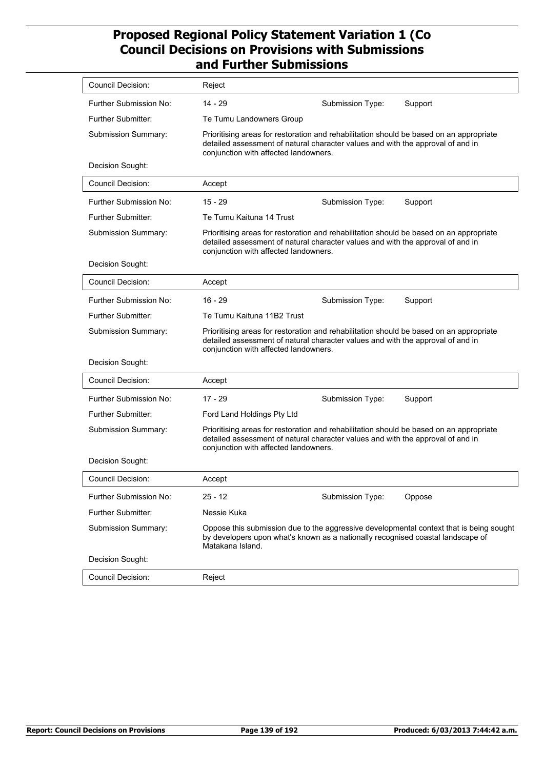| Council Decision:         | Reject                                                                                                                                                                                                              |                  |                                                                                         |
|---------------------------|---------------------------------------------------------------------------------------------------------------------------------------------------------------------------------------------------------------------|------------------|-----------------------------------------------------------------------------------------|
| Further Submission No:    | $14 - 29$                                                                                                                                                                                                           | Submission Type: | Support                                                                                 |
| <b>Further Submitter:</b> | Te Tumu Landowners Group                                                                                                                                                                                            |                  |                                                                                         |
| Submission Summary:       | Prioritising areas for restoration and rehabilitation should be based on an appropriate<br>detailed assessment of natural character values and with the approval of and in<br>conjunction with affected landowners. |                  |                                                                                         |
| Decision Sought:          |                                                                                                                                                                                                                     |                  |                                                                                         |
| <b>Council Decision:</b>  | Accept                                                                                                                                                                                                              |                  |                                                                                         |
| Further Submission No:    | $15 - 29$                                                                                                                                                                                                           | Submission Type: | Support                                                                                 |
| Further Submitter:        | Te Tumu Kaituna 14 Trust                                                                                                                                                                                            |                  |                                                                                         |
| Submission Summary:       | Prioritising areas for restoration and rehabilitation should be based on an appropriate<br>detailed assessment of natural character values and with the approval of and in<br>conjunction with affected landowners. |                  |                                                                                         |
| Decision Sought:          |                                                                                                                                                                                                                     |                  |                                                                                         |
| <b>Council Decision:</b>  | Accept                                                                                                                                                                                                              |                  |                                                                                         |
| Further Submission No:    | $16 - 29$                                                                                                                                                                                                           | Submission Type: | Support                                                                                 |
| <b>Further Submitter:</b> | Te Tumu Kaituna 11B2 Trust                                                                                                                                                                                          |                  |                                                                                         |
| Submission Summary:       | Prioritising areas for restoration and rehabilitation should be based on an appropriate<br>detailed assessment of natural character values and with the approval of and in<br>conjunction with affected landowners. |                  |                                                                                         |
| Decision Sought:          |                                                                                                                                                                                                                     |                  |                                                                                         |
| <b>Council Decision:</b>  | Accept                                                                                                                                                                                                              |                  |                                                                                         |
| Further Submission No:    | $17 - 29$                                                                                                                                                                                                           | Submission Type: | Support                                                                                 |
| Further Submitter:        | Ford Land Holdings Pty Ltd                                                                                                                                                                                          |                  |                                                                                         |
| Submission Summary:       | Prioritising areas for restoration and rehabilitation should be based on an appropriate<br>detailed assessment of natural character values and with the approval of and in<br>conjunction with affected landowners. |                  |                                                                                         |
| Decision Sought:          |                                                                                                                                                                                                                     |                  |                                                                                         |
| Council Decision:         | Accept                                                                                                                                                                                                              |                  |                                                                                         |
| Further Submission No:    | $25 - 12$                                                                                                                                                                                                           | Submission Type: | Oppose                                                                                  |
| Further Submitter:        | Nessie Kuka                                                                                                                                                                                                         |                  |                                                                                         |
| Submission Summary:       | by developers upon what's known as a nationally recognised coastal landscape of<br>Matakana Island.                                                                                                                 |                  | Oppose this submission due to the aggressive developmental context that is being sought |
| Decision Sought:          |                                                                                                                                                                                                                     |                  |                                                                                         |
| <b>Council Decision:</b>  | Reject                                                                                                                                                                                                              |                  |                                                                                         |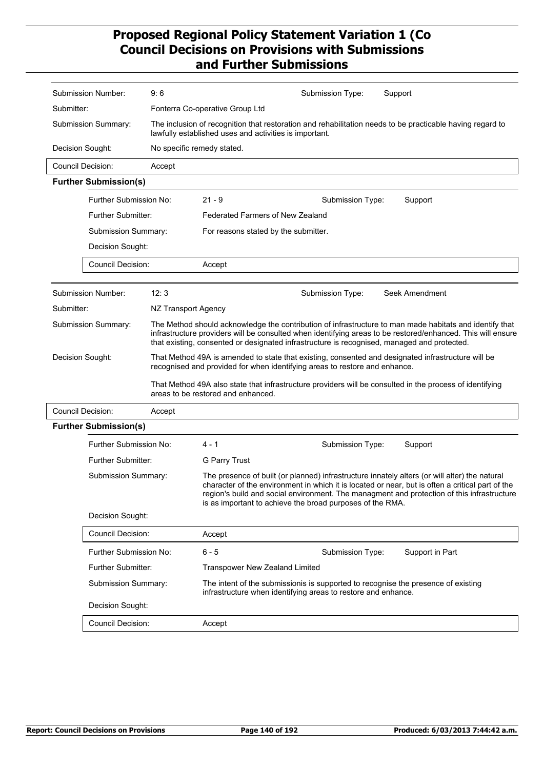|                          | Submission Number:           | 9:6                 | Submission Type:<br>Support                                                                                                                                                                                                                                                                                                                                  |
|--------------------------|------------------------------|---------------------|--------------------------------------------------------------------------------------------------------------------------------------------------------------------------------------------------------------------------------------------------------------------------------------------------------------------------------------------------------------|
| Submitter:               |                              |                     | Fonterra Co-operative Group Ltd                                                                                                                                                                                                                                                                                                                              |
|                          | Submission Summary:          |                     | The inclusion of recognition that restoration and rehabilitation needs to be practicable having regard to<br>lawfully established uses and activities is important.                                                                                                                                                                                          |
| Decision Sought:         |                              |                     | No specific remedy stated.                                                                                                                                                                                                                                                                                                                                   |
|                          | <b>Council Decision:</b>     | Accept              |                                                                                                                                                                                                                                                                                                                                                              |
|                          | <b>Further Submission(s)</b> |                     |                                                                                                                                                                                                                                                                                                                                                              |
|                          | Further Submission No:       |                     | $21 - 9$<br>Submission Type:<br>Support                                                                                                                                                                                                                                                                                                                      |
|                          | Further Submitter:           |                     | Federated Farmers of New Zealand                                                                                                                                                                                                                                                                                                                             |
|                          | <b>Submission Summary:</b>   |                     | For reasons stated by the submitter.                                                                                                                                                                                                                                                                                                                         |
|                          | Decision Sought:             |                     |                                                                                                                                                                                                                                                                                                                                                              |
|                          | <b>Council Decision:</b>     |                     | Accept                                                                                                                                                                                                                                                                                                                                                       |
|                          |                              |                     |                                                                                                                                                                                                                                                                                                                                                              |
|                          | Submission Number:           | 12:3                | Seek Amendment<br>Submission Type:                                                                                                                                                                                                                                                                                                                           |
| Submitter:               |                              | NZ Transport Agency |                                                                                                                                                                                                                                                                                                                                                              |
|                          | Submission Summary:          |                     | The Method should acknowledge the contribution of infrastructure to man made habitats and identify that<br>infrastructure providers will be consulted when identifying areas to be restored/enhanced. This will ensure<br>that existing, consented or designated infrastructure is recognised, managed and protected.                                        |
| Decision Sought:         |                              |                     | That Method 49A is amended to state that existing, consented and designated infrastructure will be<br>recognised and provided for when identifying areas to restore and enhance.                                                                                                                                                                             |
|                          |                              |                     | That Method 49A also state that infrastructure providers will be consulted in the process of identifying<br>areas to be restored and enhanced.                                                                                                                                                                                                               |
| <b>Council Decision:</b> |                              | Accept              |                                                                                                                                                                                                                                                                                                                                                              |
|                          | <b>Further Submission(s)</b> |                     |                                                                                                                                                                                                                                                                                                                                                              |
|                          | Further Submission No:       |                     | $4 - 1$<br>Submission Type:<br>Support                                                                                                                                                                                                                                                                                                                       |
|                          | Further Submitter:           |                     | <b>G Parry Trust</b>                                                                                                                                                                                                                                                                                                                                         |
|                          | Submission Summary:          |                     | The presence of built (or planned) infrastructure innately alters (or will alter) the natural<br>character of the environment in which it is located or near, but is often a critical part of the<br>region's build and social environment. The managment and protection of this infrastructure<br>is as important to achieve the broad purposes of the RMA. |
|                          | Decision Sought:             |                     |                                                                                                                                                                                                                                                                                                                                                              |
|                          | <b>Council Decision:</b>     |                     | Accept                                                                                                                                                                                                                                                                                                                                                       |
|                          | Further Submission No:       |                     | 6 - 5<br>Support in Part<br>Submission Type:                                                                                                                                                                                                                                                                                                                 |
|                          | Further Submitter:           |                     | <b>Transpower New Zealand Limited</b>                                                                                                                                                                                                                                                                                                                        |
|                          | Submission Summary:          |                     | The intent of the submissionis is supported to recognise the presence of existing<br>infrastructure when identifying areas to restore and enhance.                                                                                                                                                                                                           |
|                          | Decision Sought:             |                     |                                                                                                                                                                                                                                                                                                                                                              |
|                          | Council Decision:            |                     | Accept                                                                                                                                                                                                                                                                                                                                                       |
|                          |                              |                     |                                                                                                                                                                                                                                                                                                                                                              |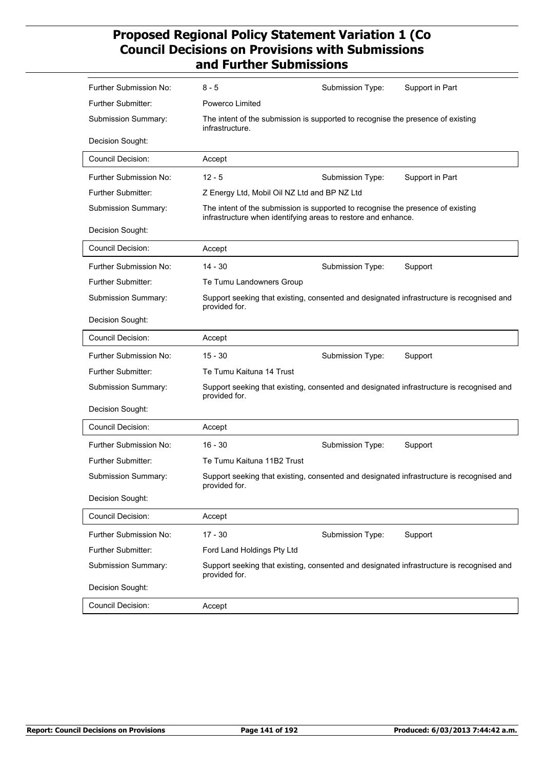| Further Submission No:    | 8 - 5                                                                                                                                            | Submission Type: | Support in Part                                                                          |
|---------------------------|--------------------------------------------------------------------------------------------------------------------------------------------------|------------------|------------------------------------------------------------------------------------------|
| <b>Further Submitter:</b> | Powerco Limited                                                                                                                                  |                  |                                                                                          |
| Submission Summary:       | The intent of the submission is supported to recognise the presence of existing<br>infrastructure.                                               |                  |                                                                                          |
| Decision Sought:          |                                                                                                                                                  |                  |                                                                                          |
| <b>Council Decision:</b>  | Accept                                                                                                                                           |                  |                                                                                          |
| Further Submission No:    | $12 - 5$                                                                                                                                         | Submission Type: | Support in Part                                                                          |
| <b>Further Submitter:</b> | Z Energy Ltd, Mobil Oil NZ Ltd and BP NZ Ltd                                                                                                     |                  |                                                                                          |
| Submission Summary:       | The intent of the submission is supported to recognise the presence of existing<br>infrastructure when identifying areas to restore and enhance. |                  |                                                                                          |
| Decision Sought:          |                                                                                                                                                  |                  |                                                                                          |
| <b>Council Decision:</b>  | Accept                                                                                                                                           |                  |                                                                                          |
| Further Submission No:    | $14 - 30$                                                                                                                                        | Submission Type: | Support                                                                                  |
| <b>Further Submitter:</b> | Te Tumu Landowners Group                                                                                                                         |                  |                                                                                          |
| Submission Summary:       | provided for.                                                                                                                                    |                  | Support seeking that existing, consented and designated infrastructure is recognised and |
| Decision Sought:          |                                                                                                                                                  |                  |                                                                                          |
| <b>Council Decision:</b>  | Accept                                                                                                                                           |                  |                                                                                          |
| Further Submission No:    | $15 - 30$                                                                                                                                        | Submission Type: | Support                                                                                  |
| Further Submitter:        | Te Tumu Kaituna 14 Trust                                                                                                                         |                  |                                                                                          |
| Submission Summary:       | provided for.                                                                                                                                    |                  | Support seeking that existing, consented and designated infrastructure is recognised and |
| Decision Sought:          |                                                                                                                                                  |                  |                                                                                          |
| Council Decision:         | Accept                                                                                                                                           |                  |                                                                                          |
| Further Submission No:    | $16 - 30$                                                                                                                                        | Submission Type: | Support                                                                                  |
| Further Submitter:        | Te Tumu Kaituna 11B2 Trust                                                                                                                       |                  |                                                                                          |
| Submission Summary:       | provided for.                                                                                                                                    |                  | Support seeking that existing, consented and designated infrastructure is recognised and |
| Decision Sought:          |                                                                                                                                                  |                  |                                                                                          |
| <b>Council Decision:</b>  | Accept                                                                                                                                           |                  |                                                                                          |
| Further Submission No:    | $17 - 30$                                                                                                                                        | Submission Type: | Support                                                                                  |
| Further Submitter:        | Ford Land Holdings Pty Ltd                                                                                                                       |                  |                                                                                          |
| Submission Summary:       | provided for.                                                                                                                                    |                  | Support seeking that existing, consented and designated infrastructure is recognised and |
| Decision Sought:          |                                                                                                                                                  |                  |                                                                                          |
| Council Decision:         | Accept                                                                                                                                           |                  |                                                                                          |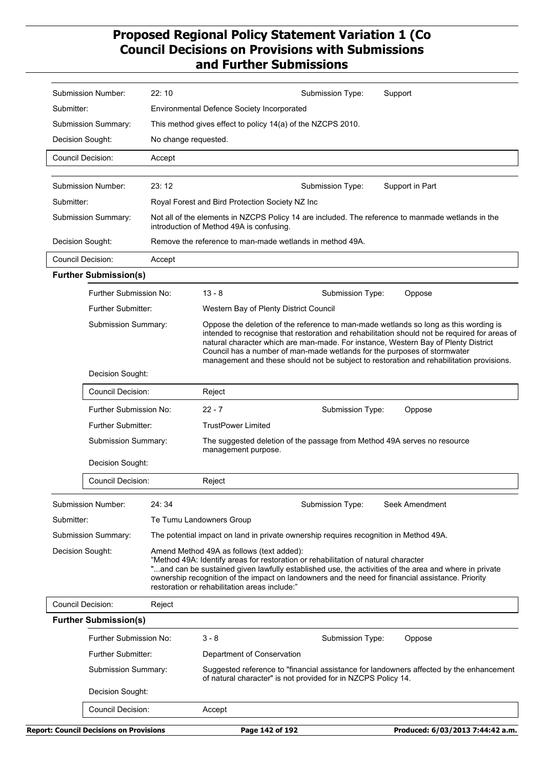|            |                                                  | <b>Report: Council Decisions on Provisions</b> | Page 142 of 192                                                                                                                                                                  |                  |                                                                                                                                                                                                                                                                                                                                                                                                                                                     |
|------------|--------------------------------------------------|------------------------------------------------|----------------------------------------------------------------------------------------------------------------------------------------------------------------------------------|------------------|-----------------------------------------------------------------------------------------------------------------------------------------------------------------------------------------------------------------------------------------------------------------------------------------------------------------------------------------------------------------------------------------------------------------------------------------------------|
|            | Council Decision:                                |                                                | Accept                                                                                                                                                                           |                  |                                                                                                                                                                                                                                                                                                                                                                                                                                                     |
|            | Decision Sought:                                 |                                                |                                                                                                                                                                                  |                  |                                                                                                                                                                                                                                                                                                                                                                                                                                                     |
|            | <b>Further Submitter:</b><br>Submission Summary: |                                                | of natural character" is not provided for in NZCPS Policy 14.                                                                                                                    |                  | Suggested reference to "financial assistance for landowners affected by the enhancement                                                                                                                                                                                                                                                                                                                                                             |
|            |                                                  |                                                | Department of Conservation                                                                                                                                                       |                  |                                                                                                                                                                                                                                                                                                                                                                                                                                                     |
|            | Further Submission No:                           |                                                | $3 - 8$                                                                                                                                                                          | Submission Type: | Oppose                                                                                                                                                                                                                                                                                                                                                                                                                                              |
|            | <b>Further Submission(s)</b>                     |                                                |                                                                                                                                                                                  |                  |                                                                                                                                                                                                                                                                                                                                                                                                                                                     |
|            | <b>Council Decision:</b>                         | Reject                                         |                                                                                                                                                                                  |                  |                                                                                                                                                                                                                                                                                                                                                                                                                                                     |
|            | Decision Sought:                                 |                                                | Amend Method 49A as follows (text added):<br>"Method 49A: Identify areas for restoration or rehabilitation of natural character<br>restoration or rehabilitation areas include:" |                  | "and can be sustained given lawfully established use, the activities of the area and where in private<br>ownership recognition of the impact on landowners and the need for financial assistance. Priority                                                                                                                                                                                                                                          |
|            | Submission Summary:                              |                                                | The potential impact on land in private ownership requires recognition in Method 49A.                                                                                            |                  |                                                                                                                                                                                                                                                                                                                                                                                                                                                     |
| Submitter: |                                                  |                                                | Te Tumu Landowners Group                                                                                                                                                         |                  |                                                                                                                                                                                                                                                                                                                                                                                                                                                     |
|            | Submission Number:                               | 24:34                                          |                                                                                                                                                                                  | Submission Type: | Seek Amendment                                                                                                                                                                                                                                                                                                                                                                                                                                      |
|            | Council Decision:                                |                                                | Reject                                                                                                                                                                           |                  |                                                                                                                                                                                                                                                                                                                                                                                                                                                     |
|            | Decision Sought:                                 |                                                |                                                                                                                                                                                  |                  |                                                                                                                                                                                                                                                                                                                                                                                                                                                     |
|            | Submission Summary:                              |                                                | management purpose.                                                                                                                                                              |                  | The suggested deletion of the passage from Method 49A serves no resource                                                                                                                                                                                                                                                                                                                                                                            |
|            | <b>Further Submitter:</b>                        |                                                | <b>TrustPower Limited</b>                                                                                                                                                        |                  |                                                                                                                                                                                                                                                                                                                                                                                                                                                     |
|            | Further Submission No:                           |                                                | $22 - 7$                                                                                                                                                                         | Submission Type: | Oppose                                                                                                                                                                                                                                                                                                                                                                                                                                              |
|            | <b>Council Decision:</b>                         |                                                | Reject                                                                                                                                                                           |                  |                                                                                                                                                                                                                                                                                                                                                                                                                                                     |
|            | Decision Sought:                                 |                                                |                                                                                                                                                                                  |                  |                                                                                                                                                                                                                                                                                                                                                                                                                                                     |
|            | Submission Summary:                              |                                                |                                                                                                                                                                                  |                  | Oppose the deletion of the reference to man-made wetlands so long as this wording is<br>intended to recognise that restoration and rehabilitation should not be required for areas of<br>natural character which are man-made. For instance, Western Bay of Plenty District<br>Council has a number of man-made wetlands for the purposes of stormwater<br>management and these should not be subject to restoration and rehabilitation provisions. |
|            | <b>Further Submitter:</b>                        |                                                | Western Bay of Plenty District Council                                                                                                                                           |                  |                                                                                                                                                                                                                                                                                                                                                                                                                                                     |
|            | Further Submission No:                           |                                                | $13 - 8$                                                                                                                                                                         | Submission Type: | Oppose                                                                                                                                                                                                                                                                                                                                                                                                                                              |
|            | <b>Further Submission(s)</b>                     |                                                |                                                                                                                                                                                  |                  |                                                                                                                                                                                                                                                                                                                                                                                                                                                     |
|            | <b>Council Decision:</b>                         | Accept                                         |                                                                                                                                                                                  |                  |                                                                                                                                                                                                                                                                                                                                                                                                                                                     |
|            | Decision Sought:                                 |                                                | Remove the reference to man-made wetlands in method 49A.                                                                                                                         |                  |                                                                                                                                                                                                                                                                                                                                                                                                                                                     |
|            | Submission Summary:                              |                                                | introduction of Method 49A is confusing.                                                                                                                                         |                  | Not all of the elements in NZCPS Policy 14 are included. The reference to manmade wetlands in the                                                                                                                                                                                                                                                                                                                                                   |
| Submitter: |                                                  |                                                | Royal Forest and Bird Protection Society NZ Inc                                                                                                                                  |                  |                                                                                                                                                                                                                                                                                                                                                                                                                                                     |
|            | Submission Number:                               | 23:12                                          |                                                                                                                                                                                  | Submission Type: | Support in Part                                                                                                                                                                                                                                                                                                                                                                                                                                     |
|            | <b>Council Decision:</b>                         | Accept                                         |                                                                                                                                                                                  |                  |                                                                                                                                                                                                                                                                                                                                                                                                                                                     |
|            | Decision Sought:                                 |                                                | No change requested.                                                                                                                                                             |                  |                                                                                                                                                                                                                                                                                                                                                                                                                                                     |
|            | Submission Summary:                              |                                                | This method gives effect to policy 14(a) of the NZCPS 2010.                                                                                                                      |                  |                                                                                                                                                                                                                                                                                                                                                                                                                                                     |
|            |                                                  |                                                | <b>Environmental Defence Society Incorporated</b>                                                                                                                                |                  |                                                                                                                                                                                                                                                                                                                                                                                                                                                     |
| Submitter: |                                                  |                                                |                                                                                                                                                                                  |                  |                                                                                                                                                                                                                                                                                                                                                                                                                                                     |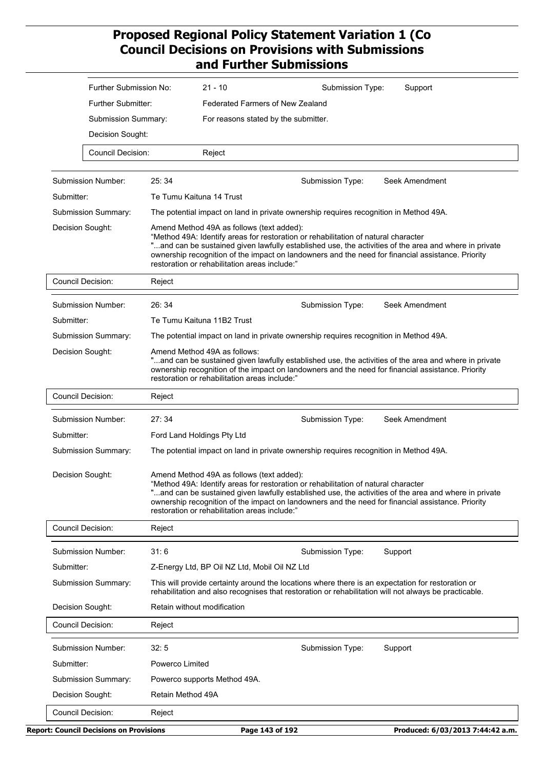| Further Submission No:     | $21 - 10$                                                                                                                                                                                                                                                                                                                                                                                      | Submission Type:<br>Support                                                                                                                                                                                                                                                                      |  |  |  |
|----------------------------|------------------------------------------------------------------------------------------------------------------------------------------------------------------------------------------------------------------------------------------------------------------------------------------------------------------------------------------------------------------------------------------------|--------------------------------------------------------------------------------------------------------------------------------------------------------------------------------------------------------------------------------------------------------------------------------------------------|--|--|--|
| <b>Further Submitter:</b>  | <b>Federated Farmers of New Zealand</b>                                                                                                                                                                                                                                                                                                                                                        |                                                                                                                                                                                                                                                                                                  |  |  |  |
| Submission Summary:        | For reasons stated by the submitter.                                                                                                                                                                                                                                                                                                                                                           |                                                                                                                                                                                                                                                                                                  |  |  |  |
| Decision Sought:           |                                                                                                                                                                                                                                                                                                                                                                                                |                                                                                                                                                                                                                                                                                                  |  |  |  |
| Council Decision:          | Reject                                                                                                                                                                                                                                                                                                                                                                                         |                                                                                                                                                                                                                                                                                                  |  |  |  |
| Submission Number:         | 25:34                                                                                                                                                                                                                                                                                                                                                                                          | Seek Amendment<br>Submission Type:                                                                                                                                                                                                                                                               |  |  |  |
| Submitter:                 | Te Tumu Kaituna 14 Trust                                                                                                                                                                                                                                                                                                                                                                       |                                                                                                                                                                                                                                                                                                  |  |  |  |
| Submission Summary:        |                                                                                                                                                                                                                                                                                                                                                                                                | The potential impact on land in private ownership requires recognition in Method 49A.                                                                                                                                                                                                            |  |  |  |
| Decision Sought:           |                                                                                                                                                                                                                                                                                                                                                                                                |                                                                                                                                                                                                                                                                                                  |  |  |  |
|                            | Amend Method 49A as follows (text added):<br>"Method 49A: Identify areas for restoration or rehabilitation of natural character<br>"and can be sustained given lawfully established use, the activities of the area and where in private<br>ownership recognition of the impact on landowners and the need for financial assistance. Priority<br>restoration or rehabilitation areas include:" |                                                                                                                                                                                                                                                                                                  |  |  |  |
| <b>Council Decision:</b>   | Reject                                                                                                                                                                                                                                                                                                                                                                                         |                                                                                                                                                                                                                                                                                                  |  |  |  |
| Submission Number:         | 26:34                                                                                                                                                                                                                                                                                                                                                                                          | Seek Amendment<br>Submission Type:                                                                                                                                                                                                                                                               |  |  |  |
| Submitter:                 | Te Tumu Kaituna 11B2 Trust                                                                                                                                                                                                                                                                                                                                                                     |                                                                                                                                                                                                                                                                                                  |  |  |  |
| Submission Summary:        | The potential impact on land in private ownership requires recognition in Method 49A.                                                                                                                                                                                                                                                                                                          |                                                                                                                                                                                                                                                                                                  |  |  |  |
| Decision Sought:           | Amend Method 49A as follows:<br>and can be sustained given lawfully established use, the activities of the area and where in private<br>ownership recognition of the impact on landowners and the need for financial assistance. Priority<br>restoration or rehabilitation areas include:"                                                                                                     |                                                                                                                                                                                                                                                                                                  |  |  |  |
| <b>Council Decision:</b>   | Reject                                                                                                                                                                                                                                                                                                                                                                                         |                                                                                                                                                                                                                                                                                                  |  |  |  |
| Submission Number:         | 27:34                                                                                                                                                                                                                                                                                                                                                                                          | Seek Amendment<br>Submission Type:                                                                                                                                                                                                                                                               |  |  |  |
| Submitter:                 | Ford Land Holdings Pty Ltd                                                                                                                                                                                                                                                                                                                                                                     |                                                                                                                                                                                                                                                                                                  |  |  |  |
| Submission Summary:        |                                                                                                                                                                                                                                                                                                                                                                                                | The potential impact on land in private ownership requires recognition in Method 49A.                                                                                                                                                                                                            |  |  |  |
| Decision Sought:           | Amend Method 49A as follows (text added):<br>restoration or rehabilitation areas include:"                                                                                                                                                                                                                                                                                                     | "Method 49A: Identify areas for restoration or rehabilitation of natural character<br>"and can be sustained given lawfully established use, the activities of the area and where in private<br>ownership recognition of the impact on landowners and the need for financial assistance. Priority |  |  |  |
| <b>Council Decision:</b>   | Reject                                                                                                                                                                                                                                                                                                                                                                                         |                                                                                                                                                                                                                                                                                                  |  |  |  |
| Submission Number:         | 31:6                                                                                                                                                                                                                                                                                                                                                                                           | Support<br>Submission Type:                                                                                                                                                                                                                                                                      |  |  |  |
| Submitter:                 | Z-Energy Ltd, BP Oil NZ Ltd, Mobil Oil NZ Ltd                                                                                                                                                                                                                                                                                                                                                  |                                                                                                                                                                                                                                                                                                  |  |  |  |
|                            |                                                                                                                                                                                                                                                                                                                                                                                                | This will provide certainty around the locations where there is an expectation for restoration or<br>rehabilitation and also recognises that restoration or rehabilitation will not always be practicable.                                                                                       |  |  |  |
| Submission Summary:        |                                                                                                                                                                                                                                                                                                                                                                                                |                                                                                                                                                                                                                                                                                                  |  |  |  |
| Decision Sought:           | Retain without modification                                                                                                                                                                                                                                                                                                                                                                    |                                                                                                                                                                                                                                                                                                  |  |  |  |
| <b>Council Decision:</b>   | Reject                                                                                                                                                                                                                                                                                                                                                                                         |                                                                                                                                                                                                                                                                                                  |  |  |  |
| Submission Number:         | 32: 5                                                                                                                                                                                                                                                                                                                                                                                          | Support<br>Submission Type:                                                                                                                                                                                                                                                                      |  |  |  |
| Submitter:                 | Powerco Limited                                                                                                                                                                                                                                                                                                                                                                                |                                                                                                                                                                                                                                                                                                  |  |  |  |
| <b>Submission Summary:</b> | Powerco supports Method 49A.                                                                                                                                                                                                                                                                                                                                                                   |                                                                                                                                                                                                                                                                                                  |  |  |  |
| Decision Sought:           | Retain Method 49A                                                                                                                                                                                                                                                                                                                                                                              |                                                                                                                                                                                                                                                                                                  |  |  |  |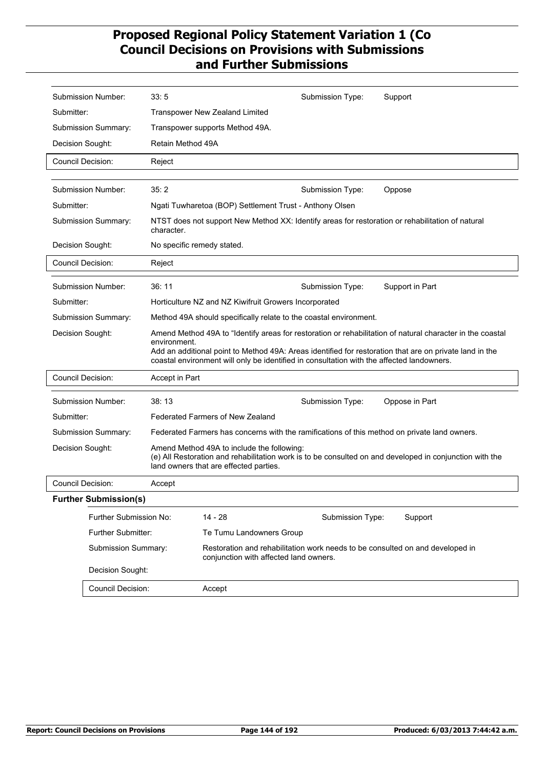|                          | Submission Number:           | 33:5                                                                                                                                                                                                                 |                                                                                      | Submission Type: | Support                                                                                                   |
|--------------------------|------------------------------|----------------------------------------------------------------------------------------------------------------------------------------------------------------------------------------------------------------------|--------------------------------------------------------------------------------------|------------------|-----------------------------------------------------------------------------------------------------------|
| Submitter:               |                              |                                                                                                                                                                                                                      | Transpower New Zealand Limited                                                       |                  |                                                                                                           |
|                          | Submission Summary:          |                                                                                                                                                                                                                      | Transpower supports Method 49A.                                                      |                  |                                                                                                           |
| Decision Sought:         |                              | Retain Method 49A                                                                                                                                                                                                    |                                                                                      |                  |                                                                                                           |
| Council Decision:        |                              | Reject                                                                                                                                                                                                               |                                                                                      |                  |                                                                                                           |
|                          |                              |                                                                                                                                                                                                                      |                                                                                      |                  |                                                                                                           |
|                          | Submission Number:           | 35:2                                                                                                                                                                                                                 |                                                                                      | Submission Type: | Oppose                                                                                                    |
| Submitter:               |                              |                                                                                                                                                                                                                      | Ngati Tuwharetoa (BOP) Settlement Trust - Anthony Olsen                              |                  |                                                                                                           |
|                          | Submission Summary:          | character.                                                                                                                                                                                                           |                                                                                      |                  | NTST does not support New Method XX: Identify areas for restoration or rehabilitation of natural          |
| Decision Sought:         |                              |                                                                                                                                                                                                                      | No specific remedy stated.                                                           |                  |                                                                                                           |
| Council Decision:        |                              | Reject                                                                                                                                                                                                               |                                                                                      |                  |                                                                                                           |
|                          | Submission Number:           | 36:11                                                                                                                                                                                                                |                                                                                      | Submission Type: | Support in Part                                                                                           |
| Submitter:               |                              |                                                                                                                                                                                                                      | Horticulture NZ and NZ Kiwifruit Growers Incorporated                                |                  |                                                                                                           |
|                          | <b>Submission Summary:</b>   | Method 49A should specifically relate to the coastal environment.                                                                                                                                                    |                                                                                      |                  |                                                                                                           |
| Decision Sought:         |                              |                                                                                                                                                                                                                      |                                                                                      |                  | Amend Method 49A to "Identify areas for restoration or rehabilitation of natural character in the coastal |
|                          |                              | environment.<br>Add an additional point to Method 49A: Areas identified for restoration that are on private land in the<br>coastal environment will only be identified in consultation with the affected landowners. |                                                                                      |                  |                                                                                                           |
| <b>Council Decision:</b> |                              | Accept in Part                                                                                                                                                                                                       |                                                                                      |                  |                                                                                                           |
|                          | <b>Submission Number:</b>    | 38:13                                                                                                                                                                                                                |                                                                                      | Submission Type: | Oppose in Part                                                                                            |
| Submitter:               |                              |                                                                                                                                                                                                                      | Federated Farmers of New Zealand                                                     |                  |                                                                                                           |
|                          | Submission Summary:          |                                                                                                                                                                                                                      |                                                                                      |                  | Federated Farmers has concerns with the ramifications of this method on private land owners.              |
| Decision Sought:         |                              |                                                                                                                                                                                                                      | Amend Method 49A to include the following:<br>land owners that are effected parties. |                  | (e) All Restoration and rehabilitation work is to be consulted on and developed in conjunction with the   |
| <b>Council Decision:</b> |                              | Accept                                                                                                                                                                                                               |                                                                                      |                  |                                                                                                           |
|                          | <b>Further Submission(s)</b> |                                                                                                                                                                                                                      |                                                                                      |                  |                                                                                                           |
| Further Submission No:   |                              | $14 - 28$                                                                                                                                                                                                            | Submission Type:                                                                     | Support          |                                                                                                           |
|                          | <b>Further Submitter:</b>    |                                                                                                                                                                                                                      | Te Tumu Landowners Group                                                             |                  |                                                                                                           |
| Submission Summary:      |                              |                                                                                                                                                                                                                      | conjunction with affected land owners.                                               |                  | Restoration and rehabilitation work needs to be consulted on and developed in                             |
|                          | Decision Sought:             |                                                                                                                                                                                                                      |                                                                                      |                  |                                                                                                           |
|                          | Council Decision:            |                                                                                                                                                                                                                      | Accept                                                                               |                  |                                                                                                           |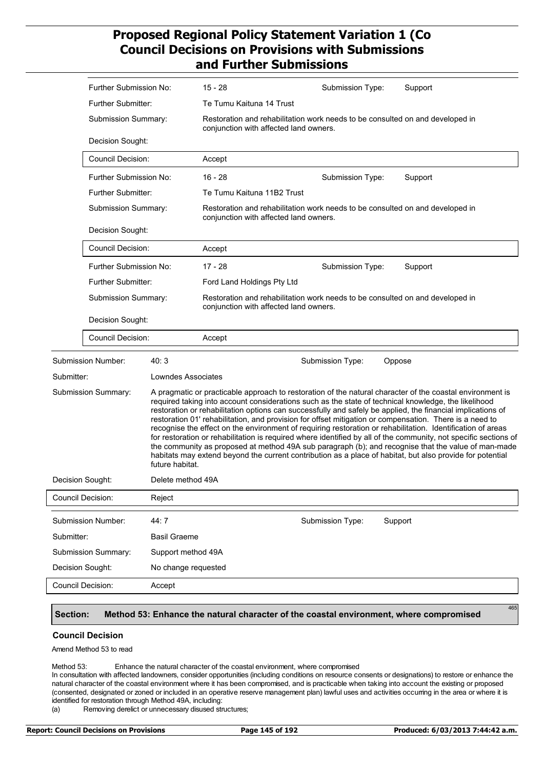|                                   | Further Submission No:                       |                     | $15 - 28$                                                                                                               | Submission Type:                                                                                                        | Support                                                                                                                                                                                                                                                                                                                                                                                                                                                                                                                                                                                                                                                                                                                                                                                                                                                                                            |  |  |
|-----------------------------------|----------------------------------------------|---------------------|-------------------------------------------------------------------------------------------------------------------------|-------------------------------------------------------------------------------------------------------------------------|----------------------------------------------------------------------------------------------------------------------------------------------------------------------------------------------------------------------------------------------------------------------------------------------------------------------------------------------------------------------------------------------------------------------------------------------------------------------------------------------------------------------------------------------------------------------------------------------------------------------------------------------------------------------------------------------------------------------------------------------------------------------------------------------------------------------------------------------------------------------------------------------------|--|--|
|                                   | <b>Further Submitter:</b>                    |                     | Te Tumu Kaituna 14 Trust                                                                                                |                                                                                                                         |                                                                                                                                                                                                                                                                                                                                                                                                                                                                                                                                                                                                                                                                                                                                                                                                                                                                                                    |  |  |
|                                   | Submission Summary:                          |                     | Restoration and rehabilitation work needs to be consulted on and developed in<br>conjunction with affected land owners. |                                                                                                                         |                                                                                                                                                                                                                                                                                                                                                                                                                                                                                                                                                                                                                                                                                                                                                                                                                                                                                                    |  |  |
|                                   | Decision Sought:<br><b>Council Decision:</b> |                     |                                                                                                                         |                                                                                                                         |                                                                                                                                                                                                                                                                                                                                                                                                                                                                                                                                                                                                                                                                                                                                                                                                                                                                                                    |  |  |
|                                   |                                              |                     | Accept                                                                                                                  |                                                                                                                         |                                                                                                                                                                                                                                                                                                                                                                                                                                                                                                                                                                                                                                                                                                                                                                                                                                                                                                    |  |  |
|                                   | Further Submission No:                       |                     | $16 - 28$                                                                                                               | Submission Type:                                                                                                        | Support                                                                                                                                                                                                                                                                                                                                                                                                                                                                                                                                                                                                                                                                                                                                                                                                                                                                                            |  |  |
|                                   | Further Submitter:                           |                     | Te Tumu Kaituna 11B2 Trust                                                                                              |                                                                                                                         |                                                                                                                                                                                                                                                                                                                                                                                                                                                                                                                                                                                                                                                                                                                                                                                                                                                                                                    |  |  |
|                                   | Submission Summary:                          |                     |                                                                                                                         | Restoration and rehabilitation work needs to be consulted on and developed in<br>conjunction with affected land owners. |                                                                                                                                                                                                                                                                                                                                                                                                                                                                                                                                                                                                                                                                                                                                                                                                                                                                                                    |  |  |
|                                   | Decision Sought:                             |                     |                                                                                                                         |                                                                                                                         |                                                                                                                                                                                                                                                                                                                                                                                                                                                                                                                                                                                                                                                                                                                                                                                                                                                                                                    |  |  |
|                                   | <b>Council Decision:</b>                     |                     | Accept                                                                                                                  |                                                                                                                         |                                                                                                                                                                                                                                                                                                                                                                                                                                                                                                                                                                                                                                                                                                                                                                                                                                                                                                    |  |  |
|                                   | Further Submission No:                       |                     | $17 - 28$                                                                                                               | Submission Type:                                                                                                        | Support                                                                                                                                                                                                                                                                                                                                                                                                                                                                                                                                                                                                                                                                                                                                                                                                                                                                                            |  |  |
|                                   | <b>Further Submitter:</b>                    |                     | Ford Land Holdings Pty Ltd                                                                                              |                                                                                                                         |                                                                                                                                                                                                                                                                                                                                                                                                                                                                                                                                                                                                                                                                                                                                                                                                                                                                                                    |  |  |
|                                   | Submission Summary:                          |                     | Restoration and rehabilitation work needs to be consulted on and developed in<br>conjunction with affected land owners. |                                                                                                                         |                                                                                                                                                                                                                                                                                                                                                                                                                                                                                                                                                                                                                                                                                                                                                                                                                                                                                                    |  |  |
|                                   | Decision Sought:                             |                     |                                                                                                                         |                                                                                                                         |                                                                                                                                                                                                                                                                                                                                                                                                                                                                                                                                                                                                                                                                                                                                                                                                                                                                                                    |  |  |
|                                   | <b>Council Decision:</b>                     |                     | Accept                                                                                                                  |                                                                                                                         |                                                                                                                                                                                                                                                                                                                                                                                                                                                                                                                                                                                                                                                                                                                                                                                                                                                                                                    |  |  |
|                                   | <b>Submission Number:</b>                    | 40:3                |                                                                                                                         | Submission Type:                                                                                                        | Oppose                                                                                                                                                                                                                                                                                                                                                                                                                                                                                                                                                                                                                                                                                                                                                                                                                                                                                             |  |  |
| Submitter:                        |                                              | Lowndes Associates  |                                                                                                                         |                                                                                                                         |                                                                                                                                                                                                                                                                                                                                                                                                                                                                                                                                                                                                                                                                                                                                                                                                                                                                                                    |  |  |
|                                   | <b>Submission Summary:</b>                   | future habitat.     |                                                                                                                         |                                                                                                                         | A pragmatic or practicable approach to restoration of the natural character of the coastal environment is<br>required taking into account considerations such as the state of technical knowledge, the likelihood<br>restoration or rehabilitation options can successfully and safely be applied, the financial implications of<br>restoration 01' rehabilitation, and provision for offset mitigation or compensation. There is a need to<br>recognise the effect on the environment of requiring restoration or rehabilitation. Identification of areas<br>for restoration or rehabilitation is required where identified by all of the community, not specific sections of<br>the community as proposed at method 49A sub paragraph (b); and recognise that the value of man-made<br>habitats may extend beyond the current contribution as a place of habitat, but also provide for potential |  |  |
| Decision Sought:                  |                                              | Delete method 49A   |                                                                                                                         |                                                                                                                         |                                                                                                                                                                                                                                                                                                                                                                                                                                                                                                                                                                                                                                                                                                                                                                                                                                                                                                    |  |  |
| Council Decision:<br>Reject       |                                              |                     |                                                                                                                         |                                                                                                                         |                                                                                                                                                                                                                                                                                                                                                                                                                                                                                                                                                                                                                                                                                                                                                                                                                                                                                                    |  |  |
|                                   | Submission Number:                           | 44:7                |                                                                                                                         | Submission Type:                                                                                                        | Support                                                                                                                                                                                                                                                                                                                                                                                                                                                                                                                                                                                                                                                                                                                                                                                                                                                                                            |  |  |
| Submitter:<br><b>Basil Graeme</b> |                                              |                     |                                                                                                                         |                                                                                                                         |                                                                                                                                                                                                                                                                                                                                                                                                                                                                                                                                                                                                                                                                                                                                                                                                                                                                                                    |  |  |
|                                   | Submission Summary:                          | Support method 49A  |                                                                                                                         |                                                                                                                         |                                                                                                                                                                                                                                                                                                                                                                                                                                                                                                                                                                                                                                                                                                                                                                                                                                                                                                    |  |  |
| Decision Sought:                  |                                              | No change requested |                                                                                                                         |                                                                                                                         |                                                                                                                                                                                                                                                                                                                                                                                                                                                                                                                                                                                                                                                                                                                                                                                                                                                                                                    |  |  |
| Council Decision:                 |                                              | Accept              |                                                                                                                         |                                                                                                                         |                                                                                                                                                                                                                                                                                                                                                                                                                                                                                                                                                                                                                                                                                                                                                                                                                                                                                                    |  |  |
|                                   |                                              |                     |                                                                                                                         |                                                                                                                         |                                                                                                                                                                                                                                                                                                                                                                                                                                                                                                                                                                                                                                                                                                                                                                                                                                                                                                    |  |  |

#### **Section: Method 53: Enhance the natural character of the coastal environment, where compromised**

#### **Council Decision**

Amend Method 53 to read

Method 53: Enhance the natural character of the coastal environment, where compromised

In consultation with affected landowners, consider opportunities (including conditions on resource consents or designations) to restore or enhance the natural character of the coastal environment where it has been compromised, and is practicable when taking into account the existing or proposed (consented, designated or zoned or included in an operative reserve management plan) lawful uses and activities occurring in the area or where it is identified for restoration through Method 49A, including:

(a) Removing derelict or unnecessary disused structures;

465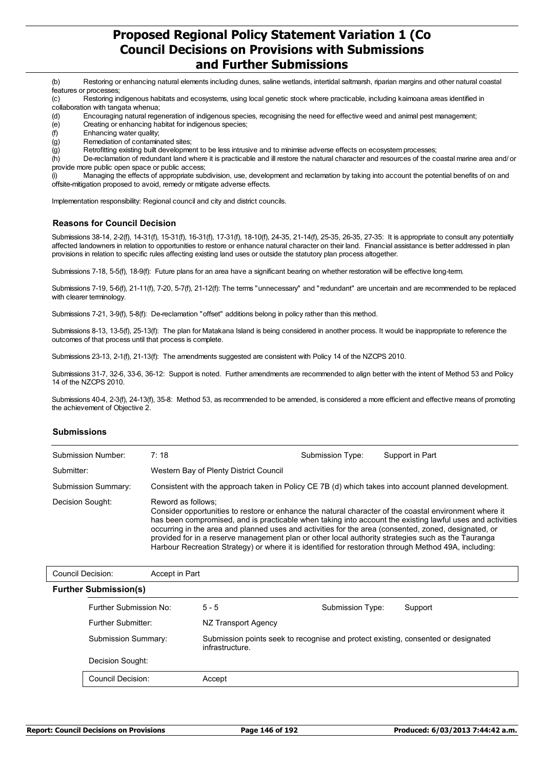(b) Restoring or enhancing natural elements including dunes, saline wetlands, intertidal saltmarsh, riparian margins and other natural coastal features or processes;

(c) Restoring indigenous habitats and ecosystems, using local genetic stock where practicable, including kaimoana areas identified in collaboration with tangata whenua;

- (d) Encouraging natural regeneration of indigenous species, recognising the need for effective weed and animal pest management; (e) Creating or enhancing habitat for indigenous species;
- (f) Enhancing water quality;
- (g) Remediation of contaminated sites;

(g) Retrofitting existing built development to be less intrusive and to minimise adverse effects on ecosystem processes;

(h) De-reclamation of redundant land where it is practicable and ill restore the natural character and resources of the coastal marine area and/ or provide more public open space or public access;

(i) Managing the effects of appropriate subdivision, use, development and reclamation by taking into account the potential benefits of on and offsite-mitigation proposed to avoid, remedy or mitigate adverse effects.

Implementation responsibility: Regional council and city and district councils.

### **Reasons for Council Decision**

Submissions 38-14, 2-2(f), 14-31(f), 15-31(f), 16-31(f), 17-31(f), 18-10(f), 24-35, 21-14(f), 25-35, 26-35, 27-35: It is appropriate to consult any potentially affected landowners in relation to opportunities to restore or enhance natural character on their land. Financial assistance is better addressed in plan provisions in relation to specific rules affecting existing land uses or outside the statutory plan process altogether.

Submissions 7-18, 5-5(f), 18-9(f): Future plans for an area have a significant bearing on whether restoration will be effective long-term.

Submissions 7-19, 5-6(f), 21-11(f), 7-20, 5-7(f), 21-12(f): The terms "unnecessary" and "redundant" are uncertain and are recommended to be replaced with clearer terminology.

Submissions 7-21, 3-9(f), 5-8(f): De-reclamation "offset" additions belong in policy rather than this method.

Submissions 8-13, 13-5(f), 25-13(f): The plan for Matakana Island is being considered in another process. It would be inappropriate to reference the outcomes of that process until that process is complete.

Submissions 23-13, 2-1(f), 21-13(f): The amendments suggested are consistent with Policy 14 of the NZCPS 2010.

Submissions 31-7, 32-6, 33-6, 36-12: Support is noted. Further amendments are recommended to align better with the intent of Method 53 and Policy 14 of the NZCPS 2010.

Submissions 40-4, 2-3(f), 24-13(f), 35-8: Method 53, as recommended to be amended, is considered a more efficient and effective means of promoting the achievement of Objective 2.

#### **Submissions**

| Submission Number:  | 7:18                                                                                                                                                                                                                                                                                                                                                                                                                                                                                                                                                             | Submission Type: | Support in Part |  |  |
|---------------------|------------------------------------------------------------------------------------------------------------------------------------------------------------------------------------------------------------------------------------------------------------------------------------------------------------------------------------------------------------------------------------------------------------------------------------------------------------------------------------------------------------------------------------------------------------------|------------------|-----------------|--|--|
| Submitter:          | Western Bay of Plenty District Council                                                                                                                                                                                                                                                                                                                                                                                                                                                                                                                           |                  |                 |  |  |
| Submission Summary: | Consistent with the approach taken in Policy CE 7B (d) which takes into account planned development.                                                                                                                                                                                                                                                                                                                                                                                                                                                             |                  |                 |  |  |
| Decision Sought:    | Reword as follows:<br>Consider opportunities to restore or enhance the natural character of the coastal environment where it<br>has been compromised, and is practicable when taking into account the existing lawful uses and activities<br>occurring in the area and planned uses and activities for the area (consented, zoned, designated, or<br>provided for in a reserve management plan or other local authority strategies such as the Tauranga<br>Harbour Recreation Strategy) or where it is identified for restoration through Method 49A, including: |                  |                 |  |  |

| Council Decision: | Accept in Part               |                                                                                                      |                  |         |
|-------------------|------------------------------|------------------------------------------------------------------------------------------------------|------------------|---------|
|                   | <b>Further Submission(s)</b> |                                                                                                      |                  |         |
|                   | Further Submission No:       | $5 - 5$                                                                                              | Submission Type: | Support |
|                   | Further Submitter:           | NZ Transport Agency                                                                                  |                  |         |
|                   | <b>Submission Summary:</b>   | Submission points seek to recognise and protect existing, consented or designated<br>infrastructure. |                  |         |
|                   | Decision Sought:             |                                                                                                      |                  |         |
|                   | <b>Council Decision:</b>     | Accept                                                                                               |                  |         |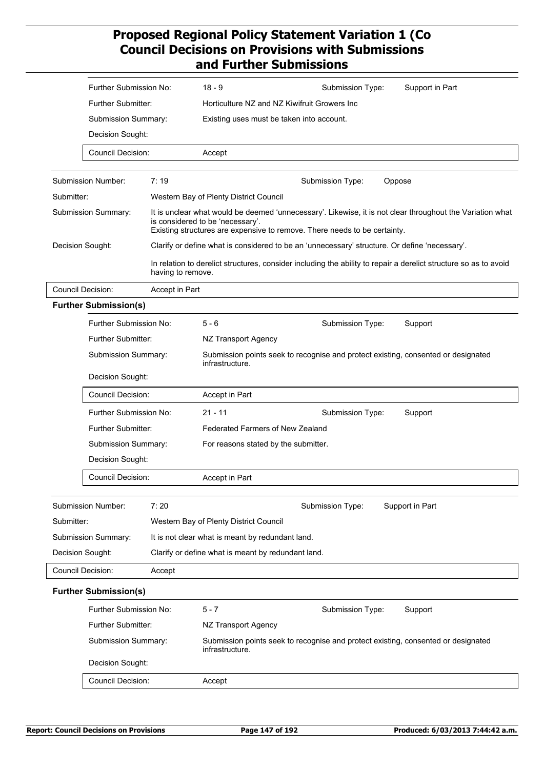| Further Submission No:       |                   | $18 - 9$<br>Support in Part<br>Submission Type:                                                                                                                                                                            |  |  |
|------------------------------|-------------------|----------------------------------------------------------------------------------------------------------------------------------------------------------------------------------------------------------------------------|--|--|
| <b>Further Submitter:</b>    |                   | Horticulture NZ and NZ Kiwifruit Growers Inc                                                                                                                                                                               |  |  |
| Submission Summary:          |                   | Existing uses must be taken into account.                                                                                                                                                                                  |  |  |
| Decision Sought:             |                   |                                                                                                                                                                                                                            |  |  |
| <b>Council Decision:</b>     |                   | Accept                                                                                                                                                                                                                     |  |  |
|                              |                   |                                                                                                                                                                                                                            |  |  |
| <b>Submission Number:</b>    | 7:19              | Submission Type:<br>Oppose                                                                                                                                                                                                 |  |  |
| Submitter:                   |                   | Western Bay of Plenty District Council                                                                                                                                                                                     |  |  |
| Submission Summary:          |                   | It is unclear what would be deemed 'unnecessary'. Likewise, it is not clear throughout the Variation what<br>is considered to be 'necessary'.<br>Existing structures are expensive to remove. There needs to be certainty. |  |  |
| Decision Sought:             |                   | Clarify or define what is considered to be an 'unnecessary' structure. Or define 'necessary'.                                                                                                                              |  |  |
|                              | having to remove. | In relation to derelict structures, consider including the ability to repair a derelict structure so as to avoid                                                                                                           |  |  |
| <b>Council Decision:</b>     | Accept in Part    |                                                                                                                                                                                                                            |  |  |
| <b>Further Submission(s)</b> |                   |                                                                                                                                                                                                                            |  |  |
| Further Submission No:       |                   | $5 - 6$<br>Submission Type:<br>Support                                                                                                                                                                                     |  |  |
| Further Submitter:           |                   | NZ Transport Agency                                                                                                                                                                                                        |  |  |
| Submission Summary:          |                   | Submission points seek to recognise and protect existing, consented or designated<br>infrastructure.                                                                                                                       |  |  |
| Decision Sought:             |                   |                                                                                                                                                                                                                            |  |  |
| <b>Council Decision:</b>     |                   | Accept in Part                                                                                                                                                                                                             |  |  |
| Further Submission No:       |                   | $21 - 11$<br>Submission Type:<br>Support                                                                                                                                                                                   |  |  |
| <b>Further Submitter:</b>    |                   | <b>Federated Farmers of New Zealand</b><br>For reasons stated by the submitter.                                                                                                                                            |  |  |
| Submission Summary:          |                   |                                                                                                                                                                                                                            |  |  |
| Decision Sought:             |                   |                                                                                                                                                                                                                            |  |  |
| Council Decision:            |                   | Accept in Part                                                                                                                                                                                                             |  |  |
| Submission Number:           | 7:20              | Submission Type:<br>Support in Part                                                                                                                                                                                        |  |  |
| Submitter:                   |                   | Western Bay of Plenty District Council                                                                                                                                                                                     |  |  |
| Submission Summary:          |                   | It is not clear what is meant by redundant land.                                                                                                                                                                           |  |  |
| Decision Sought:             |                   | Clarify or define what is meant by redundant land.                                                                                                                                                                         |  |  |
| Council Decision:            | Accept            |                                                                                                                                                                                                                            |  |  |
| <b>Further Submission(s)</b> |                   |                                                                                                                                                                                                                            |  |  |
| Further Submission No:       |                   | $5 - 7$<br>Submission Type:<br>Support                                                                                                                                                                                     |  |  |
| <b>Further Submitter:</b>    |                   | NZ Transport Agency                                                                                                                                                                                                        |  |  |
| Submission Summary:          |                   | Submission points seek to recognise and protect existing, consented or designated<br>infrastructure.                                                                                                                       |  |  |
| Decision Sought:             |                   |                                                                                                                                                                                                                            |  |  |
| <b>Council Decision:</b>     |                   | Accept                                                                                                                                                                                                                     |  |  |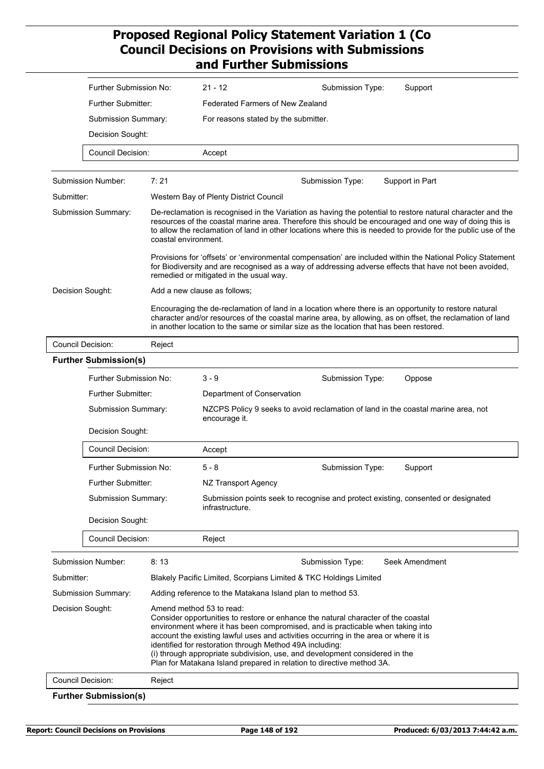|                                             | Further Submission No:       |                                                                                                                                                               | $21 - 12$                                                                                                                                                                                                                                                                                                                                                                                                                                                                                                                                                     | Support<br>Submission Type:                                                                                                                                                                                                                                                                                   |  |  |
|---------------------------------------------|------------------------------|---------------------------------------------------------------------------------------------------------------------------------------------------------------|---------------------------------------------------------------------------------------------------------------------------------------------------------------------------------------------------------------------------------------------------------------------------------------------------------------------------------------------------------------------------------------------------------------------------------------------------------------------------------------------------------------------------------------------------------------|---------------------------------------------------------------------------------------------------------------------------------------------------------------------------------------------------------------------------------------------------------------------------------------------------------------|--|--|
|                                             | <b>Further Submitter:</b>    |                                                                                                                                                               | Federated Farmers of New Zealand                                                                                                                                                                                                                                                                                                                                                                                                                                                                                                                              |                                                                                                                                                                                                                                                                                                               |  |  |
|                                             | Submission Summary:          |                                                                                                                                                               | For reasons stated by the submitter.                                                                                                                                                                                                                                                                                                                                                                                                                                                                                                                          |                                                                                                                                                                                                                                                                                                               |  |  |
|                                             | Decision Sought:             |                                                                                                                                                               |                                                                                                                                                                                                                                                                                                                                                                                                                                                                                                                                                               |                                                                                                                                                                                                                                                                                                               |  |  |
|                                             | <b>Council Decision:</b>     |                                                                                                                                                               | Accept                                                                                                                                                                                                                                                                                                                                                                                                                                                                                                                                                        |                                                                                                                                                                                                                                                                                                               |  |  |
|                                             | Submission Number:           | 7:21                                                                                                                                                          |                                                                                                                                                                                                                                                                                                                                                                                                                                                                                                                                                               | Submission Type:<br>Support in Part                                                                                                                                                                                                                                                                           |  |  |
| Submitter:                                  |                              |                                                                                                                                                               | Western Bay of Plenty District Council                                                                                                                                                                                                                                                                                                                                                                                                                                                                                                                        |                                                                                                                                                                                                                                                                                                               |  |  |
| Submission Summary:<br>coastal environment. |                              |                                                                                                                                                               | De-reclamation is recognised in the Variation as having the potential to restore natural character and the<br>resources of the coastal marine area. Therefore this should be encouraged and one way of doing this is<br>to allow the reclamation of land in other locations where this is needed to provide for the public use of the<br>Provisions for 'offsets' or 'environmental compensation' are included within the National Policy Statement<br>for Biodiversity and are recognised as a way of addressing adverse effects that have not been avoided, |                                                                                                                                                                                                                                                                                                               |  |  |
|                                             |                              |                                                                                                                                                               | remedied or mitigated in the usual way.                                                                                                                                                                                                                                                                                                                                                                                                                                                                                                                       |                                                                                                                                                                                                                                                                                                               |  |  |
| Decision Sought:                            |                              |                                                                                                                                                               | Add a new clause as follows;                                                                                                                                                                                                                                                                                                                                                                                                                                                                                                                                  | Encouraging the de-reclamation of land in a location where there is an opportunity to restore natural<br>character and/or resources of the coastal marine area, by allowing, as on offset, the reclamation of land<br>in another location to the same or similar size as the location that has been restored. |  |  |
|                                             | <b>Council Decision:</b>     | Reject                                                                                                                                                        |                                                                                                                                                                                                                                                                                                                                                                                                                                                                                                                                                               |                                                                                                                                                                                                                                                                                                               |  |  |
|                                             | <b>Further Submission(s)</b> |                                                                                                                                                               |                                                                                                                                                                                                                                                                                                                                                                                                                                                                                                                                                               |                                                                                                                                                                                                                                                                                                               |  |  |
|                                             | Further Submission No:       |                                                                                                                                                               | $3 - 9$                                                                                                                                                                                                                                                                                                                                                                                                                                                                                                                                                       | Submission Type:<br>Oppose                                                                                                                                                                                                                                                                                    |  |  |
|                                             | <b>Further Submitter:</b>    |                                                                                                                                                               | Department of Conservation                                                                                                                                                                                                                                                                                                                                                                                                                                                                                                                                    |                                                                                                                                                                                                                                                                                                               |  |  |
|                                             | Submission Summary:          |                                                                                                                                                               | NZCPS Policy 9 seeks to avoid reclamation of land in the coastal marine area, not<br>encourage it.                                                                                                                                                                                                                                                                                                                                                                                                                                                            |                                                                                                                                                                                                                                                                                                               |  |  |
|                                             | Decision Sought:             |                                                                                                                                                               |                                                                                                                                                                                                                                                                                                                                                                                                                                                                                                                                                               |                                                                                                                                                                                                                                                                                                               |  |  |
|                                             | <b>Council Decision:</b>     |                                                                                                                                                               | Accept                                                                                                                                                                                                                                                                                                                                                                                                                                                                                                                                                        |                                                                                                                                                                                                                                                                                                               |  |  |
|                                             | Further Submission No:       |                                                                                                                                                               | 5 - 8                                                                                                                                                                                                                                                                                                                                                                                                                                                                                                                                                         | Submission Type:<br>Support                                                                                                                                                                                                                                                                                   |  |  |
|                                             | Further Submitter:           |                                                                                                                                                               | NZ Transport Agency                                                                                                                                                                                                                                                                                                                                                                                                                                                                                                                                           |                                                                                                                                                                                                                                                                                                               |  |  |
|                                             | Submission Summary:          |                                                                                                                                                               | infrastructure.                                                                                                                                                                                                                                                                                                                                                                                                                                                                                                                                               | Submission points seek to recognise and protect existing, consented or designated                                                                                                                                                                                                                             |  |  |
|                                             | Decision Sought:             |                                                                                                                                                               |                                                                                                                                                                                                                                                                                                                                                                                                                                                                                                                                                               |                                                                                                                                                                                                                                                                                                               |  |  |
|                                             | <b>Council Decision:</b>     |                                                                                                                                                               | Reject                                                                                                                                                                                                                                                                                                                                                                                                                                                                                                                                                        |                                                                                                                                                                                                                                                                                                               |  |  |
|                                             | <b>Submission Number:</b>    | 8:13                                                                                                                                                          |                                                                                                                                                                                                                                                                                                                                                                                                                                                                                                                                                               | Seek Amendment<br>Submission Type:                                                                                                                                                                                                                                                                            |  |  |
| Submitter:                                  |                              |                                                                                                                                                               | Blakely Pacific Limited, Scorpians Limited & TKC Holdings Limited                                                                                                                                                                                                                                                                                                                                                                                                                                                                                             |                                                                                                                                                                                                                                                                                                               |  |  |
| <b>Submission Summary:</b>                  |                              | Adding reference to the Matakana Island plan to method 53.                                                                                                    |                                                                                                                                                                                                                                                                                                                                                                                                                                                                                                                                                               |                                                                                                                                                                                                                                                                                                               |  |  |
| Decision Sought:                            |                              | Amend method 53 to read:<br>identified for restoration through Method 49A including:<br>Plan for Matakana Island prepared in relation to directive method 3A. | Consider opportunities to restore or enhance the natural character of the coastal<br>environment where it has been compromised, and is practicable when taking into<br>account the existing lawful uses and activities occurring in the area or where it is<br>(i) through appropriate subdivision, use, and development considered in the                                                                                                                                                                                                                    |                                                                                                                                                                                                                                                                                                               |  |  |
|                                             | Council Decision:            | Reject                                                                                                                                                        |                                                                                                                                                                                                                                                                                                                                                                                                                                                                                                                                                               |                                                                                                                                                                                                                                                                                                               |  |  |
|                                             | <b>Further Submission(s)</b> |                                                                                                                                                               |                                                                                                                                                                                                                                                                                                                                                                                                                                                                                                                                                               |                                                                                                                                                                                                                                                                                                               |  |  |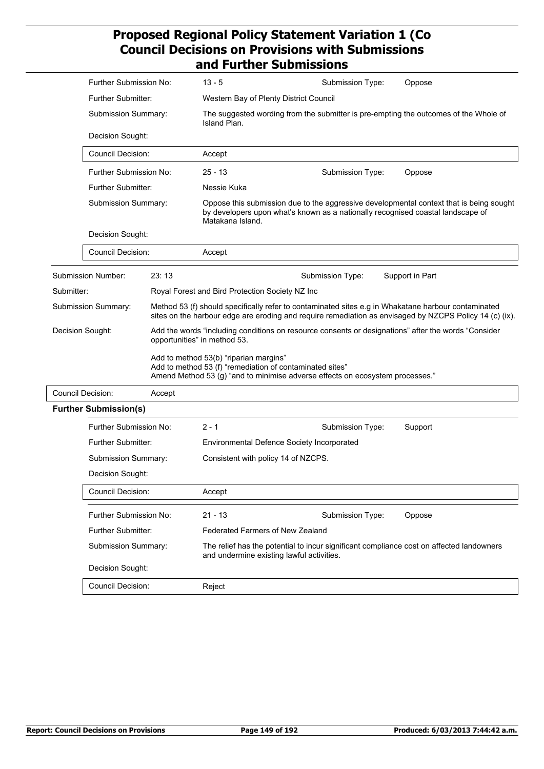|                          | Further Submission No:                                              |        | $13 - 5$                                                                                                                                                                                       | Submission Type:                                                              | Oppose                                                                                                                                                                                                         |  |  |
|--------------------------|---------------------------------------------------------------------|--------|------------------------------------------------------------------------------------------------------------------------------------------------------------------------------------------------|-------------------------------------------------------------------------------|----------------------------------------------------------------------------------------------------------------------------------------------------------------------------------------------------------------|--|--|
|                          | Further Submitter:                                                  |        | Western Bay of Plenty District Council                                                                                                                                                         |                                                                               |                                                                                                                                                                                                                |  |  |
|                          | Submission Summary:<br>Decision Sought:<br><b>Council Decision:</b> |        | Island Plan.                                                                                                                                                                                   |                                                                               | The suggested wording from the submitter is pre-empting the outcomes of the Whole of                                                                                                                           |  |  |
|                          |                                                                     |        |                                                                                                                                                                                                |                                                                               |                                                                                                                                                                                                                |  |  |
|                          |                                                                     |        | Accept                                                                                                                                                                                         |                                                                               |                                                                                                                                                                                                                |  |  |
|                          | Further Submission No:                                              |        | $25 - 13$                                                                                                                                                                                      | Submission Type:                                                              | Oppose                                                                                                                                                                                                         |  |  |
|                          | <b>Further Submitter:</b>                                           |        | Nessie Kuka                                                                                                                                                                                    |                                                                               |                                                                                                                                                                                                                |  |  |
|                          | Submission Summary:                                                 |        | Oppose this submission due to the aggressive developmental context that is being sought<br>by developers upon what's known as a nationally recognised coastal landscape of<br>Matakana Island. |                                                                               |                                                                                                                                                                                                                |  |  |
|                          | Decision Sought:                                                    |        |                                                                                                                                                                                                |                                                                               |                                                                                                                                                                                                                |  |  |
|                          | Council Decision:                                                   |        | Accept                                                                                                                                                                                         |                                                                               |                                                                                                                                                                                                                |  |  |
|                          | <b>Submission Number:</b>                                           | 23:13  |                                                                                                                                                                                                | Submission Type:                                                              | Support in Part                                                                                                                                                                                                |  |  |
| Submitter:               |                                                                     |        | Royal Forest and Bird Protection Society NZ Inc                                                                                                                                                |                                                                               |                                                                                                                                                                                                                |  |  |
|                          | Submission Summary:                                                 |        |                                                                                                                                                                                                |                                                                               | Method 53 (f) should specifically refer to contaminated sites e.g in Whakatane harbour contaminated<br>sites on the harbour edge are eroding and require remediation as envisaged by NZCPS Policy 14 (c) (ix). |  |  |
| Decision Sought:         |                                                                     |        | Add the words "including conditions on resource consents or designations" after the words "Consider<br>opportunities" in method 53.                                                            |                                                                               |                                                                                                                                                                                                                |  |  |
|                          |                                                                     |        | Add to method 53(b) "riparian margins"<br>Add to method 53 (f) "remediation of contaminated sites"                                                                                             | Amend Method 53 (g) "and to minimise adverse effects on ecosystem processes." |                                                                                                                                                                                                                |  |  |
| <b>Council Decision:</b> |                                                                     | Accept |                                                                                                                                                                                                |                                                                               |                                                                                                                                                                                                                |  |  |
|                          | <b>Further Submission(s)</b>                                        |        |                                                                                                                                                                                                |                                                                               |                                                                                                                                                                                                                |  |  |
|                          | Further Submission No:                                              |        | $2 - 1$                                                                                                                                                                                        | Submission Type:                                                              | Support                                                                                                                                                                                                        |  |  |
|                          | Further Submitter:                                                  |        | Environmental Defence Society Incorporated                                                                                                                                                     |                                                                               |                                                                                                                                                                                                                |  |  |
|                          | <b>Submission Summary:</b>                                          |        | Consistent with policy 14 of NZCPS.                                                                                                                                                            |                                                                               |                                                                                                                                                                                                                |  |  |
|                          | Decision Sought:<br><b>Council Decision:</b>                        |        |                                                                                                                                                                                                |                                                                               |                                                                                                                                                                                                                |  |  |
|                          |                                                                     |        | Accept                                                                                                                                                                                         |                                                                               |                                                                                                                                                                                                                |  |  |
|                          | Further Submission No:                                              |        | $21 - 13$                                                                                                                                                                                      | Submission Type:                                                              | Oppose                                                                                                                                                                                                         |  |  |
|                          | Further Submitter:                                                  |        | <b>Federated Farmers of New Zealand</b>                                                                                                                                                        |                                                                               |                                                                                                                                                                                                                |  |  |
|                          | Submission Summary:                                                 |        | and undermine existing lawful activities.                                                                                                                                                      |                                                                               | The relief has the potential to incur significant compliance cost on affected landowners                                                                                                                       |  |  |
|                          | Decision Sought:                                                    |        |                                                                                                                                                                                                |                                                                               |                                                                                                                                                                                                                |  |  |
|                          | Council Decision:                                                   |        | Reject                                                                                                                                                                                         |                                                                               |                                                                                                                                                                                                                |  |  |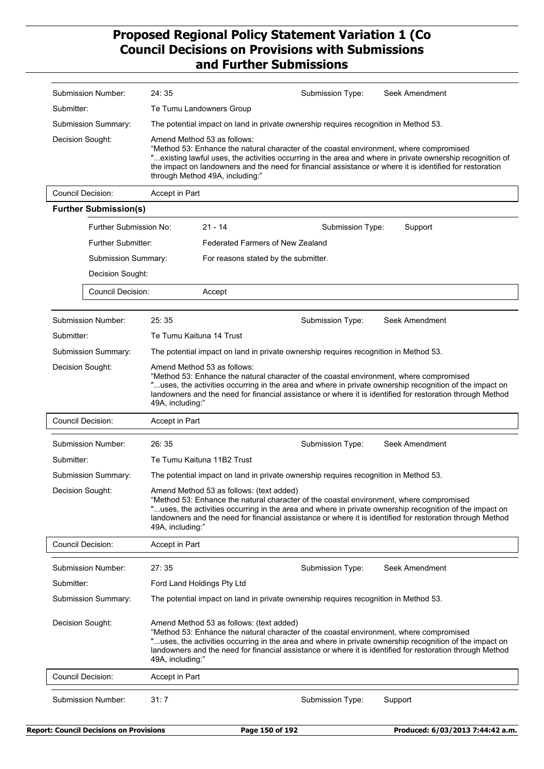| Submission Number:           | 24:35                                                                                                                                                                                                                                                                                                                                                                              |                                                                                      | Submission Type: | Seek Amendment |
|------------------------------|------------------------------------------------------------------------------------------------------------------------------------------------------------------------------------------------------------------------------------------------------------------------------------------------------------------------------------------------------------------------------------|--------------------------------------------------------------------------------------|------------------|----------------|
| Submitter:                   | Te Tumu Landowners Group                                                                                                                                                                                                                                                                                                                                                           |                                                                                      |                  |                |
| Submission Summary:          |                                                                                                                                                                                                                                                                                                                                                                                    | The potential impact on land in private ownership requires recognition in Method 53. |                  |                |
| Decision Sought:             | Amend Method 53 as follows:<br>"Method 53: Enhance the natural character of the coastal environment, where compromised<br>"existing lawful uses, the activities occurring in the area and where in private ownership recognition of<br>the impact on landowners and the need for financial assistance or where it is identified for restoration<br>through Method 49A, including:" |                                                                                      |                  |                |
| Council Decision:            | Accept in Part                                                                                                                                                                                                                                                                                                                                                                     |                                                                                      |                  |                |
| <b>Further Submission(s)</b> |                                                                                                                                                                                                                                                                                                                                                                                    |                                                                                      |                  |                |
| Further Submission No:       |                                                                                                                                                                                                                                                                                                                                                                                    | $21 - 14$                                                                            | Submission Type: | Support        |
| <b>Further Submitter:</b>    |                                                                                                                                                                                                                                                                                                                                                                                    | <b>Federated Farmers of New Zealand</b>                                              |                  |                |
| Submission Summary:          |                                                                                                                                                                                                                                                                                                                                                                                    | For reasons stated by the submitter.                                                 |                  |                |
| Decision Sought:             |                                                                                                                                                                                                                                                                                                                                                                                    |                                                                                      |                  |                |
| <b>Council Decision:</b>     |                                                                                                                                                                                                                                                                                                                                                                                    | Accept                                                                               |                  |                |
| Submission Number:           | 25:35                                                                                                                                                                                                                                                                                                                                                                              |                                                                                      | Submission Type: | Seek Amendment |
| Submitter:                   | Te Tumu Kaituna 14 Trust                                                                                                                                                                                                                                                                                                                                                           |                                                                                      |                  |                |
| Submission Summary:          |                                                                                                                                                                                                                                                                                                                                                                                    | The potential impact on land in private ownership requires recognition in Method 53. |                  |                |
| Decision Sought:             | Amend Method 53 as follows:<br>"Method 53: Enhance the natural character of the coastal environment, where compromised<br>"uses, the activities occurring in the area and where in private ownership recognition of the impact on<br>landowners and the need for financial assistance or where it is identified for restoration through Method<br>49A, including:"                 |                                                                                      |                  |                |
| <b>Council Decision:</b>     | Accept in Part                                                                                                                                                                                                                                                                                                                                                                     |                                                                                      |                  |                |
| Submission Number:           | 26:35                                                                                                                                                                                                                                                                                                                                                                              |                                                                                      | Submission Type: | Seek Amendment |
| Submitter:                   | Te Tumu Kaituna 11B2 Trust                                                                                                                                                                                                                                                                                                                                                         |                                                                                      |                  |                |
| <b>Submission Summary:</b>   |                                                                                                                                                                                                                                                                                                                                                                                    | The potential impact on land in private ownership requires recognition in Method 53. |                  |                |
| Decision Sought:             | Amend Method 53 as follows: (text added)<br>"Method 53: Enhance the natural character of the coastal environment, where compromised<br>"uses, the activities occurring in the area and where in private ownership recognition of the impact on<br>landowners and the need for financial assistance or where it is identified for restoration through Method<br>49A, including:"    |                                                                                      |                  |                |
| Council Decision:            | Accept in Part                                                                                                                                                                                                                                                                                                                                                                     |                                                                                      |                  |                |
| Submission Number:           | 27:35                                                                                                                                                                                                                                                                                                                                                                              |                                                                                      | Submission Type: | Seek Amendment |
| Submitter:                   | Ford Land Holdings Pty Ltd                                                                                                                                                                                                                                                                                                                                                         |                                                                                      |                  |                |
| Submission Summary:          |                                                                                                                                                                                                                                                                                                                                                                                    | The potential impact on land in private ownership requires recognition in Method 53. |                  |                |
| Decision Sought:             | Amend Method 53 as follows: (text added)<br>"Method 53: Enhance the natural character of the coastal environment, where compromised<br>uses, the activities occurring in the area and where in private ownership recognition of the impact on."<br>landowners and the need for financial assistance or where it is identified for restoration through Method<br>49A, including:"   |                                                                                      |                  |                |
| Council Decision:            | Accept in Part                                                                                                                                                                                                                                                                                                                                                                     |                                                                                      |                  |                |
| <b>Submission Number:</b>    | 31:7                                                                                                                                                                                                                                                                                                                                                                               |                                                                                      | Submission Type: | Support        |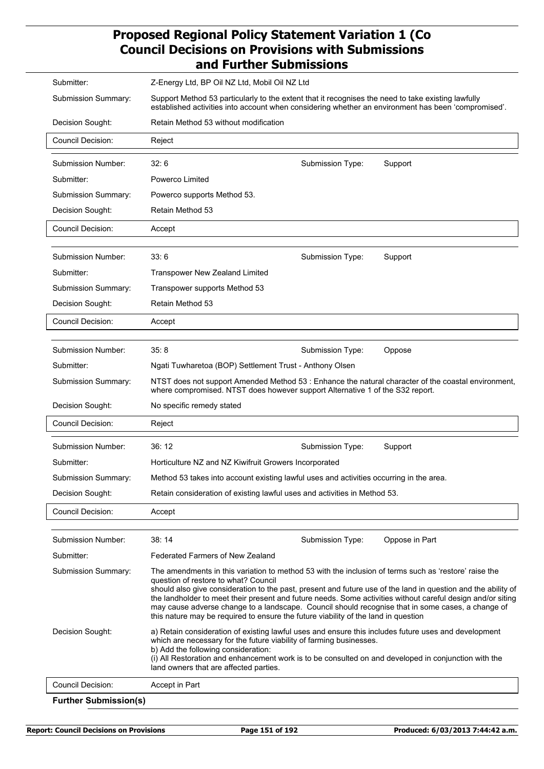| Submitter:                 | Z-Energy Ltd, BP Oil NZ Ltd, Mobil Oil NZ Ltd                                                                                                                                                                                                                                                                                                                                                                                                                                                                                                                            |                  |                |  |  |  |
|----------------------------|--------------------------------------------------------------------------------------------------------------------------------------------------------------------------------------------------------------------------------------------------------------------------------------------------------------------------------------------------------------------------------------------------------------------------------------------------------------------------------------------------------------------------------------------------------------------------|------------------|----------------|--|--|--|
| <b>Submission Summary:</b> | Support Method 53 particularly to the extent that it recognises the need to take existing lawfully<br>established activities into account when considering whether an environment has been 'compromised'.                                                                                                                                                                                                                                                                                                                                                                |                  |                |  |  |  |
| Decision Sought:           | Retain Method 53 without modification                                                                                                                                                                                                                                                                                                                                                                                                                                                                                                                                    |                  |                |  |  |  |
| Council Decision:          | Reject                                                                                                                                                                                                                                                                                                                                                                                                                                                                                                                                                                   |                  |                |  |  |  |
| Submission Number:         | 32:6                                                                                                                                                                                                                                                                                                                                                                                                                                                                                                                                                                     | Submission Type: | Support        |  |  |  |
| Submitter:                 | Powerco Limited                                                                                                                                                                                                                                                                                                                                                                                                                                                                                                                                                          |                  |                |  |  |  |
| <b>Submission Summary:</b> | Powerco supports Method 53.                                                                                                                                                                                                                                                                                                                                                                                                                                                                                                                                              |                  |                |  |  |  |
| Decision Sought:           | Retain Method 53                                                                                                                                                                                                                                                                                                                                                                                                                                                                                                                                                         |                  |                |  |  |  |
| <b>Council Decision:</b>   | Accept                                                                                                                                                                                                                                                                                                                                                                                                                                                                                                                                                                   |                  |                |  |  |  |
|                            |                                                                                                                                                                                                                                                                                                                                                                                                                                                                                                                                                                          |                  |                |  |  |  |
| Submission Number:         | 33:6                                                                                                                                                                                                                                                                                                                                                                                                                                                                                                                                                                     | Submission Type: | Support        |  |  |  |
| Submitter:                 | <b>Transpower New Zealand Limited</b>                                                                                                                                                                                                                                                                                                                                                                                                                                                                                                                                    |                  |                |  |  |  |
| Submission Summary:        | Transpower supports Method 53                                                                                                                                                                                                                                                                                                                                                                                                                                                                                                                                            |                  |                |  |  |  |
| Decision Sought:           | Retain Method 53                                                                                                                                                                                                                                                                                                                                                                                                                                                                                                                                                         |                  |                |  |  |  |
| Council Decision:          | Accept                                                                                                                                                                                                                                                                                                                                                                                                                                                                                                                                                                   |                  |                |  |  |  |
|                            |                                                                                                                                                                                                                                                                                                                                                                                                                                                                                                                                                                          |                  |                |  |  |  |
| Submission Number:         | 35:8                                                                                                                                                                                                                                                                                                                                                                                                                                                                                                                                                                     | Submission Type: | Oppose         |  |  |  |
| Submitter:                 | Ngati Tuwharetoa (BOP) Settlement Trust - Anthony Olsen                                                                                                                                                                                                                                                                                                                                                                                                                                                                                                                  |                  |                |  |  |  |
| Submission Summary:        | NTST does not support Amended Method 53 : Enhance the natural character of the coastal environment,<br>where compromised. NTST does however support Alternative 1 of the S32 report.                                                                                                                                                                                                                                                                                                                                                                                     |                  |                |  |  |  |
| Decision Sought:           | No specific remedy stated                                                                                                                                                                                                                                                                                                                                                                                                                                                                                                                                                |                  |                |  |  |  |
| <b>Council Decision:</b>   | Reject                                                                                                                                                                                                                                                                                                                                                                                                                                                                                                                                                                   |                  |                |  |  |  |
| Submission Number:         | 36:12                                                                                                                                                                                                                                                                                                                                                                                                                                                                                                                                                                    | Submission Type: | Support        |  |  |  |
| Submitter:                 | Horticulture NZ and NZ Kiwifruit Growers Incorporated                                                                                                                                                                                                                                                                                                                                                                                                                                                                                                                    |                  |                |  |  |  |
| Submission Summary:        | Method 53 takes into account existing lawful uses and activities occurring in the area.                                                                                                                                                                                                                                                                                                                                                                                                                                                                                  |                  |                |  |  |  |
| Decision Sought:           | Retain consideration of existing lawful uses and activities in Method 53.                                                                                                                                                                                                                                                                                                                                                                                                                                                                                                |                  |                |  |  |  |
| Council Decision:          | Accept                                                                                                                                                                                                                                                                                                                                                                                                                                                                                                                                                                   |                  |                |  |  |  |
|                            |                                                                                                                                                                                                                                                                                                                                                                                                                                                                                                                                                                          |                  |                |  |  |  |
| Submission Number:         | 38:14                                                                                                                                                                                                                                                                                                                                                                                                                                                                                                                                                                    | Submission Type: | Oppose in Part |  |  |  |
| Submitter:                 | Federated Farmers of New Zealand                                                                                                                                                                                                                                                                                                                                                                                                                                                                                                                                         |                  |                |  |  |  |
| Submission Summary:        | The amendments in this variation to method 53 with the inclusion of terms such as 'restore' raise the<br>question of restore to what? Council<br>should also give consideration to the past, present and future use of the land in question and the ability of<br>the landholder to meet their present and future needs. Some activities without careful design and/or siting<br>may cause adverse change to a landscape. Council should recognise that in some cases, a change of<br>this nature may be required to ensure the future viability of the land in question |                  |                |  |  |  |
| Decision Sought:           | a) Retain consideration of existing lawful uses and ensure this includes future uses and development<br>which are necessary for the future viability of farming businesses.<br>b) Add the following consideration:<br>(i) All Restoration and enhancement work is to be consulted on and developed in conjunction with the<br>land owners that are affected parties.                                                                                                                                                                                                     |                  |                |  |  |  |
| <b>Council Decision:</b>   | Accept in Part                                                                                                                                                                                                                                                                                                                                                                                                                                                                                                                                                           |                  |                |  |  |  |
|                            |                                                                                                                                                                                                                                                                                                                                                                                                                                                                                                                                                                          |                  |                |  |  |  |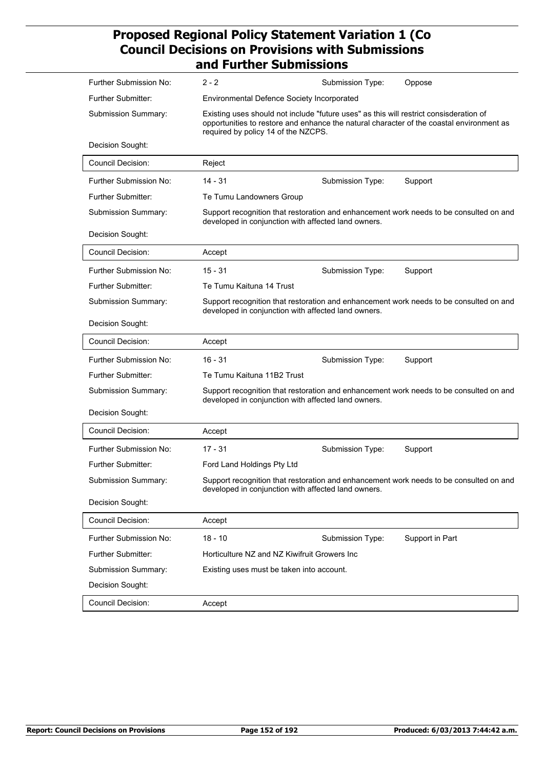| Further Submission No:    | $2 - 2$                                                                                                                                       | Submission Type:                                                                                                                                                                                                          | Oppose                                                                                 |  |  |  |
|---------------------------|-----------------------------------------------------------------------------------------------------------------------------------------------|---------------------------------------------------------------------------------------------------------------------------------------------------------------------------------------------------------------------------|----------------------------------------------------------------------------------------|--|--|--|
| Further Submitter:        | <b>Environmental Defence Society Incorporated</b>                                                                                             |                                                                                                                                                                                                                           |                                                                                        |  |  |  |
| Submission Summary:       |                                                                                                                                               | Existing uses should not include "future uses" as this will restrict consisderation of<br>opportunities to restore and enhance the natural character of the coastal environment as<br>required by policy 14 of the NZCPS. |                                                                                        |  |  |  |
| Decision Sought:          |                                                                                                                                               |                                                                                                                                                                                                                           |                                                                                        |  |  |  |
| <b>Council Decision:</b>  | Reject                                                                                                                                        |                                                                                                                                                                                                                           |                                                                                        |  |  |  |
| Further Submission No:    | 14 - 31                                                                                                                                       | Submission Type:                                                                                                                                                                                                          | Support                                                                                |  |  |  |
| Further Submitter:        | Te Tumu Landowners Group                                                                                                                      |                                                                                                                                                                                                                           |                                                                                        |  |  |  |
| Submission Summary:       | developed in conjunction with affected land owners.                                                                                           |                                                                                                                                                                                                                           | Support recognition that restoration and enhancement work needs to be consulted on and |  |  |  |
| Decision Sought:          |                                                                                                                                               |                                                                                                                                                                                                                           |                                                                                        |  |  |  |
| <b>Council Decision:</b>  | Accept                                                                                                                                        |                                                                                                                                                                                                                           |                                                                                        |  |  |  |
| Further Submission No:    | $15 - 31$                                                                                                                                     | Submission Type:                                                                                                                                                                                                          | Support                                                                                |  |  |  |
| <b>Further Submitter:</b> | Te Tumu Kaituna 14 Trust                                                                                                                      |                                                                                                                                                                                                                           |                                                                                        |  |  |  |
| Submission Summary:       | Support recognition that restoration and enhancement work needs to be consulted on and<br>developed in conjunction with affected land owners. |                                                                                                                                                                                                                           |                                                                                        |  |  |  |
| Decision Sought:          |                                                                                                                                               |                                                                                                                                                                                                                           |                                                                                        |  |  |  |
| <b>Council Decision:</b>  | Accept                                                                                                                                        |                                                                                                                                                                                                                           |                                                                                        |  |  |  |
| Further Submission No:    | $16 - 31$                                                                                                                                     | Submission Type:                                                                                                                                                                                                          | Support                                                                                |  |  |  |
| <b>Further Submitter:</b> | Te Tumu Kaituna 11B2 Trust                                                                                                                    |                                                                                                                                                                                                                           |                                                                                        |  |  |  |
| Submission Summary:       | developed in conjunction with affected land owners.                                                                                           |                                                                                                                                                                                                                           | Support recognition that restoration and enhancement work needs to be consulted on and |  |  |  |
| Decision Sought:          |                                                                                                                                               |                                                                                                                                                                                                                           |                                                                                        |  |  |  |
| <b>Council Decision:</b>  | Accept                                                                                                                                        |                                                                                                                                                                                                                           |                                                                                        |  |  |  |
| Further Submission No:    | $17 - 31$                                                                                                                                     | Submission Type:                                                                                                                                                                                                          | Support                                                                                |  |  |  |
| <b>Further Submitter:</b> | Ford Land Holdings Pty Ltd                                                                                                                    |                                                                                                                                                                                                                           |                                                                                        |  |  |  |
| Submission Summary:       | developed in conjunction with affected land owners.                                                                                           |                                                                                                                                                                                                                           | Support recognition that restoration and enhancement work needs to be consulted on and |  |  |  |
| Decision Sought:          |                                                                                                                                               |                                                                                                                                                                                                                           |                                                                                        |  |  |  |
| <b>Council Decision:</b>  | Accept                                                                                                                                        |                                                                                                                                                                                                                           |                                                                                        |  |  |  |
| Further Submission No:    | $18 - 10$                                                                                                                                     | Submission Type:                                                                                                                                                                                                          | Support in Part                                                                        |  |  |  |
| Further Submitter:        | Horticulture NZ and NZ Kiwifruit Growers Inc                                                                                                  |                                                                                                                                                                                                                           |                                                                                        |  |  |  |
| Submission Summary:       | Existing uses must be taken into account.                                                                                                     |                                                                                                                                                                                                                           |                                                                                        |  |  |  |
| Decision Sought:          |                                                                                                                                               |                                                                                                                                                                                                                           |                                                                                        |  |  |  |
| Council Decision:         | Accept                                                                                                                                        |                                                                                                                                                                                                                           |                                                                                        |  |  |  |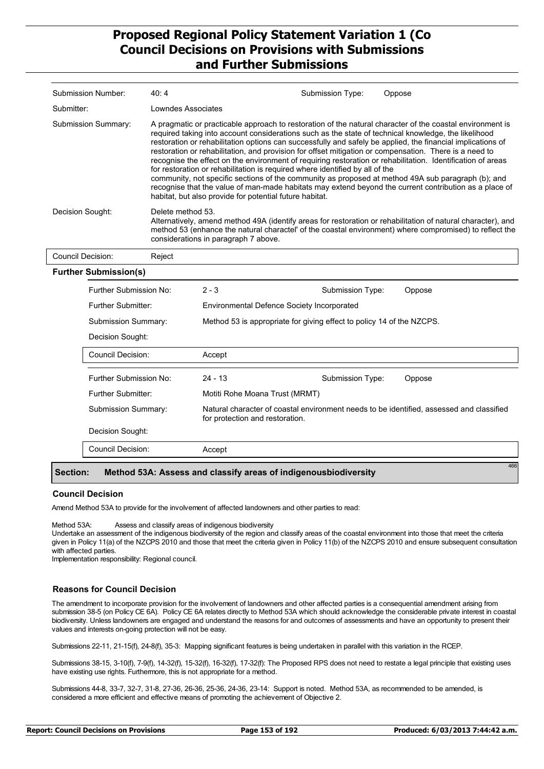| Submission Number:                                                                                                                                                                                                                                                                                       | 40:4               |                                                                                                                                                                                                                                                                                                                                                                                                                                                                                                                                                                                                                                                                                                                                                                                                                                                                                                                      | Submission Type: | Oppose |  |  |
|----------------------------------------------------------------------------------------------------------------------------------------------------------------------------------------------------------------------------------------------------------------------------------------------------------|--------------------|----------------------------------------------------------------------------------------------------------------------------------------------------------------------------------------------------------------------------------------------------------------------------------------------------------------------------------------------------------------------------------------------------------------------------------------------------------------------------------------------------------------------------------------------------------------------------------------------------------------------------------------------------------------------------------------------------------------------------------------------------------------------------------------------------------------------------------------------------------------------------------------------------------------------|------------------|--------|--|--|
| Submitter:                                                                                                                                                                                                                                                                                               | Lowndes Associates |                                                                                                                                                                                                                                                                                                                                                                                                                                                                                                                                                                                                                                                                                                                                                                                                                                                                                                                      |                  |        |  |  |
| Submission Summary:                                                                                                                                                                                                                                                                                      |                    | A pragmatic or practicable approach to restoration of the natural character of the coastal environment is<br>required taking into account considerations such as the state of technical knowledge, the likelihood<br>restoration or rehabilitation options can successfully and safely be applied, the financial implications of<br>restoration or rehabilitation, and provision for offset mitigation or compensation. There is a need to<br>recognise the effect on the environment of requiring restoration or rehabilitation. Identification of areas<br>for restoration or rehabilitation is required where identified by all of the<br>community, not specific sections of the community as proposed at method 49A sub paragraph (b); and<br>recognise that the value of man-made habitats may extend beyond the current contribution as a place of<br>habitat, but also provide for potential future habitat. |                  |        |  |  |
| Decision Sought:<br>Delete method 53.<br>Alternatively, amend method 49A (identify areas for restoration or rehabilitation of natural character), and<br>method 53 (enhance the natural charactel' of the coastal environment) where compromised) to reflect the<br>considerations in paragraph 7 above. |                    |                                                                                                                                                                                                                                                                                                                                                                                                                                                                                                                                                                                                                                                                                                                                                                                                                                                                                                                      |                  |        |  |  |
| Council Decision:                                                                                                                                                                                                                                                                                        | Reject             |                                                                                                                                                                                                                                                                                                                                                                                                                                                                                                                                                                                                                                                                                                                                                                                                                                                                                                                      |                  |        |  |  |
| <b>Further Submission(s)</b>                                                                                                                                                                                                                                                                             |                    |                                                                                                                                                                                                                                                                                                                                                                                                                                                                                                                                                                                                                                                                                                                                                                                                                                                                                                                      |                  |        |  |  |
| Further Submission No:                                                                                                                                                                                                                                                                                   |                    | $2 - 3$                                                                                                                                                                                                                                                                                                                                                                                                                                                                                                                                                                                                                                                                                                                                                                                                                                                                                                              | Submission Type: | Oppose |  |  |
| Further Submitter:                                                                                                                                                                                                                                                                                       |                    | Environmental Defence Society Incorporated                                                                                                                                                                                                                                                                                                                                                                                                                                                                                                                                                                                                                                                                                                                                                                                                                                                                           |                  |        |  |  |
| <b>Submission Summary:</b>                                                                                                                                                                                                                                                                               |                    | Method 53 is appropriate for giving effect to policy 14 of the NZCPS.                                                                                                                                                                                                                                                                                                                                                                                                                                                                                                                                                                                                                                                                                                                                                                                                                                                |                  |        |  |  |
| Decision Sought:                                                                                                                                                                                                                                                                                         |                    |                                                                                                                                                                                                                                                                                                                                                                                                                                                                                                                                                                                                                                                                                                                                                                                                                                                                                                                      |                  |        |  |  |
| Council Decision:                                                                                                                                                                                                                                                                                        |                    | Accept                                                                                                                                                                                                                                                                                                                                                                                                                                                                                                                                                                                                                                                                                                                                                                                                                                                                                                               |                  |        |  |  |

| Further Submission No:     | $24 - 13$                       | Submission Type: | Oppose                                                                                   |
|----------------------------|---------------------------------|------------------|------------------------------------------------------------------------------------------|
| Further Submitter:         | Motiti Rohe Moana Trust (MRMT)  |                  |                                                                                          |
| <b>Submission Summary:</b> | for protection and restoration. |                  | Natural character of coastal environment needs to be identified, assessed and classified |
| Decision Sought:           |                                 |                  |                                                                                          |
| Council Decision:          | Accept                          |                  |                                                                                          |
|                            |                                 |                  |                                                                                          |

#### **Section: Method 53A: Assess and classify areas of indigenousbiodiversity**

#### **Council Decision**

Amend Method 53A to provide for the involvement of affected landowners and other parties to read:

Method 53A: Assess and classify areas of indigenous biodiversity

Undertake an assessment of the indigenous biodiversity of the region and classify areas of the coastal environment into those that meet the criteria given in Policy 11(a) of the NZCPS 2010 and those that meet the criteria given in Policy 11(b) of the NZCPS 2010 and ensure subsequent consultation with affected parties.

Implementation responsibility: Regional council.

#### **Reasons for Council Decision**

The amendment to incorporate provision for the involvement of landowners and other affected parties is a consequential amendment arising from submission 38-5 (on Policy CE 6A). Policy CE 6A relates directly to Method 53A which should acknowledge the considerable private interest in coastal biodiversity. Unless landowners are engaged and understand the reasons for and outcomes of assessments and have an opportunity to present their values and interests on-going protection will not be easy.

Submissions 22-11, 21-15(f), 24-8(f), 35-3: Mapping significant features is being undertaken in parallel with this variation in the RCEP.

Submissions 38-15, 3-10(f), 7-9(f), 14-32(f), 15-32(f), 16-32(f), 17-32(f): The Proposed RPS does not need to restate a legal principle that existing uses have existing use rights. Furthermore, this is not appropriate for a method.

Submissions 44-8, 33-7, 32-7, 31-8, 27-36, 26-36, 25-36, 24-36, 23-14: Support is noted. Method 53A, as recommended to be amended, is considered a more efficient and effective means of promoting the achievement of Objective 2.

466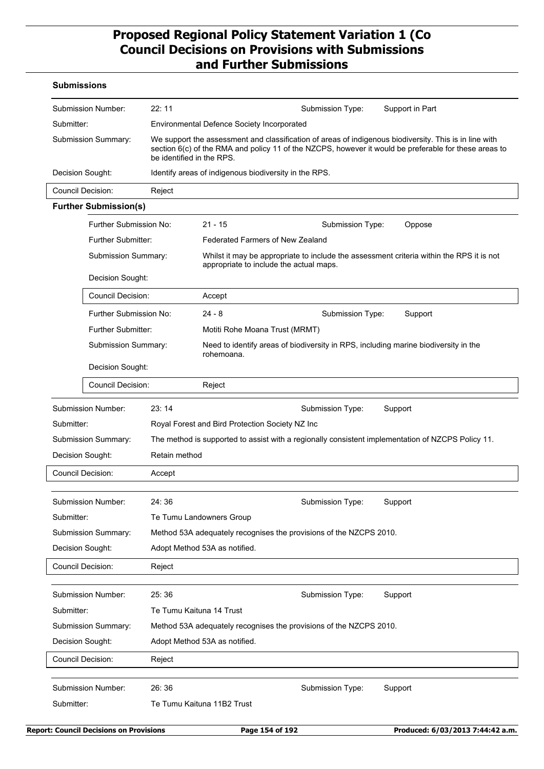### **Submissions**

|                                                   | Submission Number:           | 22:11         |                                                                                                                                                                                                                                              | Submission Type:                                                                    | Support in Part                                                                                   |  |  |
|---------------------------------------------------|------------------------------|---------------|----------------------------------------------------------------------------------------------------------------------------------------------------------------------------------------------------------------------------------------------|-------------------------------------------------------------------------------------|---------------------------------------------------------------------------------------------------|--|--|
| Submitter:                                        |                              |               | <b>Environmental Defence Society Incorporated</b>                                                                                                                                                                                            |                                                                                     |                                                                                                   |  |  |
| Submission Summary:                               |                              |               | We support the assessment and classification of areas of indigenous biodiversity. This is in line with<br>section 6(c) of the RMA and policy 11 of the NZCPS, however it would be preferable for these areas to<br>be identified in the RPS. |                                                                                     |                                                                                                   |  |  |
|                                                   | Decision Sought:             |               | Identify areas of indigenous biodiversity in the RPS.                                                                                                                                                                                        |                                                                                     |                                                                                                   |  |  |
|                                                   | <b>Council Decision:</b>     | Reject        |                                                                                                                                                                                                                                              |                                                                                     |                                                                                                   |  |  |
|                                                   | <b>Further Submission(s)</b> |               |                                                                                                                                                                                                                                              |                                                                                     |                                                                                                   |  |  |
|                                                   | Further Submission No:       |               | $21 - 15$                                                                                                                                                                                                                                    | Submission Type:                                                                    | Oppose                                                                                            |  |  |
|                                                   | Further Submitter:           |               | <b>Federated Farmers of New Zealand</b>                                                                                                                                                                                                      |                                                                                     |                                                                                                   |  |  |
|                                                   | <b>Submission Summary:</b>   |               |                                                                                                                                                                                                                                              | appropriate to include the actual maps.                                             | Whilst it may be appropriate to include the assessment criteria within the RPS it is not          |  |  |
|                                                   | Decision Sought:             |               |                                                                                                                                                                                                                                              |                                                                                     |                                                                                                   |  |  |
|                                                   | Council Decision:            |               | Accept                                                                                                                                                                                                                                       |                                                                                     |                                                                                                   |  |  |
|                                                   | Further Submission No:       |               | $24 - 8$                                                                                                                                                                                                                                     | Submission Type:                                                                    | Support                                                                                           |  |  |
|                                                   | Further Submitter:           |               | Motiti Rohe Moana Trust (MRMT)                                                                                                                                                                                                               |                                                                                     |                                                                                                   |  |  |
|                                                   | Submission Summary:          |               | rohemoana.                                                                                                                                                                                                                                   | Need to identify areas of biodiversity in RPS, including marine biodiversity in the |                                                                                                   |  |  |
|                                                   | Decision Sought:             |               |                                                                                                                                                                                                                                              |                                                                                     |                                                                                                   |  |  |
|                                                   | Council Decision:            |               | Reject                                                                                                                                                                                                                                       |                                                                                     |                                                                                                   |  |  |
|                                                   | Submission Number:           | 23:14         |                                                                                                                                                                                                                                              | Submission Type:                                                                    | Support                                                                                           |  |  |
| Submitter:                                        |                              |               | Royal Forest and Bird Protection Society NZ Inc                                                                                                                                                                                              |                                                                                     |                                                                                                   |  |  |
|                                                   | <b>Submission Summary:</b>   |               |                                                                                                                                                                                                                                              |                                                                                     | The method is supported to assist with a regionally consistent implementation of NZCPS Policy 11. |  |  |
|                                                   | Decision Sought:             | Retain method |                                                                                                                                                                                                                                              |                                                                                     |                                                                                                   |  |  |
|                                                   | <b>Council Decision:</b>     | Accept        |                                                                                                                                                                                                                                              |                                                                                     |                                                                                                   |  |  |
|                                                   |                              |               |                                                                                                                                                                                                                                              |                                                                                     |                                                                                                   |  |  |
|                                                   | Submission Number:           | 24:36         |                                                                                                                                                                                                                                              | Submission Type:                                                                    | Support                                                                                           |  |  |
| Submitter:                                        |                              |               | Te Tumu Landowners Group                                                                                                                                                                                                                     |                                                                                     |                                                                                                   |  |  |
|                                                   | Submission Summary:          |               |                                                                                                                                                                                                                                              | Method 53A adequately recognises the provisions of the NZCPS 2010.                  |                                                                                                   |  |  |
|                                                   | Decision Sought:             |               | Adopt Method 53A as notified.                                                                                                                                                                                                                |                                                                                     |                                                                                                   |  |  |
|                                                   | Council Decision:            | Reject        |                                                                                                                                                                                                                                              |                                                                                     |                                                                                                   |  |  |
|                                                   | Submission Number:           | 25:36         |                                                                                                                                                                                                                                              |                                                                                     |                                                                                                   |  |  |
| Submitter:                                        |                              |               | Te Tumu Kaituna 14 Trust                                                                                                                                                                                                                     | Submission Type:                                                                    | Support                                                                                           |  |  |
|                                                   | Submission Summary:          |               |                                                                                                                                                                                                                                              | Method 53A adequately recognises the provisions of the NZCPS 2010.                  |                                                                                                   |  |  |
| Decision Sought:<br>Adopt Method 53A as notified. |                              |               |                                                                                                                                                                                                                                              |                                                                                     |                                                                                                   |  |  |
|                                                   | <b>Council Decision:</b>     | Reject        |                                                                                                                                                                                                                                              |                                                                                     |                                                                                                   |  |  |
|                                                   |                              |               |                                                                                                                                                                                                                                              |                                                                                     |                                                                                                   |  |  |
|                                                   | Submission Number:           | 26:36         |                                                                                                                                                                                                                                              | Submission Type:                                                                    | Support                                                                                           |  |  |
| Submitter:                                        |                              |               | Te Tumu Kaituna 11B2 Trust                                                                                                                                                                                                                   |                                                                                     |                                                                                                   |  |  |
|                                                   |                              |               |                                                                                                                                                                                                                                              |                                                                                     |                                                                                                   |  |  |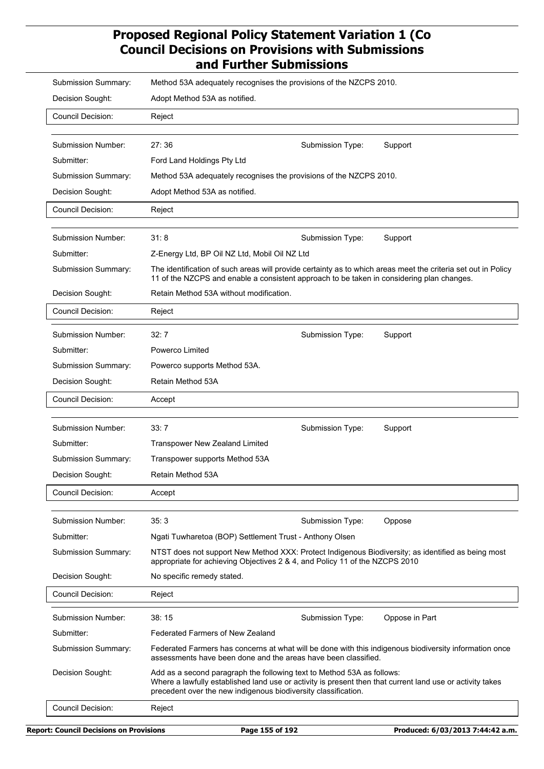| Submission Summary:      | Method 53A adequately recognises the provisions of the NZCPS 2010.                                                                                                                                                                                    |                  |                |
|--------------------------|-------------------------------------------------------------------------------------------------------------------------------------------------------------------------------------------------------------------------------------------------------|------------------|----------------|
| Decision Sought:         | Adopt Method 53A as notified.                                                                                                                                                                                                                         |                  |                |
| Council Decision:        | Reject                                                                                                                                                                                                                                                |                  |                |
|                          |                                                                                                                                                                                                                                                       |                  |                |
| Submission Number:       | 27:36                                                                                                                                                                                                                                                 | Submission Type: | Support        |
| Submitter:               | Ford Land Holdings Pty Ltd                                                                                                                                                                                                                            |                  |                |
| Submission Summary:      | Method 53A adequately recognises the provisions of the NZCPS 2010.                                                                                                                                                                                    |                  |                |
| Decision Sought:         | Adopt Method 53A as notified.                                                                                                                                                                                                                         |                  |                |
| Council Decision:        | Reject                                                                                                                                                                                                                                                |                  |                |
|                          |                                                                                                                                                                                                                                                       |                  |                |
| Submission Number:       | 31:8                                                                                                                                                                                                                                                  | Submission Type: | Support        |
| Submitter:               | Z-Energy Ltd, BP Oil NZ Ltd, Mobil Oil NZ Ltd                                                                                                                                                                                                         |                  |                |
| Submission Summary:      | The identification of such areas will provide certainty as to which areas meet the criteria set out in Policy<br>11 of the NZCPS and enable a consistent approach to be taken in considering plan changes.                                            |                  |                |
| Decision Sought:         | Retain Method 53A without modification.                                                                                                                                                                                                               |                  |                |
| <b>Council Decision:</b> | Reject                                                                                                                                                                                                                                                |                  |                |
| Submission Number:       | 32:7                                                                                                                                                                                                                                                  | Submission Type: | Support        |
| Submitter:               | Powerco Limited                                                                                                                                                                                                                                       |                  |                |
| Submission Summary:      | Powerco supports Method 53A.                                                                                                                                                                                                                          |                  |                |
| Decision Sought:         | Retain Method 53A                                                                                                                                                                                                                                     |                  |                |
| <b>Council Decision:</b> | Accept                                                                                                                                                                                                                                                |                  |                |
|                          |                                                                                                                                                                                                                                                       |                  |                |
| Submission Number:       | 33:7                                                                                                                                                                                                                                                  | Submission Type: | Support        |
| Submitter:               | <b>Transpower New Zealand Limited</b>                                                                                                                                                                                                                 |                  |                |
| Submission Summary:      | Transpower supports Method 53A                                                                                                                                                                                                                        |                  |                |
| Decision Sought:         | Retain Method 53A                                                                                                                                                                                                                                     |                  |                |
| Council Decision:        | Accept                                                                                                                                                                                                                                                |                  |                |
|                          |                                                                                                                                                                                                                                                       |                  |                |
| Submission Number:       | 35:3                                                                                                                                                                                                                                                  | Submission Type: | Oppose         |
| Submitter:               | Ngati Tuwharetoa (BOP) Settlement Trust - Anthony Olsen                                                                                                                                                                                               |                  |                |
| Submission Summary:      | NTST does not support New Method XXX: Protect Indigenous Biodiversity; as identified as being most<br>appropriate for achieving Objectives 2 & 4, and Policy 11 of the NZCPS 2010                                                                     |                  |                |
| Decision Sought:         | No specific remedy stated.                                                                                                                                                                                                                            |                  |                |
| <b>Council Decision:</b> | Reject                                                                                                                                                                                                                                                |                  |                |
| Submission Number:       | 38:15                                                                                                                                                                                                                                                 | Submission Type: | Oppose in Part |
| Submitter:               | <b>Federated Farmers of New Zealand</b>                                                                                                                                                                                                               |                  |                |
| Submission Summary:      | Federated Farmers has concerns at what will be done with this indigenous biodiversity information once<br>assessments have been done and the areas have been classified.                                                                              |                  |                |
| Decision Sought:         | Add as a second paragraph the following text to Method 53A as follows:<br>Where a lawfully established land use or activity is present then that current land use or activity takes<br>precedent over the new indigenous biodiversity classification. |                  |                |
| <b>Council Decision:</b> | Reject                                                                                                                                                                                                                                                |                  |                |
|                          |                                                                                                                                                                                                                                                       |                  |                |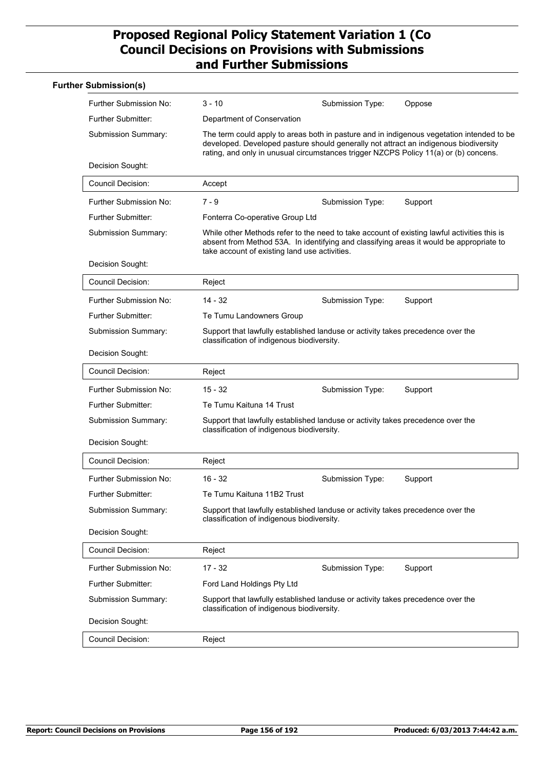| <b>Further Submission(s)</b> |                                                                                                                                                                                                                                                                           |                  |         |
|------------------------------|---------------------------------------------------------------------------------------------------------------------------------------------------------------------------------------------------------------------------------------------------------------------------|------------------|---------|
| Further Submission No:       | 3 - 10                                                                                                                                                                                                                                                                    | Submission Type: | Oppose  |
| Further Submitter:           | Department of Conservation                                                                                                                                                                                                                                                |                  |         |
| Submission Summary:          | The term could apply to areas both in pasture and in indigenous vegetation intended to be<br>developed. Developed pasture should generally not attract an indigenous biodiversity<br>rating, and only in unusual circumstances trigger NZCPS Policy 11(a) or (b) concens. |                  |         |
| Decision Sought:             |                                                                                                                                                                                                                                                                           |                  |         |
| <b>Council Decision:</b>     | Accept                                                                                                                                                                                                                                                                    |                  |         |
| Further Submission No:       | $7 - 9$                                                                                                                                                                                                                                                                   | Submission Type: | Support |
| <b>Further Submitter:</b>    | Fonterra Co-operative Group Ltd                                                                                                                                                                                                                                           |                  |         |
| Submission Summary:          | While other Methods refer to the need to take account of existing lawful activities this is<br>absent from Method 53A. In identifying and classifying areas it would be appropriate to<br>take account of existing land use activities.                                   |                  |         |
| Decision Sought:             |                                                                                                                                                                                                                                                                           |                  |         |
| <b>Council Decision:</b>     | Reject                                                                                                                                                                                                                                                                    |                  |         |
| Further Submission No:       | $14 - 32$                                                                                                                                                                                                                                                                 | Submission Type: | Support |
| <b>Further Submitter:</b>    | Te Tumu Landowners Group                                                                                                                                                                                                                                                  |                  |         |
| Submission Summary:          | Support that lawfully established landuse or activity takes precedence over the<br>classification of indigenous biodiversity.                                                                                                                                             |                  |         |
| Decision Sought:             |                                                                                                                                                                                                                                                                           |                  |         |
| <b>Council Decision:</b>     | Reject                                                                                                                                                                                                                                                                    |                  |         |
| Further Submission No:       | $15 - 32$                                                                                                                                                                                                                                                                 | Submission Type: | Support |
| <b>Further Submitter:</b>    | Te Tumu Kaituna 14 Trust                                                                                                                                                                                                                                                  |                  |         |
| Submission Summary:          | Support that lawfully established landuse or activity takes precedence over the<br>classification of indigenous biodiversity.                                                                                                                                             |                  |         |
| Decision Sought:             |                                                                                                                                                                                                                                                                           |                  |         |
| <b>Council Decision:</b>     | Reject                                                                                                                                                                                                                                                                    |                  |         |
| Further Submission No:       | $16 - 32$                                                                                                                                                                                                                                                                 | Submission Type: | Support |
| Further Submitter:           | Te Tumu Kaituna 11B2 Trust                                                                                                                                                                                                                                                |                  |         |
| Submission Summary:          | Support that lawfully established landuse or activity takes precedence over the<br>classification of indigenous biodiversity.                                                                                                                                             |                  |         |
| Decision Sought:             |                                                                                                                                                                                                                                                                           |                  |         |
| <b>Council Decision:</b>     | Reject                                                                                                                                                                                                                                                                    |                  |         |
| Further Submission No:       | $17 - 32$                                                                                                                                                                                                                                                                 | Submission Type: | Support |
| Further Submitter:           | Ford Land Holdings Pty Ltd                                                                                                                                                                                                                                                |                  |         |
| Submission Summary:          | Support that lawfully established landuse or activity takes precedence over the<br>classification of indigenous biodiversity.                                                                                                                                             |                  |         |
| Decision Sought:             |                                                                                                                                                                                                                                                                           |                  |         |
| <b>Council Decision:</b>     | Reject                                                                                                                                                                                                                                                                    |                  |         |
|                              |                                                                                                                                                                                                                                                                           |                  |         |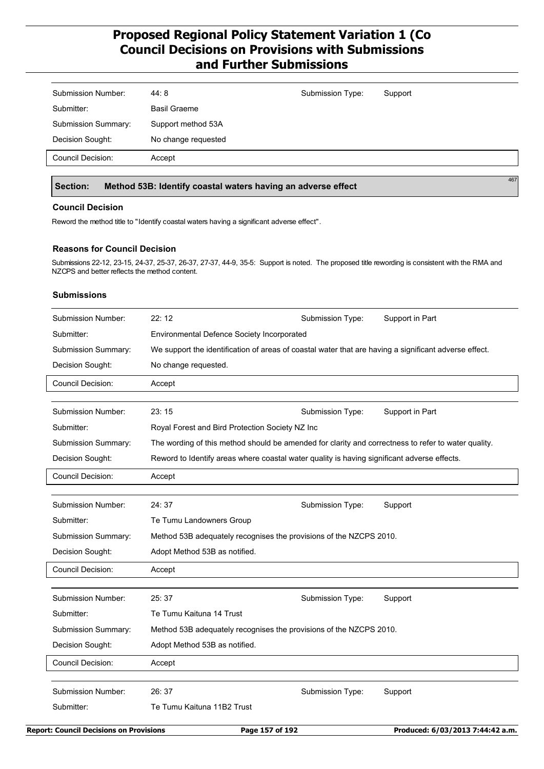| 44:8                | Submission Type: | Support |
|---------------------|------------------|---------|
| <b>Basil Graeme</b> |                  |         |
| Support method 53A  |                  |         |
| No change requested |                  |         |
| Accept              |                  |         |
|                     |                  |         |

### **Section: Method 53B: Identify coastal waters having an adverse effect**

#### **Council Decision**

Reword the method title to "Identify coastal waters having a significant adverse effect".

#### **Reasons for Council Decision**

Submissions 22-12, 23-15, 24-37, 25-37, 26-37, 27-37, 44-9, 35-5: Support is noted. The proposed title rewording is consistent with the RMA and NZCPS and better reflects the method content.

#### **Submissions**

| We support the identification of areas of coastal water that are having a significant adverse effect. |
|-------------------------------------------------------------------------------------------------------|
|                                                                                                       |
|                                                                                                       |
|                                                                                                       |
|                                                                                                       |
|                                                                                                       |
| The wording of this method should be amended for clarity and correctness to refer to water quality.   |
|                                                                                                       |
|                                                                                                       |
|                                                                                                       |
|                                                                                                       |
|                                                                                                       |
|                                                                                                       |
|                                                                                                       |
|                                                                                                       |
|                                                                                                       |
|                                                                                                       |
|                                                                                                       |
|                                                                                                       |
|                                                                                                       |
|                                                                                                       |
|                                                                                                       |
|                                                                                                       |
|                                                                                                       |
|                                                                                                       |

467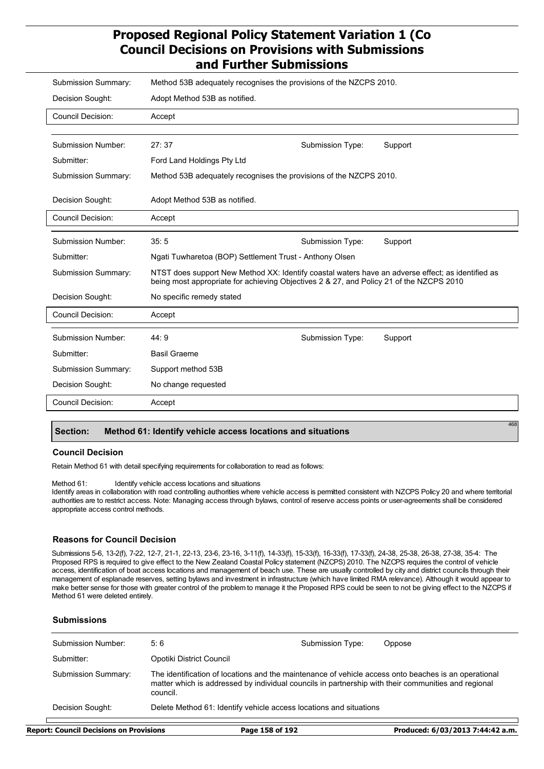| <b>Submission Summary:</b> | Method 53B adequately recognises the provisions of the NZCPS 2010.                                                                                                                           |                  |         |
|----------------------------|----------------------------------------------------------------------------------------------------------------------------------------------------------------------------------------------|------------------|---------|
| Decision Sought:           | Adopt Method 53B as notified.                                                                                                                                                                |                  |         |
| <b>Council Decision:</b>   | Accept                                                                                                                                                                                       |                  |         |
|                            |                                                                                                                                                                                              |                  |         |
| <b>Submission Number:</b>  | 27:37                                                                                                                                                                                        | Submission Type: | Support |
| Submitter:                 | Ford Land Holdings Pty Ltd                                                                                                                                                                   |                  |         |
| Submission Summary:        | Method 53B adequately recognises the provisions of the NZCPS 2010.                                                                                                                           |                  |         |
| Decision Sought:           | Adopt Method 53B as notified.                                                                                                                                                                |                  |         |
| <b>Council Decision:</b>   | Accept                                                                                                                                                                                       |                  |         |
| <b>Submission Number:</b>  | 35:5                                                                                                                                                                                         |                  |         |
|                            |                                                                                                                                                                                              | Submission Type: | Support |
| Submitter:                 | Ngati Tuwharetoa (BOP) Settlement Trust - Anthony Olsen                                                                                                                                      |                  |         |
| Submission Summary:        | NTST does support New Method XX: Identify coastal waters have an adverse effect; as identified as<br>being most appropriate for achieving Objectives 2 & 27, and Policy 21 of the NZCPS 2010 |                  |         |
| Decision Sought:           | No specific remedy stated                                                                                                                                                                    |                  |         |
| <b>Council Decision:</b>   | Accept                                                                                                                                                                                       |                  |         |
|                            |                                                                                                                                                                                              |                  |         |
| <b>Submission Number:</b>  | 44:9                                                                                                                                                                                         | Submission Type: | Support |
| Submitter:                 | <b>Basil Graeme</b>                                                                                                                                                                          |                  |         |
| <b>Submission Summary:</b> | Support method 53B                                                                                                                                                                           |                  |         |
| Decision Sought:           | No change requested                                                                                                                                                                          |                  |         |
| <b>Council Decision:</b>   | Accept                                                                                                                                                                                       |                  |         |
|                            |                                                                                                                                                                                              |                  |         |

#### **Section: Method 61: Identify vehicle access locations and situations**

#### **Council Decision**

Retain Method 61 with detail specifying requirements for collaboration to read as follows:

#### Method 61: Identify vehicle access locations and situations

Identify areas in collaboration with road controlling authorities where vehicle access is permitted consistent with NZCPS Policy 20 and where territorial authorities are to restrict access. Note: Managing access through bylaws, control of reserve access points or user-agreements shall be considered appropriate access control methods.

#### **Reasons for Council Decision**

Submissions 5-6, 13-2(f), 7-22, 12-7, 21-1, 22-13, 23-6, 23-16, 3-11(f), 14-33(f), 15-33(f), 16-33(f), 17-33(f), 24-38, 25-38, 26-38, 27-38, 35-4: The Proposed RPS is required to give effect to the New Zealand Coastal Policy statement (NZCPS) 2010. The NZCPS requires the control of vehicle access, identification of boat access locations and management of beach use. These are usually controlled by city and district councils through their management of esplanade reserves, setting bylaws and investment in infrastructure (which have limited RMA relevance). Although it would appear to make better sense for those with greater control of the problem to manage it the Proposed RPS could be seen to not be giving effect to the NZCPS if Method 61 were deleted entirely.

#### **Submissions**

| <b>Submission Number:</b> | 5:6                                                                                                                                                                                                                     | Submission Type: | Oppose |
|---------------------------|-------------------------------------------------------------------------------------------------------------------------------------------------------------------------------------------------------------------------|------------------|--------|
| Submitter:                | Opotiki District Council                                                                                                                                                                                                |                  |        |
| Submission Summary:       | The identification of locations and the maintenance of vehicle access onto beaches is an operational<br>matter which is addressed by individual councils in partnership with their communities and regional<br>council. |                  |        |
| Decision Sought:          | Delete Method 61: Identify vehicle access locations and situations                                                                                                                                                      |                  |        |

٦

468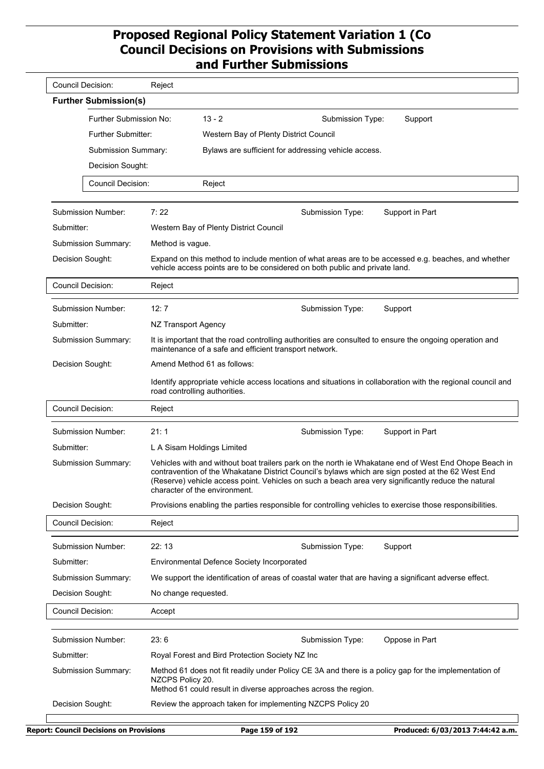| <b>Council Decision:</b> |                              | Reject               |                                                                                                                                                                                                                                           |                  |                                                                                                             |
|--------------------------|------------------------------|----------------------|-------------------------------------------------------------------------------------------------------------------------------------------------------------------------------------------------------------------------------------------|------------------|-------------------------------------------------------------------------------------------------------------|
|                          | <b>Further Submission(s)</b> |                      |                                                                                                                                                                                                                                           |                  |                                                                                                             |
|                          | Further Submission No:       |                      | $13 - 2$                                                                                                                                                                                                                                  | Submission Type: | Support                                                                                                     |
| Further Submitter:       |                              |                      | Western Bay of Plenty District Council                                                                                                                                                                                                    |                  |                                                                                                             |
|                          | <b>Submission Summary:</b>   |                      | Bylaws are sufficient for addressing vehicle access.                                                                                                                                                                                      |                  |                                                                                                             |
|                          | Decision Sought:             |                      |                                                                                                                                                                                                                                           |                  |                                                                                                             |
|                          | <b>Council Decision:</b>     |                      | Reject                                                                                                                                                                                                                                    |                  |                                                                                                             |
|                          |                              |                      |                                                                                                                                                                                                                                           |                  |                                                                                                             |
|                          | Submission Number:           | 7:22                 |                                                                                                                                                                                                                                           | Submission Type: | Support in Part                                                                                             |
| Submitter:               |                              |                      | Western Bay of Plenty District Council                                                                                                                                                                                                    |                  |                                                                                                             |
|                          | Submission Summary:          | Method is vague.     |                                                                                                                                                                                                                                           |                  |                                                                                                             |
| Decision Sought:         |                              |                      | vehicle access points are to be considered on both public and private land.                                                                                                                                                               |                  | Expand on this method to include mention of what areas are to be accessed e.g. beaches, and whether         |
| <b>Council Decision:</b> |                              | Reject               |                                                                                                                                                                                                                                           |                  |                                                                                                             |
|                          | Submission Number:           | 12:7                 |                                                                                                                                                                                                                                           | Submission Type: | Support                                                                                                     |
| Submitter:               |                              | NZ Transport Agency  |                                                                                                                                                                                                                                           |                  |                                                                                                             |
|                          | Submission Summary:          |                      | It is important that the road controlling authorities are consulted to ensure the ongoing operation and<br>maintenance of a safe and efficient transport network.                                                                         |                  |                                                                                                             |
| Decision Sought:         |                              |                      | Amend Method 61 as follows:                                                                                                                                                                                                               |                  |                                                                                                             |
|                          |                              |                      | road controlling authorities.                                                                                                                                                                                                             |                  | Identify appropriate vehicle access locations and situations in collaboration with the regional council and |
| <b>Council Decision:</b> |                              | Reject               |                                                                                                                                                                                                                                           |                  |                                                                                                             |
|                          | Submission Number:           | 21:1                 |                                                                                                                                                                                                                                           | Submission Type: | Support in Part                                                                                             |
| Submitter:               |                              |                      | L A Sisam Holdings Limited                                                                                                                                                                                                                |                  |                                                                                                             |
|                          | Submission Summary:          |                      | contravention of the Whakatane District Council's bylaws which are sign posted at the 62 West End<br>(Reserve) vehicle access point. Vehicles on such a beach area very significantly reduce the natural<br>character of the environment. |                  | Vehicles with and without boat trailers park on the north ie Whakatane end of West End Ohope Beach in       |
| Decision Sought:         |                              |                      | Provisions enabling the parties responsible for controlling vehicles to exercise those responsibilities.                                                                                                                                  |                  |                                                                                                             |
| <b>Council Decision:</b> |                              | Reject               |                                                                                                                                                                                                                                           |                  |                                                                                                             |
|                          | Submission Number:           | 22:13                |                                                                                                                                                                                                                                           | Submission Type: | Support                                                                                                     |
| Submitter:               |                              |                      | Environmental Defence Society Incorporated                                                                                                                                                                                                |                  |                                                                                                             |
|                          | Submission Summary:          |                      | We support the identification of areas of coastal water that are having a significant adverse effect.                                                                                                                                     |                  |                                                                                                             |
| Decision Sought:         |                              | No change requested. |                                                                                                                                                                                                                                           |                  |                                                                                                             |
| <b>Council Decision:</b> |                              | Accept               |                                                                                                                                                                                                                                           |                  |                                                                                                             |
|                          | Submission Number:           | 23:6                 |                                                                                                                                                                                                                                           | Submission Type: | Oppose in Part                                                                                              |
| Submitter:               |                              |                      | Royal Forest and Bird Protection Society NZ Inc                                                                                                                                                                                           |                  |                                                                                                             |
|                          | Submission Summary:          | NZCPS Policy 20.     | Method 61 could result in diverse approaches across the region.                                                                                                                                                                           |                  | Method 61 does not fit readily under Policy CE 3A and there is a policy gap for the implementation of       |
| Decision Sought:         |                              |                      | Review the approach taken for implementing NZCPS Policy 20                                                                                                                                                                                |                  |                                                                                                             |
|                          |                              |                      |                                                                                                                                                                                                                                           |                  |                                                                                                             |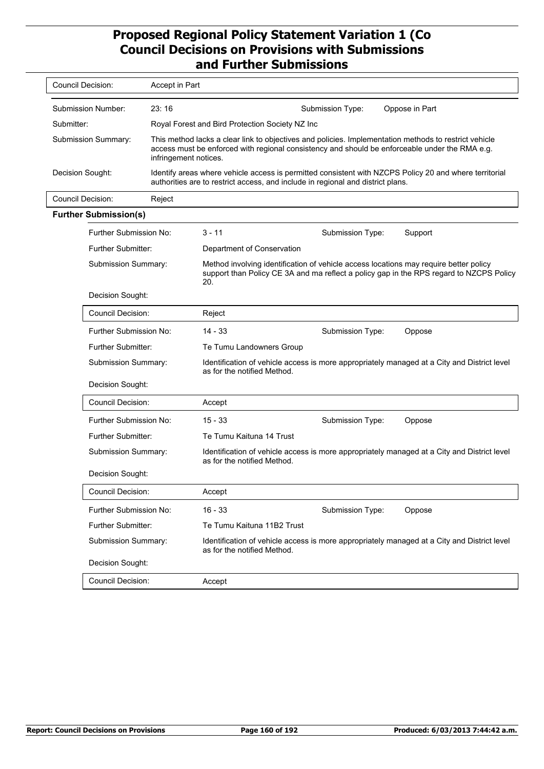| Council Decision:            | Accept in Part                                                                                                                                                                                                                   |                                                 |                                                                                 |                                                                                                                                                                                  |
|------------------------------|----------------------------------------------------------------------------------------------------------------------------------------------------------------------------------------------------------------------------------|-------------------------------------------------|---------------------------------------------------------------------------------|----------------------------------------------------------------------------------------------------------------------------------------------------------------------------------|
| Submission Number:           | 23:16                                                                                                                                                                                                                            |                                                 | Submission Type:                                                                | Oppose in Part                                                                                                                                                                   |
| Submitter:                   |                                                                                                                                                                                                                                  | Royal Forest and Bird Protection Society NZ Inc |                                                                                 |                                                                                                                                                                                  |
| <b>Submission Summary:</b>   | This method lacks a clear link to objectives and policies. Implementation methods to restrict vehicle<br>access must be enforced with regional consistency and should be enforceable under the RMA e.g.<br>infringement notices. |                                                 |                                                                                 |                                                                                                                                                                                  |
| Decision Sought:             |                                                                                                                                                                                                                                  |                                                 | authorities are to restrict access, and include in regional and district plans. | Identify areas where vehicle access is permitted consistent with NZCPS Policy 20 and where territorial                                                                           |
| Council Decision:            | Reject                                                                                                                                                                                                                           |                                                 |                                                                                 |                                                                                                                                                                                  |
| <b>Further Submission(s)</b> |                                                                                                                                                                                                                                  |                                                 |                                                                                 |                                                                                                                                                                                  |
| Further Submission No:       |                                                                                                                                                                                                                                  | $3 - 11$                                        | Submission Type:                                                                | Support                                                                                                                                                                          |
| <b>Further Submitter:</b>    |                                                                                                                                                                                                                                  | Department of Conservation                      |                                                                                 |                                                                                                                                                                                  |
| <b>Submission Summary:</b>   |                                                                                                                                                                                                                                  | 20.                                             |                                                                                 | Method involving identification of vehicle access locations may require better policy<br>support than Policy CE 3A and ma reflect a policy gap in the RPS regard to NZCPS Policy |
| Decision Sought:             |                                                                                                                                                                                                                                  |                                                 |                                                                                 |                                                                                                                                                                                  |
| Council Decision:            |                                                                                                                                                                                                                                  | Reject                                          |                                                                                 |                                                                                                                                                                                  |
| Further Submission No:       |                                                                                                                                                                                                                                  | $14 - 33$                                       | Submission Type:                                                                | Oppose                                                                                                                                                                           |

| Submission Summary:           | Method involving identification of vehicle access locations may require better policy<br>20. |                  | support than Policy CE 3A and ma reflect a policy gap in the RPS regard to NZCPS Policy     |
|-------------------------------|----------------------------------------------------------------------------------------------|------------------|---------------------------------------------------------------------------------------------|
| Decision Sought:              |                                                                                              |                  |                                                                                             |
| Council Decision:             | Reject                                                                                       |                  |                                                                                             |
| <b>Further Submission No:</b> | $14 - 33$                                                                                    | Submission Type: | Oppose                                                                                      |
| Further Submitter:            | Te Tumu Landowners Group                                                                     |                  |                                                                                             |
| Submission Summary:           | as for the notified Method.                                                                  |                  | Identification of vehicle access is more appropriately managed at a City and District level |
| Decision Sought:              |                                                                                              |                  |                                                                                             |
| Council Decision:             | Accept                                                                                       |                  |                                                                                             |
| Further Submission No:        | $15 - 33$                                                                                    | Submission Type: | Oppose                                                                                      |
| <b>Further Submitter:</b>     | Te Tumu Kaituna 14 Trust                                                                     |                  |                                                                                             |
| <b>Submission Summary:</b>    | as for the notified Method.                                                                  |                  | Identification of vehicle access is more appropriately managed at a City and District level |
| Decision Sought:              |                                                                                              |                  |                                                                                             |
| <b>Council Decision:</b>      | Accept                                                                                       |                  |                                                                                             |
| <b>Further Submission No:</b> | $16 - 33$                                                                                    | Submission Type: | Oppose                                                                                      |
| <b>Further Submitter:</b>     | Te Tumu Kaituna 11B2 Trust                                                                   |                  |                                                                                             |
| Submission Summary:           | as for the notified Method.                                                                  |                  | Identification of vehicle access is more appropriately managed at a City and District level |
| Decision Sought:              |                                                                                              |                  |                                                                                             |
| Council Decision:             | Accept                                                                                       |                  |                                                                                             |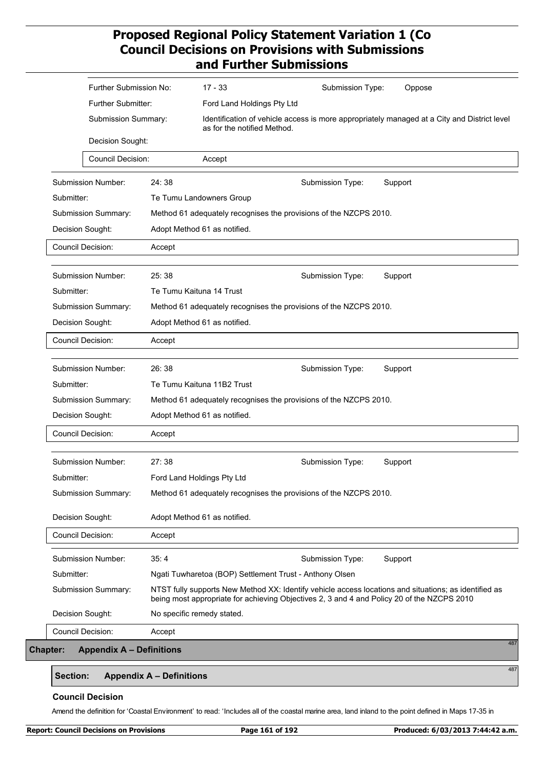|            | Further Submission No:    |        | $17 - 33$<br>Submission Type:<br>Oppose                                                                                                                                                             |
|------------|---------------------------|--------|-----------------------------------------------------------------------------------------------------------------------------------------------------------------------------------------------------|
|            | Further Submitter:        |        | Ford Land Holdings Pty Ltd                                                                                                                                                                          |
|            | Submission Summary:       |        | Identification of vehicle access is more appropriately managed at a City and District level<br>as for the notified Method.                                                                          |
|            | Decision Sought:          |        |                                                                                                                                                                                                     |
|            | Council Decision:         |        | Accept                                                                                                                                                                                              |
|            | Submission Number:        | 24:38  | Submission Type:<br>Support                                                                                                                                                                         |
| Submitter: |                           |        | Te Tumu Landowners Group                                                                                                                                                                            |
|            | Submission Summary:       |        | Method 61 adequately recognises the provisions of the NZCPS 2010.                                                                                                                                   |
|            | Decision Sought:          |        | Adopt Method 61 as notified.                                                                                                                                                                        |
|            | <b>Council Decision:</b>  | Accept |                                                                                                                                                                                                     |
|            | <b>Submission Number:</b> | 25:38  | Support<br>Submission Type:                                                                                                                                                                         |
| Submitter: |                           |        | Te Tumu Kaituna 14 Trust                                                                                                                                                                            |
|            | Submission Summary:       |        | Method 61 adequately recognises the provisions of the NZCPS 2010.                                                                                                                                   |
|            | Decision Sought:          |        | Adopt Method 61 as notified.                                                                                                                                                                        |
|            | Council Decision:         | Accept |                                                                                                                                                                                                     |
|            | Submission Number:        | 26:38  | Support<br>Submission Type:                                                                                                                                                                         |
| Submitter: |                           |        | Te Tumu Kaituna 11B2 Trust                                                                                                                                                                          |
|            | Submission Summary:       |        | Method 61 adequately recognises the provisions of the NZCPS 2010.                                                                                                                                   |
|            | Decision Sought:          |        | Adopt Method 61 as notified.                                                                                                                                                                        |
|            | Council Decision:         | Accept |                                                                                                                                                                                                     |
|            | Submission Number:        | 27:38  | Support<br>Submission Type:                                                                                                                                                                         |
| Submitter: |                           |        | Ford Land Holdings Pty Ltd                                                                                                                                                                          |
|            | Submission Summary:       |        | Method 61 adequately recognises the provisions of the NZCPS 2010.                                                                                                                                   |
|            | Decision Sought:          |        | Adopt Method 61 as notified.                                                                                                                                                                        |
|            | <b>Council Decision:</b>  | Accept |                                                                                                                                                                                                     |
|            | Submission Number:        | 35:4   | Support<br>Submission Type:                                                                                                                                                                         |
| Submitter: |                           |        | Ngati Tuwharetoa (BOP) Settlement Trust - Anthony Olsen                                                                                                                                             |
|            | Submission Summary:       |        | NTST fully supports New Method XX: Identify vehicle access locations and situations; as identified as<br>being most appropriate for achieving Objectives 2, 3 and 4 and Policy 20 of the NZCPS 2010 |
|            |                           |        |                                                                                                                                                                                                     |
|            | Decision Sought:          |        | No specific remedy stated.                                                                                                                                                                          |

### **Section: Appendix A – Definitions**

#### **Council Decision**

Amend the definition for 'Coastal Environment' to read: 'Includes all of the coastal marine area, land inland to the point defined in Maps 17-35 in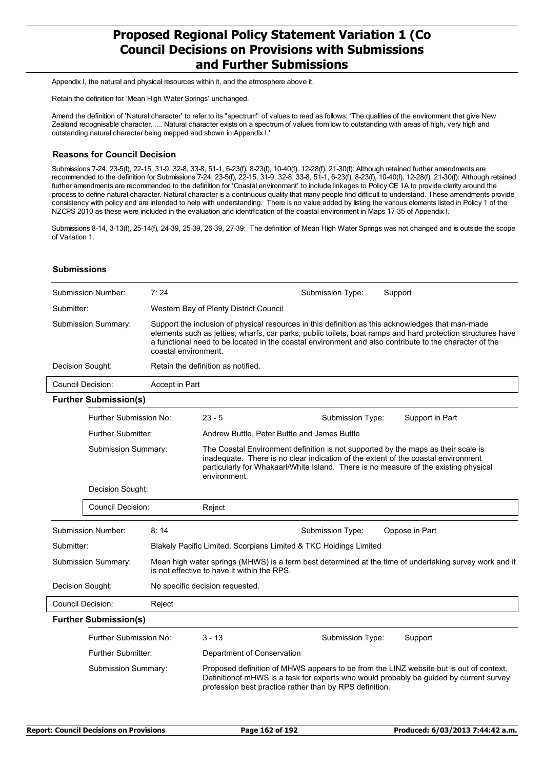Appendix I, the natural and physical resources within it, and the atmosphere above it.

Retain the definition for 'Mean High Water Springs' unchanged.

Amend the definition of 'Natural character' to refer to its "spectrum" of values to read as follows: 'The qualities of the environment that give New Zealand recognisable character. .... Natural character exists on a spectrum of values from low to outstanding with areas of high, very high and outstanding natural character being mapped and shown in Appendix I.'

#### **Reasons for Council Decision**

Submissions 7-24, 23-5(f), 22-15, 31-9, 32-8, 33-8, 51-1, 6-23(f), 8-23(f), 10-40(f), 12-28(f), 21-30(f): Although retained further amendments are recommended to the definition for Submissions 7-24, 23-5(f), 22-15, 31-9, 32-8, 33-8, 51-1, 6-23(f), 8-23(f), 10-40(f), 12-28(f), 21-30(f): Although retained further amendments are recommended to the definition for 'Coastal environment' to include linkages to Policy CE 1A to provide clarity around the process to define natural character. Natural character is a continuous quality that many people find difficult to understand. These amendments provide consistency with policy and are intended to help with understanding. There is no value added by listing the various elements listed in Policy 1 of the NZCPS 2010 as these were included in the evaluation and identification of the coastal environment in Maps 17-35 of Appendix I.

Submissions 8-14, 3-13(f), 25-14(f), 24-39, 25-39, 26-39, 27-39: The definition of Mean High Water Springs was not changed and is outside the scope of Variation 1.

#### **Submissions**

|                  | Submission Number:           | 7:24                 |                                                                   | Submission Type: | Support                                                                                                                                                                                                                                                                                                                    |
|------------------|------------------------------|----------------------|-------------------------------------------------------------------|------------------|----------------------------------------------------------------------------------------------------------------------------------------------------------------------------------------------------------------------------------------------------------------------------------------------------------------------------|
| Submitter:       |                              |                      | Western Bay of Plenty District Council                            |                  |                                                                                                                                                                                                                                                                                                                            |
|                  | Submission Summary:          | coastal environment. |                                                                   |                  | Support the inclusion of physical resources in this definition as this acknowledges that man-made<br>elements such as jetties, wharfs, car parks, public toilets, boat ramps and hard protection structures have<br>a functional need to be located in the coastal environment and also contribute to the character of the |
| Decision Sought: |                              |                      | Retain the definition as notified.                                |                  |                                                                                                                                                                                                                                                                                                                            |
|                  | <b>Council Decision:</b>     | Accept in Part       |                                                                   |                  |                                                                                                                                                                                                                                                                                                                            |
|                  | <b>Further Submission(s)</b> |                      |                                                                   |                  |                                                                                                                                                                                                                                                                                                                            |
|                  | Further Submission No:       |                      | $23 - 5$                                                          | Submission Type: | Support in Part                                                                                                                                                                                                                                                                                                            |
|                  | Further Submitter:           |                      | Andrew Buttle, Peter Buttle and James Buttle                      |                  |                                                                                                                                                                                                                                                                                                                            |
|                  | Submission Summary:          |                      | environment.                                                      |                  | The Coastal Environment definition is not supported by the maps as their scale is<br>inadequate. There is no clear indication of the extent of the coastal environment<br>particularly for Whakaari/White Island. There is no measure of the existing physical                                                             |
|                  | Decision Sought:             |                      |                                                                   |                  |                                                                                                                                                                                                                                                                                                                            |
|                  | <b>Council Decision:</b>     |                      | Reject                                                            |                  |                                                                                                                                                                                                                                                                                                                            |
|                  | <b>Submission Number:</b>    | 8:14                 |                                                                   | Submission Type: | Oppose in Part                                                                                                                                                                                                                                                                                                             |
| Submitter:       |                              |                      | Blakely Pacific Limited, Scorpians Limited & TKC Holdings Limited |                  |                                                                                                                                                                                                                                                                                                                            |
|                  | Submission Summary:          |                      | is not effective to have it within the RPS.                       |                  | Mean high water springs (MHWS) is a term best determined at the time of undertaking survey work and it                                                                                                                                                                                                                     |
| Decision Sought: |                              |                      | No specific decision requested.                                   |                  |                                                                                                                                                                                                                                                                                                                            |
|                  | <b>Council Decision:</b>     | Reject               |                                                                   |                  |                                                                                                                                                                                                                                                                                                                            |
|                  | <b>Further Submission(s)</b> |                      |                                                                   |                  |                                                                                                                                                                                                                                                                                                                            |
|                  | Further Submission No:       |                      | $3 - 13$                                                          | Submission Type: | Support                                                                                                                                                                                                                                                                                                                    |
|                  | <b>Further Submitter:</b>    |                      | Department of Conservation                                        |                  |                                                                                                                                                                                                                                                                                                                            |
|                  | Submission Summary:          |                      | profession best practice rather than by RPS definition.           |                  | Proposed definition of MHWS appears to be from the LINZ website but is out of context.<br>Definitionof mHWS is a task for experts who would probably be guided by current survey                                                                                                                                           |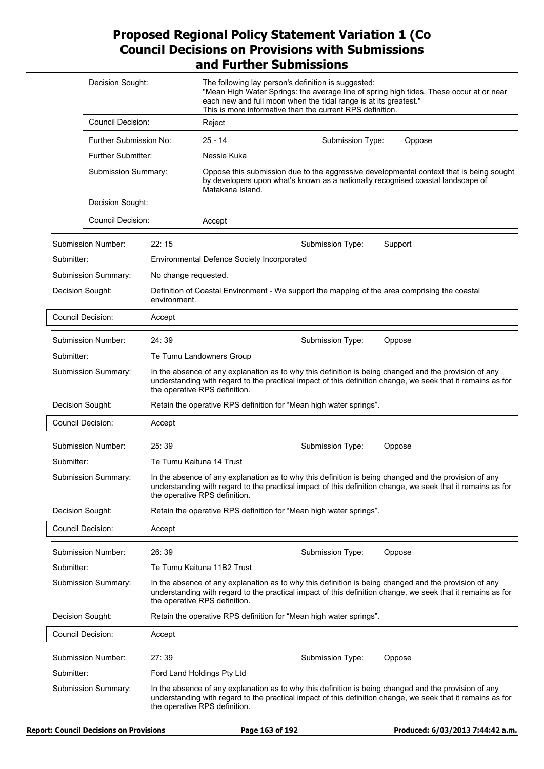| Decision Sought:         |                          |                                                   | The following lay person's definition is suggested:<br>each new and full moon when the tidal range is at its greatest."<br>This is more informative than the current RPS definition. | "Mean High Water Springs: the average line of spring high tides. These occur at or near                                                                                                                              |
|--------------------------|--------------------------|---------------------------------------------------|--------------------------------------------------------------------------------------------------------------------------------------------------------------------------------------|----------------------------------------------------------------------------------------------------------------------------------------------------------------------------------------------------------------------|
| <b>Council Decision:</b> |                          | Reject                                            |                                                                                                                                                                                      |                                                                                                                                                                                                                      |
| Further Submission No:   |                          | $25 - 14$                                         | Submission Type:                                                                                                                                                                     | Oppose                                                                                                                                                                                                               |
| Further Submitter:       |                          | Nessie Kuka                                       |                                                                                                                                                                                      |                                                                                                                                                                                                                      |
| Submission Summary:      |                          | Matakana Island.                                  |                                                                                                                                                                                      | Oppose this submission due to the aggressive developmental context that is being sought<br>by developers upon what's known as a nationally recognised coastal landscape of                                           |
| Decision Sought:         |                          |                                                   |                                                                                                                                                                                      |                                                                                                                                                                                                                      |
| <b>Council Decision:</b> |                          | Accept                                            |                                                                                                                                                                                      |                                                                                                                                                                                                                      |
| Submission Number:       | 22:15                    |                                                   | Submission Type:                                                                                                                                                                     | Support                                                                                                                                                                                                              |
| Submitter:               |                          | <b>Environmental Defence Society Incorporated</b> |                                                                                                                                                                                      |                                                                                                                                                                                                                      |
| Submission Summary:      | No change requested.     |                                                   |                                                                                                                                                                                      |                                                                                                                                                                                                                      |
| Decision Sought:         | environment.             |                                                   | Definition of Coastal Environment - We support the mapping of the area comprising the coastal                                                                                        |                                                                                                                                                                                                                      |
| <b>Council Decision:</b> | Accept                   |                                                   |                                                                                                                                                                                      |                                                                                                                                                                                                                      |
| Submission Number:       | 24:39                    |                                                   | Submission Type:                                                                                                                                                                     | Oppose                                                                                                                                                                                                               |
| Submitter:               |                          | Te Tumu Landowners Group                          |                                                                                                                                                                                      |                                                                                                                                                                                                                      |
| Submission Summary:      |                          | the operative RPS definition.                     |                                                                                                                                                                                      | In the absence of any explanation as to why this definition is being changed and the provision of any<br>understanding with regard to the practical impact of this definition change, we seek that it remains as for |
| Decision Sought:         |                          |                                                   | Retain the operative RPS definition for "Mean high water springs".                                                                                                                   |                                                                                                                                                                                                                      |
| Council Decision:        | Accept                   |                                                   |                                                                                                                                                                                      |                                                                                                                                                                                                                      |
| Submission Number:       | 25:39                    |                                                   | Submission Type:                                                                                                                                                                     | Oppose                                                                                                                                                                                                               |
| Submitter:               | Te Tumu Kaituna 14 Trust |                                                   |                                                                                                                                                                                      |                                                                                                                                                                                                                      |
| Submission Summary:      |                          | the operative RPS definition.                     |                                                                                                                                                                                      | In the absence of any explanation as to why this definition is being changed and the provision of any<br>understanding with regard to the practical impact of this definition change, we seek that it remains as for |
| Decision Sought:         |                          |                                                   | Retain the operative RPS definition for "Mean high water springs".                                                                                                                   |                                                                                                                                                                                                                      |
| Council Decision:        | Accept                   |                                                   |                                                                                                                                                                                      |                                                                                                                                                                                                                      |
| Submission Number:       | 26:39                    |                                                   | Submission Type:                                                                                                                                                                     | Oppose                                                                                                                                                                                                               |
| Submitter:               |                          | Te Tumu Kaituna 11B2 Trust                        |                                                                                                                                                                                      |                                                                                                                                                                                                                      |
| Submission Summary:      |                          | the operative RPS definition.                     |                                                                                                                                                                                      | In the absence of any explanation as to why this definition is being changed and the provision of any<br>understanding with regard to the practical impact of this definition change, we seek that it remains as for |
| Decision Sought:         |                          |                                                   | Retain the operative RPS definition for "Mean high water springs".                                                                                                                   |                                                                                                                                                                                                                      |
| <b>Council Decision:</b> | Accept                   |                                                   |                                                                                                                                                                                      |                                                                                                                                                                                                                      |
| Submission Number:       | 27:39                    |                                                   | Submission Type:                                                                                                                                                                     | Oppose                                                                                                                                                                                                               |
| Submitter:               |                          | Ford Land Holdings Pty Ltd                        |                                                                                                                                                                                      |                                                                                                                                                                                                                      |
| Submission Summary:      |                          | the operative RPS definition.                     |                                                                                                                                                                                      | In the absence of any explanation as to why this definition is being changed and the provision of any<br>understanding with regard to the practical impact of this definition change, we seek that it remains as for |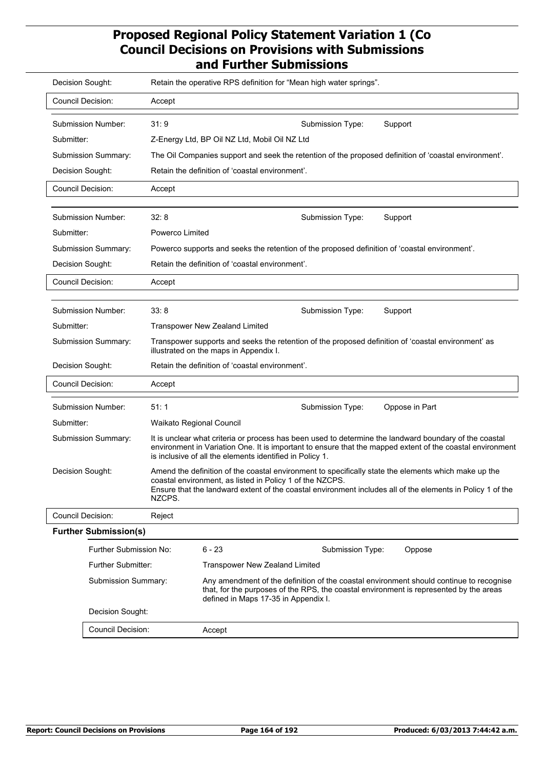| Decision Sought:                                                                   |                          | Retain the operative RPS definition for "Mean high water springs".                                                                                                                                                                                                              |
|------------------------------------------------------------------------------------|--------------------------|---------------------------------------------------------------------------------------------------------------------------------------------------------------------------------------------------------------------------------------------------------------------------------|
| <b>Council Decision:</b>                                                           | Accept                   |                                                                                                                                                                                                                                                                                 |
| Submission Number:<br>Submitter:<br><b>Submission Summary:</b><br>Decision Sought: | 31:9                     | Submission Type:<br>Support<br>Z-Energy Ltd, BP Oil NZ Ltd, Mobil Oil NZ Ltd<br>The Oil Companies support and seek the retention of the proposed definition of 'coastal environment'.<br>Retain the definition of 'coastal environment'.                                        |
| <b>Council Decision:</b>                                                           | Accept                   |                                                                                                                                                                                                                                                                                 |
|                                                                                    |                          |                                                                                                                                                                                                                                                                                 |
| Submission Number:                                                                 | 32:8                     | Submission Type:<br>Support                                                                                                                                                                                                                                                     |
| Submitter:                                                                         | Powerco Limited          |                                                                                                                                                                                                                                                                                 |
| Submission Summary:                                                                |                          | Powerco supports and seeks the retention of the proposed definition of 'coastal environment'.                                                                                                                                                                                   |
| Decision Sought:                                                                   |                          | Retain the definition of 'coastal environment'.                                                                                                                                                                                                                                 |
| <b>Council Decision:</b>                                                           | Accept                   |                                                                                                                                                                                                                                                                                 |
|                                                                                    |                          |                                                                                                                                                                                                                                                                                 |
| Submission Number:                                                                 | 33:8                     | Submission Type:<br>Support                                                                                                                                                                                                                                                     |
| Submitter:                                                                         |                          | <b>Transpower New Zealand Limited</b>                                                                                                                                                                                                                                           |
| Submission Summary:                                                                |                          | Transpower supports and seeks the retention of the proposed definition of 'coastal environment' as<br>illustrated on the maps in Appendix I.                                                                                                                                    |
| Decision Sought:                                                                   |                          | Retain the definition of 'coastal environment'.                                                                                                                                                                                                                                 |
| <b>Council Decision:</b>                                                           | Accept                   |                                                                                                                                                                                                                                                                                 |
| Submission Number:                                                                 | 51:1                     | Submission Type:<br>Oppose in Part                                                                                                                                                                                                                                              |
| Submitter:                                                                         | Waikato Regional Council |                                                                                                                                                                                                                                                                                 |
| Submission Summary:                                                                |                          | It is unclear what criteria or process has been used to determine the landward boundary of the coastal<br>environment in Variation One. It is important to ensure that the mapped extent of the coastal environment<br>is inclusive of all the elements identified in Policy 1. |
| Decision Sought:                                                                   | NZCPS.                   | Amend the definition of the coastal environment to specifically state the elements which make up the<br>coastal environment, as listed in Policy 1 of the NZCPS.<br>Ensure that the landward extent of the coastal environment includes all of the elements in Policy 1 of the  |
| Council Decision:                                                                  | Reject                   |                                                                                                                                                                                                                                                                                 |
| <b>Further Submission(s)</b>                                                       |                          |                                                                                                                                                                                                                                                                                 |
| Further Submission No:                                                             |                          | $6 - 23$<br>Submission Type:<br>Oppose                                                                                                                                                                                                                                          |
| Further Submitter:                                                                 |                          | <b>Transpower New Zealand Limited</b>                                                                                                                                                                                                                                           |
| Submission Summary:                                                                |                          | Any amendment of the definition of the coastal environment should continue to recognise<br>that, for the purposes of the RPS, the coastal environment is represented by the areas<br>defined in Maps 17-35 in Appendix I.                                                       |
| Decision Sought:                                                                   |                          |                                                                                                                                                                                                                                                                                 |
| Council Decision:                                                                  |                          | Accept                                                                                                                                                                                                                                                                          |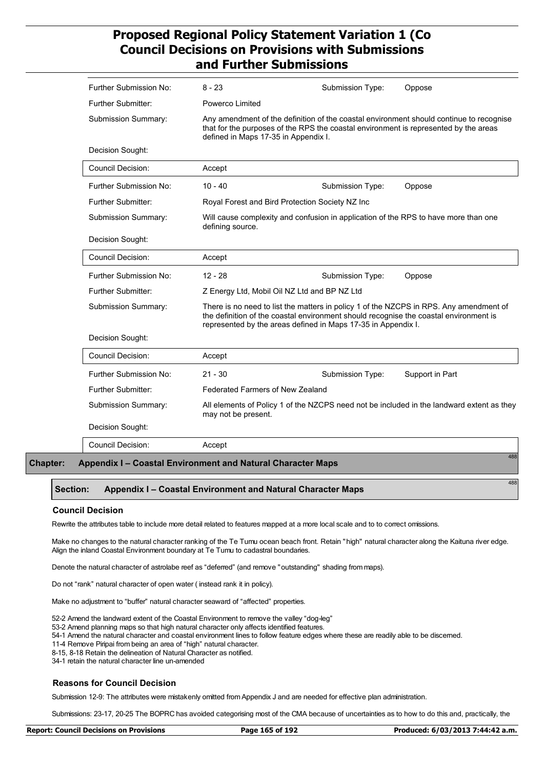| Further Submission No:                                      | $8 - 23$                                | Submission Type:                                                                                                                                                                                                                                 | Oppose                                                                                    |
|-------------------------------------------------------------|-----------------------------------------|--------------------------------------------------------------------------------------------------------------------------------------------------------------------------------------------------------------------------------------------------|-------------------------------------------------------------------------------------------|
| Further Submitter:                                          | Powerco Limited                         |                                                                                                                                                                                                                                                  |                                                                                           |
| Submission Summary:                                         | defined in Maps 17-35 in Appendix I.    | Any amendment of the definition of the coastal environment should continue to recognise<br>that for the purposes of the RPS the coastal environment is represented by the areas                                                                  |                                                                                           |
| Decision Sought:                                            |                                         |                                                                                                                                                                                                                                                  |                                                                                           |
| <b>Council Decision:</b>                                    | Accept                                  |                                                                                                                                                                                                                                                  |                                                                                           |
| Further Submission No:                                      | $10 - 40$                               | Submission Type:                                                                                                                                                                                                                                 | Oppose                                                                                    |
| Further Submitter:                                          |                                         | Royal Forest and Bird Protection Society NZ Inc                                                                                                                                                                                                  |                                                                                           |
| <b>Submission Summary:</b>                                  | defining source.                        | Will cause complexity and confusion in application of the RPS to have more than one                                                                                                                                                              |                                                                                           |
| Decision Sought:                                            |                                         |                                                                                                                                                                                                                                                  |                                                                                           |
| <b>Council Decision:</b>                                    | Accept                                  |                                                                                                                                                                                                                                                  |                                                                                           |
| Further Submission No:                                      | $12 - 28$                               | Submission Type:                                                                                                                                                                                                                                 | Oppose                                                                                    |
| <b>Further Submitter:</b>                                   |                                         | Z Energy Ltd, Mobil Oil NZ Ltd and BP NZ Ltd                                                                                                                                                                                                     |                                                                                           |
| Submission Summary:                                         |                                         | There is no need to list the matters in policy 1 of the NZCPS in RPS. Any amendment of<br>the definition of the coastal environment should recognise the coastal environment is<br>represented by the areas defined in Maps 17-35 in Appendix I. |                                                                                           |
| Decision Sought:                                            |                                         |                                                                                                                                                                                                                                                  |                                                                                           |
| <b>Council Decision:</b>                                    | Accept                                  |                                                                                                                                                                                                                                                  |                                                                                           |
| Further Submission No:                                      | $21 - 30$                               | Submission Type:                                                                                                                                                                                                                                 | Support in Part                                                                           |
| <b>Further Submitter:</b>                                   | <b>Federated Farmers of New Zealand</b> |                                                                                                                                                                                                                                                  |                                                                                           |
| Submission Summary:                                         | may not be present.                     |                                                                                                                                                                                                                                                  | All elements of Policy 1 of the NZCPS need not be included in the landward extent as they |
| Decision Sought:                                            |                                         |                                                                                                                                                                                                                                                  |                                                                                           |
| <b>Council Decision:</b>                                    | Accept                                  |                                                                                                                                                                                                                                                  |                                                                                           |
| Appendix I – Coastal Environment and Natural Character Maps |                                         |                                                                                                                                                                                                                                                  | 488                                                                                       |

### **Section: Appendix I – Coastal Environment and Natural Character Maps**

#### **Council Decision**

**Chapter:** 

Rewrite the attributes table to include more detail related to features mapped at a more local scale and to to correct omissions.

Make no changes to the natural character ranking of the Te Tumu ocean beach front. Retain "high" natural character along the Kaituna river edge. Align the inland Coastal Environment boundary at Te Tumu to cadastral boundaries.

Denote the natural character of astrolabe reef as "deferred" (and remove "outstanding" shading from maps).

Do not "rank" natural character of open water (instead rank it in policy).

Make no adjustment to "buffer" natural character seaward of "affected" properties.

52-2 Amend the landward extent of the Coastal Environment to remove the valley "dog-leg"

53-2 Amend planning maps so that high natural character only affects identified features.

54-1 Amend the natural character and coastal environment lines to follow feature edges where these are readily able to be discerned.

11-4 Remove Piripai from being an area of "high" natural character.

8-15, 8-18 Retain the delineation of Natural Character as notified.

34-1 retain the natural character line un-amended

#### **Reasons for Council Decision**

Submission 12-9: The attributes were mistakenly omitted from Appendix J and are needed for effective plan administration.

Submissions: 23-17, 20-25 The BOPRC has avoided categorising most of the CMA because of uncertainties as to how to do this and, practically, the

488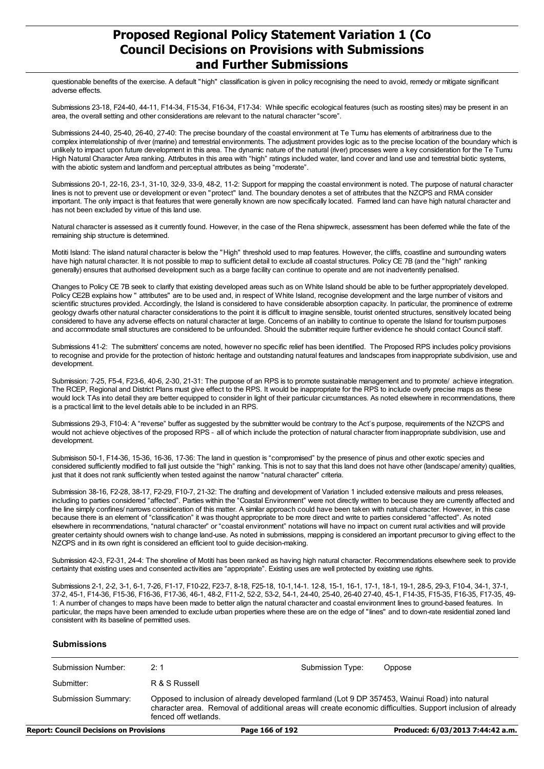questionable benefits of the exercise. A default "high" classification is given in policy recognising the need to avoid, remedy or mitigate significant adverse effects.

Submissions 23-18, F24-40, 44-11, F14-34, F15-34, F16-34, F17-34: While specific ecological features (such as roosting sites) may be present in an area, the overall setting and other considerations are relevant to the natural character "score".

Submissions 24-40, 25-40, 26-40, 27-40: The precise boundary of the coastal environment at Te Tumu has elements of arbitrariness due to the complex interrelationship of river (marine) and terrestrial environments. The adjustment provides logic as to the precise location of the boundary which is unlikely to impact upon future development in this area. The dynamic nature of the natural (river) processes were a key consideration for the Te Tumu High Natural Character Area ranking. Attributes in this area with "high" ratings included water, land cover and land use and terrestrial biotic systems, with the abiotic system and landform and perceptual attributes as being "moderate".

Submissions 20-1, 22-16, 23-1, 31-10, 32-9, 33-9, 48-2, 11-2: Support for mapping the coastal environment is noted. The purpose of natural character lines is not to prevent use or development or even "protect" land. The boundary denotes a set of attributes that the NZCPS and RMA consider important. The only impact is that features that were generally known are now specifically located. Farmed land can have high natural character and has not been excluded by virtue of this land use.

Natural character is assessed as it currently found. However, in the case of the Rena shipwreck, assessment has been deferred while the fate of the remaining ship structure is determined.

Motiti Island: The island natural character is below the "High" threshold used to map features. However, the cliffs, coastline and surrounding waters have high natural character. It is not possible to map to sufficient detail to exclude all coastal structures. Policy CE 7B (and the "high" ranking generally) ensures that authorised development such as a barge facility can continue to operate and are not inadvertently penalised.

Changes to Policy CE 7B seek to clarify that existing developed areas such as on White Island should be able to be further appropriately developed. Policy CE2B explains how " attributes" are to be used and, in respect of White Island, recognise development and the large number of visitors and scientific structures provided. Accordingly, the Island is considered to have considerable absorption capacity. In particular, the prominence of extreme geology dwarfs other natural character considerations to the point it is difficult to imagine sensible, tourist oriented structures, sensitively located being considered to have any adverse effects on natural character at large. Concerns of an inability to continue to operate the Island for tourism purposes and accommodate small structures are considered to be unfounded. Should the submitter require further evidence he should contact Council staff.

Submissions 41-2: The submitters' concerns are noted, however no specific relief has been identified. The Proposed RPS includes policy provisions to recognise and provide for the protection of historic heritage and outstanding natural features and landscapes from inappropriate subdivision, use and development.

Submission: 7-25, F5-4, F23-6, 40-6, 2-30, 21-31: The purpose of an RPS is to promote sustainable management and to promote/ achieve integration. The RCEP, Regional and District Plans must give effect to the RPS. It would be inappropriate for the RPS to include overly precise maps as these would lock TAs into detail they are better equipped to consider in light of their particular circumstances. As noted elsewhere in recommendations, there is a practical limit to the level details able to be included in an RPS.

Submissions 29-3, F10-4: A "reverse" buffer as suggested by the submitter would be contrary to the Act's purpose, requirements of the NZCPS and would not achieve objectives of the proposed RPS – all of which include the protection of natural character from inappropriate subdivision, use and development.

Submisison 50-1, F14-36, 15-36, 16-36, 17-36: The land in question is "compromised" by the presence of pinus and other exotic species and considered sufficiently modified to fall just outside the "high" ranking. This is not to say that this land does not have other (landscape/ amenity) qualities, just that it does not rank sufficiently when tested against the narrow "natural character" criteria.

Submission 38-16, F2-28, 38-17, F2-29, F10-7, 21-32: The drafting and development of Variation 1 included extensive mailouts and press releases, including to parties considered "affected". Parties within the "Coastal Environment" were not directly written to because they are currently affected and the line simply confines/ narrows consideration of this matter. A similar approach could have been taken with natural character. However, in this case because there is an element of "classification" it was thought appropriate to be more direct and write to parties considered "affected". As noted elsewhere in recommendations, "natural character" or "coastal environment" notations will have no impact on current rural activities and will provide greater certainty should owners wish to change land-use. As noted in submissions, mapping is considered an important precursor to giving effect to the NZCPS and in its own right is considered an efficient tool to guide decision-making.

Submission 42-3, F2-31, 24-4: The shoreline of Motiti has been ranked as having high natural character. Recommendations elsewhere seek to provide certainty that existing uses and consented activities are "appropriate". Existing uses are well protected by existing use rights.

Submissions 2-1, 2-2, 3-1, 6-1, 7-26, F1-17, F10-22, F23-7, 8-18, F25-18, 10-1,14-1. 12-8, 15-1, 16-1, 17-1, 18-1, 19-1, 28-5, 29-3, F10-4, 34-1, 37-1, 37-2, 45-1, F14-36, F15-36, F16-36, F17-36, 46-1, 48-2, F11-2, 52-2, 53-2, 54-1, 24-40, 25-40, 26-40 27-40, 45-1, F14-35, F15-35, F16-35, F17-35, 49- 1: A number of changes to maps have been made to better align the natural character and coastal environment lines to ground-based features. In particular, the maps have been amended to exclude urban properties where these are on the edge of "lines" and to down-rate residential zoned land consistent with its baseline of permitted uses.

#### **Submissions**

| Submission Number:  | 2:1                                                                                                                                                                                                                                   | Submission Type: | Oppose |
|---------------------|---------------------------------------------------------------------------------------------------------------------------------------------------------------------------------------------------------------------------------------|------------------|--------|
| Submitter:          | R & S Russell                                                                                                                                                                                                                         |                  |        |
| Submission Summary: | Opposed to inclusion of already developed farmland (Lot 9 DP 357453, Wainui Road) into natural<br>character area. Removal of additional areas will create economic difficulties. Support inclusion of already<br>fenced off wetlands. |                  |        |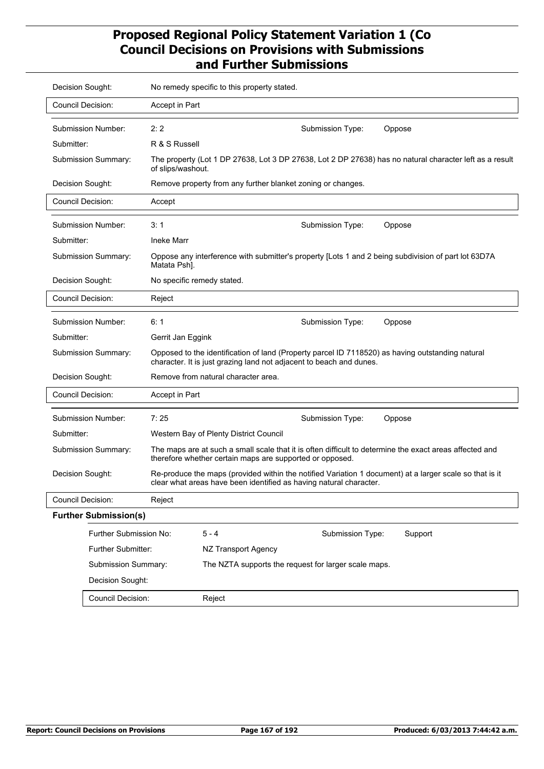| Decision Sought:         |                              |                            | No remedy specific to this property stated.                                                                                                                                   |
|--------------------------|------------------------------|----------------------------|-------------------------------------------------------------------------------------------------------------------------------------------------------------------------------|
| <b>Council Decision:</b> |                              | Accept in Part             |                                                                                                                                                                               |
| Submission Number:       |                              | 2:2                        | Submission Type:<br>Oppose                                                                                                                                                    |
| Submitter:               |                              | R & S Russell              |                                                                                                                                                                               |
| Submission Summary:      |                              | of slips/washout.          | The property (Lot 1 DP 27638, Lot 3 DP 27638, Lot 2 DP 27638) has no natural character left as a result                                                                       |
| Decision Sought:         |                              |                            | Remove property from any further blanket zoning or changes.                                                                                                                   |
| Council Decision:        |                              | Accept                     |                                                                                                                                                                               |
| Submission Number:       |                              | 3:1                        | Submission Type:<br>Oppose                                                                                                                                                    |
| Submitter:               |                              | <b>Ineke Marr</b>          |                                                                                                                                                                               |
| Submission Summary:      |                              | Matata Psh].               | Oppose any interference with submitter's property [Lots 1 and 2 being subdivision of part lot 63D7A                                                                           |
| Decision Sought:         |                              | No specific remedy stated. |                                                                                                                                                                               |
| Council Decision:        |                              | Reject                     |                                                                                                                                                                               |
| Submission Number:       |                              | 6:1                        | Submission Type:<br>Oppose                                                                                                                                                    |
| Submitter:               |                              | Gerrit Jan Eggink          |                                                                                                                                                                               |
| Submission Summary:      |                              |                            | Opposed to the identification of land (Property parcel ID 7118520) as having outstanding natural<br>character. It is just grazing land not adjacent to beach and dunes.       |
| Decision Sought:         |                              |                            | Remove from natural character area.                                                                                                                                           |
| Council Decision:        |                              | Accept in Part             |                                                                                                                                                                               |
| Submission Number:       |                              | 7:25                       | Submission Type:<br>Oppose                                                                                                                                                    |
| Submitter:               |                              |                            | Western Bay of Plenty District Council                                                                                                                                        |
| Submission Summary:      |                              |                            | The maps are at such a small scale that it is often difficult to determine the exact areas affected and<br>therefore whether certain maps are supported or opposed.           |
| Decision Sought:         |                              |                            | Re-produce the maps (provided within the notified Variation 1 document) at a larger scale so that is it<br>clear what areas have been identified as having natural character. |
| <b>Council Decision:</b> |                              | Reject                     |                                                                                                                                                                               |
|                          | <b>Further Submission(s)</b> |                            |                                                                                                                                                                               |
|                          | Further Submission No:       |                            | $5 - 4$<br>Submission Type:<br>Support                                                                                                                                        |
|                          | Further Submitter:           |                            | NZ Transport Agency                                                                                                                                                           |
|                          | Submission Summary:          |                            | The NZTA supports the request for larger scale maps.                                                                                                                          |
|                          | Decision Sought:             |                            |                                                                                                                                                                               |
|                          | <b>Council Decision:</b>     |                            | Reject                                                                                                                                                                        |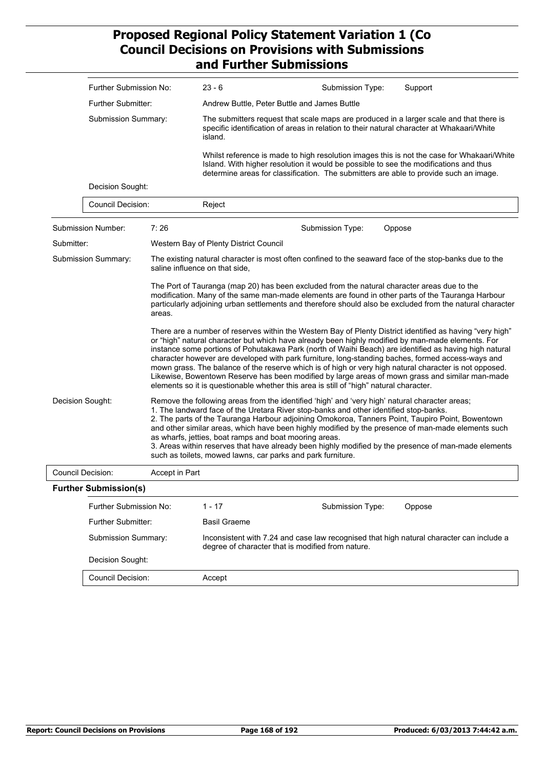|            | Further Submission No:       |                | $23 - 6$                                               | Submission Type:                                                                                                                                                                                                                                       | Support                                                                                                                                                                                                                                                                                                                                                                                                                                                                                                                                                                                                                                    |
|------------|------------------------------|----------------|--------------------------------------------------------|--------------------------------------------------------------------------------------------------------------------------------------------------------------------------------------------------------------------------------------------------------|--------------------------------------------------------------------------------------------------------------------------------------------------------------------------------------------------------------------------------------------------------------------------------------------------------------------------------------------------------------------------------------------------------------------------------------------------------------------------------------------------------------------------------------------------------------------------------------------------------------------------------------------|
|            | <b>Further Submitter:</b>    |                |                                                        | Andrew Buttle, Peter Buttle and James Buttle                                                                                                                                                                                                           |                                                                                                                                                                                                                                                                                                                                                                                                                                                                                                                                                                                                                                            |
|            | Submission Summary:          |                | island.                                                |                                                                                                                                                                                                                                                        | The submitters request that scale maps are produced in a larger scale and that there is<br>specific identification of areas in relation to their natural character at Whakaari/White                                                                                                                                                                                                                                                                                                                                                                                                                                                       |
|            |                              |                |                                                        | Island. With higher resolution it would be possible to see the modifications and thus                                                                                                                                                                  | Whilst reference is made to high resolution images this is not the case for Whakaari/White<br>determine areas for classification. The submitters are able to provide such an image.                                                                                                                                                                                                                                                                                                                                                                                                                                                        |
|            | Decision Sought:             |                |                                                        |                                                                                                                                                                                                                                                        |                                                                                                                                                                                                                                                                                                                                                                                                                                                                                                                                                                                                                                            |
|            | <b>Council Decision:</b>     |                | Reject                                                 |                                                                                                                                                                                                                                                        |                                                                                                                                                                                                                                                                                                                                                                                                                                                                                                                                                                                                                                            |
|            | Submission Number:           | 7:26           |                                                        | Submission Type:                                                                                                                                                                                                                                       | Oppose                                                                                                                                                                                                                                                                                                                                                                                                                                                                                                                                                                                                                                     |
| Submitter: |                              |                | Western Bay of Plenty District Council                 |                                                                                                                                                                                                                                                        |                                                                                                                                                                                                                                                                                                                                                                                                                                                                                                                                                                                                                                            |
|            | Submission Summary:          |                | saline influence on that side.                         |                                                                                                                                                                                                                                                        | The existing natural character is most often confined to the seaward face of the stop-banks due to the                                                                                                                                                                                                                                                                                                                                                                                                                                                                                                                                     |
|            |                              | areas.         |                                                        | The Port of Tauranga (map 20) has been excluded from the natural character areas due to the                                                                                                                                                            | modification. Many of the same man-made elements are found in other parts of the Tauranga Harbour<br>particularly adjoining urban settlements and therefore should also be excluded from the natural character                                                                                                                                                                                                                                                                                                                                                                                                                             |
|            |                              |                |                                                        | elements so it is questionable whether this area is still of "high" natural character.                                                                                                                                                                 | There are a number of reserves within the Western Bay of Plenty District identified as having "very high"<br>or "high" natural character but which have already been highly modified by man-made elements. For<br>instance some portions of Pohutakawa Park (north of Waihi Beach) are identified as having high natural<br>character however are developed with park furniture, long-standing baches, formed access-ways and<br>mown grass. The balance of the reserve which is of high or very high natural character is not opposed.<br>Likewise, Bowentown Reserve has been modified by large areas of mown grass and similar man-made |
|            | Decision Sought:             |                | as wharfs, jetties, boat ramps and boat mooring areas. | Remove the following areas from the identified 'high' and 'very high' natural character areas;<br>1. The landward face of the Uretara River stop-banks and other identified stop-banks.<br>such as toilets, mowed lawns, car parks and park furniture. | 2. The parts of the Tauranga Harbour adjoining Omokoroa, Tanners Point, Taupiro Point, Bowentown<br>and other similar areas, which have been highly modified by the presence of man-made elements such<br>3. Areas within reserves that have already been highly modified by the presence of man-made elements                                                                                                                                                                                                                                                                                                                             |
|            | <b>Council Decision:</b>     | Accept in Part |                                                        |                                                                                                                                                                                                                                                        |                                                                                                                                                                                                                                                                                                                                                                                                                                                                                                                                                                                                                                            |
|            | <b>Further Submission(s)</b> |                |                                                        |                                                                                                                                                                                                                                                        |                                                                                                                                                                                                                                                                                                                                                                                                                                                                                                                                                                                                                                            |
|            | Further Submission No:       |                | $1 - 17$                                               | Submission Type:                                                                                                                                                                                                                                       | Oppose                                                                                                                                                                                                                                                                                                                                                                                                                                                                                                                                                                                                                                     |
|            | <b>Further Submitter:</b>    |                | <b>Basil Graeme</b>                                    |                                                                                                                                                                                                                                                        |                                                                                                                                                                                                                                                                                                                                                                                                                                                                                                                                                                                                                                            |
|            | Submission Summary:          |                |                                                        | degree of character that is modified from nature.                                                                                                                                                                                                      | Inconsistent with 7.24 and case law recognised that high natural character can include a                                                                                                                                                                                                                                                                                                                                                                                                                                                                                                                                                   |
|            | Decision Sought:             |                |                                                        |                                                                                                                                                                                                                                                        |                                                                                                                                                                                                                                                                                                                                                                                                                                                                                                                                                                                                                                            |
|            | <b>Council Decision:</b>     |                | Accept                                                 |                                                                                                                                                                                                                                                        |                                                                                                                                                                                                                                                                                                                                                                                                                                                                                                                                                                                                                                            |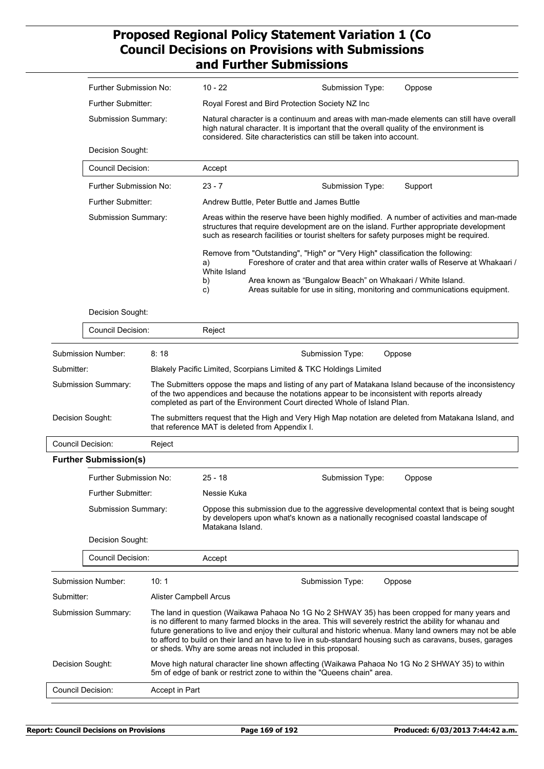|                          | Further Submission No:        |                        | $10 - 22$                                      | Submission Type:                                                                                                                                                                                                                                                                                                                                                                                                                                                                                    | Oppose  |
|--------------------------|-------------------------------|------------------------|------------------------------------------------|-----------------------------------------------------------------------------------------------------------------------------------------------------------------------------------------------------------------------------------------------------------------------------------------------------------------------------------------------------------------------------------------------------------------------------------------------------------------------------------------------------|---------|
|                          | Further Submitter:            |                        |                                                | Royal Forest and Bird Protection Society NZ Inc                                                                                                                                                                                                                                                                                                                                                                                                                                                     |         |
|                          | Submission Summary:           |                        |                                                | Natural character is a continuum and areas with man-made elements can still have overall<br>high natural character. It is important that the overall quality of the environment is<br>considered. Site characteristics can still be taken into account.                                                                                                                                                                                                                                             |         |
|                          | Decision Sought:              |                        |                                                |                                                                                                                                                                                                                                                                                                                                                                                                                                                                                                     |         |
|                          | Council Decision:             |                        | Accept                                         |                                                                                                                                                                                                                                                                                                                                                                                                                                                                                                     |         |
|                          | Further Submission No:        |                        | $23 - 7$                                       | Submission Type:                                                                                                                                                                                                                                                                                                                                                                                                                                                                                    | Support |
|                          | Further Submitter:            |                        |                                                | Andrew Buttle, Peter Buttle and James Buttle                                                                                                                                                                                                                                                                                                                                                                                                                                                        |         |
|                          | Submission Summary:           |                        |                                                | Areas within the reserve have been highly modified. A number of activities and man-made<br>structures that require development are on the island. Further appropriate development<br>such as research facilities or tourist shelters for safety purposes might be required.                                                                                                                                                                                                                         |         |
|                          |                               |                        | a)<br>White Island                             | Remove from "Outstanding", "High" or "Very High" classification the following:<br>Foreshore of crater and that area within crater walls of Reserve at Whakaari /                                                                                                                                                                                                                                                                                                                                    |         |
|                          |                               |                        | b)<br>C)                                       | Area known as "Bungalow Beach" on Whakaari / White Island.<br>Areas suitable for use in siting, monitoring and communications equipment.                                                                                                                                                                                                                                                                                                                                                            |         |
|                          | Decision Sought:              |                        |                                                |                                                                                                                                                                                                                                                                                                                                                                                                                                                                                                     |         |
|                          | <b>Council Decision:</b>      |                        | Reject                                         |                                                                                                                                                                                                                                                                                                                                                                                                                                                                                                     |         |
|                          | Submission Number:            | 8:18                   |                                                | Submission Type:                                                                                                                                                                                                                                                                                                                                                                                                                                                                                    | Oppose  |
| Submitter:               |                               |                        |                                                | Blakely Pacific Limited, Scorpians Limited & TKC Holdings Limited                                                                                                                                                                                                                                                                                                                                                                                                                                   |         |
|                          | Submission Summary:           |                        |                                                | The Submitters oppose the maps and listing of any part of Matakana Island because of the inconsistency<br>of the two appendices and because the notations appear to be inconsistent with reports already<br>completed as part of the Environment Court directed Whole of Island Plan.                                                                                                                                                                                                               |         |
| Decision Sought:         |                               |                        | that reference MAT is deleted from Appendix I. | The submitters request that the High and Very High Map notation are deleted from Matakana Island, and                                                                                                                                                                                                                                                                                                                                                                                               |         |
| <b>Council Decision:</b> |                               | Reject                 |                                                |                                                                                                                                                                                                                                                                                                                                                                                                                                                                                                     |         |
|                          | <b>Further Submission(s)</b>  |                        |                                                |                                                                                                                                                                                                                                                                                                                                                                                                                                                                                                     |         |
|                          | <b>Further Submission No:</b> |                        | $25 - 18$                                      | Submission Type:                                                                                                                                                                                                                                                                                                                                                                                                                                                                                    | Oppose  |
|                          | Further Submitter:            |                        | Nessie Kuka                                    |                                                                                                                                                                                                                                                                                                                                                                                                                                                                                                     |         |
|                          | Submission Summary:           |                        | Matakana Island.                               | Oppose this submission due to the aggressive developmental context that is being sought<br>by developers upon what's known as a nationally recognised coastal landscape of                                                                                                                                                                                                                                                                                                                          |         |
|                          | Decision Sought:              |                        |                                                |                                                                                                                                                                                                                                                                                                                                                                                                                                                                                                     |         |
|                          | <b>Council Decision:</b>      |                        | Accept                                         |                                                                                                                                                                                                                                                                                                                                                                                                                                                                                                     |         |
|                          | Submission Number:            | 10:1                   |                                                | Submission Type:                                                                                                                                                                                                                                                                                                                                                                                                                                                                                    | Oppose  |
| Submitter:               |                               | Alister Campbell Arcus |                                                |                                                                                                                                                                                                                                                                                                                                                                                                                                                                                                     |         |
|                          | Submission Summary:           |                        |                                                | The land in question (Waikawa Pahaoa No 1G No 2 SHWAY 35) has been cropped for many years and<br>is no different to many farmed blocks in the area. This will severely restrict the ability for whanau and<br>future generations to live and enjoy their cultural and historic whenua. Many land owners may not be able<br>to afford to build on their land an have to live in sub-standard housing such as caravans, buses, garages<br>or sheds. Why are some areas not included in this proposal. |         |
| Decision Sought:         |                               |                        |                                                | Move high natural character line shown affecting (Waikawa Pahaoa No 1G No 2 SHWAY 35) to within<br>5m of edge of bank or restrict zone to within the "Queens chain" area.                                                                                                                                                                                                                                                                                                                           |         |
|                          |                               |                        |                                                |                                                                                                                                                                                                                                                                                                                                                                                                                                                                                                     |         |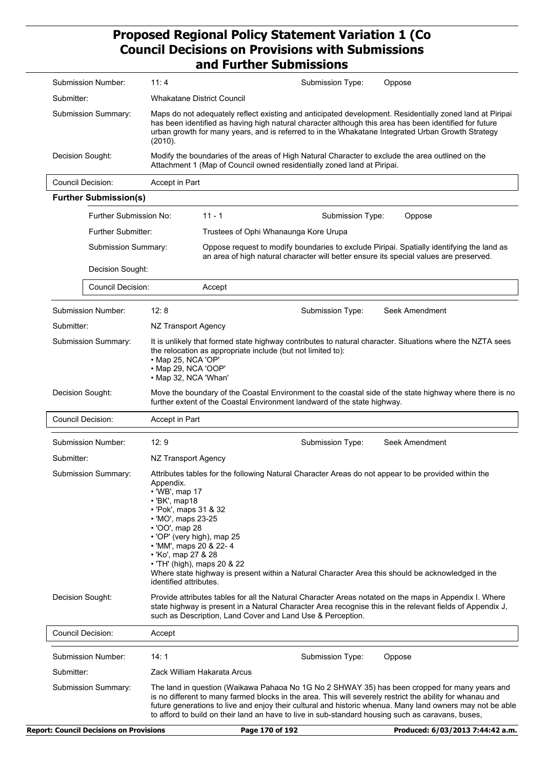| Submission Number:                      | 11:4                                                                                                                                                                                                                                                        | Submission Type:<br>Oppose                                                                                                                                                                                                                                                                                                                                                                                                   |
|-----------------------------------------|-------------------------------------------------------------------------------------------------------------------------------------------------------------------------------------------------------------------------------------------------------------|------------------------------------------------------------------------------------------------------------------------------------------------------------------------------------------------------------------------------------------------------------------------------------------------------------------------------------------------------------------------------------------------------------------------------|
| Submitter:                              | <b>Whakatane District Council</b>                                                                                                                                                                                                                           |                                                                                                                                                                                                                                                                                                                                                                                                                              |
| Submission Summary:                     | (2010).                                                                                                                                                                                                                                                     | Maps do not adequately reflect existing and anticipated development. Residentially zoned land at Piripai<br>has been identified as having high natural character although this area has been identified for future<br>urban growth for many years, and is referred to in the Whakatane Integrated Urban Growth Strategy                                                                                                      |
| Decision Sought:                        |                                                                                                                                                                                                                                                             | Modify the boundaries of the areas of High Natural Character to exclude the area outlined on the<br>Attachment 1 (Map of Council owned residentially zoned land at Piripai.                                                                                                                                                                                                                                                  |
| Council Decision:                       | Accept in Part                                                                                                                                                                                                                                              |                                                                                                                                                                                                                                                                                                                                                                                                                              |
| <b>Further Submission(s)</b>            |                                                                                                                                                                                                                                                             |                                                                                                                                                                                                                                                                                                                                                                                                                              |
| Further Submission No:                  |                                                                                                                                                                                                                                                             | $11 - 1$<br>Submission Type:<br>Oppose                                                                                                                                                                                                                                                                                                                                                                                       |
| <b>Further Submitter:</b>               |                                                                                                                                                                                                                                                             | Trustees of Ophi Whanaunga Kore Urupa                                                                                                                                                                                                                                                                                                                                                                                        |
| Submission Summary:<br>Decision Sought: |                                                                                                                                                                                                                                                             | Oppose request to modify boundaries to exclude Piripai. Spatially identifying the land as<br>an area of high natural character will better ensure its special values are preserved.                                                                                                                                                                                                                                          |
|                                         |                                                                                                                                                                                                                                                             |                                                                                                                                                                                                                                                                                                                                                                                                                              |
| <b>Council Decision:</b>                |                                                                                                                                                                                                                                                             | Accept                                                                                                                                                                                                                                                                                                                                                                                                                       |
| Submission Number:                      | 12:8                                                                                                                                                                                                                                                        | Seek Amendment<br>Submission Type:                                                                                                                                                                                                                                                                                                                                                                                           |
| Submitter:                              | NZ Transport Agency                                                                                                                                                                                                                                         |                                                                                                                                                                                                                                                                                                                                                                                                                              |
| Submission Summary:                     | · Map 25, NCA 'OP'<br>• Map 29, NCA 'OOP'<br>• Map 32, NCA 'Whan'                                                                                                                                                                                           | It is unlikely that formed state highway contributes to natural character. Situations where the NZTA sees<br>the relocation as appropriate include (but not limited to):                                                                                                                                                                                                                                                     |
| Decision Sought:                        |                                                                                                                                                                                                                                                             | Move the boundary of the Coastal Environment to the coastal side of the state highway where there is no<br>further extent of the Coastal Environment landward of the state highway.                                                                                                                                                                                                                                          |
| <b>Council Decision:</b>                | Accept in Part                                                                                                                                                                                                                                              |                                                                                                                                                                                                                                                                                                                                                                                                                              |
| Submission Number:                      | 12:9                                                                                                                                                                                                                                                        | Seek Amendment<br>Submission Type:                                                                                                                                                                                                                                                                                                                                                                                           |
| Submitter:                              | NZ Transport Agency                                                                                                                                                                                                                                         |                                                                                                                                                                                                                                                                                                                                                                                                                              |
| Submission Summary:                     | Appendix.<br>• 'WB', map 17<br>$\cdot$ 'BK', map18<br>• 'Pok', maps 31 & 32<br>• 'MO', maps 23-25<br>• 'OO', map 28<br>• 'OP' (very high), map 25<br>• 'MM', maps 20 & 22-4<br>• 'Ko', map 27 & 28<br>• 'TH' (high), maps 20 & 22<br>identified attributes. | Attributes tables for the following Natural Character Areas do not appear to be provided within the<br>Where state highway is present within a Natural Character Area this should be acknowledged in the                                                                                                                                                                                                                     |
| Decision Sought:                        |                                                                                                                                                                                                                                                             | Provide attributes tables for all the Natural Character Areas notated on the maps in Appendix I. Where<br>state highway is present in a Natural Character Area recognise this in the relevant fields of Appendix J,<br>such as Description, Land Cover and Land Use & Perception.                                                                                                                                            |
| <b>Council Decision:</b>                | Accept                                                                                                                                                                                                                                                      |                                                                                                                                                                                                                                                                                                                                                                                                                              |
| Submission Number:                      | 14:1                                                                                                                                                                                                                                                        | Submission Type:<br>Oppose                                                                                                                                                                                                                                                                                                                                                                                                   |
| Submitter:                              |                                                                                                                                                                                                                                                             | Zack William Hakarata Arcus                                                                                                                                                                                                                                                                                                                                                                                                  |
| Submission Summary:                     |                                                                                                                                                                                                                                                             | The land in question (Waikawa Pahaoa No 1G No 2 SHWAY 35) has been cropped for many years and<br>is no different to many farmed blocks in the area. This will severely restrict the ability for whanau and<br>future generations to live and enjoy their cultural and historic whenua. Many land owners may not be able<br>to afford to build on their land an have to live in sub-standard housing such as caravans, buses, |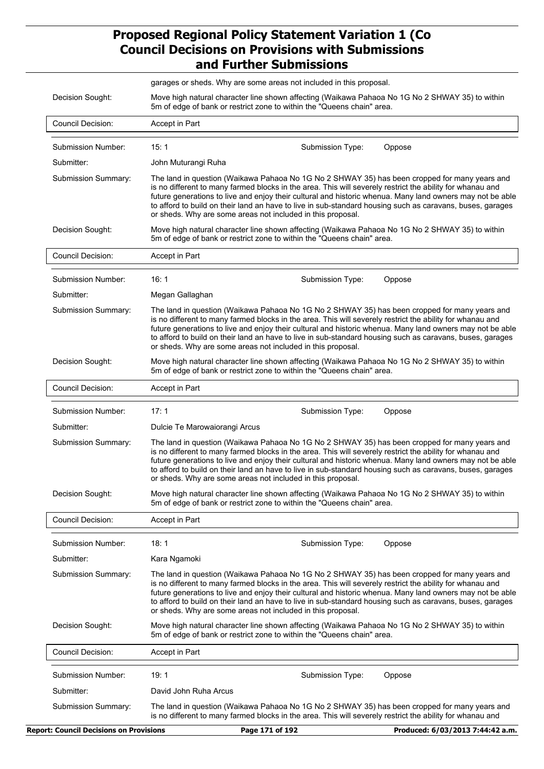|                          | garages or sheds. Why are some areas not included in this proposal.                                                                                                                                                                                                                                                                                                                                                                                                                                 |
|--------------------------|-----------------------------------------------------------------------------------------------------------------------------------------------------------------------------------------------------------------------------------------------------------------------------------------------------------------------------------------------------------------------------------------------------------------------------------------------------------------------------------------------------|
| Decision Sought:         | Move high natural character line shown affecting (Waikawa Pahaoa No 1G No 2 SHWAY 35) to within<br>5m of edge of bank or restrict zone to within the "Queens chain" area.                                                                                                                                                                                                                                                                                                                           |
| <b>Council Decision:</b> | Accept in Part                                                                                                                                                                                                                                                                                                                                                                                                                                                                                      |
| Submission Number:       | 15:1<br>Oppose<br>Submission Type:                                                                                                                                                                                                                                                                                                                                                                                                                                                                  |
| Submitter:               | John Muturangi Ruha                                                                                                                                                                                                                                                                                                                                                                                                                                                                                 |
| Submission Summary:      | The land in question (Waikawa Pahaoa No 1G No 2 SHWAY 35) has been cropped for many years and<br>is no different to many farmed blocks in the area. This will severely restrict the ability for whanau and<br>future generations to live and enjoy their cultural and historic whenua. Many land owners may not be able<br>to afford to build on their land an have to live in sub-standard housing such as caravans, buses, garages<br>or sheds. Why are some areas not included in this proposal. |
| Decision Sought:         | Move high natural character line shown affecting (Waikawa Pahaoa No 1G No 2 SHWAY 35) to within<br>5m of edge of bank or restrict zone to within the "Queens chain" area.                                                                                                                                                                                                                                                                                                                           |
| Council Decision:        | Accept in Part                                                                                                                                                                                                                                                                                                                                                                                                                                                                                      |
| Submission Number:       | 16:1<br>Submission Type:<br>Oppose                                                                                                                                                                                                                                                                                                                                                                                                                                                                  |
| Submitter:               | Megan Gallaghan                                                                                                                                                                                                                                                                                                                                                                                                                                                                                     |
| Submission Summary:      | The land in question (Waikawa Pahaoa No 1G No 2 SHWAY 35) has been cropped for many years and<br>is no different to many farmed blocks in the area. This will severely restrict the ability for whanau and<br>future generations to live and enjoy their cultural and historic whenua. Many land owners may not be able<br>to afford to build on their land an have to live in sub-standard housing such as caravans, buses, garages<br>or sheds. Why are some areas not included in this proposal. |
| Decision Sought:         | Move high natural character line shown affecting (Waikawa Pahaoa No 1G No 2 SHWAY 35) to within<br>5m of edge of bank or restrict zone to within the "Queens chain" area.                                                                                                                                                                                                                                                                                                                           |
| <b>Council Decision:</b> | Accept in Part                                                                                                                                                                                                                                                                                                                                                                                                                                                                                      |
| Submission Number:       | 17:1<br>Submission Type:<br>Oppose                                                                                                                                                                                                                                                                                                                                                                                                                                                                  |
| Submitter:               | Dulcie Te Marowaiorangi Arcus                                                                                                                                                                                                                                                                                                                                                                                                                                                                       |
| Submission Summary:      | The land in question (Waikawa Pahaoa No 1G No 2 SHWAY 35) has been cropped for many years and<br>is no different to many farmed blocks in the area. This will severely restrict the ability for whanau and<br>future generations to live and enjoy their cultural and historic whenua. Many land owners may not be able<br>to afford to build on their land an have to live in sub-standard housing such as caravans, buses, garages<br>or sheds. Why are some areas not included in this proposal. |
| Decision Sought:         | Move high natural character line shown affecting (Waikawa Pahaoa No 1G No 2 SHWAY 35) to within<br>5m of edge of bank or restrict zone to within the "Queens chain" area.                                                                                                                                                                                                                                                                                                                           |
| Council Decision:        | Accept in Part                                                                                                                                                                                                                                                                                                                                                                                                                                                                                      |
| Submission Number:       | 18:1<br>Submission Type:<br>Oppose                                                                                                                                                                                                                                                                                                                                                                                                                                                                  |
| Submitter:               | Kara Ngamoki                                                                                                                                                                                                                                                                                                                                                                                                                                                                                        |
| Submission Summary:      | The land in question (Waikawa Pahaoa No 1G No 2 SHWAY 35) has been cropped for many years and<br>is no different to many farmed blocks in the area. This will severely restrict the ability for whanau and<br>future generations to live and enjoy their cultural and historic whenua. Many land owners may not be able<br>to afford to build on their land an have to live in sub-standard housing such as caravans, buses, garages<br>or sheds. Why are some areas not included in this proposal. |
| Decision Sought:         | Move high natural character line shown affecting (Waikawa Pahaoa No 1G No 2 SHWAY 35) to within<br>5m of edge of bank or restrict zone to within the "Queens chain" area.                                                                                                                                                                                                                                                                                                                           |
| <b>Council Decision:</b> | Accept in Part                                                                                                                                                                                                                                                                                                                                                                                                                                                                                      |
| Submission Number:       | 19:1<br>Oppose<br>Submission Type:                                                                                                                                                                                                                                                                                                                                                                                                                                                                  |
| Submitter:               | David John Ruha Arcus                                                                                                                                                                                                                                                                                                                                                                                                                                                                               |
| Submission Summary:      | The land in question (Waikawa Pahaoa No 1G No 2 SHWAY 35) has been cropped for many years and                                                                                                                                                                                                                                                                                                                                                                                                       |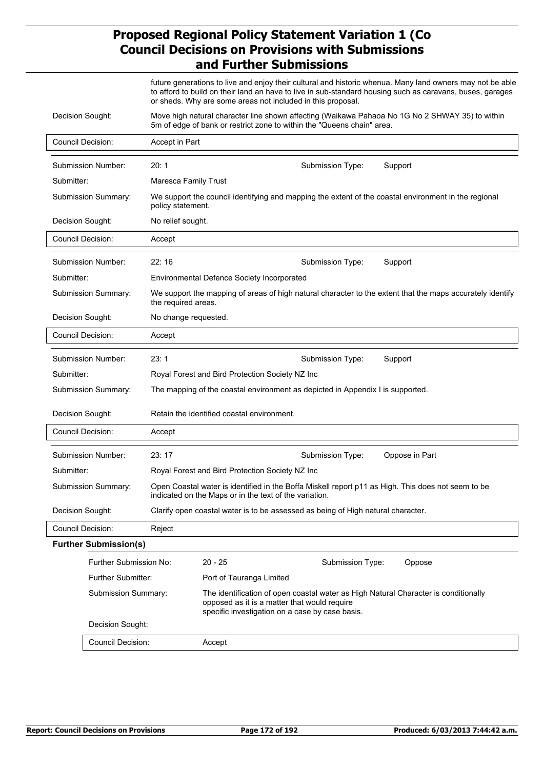future generations to live and enjoy their cultural and historic whenua. Many land owners may not be able to afford to build on their land an have to live in sub-standard housing such as caravans, buses, garages or sheds. Why are some areas not included in this proposal.

| Decision Sought:             |                      | 5m of edge of bank or restrict zone to within the "Queens chain" area.                                                                                                                 |                  | Move high natural character line shown affecting (Waikawa Pahaoa No 1G No 2 SHWAY 35) to within           |
|------------------------------|----------------------|----------------------------------------------------------------------------------------------------------------------------------------------------------------------------------------|------------------|-----------------------------------------------------------------------------------------------------------|
| <b>Council Decision:</b>     | Accept in Part       |                                                                                                                                                                                        |                  |                                                                                                           |
| Submission Number:           | 20:1                 |                                                                                                                                                                                        | Submission Type: | Support                                                                                                   |
| Submitter:                   | Maresca Family Trust |                                                                                                                                                                                        |                  |                                                                                                           |
| Submission Summary:          | policy statement.    |                                                                                                                                                                                        |                  | We support the council identifying and mapping the extent of the coastal environment in the regional      |
| Decision Sought:             | No relief sought.    |                                                                                                                                                                                        |                  |                                                                                                           |
| <b>Council Decision:</b>     | Accept               |                                                                                                                                                                                        |                  |                                                                                                           |
| Submission Number:           | 22:16                |                                                                                                                                                                                        | Submission Type: | Support                                                                                                   |
| Submitter:                   |                      | <b>Environmental Defence Society Incorporated</b>                                                                                                                                      |                  |                                                                                                           |
| Submission Summary:          | the required areas.  |                                                                                                                                                                                        |                  | We support the mapping of areas of high natural character to the extent that the maps accurately identify |
| Decision Sought:             | No change requested. |                                                                                                                                                                                        |                  |                                                                                                           |
| <b>Council Decision:</b>     | Accept               |                                                                                                                                                                                        |                  |                                                                                                           |
| Submission Number:           | 23:1                 |                                                                                                                                                                                        | Submission Type: | Support                                                                                                   |
| Submitter:                   |                      | Royal Forest and Bird Protection Society NZ Inc                                                                                                                                        |                  |                                                                                                           |
| Submission Summary:          |                      | The mapping of the coastal environment as depicted in Appendix I is supported.                                                                                                         |                  |                                                                                                           |
| Decision Sought:             |                      | Retain the identified coastal environment.                                                                                                                                             |                  |                                                                                                           |
| <b>Council Decision:</b>     | Accept               |                                                                                                                                                                                        |                  |                                                                                                           |
| Submission Number:           | 23:17                |                                                                                                                                                                                        | Submission Type: | Oppose in Part                                                                                            |
| Submitter:                   |                      | Royal Forest and Bird Protection Society NZ Inc                                                                                                                                        |                  |                                                                                                           |
| Submission Summary:          |                      | Open Coastal water is identified in the Boffa Miskell report p11 as High. This does not seem to be<br>indicated on the Maps or in the text of the variation.                           |                  |                                                                                                           |
| Decision Sought:             |                      | Clarify open coastal water is to be assessed as being of High natural character.                                                                                                       |                  |                                                                                                           |
| <b>Council Decision:</b>     | Reject               |                                                                                                                                                                                        |                  |                                                                                                           |
| <b>Further Submission(s)</b> |                      |                                                                                                                                                                                        |                  |                                                                                                           |
| Further Submission No:       |                      | $20 - 25$                                                                                                                                                                              | Submission Type: | Oppose                                                                                                    |
| Further Submitter:           |                      | Port of Tauranga Limited                                                                                                                                                               |                  |                                                                                                           |
| Submission Summary:          |                      | The identification of open coastal water as High Natural Character is conditionally<br>opposed as it is a matter that would require<br>specific investigation on a case by case basis. |                  |                                                                                                           |
| Decision Sought:             |                      |                                                                                                                                                                                        |                  |                                                                                                           |
| Council Decision:            |                      | Accept                                                                                                                                                                                 |                  |                                                                                                           |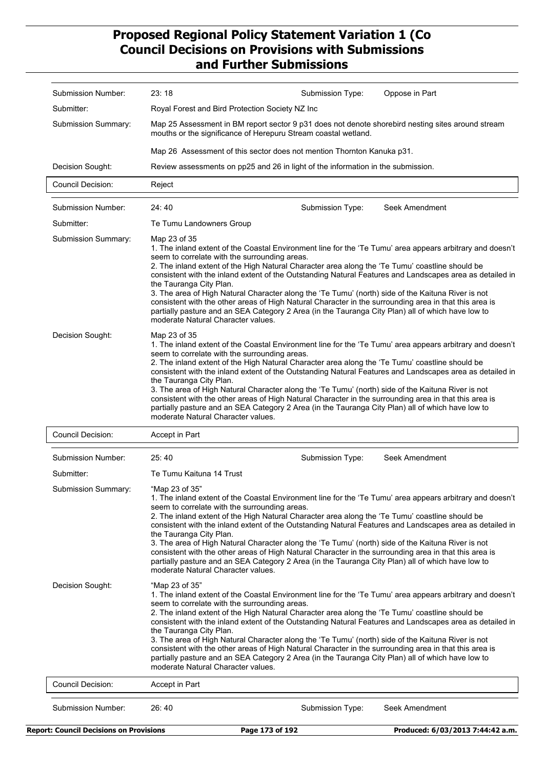| Royal Forest and Bird Protection Society NZ Inc<br>Map 25 Assessment in BM report sector 9 p31 does not denote shorebird nesting sites around stream<br>Submission Summary:<br>mouths or the significance of Herepuru Stream coastal wetland.<br>Map 26 Assessment of this sector does not mention Thornton Kanuka p31.<br>Review assessments on pp25 and 26 in light of the information in the submission.<br>Decision Sought:<br><b>Council Decision:</b><br>Reject<br>24:40<br>Seek Amendment<br>Submission Number:<br>Submission Type:<br>Submitter:<br>Te Tumu Landowners Group<br>Submission Summary:<br>Map 23 of 35<br>1. The inland extent of the Coastal Environment line for the 'Te Tumu' area appears arbitrary and doesn't<br>seem to correlate with the surrounding areas.<br>2. The inland extent of the High Natural Character area along the 'Te Tumu' coastline should be<br>consistent with the inland extent of the Outstanding Natural Features and Landscapes area as detailed in<br>the Tauranga City Plan.<br>3. The area of High Natural Character along the 'Te Tumu' (north) side of the Kaituna River is not<br>consistent with the other areas of High Natural Character in the surrounding area in that this area is<br>partially pasture and an SEA Category 2 Area (in the Tauranga City Plan) all of which have low to<br>moderate Natural Character values.<br>Decision Sought:<br>Map 23 of 35<br>1. The inland extent of the Coastal Environment line for the 'Te Tumu' area appears arbitrary and doesn't<br>seem to correlate with the surrounding areas.<br>2. The inland extent of the High Natural Character area along the 'Te Tumu' coastline should be<br>consistent with the inland extent of the Outstanding Natural Features and Landscapes area as detailed in<br>the Tauranga City Plan.<br>3. The area of High Natural Character along the 'Te Tumu' (north) side of the Kaituna River is not<br>consistent with the other areas of High Natural Character in the surrounding area in that this area is<br>partially pasture and an SEA Category 2 Area (in the Tauranga City Plan) all of which have low to<br>moderate Natural Character values.<br><b>Council Decision:</b><br>Accept in Part<br>25:40<br>Submission Number:<br>Submission Type:<br>Seek Amendment<br>Submitter:<br>Te Tumu Kaituna 14 Trust<br><b>Submission Summary:</b><br>"Map 23 of 35"<br>1. The inland extent of the Coastal Environment line for the 'Te Tumu' area appears arbitrary and doesn't<br>seem to correlate with the surrounding areas.<br>2. The inland extent of the High Natural Character area along the 'Te Tumu' coastline should be<br>consistent with the inland extent of the Outstanding Natural Features and Landscapes area as detailed in<br>the Tauranga City Plan.<br>3. The area of High Natural Character along the 'Te Tumu' (north) side of the Kaituna River is not<br>consistent with the other areas of High Natural Character in the surrounding area in that this area is<br>partially pasture and an SEA Category 2 Area (in the Tauranga City Plan) all of which have low to<br>moderate Natural Character values.<br>Decision Sought:<br>"Map 23 of 35"<br>1. The inland extent of the Coastal Environment line for the 'Te Tumu' area appears arbitrary and doesn't<br>seem to correlate with the surrounding areas.<br>2. The inland extent of the High Natural Character area along the 'Te Tumu' coastline should be<br>consistent with the inland extent of the Outstanding Natural Features and Landscapes area as detailed in<br>the Tauranga City Plan.<br>3. The area of High Natural Character along the 'Te Tumu' (north) side of the Kaituna River is not<br>consistent with the other areas of High Natural Character in the surrounding area in that this area is<br>partially pasture and an SEA Category 2 Area (in the Tauranga City Plan) all of which have low to<br>moderate Natural Character values.<br><b>Council Decision:</b><br>Accept in Part<br>Submission Number:<br>26:40<br>Submission Type:<br>Seek Amendment |
|-------------------------------------------------------------------------------------------------------------------------------------------------------------------------------------------------------------------------------------------------------------------------------------------------------------------------------------------------------------------------------------------------------------------------------------------------------------------------------------------------------------------------------------------------------------------------------------------------------------------------------------------------------------------------------------------------------------------------------------------------------------------------------------------------------------------------------------------------------------------------------------------------------------------------------------------------------------------------------------------------------------------------------------------------------------------------------------------------------------------------------------------------------------------------------------------------------------------------------------------------------------------------------------------------------------------------------------------------------------------------------------------------------------------------------------------------------------------------------------------------------------------------------------------------------------------------------------------------------------------------------------------------------------------------------------------------------------------------------------------------------------------------------------------------------------------------------------------------------------------------------------------------------------------------------------------------------------------------------------------------------------------------------------------------------------------------------------------------------------------------------------------------------------------------------------------------------------------------------------------------------------------------------------------------------------------------------------------------------------------------------------------------------------------------------------------------------------------------------------------------------------------------------------------------------------------------------------------------------------------------------------------------------------------------------------------------------------------------------------------------------------------------------------------------------------------------------------------------------------------------------------------------------------------------------------------------------------------------------------------------------------------------------------------------------------------------------------------------------------------------------------------------------------------------------------------------------------------------------------------------------------------------------------------------------------------------------------------------------------------------------------------------------------------------------------------------------------------------------------------------------------------------------------------------------------------------------------------------------------------------------------------------------------------------------------------------------------------------------------------------------------------------------------------------------------------------------------------------------------------------------------------------------------------------------------------------------------------------------------------------------------------------------------------------------------------------------------------------------------------|
|                                                                                                                                                                                                                                                                                                                                                                                                                                                                                                                                                                                                                                                                                                                                                                                                                                                                                                                                                                                                                                                                                                                                                                                                                                                                                                                                                                                                                                                                                                                                                                                                                                                                                                                                                                                                                                                                                                                                                                                                                                                                                                                                                                                                                                                                                                                                                                                                                                                                                                                                                                                                                                                                                                                                                                                                                                                                                                                                                                                                                                                                                                                                                                                                                                                                                                                                                                                                                                                                                                                                                                                                                                                                                                                                                                                                                                                                                                                                                                                                                                                                                                                   |
|                                                                                                                                                                                                                                                                                                                                                                                                                                                                                                                                                                                                                                                                                                                                                                                                                                                                                                                                                                                                                                                                                                                                                                                                                                                                                                                                                                                                                                                                                                                                                                                                                                                                                                                                                                                                                                                                                                                                                                                                                                                                                                                                                                                                                                                                                                                                                                                                                                                                                                                                                                                                                                                                                                                                                                                                                                                                                                                                                                                                                                                                                                                                                                                                                                                                                                                                                                                                                                                                                                                                                                                                                                                                                                                                                                                                                                                                                                                                                                                                                                                                                                                   |
|                                                                                                                                                                                                                                                                                                                                                                                                                                                                                                                                                                                                                                                                                                                                                                                                                                                                                                                                                                                                                                                                                                                                                                                                                                                                                                                                                                                                                                                                                                                                                                                                                                                                                                                                                                                                                                                                                                                                                                                                                                                                                                                                                                                                                                                                                                                                                                                                                                                                                                                                                                                                                                                                                                                                                                                                                                                                                                                                                                                                                                                                                                                                                                                                                                                                                                                                                                                                                                                                                                                                                                                                                                                                                                                                                                                                                                                                                                                                                                                                                                                                                                                   |
|                                                                                                                                                                                                                                                                                                                                                                                                                                                                                                                                                                                                                                                                                                                                                                                                                                                                                                                                                                                                                                                                                                                                                                                                                                                                                                                                                                                                                                                                                                                                                                                                                                                                                                                                                                                                                                                                                                                                                                                                                                                                                                                                                                                                                                                                                                                                                                                                                                                                                                                                                                                                                                                                                                                                                                                                                                                                                                                                                                                                                                                                                                                                                                                                                                                                                                                                                                                                                                                                                                                                                                                                                                                                                                                                                                                                                                                                                                                                                                                                                                                                                                                   |
|                                                                                                                                                                                                                                                                                                                                                                                                                                                                                                                                                                                                                                                                                                                                                                                                                                                                                                                                                                                                                                                                                                                                                                                                                                                                                                                                                                                                                                                                                                                                                                                                                                                                                                                                                                                                                                                                                                                                                                                                                                                                                                                                                                                                                                                                                                                                                                                                                                                                                                                                                                                                                                                                                                                                                                                                                                                                                                                                                                                                                                                                                                                                                                                                                                                                                                                                                                                                                                                                                                                                                                                                                                                                                                                                                                                                                                                                                                                                                                                                                                                                                                                   |
|                                                                                                                                                                                                                                                                                                                                                                                                                                                                                                                                                                                                                                                                                                                                                                                                                                                                                                                                                                                                                                                                                                                                                                                                                                                                                                                                                                                                                                                                                                                                                                                                                                                                                                                                                                                                                                                                                                                                                                                                                                                                                                                                                                                                                                                                                                                                                                                                                                                                                                                                                                                                                                                                                                                                                                                                                                                                                                                                                                                                                                                                                                                                                                                                                                                                                                                                                                                                                                                                                                                                                                                                                                                                                                                                                                                                                                                                                                                                                                                                                                                                                                                   |
|                                                                                                                                                                                                                                                                                                                                                                                                                                                                                                                                                                                                                                                                                                                                                                                                                                                                                                                                                                                                                                                                                                                                                                                                                                                                                                                                                                                                                                                                                                                                                                                                                                                                                                                                                                                                                                                                                                                                                                                                                                                                                                                                                                                                                                                                                                                                                                                                                                                                                                                                                                                                                                                                                                                                                                                                                                                                                                                                                                                                                                                                                                                                                                                                                                                                                                                                                                                                                                                                                                                                                                                                                                                                                                                                                                                                                                                                                                                                                                                                                                                                                                                   |
|                                                                                                                                                                                                                                                                                                                                                                                                                                                                                                                                                                                                                                                                                                                                                                                                                                                                                                                                                                                                                                                                                                                                                                                                                                                                                                                                                                                                                                                                                                                                                                                                                                                                                                                                                                                                                                                                                                                                                                                                                                                                                                                                                                                                                                                                                                                                                                                                                                                                                                                                                                                                                                                                                                                                                                                                                                                                                                                                                                                                                                                                                                                                                                                                                                                                                                                                                                                                                                                                                                                                                                                                                                                                                                                                                                                                                                                                                                                                                                                                                                                                                                                   |
|                                                                                                                                                                                                                                                                                                                                                                                                                                                                                                                                                                                                                                                                                                                                                                                                                                                                                                                                                                                                                                                                                                                                                                                                                                                                                                                                                                                                                                                                                                                                                                                                                                                                                                                                                                                                                                                                                                                                                                                                                                                                                                                                                                                                                                                                                                                                                                                                                                                                                                                                                                                                                                                                                                                                                                                                                                                                                                                                                                                                                                                                                                                                                                                                                                                                                                                                                                                                                                                                                                                                                                                                                                                                                                                                                                                                                                                                                                                                                                                                                                                                                                                   |
|                                                                                                                                                                                                                                                                                                                                                                                                                                                                                                                                                                                                                                                                                                                                                                                                                                                                                                                                                                                                                                                                                                                                                                                                                                                                                                                                                                                                                                                                                                                                                                                                                                                                                                                                                                                                                                                                                                                                                                                                                                                                                                                                                                                                                                                                                                                                                                                                                                                                                                                                                                                                                                                                                                                                                                                                                                                                                                                                                                                                                                                                                                                                                                                                                                                                                                                                                                                                                                                                                                                                                                                                                                                                                                                                                                                                                                                                                                                                                                                                                                                                                                                   |
|                                                                                                                                                                                                                                                                                                                                                                                                                                                                                                                                                                                                                                                                                                                                                                                                                                                                                                                                                                                                                                                                                                                                                                                                                                                                                                                                                                                                                                                                                                                                                                                                                                                                                                                                                                                                                                                                                                                                                                                                                                                                                                                                                                                                                                                                                                                                                                                                                                                                                                                                                                                                                                                                                                                                                                                                                                                                                                                                                                                                                                                                                                                                                                                                                                                                                                                                                                                                                                                                                                                                                                                                                                                                                                                                                                                                                                                                                                                                                                                                                                                                                                                   |
|                                                                                                                                                                                                                                                                                                                                                                                                                                                                                                                                                                                                                                                                                                                                                                                                                                                                                                                                                                                                                                                                                                                                                                                                                                                                                                                                                                                                                                                                                                                                                                                                                                                                                                                                                                                                                                                                                                                                                                                                                                                                                                                                                                                                                                                                                                                                                                                                                                                                                                                                                                                                                                                                                                                                                                                                                                                                                                                                                                                                                                                                                                                                                                                                                                                                                                                                                                                                                                                                                                                                                                                                                                                                                                                                                                                                                                                                                                                                                                                                                                                                                                                   |
|                                                                                                                                                                                                                                                                                                                                                                                                                                                                                                                                                                                                                                                                                                                                                                                                                                                                                                                                                                                                                                                                                                                                                                                                                                                                                                                                                                                                                                                                                                                                                                                                                                                                                                                                                                                                                                                                                                                                                                                                                                                                                                                                                                                                                                                                                                                                                                                                                                                                                                                                                                                                                                                                                                                                                                                                                                                                                                                                                                                                                                                                                                                                                                                                                                                                                                                                                                                                                                                                                                                                                                                                                                                                                                                                                                                                                                                                                                                                                                                                                                                                                                                   |
|                                                                                                                                                                                                                                                                                                                                                                                                                                                                                                                                                                                                                                                                                                                                                                                                                                                                                                                                                                                                                                                                                                                                                                                                                                                                                                                                                                                                                                                                                                                                                                                                                                                                                                                                                                                                                                                                                                                                                                                                                                                                                                                                                                                                                                                                                                                                                                                                                                                                                                                                                                                                                                                                                                                                                                                                                                                                                                                                                                                                                                                                                                                                                                                                                                                                                                                                                                                                                                                                                                                                                                                                                                                                                                                                                                                                                                                                                                                                                                                                                                                                                                                   |
|                                                                                                                                                                                                                                                                                                                                                                                                                                                                                                                                                                                                                                                                                                                                                                                                                                                                                                                                                                                                                                                                                                                                                                                                                                                                                                                                                                                                                                                                                                                                                                                                                                                                                                                                                                                                                                                                                                                                                                                                                                                                                                                                                                                                                                                                                                                                                                                                                                                                                                                                                                                                                                                                                                                                                                                                                                                                                                                                                                                                                                                                                                                                                                                                                                                                                                                                                                                                                                                                                                                                                                                                                                                                                                                                                                                                                                                                                                                                                                                                                                                                                                                   |
| Submitter:                                                                                                                                                                                                                                                                                                                                                                                                                                                                                                                                                                                                                                                                                                                                                                                                                                                                                                                                                                                                                                                                                                                                                                                                                                                                                                                                                                                                                                                                                                                                                                                                                                                                                                                                                                                                                                                                                                                                                                                                                                                                                                                                                                                                                                                                                                                                                                                                                                                                                                                                                                                                                                                                                                                                                                                                                                                                                                                                                                                                                                                                                                                                                                                                                                                                                                                                                                                                                                                                                                                                                                                                                                                                                                                                                                                                                                                                                                                                                                                                                                                                                                        |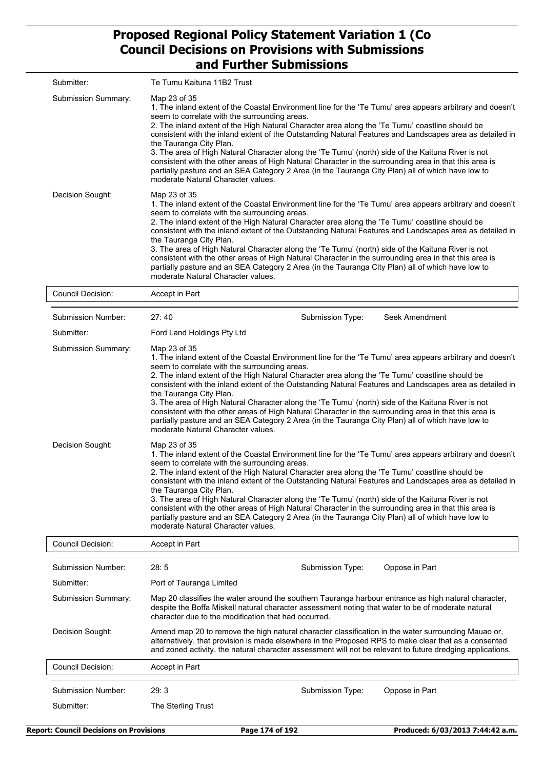| Submitter:          | Te Tumu Kaituna 11B2 Trust                                                                                                                                                                                                                                                                                                                                                                                                                                                                                                                                                                                                                                                                                                                                                      |
|---------------------|---------------------------------------------------------------------------------------------------------------------------------------------------------------------------------------------------------------------------------------------------------------------------------------------------------------------------------------------------------------------------------------------------------------------------------------------------------------------------------------------------------------------------------------------------------------------------------------------------------------------------------------------------------------------------------------------------------------------------------------------------------------------------------|
| Submission Summary: | Map 23 of 35<br>1. The inland extent of the Coastal Environment line for the 'Te Tumu' area appears arbitrary and doesn't<br>seem to correlate with the surrounding areas.<br>2. The inland extent of the High Natural Character area along the 'Te Tumu' coastline should be<br>consistent with the inland extent of the Outstanding Natural Features and Landscapes area as detailed in<br>the Tauranga City Plan.<br>3. The area of High Natural Character along the 'Te Tumu' (north) side of the Kaituna River is not<br>consistent with the other areas of High Natural Character in the surrounding area in that this area is<br>partially pasture and an SEA Category 2 Area (in the Tauranga City Plan) all of which have low to<br>moderate Natural Character values. |
| Decision Sought:    | Map 23 of 35<br>1. The inland extent of the Coastal Environment line for the 'Te Tumu' area appears arbitrary and doesn't<br>seem to correlate with the surrounding areas.<br>2. The inland extent of the High Natural Character area along the 'Te Tumu' coastline should be<br>consistent with the inland extent of the Outstanding Natural Features and Landscapes area as detailed in<br>the Tauranga City Plan.<br>3. The area of High Natural Character along the 'Te Tumu' (north) side of the Kaituna River is not<br>consistent with the other areas of High Natural Character in the surrounding area in that this area is<br>partially pasture and an SEA Category 2 Area (in the Tauranga City Plan) all of which have low to<br>moderate Natural Character values. |
| Council Docision:   | Accont in Dort                                                                                                                                                                                                                                                                                                                                                                                                                                                                                                                                                                                                                                                                                                                                                                  |

| Council Decision:                       | Accept in Part                                                                                                                                                                                                                                                                                                                                                                                                                                                                                                                                                                                                                                                                                                                                                                  |                  |                |  |  |  |
|-----------------------------------------|---------------------------------------------------------------------------------------------------------------------------------------------------------------------------------------------------------------------------------------------------------------------------------------------------------------------------------------------------------------------------------------------------------------------------------------------------------------------------------------------------------------------------------------------------------------------------------------------------------------------------------------------------------------------------------------------------------------------------------------------------------------------------------|------------------|----------------|--|--|--|
| Submission Number:                      | 27:40                                                                                                                                                                                                                                                                                                                                                                                                                                                                                                                                                                                                                                                                                                                                                                           | Submission Type: | Seek Amendment |  |  |  |
| Submitter:                              | Ford Land Holdings Pty Ltd                                                                                                                                                                                                                                                                                                                                                                                                                                                                                                                                                                                                                                                                                                                                                      |                  |                |  |  |  |
| <b>Submission Summary:</b>              | Map 23 of 35<br>1. The inland extent of the Coastal Environment line for the 'Te Tumu' area appears arbitrary and doesn't<br>seem to correlate with the surrounding areas.<br>2. The inland extent of the High Natural Character area along the 'Te Tumu' coastline should be<br>consistent with the inland extent of the Outstanding Natural Features and Landscapes area as detailed in<br>the Tauranga City Plan.<br>3. The area of High Natural Character along the 'Te Tumu' (north) side of the Kaituna River is not<br>consistent with the other areas of High Natural Character in the surrounding area in that this area is<br>partially pasture and an SEA Category 2 Area (in the Tauranga City Plan) all of which have low to<br>moderate Natural Character values. |                  |                |  |  |  |
| Decision Sought:                        | Map 23 of 35<br>1. The inland extent of the Coastal Environment line for the 'Te Tumu' area appears arbitrary and doesn't<br>seem to correlate with the surrounding areas.<br>2. The inland extent of the High Natural Character area along the 'Te Tumu' coastline should be<br>consistent with the inland extent of the Outstanding Natural Features and Landscapes area as detailed in<br>the Tauranga City Plan.<br>3. The area of High Natural Character along the 'Te Tumu' (north) side of the Kaituna River is not<br>consistent with the other areas of High Natural Character in the surrounding area in that this area is<br>partially pasture and an SEA Category 2 Area (in the Tauranga City Plan) all of which have low to<br>moderate Natural Character values. |                  |                |  |  |  |
| <b>Council Decision:</b>                | Accept in Part                                                                                                                                                                                                                                                                                                                                                                                                                                                                                                                                                                                                                                                                                                                                                                  |                  |                |  |  |  |
| <b>Submission Number:</b>               | 28:5                                                                                                                                                                                                                                                                                                                                                                                                                                                                                                                                                                                                                                                                                                                                                                            | Submission Type: | Oppose in Part |  |  |  |
| Submitter:                              | Port of Tauranga Limited                                                                                                                                                                                                                                                                                                                                                                                                                                                                                                                                                                                                                                                                                                                                                        |                  |                |  |  |  |
| Submission Summary:                     | Map 20 classifies the water around the southern Tauranga harbour entrance as high natural character,<br>despite the Boffa Miskell natural character assessment noting that water to be of moderate natural<br>character due to the modification that had occurred.                                                                                                                                                                                                                                                                                                                                                                                                                                                                                                              |                  |                |  |  |  |
| Decision Sought:                        | Amend map 20 to remove the high natural character classification in the water surrounding Mauao or,<br>alternatively, that provision is made elsewhere in the Proposed RPS to make clear that as a consented<br>and zoned activity, the natural character assessment will not be relevant to future dredging applications.                                                                                                                                                                                                                                                                                                                                                                                                                                                      |                  |                |  |  |  |
| Council Decision:                       | Accept in Part                                                                                                                                                                                                                                                                                                                                                                                                                                                                                                                                                                                                                                                                                                                                                                  |                  |                |  |  |  |
| <b>Submission Number:</b><br>Submitter: | 29:3<br>The Sterling Trust                                                                                                                                                                                                                                                                                                                                                                                                                                                                                                                                                                                                                                                                                                                                                      | Submission Type: | Oppose in Part |  |  |  |
|                                         |                                                                                                                                                                                                                                                                                                                                                                                                                                                                                                                                                                                                                                                                                                                                                                                 |                  |                |  |  |  |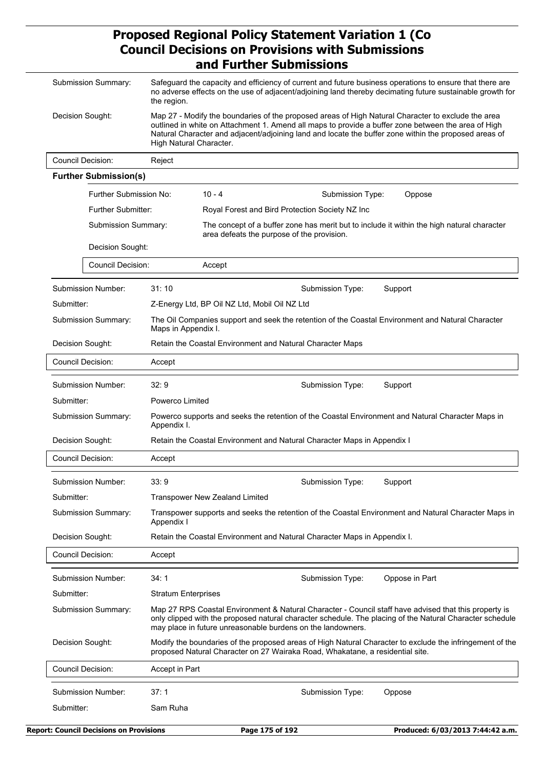| Submission Summary: |                          | Safeguard the capacity and efficiency of current and future business operations to ensure that there are<br>no adverse effects on the use of adjacent/adjoining land thereby decimating future sustainable growth for<br>the region.                                                                                                          |                                                                                                                  |                                               |  |                                                                               |                                                                                                                                                                                                                   |  |  |
|---------------------|--------------------------|-----------------------------------------------------------------------------------------------------------------------------------------------------------------------------------------------------------------------------------------------------------------------------------------------------------------------------------------------|------------------------------------------------------------------------------------------------------------------|-----------------------------------------------|--|-------------------------------------------------------------------------------|-------------------------------------------------------------------------------------------------------------------------------------------------------------------------------------------------------------------|--|--|
| Decision Sought:    |                          | Map 27 - Modify the boundaries of the proposed areas of High Natural Character to exclude the area<br>outlined in white on Attachment 1. Amend all maps to provide a buffer zone between the area of High<br>Natural Character and adjacent/adjoining land and locate the buffer zone within the proposed areas of<br>High Natural Character. |                                                                                                                  |                                               |  |                                                                               |                                                                                                                                                                                                                   |  |  |
|                     | <b>Council Decision:</b> |                                                                                                                                                                                                                                                                                                                                               | Reject                                                                                                           |                                               |  |                                                                               |                                                                                                                                                                                                                   |  |  |
|                     |                          | <b>Further Submission(s)</b>                                                                                                                                                                                                                                                                                                                  |                                                                                                                  |                                               |  |                                                                               |                                                                                                                                                                                                                   |  |  |
|                     |                          | Further Submission No:                                                                                                                                                                                                                                                                                                                        |                                                                                                                  | $10 - 4$                                      |  | Submission Type:                                                              | Oppose                                                                                                                                                                                                            |  |  |
|                     |                          | <b>Further Submitter:</b>                                                                                                                                                                                                                                                                                                                     |                                                                                                                  |                                               |  | Royal Forest and Bird Protection Society NZ Inc                               |                                                                                                                                                                                                                   |  |  |
|                     |                          | Submission Summary:                                                                                                                                                                                                                                                                                                                           |                                                                                                                  | area defeats the purpose of the provision.    |  |                                                                               | The concept of a buffer zone has merit but to include it within the high natural character                                                                                                                        |  |  |
|                     |                          | Decision Sought:                                                                                                                                                                                                                                                                                                                              |                                                                                                                  |                                               |  |                                                                               |                                                                                                                                                                                                                   |  |  |
|                     |                          | Council Decision:                                                                                                                                                                                                                                                                                                                             |                                                                                                                  | Accept                                        |  |                                                                               |                                                                                                                                                                                                                   |  |  |
|                     |                          | Submission Number:                                                                                                                                                                                                                                                                                                                            | 31:10                                                                                                            |                                               |  | Submission Type:                                                              | Support                                                                                                                                                                                                           |  |  |
|                     | Submitter:               |                                                                                                                                                                                                                                                                                                                                               |                                                                                                                  | Z-Energy Ltd, BP Oil NZ Ltd, Mobil Oil NZ Ltd |  |                                                                               |                                                                                                                                                                                                                   |  |  |
|                     |                          | Submission Summary:                                                                                                                                                                                                                                                                                                                           | Maps in Appendix I.                                                                                              |                                               |  |                                                                               | The Oil Companies support and seek the retention of the Coastal Environment and Natural Character                                                                                                                 |  |  |
|                     | Decision Sought:         |                                                                                                                                                                                                                                                                                                                                               |                                                                                                                  |                                               |  | Retain the Coastal Environment and Natural Character Maps                     |                                                                                                                                                                                                                   |  |  |
|                     | Council Decision:        |                                                                                                                                                                                                                                                                                                                                               | Accept                                                                                                           |                                               |  |                                                                               |                                                                                                                                                                                                                   |  |  |
|                     |                          | <b>Submission Number:</b>                                                                                                                                                                                                                                                                                                                     | 32:9                                                                                                             |                                               |  | Submission Type:                                                              | Support                                                                                                                                                                                                           |  |  |
|                     | Submitter:               |                                                                                                                                                                                                                                                                                                                                               | Powerco Limited                                                                                                  |                                               |  |                                                                               |                                                                                                                                                                                                                   |  |  |
|                     |                          | Submission Summary:                                                                                                                                                                                                                                                                                                                           | Powerco supports and seeks the retention of the Coastal Environment and Natural Character Maps in<br>Appendix I. |                                               |  |                                                                               |                                                                                                                                                                                                                   |  |  |
|                     | Decision Sought:         |                                                                                                                                                                                                                                                                                                                                               |                                                                                                                  |                                               |  | Retain the Coastal Environment and Natural Character Maps in Appendix I       |                                                                                                                                                                                                                   |  |  |
|                     | Council Decision:        |                                                                                                                                                                                                                                                                                                                                               | Accept                                                                                                           |                                               |  |                                                                               |                                                                                                                                                                                                                   |  |  |
|                     |                          | Submission Number:                                                                                                                                                                                                                                                                                                                            | 33:9                                                                                                             |                                               |  | Submission Type:                                                              | Support                                                                                                                                                                                                           |  |  |
|                     | Submitter:               |                                                                                                                                                                                                                                                                                                                                               | <b>Transpower New Zealand Limited</b>                                                                            |                                               |  |                                                                               |                                                                                                                                                                                                                   |  |  |
|                     |                          | Submission Summary:                                                                                                                                                                                                                                                                                                                           | Appendix I                                                                                                       |                                               |  |                                                                               | Transpower supports and seeks the retention of the Coastal Environment and Natural Character Maps in                                                                                                              |  |  |
|                     | Decision Sought:         |                                                                                                                                                                                                                                                                                                                                               |                                                                                                                  |                                               |  | Retain the Coastal Environment and Natural Character Maps in Appendix I.      |                                                                                                                                                                                                                   |  |  |
| Council Decision:   |                          |                                                                                                                                                                                                                                                                                                                                               | Accept                                                                                                           |                                               |  |                                                                               |                                                                                                                                                                                                                   |  |  |
|                     |                          | Submission Number:                                                                                                                                                                                                                                                                                                                            | 34:1                                                                                                             |                                               |  | Submission Type:                                                              | Oppose in Part                                                                                                                                                                                                    |  |  |
|                     | Submitter:               |                                                                                                                                                                                                                                                                                                                                               | <b>Stratum Enterprises</b>                                                                                       |                                               |  |                                                                               |                                                                                                                                                                                                                   |  |  |
|                     |                          | Submission Summary:                                                                                                                                                                                                                                                                                                                           |                                                                                                                  |                                               |  | may place in future unreasonable burdens on the landowners.                   | Map 27 RPS Coastal Environment & Natural Character - Council staff have advised that this property is<br>only clipped with the proposed natural character schedule. The placing of the Natural Character schedule |  |  |
| Decision Sought:    |                          |                                                                                                                                                                                                                                                                                                                                               |                                                                                                                  |                                               |  | proposed Natural Character on 27 Wairaka Road, Whakatane, a residential site. | Modify the boundaries of the proposed areas of High Natural Character to exclude the infringement of the                                                                                                          |  |  |
|                     | <b>Council Decision:</b> |                                                                                                                                                                                                                                                                                                                                               | Accept in Part                                                                                                   |                                               |  |                                                                               |                                                                                                                                                                                                                   |  |  |
| Submission Number:  |                          |                                                                                                                                                                                                                                                                                                                                               | 37:1                                                                                                             |                                               |  | Submission Type:                                                              | Oppose                                                                                                                                                                                                            |  |  |
| Submitter:          |                          |                                                                                                                                                                                                                                                                                                                                               | Sam Ruha                                                                                                         |                                               |  |                                                                               |                                                                                                                                                                                                                   |  |  |
|                     |                          |                                                                                                                                                                                                                                                                                                                                               |                                                                                                                  |                                               |  |                                                                               |                                                                                                                                                                                                                   |  |  |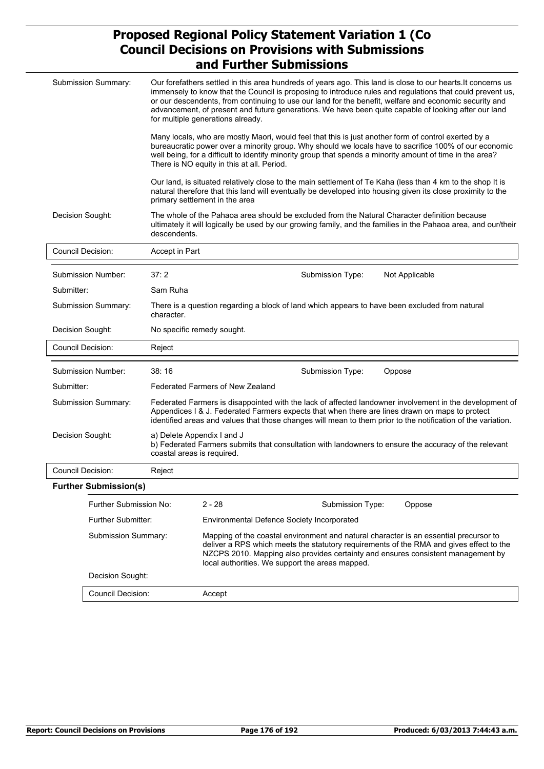|                          | Submission Summary:          | Our forefathers settled in this area hundreds of years ago. This land is close to our hearts. It concerns us<br>immensely to know that the Council is proposing to introduce rules and regulations that could prevent us,<br>or our descendents, from continuing to use our land for the benefit, welfare and economic security and<br>advancement, of present and future generations. We have been quite capable of looking after our land<br>for multiple generations already. |                                                                                                                                                                                                                                                                                                                                                                          |  |  |  |  |
|--------------------------|------------------------------|----------------------------------------------------------------------------------------------------------------------------------------------------------------------------------------------------------------------------------------------------------------------------------------------------------------------------------------------------------------------------------------------------------------------------------------------------------------------------------|--------------------------------------------------------------------------------------------------------------------------------------------------------------------------------------------------------------------------------------------------------------------------------------------------------------------------------------------------------------------------|--|--|--|--|
|                          |                              |                                                                                                                                                                                                                                                                                                                                                                                                                                                                                  | Many locals, who are mostly Maori, would feel that this is just another form of control exerted by a<br>bureaucratic power over a minority group. Why should we locals have to sacrifice 100% of our economic<br>well being, for a difficult to identify minority group that spends a minority amount of time in the area?<br>There is NO equity in this at all. Period. |  |  |  |  |
|                          |                              |                                                                                                                                                                                                                                                                                                                                                                                                                                                                                  | Our land, is situated relatively close to the main settlement of Te Kaha (less than 4 km to the shop It is<br>natural therefore that this land will eventually be developed into housing given its close proximity to the<br>primary settlement in the area                                                                                                              |  |  |  |  |
| Decision Sought:         |                              | descendents.                                                                                                                                                                                                                                                                                                                                                                                                                                                                     | The whole of the Pahaoa area should be excluded from the Natural Character definition because<br>ultimately it will logically be used by our growing family, and the families in the Pahaoa area, and our/their                                                                                                                                                          |  |  |  |  |
| Council Decision:        |                              | Accept in Part                                                                                                                                                                                                                                                                                                                                                                                                                                                                   |                                                                                                                                                                                                                                                                                                                                                                          |  |  |  |  |
|                          | Submission Number:           | 37:2                                                                                                                                                                                                                                                                                                                                                                                                                                                                             | Not Applicable<br>Submission Type:                                                                                                                                                                                                                                                                                                                                       |  |  |  |  |
| Submitter:               |                              | Sam Ruha                                                                                                                                                                                                                                                                                                                                                                                                                                                                         |                                                                                                                                                                                                                                                                                                                                                                          |  |  |  |  |
| Submission Summary:      |                              | There is a question regarding a block of land which appears to have been excluded from natural<br>character.                                                                                                                                                                                                                                                                                                                                                                     |                                                                                                                                                                                                                                                                                                                                                                          |  |  |  |  |
| Decision Sought:         |                              |                                                                                                                                                                                                                                                                                                                                                                                                                                                                                  | No specific remedy sought.                                                                                                                                                                                                                                                                                                                                               |  |  |  |  |
| <b>Council Decision:</b> |                              | Reject                                                                                                                                                                                                                                                                                                                                                                                                                                                                           |                                                                                                                                                                                                                                                                                                                                                                          |  |  |  |  |
|                          | Submission Number:           | 38:16                                                                                                                                                                                                                                                                                                                                                                                                                                                                            | Submission Type:<br>Oppose                                                                                                                                                                                                                                                                                                                                               |  |  |  |  |
| Submitter:               |                              |                                                                                                                                                                                                                                                                                                                                                                                                                                                                                  | <b>Federated Farmers of New Zealand</b>                                                                                                                                                                                                                                                                                                                                  |  |  |  |  |
|                          | Submission Summary:          |                                                                                                                                                                                                                                                                                                                                                                                                                                                                                  | Federated Farmers is disappointed with the lack of affected landowner involvement in the development of<br>Appendices I & J. Federated Farmers expects that when there are lines drawn on maps to protect<br>identified areas and values that those changes will mean to them prior to the notification of the variation.                                                |  |  |  |  |
| Decision Sought:         |                              | coastal areas is required.                                                                                                                                                                                                                                                                                                                                                                                                                                                       | a) Delete Appendix I and J<br>b) Federated Farmers submits that consultation with landowners to ensure the accuracy of the relevant                                                                                                                                                                                                                                      |  |  |  |  |
| Council Decision:        |                              | Reject                                                                                                                                                                                                                                                                                                                                                                                                                                                                           |                                                                                                                                                                                                                                                                                                                                                                          |  |  |  |  |
|                          | <b>Further Submission(s)</b> |                                                                                                                                                                                                                                                                                                                                                                                                                                                                                  |                                                                                                                                                                                                                                                                                                                                                                          |  |  |  |  |
|                          | Further Submission No:       |                                                                                                                                                                                                                                                                                                                                                                                                                                                                                  | $2 - 28$<br>Oppose<br>Submission Type:                                                                                                                                                                                                                                                                                                                                   |  |  |  |  |
| Further Submitter:       |                              |                                                                                                                                                                                                                                                                                                                                                                                                                                                                                  | Environmental Defence Society Incorporated                                                                                                                                                                                                                                                                                                                               |  |  |  |  |
| Submission Summary:      |                              |                                                                                                                                                                                                                                                                                                                                                                                                                                                                                  | Mapping of the coastal environment and natural character is an essential precursor to<br>deliver a RPS which meets the statutory requirements of the RMA and gives effect to the<br>NZCPS 2010. Mapping also provides certainty and ensures consistent management by<br>local authorities. We support the areas mapped.                                                  |  |  |  |  |
|                          | Decision Sought:             |                                                                                                                                                                                                                                                                                                                                                                                                                                                                                  |                                                                                                                                                                                                                                                                                                                                                                          |  |  |  |  |
|                          | Council Decision:            |                                                                                                                                                                                                                                                                                                                                                                                                                                                                                  | Accept                                                                                                                                                                                                                                                                                                                                                                   |  |  |  |  |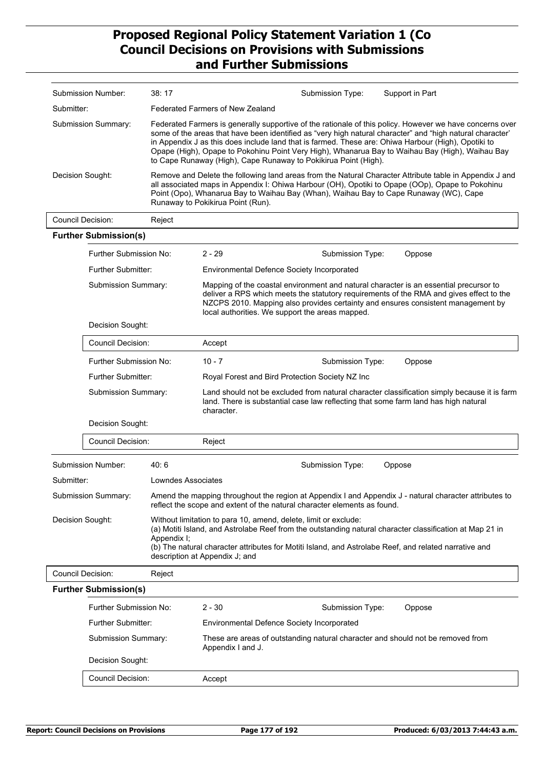| Submission Number:  | 38:17                                                                                                                                                                                                                                                                                                                                                                                                                                                                                              | Submission Type: | Support in Part |  |
|---------------------|----------------------------------------------------------------------------------------------------------------------------------------------------------------------------------------------------------------------------------------------------------------------------------------------------------------------------------------------------------------------------------------------------------------------------------------------------------------------------------------------------|------------------|-----------------|--|
| Submitter:          | Federated Farmers of New Zealand                                                                                                                                                                                                                                                                                                                                                                                                                                                                   |                  |                 |  |
| Submission Summary: | Federated Farmers is generally supportive of the rationale of this policy. However we have concerns over<br>some of the areas that have been identified as "very high natural character" and "high natural character"<br>in Appendix J as this does include land that is farmed. These are: Ohiwa Harbour (High), Opotiki to<br>Opape (High), Opape to Pokohinu Point Very High), Whanarua Bay to Waihau Bay (High), Waihau Bay<br>to Cape Runaway (High), Cape Runaway to Pokikirua Point (High). |                  |                 |  |
| Decision Sought:    | Remove and Delete the following land areas from the Natural Character Attribute table in Appendix J and<br>all associated maps in Appendix I: Ohiwa Harbour (OH), Opotiki to Opape (OOp), Opape to Pokohinu<br>Point (Opo), Whanarua Bay to Waihau Bay (Whan), Waihau Bay to Cape Runaway (WC), Cape<br>Runaway to Pokikirua Point (Run).                                                                                                                                                          |                  |                 |  |
| Council Decision:   | Reject                                                                                                                                                                                                                                                                                                                                                                                                                                                                                             |                  |                 |  |

|                                 | <b>Further Submission(s)</b>                            |                                                                                                                                                                                                                                                                                                                        |                                                                                                                                                                                                                                                                                                                         |                                                                                                        |        |  |  |
|---------------------------------|---------------------------------------------------------|------------------------------------------------------------------------------------------------------------------------------------------------------------------------------------------------------------------------------------------------------------------------------------------------------------------------|-------------------------------------------------------------------------------------------------------------------------------------------------------------------------------------------------------------------------------------------------------------------------------------------------------------------------|--------------------------------------------------------------------------------------------------------|--------|--|--|
|                                 | Further Submission No:                                  |                                                                                                                                                                                                                                                                                                                        | $2 - 29$                                                                                                                                                                                                                                                                                                                | Submission Type:                                                                                       | Oppose |  |  |
|                                 | <b>Further Submitter:</b><br><b>Submission Summary:</b> |                                                                                                                                                                                                                                                                                                                        | <b>Environmental Defence Society Incorporated</b>                                                                                                                                                                                                                                                                       |                                                                                                        |        |  |  |
|                                 |                                                         |                                                                                                                                                                                                                                                                                                                        | Mapping of the coastal environment and natural character is an essential precursor to<br>deliver a RPS which meets the statutory requirements of the RMA and gives effect to the<br>NZCPS 2010. Mapping also provides certainty and ensures consistent management by<br>local authorities. We support the areas mapped. |                                                                                                        |        |  |  |
|                                 | Decision Sought:                                        |                                                                                                                                                                                                                                                                                                                        |                                                                                                                                                                                                                                                                                                                         |                                                                                                        |        |  |  |
|                                 | Council Decision:                                       |                                                                                                                                                                                                                                                                                                                        | Accept                                                                                                                                                                                                                                                                                                                  |                                                                                                        |        |  |  |
|                                 | Further Submission No:                                  |                                                                                                                                                                                                                                                                                                                        | $10 - 7$                                                                                                                                                                                                                                                                                                                | Submission Type:                                                                                       | Oppose |  |  |
|                                 | <b>Further Submitter:</b>                               |                                                                                                                                                                                                                                                                                                                        | Royal Forest and Bird Protection Society NZ Inc                                                                                                                                                                                                                                                                         |                                                                                                        |        |  |  |
|                                 | <b>Submission Summary:</b>                              |                                                                                                                                                                                                                                                                                                                        | Land should not be excluded from natural character classification simply because it is farm<br>land. There is substantial case law reflecting that some farm land has high natural<br>character.                                                                                                                        |                                                                                                        |        |  |  |
|                                 | Decision Sought:                                        |                                                                                                                                                                                                                                                                                                                        |                                                                                                                                                                                                                                                                                                                         |                                                                                                        |        |  |  |
|                                 | Council Decision:                                       |                                                                                                                                                                                                                                                                                                                        | Reject                                                                                                                                                                                                                                                                                                                  |                                                                                                        |        |  |  |
|                                 | Submission Number:                                      | 40:6                                                                                                                                                                                                                                                                                                                   |                                                                                                                                                                                                                                                                                                                         | Submission Type:                                                                                       | Oppose |  |  |
| Submitter:                      |                                                         | Lowndes Associates                                                                                                                                                                                                                                                                                                     |                                                                                                                                                                                                                                                                                                                         |                                                                                                        |        |  |  |
| <b>Submission Summary:</b>      |                                                         |                                                                                                                                                                                                                                                                                                                        | reflect the scope and extent of the natural character elements as found.                                                                                                                                                                                                                                                | Amend the mapping throughout the region at Appendix I and Appendix J - natural character attributes to |        |  |  |
| Decision Sought:<br>Appendix I; |                                                         | Without limitation to para 10, amend, delete, limit or exclude:<br>(a) Motiti Island, and Astrolabe Reef from the outstanding natural character classification at Map 21 in<br>(b) The natural character attributes for Motiti Island, and Astrolabe Reef, and related narrative and<br>description at Appendix J; and |                                                                                                                                                                                                                                                                                                                         |                                                                                                        |        |  |  |
| Council Decision:<br>Reject     |                                                         |                                                                                                                                                                                                                                                                                                                        |                                                                                                                                                                                                                                                                                                                         |                                                                                                        |        |  |  |
| <b>Further Submission(s)</b>    |                                                         |                                                                                                                                                                                                                                                                                                                        |                                                                                                                                                                                                                                                                                                                         |                                                                                                        |        |  |  |
|                                 | Further Submission No:                                  |                                                                                                                                                                                                                                                                                                                        | $2 - 30$                                                                                                                                                                                                                                                                                                                | Submission Type:                                                                                       | Oppose |  |  |
|                                 | <b>Further Submitter:</b>                               |                                                                                                                                                                                                                                                                                                                        | Environmental Defence Society Incorporated                                                                                                                                                                                                                                                                              |                                                                                                        |        |  |  |
|                                 | <b>Submission Summary:</b>                              |                                                                                                                                                                                                                                                                                                                        | These are areas of outstanding natural character and should not be removed from<br>Appendix I and J.                                                                                                                                                                                                                    |                                                                                                        |        |  |  |
|                                 | Decision Sought:                                        |                                                                                                                                                                                                                                                                                                                        |                                                                                                                                                                                                                                                                                                                         |                                                                                                        |        |  |  |
|                                 | Council Decision:                                       |                                                                                                                                                                                                                                                                                                                        | Accept                                                                                                                                                                                                                                                                                                                  |                                                                                                        |        |  |  |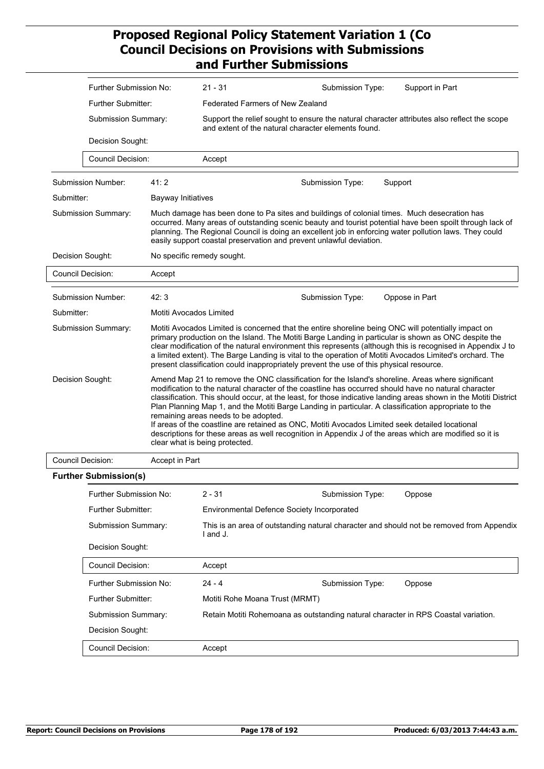|                  | Further Submission No:<br><b>Further Submitter:</b><br>Submission Summary: |                         | $21 - 31$                                                                                                                                          |                                                                                                                                                                                                                                                                                                                                                                                                                                                                                                                                   | Submission Type: |         | Support in Part                                                                                                                                                                                                                                                                                                                                                                                                                                                                                                                                                                                                                                     |  |
|------------------|----------------------------------------------------------------------------|-------------------------|----------------------------------------------------------------------------------------------------------------------------------------------------|-----------------------------------------------------------------------------------------------------------------------------------------------------------------------------------------------------------------------------------------------------------------------------------------------------------------------------------------------------------------------------------------------------------------------------------------------------------------------------------------------------------------------------------|------------------|---------|-----------------------------------------------------------------------------------------------------------------------------------------------------------------------------------------------------------------------------------------------------------------------------------------------------------------------------------------------------------------------------------------------------------------------------------------------------------------------------------------------------------------------------------------------------------------------------------------------------------------------------------------------------|--|
|                  |                                                                            |                         | Federated Farmers of New Zealand                                                                                                                   |                                                                                                                                                                                                                                                                                                                                                                                                                                                                                                                                   |                  |         |                                                                                                                                                                                                                                                                                                                                                                                                                                                                                                                                                                                                                                                     |  |
|                  |                                                                            |                         | Support the relief sought to ensure the natural character attributes also reflect the scope<br>and extent of the natural character elements found. |                                                                                                                                                                                                                                                                                                                                                                                                                                                                                                                                   |                  |         |                                                                                                                                                                                                                                                                                                                                                                                                                                                                                                                                                                                                                                                     |  |
|                  | Decision Sought:                                                           |                         |                                                                                                                                                    |                                                                                                                                                                                                                                                                                                                                                                                                                                                                                                                                   |                  |         |                                                                                                                                                                                                                                                                                                                                                                                                                                                                                                                                                                                                                                                     |  |
|                  | Council Decision:                                                          |                         | Accept                                                                                                                                             |                                                                                                                                                                                                                                                                                                                                                                                                                                                                                                                                   |                  |         |                                                                                                                                                                                                                                                                                                                                                                                                                                                                                                                                                                                                                                                     |  |
|                  | Submission Number:                                                         | 41:2                    |                                                                                                                                                    |                                                                                                                                                                                                                                                                                                                                                                                                                                                                                                                                   | Submission Type: | Support |                                                                                                                                                                                                                                                                                                                                                                                                                                                                                                                                                                                                                                                     |  |
| Submitter:       |                                                                            | Bayway Initiatives      |                                                                                                                                                    |                                                                                                                                                                                                                                                                                                                                                                                                                                                                                                                                   |                  |         |                                                                                                                                                                                                                                                                                                                                                                                                                                                                                                                                                                                                                                                     |  |
|                  | Submission Summary:                                                        |                         |                                                                                                                                                    | Much damage has been done to Pa sites and buildings of colonial times. Much desecration has<br>occurred. Many areas of outstanding scenic beauty and tourist potential have been spoilt through lack of<br>planning. The Regional Council is doing an excellent job in enforcing water pollution laws. They could<br>easily support coastal preservation and prevent unlawful deviation.                                                                                                                                          |                  |         |                                                                                                                                                                                                                                                                                                                                                                                                                                                                                                                                                                                                                                                     |  |
|                  | Decision Sought:                                                           |                         | No specific remedy sought.                                                                                                                         |                                                                                                                                                                                                                                                                                                                                                                                                                                                                                                                                   |                  |         |                                                                                                                                                                                                                                                                                                                                                                                                                                                                                                                                                                                                                                                     |  |
|                  | <b>Council Decision:</b>                                                   | Accept                  |                                                                                                                                                    |                                                                                                                                                                                                                                                                                                                                                                                                                                                                                                                                   |                  |         |                                                                                                                                                                                                                                                                                                                                                                                                                                                                                                                                                                                                                                                     |  |
|                  | Submission Number:                                                         | 42:3                    |                                                                                                                                                    |                                                                                                                                                                                                                                                                                                                                                                                                                                                                                                                                   | Submission Type: |         | Oppose in Part                                                                                                                                                                                                                                                                                                                                                                                                                                                                                                                                                                                                                                      |  |
| Submitter:       |                                                                            | Motiti Avocados Limited |                                                                                                                                                    |                                                                                                                                                                                                                                                                                                                                                                                                                                                                                                                                   |                  |         |                                                                                                                                                                                                                                                                                                                                                                                                                                                                                                                                                                                                                                                     |  |
|                  | Submission Summary:                                                        |                         |                                                                                                                                                    | Motiti Avocados Limited is concerned that the entire shoreline being ONC will potentially impact on<br>primary production on the Island. The Motiti Barge Landing in particular is shown as ONC despite the<br>clear modification of the natural environment this represents (although this is recognised in Appendix J to<br>a limited extent). The Barge Landing is vital to the operation of Motiti Avocados Limited's orchard. The<br>present classification could inappropriately prevent the use of this physical resource. |                  |         |                                                                                                                                                                                                                                                                                                                                                                                                                                                                                                                                                                                                                                                     |  |
| Decision Sought: |                                                                            |                         | remaining areas needs to be adopted.<br>clear what is being protected.                                                                             |                                                                                                                                                                                                                                                                                                                                                                                                                                                                                                                                   |                  |         | Amend Map 21 to remove the ONC classification for the Island's shoreline. Areas where significant<br>modification to the natural character of the coastline has occurred should have no natural character<br>classification. This should occur, at the least, for those indicative landing areas shown in the Motiti District<br>Plan Planning Map 1, and the Motiti Barge Landing in particular. A classification appropriate to the<br>If areas of the coastline are retained as ONC, Motiti Avocados Limited seek detailed locational<br>descriptions for these areas as well recognition in Appendix J of the areas which are modified so it is |  |
|                  | <b>Council Decision:</b>                                                   | Accept in Part          |                                                                                                                                                    |                                                                                                                                                                                                                                                                                                                                                                                                                                                                                                                                   |                  |         |                                                                                                                                                                                                                                                                                                                                                                                                                                                                                                                                                                                                                                                     |  |
|                  | <b>Further Submission(s)</b>                                               |                         |                                                                                                                                                    |                                                                                                                                                                                                                                                                                                                                                                                                                                                                                                                                   |                  |         |                                                                                                                                                                                                                                                                                                                                                                                                                                                                                                                                                                                                                                                     |  |
|                  | Further Submission No:                                                     |                         | $2 - 31$                                                                                                                                           |                                                                                                                                                                                                                                                                                                                                                                                                                                                                                                                                   | Submission Type: |         | Oppose                                                                                                                                                                                                                                                                                                                                                                                                                                                                                                                                                                                                                                              |  |
|                  | Further Submitter:<br><b>Submission Summary:</b>                           |                         |                                                                                                                                                    | Environmental Defence Society Incorporated                                                                                                                                                                                                                                                                                                                                                                                                                                                                                        |                  |         |                                                                                                                                                                                                                                                                                                                                                                                                                                                                                                                                                                                                                                                     |  |
|                  |                                                                            |                         | I and J.                                                                                                                                           |                                                                                                                                                                                                                                                                                                                                                                                                                                                                                                                                   |                  |         | This is an area of outstanding natural character and should not be removed from Appendix                                                                                                                                                                                                                                                                                                                                                                                                                                                                                                                                                            |  |
|                  | Decision Sought:                                                           |                         |                                                                                                                                                    |                                                                                                                                                                                                                                                                                                                                                                                                                                                                                                                                   |                  |         |                                                                                                                                                                                                                                                                                                                                                                                                                                                                                                                                                                                                                                                     |  |
|                  | Council Decision:                                                          |                         | Accept                                                                                                                                             |                                                                                                                                                                                                                                                                                                                                                                                                                                                                                                                                   |                  |         |                                                                                                                                                                                                                                                                                                                                                                                                                                                                                                                                                                                                                                                     |  |
|                  | Further Submission No:                                                     |                         | $24 - 4$                                                                                                                                           |                                                                                                                                                                                                                                                                                                                                                                                                                                                                                                                                   | Submission Type: |         | Oppose                                                                                                                                                                                                                                                                                                                                                                                                                                                                                                                                                                                                                                              |  |
|                  | Further Submitter:                                                         |                         |                                                                                                                                                    | Motiti Rohe Moana Trust (MRMT)                                                                                                                                                                                                                                                                                                                                                                                                                                                                                                    |                  |         |                                                                                                                                                                                                                                                                                                                                                                                                                                                                                                                                                                                                                                                     |  |
|                  | Submission Summary:                                                        |                         |                                                                                                                                                    |                                                                                                                                                                                                                                                                                                                                                                                                                                                                                                                                   |                  |         | Retain Motiti Rohemoana as outstanding natural character in RPS Coastal variation.                                                                                                                                                                                                                                                                                                                                                                                                                                                                                                                                                                  |  |
|                  | Decision Sought:                                                           |                         |                                                                                                                                                    |                                                                                                                                                                                                                                                                                                                                                                                                                                                                                                                                   |                  |         |                                                                                                                                                                                                                                                                                                                                                                                                                                                                                                                                                                                                                                                     |  |
|                  | Council Decision:                                                          |                         | Accept                                                                                                                                             |                                                                                                                                                                                                                                                                                                                                                                                                                                                                                                                                   |                  |         |                                                                                                                                                                                                                                                                                                                                                                                                                                                                                                                                                                                                                                                     |  |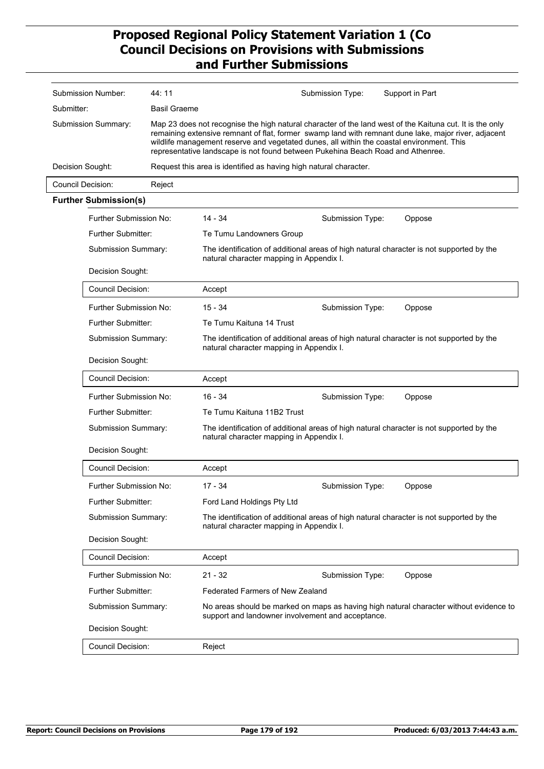| Submission Number:  |                              | 44:11               |                                                                                                                                                                                                                                                                                                                                                                                                  | Submission Type: | Support in Part                                                                          |  |  |
|---------------------|------------------------------|---------------------|--------------------------------------------------------------------------------------------------------------------------------------------------------------------------------------------------------------------------------------------------------------------------------------------------------------------------------------------------------------------------------------------------|------------------|------------------------------------------------------------------------------------------|--|--|
| Submitter:          |                              | <b>Basil Graeme</b> |                                                                                                                                                                                                                                                                                                                                                                                                  |                  |                                                                                          |  |  |
| Submission Summary: |                              |                     | Map 23 does not recognise the high natural character of the land west of the Kaituna cut. It is the only<br>remaining extensive remnant of flat, former swamp land with remnant dune lake, major river, adjacent<br>wildlife management reserve and vegetated dunes, all within the coastal environment. This<br>representative landscape is not found between Pukehina Beach Road and Athenree. |                  |                                                                                          |  |  |
|                     | Decision Sought:             |                     | Request this area is identified as having high natural character.                                                                                                                                                                                                                                                                                                                                |                  |                                                                                          |  |  |
|                     | <b>Council Decision:</b>     | Reject              |                                                                                                                                                                                                                                                                                                                                                                                                  |                  |                                                                                          |  |  |
|                     | <b>Further Submission(s)</b> |                     |                                                                                                                                                                                                                                                                                                                                                                                                  |                  |                                                                                          |  |  |
|                     | Further Submission No:       |                     | $14 - 34$                                                                                                                                                                                                                                                                                                                                                                                        | Submission Type: | Oppose                                                                                   |  |  |
|                     | <b>Further Submitter:</b>    |                     | Te Tumu Landowners Group                                                                                                                                                                                                                                                                                                                                                                         |                  |                                                                                          |  |  |
|                     | Submission Summary:          |                     | natural character mapping in Appendix I.                                                                                                                                                                                                                                                                                                                                                         |                  | The identification of additional areas of high natural character is not supported by the |  |  |
|                     | Decision Sought:             |                     |                                                                                                                                                                                                                                                                                                                                                                                                  |                  |                                                                                          |  |  |
|                     | <b>Council Decision:</b>     |                     | Accept                                                                                                                                                                                                                                                                                                                                                                                           |                  |                                                                                          |  |  |
|                     | Further Submission No:       |                     | $15 - 34$                                                                                                                                                                                                                                                                                                                                                                                        | Submission Type: | Oppose                                                                                   |  |  |
|                     | Further Submitter:           |                     | Te Tumu Kaituna 14 Trust                                                                                                                                                                                                                                                                                                                                                                         |                  |                                                                                          |  |  |
|                     | Submission Summary:          |                     | The identification of additional areas of high natural character is not supported by the<br>natural character mapping in Appendix I.                                                                                                                                                                                                                                                             |                  |                                                                                          |  |  |
|                     | Decision Sought:             |                     |                                                                                                                                                                                                                                                                                                                                                                                                  |                  |                                                                                          |  |  |
|                     | Council Decision:            |                     | Accept                                                                                                                                                                                                                                                                                                                                                                                           |                  |                                                                                          |  |  |
|                     | Further Submission No:       |                     | $16 - 34$                                                                                                                                                                                                                                                                                                                                                                                        | Submission Type: | Oppose                                                                                   |  |  |
|                     | Further Submitter:           |                     | Te Tumu Kaituna 11B2 Trust                                                                                                                                                                                                                                                                                                                                                                       |                  |                                                                                          |  |  |
|                     | Submission Summary:          |                     | The identification of additional areas of high natural character is not supported by the<br>natural character mapping in Appendix I.                                                                                                                                                                                                                                                             |                  |                                                                                          |  |  |
|                     | Decision Sought:             |                     |                                                                                                                                                                                                                                                                                                                                                                                                  |                  |                                                                                          |  |  |
|                     | <b>Council Decision:</b>     |                     | Accept                                                                                                                                                                                                                                                                                                                                                                                           |                  |                                                                                          |  |  |
|                     | Further Submission No:       |                     | $17 - 34$                                                                                                                                                                                                                                                                                                                                                                                        | Submission Type: | Oppose                                                                                   |  |  |
|                     | Further Submitter:           |                     | Ford Land Holdings Pty Ltd                                                                                                                                                                                                                                                                                                                                                                       |                  |                                                                                          |  |  |
|                     | Submission Summary:          |                     | natural character mapping in Appendix I.                                                                                                                                                                                                                                                                                                                                                         |                  | The identification of additional areas of high natural character is not supported by the |  |  |
|                     | Decision Sought:             |                     |                                                                                                                                                                                                                                                                                                                                                                                                  |                  |                                                                                          |  |  |
|                     | <b>Council Decision:</b>     |                     | Accept                                                                                                                                                                                                                                                                                                                                                                                           |                  |                                                                                          |  |  |
|                     | Further Submission No:       |                     | $21 - 32$                                                                                                                                                                                                                                                                                                                                                                                        | Submission Type: | Oppose                                                                                   |  |  |
|                     | Further Submitter:           |                     | Federated Farmers of New Zealand                                                                                                                                                                                                                                                                                                                                                                 |                  |                                                                                          |  |  |
|                     | Submission Summary:          |                     | support and landowner involvement and acceptance.                                                                                                                                                                                                                                                                                                                                                |                  | No areas should be marked on maps as having high natural character without evidence to   |  |  |
|                     | Decision Sought:             |                     |                                                                                                                                                                                                                                                                                                                                                                                                  |                  |                                                                                          |  |  |
|                     | <b>Council Decision:</b>     |                     | Reject                                                                                                                                                                                                                                                                                                                                                                                           |                  |                                                                                          |  |  |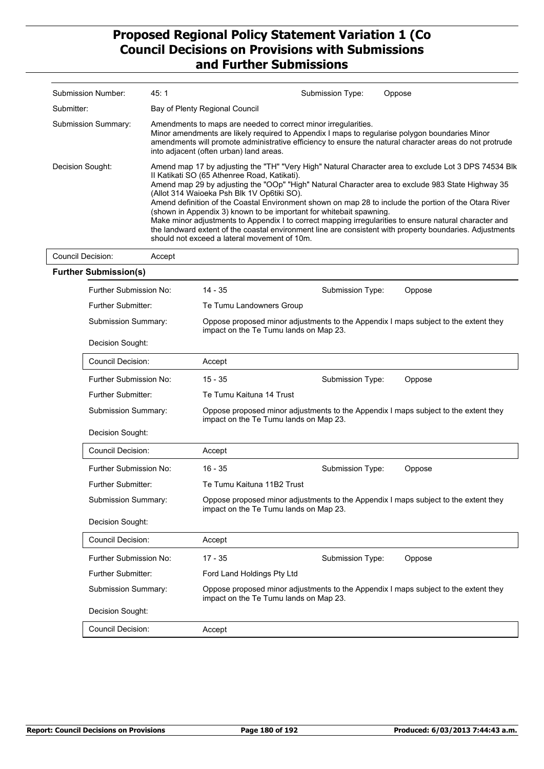| Submission Number:  | 45:1                                                                                                                                                                                                                                                                                                                                                                                                                                                                                                                                                                                                                                                                                                                                                          | Submission Type: | Oppose |  |
|---------------------|---------------------------------------------------------------------------------------------------------------------------------------------------------------------------------------------------------------------------------------------------------------------------------------------------------------------------------------------------------------------------------------------------------------------------------------------------------------------------------------------------------------------------------------------------------------------------------------------------------------------------------------------------------------------------------------------------------------------------------------------------------------|------------------|--------|--|
| Submitter:          | Bay of Plenty Regional Council                                                                                                                                                                                                                                                                                                                                                                                                                                                                                                                                                                                                                                                                                                                                |                  |        |  |
| Submission Summary: | Amendments to maps are needed to correct minor irregularities.<br>Minor amendments are likely required to Appendix I maps to regularise polygon boundaries Minor<br>amendments will promote administrative efficiency to ensure the natural character areas do not protrude<br>into adjacent (often urban) land areas.                                                                                                                                                                                                                                                                                                                                                                                                                                        |                  |        |  |
| Decision Sought:    | Amend map 17 by adjusting the "TH" "Very High" Natural Character area to exclude Lot 3 DPS 74534 Blk<br>II Katikati SO (65 Athenree Road, Katikati).<br>Amend map 29 by adjusting the "OOp" "High" Natural Character area to exclude 983 State Highway 35<br>(Allot 314 Waioeka Psh Blk 1V Op6tiki SO).<br>Amend definition of the Coastal Environment shown on map 28 to include the portion of the Otara River<br>(shown in Appendix 3) known to be important for whitebait spawning.<br>Make minor adjustments to Appendix I to correct mapping irregularities to ensure natural character and<br>the landward extent of the coastal environment line are consistent with property boundaries. Adjustments<br>should not exceed a lateral movement of 10m. |                  |        |  |
| Council Decision:   | Accept                                                                                                                                                                                                                                                                                                                                                                                                                                                                                                                                                                                                                                                                                                                                                        |                  |        |  |

| <b>Further Submission(s)</b>  |                                                                                                                               |                            |                                                                                     |  |  |
|-------------------------------|-------------------------------------------------------------------------------------------------------------------------------|----------------------------|-------------------------------------------------------------------------------------|--|--|
| Further Submission No:        | $14 - 35$                                                                                                                     | Submission Type:           | Oppose                                                                              |  |  |
| <b>Further Submitter:</b>     | Te Tumu Landowners Group                                                                                                      |                            |                                                                                     |  |  |
| Submission Summary:           | Oppose proposed minor adjustments to the Appendix I maps subject to the extent they<br>impact on the Te Tumu lands on Map 23. |                            |                                                                                     |  |  |
| Decision Sought:              |                                                                                                                               |                            |                                                                                     |  |  |
| <b>Council Decision:</b>      | Accept                                                                                                                        |                            |                                                                                     |  |  |
| Further Submission No:        | $15 - 35$                                                                                                                     | Submission Type:           | Oppose                                                                              |  |  |
| <b>Further Submitter:</b>     | Te Tumu Kaituna 14 Trust                                                                                                      |                            |                                                                                     |  |  |
| Submission Summary:           | Oppose proposed minor adjustments to the Appendix I maps subject to the extent they<br>impact on the Te Tumu lands on Map 23. |                            |                                                                                     |  |  |
| Decision Sought:              |                                                                                                                               |                            |                                                                                     |  |  |
| <b>Council Decision:</b>      | Accept                                                                                                                        |                            |                                                                                     |  |  |
| Further Submission No:        | $16 - 35$                                                                                                                     | Submission Type:           | Oppose                                                                              |  |  |
| Further Submitter:            |                                                                                                                               | Te Tumu Kaituna 11B2 Trust |                                                                                     |  |  |
| <b>Submission Summary:</b>    | impact on the Te Tumu lands on Map 23.                                                                                        |                            | Oppose proposed minor adjustments to the Appendix I maps subject to the extent they |  |  |
| Decision Sought:              |                                                                                                                               |                            |                                                                                     |  |  |
| Council Decision:             | Accept                                                                                                                        |                            |                                                                                     |  |  |
| <b>Further Submission No:</b> | $17 - 35$                                                                                                                     | Submission Type:           | Oppose                                                                              |  |  |
| <b>Further Submitter:</b>     | Ford Land Holdings Pty Ltd                                                                                                    |                            |                                                                                     |  |  |
| <b>Submission Summary:</b>    | Oppose proposed minor adjustments to the Appendix I maps subject to the extent they<br>impact on the Te Tumu lands on Map 23. |                            |                                                                                     |  |  |
| Decision Sought:              |                                                                                                                               |                            |                                                                                     |  |  |
| <b>Council Decision:</b>      | Accept                                                                                                                        |                            |                                                                                     |  |  |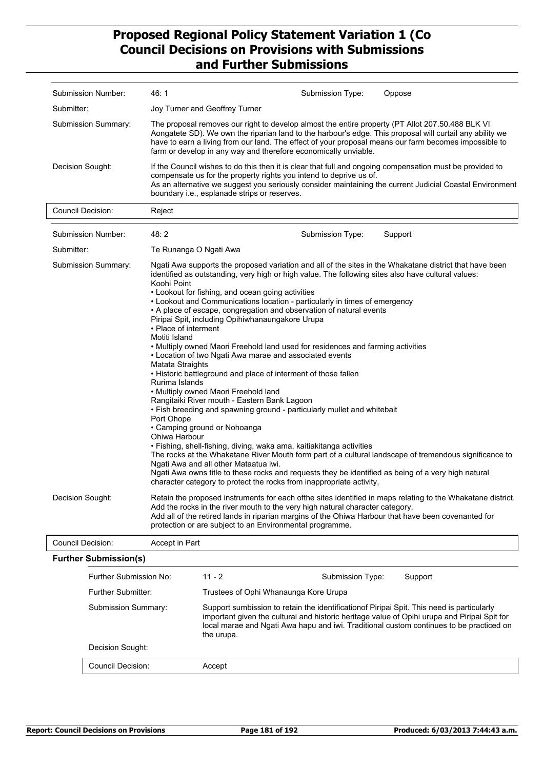| Submission Number:           | 46:1                                                                                                                                                                                                                                                                                                                                                                                                                                                                                                                                                                                                                                                                                                                                                                                                                                                                                                                                                                                                                                                                                                                                                                                                                                                                                                                                                                                                                                  | Submission Type:         | Oppose  |
|------------------------------|---------------------------------------------------------------------------------------------------------------------------------------------------------------------------------------------------------------------------------------------------------------------------------------------------------------------------------------------------------------------------------------------------------------------------------------------------------------------------------------------------------------------------------------------------------------------------------------------------------------------------------------------------------------------------------------------------------------------------------------------------------------------------------------------------------------------------------------------------------------------------------------------------------------------------------------------------------------------------------------------------------------------------------------------------------------------------------------------------------------------------------------------------------------------------------------------------------------------------------------------------------------------------------------------------------------------------------------------------------------------------------------------------------------------------------------|--------------------------|---------|
| Submitter:                   | Joy Turner and Geoffrey Turner                                                                                                                                                                                                                                                                                                                                                                                                                                                                                                                                                                                                                                                                                                                                                                                                                                                                                                                                                                                                                                                                                                                                                                                                                                                                                                                                                                                                        |                          |         |
| <b>Submission Summary:</b>   | The proposal removes our right to develop almost the entire property (PT Allot 207.50.488 BLK VI<br>Aongatete SD). We own the riparian land to the harbour's edge. This proposal will curtail any ability we<br>have to earn a living from our land. The effect of your proposal means our farm becomes impossible to<br>farm or develop in any way and therefore economically unviable.                                                                                                                                                                                                                                                                                                                                                                                                                                                                                                                                                                                                                                                                                                                                                                                                                                                                                                                                                                                                                                              |                          |         |
| Decision Sought:             | If the Council wishes to do this then it is clear that full and ongoing compensation must be provided to<br>compensate us for the property rights you intend to deprive us of.<br>As an alternative we suggest you seriously consider maintaining the current Judicial Coastal Environment<br>boundary i.e., esplanade strips or reserves.                                                                                                                                                                                                                                                                                                                                                                                                                                                                                                                                                                                                                                                                                                                                                                                                                                                                                                                                                                                                                                                                                            |                          |         |
| <b>Council Decision:</b>     | Reject                                                                                                                                                                                                                                                                                                                                                                                                                                                                                                                                                                                                                                                                                                                                                                                                                                                                                                                                                                                                                                                                                                                                                                                                                                                                                                                                                                                                                                |                          |         |
| Submission Number:           | 48: 2                                                                                                                                                                                                                                                                                                                                                                                                                                                                                                                                                                                                                                                                                                                                                                                                                                                                                                                                                                                                                                                                                                                                                                                                                                                                                                                                                                                                                                 | Submission Type:         | Support |
| Submitter:                   | Te Runanga O Ngati Awa                                                                                                                                                                                                                                                                                                                                                                                                                                                                                                                                                                                                                                                                                                                                                                                                                                                                                                                                                                                                                                                                                                                                                                                                                                                                                                                                                                                                                |                          |         |
| Submission Summary:          | Ngati Awa supports the proposed variation and all of the sites in the Whakatane district that have been<br>identified as outstanding, very high or high value. The following sites also have cultural values:<br>Koohi Point<br>• Lookout for fishing, and ocean going activities<br>• Lookout and Communications location - particularly in times of emergency<br>• A place of escape, congregation and observation of natural events<br>Piripai Spit, including Opihiwhanaungakore Urupa<br>• Place of interment<br>Motiti Island<br>• Multiply owned Maori Freehold land used for residences and farming activities<br>• Location of two Ngati Awa marae and associated events<br>Matata Straights<br>• Historic battleground and place of interment of those fallen<br>Rurima Islands<br>• Multiply owned Maori Freehold land<br>Rangitaiki River mouth - Eastern Bank Lagoon<br>• Fish breeding and spawning ground - particularly mullet and whitebait<br>Port Ohope<br>• Camping ground or Nohoanga<br>Ohiwa Harbour<br>· Fishing, shell-fishing, diving, waka ama, kaitiakitanga activities<br>The rocks at the Whakatane River Mouth form part of a cultural landscape of tremendous significance to<br>Ngati Awa and all other Mataatua iwi.<br>Ngati Awa owns title to these rocks and requests they be identified as being of a very high natural<br>character category to protect the rocks from inappropriate activity, |                          |         |
| Decision Sought:             | Retain the proposed instruments for each of the sites identified in maps relating to the Whakatane district.<br>Add the rocks in the river mouth to the very high natural character category,<br>Add all of the retired lands in riparian margins of the Ohiwa Harbour that have been covenanted for<br>protection or are subject to an Environmental programme.                                                                                                                                                                                                                                                                                                                                                                                                                                                                                                                                                                                                                                                                                                                                                                                                                                                                                                                                                                                                                                                                      |                          |         |
| <b>Council Decision:</b>     | Accept in Part                                                                                                                                                                                                                                                                                                                                                                                                                                                                                                                                                                                                                                                                                                                                                                                                                                                                                                                                                                                                                                                                                                                                                                                                                                                                                                                                                                                                                        |                          |         |
| <b>Further Submission(s)</b> |                                                                                                                                                                                                                                                                                                                                                                                                                                                                                                                                                                                                                                                                                                                                                                                                                                                                                                                                                                                                                                                                                                                                                                                                                                                                                                                                                                                                                                       |                          |         |
| Eurther Submission No:       | 11 <sub>2</sub>                                                                                                                                                                                                                                                                                                                                                                                                                                                                                                                                                                                                                                                                                                                                                                                                                                                                                                                                                                                                                                                                                                                                                                                                                                                                                                                                                                                                                       | Cubmiccion Type: Cupport |         |

| Further Submission No: | $11 - 2$                                                                                                                                                                                                                                                                                            | Submission Type:                      | Support |  |
|------------------------|-----------------------------------------------------------------------------------------------------------------------------------------------------------------------------------------------------------------------------------------------------------------------------------------------------|---------------------------------------|---------|--|
| Further Submitter:     |                                                                                                                                                                                                                                                                                                     | Trustees of Ophi Whanaunga Kore Urupa |         |  |
| Submission Summary:    | Support sumbission to retain the identification of Piripai Spit. This need is particularly<br>important given the cultural and historic heritage value of Opihi urupa and Piripai Spit for<br>local marae and Ngati Awa hapu and iwi. Traditional custom continues to be practiced on<br>the urupa. |                                       |         |  |
| Decision Sought:       |                                                                                                                                                                                                                                                                                                     |                                       |         |  |
| Council Decision:      | Accept                                                                                                                                                                                                                                                                                              |                                       |         |  |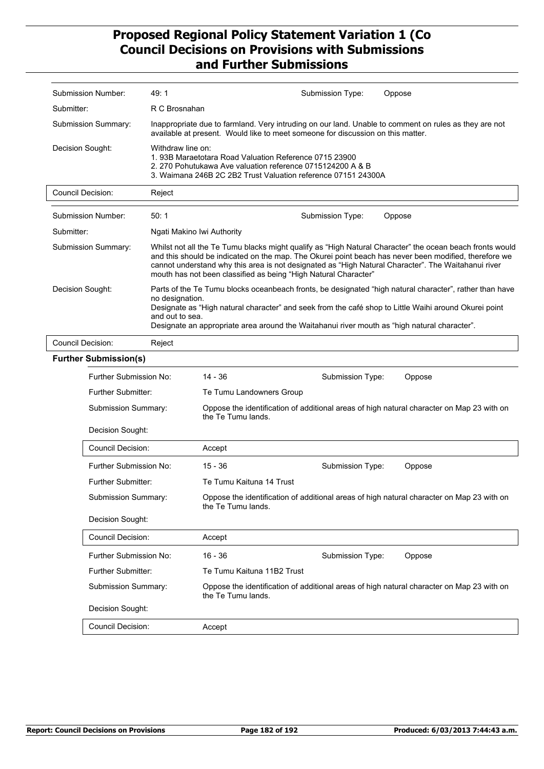|                          | Submission Number:           | 49:1                               | Submission Type:<br>Oppose                                                                                                                                                                                                                                                                                                                                                                  |  |  |  |  |
|--------------------------|------------------------------|------------------------------------|---------------------------------------------------------------------------------------------------------------------------------------------------------------------------------------------------------------------------------------------------------------------------------------------------------------------------------------------------------------------------------------------|--|--|--|--|
| Submitter:               |                              | R C Brosnahan                      |                                                                                                                                                                                                                                                                                                                                                                                             |  |  |  |  |
|                          | Submission Summary:          |                                    | Inappropriate due to farmland. Very intruding on our land. Unable to comment on rules as they are not<br>available at present. Would like to meet someone for discussion on this matter.                                                                                                                                                                                                    |  |  |  |  |
| Decision Sought:         |                              | Withdraw line on:                  | 1.93B Maraetotara Road Valuation Reference 0715 23900<br>2. 270 Pohutukawa Ave valuation reference 0715124200 A & B<br>3. Waimana 246B 2C 2B2 Trust Valuation reference 07151 24300A                                                                                                                                                                                                        |  |  |  |  |
| <b>Council Decision:</b> |                              | Reject                             |                                                                                                                                                                                                                                                                                                                                                                                             |  |  |  |  |
|                          | Submission Number:           | 50:1                               | Submission Type:<br>Oppose                                                                                                                                                                                                                                                                                                                                                                  |  |  |  |  |
| Submitter:               |                              | Ngati Makino Iwi Authority         |                                                                                                                                                                                                                                                                                                                                                                                             |  |  |  |  |
|                          | Submission Summary:          |                                    | Whilst not all the Te Tumu blacks might qualify as "High Natural Character" the ocean beach fronts would<br>and this should be indicated on the map. The Okurei point beach has never been modified, therefore we<br>cannot understand why this area is not designated as "High Natural Character". The Waitahanui river<br>mouth has not been classified as being "High Natural Character" |  |  |  |  |
| Decision Sought:         |                              | no designation.<br>and out to sea. | Parts of the Te Tumu blocks oceanbeach fronts, be designated "high natural character", rather than have<br>Designate as "High natural character" and seek from the café shop to Little Waihi around Okurei point<br>Designate an appropriate area around the Waitahanui river mouth as "high natural character".                                                                            |  |  |  |  |
| Council Decision:        |                              | Reject                             |                                                                                                                                                                                                                                                                                                                                                                                             |  |  |  |  |
|                          | <b>Further Submission(s)</b> |                                    |                                                                                                                                                                                                                                                                                                                                                                                             |  |  |  |  |
|                          | Further Submission No:       |                                    | $14 - 36$<br>Submission Type:<br>Oppose                                                                                                                                                                                                                                                                                                                                                     |  |  |  |  |
|                          | <b>Further Submitter:</b>    |                                    | Te Tumu Landowners Group                                                                                                                                                                                                                                                                                                                                                                    |  |  |  |  |
|                          | Submission Summary:          |                                    | Oppose the identification of additional areas of high natural character on Map 23 with on<br>the Te Tumu lands.                                                                                                                                                                                                                                                                             |  |  |  |  |
|                          | Decision Sought:             |                                    |                                                                                                                                                                                                                                                                                                                                                                                             |  |  |  |  |
|                          | <b>Council Decision:</b>     |                                    | Accept                                                                                                                                                                                                                                                                                                                                                                                      |  |  |  |  |
|                          | Further Submission No:       |                                    | $15 - 36$<br>Submission Type:<br>Oppose                                                                                                                                                                                                                                                                                                                                                     |  |  |  |  |
|                          | <b>Further Submitter:</b>    |                                    | Te Tumu Kaituna 14 Trust                                                                                                                                                                                                                                                                                                                                                                    |  |  |  |  |
|                          | Submission Summary:          |                                    | Oppose the identification of additional areas of high natural character on Map 23 with on<br>the Te Tumu lands.                                                                                                                                                                                                                                                                             |  |  |  |  |
|                          | Decision Sought:             |                                    |                                                                                                                                                                                                                                                                                                                                                                                             |  |  |  |  |
|                          | <b>Council Decision:</b>     |                                    | Accept                                                                                                                                                                                                                                                                                                                                                                                      |  |  |  |  |
|                          | Further Submission No:       |                                    | $16 - 36$<br>Submission Type:<br>Oppose                                                                                                                                                                                                                                                                                                                                                     |  |  |  |  |
|                          | <b>Further Submitter:</b>    |                                    | Te Tumu Kaituna 11B2 Trust                                                                                                                                                                                                                                                                                                                                                                  |  |  |  |  |
|                          | Submission Summary:          |                                    | Oppose the identification of additional areas of high natural character on Map 23 with on<br>the Te Tumu lands.                                                                                                                                                                                                                                                                             |  |  |  |  |
|                          | Decision Sought:             |                                    |                                                                                                                                                                                                                                                                                                                                                                                             |  |  |  |  |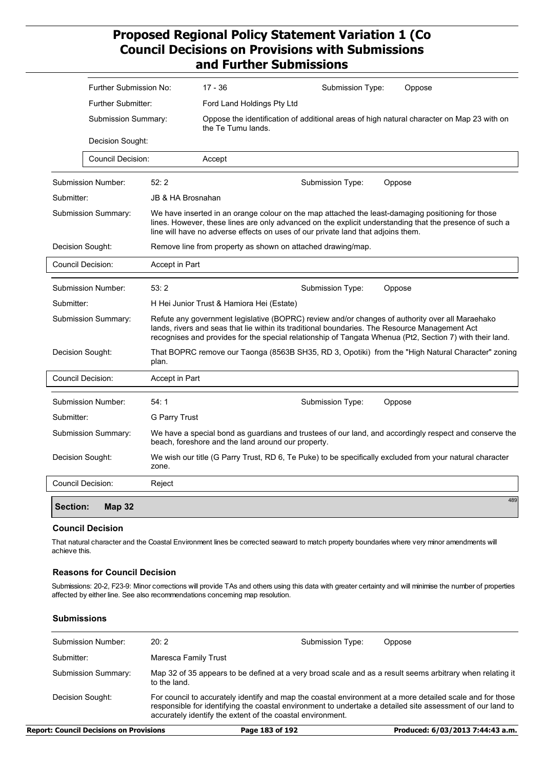|                     | Further Submission No:    |                                                                                                                                                                                                                                                                                                               | $17 - 36$                                                                                                                                                    |                  | Submission Type: | Oppose                                                                                                   |  |  |
|---------------------|---------------------------|---------------------------------------------------------------------------------------------------------------------------------------------------------------------------------------------------------------------------------------------------------------------------------------------------------------|--------------------------------------------------------------------------------------------------------------------------------------------------------------|------------------|------------------|----------------------------------------------------------------------------------------------------------|--|--|
|                     | <b>Further Submitter:</b> |                                                                                                                                                                                                                                                                                                               | Ford Land Holdings Pty Ltd                                                                                                                                   |                  |                  |                                                                                                          |  |  |
|                     | Submission Summary:       |                                                                                                                                                                                                                                                                                                               | the Te Tumu lands.                                                                                                                                           |                  |                  | Oppose the identification of additional areas of high natural character on Map 23 with on                |  |  |
|                     | Decision Sought:          |                                                                                                                                                                                                                                                                                                               |                                                                                                                                                              |                  |                  |                                                                                                          |  |  |
|                     | Council Decision:         |                                                                                                                                                                                                                                                                                                               | Accept                                                                                                                                                       |                  |                  |                                                                                                          |  |  |
|                     | Submission Number:        | 52:2                                                                                                                                                                                                                                                                                                          |                                                                                                                                                              | Submission Type: |                  | Oppose                                                                                                   |  |  |
| Submitter:          |                           | JB & HA Brosnahan                                                                                                                                                                                                                                                                                             |                                                                                                                                                              |                  |                  |                                                                                                          |  |  |
|                     | Submission Summary:       | We have inserted in an orange colour on the map attached the least-damaging positioning for those<br>lines. However, these lines are only advanced on the explicit understanding that the presence of such a<br>line will have no adverse effects on uses of our private land that adjoins them.              |                                                                                                                                                              |                  |                  |                                                                                                          |  |  |
|                     | Decision Sought:          |                                                                                                                                                                                                                                                                                                               | Remove line from property as shown on attached drawing/map.                                                                                                  |                  |                  |                                                                                                          |  |  |
|                     | Council Decision:         | Accept in Part                                                                                                                                                                                                                                                                                                |                                                                                                                                                              |                  |                  |                                                                                                          |  |  |
|                     | <b>Submission Number:</b> | 53:2                                                                                                                                                                                                                                                                                                          |                                                                                                                                                              | Submission Type: |                  | Oppose                                                                                                   |  |  |
| Submitter:          |                           | H Hei Junior Trust & Hamiora Hei (Estate)                                                                                                                                                                                                                                                                     |                                                                                                                                                              |                  |                  |                                                                                                          |  |  |
|                     | Submission Summary:       | Refute any government legislative (BOPRC) review and/or changes of authority over all Maraehako<br>lands, rivers and seas that lie within its traditional boundaries. The Resource Management Act<br>recognises and provides for the special relationship of Tangata Whenua (Pt2, Section 7) with their land. |                                                                                                                                                              |                  |                  |                                                                                                          |  |  |
|                     | Decision Sought:          | That BOPRC remove our Taonga (8563B SH35, RD 3, Opotiki) from the "High Natural Character" zoning<br>plan.                                                                                                                                                                                                    |                                                                                                                                                              |                  |                  |                                                                                                          |  |  |
|                     | Council Decision:         | Accept in Part                                                                                                                                                                                                                                                                                                |                                                                                                                                                              |                  |                  |                                                                                                          |  |  |
|                     | <b>Submission Number:</b> | 54:1                                                                                                                                                                                                                                                                                                          |                                                                                                                                                              | Submission Type: |                  | Oppose                                                                                                   |  |  |
| Submitter:          |                           | G Parry Trust                                                                                                                                                                                                                                                                                                 |                                                                                                                                                              |                  |                  |                                                                                                          |  |  |
| Submission Summary: |                           |                                                                                                                                                                                                                                                                                                               | We have a special bond as guardians and trustees of our land, and accordingly respect and conserve the<br>beach, foreshore and the land around our property. |                  |                  |                                                                                                          |  |  |
|                     | Decision Sought:<br>zone. |                                                                                                                                                                                                                                                                                                               |                                                                                                                                                              |                  |                  | We wish our title (G Parry Trust, RD 6, Te Puke) to be specifically excluded from your natural character |  |  |
|                     | Council Decision:         | Reject                                                                                                                                                                                                                                                                                                        |                                                                                                                                                              |                  |                  |                                                                                                          |  |  |
| Section:            | <b>Map 32</b>             |                                                                                                                                                                                                                                                                                                               |                                                                                                                                                              |                  |                  | 489                                                                                                      |  |  |

#### **Council Decision**

That natural character and the Coastal Environment lines be corrected seaward to match property boundaries where very minor amendments will achieve this.

#### **Reasons for Council Decision**

Submissions: 20-2, F23-9: Minor corrections will provide TAs and others using this data with greater certainty and will minimise the number of properties affected by either line. See also recommendations concerning map resolution.

#### **Submissions**

| Submission Number:  | 20:2                                                                                                                                                                                                                                                                                  | Submission Type: | Oppose |
|---------------------|---------------------------------------------------------------------------------------------------------------------------------------------------------------------------------------------------------------------------------------------------------------------------------------|------------------|--------|
| Submitter:          | Maresca Family Trust                                                                                                                                                                                                                                                                  |                  |        |
| Submission Summary: | Map 32 of 35 appears to be defined at a very broad scale and as a result seems arbitrary when relating it<br>to the land.                                                                                                                                                             |                  |        |
| Decision Sought:    | For council to accurately identify and map the coastal environment at a more detailed scale and for those<br>responsible for identifying the coastal environment to undertake a detailed site assessment of our land to<br>accurately identify the extent of the coastal environment. |                  |        |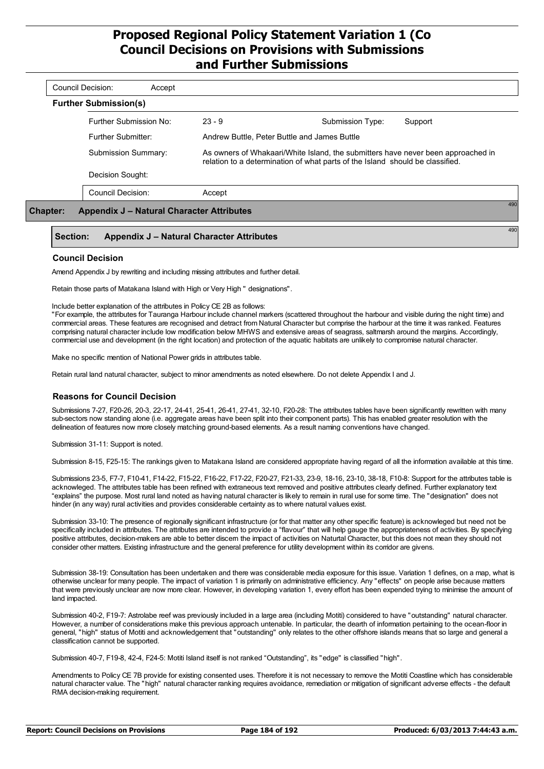| <b>Further Submission(s)</b> | Accept                                    |          |                                                                                                                                                                   |         |
|------------------------------|-------------------------------------------|----------|-------------------------------------------------------------------------------------------------------------------------------------------------------------------|---------|
|                              | Further Submission No:                    | $23 - 9$ | Submission Type:                                                                                                                                                  | Support |
|                              | Further Submitter:                        |          | Andrew Buttle, Peter Buttle and James Buttle                                                                                                                      |         |
|                              | Submission Summary:                       |          | As owners of Whakaari/White Island, the submitters have never been approached in<br>relation to a determination of what parts of the Island should be classified. |         |
|                              | Decision Sought:                          |          |                                                                                                                                                                   |         |
|                              | <b>Council Decision:</b>                  | Accept   |                                                                                                                                                                   |         |
| <b>Chapter:</b>              | Appendix J – Natural Character Attributes |          |                                                                                                                                                                   |         |

#### **Section: Appendix J – Natural Character Attributes**

#### **Council Decision**

Amend Appendix J by rewriting and including missing attributes and further detail.

Retain those parts of Matakana Island with High or Very High " designations".

Include better explanation of the attributes in Policy CE 2B as follows:

"For example, the attributes for Tauranga Harbour include channel markers (scattered throughout the harbour and visible during the night time) and commercial areas. These features are recognised and detract from Natural Character but comprise the harbour at the time it was ranked. Features comprising natural character include low modification below MHWS and extensive areas of seagrass, saltmarsh around the margins. Accordingly, commercial use and development (in the right location) and protection of the aquatic habitats are unlikely to compromise natural character.

Make no specific mention of National Power grids in attributes table.

Retain rural land natural character, subject to minor amendments as noted elsewhere. Do not delete Appendix I and J.

#### **Reasons for Council Decision**

Submissions 7-27, F20-26, 20-3, 22-17, 24-41, 25-41, 26-41, 27-41, 32-10, F20-28: The attributes tables have been significantly rewritten with many sub-sectors now standing alone (i.e. aggregate areas have been split into their component parts). This has enabled greater resolution with the delineation of features now more closely matching ground-based elements. As a result naming conventions have changed.

Submission 31-11: Support is noted.

Submission 8-15, F25-15: The rankings given to Matakana Island are considered appropriate having regard of all the information available at this time.

Submissions 23-5, F7-7, F10-41, F14-22, F15-22, F16-22, F17-22, F20-27, F21-33, 23-9, 18-16, 23-10, 38-18, F10-8: Support for the attributes table is acknowleged. The attributes table has been refined with extraneous text removed and positive attributes clearly defined. Further explanatory text "explains" the purpose. Most rural land noted as having natural character is likely to remain in rural use for some time. The "designation" does not hinder (in any way) rural activities and provides considerable certainty as to where natural values exist.

Submission 33-10: The presence of regionally significant infrastructure (or for that matter any other specific feature) is acknowleged but need not be specifically included in attributes. The attributes are intended to provide a "flavour" that will help gauge the appropriateness of activities. By specifying positive attributes, decision-makers are able to better discern the impact of activities on Naturtal Character, but this does not mean they should not consider other matters. Existing infrastructure and the general preference for utility development within its corridor are givens.

Submission 38-19: Consultation has been undertaken and there was considerable media exposure for this issue. Variation 1 defines, on a map, what is otherwise unclear for many people. The impact of variation 1 is primarily on administrative efficiency. Any "effects" on people arise because matters that were previously unclear are now more clear. However, in developing variation 1, every effort has been expended trying to minimise the amount of land impacted.

Submission 40-2, F19-7: Astrolabe reef was previously included in a large area (including Motiti) considered to have "outstanding" natural character. However, a number of considerations make this previous approach untenable. In particular, the dearth of information pertaining to the ocean-floor in general, "high" status of Motiti and acknowledgement that "outstanding" only relates to the other offshore islands means that so large and general a classification cannot be supported.

Submission 40-7, F19-8, 42-4, F24-5: Motiti Island itself is not ranked "Outstanding", its "edge" is classified "high".

Amendments to Policy CE 7B provide for existing consented uses. Therefore it is not necessary to remove the Motiti Coastline which has considerable natural character value. The "high" natural character ranking requires avoidance, remediation or mitigation of significant adverse effects - the default RMA decision-making requirement.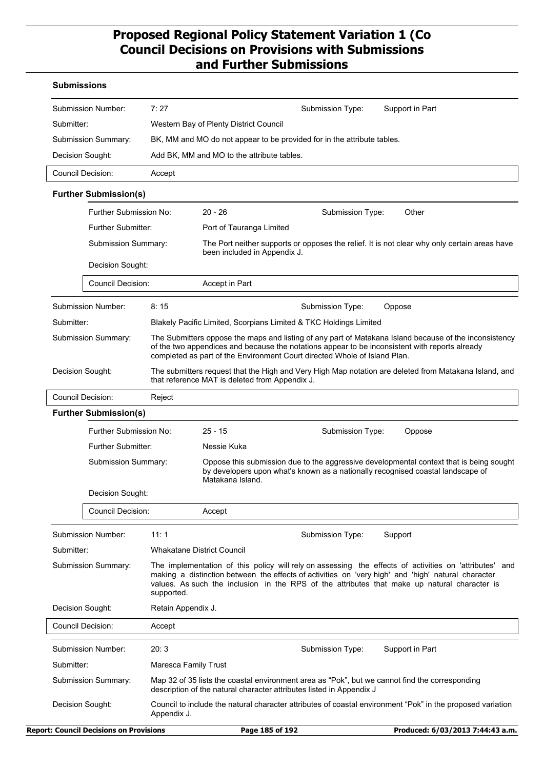#### **Submissions**

| Submission Number:  | 7:27                                                                    | Submission Type: | Support in Part |  |
|---------------------|-------------------------------------------------------------------------|------------------|-----------------|--|
| Submitter:          | Western Bay of Plenty District Council                                  |                  |                 |  |
| Submission Summary: | BK, MM and MO do not appear to be provided for in the attribute tables. |                  |                 |  |
| Decision Sought:    | Add BK, MM and MO to the attribute tables.                              |                  |                 |  |
| Council Decision:   | Accept                                                                  |                  |                 |  |

#### **Further Submission(s)**

|                     | Further Submission No:                                              |      | $20 - 26$                                                                                                                    | Submission Type:                                                          | Other                                                                                                                                                                                                    |  |
|---------------------|---------------------------------------------------------------------|------|------------------------------------------------------------------------------------------------------------------------------|---------------------------------------------------------------------------|----------------------------------------------------------------------------------------------------------------------------------------------------------------------------------------------------------|--|
|                     | Further Submitter:                                                  |      | Port of Tauranga Limited                                                                                                     |                                                                           |                                                                                                                                                                                                          |  |
|                     | <b>Submission Summary:</b><br>Decision Sought:<br>Council Decision: |      | The Port neither supports or opposes the relief. It is not clear why only certain areas have<br>been included in Appendix J. |                                                                           |                                                                                                                                                                                                          |  |
|                     |                                                                     |      |                                                                                                                              |                                                                           |                                                                                                                                                                                                          |  |
|                     |                                                                     |      | Accept in Part                                                                                                               |                                                                           |                                                                                                                                                                                                          |  |
|                     |                                                                     |      |                                                                                                                              |                                                                           |                                                                                                                                                                                                          |  |
|                     | Submission Number:                                                  | 8:15 |                                                                                                                              | Submission Type:                                                          | Oppose                                                                                                                                                                                                   |  |
| Submitter:          |                                                                     |      | Blakely Pacific Limited, Scorpians Limited & TKC Holdings Limited                                                            |                                                                           |                                                                                                                                                                                                          |  |
| Submission Summary: |                                                                     |      |                                                                                                                              | completed as part of the Environment Court directed Whole of Island Plan. | The Submitters oppose the maps and listing of any part of Matakana Island because of the inconsistency<br>of the two appendices and because the notations appear to be inconsistent with reports already |  |
| Decision Sought:    |                                                                     |      | that reference MAT is deleted from Appendix J.                                                                               |                                                                           | The submitters request that the High and Very High Map notation are deleted from Matakana Island, and                                                                                                    |  |
|                     | <b>Council Decision:</b><br>Reject                                  |      |                                                                                                                              |                                                                           |                                                                                                                                                                                                          |  |

|                            | <b>Further Submission(s)</b> |                                                                                                                                                                        |                                                                                                                                                                                                |                                                                                                                                                                                                                                                                                                              |  |  |  |
|----------------------------|------------------------------|------------------------------------------------------------------------------------------------------------------------------------------------------------------------|------------------------------------------------------------------------------------------------------------------------------------------------------------------------------------------------|--------------------------------------------------------------------------------------------------------------------------------------------------------------------------------------------------------------------------------------------------------------------------------------------------------------|--|--|--|
|                            | Further Submission No:       |                                                                                                                                                                        | $25 - 15$                                                                                                                                                                                      | Submission Type:<br>Oppose                                                                                                                                                                                                                                                                                   |  |  |  |
|                            | Further Submitter:           |                                                                                                                                                                        | Nessie Kuka                                                                                                                                                                                    |                                                                                                                                                                                                                                                                                                              |  |  |  |
|                            | <b>Submission Summary:</b>   |                                                                                                                                                                        | Oppose this submission due to the aggressive developmental context that is being sought<br>by developers upon what's known as a nationally recognised coastal landscape of<br>Matakana Island. |                                                                                                                                                                                                                                                                                                              |  |  |  |
|                            | Decision Sought:             |                                                                                                                                                                        |                                                                                                                                                                                                |                                                                                                                                                                                                                                                                                                              |  |  |  |
|                            | <b>Council Decision:</b>     |                                                                                                                                                                        | Accept                                                                                                                                                                                         |                                                                                                                                                                                                                                                                                                              |  |  |  |
|                            | Submission Number:           | 11:1                                                                                                                                                                   | Submission Type:<br>Support                                                                                                                                                                    |                                                                                                                                                                                                                                                                                                              |  |  |  |
| Submitter:                 |                              |                                                                                                                                                                        | <b>Whakatane District Council</b>                                                                                                                                                              |                                                                                                                                                                                                                                                                                                              |  |  |  |
| <b>Submission Summary:</b> |                              | supported.                                                                                                                                                             |                                                                                                                                                                                                | The implementation of this policy will rely on assessing the effects of activities on 'attributes' and<br>making a distinction between the effects of activities on 'very high' and 'high' natural character<br>values. As such the inclusion in the RPS of the attributes that make up natural character is |  |  |  |
| Decision Sought:           |                              |                                                                                                                                                                        | Retain Appendix J.                                                                                                                                                                             |                                                                                                                                                                                                                                                                                                              |  |  |  |
| Council Decision:          |                              | Accept                                                                                                                                                                 |                                                                                                                                                                                                |                                                                                                                                                                                                                                                                                                              |  |  |  |
|                            | 20:3<br>Submission Number:   |                                                                                                                                                                        |                                                                                                                                                                                                | Support in Part<br>Submission Type:                                                                                                                                                                                                                                                                          |  |  |  |
| Submitter:                 |                              |                                                                                                                                                                        | Maresca Family Trust                                                                                                                                                                           |                                                                                                                                                                                                                                                                                                              |  |  |  |
| <b>Submission Summary:</b> |                              | Map 32 of 35 lists the coastal environment area as "Pok", but we cannot find the corresponding<br>description of the natural character attributes listed in Appendix J |                                                                                                                                                                                                |                                                                                                                                                                                                                                                                                                              |  |  |  |
| Decision Sought:           |                              | Appendix J.                                                                                                                                                            |                                                                                                                                                                                                | Council to include the natural character attributes of coastal environment "Pok" in the proposed variation                                                                                                                                                                                                   |  |  |  |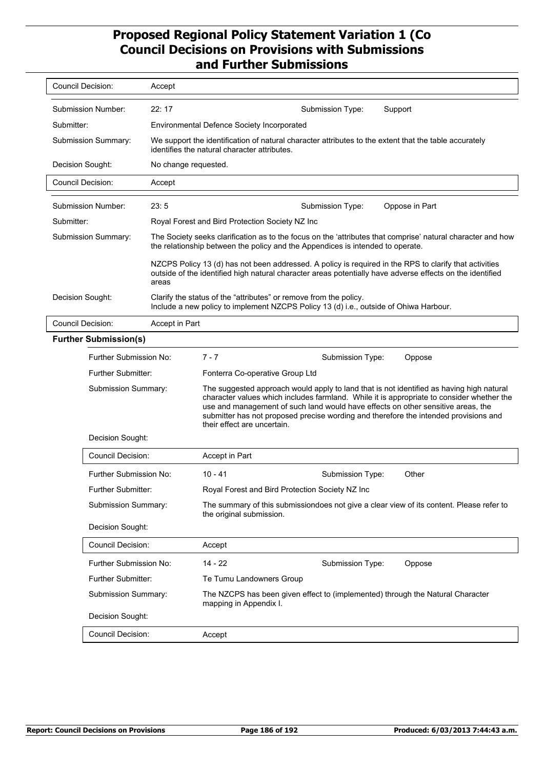| Council Decision:            | Accept               |                                                                                                                                                                                                                                                                                                                                                                                                  |  |  |
|------------------------------|----------------------|--------------------------------------------------------------------------------------------------------------------------------------------------------------------------------------------------------------------------------------------------------------------------------------------------------------------------------------------------------------------------------------------------|--|--|
| Submission Number:           | 22:17                | Support<br>Submission Type:                                                                                                                                                                                                                                                                                                                                                                      |  |  |
| Submitter:                   |                      | <b>Environmental Defence Society Incorporated</b>                                                                                                                                                                                                                                                                                                                                                |  |  |
| Submission Summary:          |                      | We support the identification of natural character attributes to the extent that the table accurately<br>identifies the natural character attributes.                                                                                                                                                                                                                                            |  |  |
| Decision Sought:             | No change requested. |                                                                                                                                                                                                                                                                                                                                                                                                  |  |  |
| Council Decision:            | Accept               |                                                                                                                                                                                                                                                                                                                                                                                                  |  |  |
| Submission Number:           | 23:5                 | Submission Type:<br>Oppose in Part                                                                                                                                                                                                                                                                                                                                                               |  |  |
| Submitter:                   |                      | Royal Forest and Bird Protection Society NZ Inc                                                                                                                                                                                                                                                                                                                                                  |  |  |
| Submission Summary:          |                      | The Society seeks clarification as to the focus on the 'attributes that comprise' natural character and how<br>the relationship between the policy and the Appendices is intended to operate.                                                                                                                                                                                                    |  |  |
|                              | areas                | NZCPS Policy 13 (d) has not been addressed. A policy is required in the RPS to clarify that activities<br>outside of the identified high natural character areas potentially have adverse effects on the identified                                                                                                                                                                              |  |  |
| Decision Sought:             |                      | Clarify the status of the "attributes" or remove from the policy.<br>Include a new policy to implement NZCPS Policy 13 (d) i.e., outside of Ohiwa Harbour.                                                                                                                                                                                                                                       |  |  |
| <b>Council Decision:</b>     | Accept in Part       |                                                                                                                                                                                                                                                                                                                                                                                                  |  |  |
| <b>Further Submission(s)</b> |                      |                                                                                                                                                                                                                                                                                                                                                                                                  |  |  |
| Further Submission No:       |                      | $7 - 7$<br>Submission Type:<br>Oppose                                                                                                                                                                                                                                                                                                                                                            |  |  |
| Further Submitter:           |                      | Fonterra Co-operative Group Ltd                                                                                                                                                                                                                                                                                                                                                                  |  |  |
| Submission Summary:          |                      | The suggested approach would apply to land that is not identified as having high natural<br>character values which includes farmland. While it is appropriate to consider whether the<br>use and management of such land would have effects on other sensitive areas, the<br>submitter has not proposed precise wording and therefore the intended provisions and<br>their effect are uncertain. |  |  |
| Decision Sought:             |                      |                                                                                                                                                                                                                                                                                                                                                                                                  |  |  |
| <b>Council Decision:</b>     |                      | Accept in Part                                                                                                                                                                                                                                                                                                                                                                                   |  |  |
| Further Submission No:       |                      | $10 - 41$<br>Submission Type:<br>Other                                                                                                                                                                                                                                                                                                                                                           |  |  |
| <b>Further Submitter:</b>    |                      | Royal Forest and Bird Protection Society NZ Inc                                                                                                                                                                                                                                                                                                                                                  |  |  |
| Submission Summary:          |                      | The summary of this submissiondoes not give a clear view of its content. Please refer to<br>the original submission.                                                                                                                                                                                                                                                                             |  |  |
| Decision Sought:             |                      |                                                                                                                                                                                                                                                                                                                                                                                                  |  |  |
| <b>Council Decision:</b>     |                      | Accept                                                                                                                                                                                                                                                                                                                                                                                           |  |  |
| Further Submission No:       |                      | $14 - 22$<br>Submission Type:<br>Oppose                                                                                                                                                                                                                                                                                                                                                          |  |  |
| Further Submitter:           |                      | Te Tumu Landowners Group                                                                                                                                                                                                                                                                                                                                                                         |  |  |
| Submission Summary:          |                      | The NZCPS has been given effect to (implemented) through the Natural Character<br>mapping in Appendix I.                                                                                                                                                                                                                                                                                         |  |  |
| Decision Sought:             |                      |                                                                                                                                                                                                                                                                                                                                                                                                  |  |  |
| Council Decision:            |                      | Accept                                                                                                                                                                                                                                                                                                                                                                                           |  |  |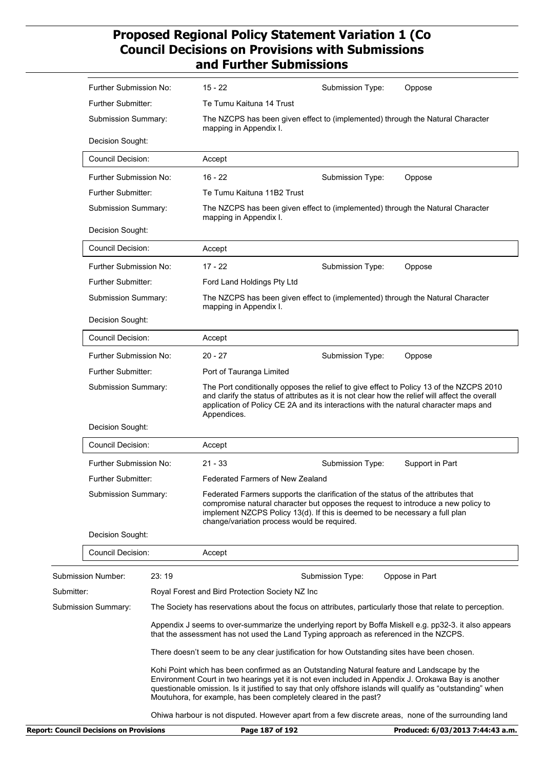|                                                | Further Submission No:    |       | $15 - 22$                                                        | Submission Type:                                                                                                                                                                                                                                      | Oppose                                                                                                                                                                                                             |
|------------------------------------------------|---------------------------|-------|------------------------------------------------------------------|-------------------------------------------------------------------------------------------------------------------------------------------------------------------------------------------------------------------------------------------------------|--------------------------------------------------------------------------------------------------------------------------------------------------------------------------------------------------------------------|
|                                                | Further Submitter:        |       | Te Tumu Kaituna 14 Trust                                         |                                                                                                                                                                                                                                                       |                                                                                                                                                                                                                    |
|                                                | Submission Summary:       |       | mapping in Appendix I.                                           | The NZCPS has been given effect to (implemented) through the Natural Character                                                                                                                                                                        |                                                                                                                                                                                                                    |
|                                                | Decision Sought:          |       |                                                                  |                                                                                                                                                                                                                                                       |                                                                                                                                                                                                                    |
| <b>Council Decision:</b>                       |                           |       | Accept                                                           |                                                                                                                                                                                                                                                       |                                                                                                                                                                                                                    |
|                                                | Further Submission No:    |       | $16 - 22$                                                        | Submission Type:                                                                                                                                                                                                                                      | Oppose                                                                                                                                                                                                             |
|                                                | <b>Further Submitter:</b> |       | Te Tumu Kaituna 11B2 Trust                                       |                                                                                                                                                                                                                                                       |                                                                                                                                                                                                                    |
|                                                | Submission Summary:       |       | mapping in Appendix I.                                           | The NZCPS has been given effect to (implemented) through the Natural Character                                                                                                                                                                        |                                                                                                                                                                                                                    |
|                                                | Decision Sought:          |       |                                                                  |                                                                                                                                                                                                                                                       |                                                                                                                                                                                                                    |
|                                                | Council Decision:         |       | Accept                                                           |                                                                                                                                                                                                                                                       |                                                                                                                                                                                                                    |
|                                                | Further Submission No:    |       | $17 - 22$                                                        | Submission Type:                                                                                                                                                                                                                                      | Oppose                                                                                                                                                                                                             |
|                                                | <b>Further Submitter:</b> |       | Ford Land Holdings Pty Ltd                                       |                                                                                                                                                                                                                                                       |                                                                                                                                                                                                                    |
| Submission Summary:                            |                           |       | mapping in Appendix I.                                           | The NZCPS has been given effect to (implemented) through the Natural Character                                                                                                                                                                        |                                                                                                                                                                                                                    |
|                                                | Decision Sought:          |       |                                                                  |                                                                                                                                                                                                                                                       |                                                                                                                                                                                                                    |
|                                                | <b>Council Decision:</b>  |       | Accept                                                           |                                                                                                                                                                                                                                                       |                                                                                                                                                                                                                    |
|                                                | Further Submission No:    |       | $20 - 27$                                                        | Submission Type:                                                                                                                                                                                                                                      | Oppose                                                                                                                                                                                                             |
|                                                | Further Submitter:        |       | Port of Tauranga Limited                                         |                                                                                                                                                                                                                                                       |                                                                                                                                                                                                                    |
|                                                | Submission Summary:       |       | Appendices.                                                      | application of Policy CE 2A and its interactions with the natural character maps and                                                                                                                                                                  | The Port conditionally opposes the relief to give effect to Policy 13 of the NZCPS 2010<br>and clarify the status of attributes as it is not clear how the relief will affect the overall                          |
|                                                | Decision Sought:          |       |                                                                  |                                                                                                                                                                                                                                                       |                                                                                                                                                                                                                    |
|                                                | <b>Council Decision:</b>  |       | Accept                                                           |                                                                                                                                                                                                                                                       |                                                                                                                                                                                                                    |
|                                                | Further Submission No:    |       | $21 - 33$                                                        | Submission Type:                                                                                                                                                                                                                                      | Support in Part                                                                                                                                                                                                    |
|                                                | <b>Further Submitter:</b> |       | <b>Federated Farmers of New Zealand</b>                          |                                                                                                                                                                                                                                                       |                                                                                                                                                                                                                    |
|                                                | Submission Summary:       |       | change/variation process would be required.                      | Federated Farmers supports the clarification of the status of the attributes that<br>compromise natural character but opposes the request to introduce a new policy to<br>implement NZCPS Policy 13(d). If this is deemed to be necessary a full plan |                                                                                                                                                                                                                    |
|                                                | Decision Sought:          |       |                                                                  |                                                                                                                                                                                                                                                       |                                                                                                                                                                                                                    |
|                                                | <b>Council Decision:</b>  |       | Accept                                                           |                                                                                                                                                                                                                                                       |                                                                                                                                                                                                                    |
| <b>Submission Number:</b>                      |                           | 23:19 |                                                                  | Submission Type:                                                                                                                                                                                                                                      | Oppose in Part                                                                                                                                                                                                     |
| Submitter:                                     |                           |       | Royal Forest and Bird Protection Society NZ Inc                  |                                                                                                                                                                                                                                                       |                                                                                                                                                                                                                    |
| Submission Summary:                            |                           |       |                                                                  |                                                                                                                                                                                                                                                       | The Society has reservations about the focus on attributes, particularly those that relate to perception.                                                                                                          |
|                                                |                           |       |                                                                  | that the assessment has not used the Land Typing approach as referenced in the NZCPS.                                                                                                                                                                 | Appendix J seems to over-summarize the underlying report by Boffa Miskell e.g. pp32-3. it also appears                                                                                                             |
|                                                |                           |       |                                                                  | There doesn't seem to be any clear justification for how Outstanding sites have been chosen.                                                                                                                                                          |                                                                                                                                                                                                                    |
|                                                |                           |       | Moutuhora, for example, has been completely cleared in the past? | Kohi Point which has been confirmed as an Outstanding Natural feature and Landscape by the                                                                                                                                                            | Environment Court in two hearings yet it is not even included in Appendix J. Orokawa Bay is another<br>questionable omission. Is it justified to say that only offshore islands will qualify as "outstanding" when |
|                                                |                           |       |                                                                  |                                                                                                                                                                                                                                                       | Ohiwa harbour is not disputed. However apart from a few discrete areas, none of the surrounding land                                                                                                               |
| <b>Report: Council Decisions on Provisions</b> |                           |       | Page 187 of 192                                                  |                                                                                                                                                                                                                                                       | Produced: 6/03/2013 7:44:43 a.m.                                                                                                                                                                                   |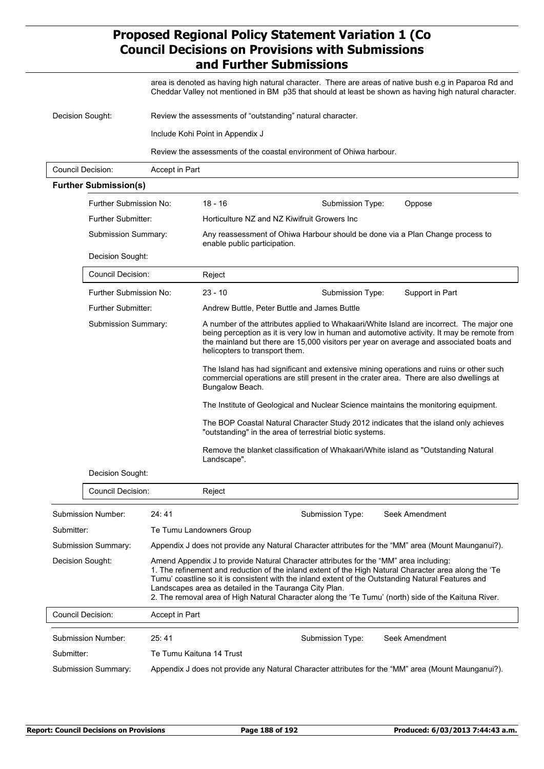area is denoted as having high natural character. There are areas of native bush e.g in Paparoa Rd and Cheddar Valley not mentioned in BM p35 that should at least be shown as having high natural character.

| Decision Sought:  | Review the assessments of "outstanding" natural character.          |  |  |
|-------------------|---------------------------------------------------------------------|--|--|
|                   | Include Kohi Point in Appendix J                                    |  |  |
|                   | Review the assessments of the coastal environment of Ohiwa harbour. |  |  |
| Council Decision: | Accept in Part                                                      |  |  |

#### **Further Submission(s)**

|                     | Further Submission No:    |                                                        | $18 - 16$                                                                                                                                                                                                                                                                                                           | Submission Type:                                                                                                                                                                                              | Oppose                                                                                                                                                                            |  |  |
|---------------------|---------------------------|--------------------------------------------------------|---------------------------------------------------------------------------------------------------------------------------------------------------------------------------------------------------------------------------------------------------------------------------------------------------------------------|---------------------------------------------------------------------------------------------------------------------------------------------------------------------------------------------------------------|-----------------------------------------------------------------------------------------------------------------------------------------------------------------------------------|--|--|
|                     | <b>Further Submitter:</b> |                                                        |                                                                                                                                                                                                                                                                                                                     | Horticulture NZ and NZ Kiwifruit Growers Inc                                                                                                                                                                  |                                                                                                                                                                                   |  |  |
|                     | Submission Summary:       |                                                        | Any reassessment of Ohiwa Harbour should be done via a Plan Change process to<br>enable public participation.                                                                                                                                                                                                       |                                                                                                                                                                                                               |                                                                                                                                                                                   |  |  |
|                     | Decision Sought:          |                                                        |                                                                                                                                                                                                                                                                                                                     |                                                                                                                                                                                                               |                                                                                                                                                                                   |  |  |
|                     | Council Decision:         |                                                        | Reject                                                                                                                                                                                                                                                                                                              |                                                                                                                                                                                                               |                                                                                                                                                                                   |  |  |
|                     | Further Submission No:    |                                                        | $23 - 10$                                                                                                                                                                                                                                                                                                           | Submission Type:                                                                                                                                                                                              | Support in Part                                                                                                                                                                   |  |  |
|                     | <b>Further Submitter:</b> |                                                        |                                                                                                                                                                                                                                                                                                                     | Andrew Buttle, Peter Buttle and James Buttle                                                                                                                                                                  |                                                                                                                                                                                   |  |  |
|                     | Submission Summary:       |                                                        | A number of the attributes applied to Whakaari/White Island are incorrect. The major one<br>being perception as it is very low in human and automotive activity. It may be remote from<br>the mainland but there are 15,000 visitors per year on average and associated boats and<br>helicopters to transport them. |                                                                                                                                                                                                               |                                                                                                                                                                                   |  |  |
|                     |                           |                                                        | Bungalow Beach.                                                                                                                                                                                                                                                                                                     |                                                                                                                                                                                                               | The Island has had significant and extensive mining operations and ruins or other such<br>commercial operations are still present in the crater area. There are also dwellings at |  |  |
|                     |                           |                                                        |                                                                                                                                                                                                                                                                                                                     | The Institute of Geological and Nuclear Science maintains the monitoring equipment.                                                                                                                           |                                                                                                                                                                                   |  |  |
|                     |                           |                                                        | The BOP Coastal Natural Character Study 2012 indicates that the island only achieves<br>"outstanding" in the area of terrestrial biotic systems.                                                                                                                                                                    |                                                                                                                                                                                                               |                                                                                                                                                                                   |  |  |
|                     |                           |                                                        | Landscape".                                                                                                                                                                                                                                                                                                         | Remove the blanket classification of Whakaari/White island as "Outstanding Natural                                                                                                                            |                                                                                                                                                                                   |  |  |
|                     | Decision Sought:          |                                                        |                                                                                                                                                                                                                                                                                                                     |                                                                                                                                                                                                               |                                                                                                                                                                                   |  |  |
|                     | Council Decision:         |                                                        | Reject                                                                                                                                                                                                                                                                                                              |                                                                                                                                                                                                               |                                                                                                                                                                                   |  |  |
|                     | Submission Number:        | 24:41                                                  |                                                                                                                                                                                                                                                                                                                     | Submission Type:                                                                                                                                                                                              | Seek Amendment                                                                                                                                                                    |  |  |
| Submitter:          |                           | Te Tumu Landowners Group                               |                                                                                                                                                                                                                                                                                                                     |                                                                                                                                                                                                               |                                                                                                                                                                                   |  |  |
| Submission Summary: |                           |                                                        |                                                                                                                                                                                                                                                                                                                     | Appendix J does not provide any Natural Character attributes for the "MM" area (Mount Maunganui?).                                                                                                            |                                                                                                                                                                                   |  |  |
| Decision Sought:    |                           | Landscapes area as detailed in the Tauranga City Plan. | Amend Appendix J to provide Natural Character attributes for the "MM" area including:<br>Tumu' coastline so it is consistent with the inland extent of the Outstanding Natural Features and                                                                                                                         | 1. The refinement and reduction of the inland extent of the High Natural Character area along the 'Te<br>2. The removal area of High Natural Character along the 'Te Tumu' (north) side of the Kaituna River. |                                                                                                                                                                                   |  |  |
| Council Decision:   |                           | Accept in Part                                         |                                                                                                                                                                                                                                                                                                                     |                                                                                                                                                                                                               |                                                                                                                                                                                   |  |  |
|                     | Submission Number:        | 25:41                                                  |                                                                                                                                                                                                                                                                                                                     | Submission Type:                                                                                                                                                                                              | Seek Amendment                                                                                                                                                                    |  |  |
| Submitter:          |                           | Te Tumu Kaituna 14 Trust                               |                                                                                                                                                                                                                                                                                                                     |                                                                                                                                                                                                               |                                                                                                                                                                                   |  |  |

Submission Summary: Appendix J does not provide any Natural Character attributes for the "MM" area (Mount Maunganui?).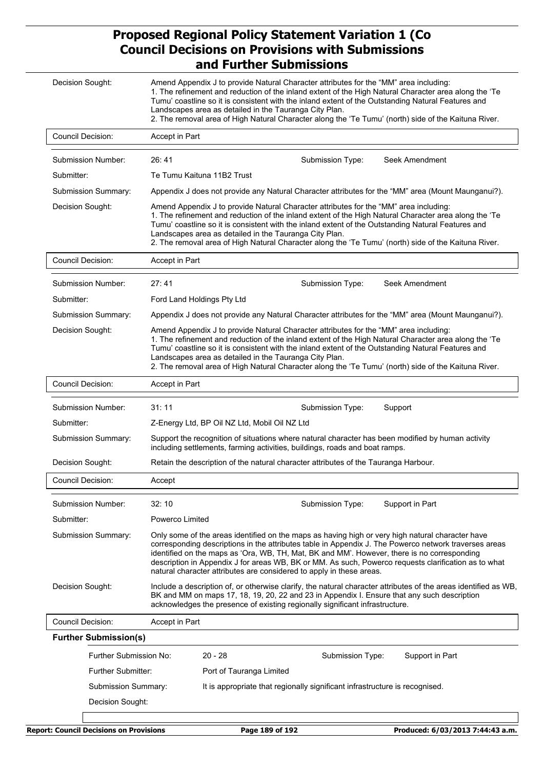| Decision Sought:             | Amend Appendix J to provide Natural Character attributes for the "MM" area including:<br>1. The refinement and reduction of the inland extent of the High Natural Character area along the 'Te<br>Tumu' coastline so it is consistent with the inland extent of the Outstanding Natural Features and<br>Landscapes area as detailed in the Tauranga City Plan.<br>2. The removal area of High Natural Character along the 'Te Tumu' (north) side of the Kaituna River.                   |  |  |
|------------------------------|------------------------------------------------------------------------------------------------------------------------------------------------------------------------------------------------------------------------------------------------------------------------------------------------------------------------------------------------------------------------------------------------------------------------------------------------------------------------------------------|--|--|
| Council Decision:            | Accept in Part                                                                                                                                                                                                                                                                                                                                                                                                                                                                           |  |  |
| Submission Number:           | 26:41<br>Submission Type:<br>Seek Amendment                                                                                                                                                                                                                                                                                                                                                                                                                                              |  |  |
| Submitter:                   | Te Tumu Kaituna 11B2 Trust                                                                                                                                                                                                                                                                                                                                                                                                                                                               |  |  |
| Submission Summary:          | Appendix J does not provide any Natural Character attributes for the "MM" area (Mount Maunganui?).                                                                                                                                                                                                                                                                                                                                                                                       |  |  |
| Decision Sought:             | Amend Appendix J to provide Natural Character attributes for the "MM" area including:<br>1. The refinement and reduction of the inland extent of the High Natural Character area along the 'Te<br>Tumu' coastline so it is consistent with the inland extent of the Outstanding Natural Features and<br>Landscapes area as detailed in the Tauranga City Plan.<br>2. The removal area of High Natural Character along the 'Te Tumu' (north) side of the Kaituna River.                   |  |  |
| <b>Council Decision:</b>     | Accept in Part                                                                                                                                                                                                                                                                                                                                                                                                                                                                           |  |  |
| Submission Number:           | 27:41<br>Submission Type:<br>Seek Amendment                                                                                                                                                                                                                                                                                                                                                                                                                                              |  |  |
| Submitter:                   | Ford Land Holdings Pty Ltd                                                                                                                                                                                                                                                                                                                                                                                                                                                               |  |  |
| Submission Summary:          | Appendix J does not provide any Natural Character attributes for the "MM" area (Mount Maunganui?).                                                                                                                                                                                                                                                                                                                                                                                       |  |  |
| Decision Sought:             | Amend Appendix J to provide Natural Character attributes for the "MM" area including:<br>1. The refinement and reduction of the inland extent of the High Natural Character area along the 'Te<br>Tumu' coastline so it is consistent with the inland extent of the Outstanding Natural Features and<br>Landscapes area as detailed in the Tauranga City Plan.<br>2. The removal area of High Natural Character along the 'Te Tumu' (north) side of the Kaituna River.                   |  |  |
| <b>Council Decision:</b>     | Accept in Part                                                                                                                                                                                                                                                                                                                                                                                                                                                                           |  |  |
| Submission Number:           | 31:11<br>Submission Type:<br>Support                                                                                                                                                                                                                                                                                                                                                                                                                                                     |  |  |
| Submitter:                   | Z-Energy Ltd, BP Oil NZ Ltd, Mobil Oil NZ Ltd                                                                                                                                                                                                                                                                                                                                                                                                                                            |  |  |
| Submission Summary:          | Support the recognition of situations where natural character has been modified by human activity<br>including settlements, farming activities, buildings, roads and boat ramps.                                                                                                                                                                                                                                                                                                         |  |  |
| Decision Sought:             | Retain the description of the natural character attributes of the Tauranga Harbour.                                                                                                                                                                                                                                                                                                                                                                                                      |  |  |
| <b>Council Decision:</b>     | Accept                                                                                                                                                                                                                                                                                                                                                                                                                                                                                   |  |  |
| Submission Number:           | 32:10<br>Support in Part<br>Submission Type:                                                                                                                                                                                                                                                                                                                                                                                                                                             |  |  |
| Submitter:                   | Powerco Limited                                                                                                                                                                                                                                                                                                                                                                                                                                                                          |  |  |
| Submission Summary:          | Only some of the areas identified on the maps as having high or very high natural character have<br>corresponding descriptions in the attributes table in Appendix J. The Powerco network traverses areas<br>identified on the maps as 'Ora, WB, TH, Mat, BK and MM'. However, there is no corresponding<br>description in Appendix J for areas WB, BK or MM. As such, Powerco requests clarification as to what<br>natural character attributes are considered to apply in these areas. |  |  |
| Decision Sought:             | Include a description of, or otherwise clarify, the natural character attributes of the areas identified as WB,<br>BK and MM on maps 17, 18, 19, 20, 22 and 23 in Appendix I. Ensure that any such description<br>acknowledges the presence of existing regionally significant infrastructure.                                                                                                                                                                                           |  |  |
| Council Decision:            | Accept in Part                                                                                                                                                                                                                                                                                                                                                                                                                                                                           |  |  |
| <b>Further Submission(s)</b> |                                                                                                                                                                                                                                                                                                                                                                                                                                                                                          |  |  |
| Further Submission No:       | $20 - 28$<br>Submission Type:<br>Support in Part                                                                                                                                                                                                                                                                                                                                                                                                                                         |  |  |
| Further Submitter:           | Port of Tauranga Limited                                                                                                                                                                                                                                                                                                                                                                                                                                                                 |  |  |
| Submission Summary:          | It is appropriate that regionally significant infrastructure is recognised.                                                                                                                                                                                                                                                                                                                                                                                                              |  |  |
| Decision Sought:             |                                                                                                                                                                                                                                                                                                                                                                                                                                                                                          |  |  |
|                              |                                                                                                                                                                                                                                                                                                                                                                                                                                                                                          |  |  |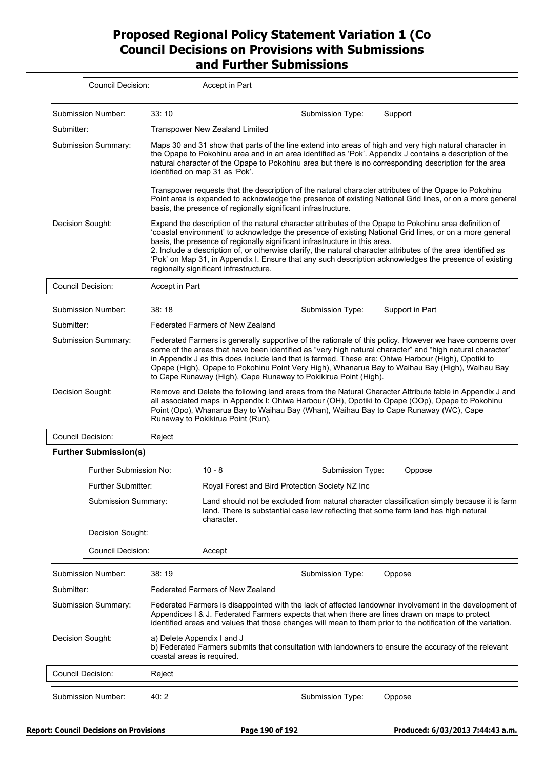| <b>Council Decision:</b>     | Accept in Part                                                                                                                                                                                                                                                                                                                                                                                                                                                                                                                                                       |  |  |  |
|------------------------------|----------------------------------------------------------------------------------------------------------------------------------------------------------------------------------------------------------------------------------------------------------------------------------------------------------------------------------------------------------------------------------------------------------------------------------------------------------------------------------------------------------------------------------------------------------------------|--|--|--|
| Submission Number:           | 33:10<br>Submission Type:<br>Support                                                                                                                                                                                                                                                                                                                                                                                                                                                                                                                                 |  |  |  |
| Submitter:                   | <b>Transpower New Zealand Limited</b>                                                                                                                                                                                                                                                                                                                                                                                                                                                                                                                                |  |  |  |
| Submission Summary:          | Maps 30 and 31 show that parts of the line extend into areas of high and very high natural character in<br>the Opape to Pokohinu area and in an area identified as 'Pok'. Appendix J contains a description of the<br>natural character of the Opape to Pokohinu area but there is no corresponding description for the area<br>identified on map 31 as 'Pok'.                                                                                                                                                                                                       |  |  |  |
|                              | Transpower requests that the description of the natural character attributes of the Opape to Pokohinu<br>Point area is expanded to acknowledge the presence of existing National Grid lines, or on a more general<br>basis, the presence of regionally significant infrastructure.                                                                                                                                                                                                                                                                                   |  |  |  |
| Decision Sought:             | Expand the description of the natural character attributes of the Opape to Pokohinu area definition of<br>'coastal environment' to acknowledge the presence of existing National Grid lines, or on a more general<br>basis, the presence of regionally significant infrastructure in this area.<br>2. Include a description of, or otherwise clarify, the natural character attributes of the area identified as<br>'Pok' on Map 31, in Appendix I. Ensure that any such description acknowledges the presence of existing<br>regionally significant infrastructure. |  |  |  |
| <b>Council Decision:</b>     | Accept in Part                                                                                                                                                                                                                                                                                                                                                                                                                                                                                                                                                       |  |  |  |
| Submission Number:           | 38:18<br>Submission Type:<br>Support in Part                                                                                                                                                                                                                                                                                                                                                                                                                                                                                                                         |  |  |  |
| Submitter:                   | Federated Farmers of New Zealand                                                                                                                                                                                                                                                                                                                                                                                                                                                                                                                                     |  |  |  |
| Submission Summary:          | Federated Farmers is generally supportive of the rationale of this policy. However we have concerns over<br>some of the areas that have been identified as "very high natural character" and "high natural character"<br>in Appendix J as this does include land that is farmed. These are: Ohiwa Harbour (High), Opotiki to<br>Opape (High), Opape to Pokohinu Point Very High), Whanarua Bay to Waihau Bay (High), Waihau Bay<br>to Cape Runaway (High), Cape Runaway to Pokikirua Point (High).                                                                   |  |  |  |
| Decision Sought:             | Remove and Delete the following land areas from the Natural Character Attribute table in Appendix J and<br>all associated maps in Appendix I: Ohiwa Harbour (OH), Opotiki to Opape (OOp), Opape to Pokohinu<br>Point (Opo), Whanarua Bay to Waihau Bay (Whan), Waihau Bay to Cape Runaway (WC), Cape<br>Runaway to Pokikirua Point (Run).                                                                                                                                                                                                                            |  |  |  |
| Council Decision:            | Reject                                                                                                                                                                                                                                                                                                                                                                                                                                                                                                                                                               |  |  |  |
| <b>Further Submission(s)</b> |                                                                                                                                                                                                                                                                                                                                                                                                                                                                                                                                                                      |  |  |  |
| Further Submission No:       | $10 - 8$<br>Submission Type:<br>Oppose                                                                                                                                                                                                                                                                                                                                                                                                                                                                                                                               |  |  |  |
| Further Submitter:           | Royal Forest and Bird Protection Society NZ Inc                                                                                                                                                                                                                                                                                                                                                                                                                                                                                                                      |  |  |  |
| Submission Summary:          | Land should not be excluded from natural character classification simply because it is farm<br>land. There is substantial case law reflecting that some farm land has high natural<br>character.                                                                                                                                                                                                                                                                                                                                                                     |  |  |  |
| Decision Sought:             |                                                                                                                                                                                                                                                                                                                                                                                                                                                                                                                                                                      |  |  |  |
| <b>Council Decision:</b>     | Accept                                                                                                                                                                                                                                                                                                                                                                                                                                                                                                                                                               |  |  |  |
| Submission Number:           | 38:19<br>Submission Type:<br>Oppose                                                                                                                                                                                                                                                                                                                                                                                                                                                                                                                                  |  |  |  |
| Submitter:                   | Federated Farmers of New Zealand                                                                                                                                                                                                                                                                                                                                                                                                                                                                                                                                     |  |  |  |
| Submission Summary:          | Federated Farmers is disappointed with the lack of affected landowner involvement in the development of<br>Appendices I & J. Federated Farmers expects that when there are lines drawn on maps to protect<br>identified areas and values that those changes will mean to them prior to the notification of the variation.                                                                                                                                                                                                                                            |  |  |  |
| Decision Sought:             | a) Delete Appendix I and J<br>b) Federated Farmers submits that consultation with landowners to ensure the accuracy of the relevant<br>coastal areas is required.                                                                                                                                                                                                                                                                                                                                                                                                    |  |  |  |
| Council Decision:            | Reject                                                                                                                                                                                                                                                                                                                                                                                                                                                                                                                                                               |  |  |  |
| <b>Submission Number:</b>    | 40:2<br>Submission Type:<br>Oppose                                                                                                                                                                                                                                                                                                                                                                                                                                                                                                                                   |  |  |  |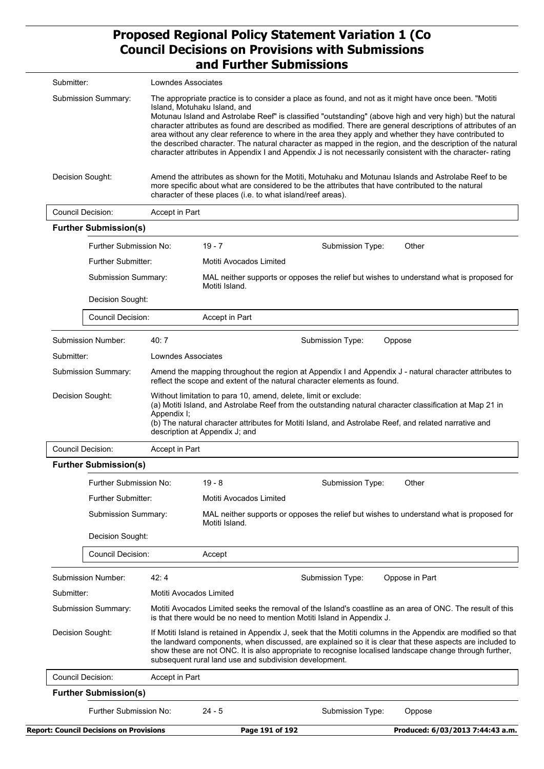| Submitter:          | Lowndes Associates                                                                                                                                                                                                                                                                                                                                                                                                                                                                                                                                                                                                                                                                                     |
|---------------------|--------------------------------------------------------------------------------------------------------------------------------------------------------------------------------------------------------------------------------------------------------------------------------------------------------------------------------------------------------------------------------------------------------------------------------------------------------------------------------------------------------------------------------------------------------------------------------------------------------------------------------------------------------------------------------------------------------|
| Submission Summary: | The appropriate practice is to consider a place as found, and not as it might have once been. "Motiti<br>Island, Motuhaku Island, and<br>Motunau Island and Astrolabe Reef" is classified "outstanding" (above high and very high) but the natural<br>character attributes as found are described as modified. There are general descriptions of attributes of an<br>area without any clear reference to where in the area they apply and whether they have contributed to<br>the described character. The natural character as mapped in the region, and the description of the natural<br>character attributes in Appendix I and Appendix J is not necessarily consistent with the character- rating |
| Decision Sought:    | Amend the attributes as shown for the Motiti, Motuhaku and Motunau Islands and Astrolabe Reef to be<br>more specific about what are considered to be the attributes that have contributed to the natural<br>character of these places (i.e. to what island/reef areas).                                                                                                                                                                                                                                                                                                                                                                                                                                |
| Council Decision:   | Accont in Dart                                                                                                                                                                                                                                                                                                                                                                                                                                                                                                                                                                                                                                                                                         |

|                                     | Council Decision:<br><b>Further Submission(s)</b>                          | Accept in Part                                         |                                                                                                                                                                                     |                                                                                                                                                                                                                                                                                                                                      |                                                                                                                                                                                                                   |  |
|-------------------------------------|----------------------------------------------------------------------------|--------------------------------------------------------|-------------------------------------------------------------------------------------------------------------------------------------------------------------------------------------|--------------------------------------------------------------------------------------------------------------------------------------------------------------------------------------------------------------------------------------------------------------------------------------------------------------------------------------|-------------------------------------------------------------------------------------------------------------------------------------------------------------------------------------------------------------------|--|
|                                     | Further Submission No:<br><b>Further Submitter:</b><br>Submission Summary: |                                                        | $19 - 7$                                                                                                                                                                            | Submission Type:                                                                                                                                                                                                                                                                                                                     | Other                                                                                                                                                                                                             |  |
|                                     |                                                                            |                                                        |                                                                                                                                                                                     | Motiti Avocados Limited                                                                                                                                                                                                                                                                                                              |                                                                                                                                                                                                                   |  |
|                                     |                                                                            |                                                        | Motiti Island.                                                                                                                                                                      | MAL neither supports or opposes the relief but wishes to understand what is proposed for                                                                                                                                                                                                                                             |                                                                                                                                                                                                                   |  |
|                                     | Decision Sought:                                                           |                                                        |                                                                                                                                                                                     |                                                                                                                                                                                                                                                                                                                                      |                                                                                                                                                                                                                   |  |
|                                     | <b>Council Decision:</b>                                                   |                                                        | Accept in Part                                                                                                                                                                      |                                                                                                                                                                                                                                                                                                                                      |                                                                                                                                                                                                                   |  |
|                                     | Submission Number:                                                         | 40:7                                                   |                                                                                                                                                                                     | Submission Type:                                                                                                                                                                                                                                                                                                                     | Oppose                                                                                                                                                                                                            |  |
| Submitter:                          |                                                                            | Lowndes Associates                                     |                                                                                                                                                                                     |                                                                                                                                                                                                                                                                                                                                      |                                                                                                                                                                                                                   |  |
|                                     | <b>Submission Summary:</b>                                                 |                                                        |                                                                                                                                                                                     | reflect the scope and extent of the natural character elements as found.                                                                                                                                                                                                                                                             | Amend the mapping throughout the region at Appendix I and Appendix J - natural character attributes to                                                                                                            |  |
| Decision Sought:                    |                                                                            | Appendix I;                                            | description at Appendix J; and                                                                                                                                                      | Without limitation to para 10, amend, delete, limit or exclude:                                                                                                                                                                                                                                                                      | (a) Motiti Island, and Astrolabe Reef from the outstanding natural character classification at Map 21 in<br>(b) The natural character attributes for Motiti Island, and Astrolabe Reef, and related narrative and |  |
| Council Decision:<br>Accept in Part |                                                                            |                                                        |                                                                                                                                                                                     |                                                                                                                                                                                                                                                                                                                                      |                                                                                                                                                                                                                   |  |
|                                     | <b>Further Submission(s)</b>                                               |                                                        |                                                                                                                                                                                     |                                                                                                                                                                                                                                                                                                                                      |                                                                                                                                                                                                                   |  |
|                                     | Further Submission No:                                                     |                                                        | $19 - 8$                                                                                                                                                                            | Submission Type:                                                                                                                                                                                                                                                                                                                     | Other                                                                                                                                                                                                             |  |
|                                     | Further Submitter:                                                         |                                                        | Motiti Avocados Limited                                                                                                                                                             |                                                                                                                                                                                                                                                                                                                                      |                                                                                                                                                                                                                   |  |
| <b>Submission Summary:</b>          |                                                                            |                                                        | Motiti Island.                                                                                                                                                                      |                                                                                                                                                                                                                                                                                                                                      | MAL neither supports or opposes the relief but wishes to understand what is proposed for                                                                                                                          |  |
|                                     | Decision Sought:                                                           |                                                        |                                                                                                                                                                                     |                                                                                                                                                                                                                                                                                                                                      |                                                                                                                                                                                                                   |  |
|                                     | <b>Council Decision:</b>                                                   |                                                        | Accept                                                                                                                                                                              |                                                                                                                                                                                                                                                                                                                                      |                                                                                                                                                                                                                   |  |
|                                     | <b>Submission Number:</b>                                                  | 42:4                                                   |                                                                                                                                                                                     | Submission Type:                                                                                                                                                                                                                                                                                                                     | Oppose in Part                                                                                                                                                                                                    |  |
| Submitter:                          |                                                                            |                                                        | Motiti Avocados Limited                                                                                                                                                             |                                                                                                                                                                                                                                                                                                                                      |                                                                                                                                                                                                                   |  |
| <b>Submission Summary:</b>          |                                                                            |                                                        | Motiti Avocados Limited seeks the removal of the Island's coastline as an area of ONC. The result of this<br>is that there would be no need to mention Motiti Island in Appendix J. |                                                                                                                                                                                                                                                                                                                                      |                                                                                                                                                                                                                   |  |
| Decision Sought:                    |                                                                            | subsequent rural land use and subdivision development. |                                                                                                                                                                                     | If Motiti Island is retained in Appendix J, seek that the Motiti columns in the Appendix are modified so that<br>the landward components, when discussed, are explained so it is clear that these aspects are included to<br>show these are not ONC. It is also appropriate to recognise localised landscape change through further, |                                                                                                                                                                                                                   |  |
|                                     | <b>Council Decision:</b>                                                   | Accept in Part                                         |                                                                                                                                                                                     |                                                                                                                                                                                                                                                                                                                                      |                                                                                                                                                                                                                   |  |
|                                     | <b>Further Submission(s)</b>                                               |                                                        |                                                                                                                                                                                     |                                                                                                                                                                                                                                                                                                                                      |                                                                                                                                                                                                                   |  |
|                                     | Further Submission No:                                                     |                                                        | $24 - 5$                                                                                                                                                                            | Submission Type:                                                                                                                                                                                                                                                                                                                     | Oppose                                                                                                                                                                                                            |  |
|                                     | <b>Report: Council Decisions on Provisions</b>                             |                                                        | Page 191 of 192                                                                                                                                                                     |                                                                                                                                                                                                                                                                                                                                      | Produced: 6/03/2013 7:44:43 a.m.                                                                                                                                                                                  |  |